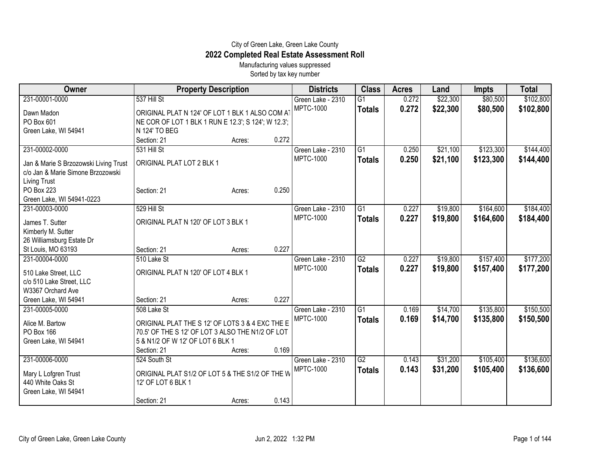## City of Green Lake, Green Lake County **2022 Completed Real Estate Assessment Roll**

Manufacturing values suppressed Sorted by tax key number

| Owner                                                                      | <b>Property Description</b>                         |        |       | <b>Districts</b>                      | <b>Class</b>    | <b>Acres</b> | Land     | <b>Impts</b> | <b>Total</b> |
|----------------------------------------------------------------------------|-----------------------------------------------------|--------|-------|---------------------------------------|-----------------|--------------|----------|--------------|--------------|
| 231-00001-0000                                                             | 537 Hill St                                         |        |       | Green Lake - 2310                     | $\overline{G1}$ | 0.272        | \$22,300 | \$80,500     | \$102,800    |
| Dawn Madon                                                                 | ORIGINAL PLAT N 124' OF LOT 1 BLK 1 ALSO COM AT     |        |       | <b>MPTC-1000</b>                      | <b>Totals</b>   | 0.272        | \$22,300 | \$80,500     | \$102,800    |
| PO Box 601                                                                 | NE COR OF LOT 1 BLK 1 RUN E 12.3'; S 124'; W 12.3'; |        |       |                                       |                 |              |          |              |              |
| Green Lake, WI 54941                                                       | N 124' TO BEG                                       |        |       |                                       |                 |              |          |              |              |
|                                                                            | Section: 21                                         | Acres: | 0.272 |                                       |                 |              |          |              |              |
| 231-00002-0000                                                             | 531 Hill St                                         |        |       | Green Lake - 2310                     | $\overline{G1}$ | 0.250        | \$21,100 | \$123,300    | \$144,400    |
|                                                                            | ORIGINAL PLAT LOT 2 BLK 1                           |        |       | <b>MPTC-1000</b>                      | <b>Totals</b>   | 0.250        | \$21,100 | \$123,300    | \$144,400    |
| Jan & Marie S Brzozowski Living Trust<br>c/o Jan & Marie Simone Brzozowski |                                                     |        |       |                                       |                 |              |          |              |              |
| <b>Living Trust</b>                                                        |                                                     |        |       |                                       |                 |              |          |              |              |
| PO Box 223                                                                 | Section: 21                                         | Acres: | 0.250 |                                       |                 |              |          |              |              |
| Green Lake, WI 54941-0223                                                  |                                                     |        |       |                                       |                 |              |          |              |              |
| 231-00003-0000                                                             | 529 Hill St                                         |        |       | Green Lake - 2310                     | $\overline{G1}$ | 0.227        | \$19,800 | \$164,600    | \$184,400    |
|                                                                            |                                                     |        |       | <b>MPTC-1000</b>                      | <b>Totals</b>   | 0.227        | \$19,800 | \$164,600    | \$184,400    |
| James T. Sutter                                                            | ORIGINAL PLAT N 120' OF LOT 3 BLK 1                 |        |       |                                       |                 |              |          |              |              |
| Kimberly M. Sutter                                                         |                                                     |        |       |                                       |                 |              |          |              |              |
| 26 Williamsburg Estate Dr                                                  |                                                     |        | 0.227 |                                       |                 |              |          |              |              |
| St Louis, MO 63193                                                         | Section: 21                                         | Acres: |       |                                       |                 |              |          |              |              |
| 231-00004-0000                                                             | 510 Lake St                                         |        |       | Green Lake - 2310<br><b>MPTC-1000</b> | $\overline{G2}$ | 0.227        | \$19,800 | \$157,400    | \$177,200    |
| 510 Lake Street, LLC                                                       | ORIGINAL PLAT N 120' OF LOT 4 BLK 1                 |        |       |                                       | <b>Totals</b>   | 0.227        | \$19,800 | \$157,400    | \$177,200    |
| c/o 510 Lake Street, LLC                                                   |                                                     |        |       |                                       |                 |              |          |              |              |
| W3367 Orchard Ave                                                          |                                                     |        |       |                                       |                 |              |          |              |              |
| Green Lake, WI 54941                                                       | Section: 21                                         | Acres: | 0.227 |                                       |                 |              |          |              |              |
| 231-00005-0000                                                             | 508 Lake St                                         |        |       | Green Lake - 2310                     | $\overline{G1}$ | 0.169        | \$14,700 | \$135,800    | \$150,500    |
| Alice M. Bartow                                                            | ORIGINAL PLAT THE S 12' OF LOTS 3 & 4 EXC THE E     |        |       | <b>MPTC-1000</b>                      | <b>Totals</b>   | 0.169        | \$14,700 | \$135,800    | \$150,500    |
| PO Box 166                                                                 | 70.5' OF THE S 12' OF LOT 3 ALSO THE N1/2 OF LOT    |        |       |                                       |                 |              |          |              |              |
| Green Lake, WI 54941                                                       | 5 & N1/2 OF W 12' OF LOT 6 BLK 1                    |        |       |                                       |                 |              |          |              |              |
|                                                                            | Section: 21                                         | Acres: | 0.169 |                                       |                 |              |          |              |              |
| 231-00006-0000                                                             | 524 South St                                        |        |       | Green Lake - 2310                     | $\overline{G2}$ | 0.143        | \$31,200 | \$105,400    | \$136,600    |
|                                                                            |                                                     |        |       | <b>MPTC-1000</b>                      | <b>Totals</b>   | 0.143        | \$31,200 | \$105,400    | \$136,600    |
| Mary L Lofgren Trust                                                       | ORIGINAL PLAT S1/2 OF LOT 5 & THE S1/2 OF THE W     |        |       |                                       |                 |              |          |              |              |
| 440 White Oaks St                                                          | 12' OF LOT 6 BLK 1                                  |        |       |                                       |                 |              |          |              |              |
| Green Lake, WI 54941                                                       |                                                     |        |       |                                       |                 |              |          |              |              |
|                                                                            | Section: 21                                         | Acres: | 0.143 |                                       |                 |              |          |              |              |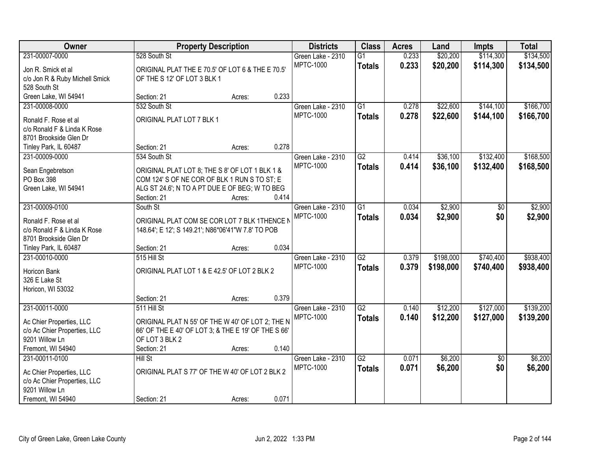| Owner                                               | <b>Property Description</b>                                                                        |        | <b>Districts</b>  | <b>Class</b>    | <b>Acres</b> | Land      | Impts           | <b>Total</b> |
|-----------------------------------------------------|----------------------------------------------------------------------------------------------------|--------|-------------------|-----------------|--------------|-----------|-----------------|--------------|
| 231-00007-0000                                      | 528 South St                                                                                       |        | Green Lake - 2310 | $\overline{G1}$ | 0.233        | \$20,200  | \$114,300       | \$134,500    |
| Jon R. Smick et al                                  | ORIGINAL PLAT THE E 70.5' OF LOT 6 & THE E 70.5'                                                   |        | <b>MPTC-1000</b>  | <b>Totals</b>   | 0.233        | \$20,200  | \$114,300       | \$134,500    |
| c/o Jon R & Ruby Michell Smick                      | OF THE S 12' OF LOT 3 BLK 1                                                                        |        |                   |                 |              |           |                 |              |
| 528 South St                                        |                                                                                                    |        |                   |                 |              |           |                 |              |
| Green Lake, WI 54941                                | Section: 21                                                                                        | Acres: | 0.233             |                 |              |           |                 |              |
| 231-00008-0000                                      | 532 South St                                                                                       |        | Green Lake - 2310 | $\overline{G1}$ | 0.278        | \$22,600  | \$144,100       | \$166,700    |
| Ronald F. Rose et al                                | ORIGINAL PLAT LOT 7 BLK 1                                                                          |        | <b>MPTC-1000</b>  | <b>Totals</b>   | 0.278        | \$22,600  | \$144,100       | \$166,700    |
| c/o Ronald F & Linda K Rose                         |                                                                                                    |        |                   |                 |              |           |                 |              |
| 8701 Brookside Glen Dr                              |                                                                                                    |        |                   |                 |              |           |                 |              |
| Tinley Park, IL 60487                               | Section: 21                                                                                        | Acres: | 0.278             |                 |              |           |                 |              |
| 231-00009-0000                                      | 534 South St                                                                                       |        | Green Lake - 2310 | $\overline{G2}$ | 0.414        | \$36,100  | \$132,400       | \$168,500    |
| Sean Engebretson                                    | ORIGINAL PLAT LOT 8; THE S 8' OF LOT 1 BLK 1 &                                                     |        | <b>MPTC-1000</b>  | <b>Totals</b>   | 0.414        | \$36,100  | \$132,400       | \$168,500    |
| PO Box 398                                          | COM 124' S OF NE COR OF BLK 1 RUN S TO ST; E                                                       |        |                   |                 |              |           |                 |              |
| Green Lake, WI 54941                                | ALG ST 24.6'; N TO A PT DUE E OF BEG; W TO BEG                                                     |        |                   |                 |              |           |                 |              |
|                                                     | Section: 21                                                                                        | Acres: | 0.414             |                 |              |           |                 |              |
| 231-00009-0100                                      | South St                                                                                           |        | Green Lake - 2310 | $\overline{G1}$ | 0.034        | \$2,900   | \$0             | \$2,900      |
|                                                     |                                                                                                    |        | <b>MPTC-1000</b>  | <b>Totals</b>   | 0.034        | \$2,900   | \$0             | \$2,900      |
| Ronald F. Rose et al<br>c/o Ronald F & Linda K Rose | ORIGINAL PLAT COM SE COR LOT 7 BLK 1THENCE N<br>148.64'; E 12'; S 149.21'; N86*06'41"W 7.8' TO POB |        |                   |                 |              |           |                 |              |
| 8701 Brookside Glen Dr                              |                                                                                                    |        |                   |                 |              |           |                 |              |
| Tinley Park, IL 60487                               | Section: 21                                                                                        | Acres: | 0.034             |                 |              |           |                 |              |
| 231-00010-0000                                      | 515 Hill St                                                                                        |        | Green Lake - 2310 | $\overline{G2}$ | 0.379        | \$198,000 | \$740,400       | \$938,400    |
|                                                     |                                                                                                    |        | <b>MPTC-1000</b>  | <b>Totals</b>   | 0.379        | \$198,000 | \$740,400       | \$938,400    |
| Horicon Bank                                        | ORIGINAL PLAT LOT 1 & E 42.5' OF LOT 2 BLK 2                                                       |        |                   |                 |              |           |                 |              |
| 326 E Lake St<br>Horicon, WI 53032                  |                                                                                                    |        |                   |                 |              |           |                 |              |
|                                                     | Section: 21                                                                                        | Acres: | 0.379             |                 |              |           |                 |              |
| 231-00011-0000                                      | 511 Hill St                                                                                        |        | Green Lake - 2310 | $\overline{G2}$ | 0.140        | \$12,200  | \$127,000       | \$139,200    |
|                                                     |                                                                                                    |        | <b>MPTC-1000</b>  | <b>Totals</b>   | 0.140        | \$12,200  | \$127,000       | \$139,200    |
| Ac Chier Properties, LLC                            | ORIGINAL PLAT N 55' OF THE W 40' OF LOT 2; THE N                                                   |        |                   |                 |              |           |                 |              |
| c/o Ac Chier Properties, LLC                        | 66' OF THE E 40' OF LOT 3; & THE E 19' OF THE S 66'                                                |        |                   |                 |              |           |                 |              |
| 9201 Willow Ln<br>Fremont, WI 54940                 | OF LOT 3 BLK 2<br>Section: 21                                                                      |        | 0.140             |                 |              |           |                 |              |
| 231-00011-0100                                      | Hill St                                                                                            | Acres: | Green Lake - 2310 | $\overline{G2}$ | 0.071        | \$6,200   | $\overline{50}$ | \$6,200      |
|                                                     |                                                                                                    |        | <b>MPTC-1000</b>  | <b>Totals</b>   | 0.071        | \$6,200   | \$0             | \$6,200      |
| Ac Chier Properties, LLC                            | ORIGINAL PLAT S 77' OF THE W 40' OF LOT 2 BLK 2                                                    |        |                   |                 |              |           |                 |              |
| c/o Ac Chier Properties, LLC                        |                                                                                                    |        |                   |                 |              |           |                 |              |
| 9201 Willow Ln                                      |                                                                                                    |        |                   |                 |              |           |                 |              |
| Fremont, WI 54940                                   | Section: 21                                                                                        | Acres: | 0.071             |                 |              |           |                 |              |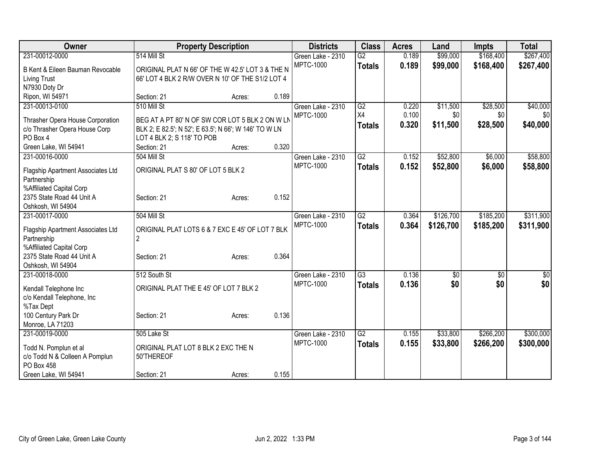| Owner                                  |                                                       | <b>Property Description</b> |       | <b>Districts</b>  | <b>Class</b>    | <b>Acres</b> | Land            | Impts     | <b>Total</b>     |
|----------------------------------------|-------------------------------------------------------|-----------------------------|-------|-------------------|-----------------|--------------|-----------------|-----------|------------------|
| 231-00012-0000                         | 514 Mill St                                           |                             |       | Green Lake - 2310 | $\overline{G2}$ | 0.189        | \$99,000        | \$168,400 | \$267,400        |
| B Kent & Eileen Bauman Revocable       | ORIGINAL PLAT N 66' OF THE W 42.5' LOT 3 & THE N      |                             |       | <b>MPTC-1000</b>  | <b>Totals</b>   | 0.189        | \$99,000        | \$168,400 | \$267,400        |
| <b>Living Trust</b>                    | 66' LOT 4 BLK 2 R/W OVER N 10' OF THE S1/2 LOT 4      |                             |       |                   |                 |              |                 |           |                  |
| N7930 Doty Dr                          |                                                       |                             |       |                   |                 |              |                 |           |                  |
| Ripon, WI 54971                        | Section: 21                                           | Acres:                      | 0.189 |                   |                 |              |                 |           |                  |
| 231-00013-0100                         | 510 Mill St                                           |                             |       | Green Lake - 2310 | $\overline{G2}$ | 0.220        | \$11,500        | \$28,500  | \$40,000         |
|                                        |                                                       |                             |       | <b>MPTC-1000</b>  | X4              | 0.100        | \$0             | \$0       | \$0              |
| Thrasher Opera House Corporation       | BEG AT A PT 80' N OF SW COR LOT 5 BLK 2 ON W LN       |                             |       |                   | <b>Totals</b>   | 0.320        | \$11,500        | \$28,500  | \$40,000         |
| c/o Thrasher Opera House Corp          | BLK 2; E 82.5'; N 52'; E 63.5'; N 66'; W 146' TO W LN |                             |       |                   |                 |              |                 |           |                  |
| PO Box 4                               | LOT 4 BLK 2; S 118' TO POB<br>Section: 21             |                             | 0.320 |                   |                 |              |                 |           |                  |
| Green Lake, WI 54941<br>231-00016-0000 | 504 Mill St                                           | Acres:                      |       | Green Lake - 2310 | $\overline{G2}$ | 0.152        | \$52,800        | \$6,000   | \$58,800         |
|                                        |                                                       |                             |       | <b>MPTC-1000</b>  |                 |              |                 |           |                  |
| Flagship Apartment Associates Ltd      | ORIGINAL PLAT S 80' OF LOT 5 BLK 2                    |                             |       |                   | <b>Totals</b>   | 0.152        | \$52,800        | \$6,000   | \$58,800         |
| Partnership                            |                                                       |                             |       |                   |                 |              |                 |           |                  |
| %Affiliated Capital Corp               |                                                       |                             |       |                   |                 |              |                 |           |                  |
| 2375 State Road 44 Unit A              | Section: 21                                           | Acres:                      | 0.152 |                   |                 |              |                 |           |                  |
| Oshkosh, WI 54904                      |                                                       |                             |       |                   |                 |              |                 |           |                  |
| 231-00017-0000                         | 504 Mill St                                           |                             |       | Green Lake - 2310 | G2              | 0.364        | \$126,700       | \$185,200 | \$311,900        |
| Flagship Apartment Associates Ltd      | ORIGINAL PLAT LOTS 6 & 7 EXC E 45' OF LOT 7 BLK       |                             |       | <b>MPTC-1000</b>  | <b>Totals</b>   | 0.364        | \$126,700       | \$185,200 | \$311,900        |
| Partnership                            | $\overline{2}$                                        |                             |       |                   |                 |              |                 |           |                  |
| %Affiliated Capital Corp               |                                                       |                             |       |                   |                 |              |                 |           |                  |
| 2375 State Road 44 Unit A              | Section: 21                                           | Acres:                      | 0.364 |                   |                 |              |                 |           |                  |
| Oshkosh, WI 54904                      |                                                       |                             |       |                   |                 |              |                 |           |                  |
| 231-00018-0000                         | 512 South St                                          |                             |       | Green Lake - 2310 | $\overline{G3}$ | 0.136        | $\overline{50}$ | \$0       | $\overline{\$0}$ |
| Kendall Telephone Inc                  | ORIGINAL PLAT THE E 45' OF LOT 7 BLK 2                |                             |       | <b>MPTC-1000</b>  | <b>Totals</b>   | 0.136        | \$0             | \$0       | \$0              |
| c/o Kendall Telephone, Inc             |                                                       |                             |       |                   |                 |              |                 |           |                  |
| %Tax Dept                              |                                                       |                             |       |                   |                 |              |                 |           |                  |
| 100 Century Park Dr                    | Section: 21                                           | Acres:                      | 0.136 |                   |                 |              |                 |           |                  |
| Monroe, LA 71203                       |                                                       |                             |       |                   |                 |              |                 |           |                  |
| 231-00019-0000                         | 505 Lake St                                           |                             |       | Green Lake - 2310 | G2              | 0.155        | \$33,800        | \$266,200 | \$300,000        |
|                                        |                                                       |                             |       | <b>MPTC-1000</b>  | <b>Totals</b>   | 0.155        | \$33,800        | \$266,200 | \$300,000        |
| Todd N. Pomplun et al                  | ORIGINAL PLAT LOT 8 BLK 2 EXC THE N                   |                             |       |                   |                 |              |                 |           |                  |
| c/o Todd N & Colleen A Pomplun         | 50'THEREOF                                            |                             |       |                   |                 |              |                 |           |                  |
| PO Box 458                             |                                                       |                             |       |                   |                 |              |                 |           |                  |
| Green Lake, WI 54941                   | Section: 21                                           | Acres:                      | 0.155 |                   |                 |              |                 |           |                  |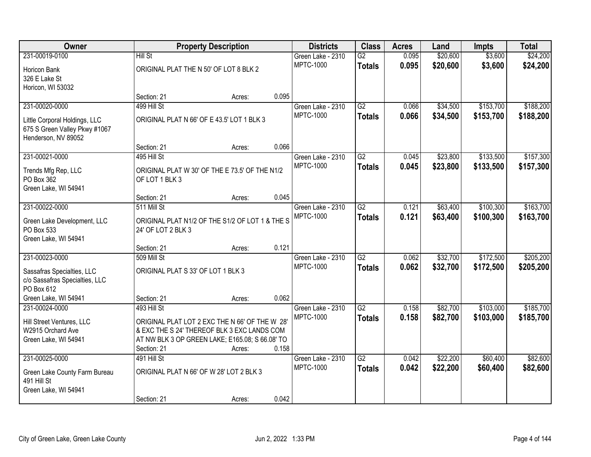| Owner                                     |                                                                                                | <b>Property Description</b>                     |       | <b>Districts</b>                      | <b>Class</b>                     | <b>Acres</b>   | Land                 | <b>Impts</b>           | <b>Total</b>           |
|-------------------------------------------|------------------------------------------------------------------------------------------------|-------------------------------------------------|-------|---------------------------------------|----------------------------------|----------------|----------------------|------------------------|------------------------|
| 231-00019-0100                            | <b>Hill St</b>                                                                                 |                                                 |       | Green Lake - 2310<br><b>MPTC-1000</b> | $\overline{G2}$                  | 0.095<br>0.095 | \$20,600<br>\$20,600 | \$3,600<br>\$3,600     | \$24,200               |
| Horicon Bank                              | ORIGINAL PLAT THE N 50' OF LOT 8 BLK 2                                                         |                                                 |       |                                       | <b>Totals</b>                    |                |                      |                        | \$24,200               |
| 326 E Lake St<br>Horicon, WI 53032        |                                                                                                |                                                 |       |                                       |                                  |                |                      |                        |                        |
|                                           | Section: 21                                                                                    | Acres:                                          | 0.095 |                                       |                                  |                |                      |                        |                        |
| 231-00020-0000                            | 499 Hill St                                                                                    |                                                 |       | Green Lake - 2310                     | G2                               | 0.066          | \$34,500             | \$153,700              | \$188,200              |
| Little Corporal Holdings, LLC             |                                                                                                | ORIGINAL PLAT N 66' OF E 43.5' LOT 1 BLK 3      |       | <b>MPTC-1000</b>                      | <b>Totals</b>                    | 0.066          | \$34,500             | \$153,700              | \$188,200              |
| 675 S Green Valley Pkwy #1067             |                                                                                                |                                                 |       |                                       |                                  |                |                      |                        |                        |
| Henderson, NV 89052                       |                                                                                                |                                                 |       |                                       |                                  |                |                      |                        |                        |
|                                           | Section: 21                                                                                    | Acres:                                          | 0.066 |                                       |                                  |                |                      |                        |                        |
| 231-00021-0000                            | 495 Hill St                                                                                    |                                                 |       | Green Lake - 2310<br><b>MPTC-1000</b> | G2                               | 0.045          | \$23,800             | \$133,500              | \$157,300              |
| Trends Mfg Rep, LLC                       | ORIGINAL PLAT W 30' OF THE E 73.5' OF THE N1/2                                                 |                                                 |       |                                       | <b>Totals</b>                    | 0.045          | \$23,800             | \$133,500              | \$157,300              |
| PO Box 362                                | OF LOT 1 BLK 3                                                                                 |                                                 |       |                                       |                                  |                |                      |                        |                        |
| Green Lake, WI 54941                      | Section: 21                                                                                    | Acres:                                          | 0.045 |                                       |                                  |                |                      |                        |                        |
| 231-00022-0000                            | 511 Mill St                                                                                    |                                                 |       | Green Lake - 2310                     | $\overline{G2}$                  | 0.121          | \$63,400             | \$100,300              | \$163,700              |
|                                           |                                                                                                |                                                 |       | <b>MPTC-1000</b>                      | <b>Totals</b>                    | 0.121          | \$63,400             | \$100,300              | \$163,700              |
| Green Lake Development, LLC<br>PO Box 533 | 24' OF LOT 2 BLK 3                                                                             | ORIGINAL PLAT N1/2 OF THE S1/2 OF LOT 1 & THE S |       |                                       |                                  |                |                      |                        |                        |
| Green Lake, WI 54941                      |                                                                                                |                                                 |       |                                       |                                  |                |                      |                        |                        |
|                                           | Section: 21                                                                                    | Acres:                                          | 0.121 |                                       |                                  |                |                      |                        |                        |
| 231-00023-0000                            | 509 Mill St                                                                                    |                                                 |       | Green Lake - 2310                     | $\overline{G2}$                  | 0.062          | \$32,700             | \$172,500              | \$205,200              |
| Sassafras Specialties, LLC                | ORIGINAL PLAT S 33' OF LOT 1 BLK 3                                                             |                                                 |       | <b>MPTC-1000</b>                      | <b>Totals</b>                    | 0.062          | \$32,700             | \$172,500              | \$205,200              |
| c/o Sassafras Specialties, LLC            |                                                                                                |                                                 |       |                                       |                                  |                |                      |                        |                        |
| PO Box 612                                |                                                                                                |                                                 |       |                                       |                                  |                |                      |                        |                        |
| Green Lake, WI 54941                      | Section: 21                                                                                    | Acres:                                          | 0.062 |                                       |                                  |                |                      |                        |                        |
| 231-00024-0000                            | 493 Hill St                                                                                    |                                                 |       | Green Lake - 2310<br><b>MPTC-1000</b> | $\overline{G2}$<br><b>Totals</b> | 0.158<br>0.158 | \$82,700<br>\$82,700 | \$103,000<br>\$103,000 | \$185,700<br>\$185,700 |
| Hill Street Ventures, LLC                 | ORIGINAL PLAT LOT 2 EXC THE N 66' OF THE W 28'                                                 |                                                 |       |                                       |                                  |                |                      |                        |                        |
| W2915 Orchard Ave                         | & EXC THE S 24' THEREOF BLK 3 EXC LANDS COM<br>AT NW BLK 3 OP GREEN LAKE; E165.08; S 66.08' TO |                                                 |       |                                       |                                  |                |                      |                        |                        |
| Green Lake, WI 54941                      | Section: 21                                                                                    | Acres:                                          | 0.158 |                                       |                                  |                |                      |                        |                        |
| 231-00025-0000                            | 491 Hill St                                                                                    |                                                 |       | Green Lake - 2310                     | $\overline{G2}$                  | 0.042          | \$22,200             | \$60,400               | \$82,600               |
| Green Lake County Farm Bureau             |                                                                                                | ORIGINAL PLAT N 66' OF W 28' LOT 2 BLK 3        |       | <b>MPTC-1000</b>                      | <b>Totals</b>                    | 0.042          | \$22,200             | \$60,400               | \$82,600               |
| 491 Hill St                               |                                                                                                |                                                 |       |                                       |                                  |                |                      |                        |                        |
| Green Lake, WI 54941                      |                                                                                                |                                                 |       |                                       |                                  |                |                      |                        |                        |
|                                           | Section: 21                                                                                    | Acres:                                          | 0.042 |                                       |                                  |                |                      |                        |                        |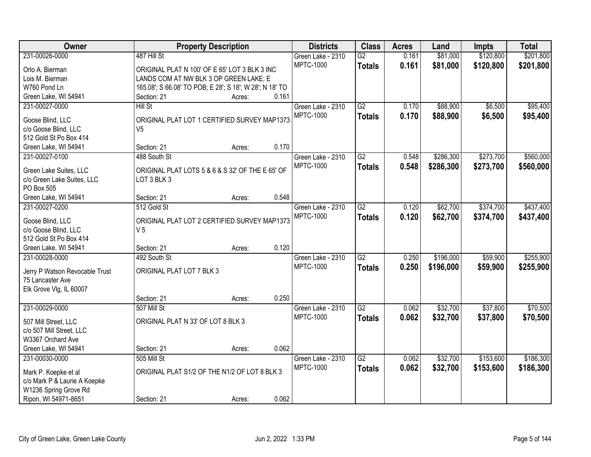| Owner                          |                                                         | <b>Property Description</b> |       | <b>Districts</b>  | <b>Class</b>    | <b>Acres</b> | Land      | <b>Impts</b> | <b>Total</b> |
|--------------------------------|---------------------------------------------------------|-----------------------------|-------|-------------------|-----------------|--------------|-----------|--------------|--------------|
| 231-00026-0000                 | 487 Hill St                                             |                             |       | Green Lake - 2310 | $\overline{G2}$ | 0.161        | \$81,000  | \$120,800    | \$201,800    |
| Orlo A. Bierman                | ORIGINAL PLAT N 100' OF E 65' LOT 3 BLK 3 INC           |                             |       | <b>MPTC-1000</b>  | <b>Totals</b>   | 0.161        | \$81,000  | \$120,800    | \$201,800    |
| Lois M. Bierman                | LANDS COM AT NW BLK 3 OP GREEN LAKE; E                  |                             |       |                   |                 |              |           |              |              |
| W760 Pond Ln                   | 165.08'; S 66.08' TO POB; E 28'; S 18'; W 28'; N 18' TO |                             |       |                   |                 |              |           |              |              |
| Green Lake, WI 54941           | Section: 21                                             | Acres:                      | 0.161 |                   |                 |              |           |              |              |
| 231-00027-0000                 | <b>Hill St</b>                                          |                             |       | Green Lake - 2310 | G2              | 0.170        | \$88,900  | \$6,500      | \$95,400     |
|                                |                                                         |                             |       | <b>MPTC-1000</b>  | <b>Totals</b>   | 0.170        | \$88,900  | \$6,500      | \$95,400     |
| Goose Blind, LLC               | ORIGINAL PLAT LOT 1 CERTIFIED SURVEY MAP1373            |                             |       |                   |                 |              |           |              |              |
| c/o Goose Blind, LLC           | V <sub>5</sub>                                          |                             |       |                   |                 |              |           |              |              |
| 512 Gold St Po Box 414         |                                                         |                             | 0.170 |                   |                 |              |           |              |              |
| Green Lake, WI 54941           | Section: 21                                             | Acres:                      |       |                   |                 |              |           |              |              |
| 231-00027-0100                 | 488 South St                                            |                             |       | Green Lake - 2310 | G2              | 0.548        | \$286,300 | \$273,700    | \$560,000    |
| Green Lake Suites, LLC         | ORIGINAL PLAT LOTS 5 & 6 & S 32' OF THE E 65' OF        |                             |       | <b>MPTC-1000</b>  | <b>Totals</b>   | 0.548        | \$286,300 | \$273,700    | \$560,000    |
| c/o Green Lake Suites, LLC     | LOT 3 BLK 3                                             |                             |       |                   |                 |              |           |              |              |
| PO Box 505                     |                                                         |                             |       |                   |                 |              |           |              |              |
| Green Lake, WI 54941           | Section: 21                                             | Acres:                      | 0.548 |                   |                 |              |           |              |              |
| 231-00027-0200                 | 512 Gold St                                             |                             |       | Green Lake - 2310 | $\overline{G2}$ | 0.120        | \$62,700  | \$374,700    | \$437,400    |
| Goose Blind, LLC               | ORIGINAL PLAT LOT 2 CERTIFIED SURVEY MAP1373            |                             |       | <b>MPTC-1000</b>  | <b>Totals</b>   | 0.120        | \$62,700  | \$374,700    | \$437,400    |
| c/o Goose Blind, LLC           | V <sub>5</sub>                                          |                             |       |                   |                 |              |           |              |              |
| 512 Gold St Po Box 414         |                                                         |                             |       |                   |                 |              |           |              |              |
| Green Lake, WI 54941           | Section: 21                                             | Acres:                      | 0.120 |                   |                 |              |           |              |              |
| 231-00028-0000                 | 492 South St                                            |                             |       | Green Lake - 2310 | $\overline{G2}$ | 0.250        | \$196,000 | \$59,900     | \$255,900    |
|                                |                                                         |                             |       | <b>MPTC-1000</b>  | <b>Totals</b>   | 0.250        | \$196,000 | \$59,900     | \$255,900    |
| Jerry P Watson Revocable Trust | ORIGINAL PLAT LOT 7 BLK 3                               |                             |       |                   |                 |              |           |              |              |
| 75 Lancaster Ave               |                                                         |                             |       |                   |                 |              |           |              |              |
| Elk Grove Vlg, IL 60007        |                                                         |                             |       |                   |                 |              |           |              |              |
|                                | Section: 21                                             | Acres:                      | 0.250 |                   |                 |              |           |              |              |
| 231-00029-0000                 | 507 Mill St                                             |                             |       | Green Lake - 2310 | $\overline{G2}$ | 0.062        | \$32,700  | \$37,800     | \$70,500     |
| 507 Mill Street, LLC           | ORIGINAL PLAT N 33' OF LOT 8 BLK 3                      |                             |       | <b>MPTC-1000</b>  | <b>Totals</b>   | 0.062        | \$32,700  | \$37,800     | \$70,500     |
| c/o 507 Mill Street, LLC       |                                                         |                             |       |                   |                 |              |           |              |              |
| W3367 Orchard Ave              |                                                         |                             |       |                   |                 |              |           |              |              |
| Green Lake, WI 54941           | Section: 21                                             | Acres:                      | 0.062 |                   |                 |              |           |              |              |
| 231-00030-0000                 | 505 Mill St                                             |                             |       | Green Lake - 2310 | $\overline{G2}$ | 0.062        | \$32,700  | \$153,600    | \$186,300    |
|                                |                                                         |                             |       | <b>MPTC-1000</b>  | <b>Totals</b>   | 0.062        | \$32,700  | \$153,600    | \$186,300    |
| Mark P. Koepke et al           | ORIGINAL PLAT S1/2 OF THE N1/2 OF LOT 8 BLK 3           |                             |       |                   |                 |              |           |              |              |
| c/o Mark P & Laurie A Koepke   |                                                         |                             |       |                   |                 |              |           |              |              |
| W1236 Spring Grove Rd          |                                                         |                             |       |                   |                 |              |           |              |              |
| Ripon, WI 54971-8651           | Section: 21                                             | Acres:                      | 0.062 |                   |                 |              |           |              |              |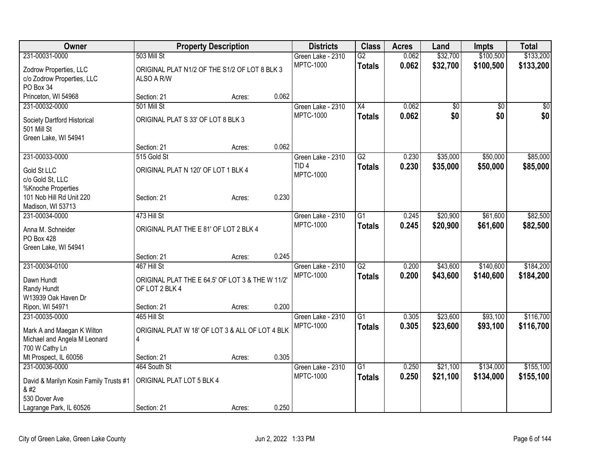| Owner                                  | <b>Property Description</b>                      |        |       | <b>Districts</b>  | <b>Class</b>    | <b>Acres</b> | Land     | <b>Impts</b>    | <b>Total</b> |
|----------------------------------------|--------------------------------------------------|--------|-------|-------------------|-----------------|--------------|----------|-----------------|--------------|
| 231-00031-0000                         | 503 Mill St                                      |        |       | Green Lake - 2310 | $\overline{G2}$ | 0.062        | \$32,700 | \$100,500       | \$133,200    |
| Zodrow Properties, LLC                 | ORIGINAL PLAT N1/2 OF THE S1/2 OF LOT 8 BLK 3    |        |       | <b>MPTC-1000</b>  | <b>Totals</b>   | 0.062        | \$32,700 | \$100,500       | \$133,200    |
| c/o Zodrow Properties, LLC             | ALSO A R/W                                       |        |       |                   |                 |              |          |                 |              |
| PO Box 34                              |                                                  |        |       |                   |                 |              |          |                 |              |
| Princeton, WI 54968                    | Section: 21                                      | Acres: | 0.062 |                   |                 |              |          |                 |              |
| 231-00032-0000                         | 501 Mill St                                      |        |       | Green Lake - 2310 | X4              | 0.062        | \$0      | $\overline{50}$ | \$0          |
| Society Dartford Historical            | ORIGINAL PLAT S 33' OF LOT 8 BLK 3               |        |       | <b>MPTC-1000</b>  | <b>Totals</b>   | 0.062        | \$0      | \$0             | \$0          |
| 501 Mill St                            |                                                  |        |       |                   |                 |              |          |                 |              |
| Green Lake, WI 54941                   |                                                  |        |       |                   |                 |              |          |                 |              |
|                                        | Section: 21                                      | Acres: | 0.062 |                   |                 |              |          |                 |              |
| 231-00033-0000                         | 515 Gold St                                      |        |       | Green Lake - 2310 | $\overline{G2}$ | 0.230        | \$35,000 | \$50,000        | \$85,000     |
| Gold St LLC                            | ORIGINAL PLAT N 120' OF LOT 1 BLK 4              |        |       | TID <sub>4</sub>  | <b>Totals</b>   | 0.230        | \$35,000 | \$50,000        | \$85,000     |
| c/o Gold St, LLC                       |                                                  |        |       | <b>MPTC-1000</b>  |                 |              |          |                 |              |
| %Knoche Properties                     |                                                  |        |       |                   |                 |              |          |                 |              |
| 101 Nob Hill Rd Unit 220               | Section: 21                                      | Acres: | 0.230 |                   |                 |              |          |                 |              |
| Madison, WI 53713                      |                                                  |        |       |                   |                 |              |          |                 |              |
| 231-00034-0000                         | 473 Hill St                                      |        |       | Green Lake - 2310 | $\overline{G1}$ | 0.245        | \$20,900 | \$61,600        | \$82,500     |
| Anna M. Schneider                      | ORIGINAL PLAT THE E 81' OF LOT 2 BLK 4           |        |       | <b>MPTC-1000</b>  | <b>Totals</b>   | 0.245        | \$20,900 | \$61,600        | \$82,500     |
| PO Box 428                             |                                                  |        |       |                   |                 |              |          |                 |              |
| Green Lake, WI 54941                   |                                                  |        |       |                   |                 |              |          |                 |              |
|                                        | Section: 21                                      | Acres: | 0.245 |                   |                 |              |          |                 |              |
| 231-00034-0100                         | 467 Hill St                                      |        |       | Green Lake - 2310 | $\overline{G2}$ | 0.200        | \$43,600 | \$140,600       | \$184,200    |
| Dawn Hundt                             | ORIGINAL PLAT THE E 64.5' OF LOT 3 & THE W 11/2' |        |       | <b>MPTC-1000</b>  | <b>Totals</b>   | 0.200        | \$43,600 | \$140,600       | \$184,200    |
| Randy Hundt                            | OF LOT 2 BLK 4                                   |        |       |                   |                 |              |          |                 |              |
| W13939 Oak Haven Dr                    |                                                  |        |       |                   |                 |              |          |                 |              |
| Ripon, WI 54971                        | Section: 21                                      | Acres: | 0.200 |                   |                 |              |          |                 |              |
| 231-00035-0000                         | 465 Hill St                                      |        |       | Green Lake - 2310 | $\overline{G1}$ | 0.305        | \$23,600 | \$93,100        | \$116,700    |
| Mark A and Maegan K Wilton             | ORIGINAL PLAT W 18' OF LOT 3 & ALL OF LOT 4 BLK  |        |       | <b>MPTC-1000</b>  | <b>Totals</b>   | 0.305        | \$23,600 | \$93,100        | \$116,700    |
| Michael and Angela M Leonard           | 4                                                |        |       |                   |                 |              |          |                 |              |
| 700 W Cathy Ln                         |                                                  |        |       |                   |                 |              |          |                 |              |
| Mt Prospect, IL 60056                  | Section: 21                                      | Acres: | 0.305 |                   |                 |              |          |                 |              |
| 231-00036-0000                         | 464 South St                                     |        |       | Green Lake - 2310 | $\overline{G1}$ | 0.250        | \$21,100 | \$134,000       | \$155,100    |
| David & Marilyn Kosin Family Trusts #1 | ORIGINAL PLAT LOT 5 BLK 4                        |        |       | <b>MPTC-1000</b>  | <b>Totals</b>   | 0.250        | \$21,100 | \$134,000       | \$155,100    |
|                                       |                                                  |        |       |                   |                 |              |          |                 |              |
| 530 Dover Ave                          |                                                  |        |       |                   |                 |              |          |                 |              |
| Lagrange Park, IL 60526                | Section: 21                                      | Acres: | 0.250 |                   |                 |              |          |                 |              |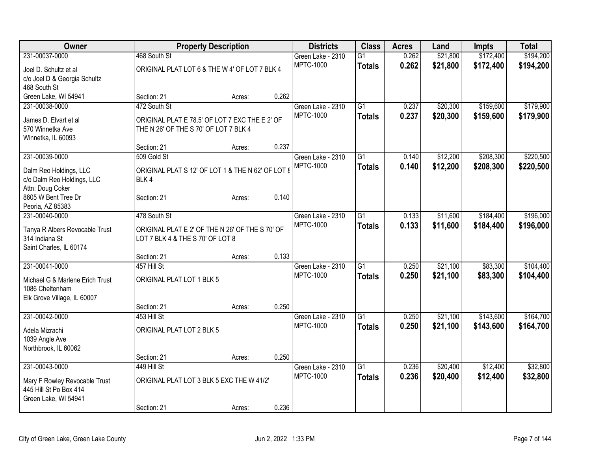| Owner                              |                                                   | <b>Property Description</b> |       | <b>Districts</b>  | <b>Class</b>    | <b>Acres</b> | Land     | <b>Impts</b> | <b>Total</b> |
|------------------------------------|---------------------------------------------------|-----------------------------|-------|-------------------|-----------------|--------------|----------|--------------|--------------|
| 231-00037-0000                     | 468 South St                                      |                             |       | Green Lake - 2310 | $\overline{G1}$ | 0.262        | \$21,800 | \$172,400    | \$194,200    |
| Joel D. Schultz et al              | ORIGINAL PLAT LOT 6 & THE W 4' OF LOT 7 BLK 4     |                             |       | <b>MPTC-1000</b>  | <b>Totals</b>   | 0.262        | \$21,800 | \$172,400    | \$194,200    |
| c/o Joel D & Georgia Schultz       |                                                   |                             |       |                   |                 |              |          |              |              |
| 468 South St                       |                                                   |                             |       |                   |                 |              |          |              |              |
| Green Lake, WI 54941               | Section: 21                                       | Acres:                      | 0.262 |                   |                 |              |          |              |              |
| 231-00038-0000                     | 472 South St                                      |                             |       | Green Lake - 2310 | G1              | 0.237        | \$20,300 | \$159,600    | \$179,900    |
| James D. Elvart et al              | ORIGINAL PLAT E 78.5' OF LOT 7 EXC THE E 2' OF    |                             |       | <b>MPTC-1000</b>  | <b>Totals</b>   | 0.237        | \$20,300 | \$159,600    | \$179,900    |
| 570 Winnetka Ave                   | THE N 26' OF THE S 70' OF LOT 7 BLK 4             |                             |       |                   |                 |              |          |              |              |
| Winnetka, IL 60093                 |                                                   |                             |       |                   |                 |              |          |              |              |
|                                    | Section: 21                                       | Acres:                      | 0.237 |                   |                 |              |          |              |              |
| 231-00039-0000                     | 509 Gold St                                       |                             |       | Green Lake - 2310 | $\overline{G1}$ | 0.140        | \$12,200 | \$208,300    | \$220,500    |
|                                    |                                                   |                             |       | <b>MPTC-1000</b>  | <b>Totals</b>   | 0.140        | \$12,200 | \$208,300    | \$220,500    |
| Dalm Reo Holdings, LLC             | ORIGINAL PLAT S 12' OF LOT 1 & THE N 62' OF LOT 8 |                             |       |                   |                 |              |          |              |              |
| c/o Dalm Reo Holdings, LLC         | BLK4                                              |                             |       |                   |                 |              |          |              |              |
| Attn: Doug Coker                   |                                                   |                             | 0.140 |                   |                 |              |          |              |              |
| 8605 W Bent Tree Dr                | Section: 21                                       | Acres:                      |       |                   |                 |              |          |              |              |
| Peoria, AZ 85383<br>231-00040-0000 | 478 South St                                      |                             |       | Green Lake - 2310 | $\overline{G1}$ | 0.133        | \$11,600 | \$184,400    | \$196,000    |
|                                    |                                                   |                             |       | <b>MPTC-1000</b>  |                 | 0.133        | \$11,600 | \$184,400    |              |
| Tanya R Albers Revocable Trust     | ORIGINAL PLAT E 2' OF THE N 26' OF THE S 70' OF   |                             |       |                   | <b>Totals</b>   |              |          |              | \$196,000    |
| 314 Indiana St                     | LOT 7 BLK 4 & THE S 70' OF LOT 8                  |                             |       |                   |                 |              |          |              |              |
| Saint Charles, IL 60174            |                                                   |                             |       |                   |                 |              |          |              |              |
|                                    | Section: 21                                       | Acres:                      | 0.133 |                   |                 |              |          |              |              |
| 231-00041-0000                     | 457 Hill St                                       |                             |       | Green Lake - 2310 | $\overline{G1}$ | 0.250        | \$21,100 | \$83,300     | \$104,400    |
| Michael G & Marlene Erich Trust    | ORIGINAL PLAT LOT 1 BLK 5                         |                             |       | <b>MPTC-1000</b>  | <b>Totals</b>   | 0.250        | \$21,100 | \$83,300     | \$104,400    |
| 1086 Cheltenham                    |                                                   |                             |       |                   |                 |              |          |              |              |
| Elk Grove Village, IL 60007        |                                                   |                             |       |                   |                 |              |          |              |              |
|                                    | Section: 21                                       | Acres:                      | 0.250 |                   |                 |              |          |              |              |
| 231-00042-0000                     | 453 Hill St                                       |                             |       | Green Lake - 2310 | $\overline{G1}$ | 0.250        | \$21,100 | \$143,600    | \$164,700    |
| Adela Mizrachi                     | ORIGINAL PLAT LOT 2 BLK 5                         |                             |       | <b>MPTC-1000</b>  | <b>Totals</b>   | 0.250        | \$21,100 | \$143,600    | \$164,700    |
| 1039 Angle Ave                     |                                                   |                             |       |                   |                 |              |          |              |              |
| Northbrook, IL 60062               |                                                   |                             |       |                   |                 |              |          |              |              |
|                                    | Section: 21                                       | Acres:                      | 0.250 |                   |                 |              |          |              |              |
| 231-00043-0000                     | 449 Hill St                                       |                             |       | Green Lake - 2310 | $\overline{G1}$ | 0.236        | \$20,400 | \$12,400     | \$32,800     |
|                                    |                                                   |                             |       | <b>MPTC-1000</b>  | <b>Totals</b>   | 0.236        | \$20,400 | \$12,400     | \$32,800     |
| Mary F Rowley Revocable Trust      | ORIGINAL PLAT LOT 3 BLK 5 EXC THE W 41/2'         |                             |       |                   |                 |              |          |              |              |
| 445 Hill St Po Box 414             |                                                   |                             |       |                   |                 |              |          |              |              |
| Green Lake, WI 54941               | Section: 21                                       |                             | 0.236 |                   |                 |              |          |              |              |
|                                    |                                                   | Acres:                      |       |                   |                 |              |          |              |              |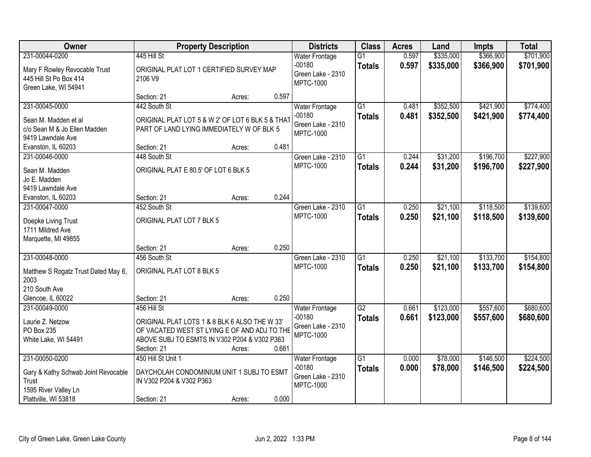| Owner                                                                                                          |                                                                                                                                                                             | <b>Property Description</b> |       | <b>Districts</b>                                                           | <b>Class</b>                     | <b>Acres</b>   | Land                   | Impts                  | <b>Total</b>           |
|----------------------------------------------------------------------------------------------------------------|-----------------------------------------------------------------------------------------------------------------------------------------------------------------------------|-----------------------------|-------|----------------------------------------------------------------------------|----------------------------------|----------------|------------------------|------------------------|------------------------|
| 231-00044-0200<br>Mary F Rowley Revocable Trust<br>445 Hill St Po Box 414<br>Green Lake, WI 54941              | 445 Hill St<br>ORIGINAL PLAT LOT 1 CERTIFIED SURVEY MAP<br>2106 V9                                                                                                          |                             |       | <b>Water Frontage</b><br>$-00180$<br>Green Lake - 2310<br><b>MPTC-1000</b> | $\overline{G1}$<br><b>Totals</b> | 0.597<br>0.597 | \$335,000<br>\$335,000 | \$366,900<br>\$366,900 | \$701,900<br>\$701,900 |
|                                                                                                                | Section: 21                                                                                                                                                                 | Acres:                      | 0.597 |                                                                            |                                  |                |                        |                        |                        |
| 231-00045-0000<br>Sean M. Madden et al<br>c/o Sean M & Jo Ellen Madden<br>9419 Lawndale Ave                    | 442 South St<br>ORIGINAL PLAT LOT 5 & W 2' OF LOT 6 BLK 5 & THAT<br>PART OF LAND LYING IMMEDIATELY W OF BLK 5                                                               |                             |       | <b>Water Frontage</b><br>$-00180$<br>Green Lake - 2310<br><b>MPTC-1000</b> | $\overline{G1}$<br><b>Totals</b> | 0.481<br>0.481 | \$352,500<br>\$352,500 | \$421,900<br>\$421,900 | \$774,400<br>\$774,400 |
| Evanston, IL 60203                                                                                             | Section: 21                                                                                                                                                                 | Acres:                      | 0.481 |                                                                            |                                  |                |                        |                        |                        |
| 231-00046-0000<br>Sean M. Madden<br>Jo E. Madden<br>9419 Lawndale Ave                                          | 448 South St<br>ORIGINAL PLAT E 80.5' OF LOT 6 BLK 5                                                                                                                        |                             |       | Green Lake - 2310<br><b>MPTC-1000</b>                                      | $\overline{G1}$<br><b>Totals</b> | 0.244<br>0.244 | \$31,200<br>\$31,200   | \$196,700<br>\$196,700 | \$227,900<br>\$227,900 |
| Evanston, IL 60203                                                                                             | Section: 21                                                                                                                                                                 | Acres:                      | 0.244 |                                                                            |                                  |                |                        |                        |                        |
| 231-00047-0000<br>Doepke Living Trust<br>1711 Mildred Ave<br>Marquette, MI 49855                               | 452 South St<br>ORIGINAL PLAT LOT 7 BLK 5                                                                                                                                   |                             |       | Green Lake - 2310<br><b>MPTC-1000</b>                                      | G1<br><b>Totals</b>              | 0.250<br>0.250 | \$21,100<br>\$21,100   | \$118,500<br>\$118,500 | \$139,600<br>\$139,600 |
|                                                                                                                | Section: 21                                                                                                                                                                 | Acres:                      | 0.250 |                                                                            |                                  |                |                        |                        |                        |
| 231-00048-0000<br>Matthew S Rogatz Trust Dated May 6,<br>2003<br>210 South Ave<br>Glencoe, IL 60022            | 456 South St<br>ORIGINAL PLAT LOT 8 BLK 5<br>Section: 21                                                                                                                    | Acres:                      | 0.250 | Green Lake - 2310<br><b>MPTC-1000</b>                                      | $\overline{G1}$<br><b>Totals</b> | 0.250<br>0.250 | \$21,100<br>\$21,100   | \$133,700<br>\$133,700 | \$154,800<br>\$154,800 |
| 231-00049-0000<br>Laurie Z. Netzow<br>PO Box 235<br>White Lake, WI 54491                                       | 456 Hill St<br>ORIGINAL PLAT LOTS 1 & 8 BLK 6 ALSO THE W 33'<br>OF VACATED WEST ST LYING E OF AND ADJ TO THE<br>ABOVE SUBJ TO ESMTS IN V302 P204 & V302 P363<br>Section: 21 | Acres:                      | 0.661 | <b>Water Frontage</b><br>$-00180$<br>Green Lake - 2310<br><b>MPTC-1000</b> | $\overline{G2}$<br><b>Totals</b> | 0.661<br>0.661 | \$123,000<br>\$123,000 | \$557,600<br>\$557,600 | \$680,600<br>\$680,600 |
| 231-00050-0200<br>Gary & Kathy Schwab Joint Revocable<br>Trust<br>1595 River Valley Ln<br>Plattville, WI 53818 | 450 Hill St Unit 1<br>DAYCHOLAH CONDOMINIUM UNIT 1 SUBJ TO ESMT<br>IN V302 P204 & V302 P363<br>Section: 21                                                                  | Acres:                      | 0.000 | <b>Water Frontage</b><br>$-00180$<br>Green Lake - 2310<br><b>MPTC-1000</b> | $\overline{G1}$<br><b>Totals</b> | 0.000<br>0.000 | \$78,000<br>\$78,000   | \$146,500<br>\$146,500 | \$224,500<br>\$224,500 |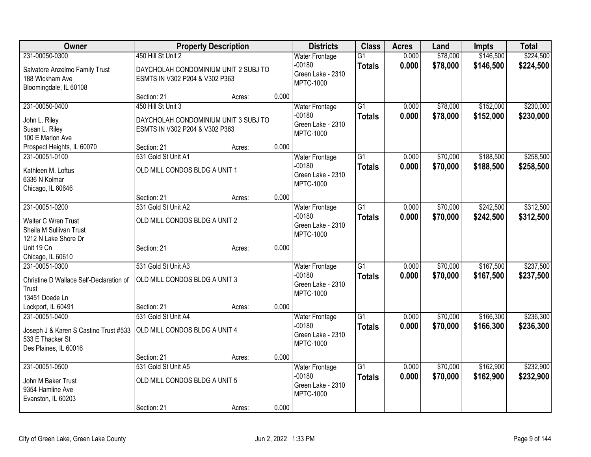| Owner                                   | <b>Property Description</b>          |        |       | <b>Districts</b>                      | <b>Class</b>    | <b>Acres</b>   | Land                 | Impts     | <b>Total</b> |
|-----------------------------------------|--------------------------------------|--------|-------|---------------------------------------|-----------------|----------------|----------------------|-----------|--------------|
| 231-00050-0300                          | 450 Hill St Unit 2                   |        |       | <b>Water Frontage</b>                 | $\overline{G1}$ | 0.000          | \$78,000             | \$146,500 | \$224,500    |
| Salvatore Anzelmo Family Trust          | DAYCHOLAH CONDOMINIUM UNIT 2 SUBJ TO |        |       | $-00180$                              | <b>Totals</b>   | 0.000          | \$78,000             | \$146,500 | \$224,500    |
| 188 Wickham Ave                         | ESMTS IN V302 P204 & V302 P363       |        |       | Green Lake - 2310<br><b>MPTC-1000</b> |                 |                |                      |           |              |
| Bloomingdale, IL 60108                  |                                      |        |       |                                       |                 |                |                      |           |              |
|                                         | Section: 21                          | Acres: | 0.000 |                                       |                 |                |                      |           |              |
| 231-00050-0400                          | 450 Hill St Unit 3                   |        |       | <b>Water Frontage</b>                 | $\overline{G1}$ | 0.000          | \$78,000             | \$152,000 | \$230,000    |
| John L. Riley                           | DAYCHOLAH CONDOMINIUM UNIT 3 SUBJ TO |        |       | $-00180$                              | <b>Totals</b>   | 0.000          | \$78,000             | \$152,000 | \$230,000    |
| Susan L. Riley                          | ESMTS IN V302 P204 & V302 P363       |        |       | Green Lake - 2310<br><b>MPTC-1000</b> |                 |                |                      |           |              |
| 100 E Marion Ave                        |                                      |        |       |                                       |                 |                |                      |           |              |
| Prospect Heights, IL 60070              | Section: 21                          | Acres: | 0.000 |                                       |                 |                |                      |           |              |
| 231-00051-0100                          | 531 Gold St Unit A1                  |        |       | <b>Water Frontage</b>                 | $\overline{G1}$ | 0.000          | \$70,000             | \$188,500 | \$258,500    |
| Kathleen M. Loftus                      | OLD MILL CONDOS BLDG A UNIT 1        |        |       | $-00180$<br>Green Lake - 2310         | <b>Totals</b>   | 0.000          | \$70,000             | \$188,500 | \$258,500    |
| 6336 N Kolmar                           |                                      |        |       | <b>MPTC-1000</b>                      |                 |                |                      |           |              |
| Chicago, IL 60646                       |                                      |        |       |                                       |                 |                |                      |           |              |
|                                         | Section: 21                          | Acres: | 0.000 |                                       |                 |                |                      |           |              |
| 231-00051-0200                          | 531 Gold St Unit A2                  |        |       | <b>Water Frontage</b>                 | $\overline{G1}$ | 0.000          | \$70,000             | \$242,500 | \$312,500    |
| Walter C Wren Trust                     | OLD MILL CONDOS BLDG A UNIT 2        |        |       | $-00180$<br>Green Lake - 2310         | <b>Totals</b>   | 0.000          | \$70,000             | \$242,500 | \$312,500    |
| Sheila M Sullivan Trust                 |                                      |        |       | <b>MPTC-1000</b>                      |                 |                |                      |           |              |
| 1212 N Lake Shore Dr                    |                                      |        |       |                                       |                 |                |                      |           |              |
| Unit 19 Cn                              | Section: 21                          | Acres: | 0.000 |                                       |                 |                |                      |           |              |
| Chicago, IL 60610                       | 531 Gold St Unit A3                  |        |       |                                       | $\overline{G1}$ |                |                      | \$167,500 | \$237,500    |
| 231-00051-0300                          |                                      |        |       | <b>Water Frontage</b><br>$-00180$     |                 | 0.000<br>0.000 | \$70,000<br>\$70,000 |           |              |
| Christine D Wallace Self-Declaration of | OLD MILL CONDOS BLDG A UNIT 3        |        |       | Green Lake - 2310                     | <b>Totals</b>   |                |                      | \$167,500 | \$237,500    |
| Trust                                   |                                      |        |       | <b>MPTC-1000</b>                      |                 |                |                      |           |              |
| 13451 Doede Ln                          |                                      |        |       |                                       |                 |                |                      |           |              |
| Lockport, IL 60491<br>231-00051-0400    | Section: 21<br>531 Gold St Unit A4   | Acres: | 0.000 |                                       | $\overline{G1}$ | 0.000          | \$70,000             | \$166,300 | \$236,300    |
|                                         |                                      |        |       | <b>Water Frontage</b><br>-00180       | <b>Totals</b>   | 0.000          | \$70,000             | \$166,300 | \$236,300    |
| Joseph J & Karen S Castino Trust #533   | OLD MILL CONDOS BLDG A UNIT 4        |        |       | Green Lake - 2310                     |                 |                |                      |           |              |
| 533 E Thacker St                        |                                      |        |       | <b>MPTC-1000</b>                      |                 |                |                      |           |              |
| Des Plaines, IL 60016                   |                                      |        |       |                                       |                 |                |                      |           |              |
| 231-00051-0500                          | Section: 21<br>531 Gold St Unit A5   | Acres: | 0.000 | <b>Water Frontage</b>                 | $\overline{G1}$ | 0.000          | \$70,000             | \$162,900 | \$232,900    |
|                                         |                                      |        |       | $-00180$                              | <b>Totals</b>   | 0.000          | \$70,000             | \$162,900 | \$232,900    |
| John M Baker Trust                      | OLD MILL CONDOS BLDG A UNIT 5        |        |       | Green Lake - 2310                     |                 |                |                      |           |              |
| 9354 Hamline Ave                        |                                      |        |       | <b>MPTC-1000</b>                      |                 |                |                      |           |              |
| Evanston, IL 60203                      | Section: 21                          |        | 0.000 |                                       |                 |                |                      |           |              |
|                                         |                                      | Acres: |       |                                       |                 |                |                      |           |              |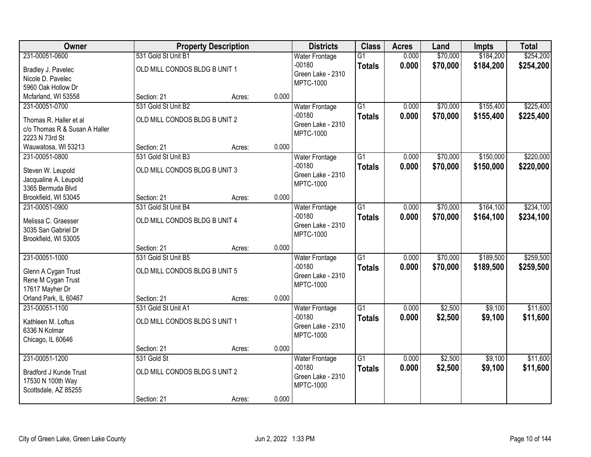| <b>Owner</b>                  |                               | <b>Property Description</b> |       | <b>Districts</b>      | <b>Class</b>    | <b>Acres</b> | Land     | <b>Impts</b> | <b>Total</b> |
|-------------------------------|-------------------------------|-----------------------------|-------|-----------------------|-----------------|--------------|----------|--------------|--------------|
| 231-00051-0600                | 531 Gold St Unit B1           |                             |       | <b>Water Frontage</b> | $\overline{G1}$ | 0.000        | \$70,000 | \$184,200    | \$254,200    |
| Bradley J. Pavelec            | OLD MILL CONDOS BLDG B UNIT 1 |                             |       | $-00180$              | <b>Totals</b>   | 0.000        | \$70,000 | \$184,200    | \$254,200    |
| Nicole D. Pavelec             |                               |                             |       | Green Lake - 2310     |                 |              |          |              |              |
| 5960 Oak Hollow Dr            |                               |                             |       | <b>MPTC-1000</b>      |                 |              |          |              |              |
| Mcfarland, WI 53558           | Section: 21                   | Acres:                      | 0.000 |                       |                 |              |          |              |              |
| 231-00051-0700                | 531 Gold St Unit B2           |                             |       | <b>Water Frontage</b> | $\overline{G1}$ | 0.000        | \$70,000 | \$155,400    | \$225,400    |
| Thomas R. Haller et al        | OLD MILL CONDOS BLDG B UNIT 2 |                             |       | $-00180$              | <b>Totals</b>   | 0.000        | \$70,000 | \$155,400    | \$225,400    |
| c/o Thomas R & Susan A Haller |                               |                             |       | Green Lake - 2310     |                 |              |          |              |              |
| 2223 N 73rd St                |                               |                             |       | <b>MPTC-1000</b>      |                 |              |          |              |              |
| Wauwatosa, WI 53213           | Section: 21                   | Acres:                      | 0.000 |                       |                 |              |          |              |              |
| 231-00051-0800                | 531 Gold St Unit B3           |                             |       | <b>Water Frontage</b> | $\overline{G1}$ | 0.000        | \$70,000 | \$150,000    | \$220,000    |
| Steven W. Leupold             | OLD MILL CONDOS BLDG B UNIT 3 |                             |       | $-00180$              | <b>Totals</b>   | 0.000        | \$70,000 | \$150,000    | \$220,000    |
| Jacqualine A. Leupold         |                               |                             |       | Green Lake - 2310     |                 |              |          |              |              |
| 3365 Bermuda Blvd             |                               |                             |       | <b>MPTC-1000</b>      |                 |              |          |              |              |
| Brookfield, WI 53045          | Section: 21                   | Acres:                      | 0.000 |                       |                 |              |          |              |              |
| 231-00051-0900                | 531 Gold St Unit B4           |                             |       | <b>Water Frontage</b> | $\overline{G1}$ | 0.000        | \$70,000 | \$164,100    | \$234,100    |
| Melissa C. Graesser           | OLD MILL CONDOS BLDG B UNIT 4 |                             |       | $-00180$              | <b>Totals</b>   | 0.000        | \$70,000 | \$164,100    | \$234,100    |
| 3035 San Gabriel Dr           |                               |                             |       | Green Lake - 2310     |                 |              |          |              |              |
| Brookfield, WI 53005          |                               |                             |       | <b>MPTC-1000</b>      |                 |              |          |              |              |
|                               | Section: 21                   | Acres:                      | 0.000 |                       |                 |              |          |              |              |
| 231-00051-1000                | 531 Gold St Unit B5           |                             |       | <b>Water Frontage</b> | $\overline{G1}$ | 0.000        | \$70,000 | \$189,500    | \$259,500    |
| Glenn A Cygan Trust           | OLD MILL CONDOS BLDG B UNIT 5 |                             |       | $-00180$              | <b>Totals</b>   | 0.000        | \$70,000 | \$189,500    | \$259,500    |
| Rene M Cygan Trust            |                               |                             |       | Green Lake - 2310     |                 |              |          |              |              |
| 17617 Mayher Dr               |                               |                             |       | <b>MPTC-1000</b>      |                 |              |          |              |              |
| Orland Park, IL 60467         | Section: 21                   | Acres:                      | 0.000 |                       |                 |              |          |              |              |
| 231-00051-1100                | 531 Gold St Unit A1           |                             |       | <b>Water Frontage</b> | $\overline{G1}$ | 0.000        | \$2,500  | \$9,100      | \$11,600     |
| Kathleen M. Loftus            | OLD MILL CONDOS BLDG S UNIT 1 |                             |       | $-00180$              | <b>Totals</b>   | 0.000        | \$2,500  | \$9,100      | \$11,600     |
| 6336 N Kolmar                 |                               |                             |       | Green Lake - 2310     |                 |              |          |              |              |
| Chicago, IL 60646             |                               |                             |       | <b>MPTC-1000</b>      |                 |              |          |              |              |
|                               | Section: 21                   | Acres:                      | 0.000 |                       |                 |              |          |              |              |
| 231-00051-1200                | 531 Gold St                   |                             |       | <b>Water Frontage</b> | $\overline{G1}$ | 0.000        | \$2,500  | \$9,100      | \$11,600     |
| <b>Bradford J Kunde Trust</b> | OLD MILL CONDOS BLDG S UNIT 2 |                             |       | $-00180$              | <b>Totals</b>   | 0.000        | \$2,500  | \$9,100      | \$11,600     |
| 17530 N 100th Way             |                               |                             |       | Green Lake - 2310     |                 |              |          |              |              |
| Scottsdale, AZ 85255          |                               |                             |       | <b>MPTC-1000</b>      |                 |              |          |              |              |
|                               | Section: 21                   | Acres:                      | 0.000 |                       |                 |              |          |              |              |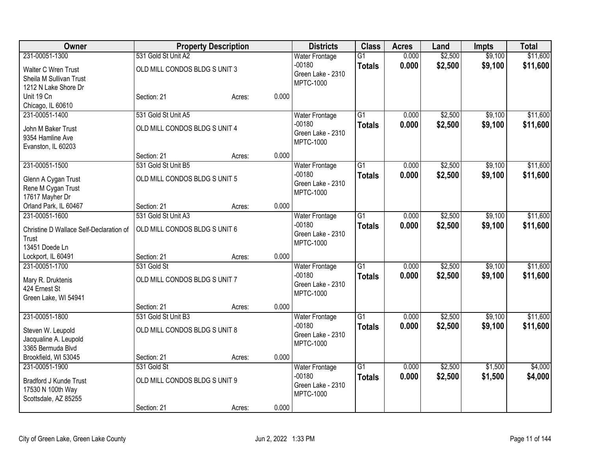| Owner                                   |                               | <b>Property Description</b> |       | <b>Districts</b>                      | <b>Class</b>    | <b>Acres</b> | Land    | <b>Impts</b> | <b>Total</b> |
|-----------------------------------------|-------------------------------|-----------------------------|-------|---------------------------------------|-----------------|--------------|---------|--------------|--------------|
| 231-00051-1300                          | 531 Gold St Unit A2           |                             |       | <b>Water Frontage</b>                 | $\overline{G1}$ | 0.000        | \$2,500 | \$9,100      | \$11,600     |
| Walter C Wren Trust                     | OLD MILL CONDOS BLDG S UNIT 3 |                             |       | $-00180$                              | <b>Totals</b>   | 0.000        | \$2,500 | \$9,100      | \$11,600     |
| Sheila M Sullivan Trust                 |                               |                             |       | Green Lake - 2310<br><b>MPTC-1000</b> |                 |              |         |              |              |
| 1212 N Lake Shore Dr                    |                               |                             |       |                                       |                 |              |         |              |              |
| Unit 19 Cn                              | Section: 21                   | Acres:                      | 0.000 |                                       |                 |              |         |              |              |
| Chicago, IL 60610                       |                               |                             |       |                                       |                 |              |         |              |              |
| 231-00051-1400                          | 531 Gold St Unit A5           |                             |       | <b>Water Frontage</b>                 | $\overline{G1}$ | 0.000        | \$2,500 | \$9,100      | \$11,600     |
| John M Baker Trust                      | OLD MILL CONDOS BLDG S UNIT 4 |                             |       | $-00180$                              | <b>Totals</b>   | 0.000        | \$2,500 | \$9,100      | \$11,600     |
| 9354 Hamline Ave                        |                               |                             |       | Green Lake - 2310                     |                 |              |         |              |              |
| Evanston, IL 60203                      |                               |                             |       | <b>MPTC-1000</b>                      |                 |              |         |              |              |
|                                         | Section: 21                   | Acres:                      | 0.000 |                                       |                 |              |         |              |              |
| 231-00051-1500                          | 531 Gold St Unit B5           |                             |       | <b>Water Frontage</b>                 | $\overline{G1}$ | 0.000        | \$2,500 | \$9,100      | \$11,600     |
| Glenn A Cygan Trust                     | OLD MILL CONDOS BLDG S UNIT 5 |                             |       | $-00180$                              | <b>Totals</b>   | 0.000        | \$2,500 | \$9,100      | \$11,600     |
| Rene M Cygan Trust                      |                               |                             |       | Green Lake - 2310                     |                 |              |         |              |              |
| 17617 Mayher Dr                         |                               |                             |       | <b>MPTC-1000</b>                      |                 |              |         |              |              |
| Orland Park, IL 60467                   | Section: 21                   | Acres:                      | 0.000 |                                       |                 |              |         |              |              |
| 231-00051-1600                          | 531 Gold St Unit A3           |                             |       | <b>Water Frontage</b>                 | $\overline{G1}$ | 0.000        | \$2,500 | \$9,100      | \$11,600     |
|                                         |                               |                             |       | $-00180$                              | <b>Totals</b>   | 0.000        | \$2,500 | \$9,100      | \$11,600     |
| Christine D Wallace Self-Declaration of | OLD MILL CONDOS BLDG S UNIT 6 |                             |       | Green Lake - 2310                     |                 |              |         |              |              |
| Trust                                   |                               |                             |       | <b>MPTC-1000</b>                      |                 |              |         |              |              |
| 13451 Doede Ln                          | Section: 21                   |                             | 0.000 |                                       |                 |              |         |              |              |
| Lockport, IL 60491<br>231-00051-1700    | 531 Gold St                   | Acres:                      |       |                                       | $\overline{G1}$ | 0.000        | \$2,500 | \$9,100      | \$11,600     |
|                                         |                               |                             |       | <b>Water Frontage</b><br>$-00180$     |                 | 0.000        |         |              |              |
| Mary R. Druktenis                       | OLD MILL CONDOS BLDG S UNIT 7 |                             |       | Green Lake - 2310                     | <b>Totals</b>   |              | \$2,500 | \$9,100      | \$11,600     |
| 424 Ernest St                           |                               |                             |       | <b>MPTC-1000</b>                      |                 |              |         |              |              |
| Green Lake, WI 54941                    |                               |                             |       |                                       |                 |              |         |              |              |
|                                         | Section: 21                   | Acres:                      | 0.000 |                                       |                 |              |         |              |              |
| 231-00051-1800                          | 531 Gold St Unit B3           |                             |       | <b>Water Frontage</b>                 | $\overline{G1}$ | 0.000        | \$2,500 | \$9,100      | \$11,600     |
| Steven W. Leupold                       | OLD MILL CONDOS BLDG S UNIT 8 |                             |       | -00180                                | <b>Totals</b>   | 0.000        | \$2,500 | \$9,100      | \$11,600     |
| Jacqualine A. Leupold                   |                               |                             |       | Green Lake - 2310                     |                 |              |         |              |              |
| 3365 Bermuda Blvd                       |                               |                             |       | MPTC-1000                             |                 |              |         |              |              |
| Brookfield, WI 53045                    | Section: 21                   | Acres:                      | 0.000 |                                       |                 |              |         |              |              |
| 231-00051-1900                          | 531 Gold St                   |                             |       | <b>Water Frontage</b>                 | $\overline{G1}$ | 0.000        | \$2,500 | \$1,500      | \$4,000      |
| <b>Bradford J Kunde Trust</b>           | OLD MILL CONDOS BLDG S UNIT 9 |                             |       | $-00180$                              | <b>Totals</b>   | 0.000        | \$2,500 | \$1,500      | \$4,000      |
| 17530 N 100th Way                       |                               |                             |       | Green Lake - 2310                     |                 |              |         |              |              |
| Scottsdale, AZ 85255                    |                               |                             |       | <b>MPTC-1000</b>                      |                 |              |         |              |              |
|                                         | Section: 21                   | Acres:                      | 0.000 |                                       |                 |              |         |              |              |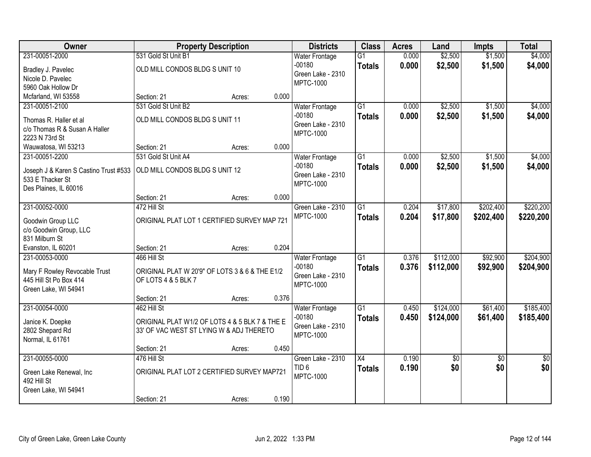| Owner                                           |                                                | <b>Property Description</b> |       | <b>Districts</b>                  | <b>Class</b>    | <b>Acres</b> | Land      | <b>Impts</b>    | <b>Total</b>    |
|-------------------------------------------------|------------------------------------------------|-----------------------------|-------|-----------------------------------|-----------------|--------------|-----------|-----------------|-----------------|
| 231-00051-2000                                  | 531 Gold St Unit B1                            |                             |       | <b>Water Frontage</b>             | $\overline{G1}$ | 0.000        | \$2,500   | \$1,500         | \$4,000         |
| Bradley J. Pavelec                              | OLD MILL CONDOS BLDG S UNIT 10                 |                             |       | $-00180$                          | <b>Totals</b>   | 0.000        | \$2,500   | \$1,500         | \$4,000         |
| Nicole D. Pavelec                               |                                                |                             |       | Green Lake - 2310                 |                 |              |           |                 |                 |
| 5960 Oak Hollow Dr                              |                                                |                             |       | <b>MPTC-1000</b>                  |                 |              |           |                 |                 |
| Mcfarland, WI 53558                             | Section: 21                                    | Acres:                      | 0.000 |                                   |                 |              |           |                 |                 |
| 231-00051-2100                                  | 531 Gold St Unit B2                            |                             |       | <b>Water Frontage</b>             | $\overline{G1}$ | 0.000        | \$2,500   | \$1,500         | \$4,000         |
|                                                 |                                                |                             |       | $-00180$                          | <b>Totals</b>   | 0.000        | \$2,500   | \$1,500         | \$4,000         |
| Thomas R. Haller et al                          | OLD MILL CONDOS BLDG S UNIT 11                 |                             |       | Green Lake - 2310                 |                 |              |           |                 |                 |
| c/o Thomas R & Susan A Haller<br>2223 N 73rd St |                                                |                             |       | <b>MPTC-1000</b>                  |                 |              |           |                 |                 |
|                                                 | Section: 21                                    |                             | 0.000 |                                   |                 |              |           |                 |                 |
| Wauwatosa, WI 53213<br>231-00051-2200           | 531 Gold St Unit A4                            | Acres:                      |       |                                   | G1              | 0.000        | \$2,500   | \$1,500         | \$4,000         |
|                                                 |                                                |                             |       | <b>Water Frontage</b><br>$-00180$ |                 |              |           |                 |                 |
| Joseph J & Karen S Castino Trust #533           | OLD MILL CONDOS BLDG S UNIT 12                 |                             |       | Green Lake - 2310                 | <b>Totals</b>   | 0.000        | \$2,500   | \$1,500         | \$4,000         |
| 533 E Thacker St                                |                                                |                             |       | <b>MPTC-1000</b>                  |                 |              |           |                 |                 |
| Des Plaines, IL 60016                           |                                                |                             |       |                                   |                 |              |           |                 |                 |
|                                                 | Section: 21                                    | Acres:                      | 0.000 |                                   |                 |              |           |                 |                 |
| 231-00052-0000                                  | 472 Hill St                                    |                             |       | Green Lake - 2310                 | G1              | 0.204        | \$17,800  | \$202,400       | \$220,200       |
| Goodwin Group LLC                               | ORIGINAL PLAT LOT 1 CERTIFIED SURVEY MAP 721   |                             |       | <b>MPTC-1000</b>                  | <b>Totals</b>   | 0.204        | \$17,800  | \$202,400       | \$220,200       |
| c/o Goodwin Group, LLC                          |                                                |                             |       |                                   |                 |              |           |                 |                 |
| 831 Milburn St                                  |                                                |                             |       |                                   |                 |              |           |                 |                 |
| Evanston, IL 60201                              | Section: 21                                    | Acres:                      | 0.204 |                                   |                 |              |           |                 |                 |
| 231-00053-0000                                  | 466 Hill St                                    |                             |       | Water Frontage                    | $\overline{G1}$ | 0.376        | \$112,000 | \$92,900        | \$204,900       |
|                                                 |                                                |                             |       | $-00180$                          | <b>Totals</b>   | 0.376        | \$112,000 | \$92,900        | \$204,900       |
| Mary F Rowley Revocable Trust                   | ORIGINAL PLAT W 20'9" OF LOTS 3 & 6 & THE E1/2 |                             |       | Green Lake - 2310                 |                 |              |           |                 |                 |
| 445 Hill St Po Box 414                          | OF LOTS 4 & 5 BLK 7                            |                             |       | <b>MPTC-1000</b>                  |                 |              |           |                 |                 |
| Green Lake, WI 54941                            |                                                |                             |       |                                   |                 |              |           |                 |                 |
|                                                 | Section: 21                                    | Acres:                      | 0.376 |                                   |                 |              |           |                 |                 |
| 231-00054-0000                                  | 462 Hill St                                    |                             |       | <b>Water Frontage</b>             | $\overline{G1}$ | 0.450        | \$124,000 | \$61,400        | \$185,400       |
| Janice K. Doepke                                | ORIGINAL PLAT W1/2 OF LOTS 4 & 5 BLK 7 & THE E |                             |       | $-00180$                          | <b>Totals</b>   | 0.450        | \$124,000 | \$61,400        | \$185,400       |
| 2802 Shepard Rd                                 | 33' OF VAC WEST ST LYING W & ADJ THERETO       |                             |       | Green Lake - 2310                 |                 |              |           |                 |                 |
| Normal, IL 61761                                |                                                |                             |       | <b>MPTC-1000</b>                  |                 |              |           |                 |                 |
|                                                 | Section: 21                                    | Acres:                      | 0.450 |                                   |                 |              |           |                 |                 |
| 231-00055-0000                                  | 476 Hill St                                    |                             |       | Green Lake - 2310                 | $\overline{X4}$ | 0.190        | \$0       | $\overline{50}$ | $\overline{50}$ |
|                                                 |                                                |                             |       | TID <sub>6</sub>                  | <b>Totals</b>   | 0.190        | \$0       | \$0             | \$0             |
| Green Lake Renewal, Inc                         | ORIGINAL PLAT LOT 2 CERTIFIED SURVEY MAP721    |                             |       | <b>MPTC-1000</b>                  |                 |              |           |                 |                 |
| 492 Hill St                                     |                                                |                             |       |                                   |                 |              |           |                 |                 |
| Green Lake, WI 54941                            |                                                |                             |       |                                   |                 |              |           |                 |                 |
|                                                 | Section: 21                                    | Acres:                      | 0.190 |                                   |                 |              |           |                 |                 |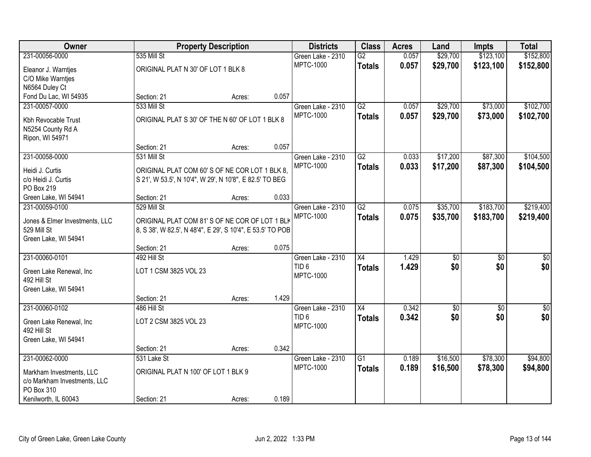| Owner                          |                                                            | <b>Property Description</b> |       | <b>Districts</b>  | <b>Class</b>    | <b>Acres</b> | Land            | <b>Impts</b>    | <b>Total</b>    |
|--------------------------------|------------------------------------------------------------|-----------------------------|-------|-------------------|-----------------|--------------|-----------------|-----------------|-----------------|
| 231-00056-0000                 | 535 Mill St                                                |                             |       | Green Lake - 2310 | $\overline{G2}$ | 0.057        | \$29,700        | \$123,100       | \$152,800       |
| Eleanor J. Warntjes            | ORIGINAL PLAT N 30' OF LOT 1 BLK 8                         |                             |       | <b>MPTC-1000</b>  | <b>Totals</b>   | 0.057        | \$29,700        | \$123,100       | \$152,800       |
| C/O Mike Warntjes              |                                                            |                             |       |                   |                 |              |                 |                 |                 |
| N6564 Duley Ct                 |                                                            |                             |       |                   |                 |              |                 |                 |                 |
| Fond Du Lac, WI 54935          | Section: 21                                                | Acres:                      | 0.057 |                   |                 |              |                 |                 |                 |
| 231-00057-0000                 | 533 Mill St                                                |                             |       | Green Lake - 2310 | $\overline{G2}$ | 0.057        | \$29,700        | \$73,000        | \$102,700       |
| Kbh Revocable Trust            | ORIGINAL PLAT S 30' OF THE N 60' OF LOT 1 BLK 8            |                             |       | <b>MPTC-1000</b>  | <b>Totals</b>   | 0.057        | \$29,700        | \$73,000        | \$102,700       |
| N5254 County Rd A              |                                                            |                             |       |                   |                 |              |                 |                 |                 |
| Ripon, WI 54971                |                                                            |                             |       |                   |                 |              |                 |                 |                 |
|                                | Section: 21                                                | Acres:                      | 0.057 |                   |                 |              |                 |                 |                 |
| 231-00058-0000                 | 531 Mill St                                                |                             |       | Green Lake - 2310 | $\overline{G2}$ | 0.033        | \$17,200        | \$87,300        | \$104,500       |
| Heidi J. Curtis                | ORIGINAL PLAT COM 60'S OF NE COR LOT 1 BLK 8,              |                             |       | <b>MPTC-1000</b>  | <b>Totals</b>   | 0.033        | \$17,200        | \$87,300        | \$104,500       |
| c/o Heidi J. Curtis            | S 21', W 53.5', N 10'4", W 29', N 10'8", E 82.5' TO BEG    |                             |       |                   |                 |              |                 |                 |                 |
| PO Box 219                     |                                                            |                             |       |                   |                 |              |                 |                 |                 |
| Green Lake, WI 54941           | Section: 21                                                | Acres:                      | 0.033 |                   |                 |              |                 |                 |                 |
| 231-00059-0100                 | 529 Mill St                                                |                             |       | Green Lake - 2310 | G2              | 0.075        | \$35,700        | \$183,700       | \$219,400       |
| Jones & Elmer Investments, LLC | ORIGINAL PLAT COM 81'S OF NE COR OF LOT 1 BLK              |                             |       | <b>MPTC-1000</b>  | <b>Totals</b>   | 0.075        | \$35,700        | \$183,700       | \$219,400       |
| 529 Mill St                    | 8, S 38', W 82.5', N 48'4", E 29', S 10'4", E 53.5' TO POB |                             |       |                   |                 |              |                 |                 |                 |
| Green Lake, WI 54941           |                                                            |                             |       |                   |                 |              |                 |                 |                 |
|                                | Section: 21                                                | Acres:                      | 0.075 |                   |                 |              |                 |                 |                 |
| 231-00060-0101                 | 492 Hill St                                                |                             |       | Green Lake - 2310 | $\overline{X4}$ | 1.429        | $\overline{50}$ | $\overline{30}$ | $\overline{30}$ |
| Green Lake Renewal, Inc        | LOT 1 CSM 3825 VOL 23                                      |                             |       | TID <sub>6</sub>  | <b>Totals</b>   | 1.429        | \$0             | \$0             | \$0             |
| 492 Hill St                    |                                                            |                             |       | <b>MPTC-1000</b>  |                 |              |                 |                 |                 |
| Green Lake, WI 54941           |                                                            |                             |       |                   |                 |              |                 |                 |                 |
|                                | Section: 21                                                | Acres:                      | 1.429 |                   |                 |              |                 |                 |                 |
| 231-00060-0102                 | 486 Hill St                                                |                             |       | Green Lake - 2310 | X4              | 0.342        | $\overline{60}$ | $\sqrt{6}$      | $\sqrt{50}$     |
| Green Lake Renewal, Inc        | LOT 2 CSM 3825 VOL 23                                      |                             |       | TID <sub>6</sub>  | <b>Totals</b>   | 0.342        | \$0             | \$0             | \$0             |
| 492 Hill St                    |                                                            |                             |       | <b>MPTC-1000</b>  |                 |              |                 |                 |                 |
| Green Lake, WI 54941           |                                                            |                             |       |                   |                 |              |                 |                 |                 |
|                                | Section: 21                                                | Acres:                      | 0.342 |                   |                 |              |                 |                 |                 |
| 231-00062-0000                 | 531 Lake St                                                |                             |       | Green Lake - 2310 | $\overline{G1}$ | 0.189        | \$16,500        | \$78,300        | \$94,800        |
| Markham Investments, LLC       | ORIGINAL PLAT N 100' OF LOT 1 BLK 9                        |                             |       | <b>MPTC-1000</b>  | <b>Totals</b>   | 0.189        | \$16,500        | \$78,300        | \$94,800        |
| c/o Markham Investments, LLC   |                                                            |                             |       |                   |                 |              |                 |                 |                 |
| PO Box 310                     |                                                            |                             |       |                   |                 |              |                 |                 |                 |
| Kenilworth, IL 60043           | Section: 21                                                | Acres:                      | 0.189 |                   |                 |              |                 |                 |                 |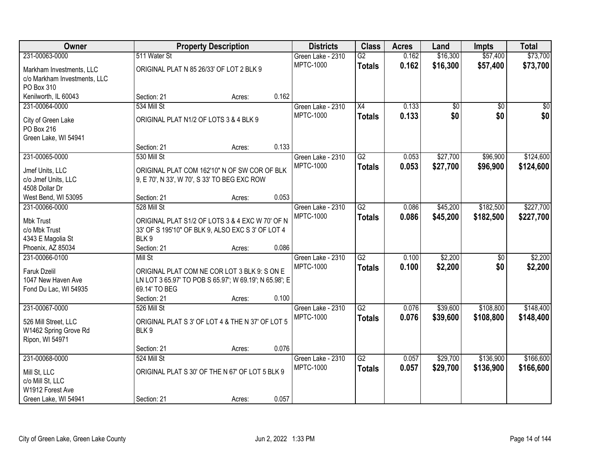| Owner                                 |                                          | <b>Property Description</b>                            |       | <b>Districts</b>                      | <b>Class</b>    | <b>Acres</b> | Land            | <b>Impts</b>    | <b>Total</b>    |
|---------------------------------------|------------------------------------------|--------------------------------------------------------|-------|---------------------------------------|-----------------|--------------|-----------------|-----------------|-----------------|
| 231-00063-0000                        | 511 Water St                             |                                                        |       | Green Lake - 2310                     | $\overline{G2}$ | 0.162        | \$16,300        | \$57,400        | \$73,700        |
| Markham Investments, LLC              | ORIGINAL PLAT N 85 26/33' OF LOT 2 BLK 9 |                                                        |       | <b>MPTC-1000</b>                      | <b>Totals</b>   | 0.162        | \$16,300        | \$57,400        | \$73,700        |
| c/o Markham Investments, LLC          |                                          |                                                        |       |                                       |                 |              |                 |                 |                 |
| PO Box 310                            |                                          |                                                        |       |                                       |                 |              |                 |                 |                 |
| Kenilworth, IL 60043                  | Section: 21                              | Acres:                                                 | 0.162 |                                       |                 |              |                 |                 |                 |
| 231-00064-0000                        | 534 Mill St                              |                                                        |       | Green Lake - 2310                     | $\overline{X4}$ | 0.133        | $\overline{50}$ | $\overline{30}$ | $\overline{30}$ |
| City of Green Lake                    | ORIGINAL PLAT N1/2 OF LOTS 3 & 4 BLK 9   |                                                        |       | <b>MPTC-1000</b>                      | <b>Totals</b>   | 0.133        | \$0             | \$0             | \$0             |
| PO Box 216                            |                                          |                                                        |       |                                       |                 |              |                 |                 |                 |
| Green Lake, WI 54941                  |                                          |                                                        |       |                                       |                 |              |                 |                 |                 |
|                                       | Section: 21                              | Acres:                                                 | 0.133 |                                       |                 |              |                 |                 |                 |
| 231-00065-0000                        | 530 Mill St                              |                                                        |       | Green Lake - 2310                     | $\overline{G2}$ | 0.053        | \$27,700        | \$96,900        | \$124,600       |
|                                       |                                          |                                                        |       | <b>MPTC-1000</b>                      | <b>Totals</b>   | 0.053        | \$27,700        | \$96,900        | \$124,600       |
| Jmef Units, LLC                       |                                          | ORIGINAL PLAT COM 162'10" N OF SW COR OF BLK           |       |                                       |                 |              |                 |                 |                 |
| c/o Jmef Units, LLC                   |                                          | 9, E 70', N 33', W 70', S 33' TO BEG EXC ROW           |       |                                       |                 |              |                 |                 |                 |
| 4508 Dollar Dr                        |                                          |                                                        | 0.053 |                                       |                 |              |                 |                 |                 |
| West Bend, WI 53095<br>231-00066-0000 | Section: 21<br>528 Mill St               | Acres:                                                 |       |                                       | $\overline{G2}$ | 0.086        | \$45,200        | \$182,500       |                 |
|                                       |                                          |                                                        |       | Green Lake - 2310<br><b>MPTC-1000</b> |                 |              |                 |                 | \$227,700       |
| Mbk Trust                             |                                          | ORIGINAL PLAT S1/2 OF LOTS 3 & 4 EXC W 70' OF N        |       |                                       | <b>Totals</b>   | 0.086        | \$45,200        | \$182,500       | \$227,700       |
| c/o Mbk Trust                         |                                          | 33' OF S 195'10" OF BLK 9, ALSO EXC S 3' OF LOT 4      |       |                                       |                 |              |                 |                 |                 |
| 4343 E Magolia St                     | BLK 9                                    |                                                        |       |                                       |                 |              |                 |                 |                 |
| Phoenix, AZ 85034                     | Section: 21                              | Acres:                                                 | 0.086 |                                       |                 |              |                 |                 |                 |
| 231-00066-0100                        | Mill St                                  |                                                        |       | Green Lake - 2310                     | $\overline{G2}$ | 0.100        | \$2,200         | $\overline{50}$ | \$2,200         |
| <b>Faruk Dzelil</b>                   |                                          | ORIGINAL PLAT COM NE COR LOT 3 BLK 9: S ON E           |       | <b>MPTC-1000</b>                      | <b>Totals</b>   | 0.100        | \$2,200         | \$0             | \$2,200         |
| 1047 New Haven Ave                    |                                          | LN LOT 3 65.97' TO POB S 65.97'; W 69.19'; N 65.98'; E |       |                                       |                 |              |                 |                 |                 |
| Fond Du Lac, WI 54935                 | 69.14' TO BEG                            |                                                        |       |                                       |                 |              |                 |                 |                 |
|                                       | Section: 21                              | Acres:                                                 | 0.100 |                                       |                 |              |                 |                 |                 |
| 231-00067-0000                        | 526 Mill St                              |                                                        |       | Green Lake - 2310                     | $\overline{G2}$ | 0.076        | \$39,600        | \$108,800       | \$148,400       |
| 526 Mill Street, LLC                  |                                          | ORIGINAL PLAT S 3' OF LOT 4 & THE N 37' OF LOT 5       |       | <b>MPTC-1000</b>                      | <b>Totals</b>   | 0.076        | \$39,600        | \$108,800       | \$148,400       |
| W1462 Spring Grove Rd                 | BLK 9                                    |                                                        |       |                                       |                 |              |                 |                 |                 |
| Ripon, WI 54971                       |                                          |                                                        |       |                                       |                 |              |                 |                 |                 |
|                                       | Section: 21                              | Acres:                                                 | 0.076 |                                       |                 |              |                 |                 |                 |
| 231-00068-0000                        | 524 Mill St                              |                                                        |       | Green Lake - 2310                     | $\overline{G2}$ | 0.057        | \$29,700        | \$136,900       | \$166,600       |
|                                       |                                          |                                                        |       | <b>MPTC-1000</b>                      | <b>Totals</b>   | 0.057        | \$29,700        | \$136,900       | \$166,600       |
| Mill St, LLC                          |                                          | ORIGINAL PLAT S 30' OF THE N 67' OF LOT 5 BLK 9        |       |                                       |                 |              |                 |                 |                 |
| c/o Mill St, LLC                      |                                          |                                                        |       |                                       |                 |              |                 |                 |                 |
| W1912 Forest Ave                      |                                          |                                                        |       |                                       |                 |              |                 |                 |                 |
| Green Lake, WI 54941                  | Section: 21                              | Acres:                                                 | 0.057 |                                       |                 |              |                 |                 |                 |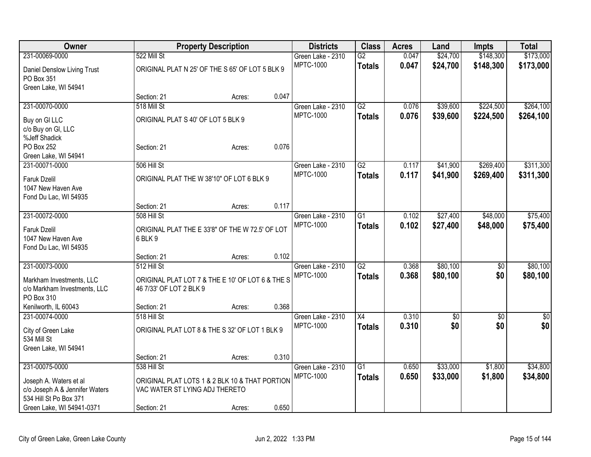| Owner                                       |                                                            | <b>Property Description</b> |       | <b>Districts</b>  | <b>Class</b>    | <b>Acres</b> | Land        | <b>Impts</b>    | <b>Total</b>    |
|---------------------------------------------|------------------------------------------------------------|-----------------------------|-------|-------------------|-----------------|--------------|-------------|-----------------|-----------------|
| 231-00069-0000                              | 522 Mill St                                                |                             |       | Green Lake - 2310 | G2              | 0.047        | \$24,700    | \$148,300       | \$173,000       |
| Daniel Denslow Living Trust                 | ORIGINAL PLAT N 25' OF THE S 65' OF LOT 5 BLK 9            |                             |       | <b>MPTC-1000</b>  | <b>Totals</b>   | 0.047        | \$24,700    | \$148,300       | \$173,000       |
| PO Box 351                                  |                                                            |                             |       |                   |                 |              |             |                 |                 |
| Green Lake, WI 54941                        |                                                            |                             |       |                   |                 |              |             |                 |                 |
|                                             | Section: 21                                                | Acres:                      | 0.047 |                   |                 |              |             |                 |                 |
| 231-00070-0000                              | 518 Mill St                                                |                             |       | Green Lake - 2310 | $\overline{G2}$ | 0.076        | \$39,600    | \$224,500       | \$264,100       |
| Buy on GI LLC                               | ORIGINAL PLAT S 40' OF LOT 5 BLK 9                         |                             |       | <b>MPTC-1000</b>  | <b>Totals</b>   | 0.076        | \$39,600    | \$224,500       | \$264,100       |
| c/o Buy on GI, LLC                          |                                                            |                             |       |                   |                 |              |             |                 |                 |
| %Jeff Shadick                               |                                                            |                             |       |                   |                 |              |             |                 |                 |
| PO Box 252                                  | Section: 21                                                | Acres:                      | 0.076 |                   |                 |              |             |                 |                 |
| Green Lake, WI 54941<br>231-00071-0000      | 506 Hill St                                                |                             |       | Green Lake - 2310 | G2              | 0.117        | \$41,900    | \$269,400       | \$311,300       |
|                                             |                                                            |                             |       | MPTC-1000         | <b>Totals</b>   | 0.117        | \$41,900    | \$269,400       | \$311,300       |
| Faruk Dzelil                                | ORIGINAL PLAT THE W 38'10" OF LOT 6 BLK 9                  |                             |       |                   |                 |              |             |                 |                 |
| 1047 New Haven Ave<br>Fond Du Lac, WI 54935 |                                                            |                             |       |                   |                 |              |             |                 |                 |
|                                             | Section: 21                                                | Acres:                      | 0.117 |                   |                 |              |             |                 |                 |
| 231-00072-0000                              | 508 Hill St                                                |                             |       | Green Lake - 2310 | $\overline{G1}$ | 0.102        | \$27,400    | \$48,000        | \$75,400        |
|                                             |                                                            |                             |       | <b>MPTC-1000</b>  | <b>Totals</b>   | 0.102        | \$27,400    | \$48,000        | \$75,400        |
| Faruk Dzelil<br>1047 New Haven Ave          | ORIGINAL PLAT THE E 33'8" OF THE W 72.5' OF LOT<br>6 BLK 9 |                             |       |                   |                 |              |             |                 |                 |
| Fond Du Lac, WI 54935                       |                                                            |                             |       |                   |                 |              |             |                 |                 |
|                                             | Section: 21                                                | Acres:                      | 0.102 |                   |                 |              |             |                 |                 |
| 231-00073-0000                              | 512 Hill St                                                |                             |       | Green Lake - 2310 | $\overline{G2}$ | 0.368        | \$80,100    | \$0             | \$80,100        |
| Markham Investments, LLC                    | ORIGINAL PLAT LOT 7 & THE E 10' OF LOT 6 & THE S           |                             |       | <b>MPTC-1000</b>  | <b>Totals</b>   | 0.368        | \$80,100    | \$0             | \$80,100        |
| c/o Markham Investments, LLC                | 46 7/33' OF LOT 2 BLK 9                                    |                             |       |                   |                 |              |             |                 |                 |
| PO Box 310                                  |                                                            |                             |       |                   |                 |              |             |                 |                 |
| Kenilworth, IL 60043                        | Section: 21                                                | Acres:                      | 0.368 |                   |                 |              |             |                 |                 |
| 231-00074-0000                              | 518 Hill St                                                |                             |       | Green Lake - 2310 | $\overline{X4}$ | 0.310        | $\sqrt{$0}$ | $\overline{50}$ | $\overline{30}$ |
| City of Green Lake                          | ORIGINAL PLAT LOT 8 & THE S 32' OF LOT 1 BLK 9             |                             |       | <b>MPTC-1000</b>  | <b>Totals</b>   | 0.310        | \$0         | \$0             | \$0             |
| 534 Mill St                                 |                                                            |                             |       |                   |                 |              |             |                 |                 |
| Green Lake, WI 54941                        |                                                            |                             |       |                   |                 |              |             |                 |                 |
|                                             | Section: 21                                                | Acres:                      | 0.310 |                   |                 |              |             |                 |                 |
| 231-00075-0000                              | 538 Hill St                                                |                             |       | Green Lake - 2310 | $\overline{G1}$ | 0.650        | \$33,000    | \$1,800         | \$34,800        |
| Joseph A. Waters et al                      | ORIGINAL PLAT LOTS 1 & 2 BLK 10 & THAT PORTION             |                             |       | <b>MPTC-1000</b>  | <b>Totals</b>   | 0.650        | \$33,000    | \$1,800         | \$34,800        |
| c/o Joseph A & Jennifer Waters              | VAC WATER ST LYING ADJ THERETO                             |                             |       |                   |                 |              |             |                 |                 |
| 534 Hill St Po Box 371                      |                                                            |                             |       |                   |                 |              |             |                 |                 |
| Green Lake, WI 54941-0371                   | Section: 21                                                | Acres:                      | 0.650 |                   |                 |              |             |                 |                 |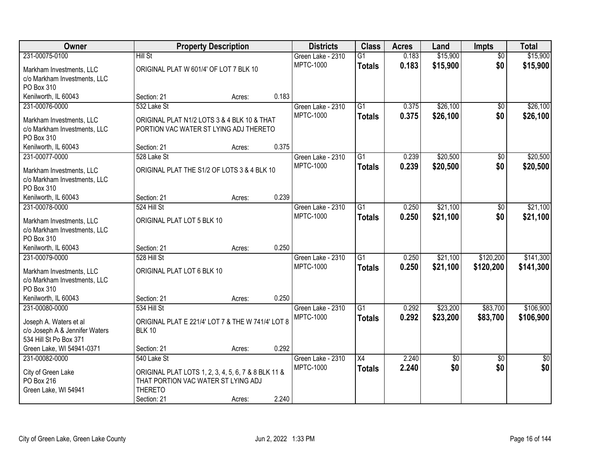| Owner                                                    |                                                     | <b>Property Description</b> |       | <b>Districts</b>  | <b>Class</b>    | <b>Acres</b> | Land            | <b>Impts</b>    | <b>Total</b>    |
|----------------------------------------------------------|-----------------------------------------------------|-----------------------------|-------|-------------------|-----------------|--------------|-----------------|-----------------|-----------------|
| 231-00075-0100                                           | Hill St                                             |                             |       | Green Lake - 2310 | $\overline{G1}$ | 0.183        | \$15,900        | $\overline{50}$ | \$15,900        |
| Markham Investments, LLC                                 | ORIGINAL PLAT W 601/4' OF LOT 7 BLK 10              |                             |       | <b>MPTC-1000</b>  | <b>Totals</b>   | 0.183        | \$15,900        | \$0             | \$15,900        |
| c/o Markham Investments, LLC                             |                                                     |                             |       |                   |                 |              |                 |                 |                 |
| PO Box 310                                               |                                                     |                             |       |                   |                 |              |                 |                 |                 |
| Kenilworth, IL 60043                                     | Section: 21                                         | Acres:                      | 0.183 |                   |                 |              |                 |                 |                 |
| 231-00076-0000                                           | 532 Lake St                                         |                             |       | Green Lake - 2310 | $\overline{G1}$ | 0.375        | \$26,100        | $\overline{50}$ | \$26,100        |
| Markham Investments, LLC                                 | ORIGINAL PLAT N1/2 LOTS 3 & 4 BLK 10 & THAT         |                             |       | <b>MPTC-1000</b>  | <b>Totals</b>   | 0.375        | \$26,100        | \$0             | \$26,100        |
| c/o Markham Investments, LLC                             | PORTION VAC WATER ST LYING ADJ THERETO              |                             |       |                   |                 |              |                 |                 |                 |
| PO Box 310                                               |                                                     |                             |       |                   |                 |              |                 |                 |                 |
| Kenilworth, IL 60043                                     | Section: 21                                         | Acres:                      | 0.375 |                   |                 |              |                 |                 |                 |
| 231-00077-0000                                           | 528 Lake St                                         |                             |       | Green Lake - 2310 | G1              | 0.239        | \$20,500        | \$0             | \$20,500        |
|                                                          | ORIGINAL PLAT THE S1/2 OF LOTS 3 & 4 BLK 10         |                             |       | <b>MPTC-1000</b>  | <b>Totals</b>   | 0.239        | \$20,500        | \$0             | \$20,500        |
| Markham Investments, LLC<br>c/o Markham Investments, LLC |                                                     |                             |       |                   |                 |              |                 |                 |                 |
| PO Box 310                                               |                                                     |                             |       |                   |                 |              |                 |                 |                 |
| Kenilworth, IL 60043                                     | Section: 21                                         | Acres:                      | 0.239 |                   |                 |              |                 |                 |                 |
| 231-00078-0000                                           | 524 Hill St                                         |                             |       | Green Lake - 2310 | G1              | 0.250        | \$21,100        | \$0             | \$21,100        |
|                                                          |                                                     |                             |       | <b>MPTC-1000</b>  | <b>Totals</b>   | 0.250        | \$21,100        | \$0             | \$21,100        |
| Markham Investments, LLC                                 | ORIGINAL PLAT LOT 5 BLK 10                          |                             |       |                   |                 |              |                 |                 |                 |
| c/o Markham Investments, LLC<br>PO Box 310               |                                                     |                             |       |                   |                 |              |                 |                 |                 |
| Kenilworth, IL 60043                                     | Section: 21                                         | Acres:                      | 0.250 |                   |                 |              |                 |                 |                 |
| 231-00079-0000                                           | 528 Hill St                                         |                             |       | Green Lake - 2310 | $\overline{G1}$ | 0.250        | \$21,100        | \$120,200       | \$141,300       |
|                                                          |                                                     |                             |       | <b>MPTC-1000</b>  | Totals          | 0.250        | \$21,100        | \$120,200       | \$141,300       |
| Markham Investments, LLC                                 | ORIGINAL PLAT LOT 6 BLK 10                          |                             |       |                   |                 |              |                 |                 |                 |
| c/o Markham Investments, LLC                             |                                                     |                             |       |                   |                 |              |                 |                 |                 |
| PO Box 310<br>Kenilworth, IL 60043                       | Section: 21                                         |                             | 0.250 |                   |                 |              |                 |                 |                 |
| 231-00080-0000                                           | 534 Hill St                                         | Acres:                      |       | Green Lake - 2310 | $\overline{G1}$ | 0.292        | \$23,200        | \$83,700        | \$106,900       |
|                                                          |                                                     |                             |       | <b>MPTC-1000</b>  | <b>Totals</b>   | 0.292        | \$23,200        | \$83,700        | \$106,900       |
| Joseph A. Waters et al                                   | ORIGINAL PLAT E 221/4' LOT 7 & THE W 741/4' LOT 8   |                             |       |                   |                 |              |                 |                 |                 |
| c/o Joseph A & Jennifer Waters                           | <b>BLK 10</b>                                       |                             |       |                   |                 |              |                 |                 |                 |
| 534 Hill St Po Box 371                                   |                                                     |                             |       |                   |                 |              |                 |                 |                 |
| Green Lake, WI 54941-0371                                | Section: 21                                         | Acres:                      | 0.292 |                   |                 |              |                 |                 |                 |
| 231-00082-0000                                           | 540 Lake St                                         |                             |       | Green Lake - 2310 | $\overline{X4}$ | 2.240        | $\overline{50}$ | $\overline{50}$ | $\overline{50}$ |
| City of Green Lake                                       | ORIGINAL PLAT LOTS 1, 2, 3, 4, 5, 6, 7 & 8 BLK 11 & |                             |       | <b>MPTC-1000</b>  | <b>Totals</b>   | 2.240        | \$0             | \$0             | \$0             |
| PO Box 216                                               | THAT PORTION VAC WATER ST LYING ADJ                 |                             |       |                   |                 |              |                 |                 |                 |
| Green Lake, WI 54941                                     | <b>THERETO</b>                                      |                             |       |                   |                 |              |                 |                 |                 |
|                                                          | Section: 21                                         | Acres:                      | 2.240 |                   |                 |              |                 |                 |                 |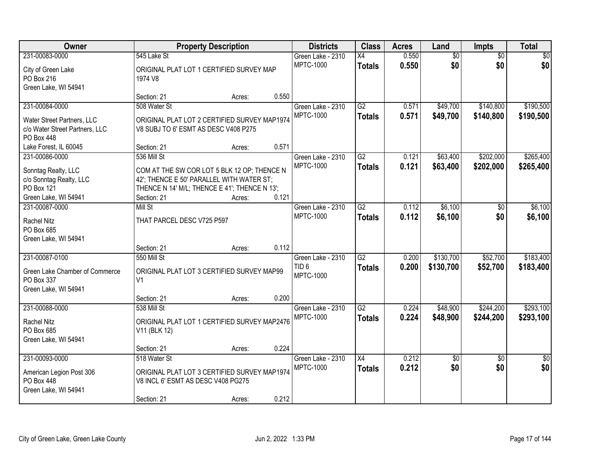| Owner                                                                                        |                                                                                                                                                          | <b>Property Description</b> |       | <b>Districts</b>                                          | <b>Class</b>                     | <b>Acres</b>   | Land                   | Impts                  | <b>Total</b>           |
|----------------------------------------------------------------------------------------------|----------------------------------------------------------------------------------------------------------------------------------------------------------|-----------------------------|-------|-----------------------------------------------------------|----------------------------------|----------------|------------------------|------------------------|------------------------|
| 231-00083-0000<br>City of Green Lake<br>PO Box 216<br>Green Lake, WI 54941                   | 545 Lake St<br>ORIGINAL PLAT LOT 1 CERTIFIED SURVEY MAP<br>1974 V8                                                                                       |                             |       | Green Lake - 2310<br><b>MPTC-1000</b>                     | X4<br><b>Totals</b>              | 0.550<br>0.550 | $\overline{50}$<br>\$0 | $\overline{50}$<br>\$0 | \$0<br>\$0             |
|                                                                                              | Section: 21                                                                                                                                              | Acres:                      | 0.550 |                                                           |                                  |                |                        |                        |                        |
| 231-00084-0000<br>Water Street Partners, LLC<br>c/o Water Street Partners, LLC<br>PO Box 448 | 508 Water St<br>ORIGINAL PLAT LOT 2 CERTIFIED SURVEY MAP1974<br>V8 SUBJ TO 6' ESMT AS DESC V408 P275                                                     |                             |       | Green Lake - 2310<br><b>MPTC-1000</b>                     | G2<br><b>Totals</b>              | 0.571<br>0.571 | \$49,700<br>\$49,700   | \$140,800<br>\$140,800 | \$190,500<br>\$190,500 |
| Lake Forest, IL 60045<br>231-00086-0000                                                      | Section: 21<br>536 Mill St                                                                                                                               | Acres:                      | 0.571 | Green Lake - 2310                                         | G2                               | 0.121          | \$63,400               | \$202,000              | \$265,400              |
| Sonntag Realty, LLC<br>c/o Sonntag Realty, LLC<br>PO Box 121<br>Green Lake, WI 54941         | COM AT THE SW COR LOT 5 BLK 12 OP; THENCE N<br>42'; THENCE E 50' PARALLEL WITH WATER ST;<br>THENCE N 14' M/L; THENCE E 41'; THENCE N 13';<br>Section: 21 | Acres:                      | 0.121 | <b>MPTC-1000</b>                                          | <b>Totals</b>                    | 0.121          | \$63,400               | \$202,000              | \$265,400              |
| 231-00087-0000<br>Rachel Nitz<br>PO Box 685<br>Green Lake, WI 54941                          | <b>Mill St</b><br>THAT PARCEL DESC V725 P597                                                                                                             |                             |       | Green Lake - 2310<br><b>MPTC-1000</b>                     | $\overline{G2}$<br><b>Totals</b> | 0.112<br>0.112 | \$6,100<br>\$6,100     | $\sqrt[6]{}$<br>\$0    | \$6,100<br>\$6,100     |
|                                                                                              | Section: 21                                                                                                                                              | Acres:                      | 0.112 |                                                           |                                  |                |                        |                        |                        |
| 231-00087-0100<br>Green Lake Chamber of Commerce<br>PO Box 337<br>Green Lake, WI 54941       | 550 Mill St<br>ORIGINAL PLAT LOT 3 CERTIFIED SURVEY MAP99<br>V <sub>1</sub>                                                                              |                             |       | Green Lake - 2310<br>TID <sub>6</sub><br><b>MPTC-1000</b> | $\overline{G2}$<br><b>Totals</b> | 0.200<br>0.200 | \$130,700<br>\$130,700 | \$52,700<br>\$52,700   | \$183,400<br>\$183,400 |
| 231-00088-0000                                                                               | Section: 21                                                                                                                                              | Acres:                      | 0.200 |                                                           | $\overline{G2}$                  |                |                        |                        |                        |
| <b>Rachel Nitz</b><br>PO Box 685<br>Green Lake, WI 54941                                     | 538 Mill St<br>ORIGINAL PLAT LOT 1 CERTIFIED SURVEY MAP2476<br>V11 (BLK 12)                                                                              |                             |       | Green Lake - 2310<br><b>MPTC-1000</b>                     | <b>Totals</b>                    | 0.224<br>0.224 | \$48,900<br>\$48,900   | \$244,200<br>\$244,200 | \$293,100<br>\$293,100 |
|                                                                                              | Section: 21                                                                                                                                              | Acres:                      | 0.224 |                                                           |                                  |                |                        |                        |                        |
| 231-00093-0000<br>American Legion Post 306<br>PO Box 448<br>Green Lake, WI 54941             | 518 Water St<br>ORIGINAL PLAT LOT 3 CERTIFIED SURVEY MAP1974<br>V8 INCL 6' ESMT AS DESC V408 PG275<br>Section: 21                                        | Acres:                      | 0.212 | Green Lake - 2310<br><b>MPTC-1000</b>                     | $\overline{X4}$<br><b>Totals</b> | 0.212<br>0.212 | \$0<br>\$0             | $\overline{50}$<br>\$0 | $\overline{50}$<br>\$0 |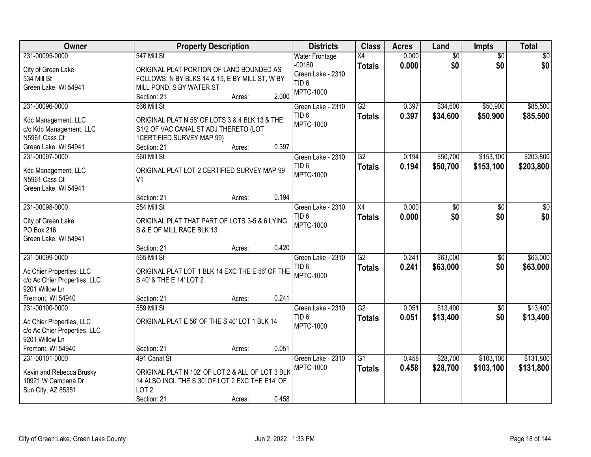| Owner                                                                                                             | <b>Property Description</b>                                                                                                                                      |       | <b>Districts</b>                                                                               | <b>Class</b>                     | <b>Acres</b>   | Land                   | <b>Impts</b>           | <b>Total</b>           |
|-------------------------------------------------------------------------------------------------------------------|------------------------------------------------------------------------------------------------------------------------------------------------------------------|-------|------------------------------------------------------------------------------------------------|----------------------------------|----------------|------------------------|------------------------|------------------------|
| 231-00095-0000<br>City of Green Lake<br>534 Mill St<br>Green Lake, WI 54941                                       | 547 Mill St<br>ORIGINAL PLAT PORTION OF LAND BOUNDED AS<br>FOLLOWS: N BY BLKS 14 & 15, E BY MILL ST, W BY<br>MILL POND, S BY WATER ST<br>Section: 21<br>Acres:   | 2.000 | <b>Water Frontage</b><br>$-00180$<br>Green Lake - 2310<br>TID <sub>6</sub><br><b>MPTC-1000</b> | X4<br><b>Totals</b>              | 0.000<br>0.000 | $\overline{50}$<br>\$0 | $\overline{50}$<br>\$0 | $\overline{30}$<br>\$0 |
| 231-00096-0000<br>Kdc Management, LLC<br>c/o Kdc Management, LLC<br>N5961 Cass Ct<br>Green Lake, WI 54941         | 566 Mill St<br>ORIGINAL PLAT N 58' OF LOTS 3 & 4 BLK 13 & THE<br>S1/2 OF VAC CANAL ST ADJ THERETO (LOT<br>1CERTIFIED SURVEY MAP 99)<br>Section: 21<br>Acres:     | 0.397 | Green Lake - 2310<br>TID <sub>6</sub><br><b>MPTC-1000</b>                                      | $\overline{G2}$<br><b>Totals</b> | 0.397<br>0.397 | \$34,600<br>\$34,600   | \$50,900<br>\$50,900   | \$85,500<br>\$85,500   |
| 231-00097-0000<br>Kdc Management, LLC<br>N5961 Cass Ct<br>Green Lake, WI 54941                                    | 560 Mill St<br>ORIGINAL PLAT LOT 2 CERTIFIED SURVEY MAP 99<br>V <sub>1</sub><br>Section: 21<br>Acres:                                                            | 0.194 | Green Lake - 2310<br>TID <sub>6</sub><br><b>MPTC-1000</b>                                      | $\overline{G2}$<br><b>Totals</b> | 0.194<br>0.194 | \$50,700<br>\$50,700   | \$153,100<br>\$153,100 | \$203,800<br>\$203,800 |
| 231-00098-0000<br>City of Green Lake<br>PO Box 216<br>Green Lake, WI 54941                                        | 554 Mill St<br>ORIGINAL PLAT THAT PART OF LOTS 3-5 & 6 LYING<br>S & E OF MILL RACE BLK 13<br>Section: 21                                                         | 0.420 | Green Lake - 2310<br>TID <sub>6</sub><br>MPTC-1000                                             | X4<br><b>Totals</b>              | 0.000<br>0.000 | \$0<br>\$0             | $\sqrt[6]{}$<br>\$0    | \$0<br>\$0             |
| 231-00099-0000<br>Ac Chier Properties, LLC<br>c/o Ac Chier Properties, LLC<br>9201 Willow Ln<br>Fremont, WI 54940 | Acres:<br>565 Mill St<br>ORIGINAL PLAT LOT 1 BLK 14 EXC THE E 56' OF THE<br>S 40' & THE E 14' LOT 2<br>Section: 21<br>Acres:                                     | 0.241 | Green Lake - 2310<br>TID <sub>6</sub><br><b>MPTC-1000</b>                                      | $\overline{G2}$<br><b>Totals</b> | 0.241<br>0.241 | \$63,000<br>\$63,000   | $\overline{50}$<br>\$0 | \$63,000<br>\$63,000   |
| 231-00100-0000<br>Ac Chier Properties, LLC<br>c/o Ac Chier Properties, LLC<br>9201 Willow Ln<br>Fremont, WI 54940 | 559 Mill St<br>ORIGINAL PLAT E 56' OF THE S 40' LOT 1 BLK 14<br>Section: 21<br>Acres:                                                                            | 0.051 | Green Lake - 2310<br>TID <sub>6</sub><br><b>MPTC-1000</b>                                      | $\overline{G2}$<br><b>Totals</b> | 0.051<br>0.051 | \$13,400<br>\$13,400   | $\sqrt{$0}$<br>\$0     | \$13,400<br>\$13,400   |
| 231-00101-0000<br>Kevin and Rebecca Brusky<br>10921 W Campana Dr<br>Sun City, AZ 85351                            | 491 Canal St<br>ORIGINAL PLAT N 102' OF LOT 2 & ALL OF LOT 3 BLK<br>14 ALSO INCL THE S 30' OF LOT 2 EXC THE E14' OF<br>LOT <sub>2</sub><br>Section: 21<br>Acres: | 0.458 | Green Lake - 2310<br><b>MPTC-1000</b>                                                          | $\overline{G1}$<br><b>Totals</b> | 0.458<br>0.458 | \$28,700<br>\$28,700   | \$103,100<br>\$103,100 | \$131,800<br>\$131,800 |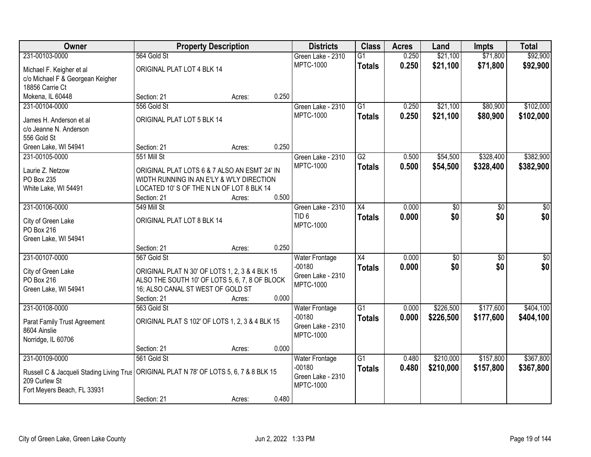| Owner                                                                                                      | <b>Property Description</b>                                                                      |        |       | <b>Districts</b>      | <b>Class</b>    | <b>Acres</b> | Land      | <b>Impts</b>    | <b>Total</b>    |
|------------------------------------------------------------------------------------------------------------|--------------------------------------------------------------------------------------------------|--------|-------|-----------------------|-----------------|--------------|-----------|-----------------|-----------------|
| 231-00103-0000                                                                                             | 564 Gold St                                                                                      |        |       | Green Lake - 2310     | $\overline{G1}$ | 0.250        | \$21,100  | \$71,800        | \$92,900        |
| Michael F. Keigher et al                                                                                   | ORIGINAL PLAT LOT 4 BLK 14                                                                       |        |       | <b>MPTC-1000</b>      | <b>Totals</b>   | 0.250        | \$21,100  | \$71,800        | \$92,900        |
| c/o Michael F & Georgean Keigher                                                                           |                                                                                                  |        |       |                       |                 |              |           |                 |                 |
| 18856 Carrie Ct                                                                                            |                                                                                                  |        |       |                       |                 |              |           |                 |                 |
| Mokena, IL 60448                                                                                           | Section: 21                                                                                      | Acres: | 0.250 |                       |                 |              |           |                 |                 |
| 231-00104-0000                                                                                             | 556 Gold St                                                                                      |        |       | Green Lake - 2310     | $\overline{G1}$ | 0.250        | \$21,100  | \$80,900        | \$102,000       |
| James H. Anderson et al                                                                                    | ORIGINAL PLAT LOT 5 BLK 14                                                                       |        |       | <b>MPTC-1000</b>      | <b>Totals</b>   | 0.250        | \$21,100  | \$80,900        | \$102,000       |
| c/o Jeanne N. Anderson                                                                                     |                                                                                                  |        |       |                       |                 |              |           |                 |                 |
| 556 Gold St                                                                                                |                                                                                                  |        |       |                       |                 |              |           |                 |                 |
| Green Lake, WI 54941                                                                                       | Section: 21                                                                                      | Acres: | 0.250 |                       |                 |              |           |                 |                 |
| 231-00105-0000                                                                                             | 551 Mill St                                                                                      |        |       | Green Lake - 2310     | G2              | 0.500        | \$54,500  | \$328,400       | \$382,900       |
| Laurie Z. Netzow                                                                                           | ORIGINAL PLAT LOTS 6 & 7 ALSO AN ESMT 24' IN                                                     |        |       | <b>MPTC-1000</b>      | <b>Totals</b>   | 0.500        | \$54,500  | \$328,400       | \$382,900       |
| PO Box 235                                                                                                 | WIDTH RUNNING IN AN E'LY & W'LY DIRECTION                                                        |        |       |                       |                 |              |           |                 |                 |
| White Lake, WI 54491                                                                                       | LOCATED 10'S OF THE N LN OF LOT 8 BLK 14                                                         |        |       |                       |                 |              |           |                 |                 |
|                                                                                                            | Section: 21                                                                                      | Acres: | 0.500 |                       |                 |              |           |                 |                 |
| 231-00106-0000                                                                                             | 549 Mill St                                                                                      |        |       | Green Lake - 2310     | X4              | 0.000        | \$0       | \$0             | \$0             |
|                                                                                                            | ORIGINAL PLAT LOT 8 BLK 14                                                                       |        |       | TID <sub>6</sub>      | <b>Totals</b>   | 0.000        | \$0       | \$0             | \$0             |
| City of Green Lake<br>PO Box 216                                                                           |                                                                                                  |        |       | <b>MPTC-1000</b>      |                 |              |           |                 |                 |
| Green Lake, WI 54941                                                                                       |                                                                                                  |        |       |                       |                 |              |           |                 |                 |
|                                                                                                            | Section: 21                                                                                      | Acres: | 0.250 |                       |                 |              |           |                 |                 |
| 231-00107-0000                                                                                             | 567 Gold St                                                                                      |        |       | <b>Water Frontage</b> | $\overline{X4}$ | 0.000        | \$0       | $\overline{50}$ | $\overline{50}$ |
|                                                                                                            |                                                                                                  |        |       | $-00180$              | <b>Totals</b>   | 0.000        | \$0       | \$0             | \$0             |
| City of Green Lake<br>PO Box 216                                                                           | ORIGINAL PLAT N 30' OF LOTS 1, 2, 3 & 4 BLK 15<br>ALSO THE SOUTH 10' OF LOTS 5, 6, 7, 8 OF BLOCK |        |       | Green Lake - 2310     |                 |              |           |                 |                 |
| Green Lake, WI 54941                                                                                       | 16; ALSO CANAL ST WEST OF GOLD ST                                                                |        |       | <b>MPTC-1000</b>      |                 |              |           |                 |                 |
|                                                                                                            | Section: 21                                                                                      | Acres: | 0.000 |                       |                 |              |           |                 |                 |
| 231-00108-0000                                                                                             | 563 Gold St                                                                                      |        |       | <b>Water Frontage</b> | $\overline{G1}$ | 0.000        | \$226,500 | \$177,600       | \$404,100       |
|                                                                                                            |                                                                                                  |        |       | $-00180$              | <b>Totals</b>   | 0.000        | \$226,500 | \$177,600       | \$404,100       |
| Parat Family Trust Agreement<br>8604 Ainslie                                                               | ORIGINAL PLAT S 102' OF LOTS 1, 2, 3 & 4 BLK 15                                                  |        |       | Green Lake - 2310     |                 |              |           |                 |                 |
| Norridge, IL 60706                                                                                         |                                                                                                  |        |       | <b>MPTC-1000</b>      |                 |              |           |                 |                 |
|                                                                                                            | Section: 21                                                                                      | Acres: | 0.000 |                       |                 |              |           |                 |                 |
| 231-00109-0000                                                                                             | 561 Gold St                                                                                      |        |       | <b>Water Frontage</b> | $\overline{G1}$ | 0.480        | \$210,000 | \$157,800       | \$367,800       |
|                                                                                                            |                                                                                                  |        |       | $-00180$              | <b>Totals</b>   | 0.480        | \$210,000 | \$157,800       | \$367,800       |
| Russell C & Jacqueli Stading Living Trus   ORIGINAL PLAT N 78' OF LOTS 5, 6, 7 & 8 BLK 15<br>209 Curlew St |                                                                                                  |        |       | Green Lake - 2310     |                 |              |           |                 |                 |
| Fort Meyers Beach, FL 33931                                                                                |                                                                                                  |        |       | <b>MPTC-1000</b>      |                 |              |           |                 |                 |
|                                                                                                            | Section: 21                                                                                      | Acres: | 0.480 |                       |                 |              |           |                 |                 |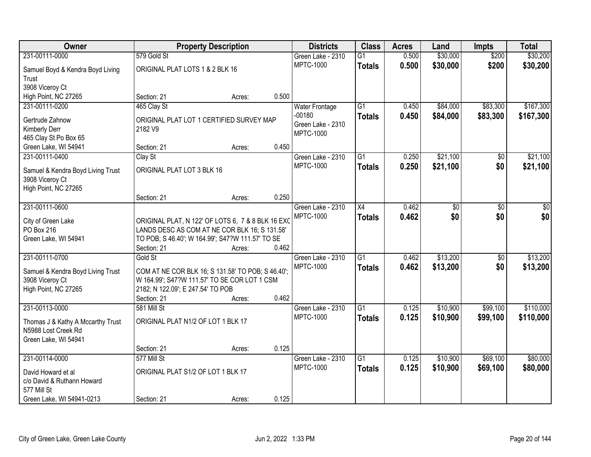| <b>Owner</b>                      |                                                   | <b>Property Description</b> |       | <b>Districts</b>                      | <b>Class</b>    | <b>Acres</b> | Land            | <b>Impts</b> | <b>Total</b> |
|-----------------------------------|---------------------------------------------------|-----------------------------|-------|---------------------------------------|-----------------|--------------|-----------------|--------------|--------------|
| 231-00111-0000                    | 579 Gold St                                       |                             |       | Green Lake - 2310                     | $\overline{G1}$ | 0.500        | \$30,000        | \$200        | \$30,200     |
| Samuel Boyd & Kendra Boyd Living  | ORIGINAL PLAT LOTS 1 & 2 BLK 16                   |                             |       | <b>MPTC-1000</b>                      | <b>Totals</b>   | 0.500        | \$30,000        | \$200        | \$30,200     |
| Trust                             |                                                   |                             |       |                                       |                 |              |                 |              |              |
| 3908 Viceroy Ct                   |                                                   |                             |       |                                       |                 |              |                 |              |              |
| High Point, NC 27265              | Section: 21                                       | Acres:                      | 0.500 |                                       |                 |              |                 |              |              |
| 231-00111-0200                    | 465 Clay St                                       |                             |       | <b>Water Frontage</b>                 | $\overline{G1}$ | 0.450        | \$84,000        | \$83,300     | \$167,300    |
| Gertrude Zahnow                   | ORIGINAL PLAT LOT 1 CERTIFIED SURVEY MAP          |                             |       | $-00180$                              | <b>Totals</b>   | 0.450        | \$84,000        | \$83,300     | \$167,300    |
| Kimberly Derr                     | 2182 V9                                           |                             |       | Green Lake - 2310<br><b>MPTC-1000</b> |                 |              |                 |              |              |
| 465 Clay St Po Box 65             |                                                   |                             |       |                                       |                 |              |                 |              |              |
| Green Lake, WI 54941              | Section: 21                                       | Acres:                      | 0.450 |                                       |                 |              |                 |              |              |
| 231-00111-0400                    | Clay St                                           |                             |       | Green Lake - 2310                     | $\overline{G1}$ | 0.250        | \$21,100        | \$0          | \$21,100     |
| Samuel & Kendra Boyd Living Trust | ORIGINAL PLAT LOT 3 BLK 16                        |                             |       | <b>MPTC-1000</b>                      | <b>Totals</b>   | 0.250        | \$21,100        | \$0          | \$21,100     |
| 3908 Viceroy Ct                   |                                                   |                             |       |                                       |                 |              |                 |              |              |
| High Point, NC 27265              |                                                   |                             |       |                                       |                 |              |                 |              |              |
|                                   | Section: 21                                       | Acres:                      | 0.250 |                                       |                 |              |                 |              |              |
| 231-00111-0600                    |                                                   |                             |       | Green Lake - 2310                     | $\overline{X4}$ | 0.462        | $\overline{50}$ | \$0          | \$0          |
| City of Green Lake                | ORIGINAL PLAT, N 122' OF LOTS 6, 7 & 8 BLK 16 EXC |                             |       | <b>MPTC-1000</b>                      | <b>Totals</b>   | 0.462        | \$0             | \$0          | \$0          |
| PO Box 216                        | LANDS DESC AS COM AT NE COR BLK 16; S 131.58'     |                             |       |                                       |                 |              |                 |              |              |
| Green Lake, WI 54941              | TO POB; S 46.40'; W 164.99'; S47?W 111.57' TO SE  |                             |       |                                       |                 |              |                 |              |              |
|                                   | Section: 21                                       | Acres:                      | 0.462 |                                       |                 |              |                 |              |              |
| 231-00111-0700                    | Gold St                                           |                             |       | Green Lake - 2310                     | $\overline{G1}$ | 0.462        | \$13,200        | \$0          | \$13,200     |
| Samuel & Kendra Boyd Living Trust | COM AT NE COR BLK 16; S 131.58' TO POB; S 46.40'; |                             |       | <b>MPTC-1000</b>                      | <b>Totals</b>   | 0.462        | \$13,200        | \$0          | \$13,200     |
| 3908 Viceroy Ct                   | W 164.99'; S47?W 111.57' TO SE COR LOT 1 CSM      |                             |       |                                       |                 |              |                 |              |              |
| High Point, NC 27265              | 2182; N 122.09'; E 247.54' TO POB                 |                             |       |                                       |                 |              |                 |              |              |
|                                   | Section: 21                                       | Acres:                      | 0.462 |                                       |                 |              |                 |              |              |
| 231-00113-0000                    | 581 Mill St                                       |                             |       | Green Lake - 2310                     | $\overline{G1}$ | 0.125        | \$10,900        | \$99,100     | \$110,000    |
| Thomas J & Kathy A Mccarthy Trust | ORIGINAL PLAT N1/2 OF LOT 1 BLK 17                |                             |       | <b>MPTC-1000</b>                      | <b>Totals</b>   | 0.125        | \$10,900        | \$99,100     | \$110,000    |
| N5988 Lost Creek Rd               |                                                   |                             |       |                                       |                 |              |                 |              |              |
| Green Lake, WI 54941              |                                                   |                             |       |                                       |                 |              |                 |              |              |
|                                   | Section: 21                                       | Acres:                      | 0.125 |                                       |                 |              |                 |              |              |
| 231-00114-0000                    | 577 Mill St                                       |                             |       | Green Lake - 2310                     | $\overline{G1}$ | 0.125        | \$10,900        | \$69,100     | \$80,000     |
| David Howard et al                | ORIGINAL PLAT S1/2 OF LOT 1 BLK 17                |                             |       | <b>MPTC-1000</b>                      | <b>Totals</b>   | 0.125        | \$10,900        | \$69,100     | \$80,000     |
| c/o David & Ruthann Howard        |                                                   |                             |       |                                       |                 |              |                 |              |              |
| 577 Mill St                       |                                                   |                             |       |                                       |                 |              |                 |              |              |
| Green Lake, WI 54941-0213         | Section: 21                                       | Acres:                      | 0.125 |                                       |                 |              |                 |              |              |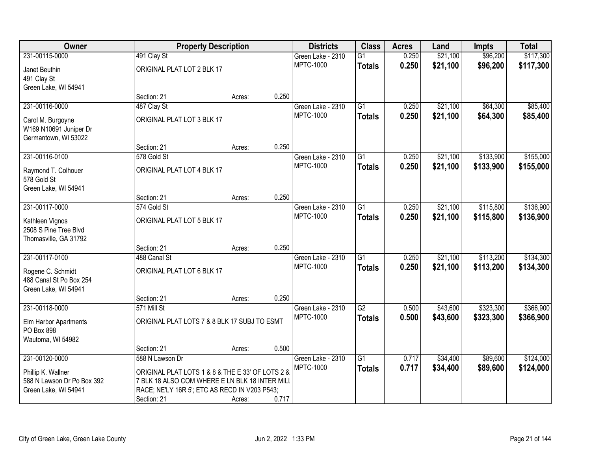| Owner                                              | <b>Property Description</b>                                                                     |        |       | <b>Districts</b>                      | <b>Class</b>    | <b>Acres</b>   | Land     | <b>Impts</b> | <b>Total</b> |
|----------------------------------------------------|-------------------------------------------------------------------------------------------------|--------|-------|---------------------------------------|-----------------|----------------|----------|--------------|--------------|
| 231-00115-0000                                     | 491 Clay St                                                                                     |        |       | Green Lake - 2310                     | $\overline{G1}$ | 0.250          | \$21,100 | \$96,200     | \$117,300    |
| Janet Beuthin                                      | ORIGINAL PLAT LOT 2 BLK 17                                                                      |        |       | <b>MPTC-1000</b>                      | <b>Totals</b>   | 0.250          | \$21,100 | \$96,200     | \$117,300    |
| 491 Clay St                                        |                                                                                                 |        |       |                                       |                 |                |          |              |              |
| Green Lake, WI 54941                               |                                                                                                 |        |       |                                       |                 |                |          |              |              |
|                                                    | Section: 21                                                                                     | Acres: | 0.250 |                                       |                 |                |          |              |              |
| 231-00116-0000                                     | 487 Clay St                                                                                     |        |       | Green Lake - 2310                     | $\overline{G1}$ | 0.250          | \$21,100 | \$64,300     | \$85,400     |
| Carol M. Burgoyne                                  | ORIGINAL PLAT LOT 3 BLK 17                                                                      |        |       | <b>MPTC-1000</b>                      | <b>Totals</b>   | 0.250          | \$21,100 | \$64,300     | \$85,400     |
| W169 N10691 Juniper Dr                             |                                                                                                 |        |       |                                       |                 |                |          |              |              |
| Germantown, WI 53022                               |                                                                                                 |        |       |                                       |                 |                |          |              |              |
|                                                    | Section: 21                                                                                     | Acres: | 0.250 |                                       |                 |                |          |              |              |
| 231-00116-0100                                     | 578 Gold St                                                                                     |        |       | Green Lake - 2310                     | G1              | 0.250          | \$21,100 | \$133,900    | \$155,000    |
| Raymond T. Colhouer                                | ORIGINAL PLAT LOT 4 BLK 17                                                                      |        |       | <b>MPTC-1000</b>                      | <b>Totals</b>   | 0.250          | \$21,100 | \$133,900    | \$155,000    |
| 578 Gold St                                        |                                                                                                 |        |       |                                       |                 |                |          |              |              |
| Green Lake, WI 54941                               |                                                                                                 |        |       |                                       |                 |                |          |              |              |
|                                                    | Section: 21                                                                                     | Acres: | 0.250 |                                       |                 |                |          |              |              |
| 231-00117-0000                                     | 574 Gold St                                                                                     |        |       | Green Lake - 2310<br><b>MPTC-1000</b> | G1              | 0.250<br>0.250 | \$21,100 | \$115,800    | \$136,900    |
| Kathleen Vignos                                    | ORIGINAL PLAT LOT 5 BLK 17                                                                      |        |       |                                       | <b>Totals</b>   |                | \$21,100 | \$115,800    | \$136,900    |
| 2508 S Pine Tree Blvd                              |                                                                                                 |        |       |                                       |                 |                |          |              |              |
| Thomasville, GA 31792                              |                                                                                                 |        | 0.250 |                                       |                 |                |          |              |              |
| 231-00117-0100                                     | Section: 21<br>488 Canal St                                                                     | Acres: |       |                                       | $\overline{G1}$ | 0.250          | \$21,100 | \$113,200    | \$134,300    |
|                                                    |                                                                                                 |        |       | Green Lake - 2310<br><b>MPTC-1000</b> | <b>Totals</b>   | 0.250          | \$21,100 | \$113,200    | \$134,300    |
| Rogene C. Schmidt                                  | ORIGINAL PLAT LOT 6 BLK 17                                                                      |        |       |                                       |                 |                |          |              |              |
| 488 Canal St Po Box 254                            |                                                                                                 |        |       |                                       |                 |                |          |              |              |
| Green Lake, WI 54941                               | Section: 21                                                                                     |        | 0.250 |                                       |                 |                |          |              |              |
| 231-00118-0000                                     | 571 Mill St                                                                                     | Acres: |       | Green Lake - 2310                     | G2              | 0.500          | \$43,600 | \$323,300    | \$366,900    |
|                                                    |                                                                                                 |        |       | <b>MPTC-1000</b>                      | <b>Totals</b>   | 0.500          | \$43,600 | \$323,300    | \$366,900    |
| Elm Harbor Apartments                              | ORIGINAL PLAT LOTS 7 & 8 BLK 17 SUBJ TO ESMT                                                    |        |       |                                       |                 |                |          |              |              |
| PO Box 898<br>Wautoma, WI 54982                    |                                                                                                 |        |       |                                       |                 |                |          |              |              |
|                                                    | Section: 21                                                                                     | Acres: | 0.500 |                                       |                 |                |          |              |              |
| 231-00120-0000                                     | 588 N Lawson Dr                                                                                 |        |       | Green Lake - 2310                     | $\overline{G1}$ | 0.717          | \$34,400 | \$89,600     | \$124,000    |
|                                                    |                                                                                                 |        |       | <b>MPTC-1000</b>                      | <b>Totals</b>   | 0.717          | \$34,400 | \$89,600     | \$124,000    |
| Phillip K. Wallner                                 | ORIGINAL PLAT LOTS 1 & 8 & THE E 33' OF LOTS 2 &                                                |        |       |                                       |                 |                |          |              |              |
| 588 N Lawson Dr Po Box 392<br>Green Lake, WI 54941 | 7 BLK 18 ALSO COM WHERE E LN BLK 18 INTER MILI<br>RACE; NE'LY 16R 5'; ETC AS RECD IN V203 P543; |        |       |                                       |                 |                |          |              |              |
|                                                    | Section: 21                                                                                     | Acres: | 0.717 |                                       |                 |                |          |              |              |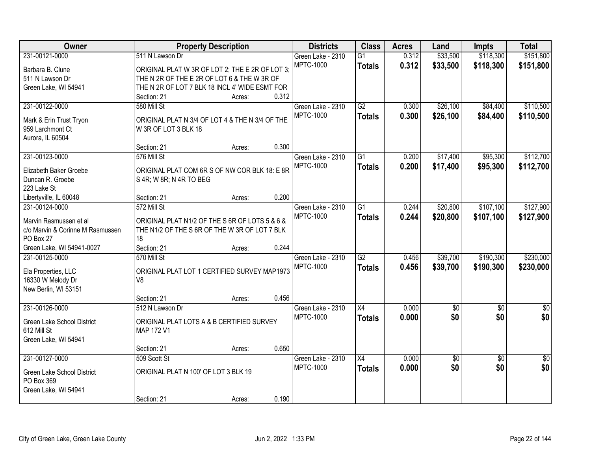| Owner                            | <b>Property Description</b>                     |        |       | <b>Districts</b>  | <b>Class</b>    | <b>Acres</b> | Land            | <b>Impts</b>    | <b>Total</b>    |
|----------------------------------|-------------------------------------------------|--------|-------|-------------------|-----------------|--------------|-----------------|-----------------|-----------------|
| 231-00121-0000                   | 511 N Lawson Dr                                 |        |       | Green Lake - 2310 | G1              | 0.312        | \$33,500        | \$118,300       | \$151,800       |
| Barbara B. Clune                 | ORIGINAL PLAT W 3R OF LOT 2; THE E 2R OF LOT 3; |        |       | <b>MPTC-1000</b>  | <b>Totals</b>   | 0.312        | \$33,500        | \$118,300       | \$151,800       |
| 511 N Lawson Dr                  | THE N 2R OF THE E 2R OF LOT 6 & THE W 3R OF     |        |       |                   |                 |              |                 |                 |                 |
| Green Lake, WI 54941             | THE N 2R OF LOT 7 BLK 18 INCL 4' WIDE ESMT FOR  |        |       |                   |                 |              |                 |                 |                 |
|                                  | Section: 21                                     | Acres: | 0.312 |                   |                 |              |                 |                 |                 |
| 231-00122-0000                   | 580 Mill St                                     |        |       | Green Lake - 2310 | G2              | 0.300        | \$26,100        | \$84,400        | \$110,500       |
|                                  |                                                 |        |       | <b>MPTC-1000</b>  | <b>Totals</b>   | 0.300        | \$26,100        | \$84,400        | \$110,500       |
| Mark & Erin Trust Tryon          | ORIGINAL PLAT N 3/4 OF LOT 4 & THE N 3/4 OF THE |        |       |                   |                 |              |                 |                 |                 |
| 959 Larchmont Ct                 | W 3R OF LOT 3 BLK 18                            |        |       |                   |                 |              |                 |                 |                 |
| Aurora, IL 60504                 |                                                 |        |       |                   |                 |              |                 |                 |                 |
|                                  | Section: 21                                     | Acres: | 0.300 |                   |                 |              |                 |                 |                 |
| 231-00123-0000                   | 576 Mill St                                     |        |       | Green Lake - 2310 | G <sub>1</sub>  | 0.200        | \$17,400        | \$95,300        | \$112,700       |
| Elizabeth Baker Groebe           | ORIGINAL PLAT COM 6R S OF NW COR BLK 18: E 8R   |        |       | <b>MPTC-1000</b>  | <b>Totals</b>   | 0.200        | \$17,400        | \$95,300        | \$112,700       |
| Duncan R. Groebe                 | S 4R; W 8R; N 4R TO BEG                         |        |       |                   |                 |              |                 |                 |                 |
| 223 Lake St                      |                                                 |        |       |                   |                 |              |                 |                 |                 |
| Libertyville, IL 60048           | Section: 21                                     | Acres: | 0.200 |                   |                 |              |                 |                 |                 |
| 231-00124-0000                   | 572 Mill St                                     |        |       | Green Lake - 2310 | G1              | 0.244        | \$20,800        | \$107,100       | \$127,900       |
|                                  |                                                 |        |       | <b>MPTC-1000</b>  | <b>Totals</b>   | 0.244        | \$20,800        | \$107,100       | \$127,900       |
| Marvin Rasmussen et al           | ORIGINAL PLAT N1/2 OF THE S 6R OF LOTS 5 & 6 &  |        |       |                   |                 |              |                 |                 |                 |
| c/o Marvin & Corinne M Rasmussen | THE N1/2 OF THE S 6R OF THE W 3R OF LOT 7 BLK   |        |       |                   |                 |              |                 |                 |                 |
| PO Box 27                        | 18                                              |        |       |                   |                 |              |                 |                 |                 |
| Green Lake, WI 54941-0027        | Section: 21                                     | Acres: | 0.244 |                   |                 |              |                 |                 |                 |
| 231-00125-0000                   | 570 Mill St                                     |        |       | Green Lake - 2310 | $\overline{G2}$ | 0.456        | \$39,700        | \$190,300       | \$230,000       |
| Ela Properties, LLC              | ORIGINAL PLAT LOT 1 CERTIFIED SURVEY MAP1973    |        |       | <b>MPTC-1000</b>  | <b>Totals</b>   | 0.456        | \$39,700        | \$190,300       | \$230,000       |
| 16330 W Melody Dr                | V <sub>8</sub>                                  |        |       |                   |                 |              |                 |                 |                 |
| New Berlin, WI 53151             |                                                 |        |       |                   |                 |              |                 |                 |                 |
|                                  | Section: 21                                     | Acres: | 0.456 |                   |                 |              |                 |                 |                 |
| 231-00126-0000                   | 512 N Lawson Dr                                 |        |       | Green Lake - 2310 | X4              | 0.000        | $\overline{60}$ | $\overline{50}$ | $\overline{50}$ |
|                                  |                                                 |        |       | <b>MPTC-1000</b>  | <b>Totals</b>   | 0.000        | \$0             | \$0             | \$0             |
| Green Lake School District       | ORIGINAL PLAT LOTS A & B CERTIFIED SURVEY       |        |       |                   |                 |              |                 |                 |                 |
| 612 Mill St                      | MAP 172 V1                                      |        |       |                   |                 |              |                 |                 |                 |
| Green Lake, WI 54941             |                                                 |        | 0.650 |                   |                 |              |                 |                 |                 |
| 231-00127-0000                   | Section: 21                                     | Acres: |       |                   |                 | 0.000        |                 |                 |                 |
|                                  | 509 Scott St                                    |        |       | Green Lake - 2310 | X4              |              | $\sqrt{$0}$     | $\overline{30}$ | $\overline{50}$ |
| Green Lake School District       | ORIGINAL PLAT N 100' OF LOT 3 BLK 19            |        |       | <b>MPTC-1000</b>  | <b>Totals</b>   | 0.000        | \$0             | \$0             | \$0             |
| PO Box 369                       |                                                 |        |       |                   |                 |              |                 |                 |                 |
| Green Lake, WI 54941             |                                                 |        |       |                   |                 |              |                 |                 |                 |
|                                  | Section: 21                                     | Acres: | 0.190 |                   |                 |              |                 |                 |                 |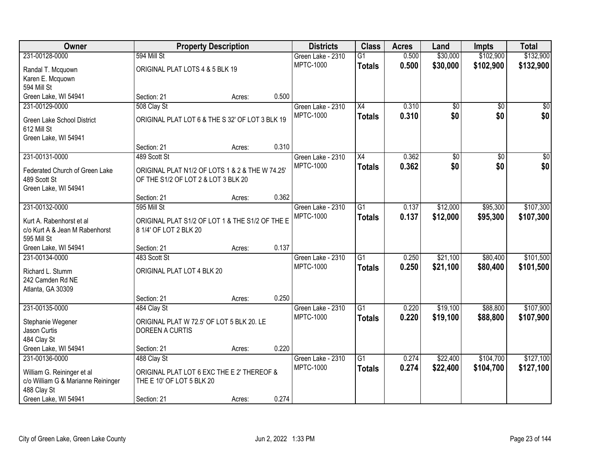| <b>Owner</b>                       |                                                 | <b>Property Description</b> |       | <b>Districts</b>  | <b>Class</b>    | <b>Acres</b> | Land            | <b>Impts</b>    | <b>Total</b>    |
|------------------------------------|-------------------------------------------------|-----------------------------|-------|-------------------|-----------------|--------------|-----------------|-----------------|-----------------|
| 231-00128-0000                     | 594 Mill St                                     |                             |       | Green Lake - 2310 | $\overline{G1}$ | 0.500        | \$30,000        | \$102,900       | \$132,900       |
| Randal T. Mcquown                  | ORIGINAL PLAT LOTS 4 & 5 BLK 19                 |                             |       | <b>MPTC-1000</b>  | <b>Totals</b>   | 0.500        | \$30,000        | \$102,900       | \$132,900       |
| Karen E. Mcquown                   |                                                 |                             |       |                   |                 |              |                 |                 |                 |
| 594 Mill St                        |                                                 |                             |       |                   |                 |              |                 |                 |                 |
| Green Lake, WI 54941               | Section: 21                                     | Acres:                      | 0.500 |                   |                 |              |                 |                 |                 |
| 231-00129-0000                     | 508 Clay St                                     |                             |       | Green Lake - 2310 | X4              | 0.310        | $\overline{50}$ | $\overline{50}$ | \$0             |
| Green Lake School District         | ORIGINAL PLAT LOT 6 & THE S 32' OF LOT 3 BLK 19 |                             |       | <b>MPTC-1000</b>  | <b>Totals</b>   | 0.310        | \$0             | \$0             | \$0             |
| 612 Mill St                        |                                                 |                             |       |                   |                 |              |                 |                 |                 |
| Green Lake, WI 54941               |                                                 |                             |       |                   |                 |              |                 |                 |                 |
|                                    | Section: 21                                     | Acres:                      | 0.310 |                   |                 |              |                 |                 |                 |
| 231-00131-0000                     | 489 Scott St                                    |                             |       | Green Lake - 2310 | X4              | 0.362        | \$0             | \$0             | $\overline{50}$ |
| Federated Church of Green Lake     | ORIGINAL PLAT N1/2 OF LOTS 1 & 2 & THE W 74.25' |                             |       | <b>MPTC-1000</b>  | <b>Totals</b>   | 0.362        | \$0             | \$0             | \$0             |
| 489 Scott St                       | OF THE S1/2 OF LOT 2 & LOT 3 BLK 20             |                             |       |                   |                 |              |                 |                 |                 |
| Green Lake, WI 54941               |                                                 |                             |       |                   |                 |              |                 |                 |                 |
|                                    | Section: 21                                     | Acres:                      | 0.362 |                   |                 |              |                 |                 |                 |
| 231-00132-0000                     | 595 Mill St                                     |                             |       | Green Lake - 2310 | $\overline{G1}$ | 0.137        | \$12,000        | \$95,300        | \$107,300       |
| Kurt A. Rabenhorst et al           | ORIGINAL PLAT S1/2 OF LOT 1 & THE S1/2 OF THE E |                             |       | <b>MPTC-1000</b>  | <b>Totals</b>   | 0.137        | \$12,000        | \$95,300        | \$107,300       |
| c/o Kurt A & Jean M Rabenhorst     | 8 1/4' OF LOT 2 BLK 20                          |                             |       |                   |                 |              |                 |                 |                 |
| 595 Mill St                        |                                                 |                             |       |                   |                 |              |                 |                 |                 |
| Green Lake, WI 54941               | Section: 21                                     | Acres:                      | 0.137 |                   |                 |              |                 |                 |                 |
| 231-00134-0000                     | 483 Scott St                                    |                             |       | Green Lake - 2310 | $\overline{G1}$ | 0.250        | \$21,100        | \$80,400        | \$101,500       |
| Richard L. Stumm                   | ORIGINAL PLAT LOT 4 BLK 20                      |                             |       | <b>MPTC-1000</b>  | <b>Totals</b>   | 0.250        | \$21,100        | \$80,400        | \$101,500       |
| 242 Camden Rd NE                   |                                                 |                             |       |                   |                 |              |                 |                 |                 |
| Atlanta, GA 30309                  |                                                 |                             |       |                   |                 |              |                 |                 |                 |
|                                    | Section: 21                                     | Acres:                      | 0.250 |                   |                 |              |                 |                 |                 |
| 231-00135-0000                     | 484 Clay St                                     |                             |       | Green Lake - 2310 | $\overline{G1}$ | 0.220        | \$19,100        | \$88,800        | \$107,900       |
| Stephanie Wegener                  | ORIGINAL PLAT W 72.5' OF LOT 5 BLK 20. LE       |                             |       | <b>MPTC-1000</b>  | <b>Totals</b>   | 0.220        | \$19,100        | \$88,800        | \$107,900       |
| Jason Curtis                       | DOREEN A CURTIS                                 |                             |       |                   |                 |              |                 |                 |                 |
| 484 Clay St                        |                                                 |                             |       |                   |                 |              |                 |                 |                 |
| Green Lake, WI 54941               | Section: 21                                     | Acres:                      | 0.220 |                   |                 |              |                 |                 |                 |
| 231-00136-0000                     | 488 Clay St                                     |                             |       | Green Lake - 2310 | $\overline{G1}$ | 0.274        | \$22,400        | \$104,700       | \$127,100       |
| William G. Reininger et al         | ORIGINAL PLAT LOT 6 EXC THE E 2' THEREOF &      |                             |       | <b>MPTC-1000</b>  | <b>Totals</b>   | 0.274        | \$22,400        | \$104,700       | \$127,100       |
| c/o William G & Marianne Reininger | THE E 10' OF LOT 5 BLK 20                       |                             |       |                   |                 |              |                 |                 |                 |
| 488 Clay St                        |                                                 |                             |       |                   |                 |              |                 |                 |                 |
| Green Lake, WI 54941               | Section: 21                                     | Acres:                      | 0.274 |                   |                 |              |                 |                 |                 |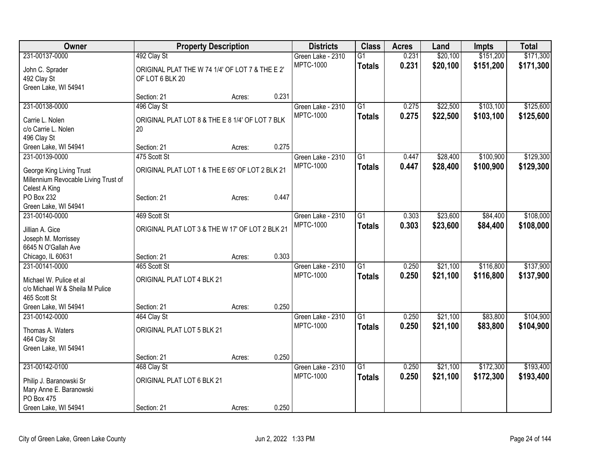| <b>Owner</b>                           | <b>Property Description</b>                           |        |       | <b>Districts</b>  | <b>Class</b>    | <b>Acres</b> | Land     | Impts     | <b>Total</b> |
|----------------------------------------|-------------------------------------------------------|--------|-------|-------------------|-----------------|--------------|----------|-----------|--------------|
| 231-00137-0000                         | 492 Clay St                                           |        |       | Green Lake - 2310 | $\overline{G1}$ | 0.231        | \$20,100 | \$151,200 | \$171,300    |
| John C. Sprader                        | ORIGINAL PLAT THE W 74 1/4' OF LOT 7 & THE E 2'       |        |       | <b>MPTC-1000</b>  | <b>Totals</b>   | 0.231        | \$20,100 | \$151,200 | \$171,300    |
| 492 Clay St                            | OF LOT 6 BLK 20                                       |        |       |                   |                 |              |          |           |              |
| Green Lake, WI 54941                   |                                                       |        |       |                   |                 |              |          |           |              |
|                                        | Section: 21                                           | Acres: | 0.231 |                   |                 |              |          |           |              |
| 231-00138-0000                         | 496 Clay St                                           |        |       | Green Lake - 2310 | $\overline{G1}$ | 0.275        | \$22,500 | \$103,100 | \$125,600    |
|                                        |                                                       |        |       | <b>MPTC-1000</b>  | <b>Totals</b>   | 0.275        | \$22,500 | \$103,100 | \$125,600    |
| Carrie L. Nolen<br>c/o Carrie L. Nolen | ORIGINAL PLAT LOT 8 & THE E 8 1/4' OF LOT 7 BLK<br>20 |        |       |                   |                 |              |          |           |              |
| 496 Clay St                            |                                                       |        |       |                   |                 |              |          |           |              |
| Green Lake, WI 54941                   | Section: 21                                           | Acres: | 0.275 |                   |                 |              |          |           |              |
| 231-00139-0000                         | 475 Scott St                                          |        |       | Green Lake - 2310 | $\overline{G1}$ | 0.447        | \$28,400 | \$100,900 | \$129,300    |
|                                        |                                                       |        |       | <b>MPTC-1000</b>  | <b>Totals</b>   | 0.447        | \$28,400 | \$100,900 | \$129,300    |
| George King Living Trust               | ORIGINAL PLAT LOT 1 & THE E 65' OF LOT 2 BLK 21       |        |       |                   |                 |              |          |           |              |
| Millennium Revocable Living Trust of   |                                                       |        |       |                   |                 |              |          |           |              |
| Celest A King                          |                                                       |        |       |                   |                 |              |          |           |              |
| PO Box 232                             | Section: 21                                           | Acres: | 0.447 |                   |                 |              |          |           |              |
| Green Lake, WI 54941                   |                                                       |        |       |                   |                 |              |          |           |              |
| 231-00140-0000                         | 469 Scott St                                          |        |       | Green Lake - 2310 | $\overline{G1}$ | 0.303        | \$23,600 | \$84,400  | \$108,000    |
| Jillian A. Gice                        | ORIGINAL PLAT LOT 3 & THE W 17' OF LOT 2 BLK 21       |        |       | <b>MPTC-1000</b>  | <b>Totals</b>   | 0.303        | \$23,600 | \$84,400  | \$108,000    |
| Joseph M. Morrissey                    |                                                       |        |       |                   |                 |              |          |           |              |
| 6645 N O'Gallah Ave                    |                                                       |        |       |                   |                 |              |          |           |              |
| Chicago, IL 60631                      | Section: 21                                           | Acres: | 0.303 |                   |                 |              |          |           |              |
| 231-00141-0000                         | 465 Scott St                                          |        |       | Green Lake - 2310 | $\overline{G1}$ | 0.250        | \$21,100 | \$116,800 | \$137,900    |
| Michael W. Pulice et al                | ORIGINAL PLAT LOT 4 BLK 21                            |        |       | <b>MPTC-1000</b>  | <b>Totals</b>   | 0.250        | \$21,100 | \$116,800 | \$137,900    |
| c/o Michael W & Sheila M Pulice        |                                                       |        |       |                   |                 |              |          |           |              |
| 465 Scott St                           |                                                       |        |       |                   |                 |              |          |           |              |
| Green Lake, WI 54941                   | Section: 21                                           | Acres: | 0.250 |                   |                 |              |          |           |              |
| 231-00142-0000                         | 464 Clay St                                           |        |       | Green Lake - 2310 | $\overline{G1}$ | 0.250        | \$21,100 | \$83,800  | \$104,900    |
|                                        |                                                       |        |       | <b>MPTC-1000</b>  | <b>Totals</b>   | 0.250        | \$21,100 | \$83,800  | \$104,900    |
| Thomas A. Waters                       | ORIGINAL PLAT LOT 5 BLK 21                            |        |       |                   |                 |              |          |           |              |
| 464 Clay St                            |                                                       |        |       |                   |                 |              |          |           |              |
| Green Lake, WI 54941                   |                                                       |        |       |                   |                 |              |          |           |              |
|                                        | Section: 21                                           | Acres: | 0.250 |                   |                 |              |          |           |              |
| 231-00142-0100                         | 468 Clay St                                           |        |       | Green Lake - 2310 | $\overline{G1}$ | 0.250        | \$21,100 | \$172,300 | \$193,400    |
| Philip J. Baranowski Sr                | ORIGINAL PLAT LOT 6 BLK 21                            |        |       | <b>MPTC-1000</b>  | <b>Totals</b>   | 0.250        | \$21,100 | \$172,300 | \$193,400    |
| Mary Anne E. Baranowski                |                                                       |        |       |                   |                 |              |          |           |              |
| PO Box 475                             |                                                       |        |       |                   |                 |              |          |           |              |
| Green Lake, WI 54941                   | Section: 21                                           | Acres: | 0.250 |                   |                 |              |          |           |              |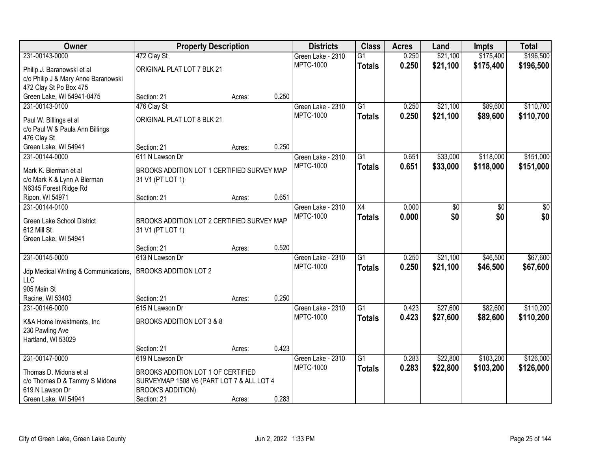| Owner                                     | <b>Property Description</b>                |        |       | <b>Districts</b>                      | <b>Class</b>    | <b>Acres</b> | Land     | <b>Impts</b> | <b>Total</b> |
|-------------------------------------------|--------------------------------------------|--------|-------|---------------------------------------|-----------------|--------------|----------|--------------|--------------|
| 231-00143-0000                            | 472 Clay St                                |        |       | Green Lake - 2310                     | $\overline{G1}$ | 0.250        | \$21,100 | \$175,400    | \$196,500    |
| Philip J. Baranowski et al                | ORIGINAL PLAT LOT 7 BLK 21                 |        |       | <b>MPTC-1000</b>                      | <b>Totals</b>   | 0.250        | \$21,100 | \$175,400    | \$196,500    |
| c/o Philip J & Mary Anne Baranowski       |                                            |        |       |                                       |                 |              |          |              |              |
| 472 Clay St Po Box 475                    |                                            |        |       |                                       |                 |              |          |              |              |
| Green Lake, WI 54941-0475                 | Section: 21                                | Acres: | 0.250 |                                       |                 |              |          |              |              |
| 231-00143-0100                            | 476 Clay St                                |        |       | Green Lake - 2310                     | $\overline{G1}$ | 0.250        | \$21,100 | \$89,600     | \$110,700    |
| Paul W. Billings et al                    | ORIGINAL PLAT LOT 8 BLK 21                 |        |       | <b>MPTC-1000</b>                      | <b>Totals</b>   | 0.250        | \$21,100 | \$89,600     | \$110,700    |
| c/o Paul W & Paula Ann Billings           |                                            |        |       |                                       |                 |              |          |              |              |
| 476 Clay St                               |                                            |        |       |                                       |                 |              |          |              |              |
| Green Lake, WI 54941                      | Section: 21                                | Acres: | 0.250 |                                       |                 |              |          |              |              |
| 231-00144-0000                            | 611 N Lawson Dr                            |        |       | Green Lake - 2310                     | $\overline{G1}$ | 0.651        | \$33,000 | \$118,000    | \$151,000    |
| Mark K. Bierman et al                     | BROOKS ADDITION LOT 1 CERTIFIED SURVEY MAP |        |       | <b>MPTC-1000</b>                      | <b>Totals</b>   | 0.651        | \$33,000 | \$118,000    | \$151,000    |
| c/o Mark K & Lynn A Bierman               | 31 V1 (PT LOT 1)                           |        |       |                                       |                 |              |          |              |              |
| N6345 Forest Ridge Rd                     |                                            |        |       |                                       |                 |              |          |              |              |
| Ripon, WI 54971                           | Section: 21                                | Acres: | 0.651 |                                       |                 |              |          |              |              |
| 231-00144-0100                            |                                            |        |       | Green Lake - 2310                     | X4              | 0.000        | \$0      | \$0          | \$0          |
|                                           |                                            |        |       | <b>MPTC-1000</b>                      | <b>Totals</b>   | 0.000        | \$0      | \$0          | \$0          |
| Green Lake School District<br>612 Mill St | BROOKS ADDITION LOT 2 CERTIFIED SURVEY MAP |        |       |                                       |                 |              |          |              |              |
| Green Lake, WI 54941                      | 31 V1 (PT LOT 1)                           |        |       |                                       |                 |              |          |              |              |
|                                           | Section: 21                                | Acres: | 0.520 |                                       |                 |              |          |              |              |
| 231-00145-0000                            | 613 N Lawson Dr                            |        |       | Green Lake - 2310                     | $\overline{G1}$ | 0.250        | \$21,100 | \$46,500     | \$67,600     |
|                                           |                                            |        |       | <b>MPTC-1000</b>                      | <b>Totals</b>   | 0.250        | \$21,100 | \$46,500     | \$67,600     |
| Jdp Medical Writing & Communications,     | <b>BROOKS ADDITION LOT 2</b>               |        |       |                                       |                 |              |          |              |              |
| LLC                                       |                                            |        |       |                                       |                 |              |          |              |              |
| 905 Main St                               |                                            |        |       |                                       |                 |              |          |              |              |
| Racine, WI 53403                          | Section: 21                                | Acres: | 0.250 |                                       | $\overline{G1}$ |              |          |              |              |
| 231-00146-0000                            | 615 N Lawson Dr                            |        |       | Green Lake - 2310<br><b>MPTC-1000</b> |                 | 0.423        | \$27,600 | \$82,600     | \$110,200    |
| K&A Home Investments, Inc                 | BROOKS ADDITION LOT 3 & 8                  |        |       |                                       | <b>Totals</b>   | 0.423        | \$27,600 | \$82,600     | \$110,200    |
| 230 Pawling Ave                           |                                            |        |       |                                       |                 |              |          |              |              |
| Hartland, WI 53029                        |                                            |        |       |                                       |                 |              |          |              |              |
|                                           | Section: 21                                | Acres: | 0.423 |                                       |                 |              |          |              |              |
| 231-00147-0000                            | 619 N Lawson Dr                            |        |       | Green Lake - 2310                     | $\overline{G1}$ | 0.283        | \$22,800 | \$103,200    | \$126,000    |
| Thomas D. Midona et al                    | BROOKS ADDITION LOT 1 OF CERTIFIED         |        |       | <b>MPTC-1000</b>                      | <b>Totals</b>   | 0.283        | \$22,800 | \$103,200    | \$126,000    |
| c/o Thomas D & Tammy S Midona             | SURVEYMAP 1508 V6 (PART LOT 7 & ALL LOT 4  |        |       |                                       |                 |              |          |              |              |
| 619 N Lawson Dr                           | <b>BROOK'S ADDITION)</b>                   |        |       |                                       |                 |              |          |              |              |
| Green Lake, WI 54941                      | Section: 21                                | Acres: | 0.283 |                                       |                 |              |          |              |              |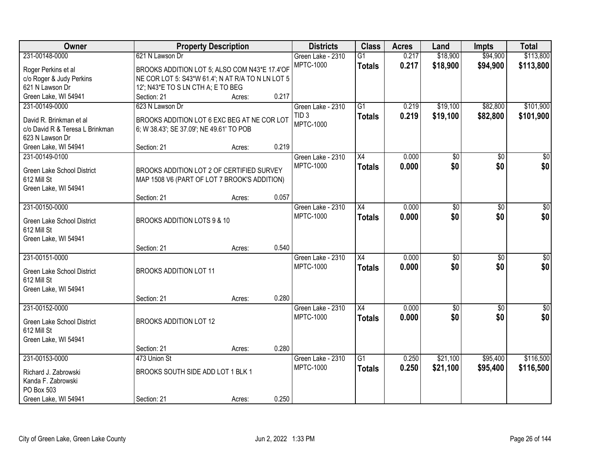| Owner                                                      | <b>Property Description</b>                                                             |        |       | <b>Districts</b>  | <b>Class</b>    | <b>Acres</b> | Land            | <b>Impts</b>    | <b>Total</b>     |
|------------------------------------------------------------|-----------------------------------------------------------------------------------------|--------|-------|-------------------|-----------------|--------------|-----------------|-----------------|------------------|
| 231-00148-0000                                             | 621 N Lawson Dr                                                                         |        |       | Green Lake - 2310 | $\overline{G1}$ | 0.217        | \$18,900        | \$94,900        | \$113,800        |
| Roger Perkins et al                                        | BROOKS ADDITION LOT 5; ALSO COM N43*E 17.4'OF                                           |        |       | <b>MPTC-1000</b>  | <b>Totals</b>   | 0.217        | \$18,900        | \$94,900        | \$113,800        |
| c/o Roger & Judy Perkins                                   | NE COR LOT 5: S43*W 61.4'; N AT R/A TO N LN LOT 5                                       |        |       |                   |                 |              |                 |                 |                  |
| 621 N Lawson Dr                                            | 12'; N43*E TO S LN CTH A; E TO BEG                                                      |        |       |                   |                 |              |                 |                 |                  |
| Green Lake, WI 54941                                       | Section: 21                                                                             | Acres: | 0.217 |                   |                 |              |                 |                 |                  |
| 231-00149-0000                                             | 623 N Lawson Dr                                                                         |        |       | Green Lake - 2310 | $\overline{G1}$ | 0.219        | \$19,100        | \$82,800        | \$101,900        |
|                                                            |                                                                                         |        |       | TID <sub>3</sub>  | <b>Totals</b>   | 0.219        | \$19,100        | \$82,800        | \$101,900        |
| David R. Brinkman et al<br>c/o David R & Teresa L Brinkman | BROOKS ADDITION LOT 6 EXC BEG AT NE COR LOT<br>6; W 38.43'; SE 37.09'; NE 49.61' TO POB |        |       | <b>MPTC-1000</b>  |                 |              |                 |                 |                  |
| 623 N Lawson Dr                                            |                                                                                         |        |       |                   |                 |              |                 |                 |                  |
| Green Lake, WI 54941                                       | Section: 21                                                                             | Acres: | 0.219 |                   |                 |              |                 |                 |                  |
| 231-00149-0100                                             |                                                                                         |        |       | Green Lake - 2310 | X4              | 0.000        | \$0             | \$0             | \$0              |
|                                                            |                                                                                         |        |       | <b>MPTC-1000</b>  | <b>Totals</b>   | 0.000        | \$0             | \$0             | \$0              |
| Green Lake School District                                 | BROOKS ADDITION LOT 2 OF CERTIFIED SURVEY                                               |        |       |                   |                 |              |                 |                 |                  |
| 612 Mill St                                                | MAP 1508 V6 (PART OF LOT 7 BROOK'S ADDITION)                                            |        |       |                   |                 |              |                 |                 |                  |
| Green Lake, WI 54941                                       | Section: 21                                                                             |        | 0.057 |                   |                 |              |                 |                 |                  |
| 231-00150-0000                                             |                                                                                         | Acres: |       | Green Lake - 2310 | X4              | 0.000        | \$0             |                 | \$0              |
|                                                            |                                                                                         |        |       | <b>MPTC-1000</b>  |                 |              | \$0             | \$0<br>\$0      | \$0              |
| Green Lake School District                                 | BROOKS ADDITION LOTS 9 & 10                                                             |        |       |                   | <b>Totals</b>   | 0.000        |                 |                 |                  |
| 612 Mill St                                                |                                                                                         |        |       |                   |                 |              |                 |                 |                  |
| Green Lake, WI 54941                                       |                                                                                         |        |       |                   |                 |              |                 |                 |                  |
|                                                            | Section: 21                                                                             | Acres: | 0.540 |                   |                 |              |                 |                 |                  |
| 231-00151-0000                                             |                                                                                         |        |       | Green Lake - 2310 | $\overline{X4}$ | 0.000        | $\overline{50}$ | $\overline{30}$ | $\overline{30}$  |
| Green Lake School District                                 | <b>BROOKS ADDITION LOT 11</b>                                                           |        |       | <b>MPTC-1000</b>  | <b>Totals</b>   | 0.000        | \$0             | \$0             | \$0              |
| 612 Mill St                                                |                                                                                         |        |       |                   |                 |              |                 |                 |                  |
| Green Lake, WI 54941                                       |                                                                                         |        |       |                   |                 |              |                 |                 |                  |
|                                                            | Section: 21                                                                             | Acres: | 0.280 |                   |                 |              |                 |                 |                  |
| 231-00152-0000                                             |                                                                                         |        |       | Green Lake - 2310 | $\overline{X4}$ | 0.000        | $\overline{60}$ | $\overline{30}$ | $\overline{\$0}$ |
| Green Lake School District                                 | BROOKS ADDITION LOT 12                                                                  |        |       | <b>MPTC-1000</b>  | <b>Totals</b>   | 0.000        | \$0             | \$0             | \$0              |
| 612 Mill St                                                |                                                                                         |        |       |                   |                 |              |                 |                 |                  |
| Green Lake, WI 54941                                       |                                                                                         |        |       |                   |                 |              |                 |                 |                  |
|                                                            | Section: 21                                                                             | Acres: | 0.280 |                   |                 |              |                 |                 |                  |
| 231-00153-0000                                             | 473 Union St                                                                            |        |       | Green Lake - 2310 | $\overline{G1}$ | 0.250        | \$21,100        | \$95,400        | \$116,500        |
|                                                            | BROOKS SOUTH SIDE ADD LOT 1 BLK 1                                                       |        |       | <b>MPTC-1000</b>  | <b>Totals</b>   | 0.250        | \$21,100        | \$95,400        | \$116,500        |
| Richard J. Zabrowski<br>Kanda F. Zabrowski                 |                                                                                         |        |       |                   |                 |              |                 |                 |                  |
| PO Box 503                                                 |                                                                                         |        |       |                   |                 |              |                 |                 |                  |
| Green Lake, WI 54941                                       | Section: 21                                                                             | Acres: | 0.250 |                   |                 |              |                 |                 |                  |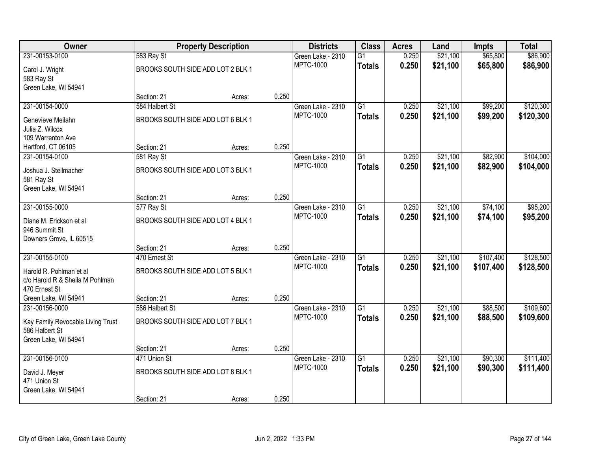| Owner                                    |                                   | <b>Property Description</b> |       | <b>Districts</b>                      | <b>Class</b>    | <b>Acres</b> | Land     | <b>Impts</b> | <b>Total</b> |
|------------------------------------------|-----------------------------------|-----------------------------|-------|---------------------------------------|-----------------|--------------|----------|--------------|--------------|
| 231-00153-0100                           | 583 Ray St                        |                             |       | Green Lake - 2310                     | $\overline{G1}$ | 0.250        | \$21,100 | \$65,800     | \$86,900     |
| Carol J. Wright                          | BROOKS SOUTH SIDE ADD LOT 2 BLK 1 |                             |       | <b>MPTC-1000</b>                      | <b>Totals</b>   | 0.250        | \$21,100 | \$65,800     | \$86,900     |
| 583 Ray St                               |                                   |                             |       |                                       |                 |              |          |              |              |
| Green Lake, WI 54941                     |                                   |                             |       |                                       |                 |              |          |              |              |
|                                          | Section: 21                       | Acres:                      | 0.250 |                                       |                 |              |          |              |              |
| 231-00154-0000                           | 584 Halbert St                    |                             |       | Green Lake - 2310<br><b>MPTC-1000</b> | $\overline{G1}$ | 0.250        | \$21,100 | \$99,200     | \$120,300    |
| Genevieve Meilahn                        | BROOKS SOUTH SIDE ADD LOT 6 BLK 1 |                             |       |                                       | <b>Totals</b>   | 0.250        | \$21,100 | \$99,200     | \$120,300    |
| Julia Z. Wilcox                          |                                   |                             |       |                                       |                 |              |          |              |              |
| 109 Warrenton Ave                        |                                   |                             |       |                                       |                 |              |          |              |              |
| Hartford, CT 06105<br>231-00154-0100     | Section: 21<br>581 Ray St         | Acres:                      | 0.250 | Green Lake - 2310                     | G1              | 0.250        | \$21,100 | \$82,900     | \$104,000    |
|                                          |                                   |                             |       | <b>MPTC-1000</b>                      | <b>Totals</b>   | 0.250        | \$21,100 | \$82,900     | \$104,000    |
| Joshua J. Stellmacher                    | BROOKS SOUTH SIDE ADD LOT 3 BLK 1 |                             |       |                                       |                 |              |          |              |              |
| 581 Ray St                               |                                   |                             |       |                                       |                 |              |          |              |              |
| Green Lake, WI 54941                     | Section: 21                       | Acres:                      | 0.250 |                                       |                 |              |          |              |              |
| 231-00155-0000                           | 577 Ray St                        |                             |       | Green Lake - 2310                     | $\overline{G1}$ | 0.250        | \$21,100 | \$74,100     | \$95,200     |
|                                          |                                   |                             |       | <b>MPTC-1000</b>                      | <b>Totals</b>   | 0.250        | \$21,100 | \$74,100     | \$95,200     |
| Diane M. Erickson et al                  | BROOKS SOUTH SIDE ADD LOT 4 BLK 1 |                             |       |                                       |                 |              |          |              |              |
| 946 Summit St<br>Downers Grove, IL 60515 |                                   |                             |       |                                       |                 |              |          |              |              |
|                                          | Section: 21                       | Acres:                      | 0.250 |                                       |                 |              |          |              |              |
| 231-00155-0100                           | 470 Ernest St                     |                             |       | Green Lake - 2310                     | $\overline{G1}$ | 0.250        | \$21,100 | \$107,400    | \$128,500    |
| Harold R. Pohlman et al                  | BROOKS SOUTH SIDE ADD LOT 5 BLK 1 |                             |       | <b>MPTC-1000</b>                      | <b>Totals</b>   | 0.250        | \$21,100 | \$107,400    | \$128,500    |
| c/o Harold R & Sheila M Pohlman          |                                   |                             |       |                                       |                 |              |          |              |              |
| 470 Ernest St                            |                                   |                             |       |                                       |                 |              |          |              |              |
| Green Lake, WI 54941                     | Section: 21                       | Acres:                      | 0.250 |                                       |                 |              |          |              |              |
| 231-00156-0000                           | 586 Halbert St                    |                             |       | Green Lake - 2310                     | $\overline{G1}$ | 0.250        | \$21,100 | \$88,500     | \$109,600    |
| Kay Family Revocable Living Trust        | BROOKS SOUTH SIDE ADD LOT 7 BLK 1 |                             |       | <b>MPTC-1000</b>                      | <b>Totals</b>   | 0.250        | \$21,100 | \$88,500     | \$109,600    |
| 586 Halbert St                           |                                   |                             |       |                                       |                 |              |          |              |              |
| Green Lake, WI 54941                     |                                   |                             |       |                                       |                 |              |          |              |              |
|                                          | Section: 21                       | Acres:                      | 0.250 |                                       |                 |              |          |              |              |
| 231-00156-0100                           | 471 Union St                      |                             |       | Green Lake - 2310                     | $\overline{G1}$ | 0.250        | \$21,100 | \$90,300     | \$111,400    |
| David J. Meyer                           | BROOKS SOUTH SIDE ADD LOT 8 BLK 1 |                             |       | <b>MPTC-1000</b>                      | <b>Totals</b>   | 0.250        | \$21,100 | \$90,300     | \$111,400    |
| 471 Union St                             |                                   |                             |       |                                       |                 |              |          |              |              |
| Green Lake, WI 54941                     |                                   |                             |       |                                       |                 |              |          |              |              |
|                                          | Section: 21                       | Acres:                      | 0.250 |                                       |                 |              |          |              |              |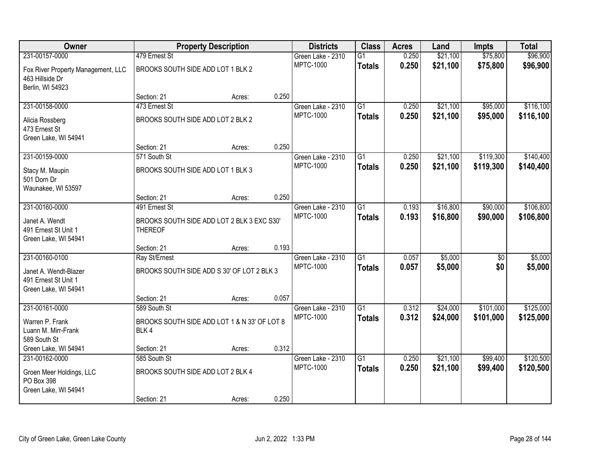| Owner                                                                     |                                                              | <b>Property Description</b> |       | <b>Districts</b>  | <b>Class</b>    | <b>Acres</b> | Land     | <b>Impts</b> | <b>Total</b> |
|---------------------------------------------------------------------------|--------------------------------------------------------------|-----------------------------|-------|-------------------|-----------------|--------------|----------|--------------|--------------|
| 231-00157-0000                                                            | 479 Ernest St                                                |                             |       | Green Lake - 2310 | $\overline{G1}$ | 0.250        | \$21,100 | \$75,800     | \$96,900     |
| Fox River Property Management, LLC<br>463 Hillside Dr<br>Berlin, WI 54923 | BROOKS SOUTH SIDE ADD LOT 1 BLK 2                            |                             |       | <b>MPTC-1000</b>  | <b>Totals</b>   | 0.250        | \$21,100 | \$75,800     | \$96,900     |
|                                                                           | Section: 21                                                  | Acres:                      | 0.250 |                   |                 |              |          |              |              |
| 231-00158-0000                                                            | 473 Ernest St                                                |                             |       | Green Lake - 2310 | G1              | 0.250        | \$21,100 | \$95,000     | \$116,100    |
| Alicia Rossberg<br>473 Ernest St<br>Green Lake, WI 54941                  | BROOKS SOUTH SIDE ADD LOT 2 BLK 2                            |                             |       | <b>MPTC-1000</b>  | <b>Totals</b>   | 0.250        | \$21,100 | \$95,000     | \$116,100    |
|                                                                           | Section: 21                                                  | Acres:                      | 0.250 |                   |                 |              |          |              |              |
| 231-00159-0000                                                            | 571 South St                                                 |                             |       | Green Lake - 2310 | $\overline{G1}$ | 0.250        | \$21,100 | \$119,300    | \$140,400    |
| Stacy M. Maupin<br>501 Dorn Dr<br>Waunakee, WI 53597                      | BROOKS SOUTH SIDE ADD LOT 1 BLK 3                            |                             |       | <b>MPTC-1000</b>  | <b>Totals</b>   | 0.250        | \$21,100 | \$119,300    | \$140,400    |
|                                                                           | Section: 21                                                  | Acres:                      | 0.250 |                   |                 |              |          |              |              |
| 231-00160-0000                                                            | 491 Ernest St                                                |                             |       | Green Lake - 2310 | $\overline{G1}$ | 0.193        | \$16,800 | \$90,000     | \$106,800    |
| Janet A. Wendt<br>491 Ernest St Unit 1<br>Green Lake, WI 54941            | BROOKS SOUTH SIDE ADD LOT 2 BLK 3 EXC S30'<br><b>THEREOF</b> |                             |       | <b>MPTC-1000</b>  | <b>Totals</b>   | 0.193        | \$16,800 | \$90,000     | \$106,800    |
|                                                                           | Section: 21                                                  | Acres:                      | 0.193 |                   |                 |              |          |              |              |
| 231-00160-0100                                                            | Ray St/Ernest                                                |                             |       | Green Lake - 2310 | $\overline{G1}$ | 0.057        | \$5,000  | \$0          | \$5,000      |
| Janet A. Wendt-Blazer<br>491 Ernest St Unit 1<br>Green Lake, WI 54941     | BROOKS SOUTH SIDE ADD S 30' OF LOT 2 BLK 3                   |                             |       | <b>MPTC-1000</b>  | <b>Totals</b>   | 0.057        | \$5,000  | \$0          | \$5,000      |
|                                                                           | Section: 21                                                  | Acres:                      | 0.057 |                   |                 |              |          |              |              |
| 231-00161-0000                                                            | 589 South St                                                 |                             |       | Green Lake - 2310 | $\overline{G1}$ | 0.312        | \$24,000 | \$101,000    | \$125,000    |
| Warren P. Frank<br>Luann M. Mirr-Frank<br>589 South St                    | BROOKS SOUTH SIDE ADD LOT 1 & N 33' OF LOT 8<br>BLK4         |                             |       | <b>MPTC-1000</b>  | <b>Totals</b>   | 0.312        | \$24,000 | \$101,000    | \$125,000    |
| Green Lake, WI 54941                                                      | Section: 21                                                  | Acres:                      | 0.312 |                   |                 |              |          |              |              |
| 231-00162-0000                                                            | 585 South St                                                 |                             |       | Green Lake - 2310 | $\overline{G1}$ | 0.250        | \$21,100 | \$99,400     | \$120,500    |
| Groen Meer Holdings, LLC<br>PO Box 398                                    | BROOKS SOUTH SIDE ADD LOT 2 BLK 4                            |                             |       | <b>MPTC-1000</b>  | <b>Totals</b>   | 0.250        | \$21,100 | \$99,400     | \$120,500    |
| Green Lake, WI 54941                                                      | Section: 21                                                  | Acres:                      | 0.250 |                   |                 |              |          |              |              |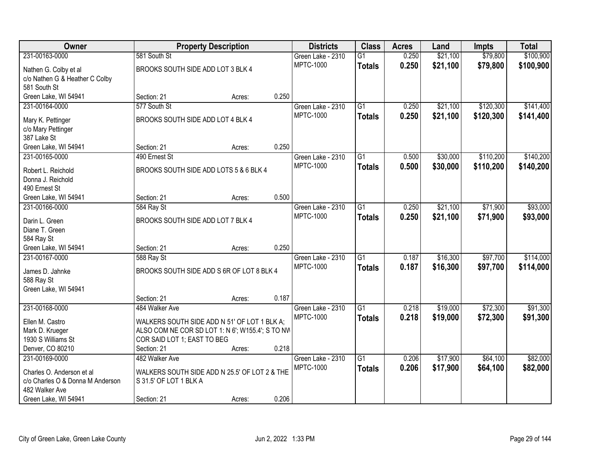| Owner                                   |                                                  | <b>Property Description</b> |       | <b>Districts</b>                      | <b>Class</b>    | <b>Acres</b> | Land     | <b>Impts</b> | <b>Total</b> |
|-----------------------------------------|--------------------------------------------------|-----------------------------|-------|---------------------------------------|-----------------|--------------|----------|--------------|--------------|
| 231-00163-0000                          | 581 South St                                     |                             |       | Green Lake - 2310                     | $\overline{G1}$ | 0.250        | \$21,100 | \$79,800     | \$100,900    |
| Nathen G. Colby et al                   | BROOKS SOUTH SIDE ADD LOT 3 BLK 4                |                             |       | <b>MPTC-1000</b>                      | <b>Totals</b>   | 0.250        | \$21,100 | \$79,800     | \$100,900    |
| c/o Nathen G & Heather C Colby          |                                                  |                             |       |                                       |                 |              |          |              |              |
| 581 South St                            |                                                  |                             |       |                                       |                 |              |          |              |              |
| Green Lake, WI 54941                    | Section: 21                                      | Acres:                      | 0.250 |                                       |                 |              |          |              |              |
| 231-00164-0000                          | 577 South St                                     |                             |       | Green Lake - 2310                     | $\overline{G1}$ | 0.250        | \$21,100 | \$120,300    | \$141,400    |
| Mary K. Pettinger                       | BROOKS SOUTH SIDE ADD LOT 4 BLK 4                |                             |       | <b>MPTC-1000</b>                      | <b>Totals</b>   | 0.250        | \$21,100 | \$120,300    | \$141,400    |
| c/o Mary Pettinger                      |                                                  |                             |       |                                       |                 |              |          |              |              |
| 387 Lake St                             |                                                  |                             |       |                                       |                 |              |          |              |              |
| Green Lake, WI 54941                    | Section: 21                                      | Acres:                      | 0.250 |                                       |                 |              |          |              |              |
| 231-00165-0000                          | 490 Ernest St                                    |                             |       | Green Lake - 2310                     | G1              | 0.500        | \$30,000 | \$110,200    | \$140,200    |
|                                         |                                                  |                             |       | <b>MPTC-1000</b>                      | <b>Totals</b>   | 0.500        | \$30,000 | \$110,200    | \$140,200    |
| Robert L. Reichold<br>Donna J. Reichold | BROOKS SOUTH SIDE ADD LOTS 5 & 6 BLK 4           |                             |       |                                       |                 |              |          |              |              |
| 490 Ernest St                           |                                                  |                             |       |                                       |                 |              |          |              |              |
| Green Lake, WI 54941                    | Section: 21                                      | Acres:                      | 0.500 |                                       |                 |              |          |              |              |
| 231-00166-0000                          | 584 Ray St                                       |                             |       | Green Lake - 2310                     | G1              | 0.250        | \$21,100 | \$71,900     | \$93,000     |
|                                         |                                                  |                             |       | <b>MPTC-1000</b>                      | <b>Totals</b>   | 0.250        | \$21,100 | \$71,900     | \$93,000     |
| Darin L. Green                          | BROOKS SOUTH SIDE ADD LOT 7 BLK 4                |                             |       |                                       |                 |              |          |              |              |
| Diane T. Green                          |                                                  |                             |       |                                       |                 |              |          |              |              |
| 584 Ray St                              | Section: 21                                      |                             | 0.250 |                                       |                 |              |          |              |              |
| Green Lake, WI 54941<br>231-00167-0000  | 588 Ray St                                       | Acres:                      |       |                                       | $\overline{G1}$ | 0.187        | \$16,300 | \$97,700     | \$114,000    |
|                                         |                                                  |                             |       | Green Lake - 2310<br><b>MPTC-1000</b> |                 | 0.187        |          |              |              |
| James D. Jahnke                         | BROOKS SOUTH SIDE ADD S 6R OF LOT 8 BLK 4        |                             |       |                                       | <b>Totals</b>   |              | \$16,300 | \$97,700     | \$114,000    |
| 588 Ray St                              |                                                  |                             |       |                                       |                 |              |          |              |              |
| Green Lake, WI 54941                    |                                                  |                             |       |                                       |                 |              |          |              |              |
|                                         | Section: 21                                      | Acres:                      | 0.187 |                                       |                 |              |          |              |              |
| 231-00168-0000                          | 484 Walker Ave                                   |                             |       | Green Lake - 2310                     | $\overline{G1}$ | 0.218        | \$19,000 | \$72,300     | \$91,300     |
| Ellen M. Castro                         | WALKERS SOUTH SIDE ADD N 51' OF LOT 1 BLK A;     |                             |       | <b>MPTC-1000</b>                      | <b>Totals</b>   | 0.218        | \$19,000 | \$72,300     | \$91,300     |
| Mark D. Krueger                         | ALSO COM NE COR SD LOT 1: N 6'; W155.4'; S TO NW |                             |       |                                       |                 |              |          |              |              |
| 1930 S Williams St                      | COR SAID LOT 1; EAST TO BEG                      |                             |       |                                       |                 |              |          |              |              |
| Denver, CO 80210                        | Section: 21                                      | Acres:                      | 0.218 |                                       |                 |              |          |              |              |
| 231-00169-0000                          | 482 Walker Ave                                   |                             |       | Green Lake - 2310                     | $\overline{G1}$ | 0.206        | \$17,900 | \$64,100     | \$82,000     |
| Charles O. Anderson et al               | WALKERS SOUTH SIDE ADD N 25.5' OF LOT 2 & THE    |                             |       | <b>MPTC-1000</b>                      | <b>Totals</b>   | 0.206        | \$17,900 | \$64,100     | \$82,000     |
| c/o Charles O & Donna M Anderson        | S 31.5' OF LOT 1 BLK A                           |                             |       |                                       |                 |              |          |              |              |
| 482 Walker Ave                          |                                                  |                             |       |                                       |                 |              |          |              |              |
| Green Lake, WI 54941                    | Section: 21                                      | Acres:                      | 0.206 |                                       |                 |              |          |              |              |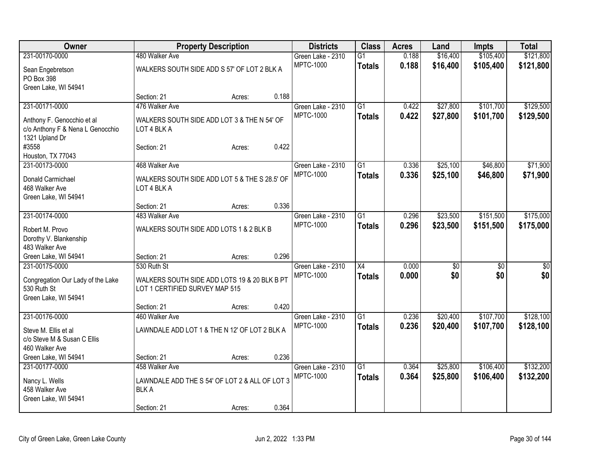| Owner                             |                                                | <b>Property Description</b> |       | <b>Districts</b>  | <b>Class</b>    | <b>Acres</b> | Land            | Impts           | <b>Total</b>    |
|-----------------------------------|------------------------------------------------|-----------------------------|-------|-------------------|-----------------|--------------|-----------------|-----------------|-----------------|
| 231-00170-0000                    | 480 Walker Ave                                 |                             |       | Green Lake - 2310 | $\overline{G1}$ | 0.188        | \$16,400        | \$105,400       | \$121,800       |
| Sean Engebretson                  | WALKERS SOUTH SIDE ADD S 57' OF LOT 2 BLK A    |                             |       | <b>MPTC-1000</b>  | <b>Totals</b>   | 0.188        | \$16,400        | \$105,400       | \$121,800       |
| PO Box 398                        |                                                |                             |       |                   |                 |              |                 |                 |                 |
| Green Lake, WI 54941              |                                                |                             |       |                   |                 |              |                 |                 |                 |
|                                   | Section: 21                                    | Acres:                      | 0.188 |                   |                 |              |                 |                 |                 |
| 231-00171-0000                    | 476 Walker Ave                                 |                             |       | Green Lake - 2310 | $\overline{G1}$ | 0.422        | \$27,800        | \$101,700       | \$129,500       |
| Anthony F. Genocchio et al        | WALKERS SOUTH SIDE ADD LOT 3 & THE N 54' OF    |                             |       | <b>MPTC-1000</b>  | <b>Totals</b>   | 0.422        | \$27,800        | \$101,700       | \$129,500       |
| c/o Anthony F & Nena L Genocchio  | LOT 4 BLK A                                    |                             |       |                   |                 |              |                 |                 |                 |
| 1321 Upland Dr                    |                                                |                             |       |                   |                 |              |                 |                 |                 |
| #3558                             | Section: 21                                    | Acres:                      | 0.422 |                   |                 |              |                 |                 |                 |
| Houston, TX 77043                 |                                                |                             |       |                   |                 |              |                 |                 |                 |
| 231-00173-0000                    | 468 Walker Ave                                 |                             |       | Green Lake - 2310 | $\overline{G1}$ | 0.336        | \$25,100        | \$46,800        | \$71,900        |
| Donald Carmichael                 | WALKERS SOUTH SIDE ADD LOT 5 & THE S 28.5' OF  |                             |       | <b>MPTC-1000</b>  | <b>Totals</b>   | 0.336        | \$25,100        | \$46,800        | \$71,900        |
| 468 Walker Ave                    | LOT 4 BLK A                                    |                             |       |                   |                 |              |                 |                 |                 |
| Green Lake, WI 54941              |                                                |                             |       |                   |                 |              |                 |                 |                 |
|                                   | Section: 21                                    | Acres:                      | 0.336 |                   |                 |              |                 |                 |                 |
| 231-00174-0000                    | 483 Walker Ave                                 |                             |       | Green Lake - 2310 | $\overline{G1}$ | 0.296        | \$23,500        | \$151,500       | \$175,000       |
| Robert M. Provo                   | WALKERS SOUTH SIDE ADD LOTS 1 & 2 BLK B        |                             |       | MPTC-1000         | <b>Totals</b>   | 0.296        | \$23,500        | \$151,500       | \$175,000       |
| Dorothy V. Blankenship            |                                                |                             |       |                   |                 |              |                 |                 |                 |
| 483 Walker Ave                    |                                                |                             |       |                   |                 |              |                 |                 |                 |
| Green Lake, WI 54941              | Section: 21                                    | Acres:                      | 0.296 |                   |                 |              |                 |                 |                 |
| 231-00175-0000                    | 530 Ruth St                                    |                             |       | Green Lake - 2310 | $\overline{X4}$ | 0.000        | $\overline{50}$ | $\overline{30}$ | $\overline{50}$ |
| Congregation Our Lady of the Lake | WALKERS SOUTH SIDE ADD LOTS 19 & 20 BLK B PT   |                             |       | <b>MPTC-1000</b>  | <b>Totals</b>   | 0.000        | \$0             | \$0             | \$0             |
| 530 Ruth St                       | LOT 1 CERTIFIED SURVEY MAP 515                 |                             |       |                   |                 |              |                 |                 |                 |
| Green Lake, WI 54941              |                                                |                             |       |                   |                 |              |                 |                 |                 |
|                                   | Section: 21                                    | Acres:                      | 0.420 |                   |                 |              |                 |                 |                 |
| 231-00176-0000                    | 460 Walker Ave                                 |                             |       | Green Lake - 2310 | $\overline{G1}$ | 0.236        | \$20,400        | \$107,700       | \$128,100       |
| Steve M. Ellis et al              | LAWNDALE ADD LOT 1 & THE N 12' OF LOT 2 BLK A  |                             |       | MPTC-1000         | <b>Totals</b>   | 0.236        | \$20,400        | \$107,700       | \$128,100       |
| c/o Steve M & Susan C Ellis       |                                                |                             |       |                   |                 |              |                 |                 |                 |
| 460 Walker Ave                    |                                                |                             |       |                   |                 |              |                 |                 |                 |
| Green Lake, WI 54941              | Section: 21                                    | Acres:                      | 0.236 |                   |                 |              |                 |                 |                 |
| 231-00177-0000                    | 458 Walker Ave                                 |                             |       | Green Lake - 2310 | $\overline{G1}$ | 0.364        | \$25,800        | \$106,400       | \$132,200       |
| Nancy L. Wells                    | LAWNDALE ADD THE S 54' OF LOT 2 & ALL OF LOT 3 |                             |       | <b>MPTC-1000</b>  | <b>Totals</b>   | 0.364        | \$25,800        | \$106,400       | \$132,200       |
| 458 Walker Ave                    | <b>BLKA</b>                                    |                             |       |                   |                 |              |                 |                 |                 |
| Green Lake, WI 54941              |                                                |                             |       |                   |                 |              |                 |                 |                 |
|                                   | Section: 21                                    | Acres:                      | 0.364 |                   |                 |              |                 |                 |                 |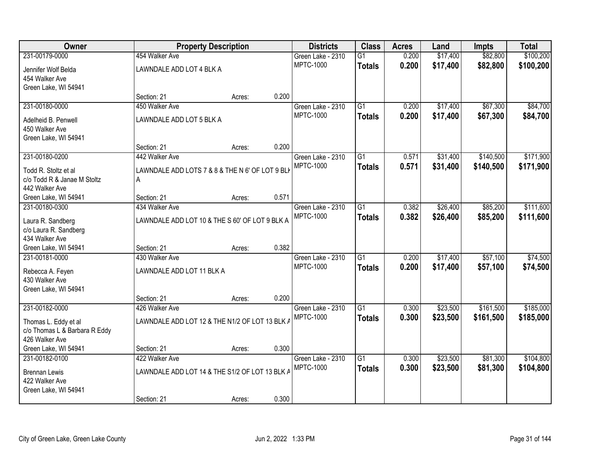| Owner                                                 | <b>Property Description</b>                     |        |       | <b>Districts</b>  | <b>Class</b>    | <b>Acres</b> | Land     | Impts     | <b>Total</b> |
|-------------------------------------------------------|-------------------------------------------------|--------|-------|-------------------|-----------------|--------------|----------|-----------|--------------|
| 231-00179-0000                                        | 454 Walker Ave                                  |        |       | Green Lake - 2310 | $\overline{G1}$ | 0.200        | \$17,400 | \$82,800  | \$100,200    |
| Jennifer Wolf Belda                                   | LAWNDALE ADD LOT 4 BLK A                        |        |       | <b>MPTC-1000</b>  | <b>Totals</b>   | 0.200        | \$17,400 | \$82,800  | \$100,200    |
| 454 Walker Ave                                        |                                                 |        |       |                   |                 |              |          |           |              |
| Green Lake, WI 54941                                  |                                                 |        |       |                   |                 |              |          |           |              |
|                                                       | Section: 21                                     | Acres: | 0.200 |                   |                 |              |          |           |              |
| 231-00180-0000                                        | 450 Walker Ave                                  |        |       | Green Lake - 2310 | $\overline{G1}$ | 0.200        | \$17,400 | \$67,300  | \$84,700     |
| Adelheid B. Penwell                                   | LAWNDALE ADD LOT 5 BLK A                        |        |       | <b>MPTC-1000</b>  | <b>Totals</b>   | 0.200        | \$17,400 | \$67,300  | \$84,700     |
| 450 Walker Ave                                        |                                                 |        |       |                   |                 |              |          |           |              |
| Green Lake, WI 54941                                  |                                                 |        |       |                   |                 |              |          |           |              |
|                                                       | Section: 21                                     | Acres: | 0.200 |                   |                 |              |          |           |              |
| 231-00180-0200                                        | 442 Walker Ave                                  |        |       | Green Lake - 2310 | $\overline{G1}$ | 0.571        | \$31,400 | \$140,500 | \$171,900    |
| Todd R. Stoltz et al.                                 | LAWNDALE ADD LOTS 7 & 8 & THE N 6' OF LOT 9 BLK |        |       | <b>MPTC-1000</b>  | <b>Totals</b>   | 0.571        | \$31,400 | \$140,500 | \$171,900    |
| c/o Todd R & Janae M Stoltz                           | A                                               |        |       |                   |                 |              |          |           |              |
| 442 Walker Ave                                        |                                                 |        |       |                   |                 |              |          |           |              |
| Green Lake, WI 54941                                  | Section: 21                                     | Acres: | 0.571 |                   |                 |              |          |           |              |
| 231-00180-0300                                        | 434 Walker Ave                                  |        |       | Green Lake - 2310 | $\overline{G1}$ | 0.382        | \$26,400 | \$85,200  | \$111,600    |
| Laura R. Sandberg                                     | LAWNDALE ADD LOT 10 & THE S 60' OF LOT 9 BLK A  |        |       | <b>MPTC-1000</b>  | <b>Totals</b>   | 0.382        | \$26,400 | \$85,200  | \$111,600    |
| c/o Laura R. Sandberg                                 |                                                 |        |       |                   |                 |              |          |           |              |
| 434 Walker Ave                                        |                                                 |        |       |                   |                 |              |          |           |              |
| Green Lake, WI 54941                                  | Section: 21                                     | Acres: | 0.382 |                   |                 |              |          |           |              |
| 231-00181-0000                                        | 430 Walker Ave                                  |        |       | Green Lake - 2310 | $\overline{G1}$ | 0.200        | \$17,400 | \$57,100  | \$74,500     |
| Rebecca A. Feyen                                      | LAWNDALE ADD LOT 11 BLK A                       |        |       | <b>MPTC-1000</b>  | <b>Totals</b>   | 0.200        | \$17,400 | \$57,100  | \$74,500     |
| 430 Walker Ave                                        |                                                 |        |       |                   |                 |              |          |           |              |
| Green Lake, WI 54941                                  |                                                 |        |       |                   |                 |              |          |           |              |
|                                                       | Section: 21                                     | Acres: | 0.200 |                   |                 |              |          |           |              |
| 231-00182-0000                                        | 426 Walker Ave                                  |        |       | Green Lake - 2310 | $\overline{G1}$ | 0.300        | \$23,500 | \$161,500 | \$185,000    |
|                                                       | LAWNDALE ADD LOT 12 & THE N1/2 OF LOT 13 BLK /  |        |       | <b>MPTC-1000</b>  | <b>Totals</b>   | 0.300        | \$23,500 | \$161,500 | \$185,000    |
| Thomas L. Eddy et al<br>c/o Thomas L & Barbara R Eddy |                                                 |        |       |                   |                 |              |          |           |              |
| 426 Walker Ave                                        |                                                 |        |       |                   |                 |              |          |           |              |
| Green Lake, WI 54941                                  | Section: 21                                     | Acres: | 0.300 |                   |                 |              |          |           |              |
| 231-00182-0100                                        | 422 Walker Ave                                  |        |       | Green Lake - 2310 | $\overline{G1}$ | 0.300        | \$23,500 | \$81,300  | \$104,800    |
|                                                       |                                                 |        |       | MPTC-1000         | <b>Totals</b>   | 0.300        | \$23,500 | \$81,300  | \$104,800    |
| <b>Brennan Lewis</b><br>422 Walker Ave                | LAWNDALE ADD LOT 14 & THE S1/2 OF LOT 13 BLK A  |        |       |                   |                 |              |          |           |              |
| Green Lake, WI 54941                                  |                                                 |        |       |                   |                 |              |          |           |              |
|                                                       | Section: 21                                     | Acres: | 0.300 |                   |                 |              |          |           |              |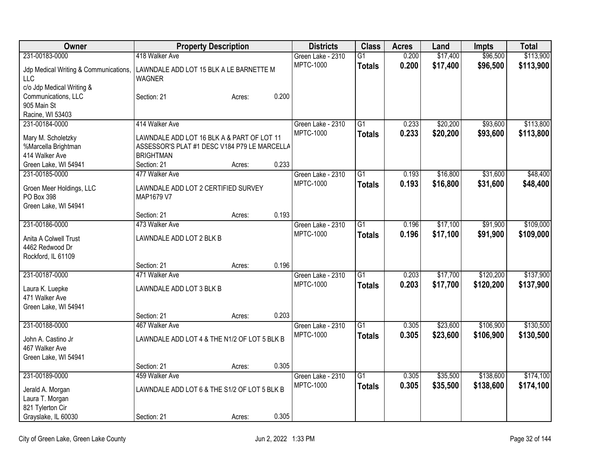| Owner                                  |                                                   | <b>Property Description</b> |       | <b>Districts</b>  | <b>Class</b>    | <b>Acres</b> | Land     | <b>Impts</b> | <b>Total</b> |
|----------------------------------------|---------------------------------------------------|-----------------------------|-------|-------------------|-----------------|--------------|----------|--------------|--------------|
| 231-00183-0000                         | 418 Walker Ave                                    |                             |       | Green Lake - 2310 | $\overline{G1}$ | 0.200        | \$17,400 | \$96,500     | \$113,900    |
| Jdp Medical Writing & Communications,  | LAWNDALE ADD LOT 15 BLK A LE BARNETTE M           |                             |       | <b>MPTC-1000</b>  | <b>Totals</b>   | 0.200        | \$17,400 | \$96,500     | \$113,900    |
| LLC                                    | <b>WAGNER</b>                                     |                             |       |                   |                 |              |          |              |              |
| c/o Jdp Medical Writing &              |                                                   |                             |       |                   |                 |              |          |              |              |
| Communications, LLC                    | Section: 21                                       | Acres:                      | 0.200 |                   |                 |              |          |              |              |
| 905 Main St                            |                                                   |                             |       |                   |                 |              |          |              |              |
| Racine, WI 53403                       |                                                   |                             |       |                   |                 |              |          |              |              |
| 231-00184-0000                         | 414 Walker Ave                                    |                             |       | Green Lake - 2310 | $\overline{G1}$ | 0.233        | \$20,200 | \$93,600     | \$113,800    |
| Mary M. Scholetzky                     | LAWNDALE ADD LOT 16 BLK A & PART OF LOT 11        |                             |       | <b>MPTC-1000</b>  | <b>Totals</b>   | 0.233        | \$20,200 | \$93,600     | \$113,800    |
| %Marcella Brightman                    | ASSESSOR'S PLAT #1 DESC V184 P79 LE MARCELLA      |                             |       |                   |                 |              |          |              |              |
| 414 Walker Ave                         | <b>BRIGHTMAN</b>                                  |                             |       |                   |                 |              |          |              |              |
| Green Lake, WI 54941                   | Section: 21                                       | Acres:                      | 0.233 |                   |                 |              |          |              |              |
| 231-00185-0000                         | 477 Walker Ave                                    |                             |       | Green Lake - 2310 | G1              | 0.193        | \$16,800 | \$31,600     | \$48,400     |
|                                        |                                                   |                             |       | <b>MPTC-1000</b>  | <b>Totals</b>   | 0.193        | \$16,800 | \$31,600     | \$48,400     |
| Groen Meer Holdings, LLC<br>PO Box 398 | LAWNDALE ADD LOT 2 CERTIFIED SURVEY<br>MAP1679 V7 |                             |       |                   |                 |              |          |              |              |
| Green Lake, WI 54941                   |                                                   |                             |       |                   |                 |              |          |              |              |
|                                        | Section: 21                                       | Acres:                      | 0.193 |                   |                 |              |          |              |              |
| 231-00186-0000                         | 473 Walker Ave                                    |                             |       | Green Lake - 2310 | G1              | 0.196        | \$17,100 | \$91,900     | \$109,000    |
|                                        |                                                   |                             |       | <b>MPTC-1000</b>  | <b>Totals</b>   | 0.196        | \$17,100 | \$91,900     | \$109,000    |
| Anita A Colwell Trust                  | LAWNDALE ADD LOT 2 BLK B                          |                             |       |                   |                 |              |          |              |              |
| 4462 Redwood Dr<br>Rockford, IL 61109  |                                                   |                             |       |                   |                 |              |          |              |              |
|                                        | Section: 21                                       | Acres:                      | 0.196 |                   |                 |              |          |              |              |
| 231-00187-0000                         | 471 Walker Ave                                    |                             |       | Green Lake - 2310 | $\overline{G1}$ | 0.203        | \$17,700 | \$120,200    | \$137,900    |
|                                        |                                                   |                             |       | <b>MPTC-1000</b>  | <b>Totals</b>   | 0.203        | \$17,700 | \$120,200    | \$137,900    |
| Laura K. Luepke                        | LAWNDALE ADD LOT 3 BLK B                          |                             |       |                   |                 |              |          |              |              |
| 471 Walker Ave                         |                                                   |                             |       |                   |                 |              |          |              |              |
| Green Lake, WI 54941                   |                                                   |                             |       |                   |                 |              |          |              |              |
|                                        | Section: 21                                       | Acres:                      | 0.203 |                   |                 |              |          |              |              |
| 231-00188-0000                         | 467 Walker Ave                                    |                             |       | Green Lake - 2310 | $\overline{G1}$ | 0.305        | \$23,600 | \$106,900    | \$130,500    |
| John A. Castino Jr                     | LAWNDALE ADD LOT 4 & THE N1/2 OF LOT 5 BLK B      |                             |       | <b>MPTC-1000</b>  | <b>Totals</b>   | 0.305        | \$23,600 | \$106,900    | \$130,500    |
| 467 Walker Ave                         |                                                   |                             |       |                   |                 |              |          |              |              |
| Green Lake, WI 54941                   |                                                   |                             |       |                   |                 |              |          |              |              |
|                                        | Section: 21                                       | Acres:                      | 0.305 |                   |                 |              |          |              |              |
| 231-00189-0000                         | 459 Walker Ave                                    |                             |       | Green Lake - 2310 | $\overline{G1}$ | 0.305        | \$35,500 | \$138,600    | \$174,100    |
| Jerald A. Morgan                       | LAWNDALE ADD LOT 6 & THE S1/2 OF LOT 5 BLK B      |                             |       | <b>MPTC-1000</b>  | <b>Totals</b>   | 0.305        | \$35,500 | \$138,600    | \$174,100    |
| Laura T. Morgan                        |                                                   |                             |       |                   |                 |              |          |              |              |
| 821 Tylerton Cir                       |                                                   |                             |       |                   |                 |              |          |              |              |
| Grayslake, IL 60030                    | Section: 21                                       | Acres:                      | 0.305 |                   |                 |              |          |              |              |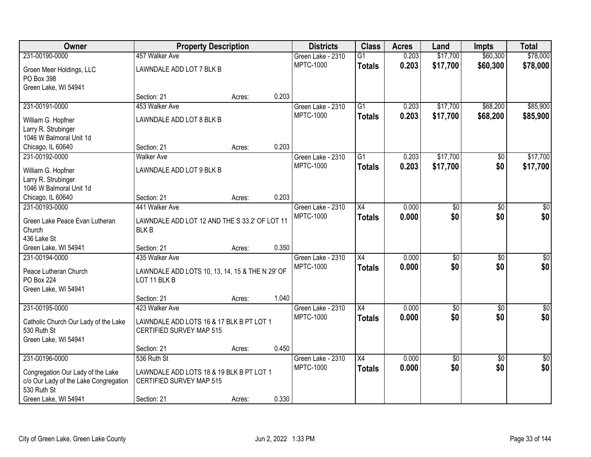| Owner                                                                      | <b>Property Description</b>                                          |        | <b>Districts</b>  | <b>Class</b>    | <b>Acres</b> | Land            | <b>Impts</b>    | <b>Total</b>    |
|----------------------------------------------------------------------------|----------------------------------------------------------------------|--------|-------------------|-----------------|--------------|-----------------|-----------------|-----------------|
| 231-00190-0000                                                             | 457 Walker Ave                                                       |        | Green Lake - 2310 | $\overline{G1}$ | 0.203        | \$17,700        | \$60,300        | \$78,000        |
| Groen Meer Holdings, LLC                                                   | LAWNDALE ADD LOT 7 BLK B                                             |        | <b>MPTC-1000</b>  | <b>Totals</b>   | 0.203        | \$17,700        | \$60,300        | \$78,000        |
| PO Box 398                                                                 |                                                                      |        |                   |                 |              |                 |                 |                 |
| Green Lake, WI 54941                                                       |                                                                      |        |                   |                 |              |                 |                 |                 |
|                                                                            | Section: 21                                                          | Acres: | 0.203             |                 |              |                 |                 |                 |
| 231-00191-0000                                                             | 453 Walker Ave                                                       |        | Green Lake - 2310 | $\overline{G1}$ | 0.203        | \$17,700        | \$68,200        | \$85,900        |
| William G. Hopfner                                                         | LAWNDALE ADD LOT 8 BLK B                                             |        | <b>MPTC-1000</b>  | <b>Totals</b>   | 0.203        | \$17,700        | \$68,200        | \$85,900        |
| Larry R. Strubinger                                                        |                                                                      |        |                   |                 |              |                 |                 |                 |
| 1046 W Balmoral Unit 1d                                                    |                                                                      |        |                   |                 |              |                 |                 |                 |
| Chicago, IL 60640                                                          | Section: 21                                                          | Acres: | 0.203             |                 |              |                 |                 |                 |
| 231-00192-0000                                                             | <b>Walker Ave</b>                                                    |        | Green Lake - 2310 | $\overline{G1}$ | 0.203        | \$17,700        | \$0             | \$17,700        |
| William G. Hopfner                                                         | LAWNDALE ADD LOT 9 BLK B                                             |        | <b>MPTC-1000</b>  | <b>Totals</b>   | 0.203        | \$17,700        | \$0             | \$17,700        |
| Larry R. Strubinger                                                        |                                                                      |        |                   |                 |              |                 |                 |                 |
| 1046 W Balmoral Unit 1d                                                    |                                                                      |        |                   |                 |              |                 |                 |                 |
| Chicago, IL 60640                                                          | Section: 21                                                          | Acres: | 0.203             |                 |              |                 |                 |                 |
| 231-00193-0000                                                             | 441 Walker Ave                                                       |        | Green Lake - 2310 | $\overline{X4}$ | 0.000        | $\overline{50}$ | \$0             | $\sqrt{50}$     |
| Green Lake Peace Evan Lutheran                                             | LAWNDALE ADD LOT 12 AND THE S 33.2' OF LOT 11                        |        | <b>MPTC-1000</b>  | <b>Totals</b>   | 0.000        | \$0             | \$0             | \$0             |
| Church                                                                     | <b>BLKB</b>                                                          |        |                   |                 |              |                 |                 |                 |
| 436 Lake St                                                                |                                                                      |        |                   |                 |              |                 |                 |                 |
| Green Lake, WI 54941                                                       | Section: 21                                                          | Acres: | 0.350             |                 |              |                 |                 |                 |
| 231-00194-0000                                                             | 435 Walker Ave                                                       |        | Green Lake - 2310 | $\overline{X4}$ | 0.000        | $\overline{50}$ | $\overline{50}$ | $\overline{50}$ |
| Peace Lutheran Church                                                      | LAWNDALE ADD LOTS 10, 13, 14, 15 & THE N 29' OF                      |        | <b>MPTC-1000</b>  | <b>Totals</b>   | 0.000        | \$0             | \$0             | \$0             |
| PO Box 224                                                                 | LOT 11 BLK B                                                         |        |                   |                 |              |                 |                 |                 |
| Green Lake, WI 54941                                                       |                                                                      |        |                   |                 |              |                 |                 |                 |
|                                                                            | Section: 21                                                          | Acres: | 1.040             |                 |              |                 |                 |                 |
| 231-00195-0000                                                             | 423 Walker Ave                                                       |        | Green Lake - 2310 | $\overline{X4}$ | 0.000        | $\sqrt{$0}$     | \$0             | $\sqrt{30}$     |
|                                                                            |                                                                      |        | <b>MPTC-1000</b>  | <b>Totals</b>   | 0.000        | \$0             | \$0             | \$0             |
| Catholic Church Our Lady of the Lake<br>530 Ruth St                        | LAWNDALE ADD LOTS 16 & 17 BLK B PT LOT 1<br>CERTIFIED SURVEY MAP 515 |        |                   |                 |              |                 |                 |                 |
| Green Lake, WI 54941                                                       |                                                                      |        |                   |                 |              |                 |                 |                 |
|                                                                            | Section: 21                                                          | Acres: | 0.450             |                 |              |                 |                 |                 |
| 231-00196-0000                                                             | 536 Ruth St                                                          |        | Green Lake - 2310 | $\overline{X4}$ | 0.000        | $\overline{50}$ | $\overline{50}$ | $\overline{50}$ |
|                                                                            |                                                                      |        | <b>MPTC-1000</b>  | <b>Totals</b>   | 0.000        | \$0             | \$0             | \$0             |
| Congregation Our Lady of the Lake<br>c/o Our Lady of the Lake Congregation | LAWNDALE ADD LOTS 18 & 19 BLK B PT LOT 1<br>CERTIFIED SURVEY MAP 515 |        |                   |                 |              |                 |                 |                 |
| 530 Ruth St                                                                |                                                                      |        |                   |                 |              |                 |                 |                 |
| Green Lake, WI 54941                                                       | Section: 21                                                          | Acres: | 0.330             |                 |              |                 |                 |                 |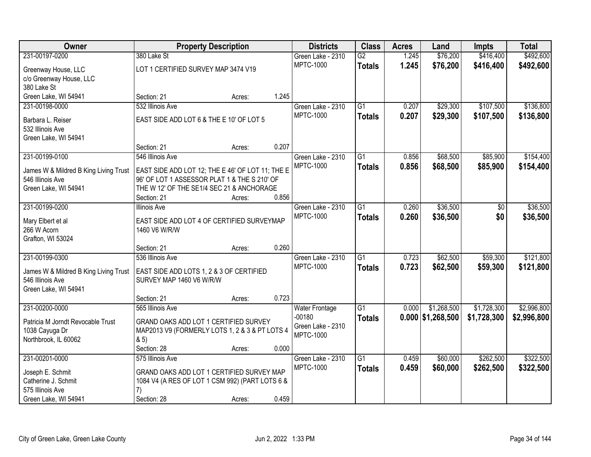| 231-00197-0200<br>380 Lake St<br>$\overline{G2}$<br>\$76,200<br>\$416,400<br>Green Lake - 2310<br>1.245<br><b>MPTC-1000</b><br>1.245<br>\$76,200<br>\$416,400<br>\$492,600<br><b>Totals</b><br>LOT 1 CERTIFIED SURVEY MAP 3474 V19<br>Greenway House, LLC<br>c/o Greenway House, LLC<br>380 Lake St<br>Green Lake, WI 54941<br>1.245<br>Section: 21<br>Acres:<br>\$107,500<br>532 Illinois Ave<br>$\overline{G1}$<br>0.207<br>\$29,300<br>231-00198-0000<br>Green Lake - 2310<br><b>MPTC-1000</b><br>0.207<br>\$29,300<br>\$107,500<br>\$136,800<br><b>Totals</b><br>EAST SIDE ADD LOT 6 & THE E 10' OF LOT 5<br>Barbara L. Reiser<br>532 Illinois Ave<br>Green Lake, WI 54941<br>0.207<br>Section: 21<br>Acres:<br>\$68,500<br>231-00199-0100<br>546 Illinois Ave<br>$\overline{G1}$<br>0.856<br>\$85,900<br>Green Lake - 2310<br><b>MPTC-1000</b><br>0.856<br>\$68,500<br>\$85,900<br><b>Totals</b><br>EAST SIDE ADD LOT 12; THE E 46' OF LOT 11; THE E<br>James W & Mildred B King Living Trust<br>546 Illinois Ave<br>96' OF LOT 1 ASSESSOR PLAT 1 & THE S 210' OF<br>Green Lake, WI 54941<br>THE W 12' OF THE SE1/4 SEC 21 & ANCHORAGE<br>0.856<br>Section: 21<br>Acres:<br>231-00199-0200<br>$\overline{G1}$<br>\$36,500<br>Green Lake - 2310<br>0.260<br><b>Illinois Ave</b><br>$\sqrt[6]{}$ | Owner | <b>Property Description</b> |  | <b>Districts</b> | <b>Class</b> | <b>Acres</b> | Land | <b>Impts</b> | <b>Total</b> |
|-----------------------------------------------------------------------------------------------------------------------------------------------------------------------------------------------------------------------------------------------------------------------------------------------------------------------------------------------------------------------------------------------------------------------------------------------------------------------------------------------------------------------------------------------------------------------------------------------------------------------------------------------------------------------------------------------------------------------------------------------------------------------------------------------------------------------------------------------------------------------------------------------------------------------------------------------------------------------------------------------------------------------------------------------------------------------------------------------------------------------------------------------------------------------------------------------------------------------------------------------------------------------------------------------------|-------|-----------------------------|--|------------------|--------------|--------------|------|--------------|--------------|
|                                                                                                                                                                                                                                                                                                                                                                                                                                                                                                                                                                                                                                                                                                                                                                                                                                                                                                                                                                                                                                                                                                                                                                                                                                                                                                     |       |                             |  |                  |              |              |      |              | \$492,600    |
|                                                                                                                                                                                                                                                                                                                                                                                                                                                                                                                                                                                                                                                                                                                                                                                                                                                                                                                                                                                                                                                                                                                                                                                                                                                                                                     |       |                             |  |                  |              |              |      |              |              |
|                                                                                                                                                                                                                                                                                                                                                                                                                                                                                                                                                                                                                                                                                                                                                                                                                                                                                                                                                                                                                                                                                                                                                                                                                                                                                                     |       |                             |  |                  |              |              |      |              |              |
|                                                                                                                                                                                                                                                                                                                                                                                                                                                                                                                                                                                                                                                                                                                                                                                                                                                                                                                                                                                                                                                                                                                                                                                                                                                                                                     |       |                             |  |                  |              |              |      |              |              |
|                                                                                                                                                                                                                                                                                                                                                                                                                                                                                                                                                                                                                                                                                                                                                                                                                                                                                                                                                                                                                                                                                                                                                                                                                                                                                                     |       |                             |  |                  |              |              |      |              |              |
|                                                                                                                                                                                                                                                                                                                                                                                                                                                                                                                                                                                                                                                                                                                                                                                                                                                                                                                                                                                                                                                                                                                                                                                                                                                                                                     |       |                             |  |                  |              |              |      |              | \$136,800    |
|                                                                                                                                                                                                                                                                                                                                                                                                                                                                                                                                                                                                                                                                                                                                                                                                                                                                                                                                                                                                                                                                                                                                                                                                                                                                                                     |       |                             |  |                  |              |              |      |              |              |
|                                                                                                                                                                                                                                                                                                                                                                                                                                                                                                                                                                                                                                                                                                                                                                                                                                                                                                                                                                                                                                                                                                                                                                                                                                                                                                     |       |                             |  |                  |              |              |      |              |              |
|                                                                                                                                                                                                                                                                                                                                                                                                                                                                                                                                                                                                                                                                                                                                                                                                                                                                                                                                                                                                                                                                                                                                                                                                                                                                                                     |       |                             |  |                  |              |              |      |              |              |
|                                                                                                                                                                                                                                                                                                                                                                                                                                                                                                                                                                                                                                                                                                                                                                                                                                                                                                                                                                                                                                                                                                                                                                                                                                                                                                     |       |                             |  |                  |              |              |      |              |              |
|                                                                                                                                                                                                                                                                                                                                                                                                                                                                                                                                                                                                                                                                                                                                                                                                                                                                                                                                                                                                                                                                                                                                                                                                                                                                                                     |       |                             |  |                  |              |              |      |              | \$154,400    |
|                                                                                                                                                                                                                                                                                                                                                                                                                                                                                                                                                                                                                                                                                                                                                                                                                                                                                                                                                                                                                                                                                                                                                                                                                                                                                                     |       |                             |  |                  |              |              |      |              | \$154,400    |
|                                                                                                                                                                                                                                                                                                                                                                                                                                                                                                                                                                                                                                                                                                                                                                                                                                                                                                                                                                                                                                                                                                                                                                                                                                                                                                     |       |                             |  |                  |              |              |      |              |              |
|                                                                                                                                                                                                                                                                                                                                                                                                                                                                                                                                                                                                                                                                                                                                                                                                                                                                                                                                                                                                                                                                                                                                                                                                                                                                                                     |       |                             |  |                  |              |              |      |              |              |
|                                                                                                                                                                                                                                                                                                                                                                                                                                                                                                                                                                                                                                                                                                                                                                                                                                                                                                                                                                                                                                                                                                                                                                                                                                                                                                     |       |                             |  |                  |              |              |      |              |              |
|                                                                                                                                                                                                                                                                                                                                                                                                                                                                                                                                                                                                                                                                                                                                                                                                                                                                                                                                                                                                                                                                                                                                                                                                                                                                                                     |       |                             |  |                  |              |              |      |              | \$36,500     |
| <b>MPTC-1000</b><br>0.260<br>\$36,500<br>\$0<br><b>Totals</b><br>EAST SIDE ADD LOT 4 OF CERTIFIED SURVEYMAP                                                                                                                                                                                                                                                                                                                                                                                                                                                                                                                                                                                                                                                                                                                                                                                                                                                                                                                                                                                                                                                                                                                                                                                         |       |                             |  |                  |              |              |      |              | \$36,500     |
| Mary Elbert et al<br>266 W Acorn<br>1460 V6 W/R/W                                                                                                                                                                                                                                                                                                                                                                                                                                                                                                                                                                                                                                                                                                                                                                                                                                                                                                                                                                                                                                                                                                                                                                                                                                                   |       |                             |  |                  |              |              |      |              |              |
| Grafton, WI 53024                                                                                                                                                                                                                                                                                                                                                                                                                                                                                                                                                                                                                                                                                                                                                                                                                                                                                                                                                                                                                                                                                                                                                                                                                                                                                   |       |                             |  |                  |              |              |      |              |              |
| 0.260<br>Section: 21<br>Acres:                                                                                                                                                                                                                                                                                                                                                                                                                                                                                                                                                                                                                                                                                                                                                                                                                                                                                                                                                                                                                                                                                                                                                                                                                                                                      |       |                             |  |                  |              |              |      |              |              |
| $\overline{G1}$<br>0.723<br>\$62,500<br>\$59,300<br>231-00199-0300<br>536 Illinois Ave<br>Green Lake - 2310                                                                                                                                                                                                                                                                                                                                                                                                                                                                                                                                                                                                                                                                                                                                                                                                                                                                                                                                                                                                                                                                                                                                                                                         |       |                             |  |                  |              |              |      |              | \$121,800    |
| <b>MPTC-1000</b><br>0.723<br>\$62,500<br>\$59,300<br><b>Totals</b>                                                                                                                                                                                                                                                                                                                                                                                                                                                                                                                                                                                                                                                                                                                                                                                                                                                                                                                                                                                                                                                                                                                                                                                                                                  |       |                             |  |                  |              |              |      |              | \$121,800    |
| EAST SIDE ADD LOTS 1, 2 & 3 OF CERTIFIED<br>James W & Mildred B King Living Trust<br>546 Illinois Ave<br>SURVEY MAP 1460 V6 W/R/W                                                                                                                                                                                                                                                                                                                                                                                                                                                                                                                                                                                                                                                                                                                                                                                                                                                                                                                                                                                                                                                                                                                                                                   |       |                             |  |                  |              |              |      |              |              |
| Green Lake, WI 54941                                                                                                                                                                                                                                                                                                                                                                                                                                                                                                                                                                                                                                                                                                                                                                                                                                                                                                                                                                                                                                                                                                                                                                                                                                                                                |       |                             |  |                  |              |              |      |              |              |
| 0.723<br>Section: 21<br>Acres:                                                                                                                                                                                                                                                                                                                                                                                                                                                                                                                                                                                                                                                                                                                                                                                                                                                                                                                                                                                                                                                                                                                                                                                                                                                                      |       |                             |  |                  |              |              |      |              |              |
| 231-00200-0000<br>$\overline{G1}$<br>565 Illinois Ave<br>\$1,268,500<br>\$1,728,300<br><b>Water Frontage</b><br>0.000                                                                                                                                                                                                                                                                                                                                                                                                                                                                                                                                                                                                                                                                                                                                                                                                                                                                                                                                                                                                                                                                                                                                                                               |       |                             |  |                  |              |              |      |              | \$2,996,800  |
| $-00180$<br>$0.000$ \$1,268,500<br>\$1,728,300<br><b>Totals</b>                                                                                                                                                                                                                                                                                                                                                                                                                                                                                                                                                                                                                                                                                                                                                                                                                                                                                                                                                                                                                                                                                                                                                                                                                                     |       |                             |  |                  |              |              |      |              | \$2,996,800  |
| GRAND OAKS ADD LOT 1 CERTIFIED SURVEY<br>Patricia M Jorndt Revocable Trust<br>Green Lake - 2310                                                                                                                                                                                                                                                                                                                                                                                                                                                                                                                                                                                                                                                                                                                                                                                                                                                                                                                                                                                                                                                                                                                                                                                                     |       |                             |  |                  |              |              |      |              |              |
| 1038 Cayuga Dr<br>MAP2013 V9 (FORMERLY LOTS 1, 2 & 3 & PT LOTS 4<br><b>MPTC-1000</b><br>85)<br>Northbrook, IL 60062                                                                                                                                                                                                                                                                                                                                                                                                                                                                                                                                                                                                                                                                                                                                                                                                                                                                                                                                                                                                                                                                                                                                                                                 |       |                             |  |                  |              |              |      |              |              |
| 0.000<br>Section: 28<br>Acres:                                                                                                                                                                                                                                                                                                                                                                                                                                                                                                                                                                                                                                                                                                                                                                                                                                                                                                                                                                                                                                                                                                                                                                                                                                                                      |       |                             |  |                  |              |              |      |              |              |
| \$262,500<br>231-00201-0000<br>$\overline{G1}$<br>\$60,000<br>575 Illinois Ave<br>Green Lake - 2310<br>0.459                                                                                                                                                                                                                                                                                                                                                                                                                                                                                                                                                                                                                                                                                                                                                                                                                                                                                                                                                                                                                                                                                                                                                                                        |       |                             |  |                  |              |              |      |              | \$322,500    |
| <b>MPTC-1000</b><br>0.459<br>\$60,000<br>\$262,500<br><b>Totals</b>                                                                                                                                                                                                                                                                                                                                                                                                                                                                                                                                                                                                                                                                                                                                                                                                                                                                                                                                                                                                                                                                                                                                                                                                                                 |       |                             |  |                  |              |              |      |              | \$322,500    |
| GRAND OAKS ADD LOT 1 CERTIFIED SURVEY MAP<br>Joseph E. Schmit                                                                                                                                                                                                                                                                                                                                                                                                                                                                                                                                                                                                                                                                                                                                                                                                                                                                                                                                                                                                                                                                                                                                                                                                                                       |       |                             |  |                  |              |              |      |              |              |
| Catherine J. Schmit<br>1084 V4 (A RES OF LOT 1 CSM 992) (PART LOTS 6 &<br>575 Illinois Ave                                                                                                                                                                                                                                                                                                                                                                                                                                                                                                                                                                                                                                                                                                                                                                                                                                                                                                                                                                                                                                                                                                                                                                                                          |       |                             |  |                  |              |              |      |              |              |
| 7)<br>0.459<br>Green Lake, WI 54941<br>Section: 28<br>Acres:                                                                                                                                                                                                                                                                                                                                                                                                                                                                                                                                                                                                                                                                                                                                                                                                                                                                                                                                                                                                                                                                                                                                                                                                                                        |       |                             |  |                  |              |              |      |              |              |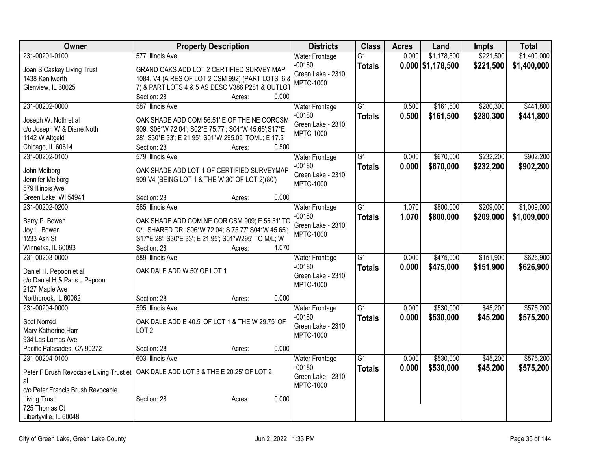| Owner                                | <b>Property Description</b>                                                          | <b>Districts</b>      | <b>Class</b>    | <b>Acres</b> | Land                | <b>Impts</b> | <b>Total</b> |
|--------------------------------------|--------------------------------------------------------------------------------------|-----------------------|-----------------|--------------|---------------------|--------------|--------------|
| 231-00201-0100                       | 577 Illinois Ave                                                                     | <b>Water Frontage</b> | $\overline{G1}$ | 0.000        | \$1,178,500         | \$221,500    | \$1,400,000  |
| Joan S Caskey Living Trust           | GRAND OAKS ADD LOT 2 CERTIFIED SURVEY MAP                                            | $-00180$              | <b>Totals</b>   |              | $0.000$ \$1,178,500 | \$221,500    | \$1,400,000  |
| 1438 Kenilworth                      | 1084, V4 (A RES OF LOT 2 CSM 992) (PART LOTS 6 8                                     | Green Lake - 2310     |                 |              |                     |              |              |
| Glenview, IL 60025                   | 7) & PART LOTS 4 & 5 AS DESC V386 P281 & OUTLOT                                      | <b>MPTC-1000</b>      |                 |              |                     |              |              |
|                                      | Section: 28<br>Acres:                                                                | 0.000                 |                 |              |                     |              |              |
| 231-00202-0000                       | 587 Illinois Ave                                                                     | <b>Water Frontage</b> | $\overline{G1}$ | 0.500        | \$161,500           | \$280,300    | \$441,800    |
| Joseph W. Noth et al                 | OAK SHADE ADD COM 56.51' E OF THE NE CORCSM                                          | $-00180$              | <b>Totals</b>   | 0.500        | \$161,500           | \$280,300    | \$441,800    |
| c/o Joseph W & Diane Noth            | 909: S06*W 72.04'; S02*E 75.77'; S04*W 45.65'; S17*E                                 | Green Lake - 2310     |                 |              |                     |              |              |
| 1142 W Altgeld                       | 28'; S30*E 33'; E 21.95'; S01*W 295.05' TOML; E 17.5'                                | <b>MPTC-1000</b>      |                 |              |                     |              |              |
| Chicago, IL 60614                    | Section: 28<br>Acres:                                                                | 0.500                 |                 |              |                     |              |              |
| 231-00202-0100                       | 579 Illinois Ave                                                                     | <b>Water Frontage</b> | $\overline{G1}$ | 0.000        | \$670,000           | \$232,200    | \$902,200    |
|                                      |                                                                                      | $-00180$              | <b>Totals</b>   | 0.000        | \$670,000           | \$232,200    | \$902,200    |
| John Meiborg                         | OAK SHADE ADD LOT 1 OF CERTIFIED SURVEYMAP                                           | Green Lake - 2310     |                 |              |                     |              |              |
| Jennifer Meiborg<br>579 Illinois Ave | 909 V4 (BEING LOT 1 & THE W 30' OF LOT 2)(80')                                       | <b>MPTC-1000</b>      |                 |              |                     |              |              |
| Green Lake, WI 54941                 | Section: 28<br>Acres:                                                                | 0.000                 |                 |              |                     |              |              |
| 231-00202-0200                       | 585 Illinois Ave                                                                     | <b>Water Frontage</b> | $\overline{G1}$ | 1.070        | \$800,000           | \$209,000    | \$1,009,000  |
|                                      |                                                                                      | $-00180$              | <b>Totals</b>   | 1.070        | \$800,000           | \$209,000    | \$1,009,000  |
| Barry P. Bowen                       | OAK SHADE ADD COM NE COR CSM 909; E 56.51' TO                                        | Green Lake - 2310     |                 |              |                     |              |              |
| Joy L. Bowen                         | C/L SHARED DR; S06*W 72.04; S 75.77'; S04*W 45.65';                                  | <b>MPTC-1000</b>      |                 |              |                     |              |              |
| 1233 Ash St                          | S17*E 28'; S30*E 33'; E 21.95'; S01*W295' TO M/L; W                                  |                       |                 |              |                     |              |              |
| Winnetka, IL 60093                   | Section: 28<br>Acres:                                                                | 1.070                 |                 |              |                     |              |              |
| 231-00203-0000                       | 589 Illinois Ave                                                                     | Water Frontage        | $\overline{G1}$ | 0.000        | \$475,000           | \$151,900    | \$626,900    |
| Daniel H. Pepoon et al               | OAK DALE ADD W 50' OF LOT 1                                                          | $-00180$              | <b>Totals</b>   | 0.000        | \$475,000           | \$151,900    | \$626,900    |
| c/o Daniel H & Paris J Pepoon        |                                                                                      | Green Lake - 2310     |                 |              |                     |              |              |
| 2127 Maple Ave                       |                                                                                      | <b>MPTC-1000</b>      |                 |              |                     |              |              |
| Northbrook, IL 60062                 | Section: 28<br>Acres:                                                                | 0.000                 |                 |              |                     |              |              |
| 231-00204-0000                       | 595 Illinois Ave                                                                     | <b>Water Frontage</b> | $\overline{G1}$ | 0.000        | \$530,000           | \$45,200     | \$575,200    |
| <b>Scot Norred</b>                   | OAK DALE ADD E 40.5' OF LOT 1 & THE W 29.75' OF                                      | $-00180$              | <b>Totals</b>   | 0.000        | \$530,000           | \$45,200     | \$575,200    |
| Mary Katherine Harr                  | LOT <sub>2</sub>                                                                     | Green Lake - 2310     |                 |              |                     |              |              |
| 934 Las Lomas Ave                    |                                                                                      | <b>MPTC-1000</b>      |                 |              |                     |              |              |
| Pacific Palasades, CA 90272          | Section: 28<br>Acres:                                                                | 0.000                 |                 |              |                     |              |              |
| 231-00204-0100                       | 603 Illinois Ave                                                                     | <b>Water Frontage</b> | $\overline{G1}$ | 0.000        | \$530,000           | \$45,200     | \$575,200    |
|                                      | Peter F Brush Revocable Living Trust et   OAK DALE ADD LOT 3 & THE E 20.25' OF LOT 2 | $-00180$              | <b>Totals</b>   | 0.000        | \$530,000           | \$45,200     | \$575,200    |
| al                                   |                                                                                      | Green Lake - 2310     |                 |              |                     |              |              |
| c/o Peter Francis Brush Revocable    |                                                                                      | MPTC-1000             |                 |              |                     |              |              |
| <b>Living Trust</b>                  | Section: 28<br>Acres:                                                                | 0.000                 |                 |              |                     |              |              |
| 725 Thomas Ct                        |                                                                                      |                       |                 |              |                     |              |              |
| Libertyville, IL 60048               |                                                                                      |                       |                 |              |                     |              |              |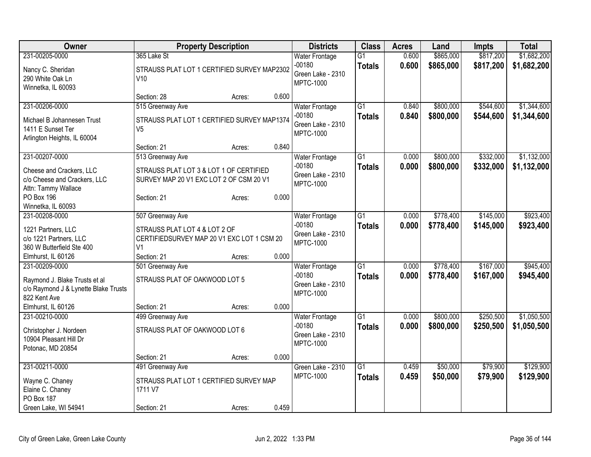| Owner                                                    | <b>Property Description</b>                                                        |        |       | <b>Districts</b>      | <b>Class</b>    | <b>Acres</b> | Land      | Impts     | <b>Total</b> |
|----------------------------------------------------------|------------------------------------------------------------------------------------|--------|-------|-----------------------|-----------------|--------------|-----------|-----------|--------------|
| 231-00205-0000                                           | 365 Lake St                                                                        |        |       | <b>Water Frontage</b> | $\overline{G1}$ | 0.600        | \$865,000 | \$817,200 | \$1,682,200  |
| Nancy C. Sheridan                                        | STRAUSS PLAT LOT 1 CERTIFIED SURVEY MAP2302                                        |        |       | $-00180$              | <b>Totals</b>   | 0.600        | \$865,000 | \$817,200 | \$1,682,200  |
| 290 White Oak Ln                                         | V10                                                                                |        |       | Green Lake - 2310     |                 |              |           |           |              |
| Winnetka, IL 60093                                       |                                                                                    |        |       | <b>MPTC-1000</b>      |                 |              |           |           |              |
|                                                          | Section: 28                                                                        | Acres: | 0.600 |                       |                 |              |           |           |              |
| 231-00206-0000                                           | 515 Greenway Ave                                                                   |        |       | <b>Water Frontage</b> | $\overline{G1}$ | 0.840        | \$800,000 | \$544,600 | \$1,344,600  |
| Michael B Johannesen Trust                               | STRAUSS PLAT LOT 1 CERTIFIED SURVEY MAP1374                                        |        |       | $-00180$              | <b>Totals</b>   | 0.840        | \$800,000 | \$544,600 | \$1,344,600  |
| 1411 E Sunset Ter                                        | V <sub>5</sub>                                                                     |        |       | Green Lake - 2310     |                 |              |           |           |              |
| Arlington Heights, IL 60004                              |                                                                                    |        |       | <b>MPTC-1000</b>      |                 |              |           |           |              |
|                                                          | Section: 21                                                                        | Acres: | 0.840 |                       |                 |              |           |           |              |
| 231-00207-0000                                           | 513 Greenway Ave                                                                   |        |       | <b>Water Frontage</b> | $\overline{G1}$ | 0.000        | \$800,000 | \$332,000 | \$1,132,000  |
|                                                          |                                                                                    |        |       | $-00180$              | <b>Totals</b>   | 0.000        | \$800,000 | \$332,000 | \$1,132,000  |
| Cheese and Crackers, LLC<br>c/o Cheese and Crackers, LLC | STRAUSS PLAT LOT 3 & LOT 1 OF CERTIFIED<br>SURVEY MAP 20 V1 EXC LOT 2 OF CSM 20 V1 |        |       | Green Lake - 2310     |                 |              |           |           |              |
| Attn: Tammy Wallace                                      |                                                                                    |        |       | <b>MPTC-1000</b>      |                 |              |           |           |              |
| PO Box 196                                               | Section: 21                                                                        | Acres: | 0.000 |                       |                 |              |           |           |              |
| Winnetka, IL 60093                                       |                                                                                    |        |       |                       |                 |              |           |           |              |
| 231-00208-0000                                           | 507 Greenway Ave                                                                   |        |       | <b>Water Frontage</b> | $\overline{G1}$ | 0.000        | \$778,400 | \$145,000 | \$923,400    |
|                                                          |                                                                                    |        |       | $-00180$              | <b>Totals</b>   | 0.000        | \$778,400 | \$145,000 | \$923,400    |
| 1221 Partners, LLC                                       | STRAUSS PLAT LOT 4 & LOT 2 OF                                                      |        |       | Green Lake - 2310     |                 |              |           |           |              |
| c/o 1221 Partners, LLC                                   | CERTIFIEDSURVEY MAP 20 V1 EXC LOT 1 CSM 20                                         |        |       | <b>MPTC-1000</b>      |                 |              |           |           |              |
| 360 W Butterfield Ste 400                                | V <sub>1</sub>                                                                     |        |       |                       |                 |              |           |           |              |
| Elmhurst, IL 60126                                       | Section: 21                                                                        | Acres: | 0.000 |                       |                 |              |           |           |              |
| 231-00209-0000                                           | 501 Greenway Ave                                                                   |        |       | <b>Water Frontage</b> | $\overline{G1}$ | 0.000        | \$778,400 | \$167,000 | \$945,400    |
| Raymond J. Blake Trusts et al                            | STRAUSS PLAT OF OAKWOOD LOT 5                                                      |        |       | $-00180$              | <b>Totals</b>   | 0.000        | \$778,400 | \$167,000 | \$945,400    |
| c/o Raymond J & Lynette Blake Trusts                     |                                                                                    |        |       | Green Lake - 2310     |                 |              |           |           |              |
| 822 Kent Ave                                             |                                                                                    |        |       | <b>MPTC-1000</b>      |                 |              |           |           |              |
| Elmhurst, IL 60126                                       | Section: 21                                                                        | Acres: | 0.000 |                       |                 |              |           |           |              |
| 231-00210-0000                                           | 499 Greenway Ave                                                                   |        |       | <b>Water Frontage</b> | $\overline{G1}$ | 0.000        | \$800,000 | \$250,500 | \$1,050,500  |
| Christopher J. Nordeen                                   | STRAUSS PLAT OF OAKWOOD LOT 6                                                      |        |       | $-00180$              | <b>Totals</b>   | 0.000        | \$800,000 | \$250,500 | \$1,050,500  |
| 10904 Pleasant Hill Dr                                   |                                                                                    |        |       | Green Lake - 2310     |                 |              |           |           |              |
| Potonac, MD 20854                                        |                                                                                    |        |       | <b>MPTC-1000</b>      |                 |              |           |           |              |
|                                                          | Section: 21                                                                        | Acres: | 0.000 |                       |                 |              |           |           |              |
| 231-00211-0000                                           | 491 Greenway Ave                                                                   |        |       | Green Lake - 2310     | $\overline{G1}$ | 0.459        | \$50,000  | \$79,900  | \$129,900    |
|                                                          |                                                                                    |        |       | <b>MPTC-1000</b>      | <b>Totals</b>   | 0.459        | \$50,000  | \$79,900  | \$129,900    |
| Wayne C. Chaney                                          | STRAUSS PLAT LOT 1 CERTIFIED SURVEY MAP                                            |        |       |                       |                 |              |           |           |              |
| Elaine C. Chaney                                         | 1711 V7                                                                            |        |       |                       |                 |              |           |           |              |
| PO Box 187                                               |                                                                                    |        |       |                       |                 |              |           |           |              |
| Green Lake, WI 54941                                     | Section: 21                                                                        | Acres: | 0.459 |                       |                 |              |           |           |              |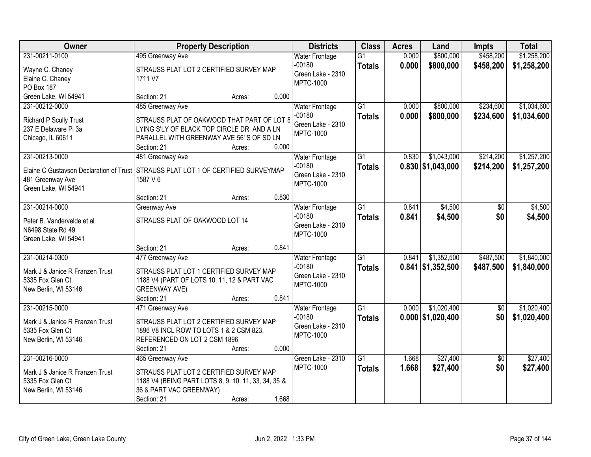| <b>Owner</b>                                                                      | <b>Property Description</b>                         |        |       | <b>Districts</b>      | <b>Class</b>    | <b>Acres</b> | Land                | <b>Impts</b>    | <b>Total</b> |
|-----------------------------------------------------------------------------------|-----------------------------------------------------|--------|-------|-----------------------|-----------------|--------------|---------------------|-----------------|--------------|
| 231-00211-0100                                                                    | 495 Greenway Ave                                    |        |       | <b>Water Frontage</b> | $\overline{G1}$ | 0.000        | \$800,000           | \$458,200       | \$1,258,200  |
| Wayne C. Chaney                                                                   | STRAUSS PLAT LOT 2 CERTIFIED SURVEY MAP             |        |       | $-00180$              | <b>Totals</b>   | 0.000        | \$800,000           | \$458,200       | \$1,258,200  |
| Elaine C. Chaney                                                                  | 1711 V7                                             |        |       | Green Lake - 2310     |                 |              |                     |                 |              |
| PO Box 187                                                                        |                                                     |        |       | <b>MPTC-1000</b>      |                 |              |                     |                 |              |
| Green Lake, WI 54941                                                              | Section: 21                                         | Acres: | 0.000 |                       |                 |              |                     |                 |              |
| 231-00212-0000                                                                    | 485 Greenway Ave                                    |        |       | <b>Water Frontage</b> | $\overline{G1}$ | 0.000        | \$800,000           | \$234,600       | \$1,034,600  |
| Richard P Scully Trust                                                            | STRAUSS PLAT OF OAKWOOD THAT PART OF LOT 8          |        |       | $-00180$              | <b>Totals</b>   | 0.000        | \$800,000           | \$234,600       | \$1,034,600  |
| 237 E Delaware PI 3a                                                              | LYING S'LY OF BLACK TOP CIRCLE DR AND A LN          |        |       | Green Lake - 2310     |                 |              |                     |                 |              |
| Chicago, IL 60611                                                                 | PARALLEL WITH GREENWAY AVE 56'S OF SD LN            |        |       | <b>MPTC-1000</b>      |                 |              |                     |                 |              |
|                                                                                   | Section: 21                                         | Acres: | 0.000 |                       |                 |              |                     |                 |              |
| 231-00213-0000                                                                    | 481 Greenway Ave                                    |        |       | <b>Water Frontage</b> | $\overline{G1}$ | 0.830        | \$1,043,000         | \$214,200       | \$1,257,200  |
| Elaine C Gustavson Declaration of Trust STRAUSS PLAT LOT 1 OF CERTIFIED SURVEYMAP |                                                     |        |       | $-00180$              | <b>Totals</b>   |              | $0.830$ \$1,043,000 | \$214,200       | \$1,257,200  |
| 481 Greenway Ave                                                                  | 1587 V 6                                            |        |       | Green Lake - 2310     |                 |              |                     |                 |              |
| Green Lake, WI 54941                                                              |                                                     |        |       | <b>MPTC-1000</b>      |                 |              |                     |                 |              |
|                                                                                   | Section: 21                                         | Acres: | 0.830 |                       |                 |              |                     |                 |              |
| 231-00214-0000                                                                    | Greenway Ave                                        |        |       | <b>Water Frontage</b> | $\overline{G1}$ | 0.841        | \$4,500             | $\sqrt[6]{}$    | \$4,500      |
| Peter B. Vandervelde et al                                                        | STRAUSS PLAT OF OAKWOOD LOT 14                      |        |       | $-00180$              | <b>Totals</b>   | 0.841        | \$4,500             | \$0             | \$4,500      |
| N6498 State Rd 49                                                                 |                                                     |        |       | Green Lake - 2310     |                 |              |                     |                 |              |
| Green Lake, WI 54941                                                              |                                                     |        |       | <b>MPTC-1000</b>      |                 |              |                     |                 |              |
|                                                                                   | Section: 21                                         | Acres: | 0.841 |                       |                 |              |                     |                 |              |
| 231-00214-0300                                                                    | 477 Greenway Ave                                    |        |       | <b>Water Frontage</b> | $\overline{G1}$ | 0.841        | \$1,352,500         | \$487,500       | \$1,840,000  |
| Mark J & Janice R Franzen Trust                                                   | STRAUSS PLAT LOT 1 CERTIFIED SURVEY MAP             |        |       | $-00180$              | <b>Totals</b>   |              | $0.841$ \$1,352,500 | \$487,500       | \$1,840,000  |
| 5335 Fox Glen Ct                                                                  | 1188 V4 (PART OF LOTS 10, 11, 12 & PART VAC         |        |       | Green Lake - 2310     |                 |              |                     |                 |              |
| New Berlin, WI 53146                                                              | <b>GREENWAY AVE)</b>                                |        |       | <b>MPTC-1000</b>      |                 |              |                     |                 |              |
|                                                                                   | Section: 21                                         | Acres: | 0.841 |                       |                 |              |                     |                 |              |
| 231-00215-0000                                                                    | 471 Greenway Ave                                    |        |       | <b>Water Frontage</b> | G1              | 0.000        | \$1,020,400         | $\sqrt{50}$     | \$1,020,400  |
| Mark J & Janice R Franzen Trust                                                   | STRAUSS PLAT LOT 2 CERTIFIED SURVEY MAP             |        |       | $-00180$              | <b>Totals</b>   |              | $0.000$ \$1,020,400 | \$0             | \$1,020,400  |
| 5335 Fox Glen Ct                                                                  | 1896 V8 INCL ROW TO LOTS 1 & 2 CSM 823,             |        |       | Green Lake - 2310     |                 |              |                     |                 |              |
| New Berlin, WI 53146                                                              | REFERENCED ON LOT 2 CSM 1896                        |        |       | <b>MPTC-1000</b>      |                 |              |                     |                 |              |
|                                                                                   | Section: 21                                         | Acres: | 0.000 |                       |                 |              |                     |                 |              |
| 231-00216-0000                                                                    | 465 Greenway Ave                                    |        |       | Green Lake - 2310     | $\overline{G1}$ | 1.668        | \$27,400            | $\overline{50}$ | \$27,400     |
| Mark J & Janice R Franzen Trust                                                   | STRAUSS PLAT LOT 2 CERTIFIED SURVEY MAP             |        |       | <b>MPTC-1000</b>      | <b>Totals</b>   | 1.668        | \$27,400            | \$0             | \$27,400     |
| 5335 Fox Glen Ct                                                                  | 1188 V4 (BEING PART LOTS 8, 9, 10, 11, 33, 34, 35 & |        |       |                       |                 |              |                     |                 |              |
| New Berlin, WI 53146                                                              | 36 & PART VAC GREENWAY)                             |        |       |                       |                 |              |                     |                 |              |
|                                                                                   | Section: 21                                         | Acres: | 1.668 |                       |                 |              |                     |                 |              |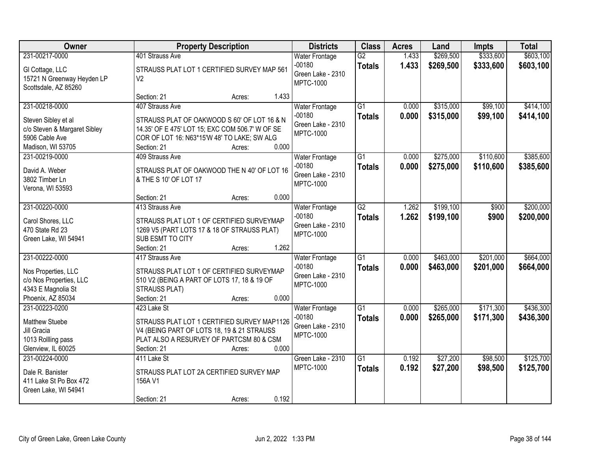| Owner                        | <b>Property Description</b>                     | <b>Districts</b>      | <b>Class</b>    | <b>Acres</b> | Land      | <b>Impts</b> | <b>Total</b> |
|------------------------------|-------------------------------------------------|-----------------------|-----------------|--------------|-----------|--------------|--------------|
| 231-00217-0000               | 401 Strauss Ave                                 | <b>Water Frontage</b> | $\overline{G2}$ | 1.433        | \$269,500 | \$333,600    | \$603,100    |
| GI Cottage, LLC              | STRAUSS PLAT LOT 1 CERTIFIED SURVEY MAP 561     | $-00180$              | <b>Totals</b>   | 1.433        | \$269,500 | \$333,600    | \$603,100    |
| 15721 N Greenway Heyden LP   | V <sub>2</sub>                                  | Green Lake - 2310     |                 |              |           |              |              |
| Scottsdale, AZ 85260         |                                                 | <b>MPTC-1000</b>      |                 |              |           |              |              |
|                              | 1.433<br>Section: 21<br>Acres:                  |                       |                 |              |           |              |              |
| 231-00218-0000               | 407 Strauss Ave                                 | <b>Water Frontage</b> | $\overline{G1}$ | 0.000        | \$315,000 | \$99,100     | \$414,100    |
| Steven Sibley et al          | STRAUSS PLAT OF OAKWOOD S 60' OF LOT 16 & N     | $-00180$              | <b>Totals</b>   | 0.000        | \$315,000 | \$99,100     | \$414,100    |
| c/o Steven & Margaret Sibley | 14.35' OF E 475' LOT 15; EXC COM 506.7' W OF SE | Green Lake - 2310     |                 |              |           |              |              |
| 5906 Cable Ave               | COR OF LOT 16: N63*15'W 48' TO LAKE; SW ALG     | <b>MPTC-1000</b>      |                 |              |           |              |              |
| Madison, WI 53705            | 0.000<br>Section: 21<br>Acres:                  |                       |                 |              |           |              |              |
| 231-00219-0000               | 409 Strauss Ave                                 | <b>Water Frontage</b> | $\overline{G1}$ | 0.000        | \$275,000 | \$110,600    | \$385,600    |
| David A. Weber               | STRAUSS PLAT OF OAKWOOD THE N 40' OF LOT 16     | $-00180$              | <b>Totals</b>   | 0.000        | \$275,000 | \$110,600    | \$385,600    |
| 3802 Timber Ln               | & THE S 10' OF LOT 17                           | Green Lake - 2310     |                 |              |           |              |              |
| Verona, WI 53593             |                                                 | <b>MPTC-1000</b>      |                 |              |           |              |              |
|                              | 0.000<br>Section: 21<br>Acres:                  |                       |                 |              |           |              |              |
| 231-00220-0000               | 413 Strauss Ave                                 | <b>Water Frontage</b> | $\overline{G2}$ | 1.262        | \$199,100 | \$900        | \$200,000    |
| Carol Shores, LLC            | STRAUSS PLAT LOT 1 OF CERTIFIED SURVEYMAP       | $-00180$              | <b>Totals</b>   | 1.262        | \$199,100 | \$900        | \$200,000    |
| 470 State Rd 23              | 1269 V5 (PART LOTS 17 & 18 OF STRAUSS PLAT)     | Green Lake - 2310     |                 |              |           |              |              |
| Green Lake, WI 54941         | SUB ESMT TO CITY                                | <b>MPTC-1000</b>      |                 |              |           |              |              |
|                              | 1.262<br>Section: 21<br>Acres:                  |                       |                 |              |           |              |              |
| 231-00222-0000               | 417 Strauss Ave                                 | Water Frontage        | $\overline{G1}$ | 0.000        | \$463,000 | \$201,000    | \$664,000    |
| Nos Properties, LLC          | STRAUSS PLAT LOT 1 OF CERTIFIED SURVEYMAP       | $-00180$              | <b>Totals</b>   | 0.000        | \$463,000 | \$201,000    | \$664,000    |
| c/o Nos Properties, LLC      | 510 V2 (BEING A PART OF LOTS 17, 18 & 19 OF     | Green Lake - 2310     |                 |              |           |              |              |
| 4343 E Magnolia St           | STRAUSS PLAT)                                   | <b>MPTC-1000</b>      |                 |              |           |              |              |
| Phoenix, AZ 85034            | Section: 21<br>0.000<br>Acres:                  |                       |                 |              |           |              |              |
| 231-00223-0200               | 423 Lake St                                     | <b>Water Frontage</b> | $\overline{G1}$ | 0.000        | \$265,000 | \$171,300    | \$436,300    |
| <b>Matthew Stuebe</b>        | STRAUSS PLAT LOT 1 CERTIFIED SURVEY MAP1126     | $-00180$              | <b>Totals</b>   | 0.000        | \$265,000 | \$171,300    | \$436,300    |
| Jill Gracia                  | V4 (BEING PART OF LOTS 18, 19 & 21 STRAUSS      | Green Lake - 2310     |                 |              |           |              |              |
| 1013 Rollling pass           | PLAT ALSO A RESURVEY OF PARTCSM 80 & CSM        | <b>MPTC-1000</b>      |                 |              |           |              |              |
| Glenview, IL 60025           | 0.000<br>Section: 21<br>Acres:                  |                       |                 |              |           |              |              |
| 231-00224-0000               | 411 Lake St                                     | Green Lake - 2310     | $\overline{G1}$ | 0.192        | \$27,200  | \$98,500     | \$125,700    |
| Dale R. Banister             | STRAUSS PLAT LOT 2A CERTIFIED SURVEY MAP        | <b>MPTC-1000</b>      | <b>Totals</b>   | 0.192        | \$27,200  | \$98,500     | \$125,700    |
| 411 Lake St Po Box 472       | 156A V1                                         |                       |                 |              |           |              |              |
| Green Lake, WI 54941         |                                                 |                       |                 |              |           |              |              |
|                              | 0.192<br>Section: 21<br>Acres:                  |                       |                 |              |           |              |              |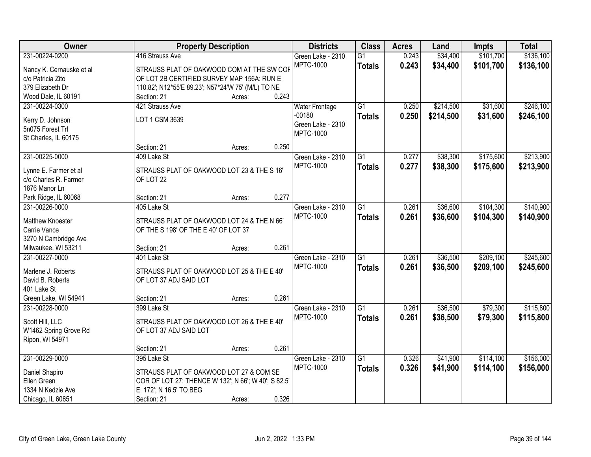| \$101,700<br>231-00224-0200<br>416 Strauss Ave<br>\$34,400<br>Green Lake - 2310<br>$\overline{G1}$<br>0.243<br>MPTC-1000<br>0.243<br>\$34,400<br>\$101,700<br><b>Totals</b><br>STRAUSS PLAT OF OAKWOOD COM AT THE SW COF<br>Nancy K. Cernauske et al | \$136,100<br>\$136,100 |
|------------------------------------------------------------------------------------------------------------------------------------------------------------------------------------------------------------------------------------------------------|------------------------|
|                                                                                                                                                                                                                                                      |                        |
|                                                                                                                                                                                                                                                      |                        |
| OF LOT 2B CERTIFIED SURVEY MAP 156A: RUN E<br>c/o Patricia Zito                                                                                                                                                                                      |                        |
| 379 Elizabeth Dr<br>110.82'; N12*55'E 89.23'; N57*24'W 75' (M/L) TO NE                                                                                                                                                                               |                        |
| 0.243<br>Wood Dale, IL 60191<br>Section: 21<br>Acres:                                                                                                                                                                                                |                        |
| \$31,600<br>421 Strauss Ave<br>$\overline{G1}$<br>0.250<br>\$214,500<br>231-00224-0300<br><b>Water Frontage</b>                                                                                                                                      | \$246,100              |
| $-00180$<br>0.250<br>\$214,500<br>\$31,600<br><b>Totals</b>                                                                                                                                                                                          | \$246,100              |
| LOT 1 CSM 3639<br>Kerry D. Johnson<br>Green Lake - 2310                                                                                                                                                                                              |                        |
| 5n075 Forest Trl<br><b>MPTC-1000</b>                                                                                                                                                                                                                 |                        |
| St Charles, IL 60175<br>0.250                                                                                                                                                                                                                        |                        |
| Section: 21<br>Acres:<br>\$175,600<br>231-00225-0000<br>409 Lake St<br>$\overline{G1}$<br>0.277                                                                                                                                                      | \$213,900              |
| \$38,300<br>Green Lake - 2310                                                                                                                                                                                                                        |                        |
| <b>MPTC-1000</b><br>0.277<br>\$38,300<br>\$175,600<br><b>Totals</b><br>Lynne E. Farmer et al<br>STRAUSS PLAT OF OAKWOOD LOT 23 & THE S 16'                                                                                                           | \$213,900              |
| c/o Charles R. Farmer<br>OF LOT 22                                                                                                                                                                                                                   |                        |
| 1876 Manor Ln                                                                                                                                                                                                                                        |                        |
| 0.277<br>Park Ridge, IL 60068<br>Section: 21<br>Acres:                                                                                                                                                                                               |                        |
| $\overline{G1}$<br>\$36,600<br>\$104,300<br>231-00226-0000<br>405 Lake St<br>Green Lake - 2310<br>0.261                                                                                                                                              | \$140,900              |
| <b>MPTC-1000</b><br>0.261<br>\$36,600<br>\$104,300<br><b>Totals</b><br>Matthew Knoester<br>STRAUSS PLAT OF OAKWOOD LOT 24 & THE N 66'                                                                                                                | \$140,900              |
| Carrie Vance<br>OF THE S 198' OF THE E 40' OF LOT 37                                                                                                                                                                                                 |                        |
| 3270 N Cambridge Ave                                                                                                                                                                                                                                 |                        |
| 0.261<br>Milwaukee, WI 53211<br>Section: 21<br>Acres:                                                                                                                                                                                                |                        |
| $\overline{G1}$<br>\$209,100<br>231-00227-0000<br>0.261<br>\$36,500<br>401 Lake St<br>Green Lake - 2310                                                                                                                                              | \$245,600              |
| <b>MPTC-1000</b><br>0.261<br>\$36,500<br>\$209,100<br><b>Totals</b>                                                                                                                                                                                  | \$245,600              |
| Marlene J. Roberts<br>STRAUSS PLAT OF OAKWOOD LOT 25 & THE E 40'                                                                                                                                                                                     |                        |
| David B. Roberts<br>OF LOT 37 ADJ SAID LOT                                                                                                                                                                                                           |                        |
| 401 Lake St                                                                                                                                                                                                                                          |                        |
| 0.261<br>Green Lake, WI 54941<br>Section: 21<br>Acres:                                                                                                                                                                                               |                        |
| $\overline{G1}$<br>\$36,500<br>\$79,300<br>231-00228-0000<br>399 Lake St<br>Green Lake - 2310<br>0.261                                                                                                                                               | \$115,800              |
| <b>MPTC-1000</b><br>0.261<br>\$36,500<br>\$79,300<br><b>Totals</b><br>Scott Hill, LLC<br>STRAUSS PLAT OF OAKWOOD LOT 26 & THE E 40'                                                                                                                  | \$115,800              |
| W1462 Spring Grove Rd<br>OF LOT 37 ADJ SAID LOT                                                                                                                                                                                                      |                        |
| Ripon, WI 54971                                                                                                                                                                                                                                      |                        |
| 0.261<br>Section: 21<br>Acres:                                                                                                                                                                                                                       |                        |
| 231-00229-0000<br>$\overline{G1}$<br>\$41,900<br>\$114,100<br>395 Lake St<br>Green Lake - 2310<br>0.326                                                                                                                                              | \$156,000              |
| <b>MPTC-1000</b><br>0.326<br>\$41,900<br>\$114,100<br><b>Totals</b><br>Daniel Shapiro<br>STRAUSS PLAT OF OAKWOOD LOT 27 & COM SE                                                                                                                     | \$156,000              |
| Ellen Green<br>COR OF LOT 27: THENCE W 132'; N 66'; W 40'; S 82.5'                                                                                                                                                                                   |                        |
| 1334 N Kedzie Ave<br>E 172'; N 16.5' TO BEG                                                                                                                                                                                                          |                        |
| 0.326<br>Chicago, IL 60651<br>Section: 21<br>Acres:                                                                                                                                                                                                  |                        |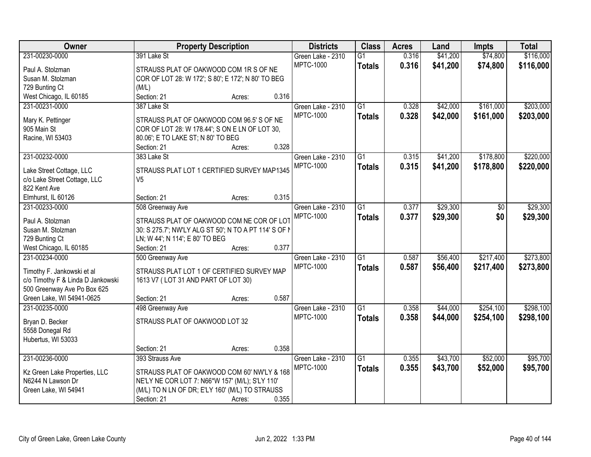| Owner                             |                                                       | <b>Property Description</b> |       | <b>Districts</b>  | <b>Class</b>    | <b>Acres</b> | Land     | <b>Impts</b> | <b>Total</b> |
|-----------------------------------|-------------------------------------------------------|-----------------------------|-------|-------------------|-----------------|--------------|----------|--------------|--------------|
| 231-00230-0000                    | 391 Lake St                                           |                             |       | Green Lake - 2310 | $\overline{G1}$ | 0.316        | \$41,200 | \$74,800     | \$116,000    |
| Paul A. Stolzman                  | STRAUSS PLAT OF OAKWOOD COM 1R S OF NE                |                             |       | <b>MPTC-1000</b>  | <b>Totals</b>   | 0.316        | \$41,200 | \$74,800     | \$116,000    |
| Susan M. Stolzman                 | COR OF LOT 28: W 172'; S 80'; E 172'; N 80' TO BEG    |                             |       |                   |                 |              |          |              |              |
| 729 Bunting Ct                    | (M/L)                                                 |                             |       |                   |                 |              |          |              |              |
| West Chicago, IL 60185            | Section: 21                                           | Acres:                      | 0.316 |                   |                 |              |          |              |              |
| 231-00231-0000                    | 387 Lake St                                           |                             |       | Green Lake - 2310 | $\overline{G1}$ | 0.328        | \$42,000 | \$161,000    | \$203,000    |
|                                   | STRAUSS PLAT OF OAKWOOD COM 96.5' S OF NE             |                             |       | <b>MPTC-1000</b>  | <b>Totals</b>   | 0.328        | \$42,000 | \$161,000    | \$203,000    |
| Mary K. Pettinger<br>905 Main St  | COR OF LOT 28: W 178.44'; S ON E LN OF LOT 30,        |                             |       |                   |                 |              |          |              |              |
| Racine, WI 53403                  | 80.06'; E TO LAKE ST; N 80' TO BEG                    |                             |       |                   |                 |              |          |              |              |
|                                   | Section: 21                                           | Acres:                      | 0.328 |                   |                 |              |          |              |              |
| 231-00232-0000                    | 383 Lake St                                           |                             |       | Green Lake - 2310 | $\overline{G1}$ | 0.315        | \$41,200 | \$178,800    | \$220,000    |
|                                   |                                                       |                             |       | <b>MPTC-1000</b>  | <b>Totals</b>   | 0.315        | \$41,200 | \$178,800    | \$220,000    |
| Lake Street Cottage, LLC          | STRAUSS PLAT LOT 1 CERTIFIED SURVEY MAP1345           |                             |       |                   |                 |              |          |              |              |
| c/o Lake Street Cottage, LLC      | V <sub>5</sub>                                        |                             |       |                   |                 |              |          |              |              |
| 822 Kent Ave                      |                                                       |                             |       |                   |                 |              |          |              |              |
| Elmhurst, IL 60126                | Section: 21                                           | Acres:                      | 0.315 |                   |                 |              |          |              |              |
| 231-00233-0000                    | 508 Greenway Ave                                      |                             |       | Green Lake - 2310 | G1              | 0.377        | \$29,300 | $\sqrt[6]{}$ | \$29,300     |
| Paul A. Stolzman                  | STRAUSS PLAT OF OAKWOOD COM NE COR OF LOT             |                             |       | <b>MPTC-1000</b>  | <b>Totals</b>   | 0.377        | \$29,300 | \$0          | \$29,300     |
| Susan M. Stolzman                 | 30: S 275.7'; NW'LY ALG ST 50'; N TO A PT 114' S OF N |                             |       |                   |                 |              |          |              |              |
| 729 Bunting Ct                    | LN; W 44'; N 114'; E 80' TO BEG                       |                             |       |                   |                 |              |          |              |              |
| West Chicago, IL 60185            | Section: 21                                           | Acres:                      | 0.377 |                   |                 |              |          |              |              |
| 231-00234-0000                    | 500 Greenway Ave                                      |                             |       | Green Lake - 2310 | $\overline{G1}$ | 0.587        | \$56,400 | \$217,400    | \$273,800    |
| Timothy F. Jankowski et al        | STRAUSS PLAT LOT 1 OF CERTIFIED SURVEY MAP            |                             |       | <b>MPTC-1000</b>  | <b>Totals</b>   | 0.587        | \$56,400 | \$217,400    | \$273,800    |
| c/o Timothy F & Linda D Jankowski | 1613 V7 (LOT 31 AND PART OF LOT 30)                   |                             |       |                   |                 |              |          |              |              |
| 500 Greenway Ave Po Box 625       |                                                       |                             |       |                   |                 |              |          |              |              |
| Green Lake, WI 54941-0625         | Section: 21                                           | Acres:                      | 0.587 |                   |                 |              |          |              |              |
| 231-00235-0000                    | 498 Greenway Ave                                      |                             |       | Green Lake - 2310 | $\overline{G1}$ | 0.358        | \$44,000 | \$254,100    | \$298,100    |
|                                   |                                                       |                             |       | <b>MPTC-1000</b>  | <b>Totals</b>   | 0.358        | \$44,000 | \$254,100    | \$298,100    |
| Bryan D. Becker                   | STRAUSS PLAT OF OAKWOOD LOT 32                        |                             |       |                   |                 |              |          |              |              |
| 5558 Donegal Rd                   |                                                       |                             |       |                   |                 |              |          |              |              |
| Hubertus, WI 53033                |                                                       |                             | 0.358 |                   |                 |              |          |              |              |
|                                   | Section: 21                                           | Acres:                      |       |                   |                 |              |          |              |              |
| 231-00236-0000                    | 393 Strauss Ave                                       |                             |       | Green Lake - 2310 | $\overline{G1}$ | 0.355        | \$43,700 | \$52,000     | \$95,700     |
| Kz Green Lake Properties, LLC     | STRAUSS PLAT OF OAKWOOD COM 60' NW'LY & 168           |                             |       | <b>MPTC-1000</b>  | <b>Totals</b>   | 0.355        | \$43,700 | \$52,000     | \$95,700     |
| N6244 N Lawson Dr                 | NE'LY NE COR LOT 7: N66*W 157' (M/L); S'LY 110'       |                             |       |                   |                 |              |          |              |              |
| Green Lake, WI 54941              | (M/L) TO N LN OF DR; E'LY 160' (M/L) TO STRAUSS       |                             |       |                   |                 |              |          |              |              |
|                                   | Section: 21                                           | Acres:                      | 0.355 |                   |                 |              |          |              |              |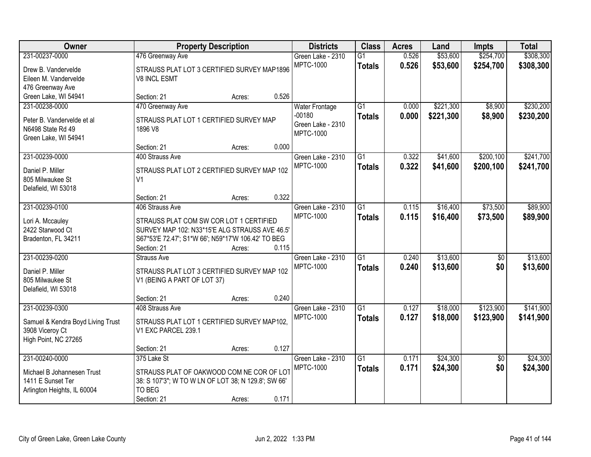| Owner                                   |                                                                                                      | <b>Property Description</b> |       | <b>Districts</b>      | <b>Class</b>    | <b>Acres</b> | Land      | <b>Impts</b>    | <b>Total</b> |
|-----------------------------------------|------------------------------------------------------------------------------------------------------|-----------------------------|-------|-----------------------|-----------------|--------------|-----------|-----------------|--------------|
| 231-00237-0000                          | 476 Greenway Ave                                                                                     |                             |       | Green Lake - 2310     | $\overline{G1}$ | 0.526        | \$53,600  | \$254,700       | \$308,300    |
| Drew B. Vandervelde                     | STRAUSS PLAT LOT 3 CERTIFIED SURVEY MAP1896                                                          |                             |       | <b>MPTC-1000</b>      | <b>Totals</b>   | 0.526        | \$53,600  | \$254,700       | \$308,300    |
| Eileen M. Vandervelde                   | <b>V8 INCL ESMT</b>                                                                                  |                             |       |                       |                 |              |           |                 |              |
| 476 Greenway Ave                        |                                                                                                      |                             |       |                       |                 |              |           |                 |              |
| Green Lake, WI 54941                    | Section: 21                                                                                          | Acres:                      | 0.526 |                       |                 |              |           |                 |              |
| 231-00238-0000                          | 470 Greenway Ave                                                                                     |                             |       | <b>Water Frontage</b> | $\overline{G1}$ | 0.000        | \$221,300 | \$8,900         | \$230,200    |
| Peter B. Vandervelde et al.             | STRAUSS PLAT LOT 1 CERTIFIED SURVEY MAP                                                              |                             |       | $-00180$              | <b>Totals</b>   | 0.000        | \$221,300 | \$8,900         | \$230,200    |
| N6498 State Rd 49                       | 1896 V8                                                                                              |                             |       | Green Lake - 2310     |                 |              |           |                 |              |
| Green Lake, WI 54941                    |                                                                                                      |                             |       | <b>MPTC-1000</b>      |                 |              |           |                 |              |
|                                         | Section: 21                                                                                          | Acres:                      | 0.000 |                       |                 |              |           |                 |              |
| 231-00239-0000                          | 400 Strauss Ave                                                                                      |                             |       | Green Lake - 2310     | $\overline{G1}$ | 0.322        | \$41,600  | \$200,100       | \$241,700    |
| Daniel P. Miller                        | STRAUSS PLAT LOT 2 CERTIFIED SURVEY MAP 102                                                          |                             |       | <b>MPTC-1000</b>      | <b>Totals</b>   | 0.322        | \$41,600  | \$200,100       | \$241,700    |
| 805 Milwaukee St                        | V <sub>1</sub>                                                                                       |                             |       |                       |                 |              |           |                 |              |
| Delafield, WI 53018                     |                                                                                                      |                             |       |                       |                 |              |           |                 |              |
|                                         | Section: 21                                                                                          | Acres:                      | 0.322 |                       |                 |              |           |                 |              |
| 231-00239-0100                          | 406 Strauss Ave                                                                                      |                             |       | Green Lake - 2310     | $\overline{G1}$ | 0.115        | \$16,400  | \$73,500        | \$89,900     |
|                                         |                                                                                                      |                             |       | <b>MPTC-1000</b>      | <b>Totals</b>   | 0.115        | \$16,400  | \$73,500        | \$89,900     |
| Lori A. Mccauley                        | STRAUSS PLAT COM SW COR LOT 1 CERTIFIED                                                              |                             |       |                       |                 |              |           |                 |              |
| 2422 Starwood Ct<br>Bradenton, FL 34211 | SURVEY MAP 102: N33*15'E ALG STRAUSS AVE 46.5'<br>S67*53'E 72.47'; S1*W 66'; N59*17'W 106.42' TO BEG |                             |       |                       |                 |              |           |                 |              |
|                                         | Section: 21                                                                                          | Acres:                      | 0.115 |                       |                 |              |           |                 |              |
| 231-00239-0200                          | <b>Strauss Ave</b>                                                                                   |                             |       | Green Lake - 2310     | $\overline{G1}$ | 0.240        | \$13,600  | \$0             | \$13,600     |
|                                         |                                                                                                      |                             |       | <b>MPTC-1000</b>      | <b>Totals</b>   | 0.240        | \$13,600  | \$0             | \$13,600     |
| Daniel P. Miller                        | STRAUSS PLAT LOT 3 CERTIFIED SURVEY MAP 102                                                          |                             |       |                       |                 |              |           |                 |              |
| 805 Milwaukee St                        | V1 (BEING A PART OF LOT 37)                                                                          |                             |       |                       |                 |              |           |                 |              |
| Delafield, WI 53018                     |                                                                                                      |                             |       |                       |                 |              |           |                 |              |
|                                         | Section: 21                                                                                          | Acres:                      | 0.240 |                       |                 |              |           |                 |              |
| 231-00239-0300                          | 408 Strauss Ave                                                                                      |                             |       | Green Lake - 2310     | $\overline{G1}$ | 0.127        | \$18,000  | \$123,900       | \$141,900    |
| Samuel & Kendra Boyd Living Trust       | STRAUSS PLAT LOT 1 CERTIFIED SURVEY MAP102,                                                          |                             |       | <b>MPTC-1000</b>      | <b>Totals</b>   | 0.127        | \$18,000  | \$123,900       | \$141,900    |
| 3908 Viceroy Ct                         | V1 EXC PARCEL 239.1                                                                                  |                             |       |                       |                 |              |           |                 |              |
| High Point, NC 27265                    |                                                                                                      |                             |       |                       |                 |              |           |                 |              |
|                                         | Section: 21                                                                                          | Acres:                      | 0.127 |                       |                 |              |           |                 |              |
| 231-00240-0000                          | 375 Lake St                                                                                          |                             |       | Green Lake - 2310     | $\overline{G1}$ | 0.171        | \$24,300  | $\overline{50}$ | \$24,300     |
| Michael B Johannesen Trust              | STRAUSS PLAT OF OAKWOOD COM NE COR OF LOT                                                            |                             |       | <b>MPTC-1000</b>      | <b>Totals</b>   | 0.171        | \$24,300  | \$0             | \$24,300     |
| 1411 E Sunset Ter                       | 38: S 107'3"; W TO W LN OF LOT 38; N 129.8'; SW 66'                                                  |                             |       |                       |                 |              |           |                 |              |
| Arlington Heights, IL 60004             | TO BEG                                                                                               |                             |       |                       |                 |              |           |                 |              |
|                                         | Section: 21                                                                                          | Acres:                      | 0.171 |                       |                 |              |           |                 |              |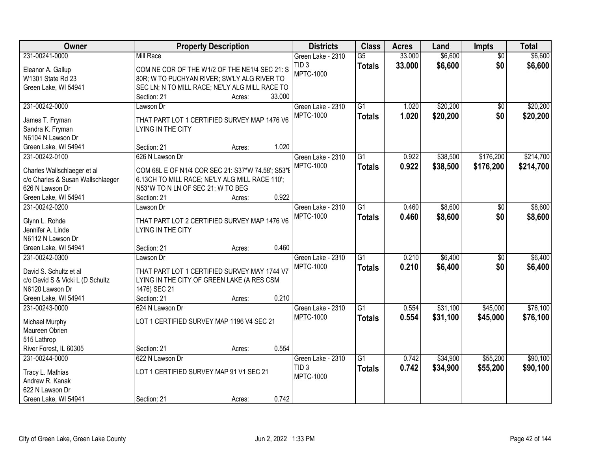| Owner                             | <b>Property Description</b>                       | <b>Districts</b>  | <b>Class</b>    | <b>Acres</b> | Land     | <b>Impts</b>    | <b>Total</b> |
|-----------------------------------|---------------------------------------------------|-------------------|-----------------|--------------|----------|-----------------|--------------|
| 231-00241-0000                    | <b>Mill Race</b>                                  | Green Lake - 2310 | $\overline{G5}$ | 33.000       | \$6,600  | $\overline{50}$ | \$6,600      |
| Eleanor A. Gallup                 | COM NE COR OF THE W1/2 OF THE NE1/4 SEC 21: S     | TID <sub>3</sub>  | <b>Totals</b>   | 33.000       | \$6,600  | \$0             | \$6,600      |
| W1301 State Rd 23                 | 80R; W TO PUCHYAN RIVER; SW'LY ALG RIVER TO       | <b>MPTC-1000</b>  |                 |              |          |                 |              |
| Green Lake, WI 54941              | SEC LN; N TO MILL RACE; NE'LY ALG MILL RACE TO    |                   |                 |              |          |                 |              |
|                                   | 33.000<br>Section: 21<br>Acres:                   |                   |                 |              |          |                 |              |
| 231-00242-0000                    | Lawson Dr                                         | Green Lake - 2310 | $\overline{G1}$ | 1.020        | \$20,200 | \$0             | \$20,200     |
| James T. Fryman                   | THAT PART LOT 1 CERTIFIED SURVEY MAP 1476 V6      | <b>MPTC-1000</b>  | <b>Totals</b>   | 1.020        | \$20,200 | \$0             | \$20,200     |
| Sandra K. Fryman                  | LYING IN THE CITY                                 |                   |                 |              |          |                 |              |
| N6104 N Lawson Dr                 |                                                   |                   |                 |              |          |                 |              |
| Green Lake, WI 54941              | 1.020<br>Section: 21<br>Acres:                    |                   |                 |              |          |                 |              |
| 231-00242-0100                    | 626 N Lawson Dr                                   | Green Lake - 2310 | G1              | 0.922        | \$38,500 | \$176,200       | \$214,700    |
|                                   |                                                   | <b>MPTC-1000</b>  | <b>Totals</b>   | 0.922        | \$38,500 | \$176,200       | \$214,700    |
| Charles Wallschlaeger et al       | COM 68L E OF N1/4 COR SEC 21: S37*W 74.58'; S53*E |                   |                 |              |          |                 |              |
| c/o Charles & Susan Wallschlaeger | 6.13CH TO MILL RACE; NE'LY ALG MILL RACE 110';    |                   |                 |              |          |                 |              |
| 626 N Lawson Dr                   | N53*W TO N LN OF SEC 21; W TO BEG                 |                   |                 |              |          |                 |              |
| Green Lake, WI 54941              | 0.922<br>Section: 21<br>Acres:                    |                   |                 |              |          |                 |              |
| 231-00242-0200                    | Lawson Dr                                         | Green Lake - 2310 | $\overline{G1}$ | 0.460        | \$8,600  | $\sqrt{6}$      | \$8,600      |
| Glynn L. Rohde                    | THAT PART LOT 2 CERTIFIED SURVEY MAP 1476 V6      | <b>MPTC-1000</b>  | <b>Totals</b>   | 0.460        | \$8,600  | \$0             | \$8,600      |
| Jennifer A. Linde                 | LYING IN THE CITY                                 |                   |                 |              |          |                 |              |
| N6112 N Lawson Dr                 |                                                   |                   |                 |              |          |                 |              |
| Green Lake, WI 54941              | 0.460<br>Section: 21<br>Acres:                    |                   |                 |              |          |                 |              |
| 231-00242-0300                    | Lawson Dr                                         | Green Lake - 2310 | $\overline{G1}$ | 0.210        | \$6,400  | $\overline{30}$ | \$6,400      |
| David S. Schultz et al            | THAT PART LOT 1 CERTIFIED SURVEY MAY 1744 V7      | <b>MPTC-1000</b>  | <b>Totals</b>   | 0.210        | \$6,400  | \$0             | \$6,400      |
| c/o David S & Vicki L (D Schultz  | LYING IN THE CITY OF GREEN LAKE (A RES CSM        |                   |                 |              |          |                 |              |
| N6120 Lawson Dr                   | 1476) SEC 21                                      |                   |                 |              |          |                 |              |
| Green Lake, WI 54941              | 0.210<br>Section: 21<br>Acres:                    |                   |                 |              |          |                 |              |
| 231-00243-0000                    | 624 N Lawson Dr                                   | Green Lake - 2310 | $\overline{G1}$ | 0.554        | \$31,100 | \$45,000        | \$76,100     |
|                                   |                                                   | <b>MPTC-1000</b>  | <b>Totals</b>   | 0.554        | \$31,100 | \$45,000        | \$76,100     |
| Michael Murphy                    | LOT 1 CERTIFIED SURVEY MAP 1196 V4 SEC 21         |                   |                 |              |          |                 |              |
| Maureen Obrien                    |                                                   |                   |                 |              |          |                 |              |
| 515 Lathrop                       |                                                   |                   |                 |              |          |                 |              |
| River Forest, IL 60305            | 0.554<br>Section: 21<br>Acres:                    |                   |                 |              |          |                 |              |
| 231-00244-0000                    | 622 N Lawson Dr                                   | Green Lake - 2310 | $\overline{G1}$ | 0.742        | \$34,900 | \$55,200        | \$90,100     |
| Tracy L. Mathias                  | LOT 1 CERTIFIED SURVEY MAP 91 V1 SEC 21           | TID <sub>3</sub>  | <b>Totals</b>   | 0.742        | \$34,900 | \$55,200        | \$90,100     |
| Andrew R. Kanak                   |                                                   | <b>MPTC-1000</b>  |                 |              |          |                 |              |
| 622 N Lawson Dr                   |                                                   |                   |                 |              |          |                 |              |
| Green Lake, WI 54941              | 0.742<br>Section: 21<br>Acres:                    |                   |                 |              |          |                 |              |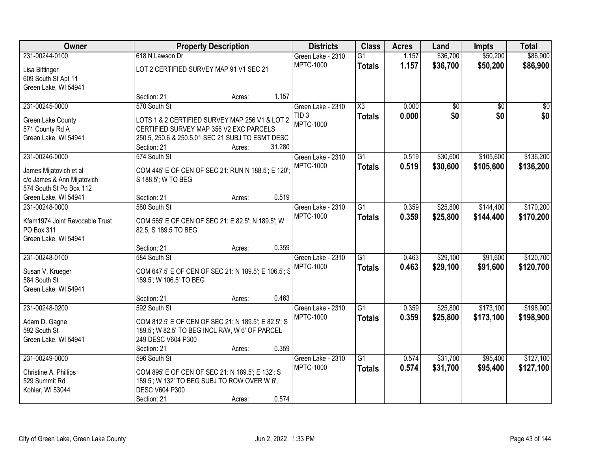| Owner                          |                                                      | <b>Property Description</b> |        | <b>Districts</b>  | <b>Class</b>           | <b>Acres</b> | Land     | <b>Impts</b>    | <b>Total</b> |
|--------------------------------|------------------------------------------------------|-----------------------------|--------|-------------------|------------------------|--------------|----------|-----------------|--------------|
| 231-00244-0100                 | 618 N Lawson Dr                                      |                             |        | Green Lake - 2310 | $\overline{G1}$        | 1.157        | \$36,700 | \$50,200        | \$86,900     |
| Lisa Bittinger                 | LOT 2 CERTIFIED SURVEY MAP 91 V1 SEC 21              |                             |        | <b>MPTC-1000</b>  | <b>Totals</b>          | 1.157        | \$36,700 | \$50,200        | \$86,900     |
| 609 South St Apt 11            |                                                      |                             |        |                   |                        |              |          |                 |              |
| Green Lake, WI 54941           |                                                      |                             |        |                   |                        |              |          |                 |              |
|                                | Section: 21                                          | Acres:                      | 1.157  |                   |                        |              |          |                 |              |
| 231-00245-0000                 | 570 South St                                         |                             |        | Green Lake - 2310 | $\overline{\text{X3}}$ | 0.000        | \$0      | $\overline{50}$ | \$0          |
| Green Lake County              | LOTS 1 & 2 CERTIFIED SURVEY MAP 256 V1 & LOT 2       |                             |        | TID <sub>3</sub>  | <b>Totals</b>          | 0.000        | \$0      | \$0             | \$0          |
| 571 County Rd A                | CERTIFIED SURVEY MAP 356 V2 EXC PARCELS              |                             |        | <b>MPTC-1000</b>  |                        |              |          |                 |              |
| Green Lake, WI 54941           | 250.5, 250.6 & 250.5.01 SEC 21 SUBJ TO ESMT DESC     |                             |        |                   |                        |              |          |                 |              |
|                                | Section: 21                                          | Acres:                      | 31.280 |                   |                        |              |          |                 |              |
| 231-00246-0000                 | 574 South St                                         |                             |        | Green Lake - 2310 | G1                     | 0.519        | \$30,600 | \$105,600       | \$136,200    |
| James Mijatovich et al         | COM 445' E OF CEN OF SEC 21: RUN N 188.5'; E 120';   |                             |        | <b>MPTC-1000</b>  | <b>Totals</b>          | 0.519        | \$30,600 | \$105,600       | \$136,200    |
| c/o James & Ann Mijatovich     | S 188.5'; W TO BEG                                   |                             |        |                   |                        |              |          |                 |              |
| 574 South St Po Box 112        |                                                      |                             |        |                   |                        |              |          |                 |              |
| Green Lake, WI 54941           | Section: 21                                          | Acres:                      | 0.519  |                   |                        |              |          |                 |              |
| 231-00248-0000                 | 580 South St                                         |                             |        | Green Lake - 2310 | $\overline{G1}$        | 0.359        | \$25,800 | \$144,400       | \$170,200    |
| Kfam1974 Joint Revocable Trust | COM 565' E OF CEN OF SEC 21: E 82.5'; N 189.5'; W    |                             |        | <b>MPTC-1000</b>  | <b>Totals</b>          | 0.359        | \$25,800 | \$144,400       | \$170,200    |
| PO Box 311                     | 82.5; S 189.5 TO BEG                                 |                             |        |                   |                        |              |          |                 |              |
| Green Lake, WI 54941           |                                                      |                             |        |                   |                        |              |          |                 |              |
|                                | Section: 21                                          | Acres:                      | 0.359  |                   |                        |              |          |                 |              |
| 231-00248-0100                 | 584 South St                                         |                             |        | Green Lake - 2310 | $\overline{G1}$        | 0.463        | \$29,100 | \$91,600        | \$120,700    |
| Susan V. Krueger               | COM 647.5' E OF CEN OF SEC 21: N 189.5'; E 106.5'; S |                             |        | MPTC-1000         | <b>Totals</b>          | 0.463        | \$29,100 | \$91,600        | \$120,700    |
| 584 South St                   | 189.5'; W 106.5' TO BEG                              |                             |        |                   |                        |              |          |                 |              |
| Green Lake, WI 54941           |                                                      |                             |        |                   |                        |              |          |                 |              |
|                                | Section: 21                                          | Acres:                      | 0.463  |                   |                        |              |          |                 |              |
| 231-00248-0200                 | 592 South St                                         |                             |        | Green Lake - 2310 | $\overline{G1}$        | 0.359        | \$25,800 | \$173,100       | \$198,900    |
| Adam D. Gagne                  | COM 812.5' E OF CEN OF SEC 21: N 189.5'; E 82.5'; S  |                             |        | <b>MPTC-1000</b>  | <b>Totals</b>          | 0.359        | \$25,800 | \$173,100       | \$198,900    |
| 592 South St                   | 189.5'; W 82.5' TO BEG INCL R/W, W 6' OF PARCEL      |                             |        |                   |                        |              |          |                 |              |
| Green Lake, WI 54941           | 249 DESC V604 P300                                   |                             |        |                   |                        |              |          |                 |              |
|                                | Section: 21                                          | Acres:                      | 0.359  |                   |                        |              |          |                 |              |
| 231-00249-0000                 | 596 South St                                         |                             |        | Green Lake - 2310 | $\overline{G1}$        | 0.574        | \$31,700 | \$95,400        | \$127,100    |
| Christine A. Phillips          | COM 895' E OF CEN OF SEC 21: N 189.5'; E 132'; S     |                             |        | <b>MPTC-1000</b>  | <b>Totals</b>          | 0.574        | \$31,700 | \$95,400        | \$127,100    |
| 529 Summit Rd                  | 189.5'; W 132' TO BEG SUBJ TO ROW OVER W 6',         |                             |        |                   |                        |              |          |                 |              |
| Kohler, WI 53044               | <b>DESC V604 P300</b>                                |                             |        |                   |                        |              |          |                 |              |
|                                | Section: 21                                          | Acres:                      | 0.574  |                   |                        |              |          |                 |              |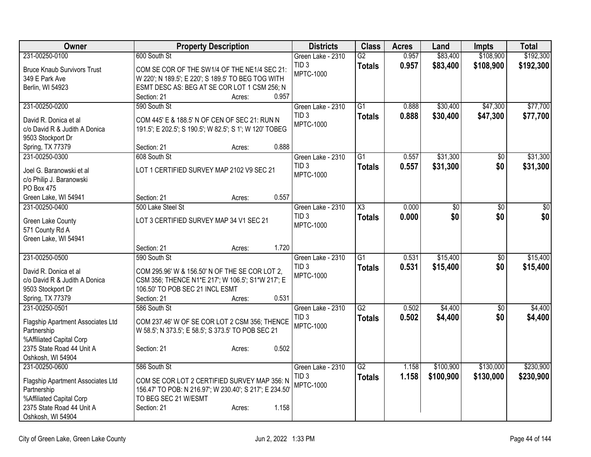| Owner                                            | <b>Property Description</b>                                                                         | <b>Districts</b>  | <b>Class</b>           | <b>Acres</b> | Land            | <b>Impts</b>    | <b>Total</b>    |
|--------------------------------------------------|-----------------------------------------------------------------------------------------------------|-------------------|------------------------|--------------|-----------------|-----------------|-----------------|
| 231-00250-0100                                   | 600 South St                                                                                        | Green Lake - 2310 | $\overline{G2}$        | 0.957        | \$83,400        | \$108,900       | \$192,300       |
| <b>Bruce Knaub Survivors Trust</b>               | COM SE COR OF THE SW1/4 OF THE NE1/4 SEC 21:                                                        | TID <sub>3</sub>  | <b>Totals</b>          | 0.957        | \$83,400        | \$108,900       | \$192,300       |
| 349 E Park Ave                                   | W 220'; N 189.5'; E 220'; S 189.5' TO BEG TOG WITH                                                  | MPTC-1000         |                        |              |                 |                 |                 |
| Berlin, WI 54923                                 | ESMT DESC AS: BEG AT SE COR LOT 1 CSM 256; N                                                        |                   |                        |              |                 |                 |                 |
|                                                  | 0.957<br>Section: 21<br>Acres:                                                                      |                   |                        |              |                 |                 |                 |
| 231-00250-0200                                   | 590 South St                                                                                        | Green Lake - 2310 | $\overline{G1}$        | 0.888        | \$30,400        | \$47,300        | \$77,700        |
| David R. Donica et al                            | COM 445' E & 188.5' N OF CEN OF SEC 21: RUN N                                                       | TID <sub>3</sub>  | <b>Totals</b>          | 0.888        | \$30,400        | \$47,300        | \$77,700        |
| c/o David R & Judith A Donica                    | 191.5'; E 202.5'; S 190.5'; W 82.5'; S 1'; W 120' TOBEG                                             | MPTC-1000         |                        |              |                 |                 |                 |
| 9503 Stockport Dr                                |                                                                                                     |                   |                        |              |                 |                 |                 |
| Spring, TX 77379                                 | 0.888<br>Section: 21<br>Acres:                                                                      |                   |                        |              |                 |                 |                 |
| 231-00250-0300                                   | 608 South St                                                                                        | Green Lake - 2310 | $\overline{G1}$        | 0.557        | \$31,300        | \$0             | \$31,300        |
| Joel G. Baranowski et al                         | LOT 1 CERTIFIED SURVEY MAP 2102 V9 SEC 21                                                           | TID <sub>3</sub>  | <b>Totals</b>          | 0.557        | \$31,300        | \$0             | \$31,300        |
| c/o Philip J. Baranowski                         |                                                                                                     | <b>MPTC-1000</b>  |                        |              |                 |                 |                 |
| PO Box 475                                       |                                                                                                     |                   |                        |              |                 |                 |                 |
| Green Lake, WI 54941                             | 0.557<br>Section: 21<br>Acres:                                                                      |                   |                        |              |                 |                 |                 |
| 231-00250-0400                                   | 500 Lake Steel St                                                                                   | Green Lake - 2310 | $\overline{\text{X3}}$ | 0.000        | $\overline{50}$ | $\overline{30}$ | $\overline{30}$ |
|                                                  | LOT 3 CERTIFIED SURVEY MAP 34 V1 SEC 21                                                             | TID <sub>3</sub>  | <b>Totals</b>          | 0.000        | \$0             | \$0             | \$0             |
| Green Lake County<br>571 County Rd A             |                                                                                                     | <b>MPTC-1000</b>  |                        |              |                 |                 |                 |
| Green Lake, WI 54941                             |                                                                                                     |                   |                        |              |                 |                 |                 |
|                                                  | 1.720<br>Section: 21<br>Acres:                                                                      |                   |                        |              |                 |                 |                 |
| 231-00250-0500                                   | 590 South St                                                                                        | Green Lake - 2310 | $\overline{G1}$        | 0.531        | \$15,400        | \$0             | \$15,400        |
| David R. Donica et al.                           |                                                                                                     | TID <sub>3</sub>  | <b>Totals</b>          | 0.531        | \$15,400        | \$0             | \$15,400        |
| c/o David R & Judith A Donica                    | COM 295.96' W & 156.50' N OF THE SE COR LOT 2,<br>CSM 356; THENCE N1*E 217'; W 106.5'; S1*W 217'; E | <b>MPTC-1000</b>  |                        |              |                 |                 |                 |
| 9503 Stockport Dr                                | 106.50' TO POB SEC 21 INCL ESMT                                                                     |                   |                        |              |                 |                 |                 |
| Spring, TX 77379                                 | Section: 21<br>0.531<br>Acres:                                                                      |                   |                        |              |                 |                 |                 |
| 231-00250-0501                                   | 586 South St                                                                                        | Green Lake - 2310 | $\overline{G2}$        | 0.502        | \$4,400         | $\overline{50}$ | \$4,400         |
|                                                  |                                                                                                     | TID <sub>3</sub>  | <b>Totals</b>          | 0.502        | \$4,400         | \$0             | \$4,400         |
| Flagship Apartment Associates Ltd<br>Partnership | COM 237.46' W OF SE COR LOT 2 CSM 356; THENCE<br>W 58.5'; N 373.5'; E 58.5'; S 373.5' TO POB SEC 21 | MPTC-1000         |                        |              |                 |                 |                 |
| %Affiliated Capital Corp                         |                                                                                                     |                   |                        |              |                 |                 |                 |
| 2375 State Road 44 Unit A                        | 0.502<br>Section: 21<br>Acres:                                                                      |                   |                        |              |                 |                 |                 |
| Oshkosh, WI 54904                                |                                                                                                     |                   |                        |              |                 |                 |                 |
| 231-00250-0600                                   | 586 South St                                                                                        | Green Lake - 2310 | G2                     | 1.158        | \$100,900       | \$130,000       | \$230,900       |
| Flagship Apartment Associates Ltd                | COM SE COR LOT 2 CERTIFIED SURVEY MAP 356: N                                                        | TID <sub>3</sub>  | <b>Totals</b>          | 1.158        | \$100,900       | \$130,000       | \$230,900       |
| Partnership                                      | 156.47' TO POB: N 216.97'; W 230.40'; S 217'; E 234.50'                                             | MPTC-1000         |                        |              |                 |                 |                 |
| %Affiliated Capital Corp                         | TO BEG SEC 21 W/ESMT                                                                                |                   |                        |              |                 |                 |                 |
| 2375 State Road 44 Unit A                        | Section: 21<br>1.158<br>Acres:                                                                      |                   |                        |              |                 |                 |                 |
| Oshkosh, WI 54904                                |                                                                                                     |                   |                        |              |                 |                 |                 |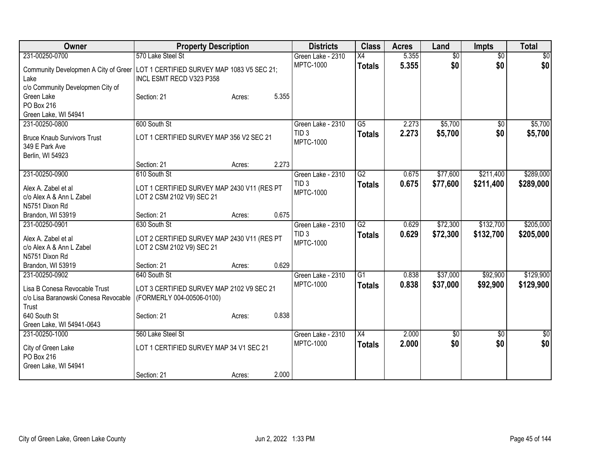| Owner                                                                                       | <b>Property Description</b>                                              |                 | <b>Districts</b>                     | <b>Class</b>    | <b>Acres</b> | Land            | <b>Impts</b>    | <b>Total</b>     |
|---------------------------------------------------------------------------------------------|--------------------------------------------------------------------------|-----------------|--------------------------------------|-----------------|--------------|-----------------|-----------------|------------------|
| 231-00250-0700                                                                              | 570 Lake Steel St                                                        |                 | Green Lake - 2310                    | $\overline{X4}$ | 5.355        | $\overline{50}$ | $\overline{30}$ | $\overline{30}$  |
| Community Developmen A City of Greer<br>Lake                                                | LOT 1 CERTIFIED SURVEY MAP 1083 V5 SEC 21;<br>INCL ESMT RECD V323 P358   |                 | <b>MPTC-1000</b>                     | <b>Totals</b>   | 5.355        | \$0             | \$0             | \$0              |
| c/o Community Developmen City of<br>Green Lake<br><b>PO Box 216</b><br>Green Lake, WI 54941 | Section: 21                                                              | 5.355<br>Acres: |                                      |                 |              |                 |                 |                  |
| 231-00250-0800                                                                              | 600 South St                                                             |                 | Green Lake - 2310                    | $\overline{G5}$ | 2.273        | \$5,700         | $\overline{50}$ | \$5,700          |
| <b>Bruce Knaub Survivors Trust</b><br>349 E Park Ave<br>Berlin, WI 54923                    | LOT 1 CERTIFIED SURVEY MAP 356 V2 SEC 21                                 |                 | TID <sub>3</sub><br><b>MPTC-1000</b> | <b>Totals</b>   | 2.273        | \$5,700         | \$0             | \$5,700          |
|                                                                                             | Section: 21                                                              | 2.273<br>Acres: |                                      |                 |              |                 |                 |                  |
| 231-00250-0900                                                                              | 610 South St                                                             |                 | Green Lake - 2310                    | $\overline{G2}$ | 0.675        | \$77,600        | \$211,400       | \$289,000        |
| Alex A. Zabel et al<br>c/o Alex A & Ann L Zabel<br>N5751 Dixon Rd                           | LOT 1 CERTIFIED SURVEY MAP 2430 V11 (RES PT<br>LOT 2 CSM 2102 V9) SEC 21 |                 | TID <sub>3</sub><br><b>MPTC-1000</b> | <b>Totals</b>   | 0.675        | \$77,600        | \$211,400       | \$289,000        |
| Brandon, WI 53919                                                                           | Section: 21                                                              | 0.675<br>Acres: |                                      |                 |              |                 |                 |                  |
| 231-00250-0901                                                                              | 630 South St                                                             |                 | Green Lake - 2310                    | $\overline{G2}$ | 0.629        | \$72,300        | \$132,700       | \$205,000        |
| Alex A. Zabel et al<br>c/o Alex A & Ann L Zabel<br>N5751 Dixon Rd                           | LOT 2 CERTIFIED SURVEY MAP 2430 V11 (RES PT<br>LOT 2 CSM 2102 V9) SEC 21 |                 | TID <sub>3</sub><br><b>MPTC-1000</b> | <b>Totals</b>   | 0.629        | \$72,300        | \$132,700       | \$205,000        |
| Brandon, WI 53919                                                                           | Section: 21                                                              | 0.629<br>Acres: |                                      |                 |              |                 |                 |                  |
| 231-00250-0902                                                                              | 640 South St                                                             |                 | Green Lake - 2310                    | $\overline{G1}$ | 0.838        | \$37,000        | \$92,900        | \$129,900        |
| Lisa B Conesa Revocable Trust<br>c/o Lisa Baranowski Conesa Revocable<br>Trust              | LOT 3 CERTIFIED SURVEY MAP 2102 V9 SEC 21<br>(FORMERLY 004-00506-0100)   |                 | <b>MPTC-1000</b>                     | <b>Totals</b>   | 0.838        | \$37,000        | \$92,900        | \$129,900        |
| 640 South St                                                                                | Section: 21                                                              | 0.838<br>Acres: |                                      |                 |              |                 |                 |                  |
| Green Lake, WI 54941-0643                                                                   |                                                                          |                 |                                      |                 |              |                 |                 |                  |
| 231-00250-1000                                                                              | 560 Lake Steel St                                                        |                 | Green Lake - 2310                    | $\overline{X4}$ | 2.000        | $\overline{50}$ | \$0             | $\overline{\$0}$ |
| City of Green Lake<br>PO Box 216<br>Green Lake, WI 54941                                    | LOT 1 CERTIFIED SURVEY MAP 34 V1 SEC 21                                  |                 | <b>MPTC-1000</b>                     | <b>Totals</b>   | 2.000        | \$0             | \$0             | \$0              |
|                                                                                             | Section: 21                                                              | 2.000<br>Acres: |                                      |                 |              |                 |                 |                  |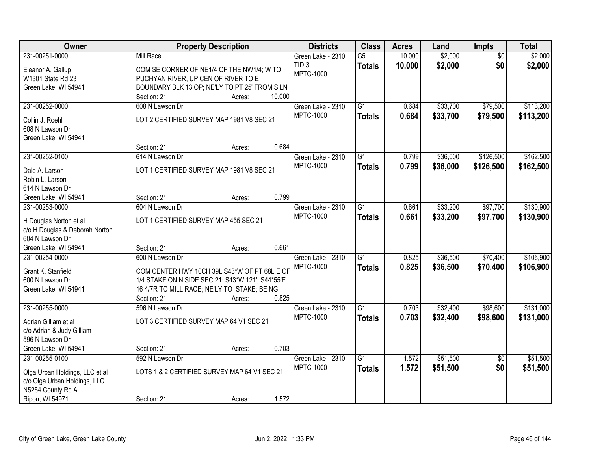| Owner                          |                                                  | <b>Property Description</b> |        | <b>Districts</b>  | <b>Class</b>    | <b>Acres</b> | Land     | <b>Impts</b>    | <b>Total</b> |
|--------------------------------|--------------------------------------------------|-----------------------------|--------|-------------------|-----------------|--------------|----------|-----------------|--------------|
| 231-00251-0000                 | <b>Mill Race</b>                                 |                             |        | Green Lake - 2310 | $\overline{G5}$ | 10.000       | \$2,000  | $\overline{50}$ | \$2,000      |
| Eleanor A. Gallup              | COM SE CORNER OF NE1/4 OF THE NW1/4; W TO        |                             |        | TID <sub>3</sub>  | <b>Totals</b>   | 10.000       | \$2,000  | \$0             | \$2,000      |
| W1301 State Rd 23              | PUCHYAN RIVER, UP CEN OF RIVER TO E              |                             |        | <b>MPTC-1000</b>  |                 |              |          |                 |              |
| Green Lake, WI 54941           | BOUNDARY BLK 13 OP; NE'LY TO PT 25' FROM S LN    |                             |        |                   |                 |              |          |                 |              |
|                                | Section: 21                                      | Acres:                      | 10.000 |                   |                 |              |          |                 |              |
| 231-00252-0000                 | 608 N Lawson Dr                                  |                             |        | Green Lake - 2310 | $\overline{G1}$ | 0.684        | \$33,700 | \$79,500        | \$113,200    |
| Collin J. Roehl                | LOT 2 CERTIFIED SURVEY MAP 1981 V8 SEC 21        |                             |        | <b>MPTC-1000</b>  | <b>Totals</b>   | 0.684        | \$33,700 | \$79,500        | \$113,200    |
| 608 N Lawson Dr                |                                                  |                             |        |                   |                 |              |          |                 |              |
| Green Lake, WI 54941           |                                                  |                             |        |                   |                 |              |          |                 |              |
|                                | Section: 21                                      | Acres:                      | 0.684  |                   |                 |              |          |                 |              |
| 231-00252-0100                 | 614 N Lawson Dr                                  |                             |        | Green Lake - 2310 | G <sub>1</sub>  | 0.799        | \$36,000 | \$126,500       | \$162,500    |
| Dale A. Larson                 | LOT 1 CERTIFIED SURVEY MAP 1981 V8 SEC 21        |                             |        | <b>MPTC-1000</b>  | <b>Totals</b>   | 0.799        | \$36,000 | \$126,500       | \$162,500    |
| Robin L. Larson                |                                                  |                             |        |                   |                 |              |          |                 |              |
| 614 N Lawson Dr                |                                                  |                             |        |                   |                 |              |          |                 |              |
| Green Lake, WI 54941           | Section: 21                                      | Acres:                      | 0.799  |                   |                 |              |          |                 |              |
| 231-00253-0000                 | 604 N Lawson Dr                                  |                             |        | Green Lake - 2310 | $\overline{G1}$ | 0.661        | \$33,200 | \$97,700        | \$130,900    |
|                                |                                                  |                             |        | <b>MPTC-1000</b>  | <b>Totals</b>   | 0.661        | \$33,200 | \$97,700        | \$130,900    |
| H Douglas Norton et al         | LOT 1 CERTIFIED SURVEY MAP 455 SEC 21            |                             |        |                   |                 |              |          |                 |              |
| c/o H Douglas & Deborah Norton |                                                  |                             |        |                   |                 |              |          |                 |              |
| 604 N Lawson Dr                |                                                  |                             |        |                   |                 |              |          |                 |              |
| Green Lake, WI 54941           | Section: 21                                      | Acres:                      | 0.661  |                   |                 |              |          |                 |              |
| 231-00254-0000                 | 600 N Lawson Dr                                  |                             |        | Green Lake - 2310 | $\overline{G1}$ | 0.825        | \$36,500 | \$70,400        | \$106,900    |
| Grant K. Stanfield             | COM CENTER HWY 10CH 39L S43*W OF PT 68L E OF     |                             |        | <b>MPTC-1000</b>  | <b>Totals</b>   | 0.825        | \$36,500 | \$70,400        | \$106,900    |
| 600 N Lawson Dr                | 1/4 STAKE ON N SIDE SEC 21: S43*W 121'; S44*55'E |                             |        |                   |                 |              |          |                 |              |
| Green Lake, WI 54941           | 16 4/7R TO MILL RACE; NE'LY TO STAKE; BEING      |                             |        |                   |                 |              |          |                 |              |
|                                | Section: 21                                      | Acres:                      | 0.825  |                   |                 |              |          |                 |              |
| 231-00255-0000                 | 596 N Lawson Dr                                  |                             |        | Green Lake - 2310 | $\overline{G1}$ | 0.703        | \$32,400 | \$98,600        | \$131,000    |
| Adrian Gilliam et al           | LOT 3 CERTIFIED SURVEY MAP 64 V1 SEC 21          |                             |        | <b>MPTC-1000</b>  | <b>Totals</b>   | 0.703        | \$32,400 | \$98,600        | \$131,000    |
| c/o Adrian & Judy Gilliam      |                                                  |                             |        |                   |                 |              |          |                 |              |
| 596 N Lawson Dr                |                                                  |                             |        |                   |                 |              |          |                 |              |
| Green Lake, WI 54941           | Section: 21                                      | Acres:                      | 0.703  |                   |                 |              |          |                 |              |
| 231-00255-0100                 | 592 N Lawson Dr                                  |                             |        | Green Lake - 2310 | $\overline{G1}$ | 1.572        | \$51,500 | $\overline{50}$ | \$51,500     |
| Olga Urban Holdings, LLC et al | LOTS 1 & 2 CERTIFIED SURVEY MAP 64 V1 SEC 21     |                             |        | <b>MPTC-1000</b>  | <b>Totals</b>   | 1.572        | \$51,500 | \$0             | \$51,500     |
| c/o Olga Urban Holdings, LLC   |                                                  |                             |        |                   |                 |              |          |                 |              |
| N5254 County Rd A              |                                                  |                             |        |                   |                 |              |          |                 |              |
| Ripon, WI 54971                | Section: 21                                      | Acres:                      | 1.572  |                   |                 |              |          |                 |              |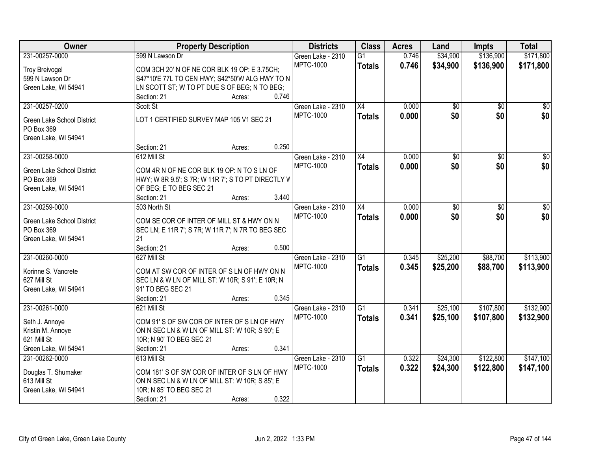| Owner                              | <b>Property Description</b>                                                                    | <b>Districts</b>  | <b>Class</b>    | <b>Acres</b> | Land            | <b>Impts</b> | <b>Total</b>    |
|------------------------------------|------------------------------------------------------------------------------------------------|-------------------|-----------------|--------------|-----------------|--------------|-----------------|
| 231-00257-0000                     | 599 N Lawson Dr                                                                                | Green Lake - 2310 | $\overline{G1}$ | 0.746        | \$34,900        | \$136,900    | \$171,800       |
| <b>Troy Breivogel</b>              | COM 3CH 20' N OF NE COR BLK 19 OP: E 3.75CH;                                                   | <b>MPTC-1000</b>  | <b>Totals</b>   | 0.746        | \$34,900        | \$136,900    | \$171,800       |
| 599 N Lawson Dr                    | S47*10'E 77L TO CEN HWY; S42*50'W ALG HWY TO N                                                 |                   |                 |              |                 |              |                 |
| Green Lake, WI 54941               | LN SCOTT ST; W TO PT DUE S OF BEG; N TO BEG;                                                   |                   |                 |              |                 |              |                 |
|                                    | 0.746<br>Section: 21<br>Acres:                                                                 |                   |                 |              |                 |              |                 |
| 231-00257-0200                     | Scott St                                                                                       | Green Lake - 2310 | X4              | 0.000        | $\overline{50}$ | \$0          | \$0             |
|                                    |                                                                                                | <b>MPTC-1000</b>  | <b>Totals</b>   | 0.000        | \$0             | \$0          | \$0             |
| Green Lake School District         | LOT 1 CERTIFIED SURVEY MAP 105 V1 SEC 21                                                       |                   |                 |              |                 |              |                 |
| PO Box 369                         |                                                                                                |                   |                 |              |                 |              |                 |
| Green Lake, WI 54941               | 0.250<br>Section: 21<br>Acres:                                                                 |                   |                 |              |                 |              |                 |
| 231-00258-0000                     | 612 Mill St                                                                                    | Green Lake - 2310 | X4              | 0.000        | \$0             | \$0          | $\overline{50}$ |
|                                    |                                                                                                | <b>MPTC-1000</b>  |                 | 0.000        | \$0             | \$0          | \$0             |
| Green Lake School District         | COM 4R N OF NE COR BLK 19 OP: N TO S LN OF                                                     |                   | <b>Totals</b>   |              |                 |              |                 |
| PO Box 369                         | HWY; W 8R 9.5'; S 7R; W 11R 7'; S TO PT DIRECTLY W                                             |                   |                 |              |                 |              |                 |
| Green Lake, WI 54941               | OF BEG; E TO BEG SEC 21                                                                        |                   |                 |              |                 |              |                 |
|                                    | 3.440<br>Section: 21<br>Acres:                                                                 |                   |                 |              |                 |              |                 |
| 231-00259-0000                     | 503 North St                                                                                   | Green Lake - 2310 | X4              | 0.000        | \$0             | $\sqrt[6]{}$ | $\sqrt{50}$     |
| Green Lake School District         | COM SE COR OF INTER OF MILL ST & HWY ON N                                                      | <b>MPTC-1000</b>  | <b>Totals</b>   | 0.000        | \$0             | \$0          | \$0             |
| PO Box 369                         | SEC LN; E 11R 7'; S 7R; W 11R 7'; N 7R TO BEG SEC                                              |                   |                 |              |                 |              |                 |
| Green Lake, WI 54941               | 21                                                                                             |                   |                 |              |                 |              |                 |
|                                    | 0.500<br>Section: 21<br>Acres:                                                                 |                   |                 |              |                 |              |                 |
| 231-00260-0000                     | 627 Mill St                                                                                    | Green Lake - 2310 | $\overline{G1}$ | 0.345        | \$25,200        | \$88,700     | \$113,900       |
|                                    |                                                                                                | <b>MPTC-1000</b>  | <b>Totals</b>   | 0.345        | \$25,200        | \$88,700     | \$113,900       |
| Korinne S. Vancrete<br>627 Mill St | COM AT SW COR OF INTER OF S LN OF HWY ON N<br>SEC LN & W LN OF MILL ST: W 10R; S 91'; E 10R; N |                   |                 |              |                 |              |                 |
| Green Lake, WI 54941               | 91' TO BEG SEC 21                                                                              |                   |                 |              |                 |              |                 |
|                                    | 0.345<br>Section: 21<br>Acres:                                                                 |                   |                 |              |                 |              |                 |
| 231-00261-0000                     | 621 Mill St                                                                                    | Green Lake - 2310 | $\overline{G1}$ | 0.341        | \$25,100        | \$107,800    | \$132,900       |
|                                    |                                                                                                | <b>MPTC-1000</b>  | <b>Totals</b>   | 0.341        | \$25,100        | \$107,800    | \$132,900       |
| Seth J. Annoye                     | COM 91'S OF SW COR OF INTER OF S LN OF HWY                                                     |                   |                 |              |                 |              |                 |
| Kristin M. Annoye                  | ON N SEC LN & W LN OF MILL ST: W 10R; S 90'; E                                                 |                   |                 |              |                 |              |                 |
| 621 Mill St                        | 10R; N 90' TO BEG SEC 21                                                                       |                   |                 |              |                 |              |                 |
| Green Lake, WI 54941               | 0.341<br>Section: 21<br>Acres:                                                                 |                   |                 |              |                 |              |                 |
| 231-00262-0000                     | 613 Mill St                                                                                    | Green Lake - 2310 | $\overline{G1}$ | 0.322        | \$24,300        | \$122,800    | \$147,100       |
| Douglas T. Shumaker                | COM 181'S OF SW COR OF INTER OF S LN OF HWY                                                    | <b>MPTC-1000</b>  | <b>Totals</b>   | 0.322        | \$24,300        | \$122,800    | \$147,100       |
| 613 Mill St                        | ON N SEC LN & W LN OF MILL ST: W 10R; S 85'; E                                                 |                   |                 |              |                 |              |                 |
| Green Lake, WI 54941               | 10R; N 85' TO BEG SEC 21                                                                       |                   |                 |              |                 |              |                 |
|                                    | 0.322<br>Section: 21<br>Acres:                                                                 |                   |                 |              |                 |              |                 |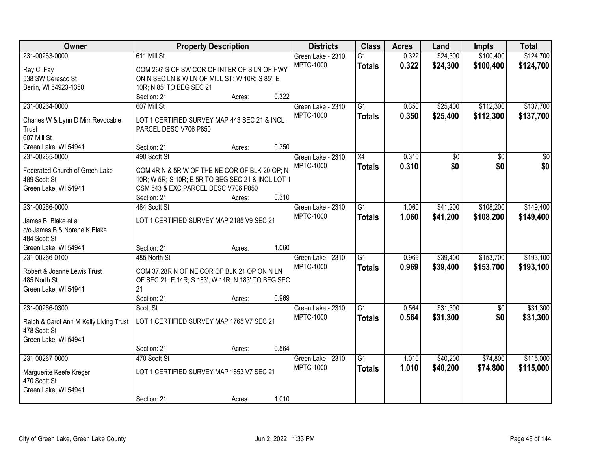| Owner                                  | <b>Property Description</b>                        |                 | <b>Districts</b>  | <b>Class</b>    | <b>Acres</b> | Land     | <b>Impts</b>    | <b>Total</b> |
|----------------------------------------|----------------------------------------------------|-----------------|-------------------|-----------------|--------------|----------|-----------------|--------------|
| 231-00263-0000                         | 611 Mill St                                        |                 | Green Lake - 2310 | $\overline{G1}$ | 0.322        | \$24,300 | \$100,400       | \$124,700    |
| Ray C. Fay                             | COM 266' S OF SW COR OF INTER OF S LN OF HWY       |                 | <b>MPTC-1000</b>  | <b>Totals</b>   | 0.322        | \$24,300 | \$100,400       | \$124,700    |
| 538 SW Ceresco St                      | ON N SEC LN & W LN OF MILL ST: W 10R; S 85'; E     |                 |                   |                 |              |          |                 |              |
| Berlin, WI 54923-1350                  | 10R; N 85' TO BEG SEC 21                           |                 |                   |                 |              |          |                 |              |
|                                        | Section: 21                                        | 0.322<br>Acres: |                   |                 |              |          |                 |              |
| 231-00264-0000                         | 607 Mill St                                        |                 | Green Lake - 2310 | $\overline{G1}$ | 0.350        | \$25,400 | \$112,300       | \$137,700    |
| Charles W & Lynn D Mirr Revocable      | LOT 1 CERTIFIED SURVEY MAP 443 SEC 21 & INCL       |                 | <b>MPTC-1000</b>  | <b>Totals</b>   | 0.350        | \$25,400 | \$112,300       | \$137,700    |
| Trust                                  | PARCEL DESC V706 P850                              |                 |                   |                 |              |          |                 |              |
| 607 Mill St                            |                                                    |                 |                   |                 |              |          |                 |              |
| Green Lake, WI 54941                   | Section: 21                                        | 0.350<br>Acres: |                   |                 |              |          |                 |              |
| 231-00265-0000                         | 490 Scott St                                       |                 | Green Lake - 2310 | X4              | 0.310        | \$0      | \$0             | \$0          |
|                                        |                                                    |                 | <b>MPTC-1000</b>  | <b>Totals</b>   | 0.310        | \$0      | \$0             | \$0          |
| Federated Church of Green Lake         | COM 4R N & 5R W OF THE NE COR OF BLK 20 OP; N      |                 |                   |                 |              |          |                 |              |
| 489 Scott St                           | 10R; W 5R; S 10R; E 5R TO BEG SEC 21 & INCL LOT 1  |                 |                   |                 |              |          |                 |              |
| Green Lake, WI 54941                   | CSM 543 & EXC PARCEL DESC V706 P850<br>Section: 21 | 0.310<br>Acres: |                   |                 |              |          |                 |              |
| 231-00266-0000                         | 484 Scott St                                       |                 | Green Lake - 2310 | G1              | 1.060        | \$41,200 | \$108,200       | \$149,400    |
|                                        |                                                    |                 | <b>MPTC-1000</b>  |                 | 1.060        | \$41,200 |                 |              |
| James B. Blake et al                   | LOT 1 CERTIFIED SURVEY MAP 2185 V9 SEC 21          |                 |                   | <b>Totals</b>   |              |          | \$108,200       | \$149,400    |
| c/o James B & Norene K Blake           |                                                    |                 |                   |                 |              |          |                 |              |
| 484 Scott St                           |                                                    |                 |                   |                 |              |          |                 |              |
| Green Lake, WI 54941                   | Section: 21                                        | 1.060<br>Acres: |                   |                 |              |          |                 |              |
| 231-00266-0100                         | 485 North St                                       |                 | Green Lake - 2310 | $\overline{G1}$ | 0.969        | \$39,400 | \$153,700       | \$193,100    |
| Robert & Joanne Lewis Trust            | COM 37.28R N OF NE COR OF BLK 21 OP ON N LN        |                 | <b>MPTC-1000</b>  | <b>Totals</b>   | 0.969        | \$39,400 | \$153,700       | \$193,100    |
| 485 North St                           | OF SEC 21: E 14R; S 183'; W 14R; N 183' TO BEG SEC |                 |                   |                 |              |          |                 |              |
| Green Lake, WI 54941                   | 21                                                 |                 |                   |                 |              |          |                 |              |
|                                        | Section: 21                                        | 0.969<br>Acres: |                   |                 |              |          |                 |              |
| 231-00266-0300                         | Scott St                                           |                 | Green Lake - 2310 | $\overline{G1}$ | 0.564        | \$31,300 | $\overline{50}$ | \$31,300     |
| Ralph & Carol Ann M Kelly Living Trust | LOT 1 CERTIFIED SURVEY MAP 1765 V7 SEC 21          |                 | <b>MPTC-1000</b>  | <b>Totals</b>   | 0.564        | \$31,300 | \$0             | \$31,300     |
| 478 Scott St                           |                                                    |                 |                   |                 |              |          |                 |              |
| Green Lake, WI 54941                   |                                                    |                 |                   |                 |              |          |                 |              |
|                                        | Section: 21                                        | 0.564<br>Acres: |                   |                 |              |          |                 |              |
| 231-00267-0000                         | 470 Scott St                                       |                 | Green Lake - 2310 | G1              | 1.010        | \$40,200 | \$74,800        | \$115,000    |
|                                        |                                                    |                 | <b>MPTC-1000</b>  | <b>Totals</b>   | 1.010        | \$40,200 | \$74,800        | \$115,000    |
| Marguerite Keefe Kreger                | LOT 1 CERTIFIED SURVEY MAP 1653 V7 SEC 21          |                 |                   |                 |              |          |                 |              |
| 470 Scott St                           |                                                    |                 |                   |                 |              |          |                 |              |
| Green Lake, WI 54941                   |                                                    |                 |                   |                 |              |          |                 |              |
|                                        | Section: 21                                        | 1.010<br>Acres: |                   |                 |              |          |                 |              |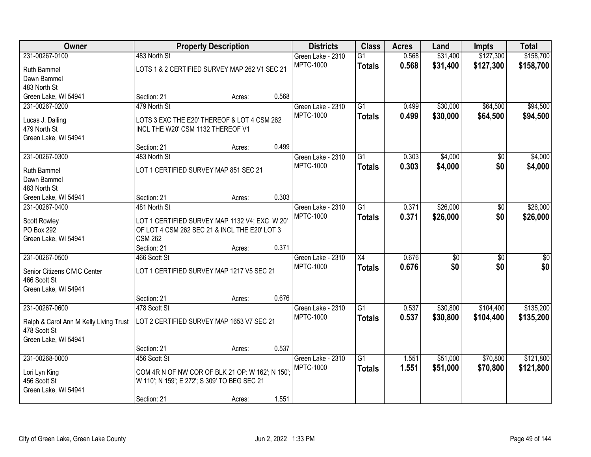| Owner                                  |                                                  | <b>Property Description</b> |       | <b>Districts</b>  | <b>Class</b>    | <b>Acres</b> | Land     | <b>Impts</b>    | <b>Total</b> |
|----------------------------------------|--------------------------------------------------|-----------------------------|-------|-------------------|-----------------|--------------|----------|-----------------|--------------|
| 231-00267-0100                         | 483 North St                                     |                             |       | Green Lake - 2310 | $\overline{G1}$ | 0.568        | \$31,400 | \$127,300       | \$158,700    |
| Ruth Bammel                            | LOTS 1 & 2 CERTIFIED SURVEY MAP 262 V1 SEC 21    |                             |       | <b>MPTC-1000</b>  | <b>Totals</b>   | 0.568        | \$31,400 | \$127,300       | \$158,700    |
| Dawn Bammel                            |                                                  |                             |       |                   |                 |              |          |                 |              |
| 483 North St                           |                                                  |                             |       |                   |                 |              |          |                 |              |
| Green Lake, WI 54941                   | Section: 21                                      | Acres:                      | 0.568 |                   |                 |              |          |                 |              |
| 231-00267-0200                         | 479 North St                                     |                             |       | Green Lake - 2310 | $\overline{G1}$ | 0.499        | \$30,000 | \$64,500        | \$94,500     |
|                                        |                                                  |                             |       | <b>MPTC-1000</b>  | <b>Totals</b>   | 0.499        | \$30,000 | \$64,500        | \$94,500     |
| Lucas J. Dailing                       | LOTS 3 EXC THE E20' THEREOF & LOT 4 CSM 262      |                             |       |                   |                 |              |          |                 |              |
| 479 North St                           | INCL THE W20' CSM 1132 THEREOF V1                |                             |       |                   |                 |              |          |                 |              |
| Green Lake, WI 54941                   |                                                  |                             |       |                   |                 |              |          |                 |              |
|                                        | Section: 21                                      | Acres:                      | 0.499 |                   |                 |              |          |                 |              |
| 231-00267-0300                         | 483 North St                                     |                             |       | Green Lake - 2310 | $\overline{G1}$ | 0.303        | \$4,000  | \$0             | \$4,000      |
| Ruth Bammel                            | LOT 1 CERTIFIED SURVEY MAP 851 SEC 21            |                             |       | <b>MPTC-1000</b>  | <b>Totals</b>   | 0.303        | \$4,000  | \$0             | \$4,000      |
| Dawn Bammel                            |                                                  |                             |       |                   |                 |              |          |                 |              |
| 483 North St                           |                                                  |                             |       |                   |                 |              |          |                 |              |
| Green Lake, WI 54941                   | Section: 21                                      | Acres:                      | 0.303 |                   |                 |              |          |                 |              |
| 231-00267-0400                         | 481 North St                                     |                             |       | Green Lake - 2310 | $\overline{G1}$ | 0.371        | \$26,000 | \$0             | \$26,000     |
|                                        |                                                  |                             |       | <b>MPTC-1000</b>  | <b>Totals</b>   | 0.371        | \$26,000 | \$0             | \$26,000     |
| <b>Scott Rowley</b>                    | LOT 1 CERTIFIED SURVEY MAP 1132 V4; EXC W 20'    |                             |       |                   |                 |              |          |                 |              |
| PO Box 292                             | OF LOT 4 CSM 262 SEC 21 & INCL THE E20' LOT 3    |                             |       |                   |                 |              |          |                 |              |
| Green Lake, WI 54941                   | <b>CSM 262</b>                                   |                             |       |                   |                 |              |          |                 |              |
|                                        | Section: 21                                      | Acres:                      | 0.371 |                   |                 |              |          |                 |              |
| 231-00267-0500                         | 466 Scott St                                     |                             |       | Green Lake - 2310 | $\overline{X4}$ | 0.676        | \$0      | $\overline{50}$ | \$0          |
| Senior Citizens CIVIC Center           | LOT 1 CERTIFIED SURVEY MAP 1217 V5 SEC 21        |                             |       | <b>MPTC-1000</b>  | <b>Totals</b>   | 0.676        | \$0      | \$0             | \$0          |
| 466 Scott St                           |                                                  |                             |       |                   |                 |              |          |                 |              |
| Green Lake, WI 54941                   |                                                  |                             |       |                   |                 |              |          |                 |              |
|                                        | Section: 21                                      | Acres:                      | 0.676 |                   |                 |              |          |                 |              |
| 231-00267-0600                         | 478 Scott St                                     |                             |       | Green Lake - 2310 | G1              | 0.537        | \$30,800 | \$104,400       | \$135,200    |
|                                        |                                                  |                             |       | <b>MPTC-1000</b>  | <b>Totals</b>   | 0.537        | \$30,800 | \$104,400       | \$135,200    |
| Ralph & Carol Ann M Kelly Living Trust | LOT 2 CERTIFIED SURVEY MAP 1653 V7 SEC 21        |                             |       |                   |                 |              |          |                 |              |
| 478 Scott St                           |                                                  |                             |       |                   |                 |              |          |                 |              |
| Green Lake, WI 54941                   |                                                  |                             |       |                   |                 |              |          |                 |              |
|                                        | Section: 21                                      | Acres:                      | 0.537 |                   |                 |              |          |                 |              |
| 231-00268-0000                         | 456 Scott St                                     |                             |       | Green Lake - 2310 | $\overline{G1}$ | 1.551        | \$51,000 | \$70,800        | \$121,800    |
| Lori Lyn King                          | COM 4R N OF NW COR OF BLK 21 OP: W 162'; N 150'; |                             |       | <b>MPTC-1000</b>  | <b>Totals</b>   | 1.551        | \$51,000 | \$70,800        | \$121,800    |
| 456 Scott St                           | W 110'; N 159'; E 272'; S 309' TO BEG SEC 21     |                             |       |                   |                 |              |          |                 |              |
| Green Lake, WI 54941                   |                                                  |                             |       |                   |                 |              |          |                 |              |
|                                        | Section: 21                                      | Acres:                      | 1.551 |                   |                 |              |          |                 |              |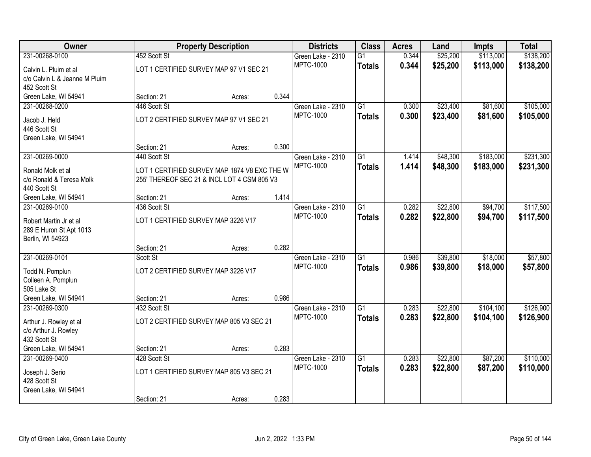| Owner                         |                                     | <b>Property Description</b>                  |       | <b>Districts</b>  | <b>Class</b>    | <b>Acres</b> | Land     | <b>Impts</b> | <b>Total</b> |
|-------------------------------|-------------------------------------|----------------------------------------------|-------|-------------------|-----------------|--------------|----------|--------------|--------------|
| 231-00268-0100                | 452 Scott St                        |                                              |       | Green Lake - 2310 | $\overline{G1}$ | 0.344        | \$25,200 | \$113,000    | \$138,200    |
| Calvin L. Pluim et al         |                                     | LOT 1 CERTIFIED SURVEY MAP 97 V1 SEC 21      |       | <b>MPTC-1000</b>  | <b>Totals</b>   | 0.344        | \$25,200 | \$113,000    | \$138,200    |
| c/o Calvin L & Jeanne M Pluim |                                     |                                              |       |                   |                 |              |          |              |              |
| 452 Scott St                  |                                     |                                              |       |                   |                 |              |          |              |              |
| Green Lake, WI 54941          | Section: 21                         | Acres:                                       | 0.344 |                   |                 |              |          |              |              |
| 231-00268-0200                | 446 Scott St                        |                                              |       | Green Lake - 2310 | $\overline{G1}$ | 0.300        | \$23,400 | \$81,600     | \$105,000    |
| Jacob J. Held                 |                                     | LOT 2 CERTIFIED SURVEY MAP 97 V1 SEC 21      |       | <b>MPTC-1000</b>  | <b>Totals</b>   | 0.300        | \$23,400 | \$81,600     | \$105,000    |
| 446 Scott St                  |                                     |                                              |       |                   |                 |              |          |              |              |
| Green Lake, WI 54941          |                                     |                                              |       |                   |                 |              |          |              |              |
|                               | Section: 21                         | Acres:                                       | 0.300 |                   |                 |              |          |              |              |
| 231-00269-0000                | 440 Scott St                        |                                              |       | Green Lake - 2310 | $\overline{G1}$ | 1.414        | \$48,300 | \$183,000    | \$231,300    |
| Ronald Molk et al             |                                     | LOT 1 CERTIFIED SURVEY MAP 1874 V8 EXC THE W |       | <b>MPTC-1000</b>  | <b>Totals</b>   | 1.414        | \$48,300 | \$183,000    | \$231,300    |
| c/o Ronald & Teresa Molk      |                                     | 255' THEREOF SEC 21 & INCL LOT 4 CSM 805 V3  |       |                   |                 |              |          |              |              |
| 440 Scott St                  |                                     |                                              |       |                   |                 |              |          |              |              |
| Green Lake, WI 54941          | Section: 21                         | Acres:                                       | 1.414 |                   |                 |              |          |              |              |
| 231-00269-0100                | 436 Scott St                        |                                              |       | Green Lake - 2310 | $\overline{G1}$ | 0.282        | \$22,800 | \$94,700     | \$117,500    |
| Robert Martin Jr et al        | LOT 1 CERTIFIED SURVEY MAP 3226 V17 |                                              |       | <b>MPTC-1000</b>  | <b>Totals</b>   | 0.282        | \$22,800 | \$94,700     | \$117,500    |
| 289 E Huron St Apt 1013       |                                     |                                              |       |                   |                 |              |          |              |              |
| Berlin, WI 54923              |                                     |                                              |       |                   |                 |              |          |              |              |
|                               | Section: 21                         | Acres:                                       | 0.282 |                   |                 |              |          |              |              |
| 231-00269-0101                | Scott St                            |                                              |       | Green Lake - 2310 | $\overline{G1}$ | 0.986        | \$39,800 | \$18,000     | \$57,800     |
| Todd N. Pomplun               | LOT 2 CERTIFIED SURVEY MAP 3226 V17 |                                              |       | <b>MPTC-1000</b>  | <b>Totals</b>   | 0.986        | \$39,800 | \$18,000     | \$57,800     |
| Colleen A. Pomplun            |                                     |                                              |       |                   |                 |              |          |              |              |
| 505 Lake St                   |                                     |                                              |       |                   |                 |              |          |              |              |
| Green Lake, WI 54941          | Section: 21                         | Acres:                                       | 0.986 |                   |                 |              |          |              |              |
| 231-00269-0300                | 432 Scott St                        |                                              |       | Green Lake - 2310 | $\overline{G1}$ | 0.283        | \$22,800 | \$104,100    | \$126,900    |
| Arthur J. Rowley et al        |                                     | LOT 2 CERTIFIED SURVEY MAP 805 V3 SEC 21     |       | <b>MPTC-1000</b>  | <b>Totals</b>   | 0.283        | \$22,800 | \$104,100    | \$126,900    |
| c/o Arthur J. Rowley          |                                     |                                              |       |                   |                 |              |          |              |              |
| 432 Scott St                  |                                     |                                              |       |                   |                 |              |          |              |              |
| Green Lake, WI 54941          | Section: 21                         | Acres:                                       | 0.283 |                   |                 |              |          |              |              |
| 231-00269-0400                | 428 Scott St                        |                                              |       | Green Lake - 2310 | $\overline{G1}$ | 0.283        | \$22,800 | \$87,200     | \$110,000    |
| Joseph J. Serio               |                                     | LOT 1 CERTIFIED SURVEY MAP 805 V3 SEC 21     |       | <b>MPTC-1000</b>  | <b>Totals</b>   | 0.283        | \$22,800 | \$87,200     | \$110,000    |
| 428 Scott St                  |                                     |                                              |       |                   |                 |              |          |              |              |
| Green Lake, WI 54941          |                                     |                                              |       |                   |                 |              |          |              |              |
|                               | Section: 21                         | Acres:                                       | 0.283 |                   |                 |              |          |              |              |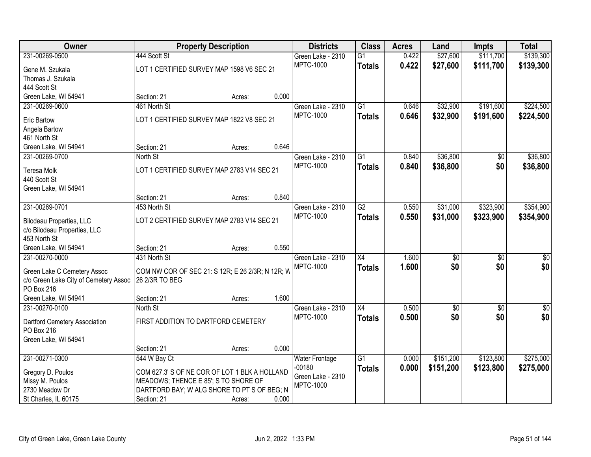| <b>Owner</b>                          |                                                  | <b>Property Description</b> |       | <b>Districts</b>      | <b>Class</b>    | <b>Acres</b> | Land            | <b>Impts</b>    | <b>Total</b> |
|---------------------------------------|--------------------------------------------------|-----------------------------|-------|-----------------------|-----------------|--------------|-----------------|-----------------|--------------|
| 231-00269-0500                        | 444 Scott St                                     |                             |       | Green Lake - 2310     | $\overline{G1}$ | 0.422        | \$27,600        | \$111,700       | \$139,300    |
| Gene M. Szukala                       | LOT 1 CERTIFIED SURVEY MAP 1598 V6 SEC 21        |                             |       | <b>MPTC-1000</b>      | <b>Totals</b>   | 0.422        | \$27,600        | \$111,700       | \$139,300    |
| Thomas J. Szukala                     |                                                  |                             |       |                       |                 |              |                 |                 |              |
| 444 Scott St                          |                                                  |                             |       |                       |                 |              |                 |                 |              |
| Green Lake, WI 54941                  | Section: 21                                      | Acres:                      | 0.000 |                       |                 |              |                 |                 |              |
| 231-00269-0600                        | 461 North St                                     |                             |       | Green Lake - 2310     | $\overline{G1}$ | 0.646        | \$32,900        | \$191,600       | \$224,500    |
| <b>Eric Bartow</b>                    | LOT 1 CERTIFIED SURVEY MAP 1822 V8 SEC 21        |                             |       | <b>MPTC-1000</b>      | <b>Totals</b>   | 0.646        | \$32,900        | \$191,600       | \$224,500    |
| Angela Bartow                         |                                                  |                             |       |                       |                 |              |                 |                 |              |
| 461 North St                          |                                                  |                             |       |                       |                 |              |                 |                 |              |
| Green Lake, WI 54941                  | Section: 21                                      | Acres:                      | 0.646 |                       |                 |              |                 |                 |              |
| 231-00269-0700                        | North St                                         |                             |       | Green Lake - 2310     | G1              | 0.840        | \$36,800        | $\sqrt[6]{30}$  | \$36,800     |
| <b>Teresa Molk</b>                    | LOT 1 CERTIFIED SURVEY MAP 2783 V14 SEC 21       |                             |       | <b>MPTC-1000</b>      | <b>Totals</b>   | 0.840        | \$36,800        | \$0             | \$36,800     |
| 440 Scott St                          |                                                  |                             |       |                       |                 |              |                 |                 |              |
| Green Lake, WI 54941                  |                                                  |                             |       |                       |                 |              |                 |                 |              |
|                                       | Section: 21                                      | Acres:                      | 0.840 |                       |                 |              |                 |                 |              |
| 231-00269-0701                        | 453 North St                                     |                             |       | Green Lake - 2310     | $\overline{G2}$ | 0.550        | \$31,000        | \$323,900       | \$354,900    |
| <b>Bilodeau Properties, LLC</b>       | LOT 2 CERTIFIED SURVEY MAP 2783 V14 SEC 21       |                             |       | <b>MPTC-1000</b>      | <b>Totals</b>   | 0.550        | \$31,000        | \$323,900       | \$354,900    |
| c/o Bilodeau Properties, LLC          |                                                  |                             |       |                       |                 |              |                 |                 |              |
| 453 North St                          |                                                  |                             |       |                       |                 |              |                 |                 |              |
| Green Lake, WI 54941                  | Section: 21                                      | Acres:                      | 0.550 |                       |                 |              |                 |                 |              |
| 231-00270-0000                        | 431 North St                                     |                             |       | Green Lake - 2310     | $\overline{X4}$ | 1.600        | $\overline{30}$ | $\overline{50}$ | \$0          |
| Green Lake C Cemetery Assoc           | COM NW COR OF SEC 21: S 12R; E 26 2/3R; N 12R; W |                             |       | <b>MPTC-1000</b>      | <b>Totals</b>   | 1.600        | \$0             | \$0             | \$0          |
| c/o Green Lake City of Cemetery Assoc | 26 2/3R TO BEG                                   |                             |       |                       |                 |              |                 |                 |              |
| PO Box 216                            |                                                  |                             |       |                       |                 |              |                 |                 |              |
| Green Lake, WI 54941                  | Section: 21                                      | Acres:                      | 1.600 |                       |                 |              |                 |                 |              |
| 231-00270-0100                        | North St                                         |                             |       | Green Lake - 2310     | $\overline{X4}$ | 0.500        | $\overline{60}$ | $\overline{60}$ | $\sqrt{50}$  |
| Dartford Cemetery Association         | FIRST ADDITION TO DARTFORD CEMETERY              |                             |       | <b>MPTC-1000</b>      | <b>Totals</b>   | 0.500        | \$0             | \$0             | \$0          |
| PO Box 216                            |                                                  |                             |       |                       |                 |              |                 |                 |              |
| Green Lake, WI 54941                  |                                                  |                             |       |                       |                 |              |                 |                 |              |
|                                       | Section: 21                                      | Acres:                      | 0.000 |                       |                 |              |                 |                 |              |
| 231-00271-0300                        | 544 W Bay Ct                                     |                             |       | <b>Water Frontage</b> | $\overline{G1}$ | 0.000        | \$151,200       | \$123,800       | \$275,000    |
| Gregory D. Poulos                     | COM 627.3' S OF NE COR OF LOT 1 BLK A HOLLAND    |                             |       | $-00180$              | <b>Totals</b>   | 0.000        | \$151,200       | \$123,800       | \$275,000    |
| Missy M. Poulos                       | MEADOWS; THENCE E 85'; S TO SHORE OF             |                             |       | Green Lake - 2310     |                 |              |                 |                 |              |
| 2730 Meadow Dr                        | DARTFORD BAY; W ALG SHORE TO PT S OF BEG; N      |                             |       | <b>MPTC-1000</b>      |                 |              |                 |                 |              |
| St Charles, IL 60175                  | Section: 21                                      | Acres:                      | 0.000 |                       |                 |              |                 |                 |              |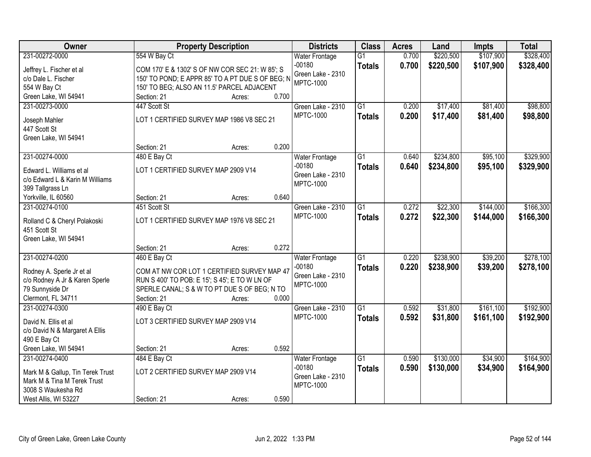| Owner                                                           |                                                  | <b>Property Description</b> |       | <b>Districts</b>              | <b>Class</b>    | <b>Acres</b> | Land      | <b>Impts</b> | <b>Total</b> |
|-----------------------------------------------------------------|--------------------------------------------------|-----------------------------|-------|-------------------------------|-----------------|--------------|-----------|--------------|--------------|
| 231-00272-0000                                                  | 554 W Bay Ct                                     |                             |       | <b>Water Frontage</b>         | $\overline{G1}$ | 0.700        | \$220,500 | \$107,900    | \$328,400    |
| Jeffrey L. Fischer et al                                        | COM 170' E & 1302' S OF NW COR SEC 21: W 85'; S  |                             |       | $-00180$                      | <b>Totals</b>   | 0.700        | \$220,500 | \$107,900    | \$328,400    |
| c/o Dale L. Fischer                                             | 150' TO POND; E APPR 85' TO A PT DUE S OF BEG; N |                             |       | Green Lake - 2310             |                 |              |           |              |              |
| 554 W Bay Ct                                                    | 150' TO BEG; ALSO AN 11.5' PARCEL ADJACENT       |                             |       | <b>MPTC-1000</b>              |                 |              |           |              |              |
| Green Lake, WI 54941                                            | Section: 21                                      | Acres:                      | 0.700 |                               |                 |              |           |              |              |
| 231-00273-0000                                                  | 447 Scott St                                     |                             |       | Green Lake - 2310             | $\overline{G1}$ | 0.200        | \$17,400  | \$81,400     | \$98,800     |
|                                                                 |                                                  |                             |       | <b>MPTC-1000</b>              | <b>Totals</b>   | 0.200        | \$17,400  | \$81,400     | \$98,800     |
| Joseph Mahler                                                   | LOT 1 CERTIFIED SURVEY MAP 1986 V8 SEC 21        |                             |       |                               |                 |              |           |              |              |
| 447 Scott St                                                    |                                                  |                             |       |                               |                 |              |           |              |              |
| Green Lake, WI 54941                                            |                                                  |                             | 0.200 |                               |                 |              |           |              |              |
|                                                                 | Section: 21                                      | Acres:                      |       |                               |                 |              |           |              |              |
| 231-00274-0000                                                  | 480 E Bay Ct                                     |                             |       | <b>Water Frontage</b>         | $\overline{G1}$ | 0.640        | \$234,800 | \$95,100     | \$329,900    |
| Edward L. Williams et al                                        | LOT 1 CERTIFIED SURVEY MAP 2909 V14              |                             |       | $-00180$<br>Green Lake - 2310 | <b>Totals</b>   | 0.640        | \$234,800 | \$95,100     | \$329,900    |
| c/o Edward L & Karin M Williams                                 |                                                  |                             |       | <b>MPTC-1000</b>              |                 |              |           |              |              |
| 399 Tallgrass Ln                                                |                                                  |                             |       |                               |                 |              |           |              |              |
| Yorkville, IL 60560                                             | Section: 21                                      | Acres:                      | 0.640 |                               |                 |              |           |              |              |
| 231-00274-0100                                                  | 451 Scott St                                     |                             |       | Green Lake - 2310             | G1              | 0.272        | \$22,300  | \$144,000    | \$166,300    |
| Rolland C & Cheryl Polakoski                                    | LOT 1 CERTIFIED SURVEY MAP 1976 V8 SEC 21        |                             |       | <b>MPTC-1000</b>              | <b>Totals</b>   | 0.272        | \$22,300  | \$144,000    | \$166,300    |
| 451 Scott St                                                    |                                                  |                             |       |                               |                 |              |           |              |              |
| Green Lake, WI 54941                                            |                                                  |                             |       |                               |                 |              |           |              |              |
|                                                                 | Section: 21                                      | Acres:                      | 0.272 |                               |                 |              |           |              |              |
| 231-00274-0200                                                  | 460 E Bay Ct                                     |                             |       | Water Frontage                | $\overline{G1}$ | 0.220        | \$238,900 | \$39,200     | \$278,100    |
|                                                                 |                                                  |                             |       | $-00180$                      | <b>Totals</b>   | 0.220        | \$238,900 | \$39,200     | \$278,100    |
| Rodney A. Sperle Jr et al                                       | COM AT NW COR LOT 1 CERTIFIED SURVEY MAP 47      |                             |       | Green Lake - 2310             |                 |              |           |              |              |
| c/o Rodney A Jr & Karen Sperle                                  | RUN S 400' TO POB: E 15'; S 45'; E TO W LN OF    |                             |       | <b>MPTC-1000</b>              |                 |              |           |              |              |
| 79 Sunnyside Dr                                                 | SPERLE CANAL; S & W TO PT DUE S OF BEG; N TO     |                             |       |                               |                 |              |           |              |              |
| Clermont, FL 34711                                              | Section: 21                                      | Acres:                      | 0.000 |                               |                 |              |           |              |              |
| 231-00274-0300                                                  | 490 E Bay Ct                                     |                             |       | Green Lake - 2310             | $\overline{G1}$ | 0.592        | \$31,800  | \$161,100    | \$192,900    |
| David N. Ellis et al                                            | LOT 3 CERTIFIED SURVEY MAP 2909 V14              |                             |       | <b>MPTC-1000</b>              | <b>Totals</b>   | 0.592        | \$31,800  | \$161,100    | \$192,900    |
| c/o David N & Margaret A Ellis                                  |                                                  |                             |       |                               |                 |              |           |              |              |
| 490 E Bay Ct                                                    |                                                  |                             |       |                               |                 |              |           |              |              |
| Green Lake, WI 54941                                            | Section: 21                                      | Acres:                      | 0.592 |                               |                 |              |           |              |              |
| 231-00274-0400                                                  | 484 E Bay Ct                                     |                             |       | Water Frontage                | $\overline{G1}$ | 0.590        | \$130,000 | \$34,900     | \$164,900    |
|                                                                 |                                                  |                             |       | $-00180$                      | <b>Totals</b>   | 0.590        | \$130,000 | \$34,900     | \$164,900    |
| Mark M & Gallup, Tin Terek Trust<br>Mark M & Tina M Terek Trust | LOT 2 CERTIFIED SURVEY MAP 2909 V14              |                             |       | Green Lake - 2310             |                 |              |           |              |              |
| 3008 S Waukesha Rd                                              |                                                  |                             |       | <b>MPTC-1000</b>              |                 |              |           |              |              |
| West Allis, WI 53227                                            | Section: 21                                      |                             | 0.590 |                               |                 |              |           |              |              |
|                                                                 |                                                  | Acres:                      |       |                               |                 |              |           |              |              |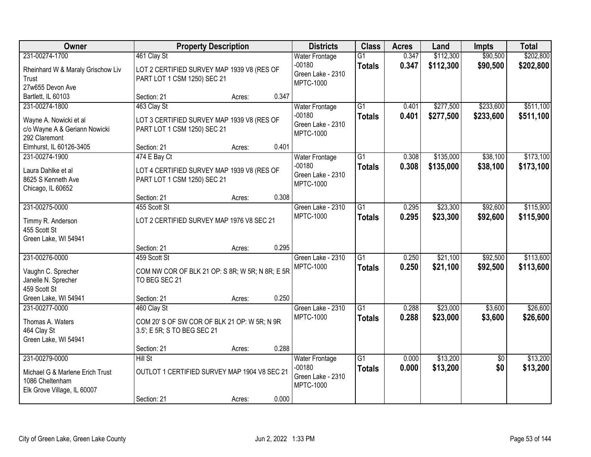| <b>Owner</b>                                                                      | <b>Property Description</b>                                                 |        |       | <b>Districts</b>                                  | <b>Class</b>                     | <b>Acres</b>   | Land                   | <b>Impts</b>         | <b>Total</b>           |
|-----------------------------------------------------------------------------------|-----------------------------------------------------------------------------|--------|-------|---------------------------------------------------|----------------------------------|----------------|------------------------|----------------------|------------------------|
| 231-00274-1700<br>Rheinhard W & Maraly Grischow Liv                               | 461 Clay St<br>LOT 2 CERTIFIED SURVEY MAP 1939 V8 (RES OF                   |        |       | <b>Water Frontage</b><br>$-00180$                 | $\overline{G1}$<br><b>Totals</b> | 0.347<br>0.347 | \$112,300<br>\$112,300 | \$90,500<br>\$90,500 | \$202,800<br>\$202,800 |
| Trust<br>27w655 Devon Ave                                                         | PART LOT 1 CSM 1250) SEC 21                                                 |        |       | Green Lake - 2310<br><b>MPTC-1000</b>             |                                  |                |                        |                      |                        |
| Bartlett, IL 60103                                                                | Section: 21                                                                 | Acres: | 0.347 |                                                   |                                  |                |                        |                      |                        |
| 231-00274-1800                                                                    | 463 Clay St                                                                 |        |       | <b>Water Frontage</b>                             | $\overline{G1}$                  | 0.401          | \$277,500              | \$233,600            | \$511,100              |
| Wayne A. Nowicki et al<br>c/o Wayne A & Geriann Nowicki<br>292 Claremont          | LOT 3 CERTIFIED SURVEY MAP 1939 V8 (RES OF<br>PART LOT 1 CSM 1250) SEC 21   |        |       | $-00180$<br>Green Lake - 2310<br><b>MPTC-1000</b> | <b>Totals</b>                    | 0.401          | \$277,500              | \$233,600            | \$511,100              |
| Elmhurst, IL 60126-3405                                                           | Section: 21                                                                 | Acres: | 0.401 |                                                   |                                  |                |                        |                      |                        |
| 231-00274-1900                                                                    | 474 E Bay Ct                                                                |        |       | <b>Water Frontage</b>                             | $\overline{G1}$                  | 0.308          | \$135,000              | \$38,100             | \$173,100              |
| Laura Dahlke et al<br>8625 S Kenneth Ave<br>Chicago, IL 60652                     | LOT 4 CERTIFIED SURVEY MAP 1939 V8 (RES OF<br>PART LOT 1 CSM 1250) SEC 21   |        |       | $-00180$<br>Green Lake - 2310<br><b>MPTC-1000</b> | <b>Totals</b>                    | 0.308          | \$135,000              | \$38,100             | \$173,100              |
|                                                                                   | Section: 21                                                                 | Acres: | 0.308 |                                                   |                                  |                |                        |                      |                        |
| 231-00275-0000                                                                    | 455 Scott St                                                                |        |       | Green Lake - 2310                                 | $\overline{G1}$                  | 0.295          | \$23,300               | \$92,600             | \$115,900              |
| Timmy R. Anderson<br>455 Scott St                                                 | LOT 2 CERTIFIED SURVEY MAP 1976 V8 SEC 21                                   |        |       | <b>MPTC-1000</b>                                  | <b>Totals</b>                    | 0.295          | \$23,300               | \$92,600             | \$115,900              |
| Green Lake, WI 54941                                                              |                                                                             |        |       |                                                   |                                  |                |                        |                      |                        |
|                                                                                   | Section: 21                                                                 | Acres: | 0.295 |                                                   |                                  |                |                        |                      |                        |
| 231-00276-0000                                                                    | 459 Scott St                                                                |        |       | Green Lake - 2310<br><b>MPTC-1000</b>             | $\overline{G1}$                  | 0.250<br>0.250 | \$21,100<br>\$21,100   | \$92,500<br>\$92,500 | \$113,600<br>\$113,600 |
| Vaughn C. Sprecher                                                                | COM NW COR OF BLK 21 OP: S 8R; W 5R; N 8R; E 5R                             |        |       |                                                   | <b>Totals</b>                    |                |                        |                      |                        |
| Janelle N. Sprecher                                                               | TO BEG SEC 21                                                               |        |       |                                                   |                                  |                |                        |                      |                        |
| 459 Scott St<br>Green Lake, WI 54941                                              | Section: 21                                                                 | Acres: | 0.250 |                                                   |                                  |                |                        |                      |                        |
| 231-00277-0000                                                                    | 460 Clay St                                                                 |        |       | Green Lake - 2310                                 | $\overline{G1}$                  | 0.288          | \$23,000               | \$3,600              | \$26,600               |
| Thomas A. Waters<br>464 Clay St<br>Green Lake, WI 54941                           | COM 20' S OF SW COR OF BLK 21 OP: W 5R; N 9R<br>3.5'; E 5R; S TO BEG SEC 21 |        |       | <b>MPTC-1000</b>                                  | <b>Totals</b>                    | 0.288          | \$23,000               | \$3,600              | \$26,600               |
|                                                                                   | Section: 21                                                                 | Acres: | 0.288 |                                                   |                                  |                |                        |                      |                        |
| 231-00279-0000                                                                    | Hill St                                                                     |        |       | <b>Water Frontage</b>                             | $\overline{G1}$                  | 0.000          | \$13,200               | $\overline{50}$      | \$13,200               |
| Michael G & Marlene Erich Trust<br>1086 Cheltenham<br>Elk Grove Village, IL 60007 | OUTLOT 1 CERTIFIED SURVEY MAP 1904 V8 SEC 21                                |        |       | $-00180$<br>Green Lake - 2310<br><b>MPTC-1000</b> | <b>Totals</b>                    | 0.000          | \$13,200               | \$0                  | \$13,200               |
|                                                                                   | Section: 21                                                                 | Acres: | 0.000 |                                                   |                                  |                |                        |                      |                        |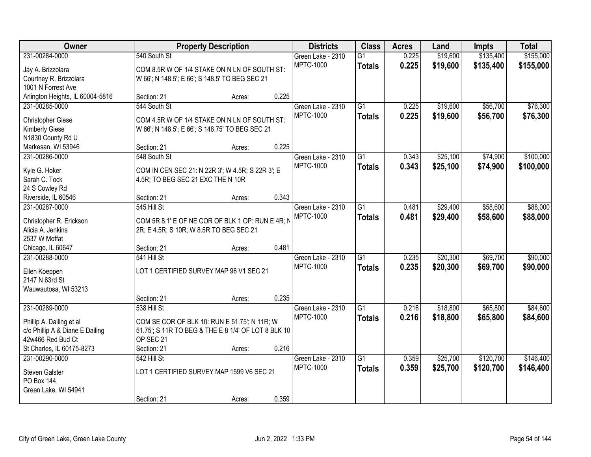| Owner                            |                                   | <b>Property Description</b>                         |       | <b>Districts</b>  | <b>Class</b>    | <b>Acres</b> | Land     | <b>Impts</b> | <b>Total</b> |
|----------------------------------|-----------------------------------|-----------------------------------------------------|-------|-------------------|-----------------|--------------|----------|--------------|--------------|
| 231-00284-0000                   | 540 South St                      |                                                     |       | Green Lake - 2310 | $\overline{G1}$ | 0.225        | \$19,600 | \$135,400    | \$155,000    |
| Jay A. Brizzolara                |                                   | COM 8.5R W OF 1/4 STAKE ON N LN OF SOUTH ST:        |       | <b>MPTC-1000</b>  | <b>Totals</b>   | 0.225        | \$19,600 | \$135,400    | \$155,000    |
| Courtney R. Brizzolara           |                                   | W 66'; N 148.5'; E 66'; S 148.5' TO BEG SEC 21      |       |                   |                 |              |          |              |              |
| 1001 N Forrest Ave               |                                   |                                                     |       |                   |                 |              |          |              |              |
| Arlington Heights, IL 60004-5816 | Section: 21                       | Acres:                                              | 0.225 |                   |                 |              |          |              |              |
| 231-00285-0000                   | 544 South St                      |                                                     |       | Green Lake - 2310 | $\overline{G1}$ | 0.225        | \$19,600 | \$56,700     | \$76,300     |
| <b>Christopher Giese</b>         |                                   | COM 4.5R W OF 1/4 STAKE ON N LN OF SOUTH ST:        |       | <b>MPTC-1000</b>  | <b>Totals</b>   | 0.225        | \$19,600 | \$56,700     | \$76,300     |
| <b>Kimberly Giese</b>            |                                   | W 66'; N 148.5'; E 66'; S 148.75' TO BEG SEC 21     |       |                   |                 |              |          |              |              |
| N1830 County Rd U                |                                   |                                                     |       |                   |                 |              |          |              |              |
| Markesan, WI 53946               | Section: 21                       | Acres:                                              | 0.225 |                   |                 |              |          |              |              |
| 231-00286-0000                   | 548 South St                      |                                                     |       | Green Lake - 2310 | $\overline{G1}$ | 0.343        | \$25,100 | \$74,900     | \$100,000    |
|                                  |                                   |                                                     |       | <b>MPTC-1000</b>  | <b>Totals</b>   | 0.343        | \$25,100 | \$74,900     | \$100,000    |
| Kyle G. Hoker                    |                                   | COM IN CEN SEC 21: N 22R 3'; W 4.5R; S 22R 3'; E    |       |                   |                 |              |          |              |              |
| Sarah C. Tock<br>24 S Cowley Rd  | 4.5R; TO BEG SEC 21 EXC THE N 10R |                                                     |       |                   |                 |              |          |              |              |
| Riverside, IL 60546              | Section: 21                       | Acres:                                              | 0.343 |                   |                 |              |          |              |              |
| 231-00287-0000                   | 545 Hill St                       |                                                     |       | Green Lake - 2310 | $\overline{G1}$ | 0.481        | \$29,400 | \$58,600     | \$88,000     |
|                                  |                                   |                                                     |       | <b>MPTC-1000</b>  | <b>Totals</b>   | 0.481        | \$29,400 | \$58,600     | \$88,000     |
| Christopher R. Erickson          |                                   | COM 5R 8.1' E OF NE COR OF BLK 1 OP: RUN E 4R; N    |       |                   |                 |              |          |              |              |
| Alicia A. Jenkins                |                                   | 2R; E 4.5R; S 10R; W 8.5R TO BEG SEC 21             |       |                   |                 |              |          |              |              |
| 2537 W Moffat                    |                                   |                                                     |       |                   |                 |              |          |              |              |
| Chicago, IL 60647                | Section: 21                       | Acres:                                              | 0.481 |                   |                 |              |          |              |              |
| 231-00288-0000                   | 541 Hill St                       |                                                     |       | Green Lake - 2310 | $\overline{G1}$ | 0.235        | \$20,300 | \$69,700     | \$90,000     |
| Ellen Koeppen                    |                                   | LOT 1 CERTIFIED SURVEY MAP 96 V1 SEC 21             |       | <b>MPTC-1000</b>  | <b>Totals</b>   | 0.235        | \$20,300 | \$69,700     | \$90,000     |
| 2147 N 63rd St                   |                                   |                                                     |       |                   |                 |              |          |              |              |
| Wauwautosa, WI 53213             |                                   |                                                     |       |                   |                 |              |          |              |              |
|                                  | Section: 21                       | Acres:                                              | 0.235 |                   |                 |              |          |              |              |
| 231-00289-0000                   | 538 Hill St                       |                                                     |       | Green Lake - 2310 | $\overline{G1}$ | 0.216        | \$18,800 | \$65,800     | \$84,600     |
| Phillip A. Dailing et al         |                                   | COM SE COR OF BLK 10: RUN E 51.75'; N 11R; W        |       | <b>MPTC-1000</b>  | <b>Totals</b>   | 0.216        | \$18,800 | \$65,800     | \$84,600     |
| c/o Phillip A & Diane E Dailing  |                                   | 51.75'; S 11R TO BEG & THE E 8 1/4' OF LOT 8 BLK 10 |       |                   |                 |              |          |              |              |
| 42w466 Red Bud Ct                | OP SEC 21                         |                                                     |       |                   |                 |              |          |              |              |
| St Charles, IL 60175-8273        | Section: 21                       | Acres:                                              | 0.216 |                   |                 |              |          |              |              |
| 231-00290-0000                   | 542 Hill St                       |                                                     |       | Green Lake - 2310 | $\overline{G1}$ | 0.359        | \$25,700 | \$120,700    | \$146,400    |
| Steven Galster                   |                                   | LOT 1 CERTIFIED SURVEY MAP 1599 V6 SEC 21           |       | <b>MPTC-1000</b>  | <b>Totals</b>   | 0.359        | \$25,700 | \$120,700    | \$146,400    |
| <b>PO Box 144</b>                |                                   |                                                     |       |                   |                 |              |          |              |              |
| Green Lake, WI 54941             |                                   |                                                     |       |                   |                 |              |          |              |              |
|                                  | Section: 21                       | Acres:                                              | 0.359 |                   |                 |              |          |              |              |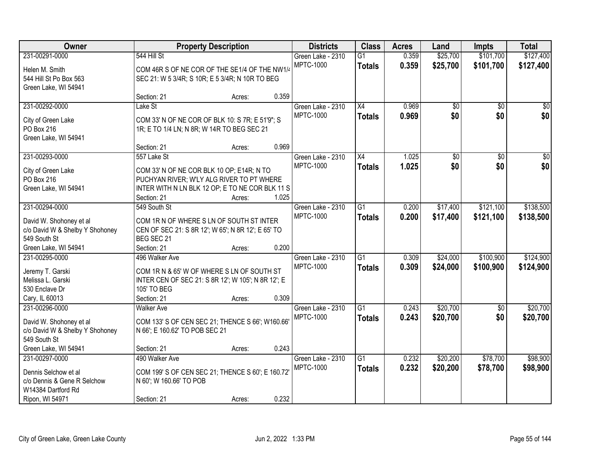| Owner                                           |                                                                                        | <b>Property Description</b> |       | <b>Districts</b>  | <b>Class</b>    | <b>Acres</b> | Land            | <b>Impts</b>    | <b>Total</b>     |
|-------------------------------------------------|----------------------------------------------------------------------------------------|-----------------------------|-------|-------------------|-----------------|--------------|-----------------|-----------------|------------------|
| 231-00291-0000                                  | 544 Hill St                                                                            |                             |       | Green Lake - 2310 | $\overline{G1}$ | 0.359        | \$25,700        | \$101,700       | \$127,400        |
| Helen M. Smith                                  | COM 46R S OF NE COR OF THE SE1/4 OF THE NW1/4                                          |                             |       | <b>MPTC-1000</b>  | <b>Totals</b>   | 0.359        | \$25,700        | \$101,700       | \$127,400        |
| 544 Hill St Po Box 563                          | SEC 21: W 5 3/4R; S 10R; E 5 3/4R; N 10R TO BEG                                        |                             |       |                   |                 |              |                 |                 |                  |
| Green Lake, WI 54941                            |                                                                                        |                             |       |                   |                 |              |                 |                 |                  |
|                                                 | Section: 21                                                                            | Acres:                      | 0.359 |                   |                 |              |                 |                 |                  |
| 231-00292-0000                                  | Lake St                                                                                |                             |       | Green Lake - 2310 | X4              | 0.969        | $\overline{50}$ | $\overline{50}$ | $\overline{\$0}$ |
| City of Green Lake                              | COM 33' N OF NE COR OF BLK 10: S 7R; E 51'9"; S                                        |                             |       | <b>MPTC-1000</b>  | <b>Totals</b>   | 0.969        | \$0             | \$0             | \$0              |
| PO Box 216                                      | 1R; E TO 1/4 LN; N 8R; W 14R TO BEG SEC 21                                             |                             |       |                   |                 |              |                 |                 |                  |
| Green Lake, WI 54941                            |                                                                                        |                             |       |                   |                 |              |                 |                 |                  |
|                                                 | Section: 21                                                                            | Acres:                      | 0.969 |                   |                 |              |                 |                 |                  |
| 231-00293-0000                                  | 557 Lake St                                                                            |                             |       | Green Lake - 2310 | X4              | 1.025        | \$0             | \$0             | \$0              |
|                                                 |                                                                                        |                             |       | <b>MPTC-1000</b>  | <b>Totals</b>   | 1.025        | \$0             | \$0             | \$0              |
| City of Green Lake<br>PO Box 216                | COM 33' N OF NE COR BLK 10 OP; E14R; N TO<br>PUCHYAN RIVER; W'LY ALG RIVER TO PT WHERE |                             |       |                   |                 |              |                 |                 |                  |
| Green Lake, WI 54941                            | INTER WITH N LN BLK 12 OP; E TO NE COR BLK 11 S                                        |                             |       |                   |                 |              |                 |                 |                  |
|                                                 | Section: 21                                                                            | Acres:                      | 1.025 |                   |                 |              |                 |                 |                  |
| 231-00294-0000                                  | 549 South St                                                                           |                             |       | Green Lake - 2310 | G1              | 0.200        | \$17,400        | \$121,100       | \$138,500        |
|                                                 |                                                                                        |                             |       | <b>MPTC-1000</b>  |                 | 0.200        | \$17,400        | \$121,100       | \$138,500        |
| David W. Shohoney et al                         | COM 1R N OF WHERE S LN OF SOUTH ST INTER                                               |                             |       |                   | <b>Totals</b>   |              |                 |                 |                  |
| c/o David W & Shelby Y Shohoney                 | CEN OF SEC 21: S 8R 12'; W 65'; N 8R 12'; E 65' TO                                     |                             |       |                   |                 |              |                 |                 |                  |
| 549 South St                                    | BEG SEC 21                                                                             |                             |       |                   |                 |              |                 |                 |                  |
| Green Lake, WI 54941                            | Section: 21                                                                            | Acres:                      | 0.200 |                   |                 |              |                 |                 |                  |
| 231-00295-0000                                  | 496 Walker Ave                                                                         |                             |       | Green Lake - 2310 | $\overline{G1}$ | 0.309        | \$24,000        | \$100,900       | \$124,900        |
| Jeremy T. Garski                                | COM 1R N & 65' W OF WHERE S LN OF SOUTH ST                                             |                             |       | <b>MPTC-1000</b>  | <b>Totals</b>   | 0.309        | \$24,000        | \$100,900       | \$124,900        |
| Melissa L. Garski                               | INTER CEN OF SEC 21: S 8R 12'; W 105'; N 8R 12'; E                                     |                             |       |                   |                 |              |                 |                 |                  |
| 530 Enclave Dr                                  | 105' TO BEG                                                                            |                             |       |                   |                 |              |                 |                 |                  |
| Cary, IL 60013                                  | Section: 21                                                                            | Acres:                      | 0.309 |                   |                 |              |                 |                 |                  |
| 231-00296-0000                                  | <b>Walker Ave</b>                                                                      |                             |       | Green Lake - 2310 | $\overline{G1}$ | 0.243        | \$20,700        | $\overline{50}$ | \$20,700         |
|                                                 |                                                                                        |                             |       | <b>MPTC-1000</b>  | <b>Totals</b>   | 0.243        | \$20,700        | \$0             | \$20,700         |
| David W. Shohoney et al                         | COM 133' S OF CEN SEC 21; THENCE S 66'; W160.66'                                       |                             |       |                   |                 |              |                 |                 |                  |
| c/o David W & Shelby Y Shohoney<br>549 South St | N 66'; E 160.62' TO POB SEC 21                                                         |                             |       |                   |                 |              |                 |                 |                  |
| Green Lake, WI 54941                            | Section: 21                                                                            | Acres:                      | 0.243 |                   |                 |              |                 |                 |                  |
| 231-00297-0000                                  | 490 Walker Ave                                                                         |                             |       | Green Lake - 2310 | $\overline{G1}$ | 0.232        | \$20,200        | \$78,700        | \$98,900         |
|                                                 |                                                                                        |                             |       | <b>MPTC-1000</b>  | <b>Totals</b>   | 0.232        | \$20,200        | \$78,700        | \$98,900         |
| Dennis Selchow et al                            | COM 199' S OF CEN SEC 21; THENCE S 60'; E 160.72'                                      |                             |       |                   |                 |              |                 |                 |                  |
| c/o Dennis & Gene R Selchow                     | N 60'; W 160.66' TO POB                                                                |                             |       |                   |                 |              |                 |                 |                  |
| W14384 Dartford Rd                              |                                                                                        |                             |       |                   |                 |              |                 |                 |                  |
| Ripon, WI 54971                                 | Section: 21                                                                            | Acres:                      | 0.232 |                   |                 |              |                 |                 |                  |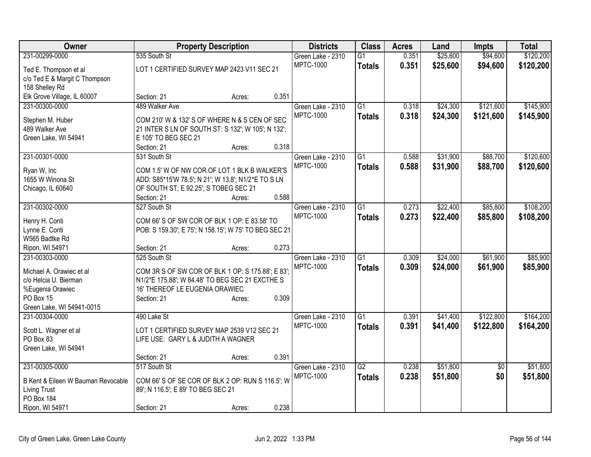| Owner                              | <b>Property Description</b>                           |        |       | <b>Districts</b>                      | <b>Class</b>    | <b>Acres</b> | Land     | <b>Impts</b>    | <b>Total</b> |
|------------------------------------|-------------------------------------------------------|--------|-------|---------------------------------------|-----------------|--------------|----------|-----------------|--------------|
| 231-00299-0000                     | 535 South St                                          |        |       | Green Lake - 2310                     | $\overline{G1}$ | 0.351        | \$25,600 | \$94,600        | \$120,200    |
| Ted E. Thompson et al              | LOT 1 CERTIFIED SURVEY MAP 2423 V11 SEC 21            |        |       | <b>MPTC-1000</b>                      | <b>Totals</b>   | 0.351        | \$25,600 | \$94,600        | \$120,200    |
| c/o Ted E & Margit C Thompson      |                                                       |        |       |                                       |                 |              |          |                 |              |
| 158 Shelley Rd                     |                                                       |        |       |                                       |                 |              |          |                 |              |
| Elk Grove Village, IL 60007        | Section: 21                                           | Acres: | 0.351 |                                       |                 |              |          |                 |              |
| 231-00300-0000                     | 489 Walker Ave                                        |        |       | Green Lake - 2310                     | $\overline{G1}$ | 0.318        | \$24,300 | \$121,600       | \$145,900    |
| Stephen M. Huber                   | COM 210' W & 132' S OF WHERE N & S CEN OF SEC         |        |       | <b>MPTC-1000</b>                      | <b>Totals</b>   | 0.318        | \$24,300 | \$121,600       | \$145,900    |
| 489 Walker Ave                     | 21 INTER S LN OF SOUTH ST: S 132'; W 105'; N 132';    |        |       |                                       |                 |              |          |                 |              |
| Green Lake, WI 54941               | E 105' TO BEG SEC 21                                  |        |       |                                       |                 |              |          |                 |              |
|                                    | Section: 21                                           | Acres: | 0.318 |                                       |                 |              |          |                 |              |
| 231-00301-0000                     | 531 South St                                          |        |       | Green Lake - 2310                     | $\overline{G1}$ | 0.588        | \$31,900 | \$88,700        | \$120,600    |
|                                    |                                                       |        |       | <b>MPTC-1000</b>                      | <b>Totals</b>   | 0.588        | \$31,900 | \$88,700        | \$120,600    |
| Ryan W, Inc                        | COM 1.5' W OF NW COR OF LOT 1 BLK B WALKER'S          |        |       |                                       |                 |              |          |                 |              |
| 1655 W Winona St                   | ADD: S85*15'W 78.5'; N 21'; W 13.8'; N1/2*E TO S LN   |        |       |                                       |                 |              |          |                 |              |
| Chicago, IL 60640                  | OF SOUTH ST; E 92.25'; S TOBEG SEC 21                 |        |       |                                       |                 |              |          |                 |              |
| 231-00302-0000                     | Section: 21                                           | Acres: | 0.588 |                                       | $\overline{G1}$ | 0.273        |          |                 | \$108,200    |
|                                    | 527 South St                                          |        |       | Green Lake - 2310<br><b>MPTC-1000</b> |                 |              | \$22,400 | \$85,800        |              |
| Henry H. Conti                     | COM 66' S OF SW COR OF BLK 1 OP: E 83.58' TO          |        |       |                                       | <b>Totals</b>   | 0.273        | \$22,400 | \$85,800        | \$108,200    |
| Lynne E. Conti                     | POB: S 159.30'; E 75'; N 158.15'; W 75' TO BEG SEC 21 |        |       |                                       |                 |              |          |                 |              |
| W565 Badtke Rd                     |                                                       |        |       |                                       |                 |              |          |                 |              |
| Ripon, WI 54971                    | Section: 21                                           | Acres: | 0.273 |                                       |                 |              |          |                 |              |
| 231-00303-0000                     | 525 South St                                          |        |       | Green Lake - 2310                     | $\overline{G1}$ | 0.309        | \$24,000 | \$61,900        | \$85,900     |
| Michael A. Orawiec et al           | COM 3R S OF SW COR OF BLK 1 OP: S 175.88'; E 83';     |        |       | <b>MPTC-1000</b>                      | <b>Totals</b>   | 0.309        | \$24,000 | \$61,900        | \$85,900     |
| c/o Helcia U. Bierman              | N1/2*E 175.88'; W 84.48' TO BEG SEC 21 EXCTHE S       |        |       |                                       |                 |              |          |                 |              |
| %Eugenia Orawiec                   | 16' THEREOF LE EUGENIA ORAWIEC                        |        |       |                                       |                 |              |          |                 |              |
| PO Box 15                          | Section: 21                                           | Acres: | 0.309 |                                       |                 |              |          |                 |              |
| Green Lake, WI 54941-0015          |                                                       |        |       |                                       |                 |              |          |                 |              |
| 231-00304-0000                     | 490 Lake St                                           |        |       | Green Lake - 2310                     | $\overline{G1}$ | 0.391        | \$41,400 | \$122,800       | \$164,200    |
| Scott L. Wagner et al              | LOT 1 CERTIFIED SURVEY MAP 2539 V12 SEC 21            |        |       | <b>MPTC-1000</b>                      | <b>Totals</b>   | 0.391        | \$41,400 | \$122,800       | \$164,200    |
| PO Box 83                          | LIFE USE: GARY L & JUDITH A WAGNER                    |        |       |                                       |                 |              |          |                 |              |
| Green Lake, WI 54941               |                                                       |        |       |                                       |                 |              |          |                 |              |
|                                    | Section: 21                                           | Acres: | 0.391 |                                       |                 |              |          |                 |              |
| 231-00305-0000                     | 517 South St                                          |        |       | Green Lake - 2310                     | $\overline{G2}$ | 0.238        | \$51,800 | $\overline{50}$ | \$51,800     |
|                                    |                                                       |        |       | <b>MPTC-1000</b>                      | <b>Totals</b>   | 0.238        | \$51,800 | \$0             | \$51,800     |
| B Kent & Eileen W Bauman Revocable | COM 66' S OF SE COR OF BLK 2 OP: RUN S 116.5'; W      |        |       |                                       |                 |              |          |                 |              |
| <b>Living Trust</b>                | 89'; N 116.5'; E 89' TO BEG SEC 21                    |        |       |                                       |                 |              |          |                 |              |
| PO Box 184                         | Section: 21                                           |        | 0.238 |                                       |                 |              |          |                 |              |
| Ripon, WI 54971                    |                                                       | Acres: |       |                                       |                 |              |          |                 |              |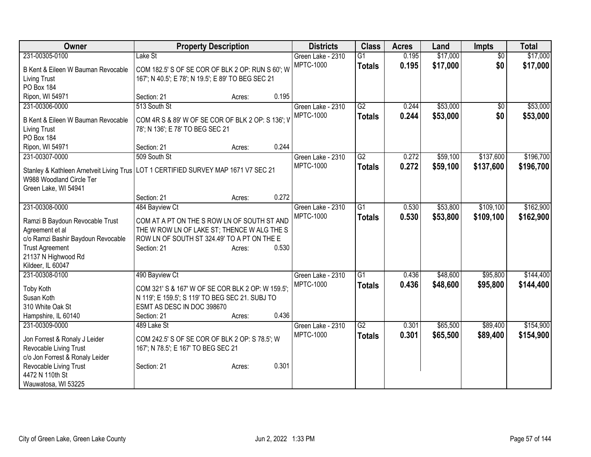| Owner                                                                                                                                                          |                                                                                                                                                          | <b>Property Description</b> |       | <b>Districts</b>  | <b>Class</b>    | <b>Acres</b> | Land     | <b>Impts</b>    | <b>Total</b> |
|----------------------------------------------------------------------------------------------------------------------------------------------------------------|----------------------------------------------------------------------------------------------------------------------------------------------------------|-----------------------------|-------|-------------------|-----------------|--------------|----------|-----------------|--------------|
| 231-00305-0100                                                                                                                                                 | Lake St                                                                                                                                                  |                             |       | Green Lake - 2310 | G1              | 0.195        | \$17,000 | $\overline{30}$ | \$17,000     |
| B Kent & Eileen W Bauman Revocable<br>Living Trust<br>PO Box 184                                                                                               | COM 182.5' S OF SE COR OF BLK 2 OP: RUN S 60'; W<br>167'; N 40.5'; E 78'; N 19.5'; E 89' TO BEG SEC 21                                                   |                             |       | <b>MPTC-1000</b>  | <b>Totals</b>   | 0.195        | \$17,000 | \$0             | \$17,000     |
| Ripon, WI 54971                                                                                                                                                | Section: 21                                                                                                                                              | Acres:                      | 0.195 |                   |                 |              |          |                 |              |
| 231-00306-0000                                                                                                                                                 | 513 South St                                                                                                                                             |                             |       | Green Lake - 2310 | $\overline{G2}$ | 0.244        | \$53,000 | $\overline{50}$ | \$53,000     |
| B Kent & Eileen W Bauman Revocable<br><b>Living Trust</b><br><b>PO Box 184</b>                                                                                 | COM 4R S & 89' W OF SE COR OF BLK 2 OP: S 136'; V<br>78'; N 136'; E 78' TO BEG SEC 21                                                                    |                             |       | <b>MPTC-1000</b>  | <b>Totals</b>   | 0.244        | \$53,000 | \$0             | \$53,000     |
| Ripon, WI 54971                                                                                                                                                | Section: 21                                                                                                                                              | Acres:                      | 0.244 |                   |                 |              |          |                 |              |
| 231-00307-0000                                                                                                                                                 | 509 South St                                                                                                                                             |                             |       | Green Lake - 2310 | G2              | 0.272        | \$59,100 | \$137,600       | \$196,700    |
| Stanley & Kathleen Arnetveit Living Trus<br>W988 Woodland Circle Ter                                                                                           | LOT 1 CERTIFIED SURVEY MAP 1671 V7 SEC 21                                                                                                                |                             |       | <b>MPTC-1000</b>  | <b>Totals</b>   | 0.272        | \$59,100 | \$137,600       | \$196,700    |
| Green Lake, WI 54941                                                                                                                                           | Section: 21                                                                                                                                              | Acres:                      | 0.272 |                   |                 |              |          |                 |              |
| 231-00308-0000                                                                                                                                                 | 484 Bayview Ct                                                                                                                                           |                             |       | Green Lake - 2310 | $\overline{G1}$ | 0.530        | \$53,800 | \$109,100       | \$162,900    |
| Ramzi B Baydoun Revocable Trust<br>Agreement et al<br>c/o Ramzi Bashir Baydoun Revocable<br><b>Trust Agreement</b><br>21137 N Highwood Rd<br>Kildeer, IL 60047 | COM AT A PT ON THE S ROW LN OF SOUTH ST AND<br>THE W ROW LN OF LAKE ST; THENCE W ALG THE S<br>ROW LN OF SOUTH ST 324.49' TO A PT ON THE E<br>Section: 21 | Acres:                      | 0.530 | <b>MPTC-1000</b>  | <b>Totals</b>   | 0.530        | \$53,800 | \$109,100       | \$162,900    |
| 231-00308-0100                                                                                                                                                 | 490 Bayview Ct                                                                                                                                           |                             |       | Green Lake - 2310 | $\overline{G1}$ | 0.436        | \$48,600 | \$95,800        | \$144,400    |
| Toby Koth<br>Susan Koth<br>310 White Oak St<br>Hampshire, IL 60140                                                                                             | COM 321' S & 167' W OF SE COR BLK 2 OP: W 159.5':<br>N 119'; E 159.5'; S 119' TO BEG SEC 21. SUBJ TO<br>ESMT AS DESC IN DOC 398670<br>Section: 21        | Acres:                      | 0.436 | <b>MPTC-1000</b>  | <b>Totals</b>   | 0.436        | \$48,600 | \$95,800        | \$144,400    |
| 231-00309-0000                                                                                                                                                 | 489 Lake St                                                                                                                                              |                             |       | Green Lake - 2310 | $\overline{G2}$ | 0.301        | \$65,500 | \$89,400        | \$154,900    |
| Jon Forrest & Ronaly J Leider<br>Revocable Living Trust<br>c/o Jon Forrest & Ronaly Leider                                                                     | COM 242.5' S OF SE COR OF BLK 2 OP: S 78.5'; W<br>167'; N 78.5'; E 167' TO BEG SEC 21                                                                    |                             |       | <b>MPTC-1000</b>  | <b>Totals</b>   | 0.301        | \$65,500 | \$89,400        | \$154,900    |
| Revocable Living Trust<br>4472 N 110th St<br>Wauwatosa, WI 53225                                                                                               | Section: 21                                                                                                                                              | Acres:                      | 0.301 |                   |                 |              |          |                 |              |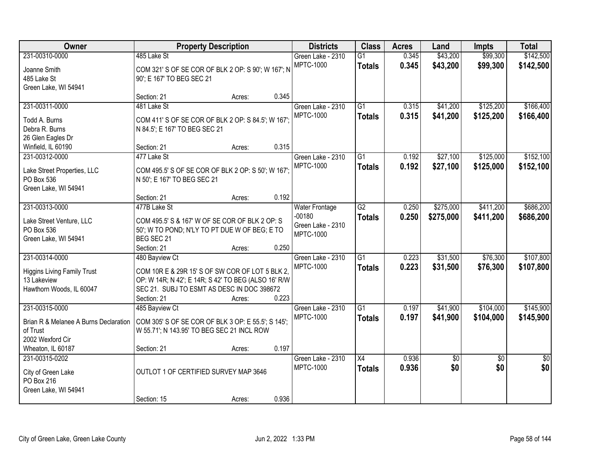| Owner                                             | <b>Property Description</b>                                                                       |        |       | <b>Districts</b>      | <b>Class</b>    | <b>Acres</b> | Land        | <b>Impts</b>    | <b>Total</b>    |
|---------------------------------------------------|---------------------------------------------------------------------------------------------------|--------|-------|-----------------------|-----------------|--------------|-------------|-----------------|-----------------|
| 231-00310-0000                                    | 485 Lake St                                                                                       |        |       | Green Lake - 2310     | $\overline{G1}$ | 0.345        | \$43,200    | \$99,300        | \$142,500       |
| Joanne Smith                                      | COM 321' S OF SE COR OF BLK 2 OP: S 90'; W 167'; N                                                |        |       | MPTC-1000             | <b>Totals</b>   | 0.345        | \$43,200    | \$99,300        | \$142,500       |
| 485 Lake St                                       | 90'; E 167' TO BEG SEC 21                                                                         |        |       |                       |                 |              |             |                 |                 |
| Green Lake, WI 54941                              |                                                                                                   |        |       |                       |                 |              |             |                 |                 |
|                                                   | Section: 21                                                                                       | Acres: | 0.345 |                       |                 |              |             |                 |                 |
| 231-00311-0000                                    | 481 Lake St                                                                                       |        |       | Green Lake - 2310     | G1              | 0.315        | \$41,200    | \$125,200       | \$166,400       |
| Todd A. Burns                                     | COM 411' S OF SE COR OF BLK 2 OP: S 84.5'; W 167';                                                |        |       | <b>MPTC-1000</b>      | <b>Totals</b>   | 0.315        | \$41,200    | \$125,200       | \$166,400       |
| Debra R. Burns                                    | N 84.5'; E 167' TO BEG SEC 21                                                                     |        |       |                       |                 |              |             |                 |                 |
| 26 Glen Eagles Dr                                 |                                                                                                   |        |       |                       |                 |              |             |                 |                 |
| Winfield, IL 60190                                | Section: 21                                                                                       | Acres: | 0.315 |                       |                 |              |             |                 |                 |
| 231-00312-0000                                    | 477 Lake St                                                                                       |        |       | Green Lake - 2310     | G1              | 0.192        | \$27,100    | \$125,000       | \$152,100       |
| Lake Street Properties, LLC                       | COM 495.5' S OF SE COR OF BLK 2 OP: S 50'; W 167';                                                |        |       | <b>MPTC-1000</b>      | <b>Totals</b>   | 0.192        | \$27,100    | \$125,000       | \$152,100       |
| PO Box 536                                        | N 50'; E 167' TO BEG SEC 21                                                                       |        |       |                       |                 |              |             |                 |                 |
| Green Lake, WI 54941                              |                                                                                                   |        |       |                       |                 |              |             |                 |                 |
|                                                   | Section: 21                                                                                       | Acres: | 0.192 |                       |                 |              |             |                 |                 |
| 231-00313-0000                                    | 477B Lake St                                                                                      |        |       | <b>Water Frontage</b> | $\overline{G2}$ | 0.250        | \$275,000   | \$411,200       | \$686,200       |
|                                                   |                                                                                                   |        |       | $-00180$              | <b>Totals</b>   | 0.250        | \$275,000   | \$411,200       | \$686,200       |
| Lake Street Venture, LLC<br>PO Box 536            | COM 495.5' S & 167' W OF SE COR OF BLK 2 OP: S<br>50'; W TO POND; N'LY TO PT DUE W OF BEG; E TO   |        |       | Green Lake - 2310     |                 |              |             |                 |                 |
| Green Lake, WI 54941                              | BEG SEC 21                                                                                        |        |       | <b>MPTC-1000</b>      |                 |              |             |                 |                 |
|                                                   | Section: 21                                                                                       | Acres: | 0.250 |                       |                 |              |             |                 |                 |
| 231-00314-0000                                    | 480 Bayview Ct                                                                                    |        |       | Green Lake - 2310     | $\overline{G1}$ | 0.223        | \$31,500    | \$76,300        | \$107,800       |
|                                                   |                                                                                                   |        |       | <b>MPTC-1000</b>      | <b>Totals</b>   | 0.223        | \$31,500    | \$76,300        | \$107,800       |
| <b>Higgins Living Family Trust</b><br>13 Lakeview | COM 10R E & 29R 15' S OF SW COR OF LOT 5 BLK 2,                                                   |        |       |                       |                 |              |             |                 |                 |
| Hawthorn Woods, IL 60047                          | OP: W 14R; N 42'; E 14R; S 42' TO BEG (ALSO 16' R/W<br>SEC 21. SUBJ TO ESMT AS DESC IN DOC 398672 |        |       |                       |                 |              |             |                 |                 |
|                                                   | Section: 21                                                                                       | Acres: | 0.223 |                       |                 |              |             |                 |                 |
| 231-00315-0000                                    | 485 Bayview Ct                                                                                    |        |       | Green Lake - 2310     | G1              | 0.197        | \$41,900    | \$104,000       | \$145,900       |
|                                                   |                                                                                                   |        |       | <b>MPTC-1000</b>      | <b>Totals</b>   | 0.197        | \$41,900    | \$104,000       | \$145,900       |
| Brian R & Melanee A Burns Declaration             | COM 305' S OF SE COR OF BLK 3 OP: E 55.5'; S 145';                                                |        |       |                       |                 |              |             |                 |                 |
| of Trust<br>2002 Wexford Cir                      | W 55.71'; N 143.95' TO BEG SEC 21 INCL ROW                                                        |        |       |                       |                 |              |             |                 |                 |
| Wheaton, IL 60187                                 | Section: 21                                                                                       | Acres: | 0.197 |                       |                 |              |             |                 |                 |
| 231-00315-0202                                    |                                                                                                   |        |       | Green Lake - 2310     | X4              | 0.936        | $\sqrt{$0}$ | $\overline{50}$ | $\overline{50}$ |
|                                                   |                                                                                                   |        |       | <b>MPTC-1000</b>      | <b>Totals</b>   | 0.936        | \$0         | \$0             | \$0             |
| City of Green Lake                                | OUTLOT 1 OF CERTIFIED SURVEY MAP 3646                                                             |        |       |                       |                 |              |             |                 |                 |
| PO Box 216                                        |                                                                                                   |        |       |                       |                 |              |             |                 |                 |
| Green Lake, WI 54941                              | Section: 15                                                                                       |        | 0.936 |                       |                 |              |             |                 |                 |
|                                                   |                                                                                                   | Acres: |       |                       |                 |              |             |                 |                 |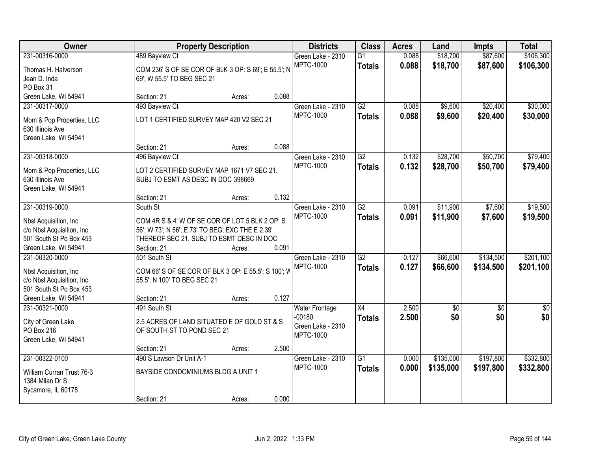| Owner                                                |                                                                                              | <b>Property Description</b> |       | <b>Districts</b>                  | <b>Class</b>    | <b>Acres</b> | Land        | <b>Impts</b>    | <b>Total</b>     |
|------------------------------------------------------|----------------------------------------------------------------------------------------------|-----------------------------|-------|-----------------------------------|-----------------|--------------|-------------|-----------------|------------------|
| 231-00316-0000                                       | 489 Bayview Ct                                                                               |                             |       | Green Lake - 2310                 | G1              | 0.088        | \$18,700    | \$87,600        | \$106,300        |
| Thomas H. Halverson                                  | COM 236' S OF SE COR OF BLK 3 OP: S 69'; E 55.5'; N                                          |                             |       | <b>MPTC-1000</b>                  | <b>Totals</b>   | 0.088        | \$18,700    | \$87,600        | \$106,300        |
| Jean D. Inda                                         | 69'; W 55.5' TO BEG SEC 21                                                                   |                             |       |                                   |                 |              |             |                 |                  |
| PO Box 31                                            |                                                                                              |                             |       |                                   |                 |              |             |                 |                  |
| Green Lake, WI 54941                                 | Section: 21                                                                                  | Acres:                      | 0.088 |                                   |                 |              |             |                 |                  |
| 231-00317-0000                                       | 493 Bayview Ct                                                                               |                             |       | Green Lake - 2310                 | G2              | 0.088        | \$9,600     | \$20,400        | \$30,000         |
| Mom & Pop Properties, LLC                            | LOT 1 CERTIFIED SURVEY MAP 420 V2 SEC 21                                                     |                             |       | <b>MPTC-1000</b>                  | <b>Totals</b>   | 0.088        | \$9,600     | \$20,400        | \$30,000         |
| 630 Illinois Ave                                     |                                                                                              |                             |       |                                   |                 |              |             |                 |                  |
| Green Lake, WI 54941                                 |                                                                                              |                             |       |                                   |                 |              |             |                 |                  |
|                                                      | Section: 21                                                                                  | Acres:                      | 0.088 |                                   |                 |              |             |                 |                  |
| 231-00318-0000                                       | 496 Bayview Ct                                                                               |                             |       | Green Lake - 2310                 | G2              | 0.132        | \$28,700    | \$50,700        | \$79,400         |
| Mom & Pop Properties, LLC                            | LOT 2 CERTIFIED SURVEY MAP 1671 V7 SEC 21.                                                   |                             |       | <b>MPTC-1000</b>                  | <b>Totals</b>   | 0.132        | \$28,700    | \$50,700        | \$79,400         |
| 630 Illinois Ave                                     | SUBJ TO ESMT AS DESC IN DOC 398669                                                           |                             |       |                                   |                 |              |             |                 |                  |
| Green Lake, WI 54941                                 |                                                                                              |                             |       |                                   |                 |              |             |                 |                  |
|                                                      | Section: 21                                                                                  | Acres:                      | 0.132 |                                   |                 |              |             |                 |                  |
| 231-00319-0000                                       | South St                                                                                     |                             |       | Green Lake - 2310                 | $\overline{G2}$ | 0.091        | \$11,900    | \$7,600         | \$19,500         |
|                                                      |                                                                                              |                             |       | <b>MPTC-1000</b>                  | <b>Totals</b>   | 0.091        | \$11,900    | \$7,600         | \$19,500         |
| Nbsl Acquisition, Inc.<br>c/o Nbsl Acquisition, Inc. | COM 4R S & 4' W OF SE COR OF LOT 5 BLK 2 OP: S                                               |                             |       |                                   |                 |              |             |                 |                  |
| 501 South St Po Box 453                              | 56'; W 73'; N 56'; E 73' TO BEG; EXC THE E 2.39'<br>THEREOF SEC 21. SUBJ TO ESMT DESC IN DOC |                             |       |                                   |                 |              |             |                 |                  |
| Green Lake, WI 54941                                 | Section: 21                                                                                  | Acres:                      | 0.091 |                                   |                 |              |             |                 |                  |
| 231-00320-0000                                       | 501 South St                                                                                 |                             |       | Green Lake - 2310                 | $\overline{G2}$ | 0.127        | \$66,600    | \$134,500       | \$201,100        |
|                                                      |                                                                                              |                             |       | MPTC-1000                         | <b>Totals</b>   | 0.127        | \$66,600    | \$134,500       | \$201,100        |
| Nbsl Acquisition, Inc.                               | COM 66' S OF SE COR OF BLK 3 OP: E 55.5'; S 100'; V                                          |                             |       |                                   |                 |              |             |                 |                  |
| c/o Nbsl Acquisition, Inc.                           | 55.5'; N 100' TO BEG SEC 21                                                                  |                             |       |                                   |                 |              |             |                 |                  |
| 501 South St Po Box 453<br>Green Lake, WI 54941      | Section: 21                                                                                  |                             | 0.127 |                                   |                 |              |             |                 |                  |
| 231-00321-0000                                       | 491 South St                                                                                 | Acres:                      |       |                                   | X4              | 2.500        | $\sqrt{$0}$ | $\overline{50}$ | $\overline{\$0}$ |
|                                                      |                                                                                              |                             |       | <b>Water Frontage</b><br>$-00180$ |                 | 2.500        | \$0         | \$0             | \$0              |
| City of Green Lake                                   | 2.5 ACRES OF LAND SITUATED E OF GOLD ST & S                                                  |                             |       | Green Lake - 2310                 | <b>Totals</b>   |              |             |                 |                  |
| PO Box 216                                           | OF SOUTH ST TO POND SEC 21                                                                   |                             |       | <b>MPTC-1000</b>                  |                 |              |             |                 |                  |
| Green Lake, WI 54941                                 |                                                                                              |                             |       |                                   |                 |              |             |                 |                  |
|                                                      | Section: 21                                                                                  | Acres:                      | 2.500 |                                   |                 |              |             |                 |                  |
| 231-00322-0100                                       | 490 S Lawson Dr Unit A-1                                                                     |                             |       | Green Lake - 2310                 | $\overline{G1}$ | 0.000        | \$135,000   | \$197,800       | \$332,800        |
| William Curran Trust 76-3                            | BAYSIDE CONDOMINIUMS BLDG A UNIT 1                                                           |                             |       | <b>MPTC-1000</b>                  | <b>Totals</b>   | 0.000        | \$135,000   | \$197,800       | \$332,800        |
| 1384 Milan Dr S                                      |                                                                                              |                             |       |                                   |                 |              |             |                 |                  |
| Sycamore, IL 60178                                   |                                                                                              |                             |       |                                   |                 |              |             |                 |                  |
|                                                      | Section: 21                                                                                  | Acres:                      | 0.000 |                                   |                 |              |             |                 |                  |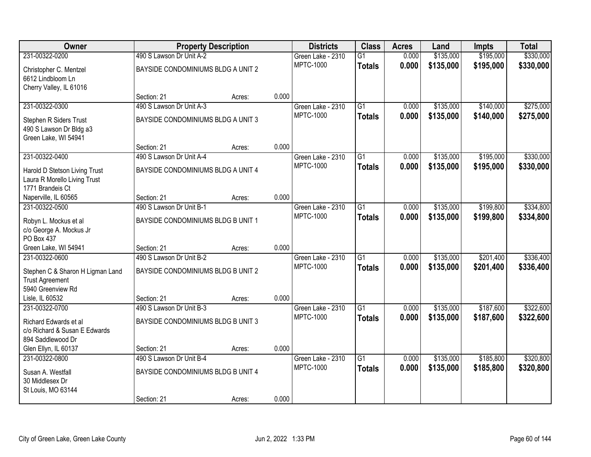| Owner                                                                             |                                         | <b>Property Description</b> |       | <b>Districts</b>                      | <b>Class</b>    | <b>Acres</b>   | Land                   | <b>Impts</b> | <b>Total</b> |
|-----------------------------------------------------------------------------------|-----------------------------------------|-----------------------------|-------|---------------------------------------|-----------------|----------------|------------------------|--------------|--------------|
| 231-00322-0200                                                                    | 490 S Lawson Dr Unit A-2                |                             |       | Green Lake - 2310                     | $\overline{G1}$ | 0.000          | \$135,000              | \$195,000    | \$330,000    |
| Christopher C. Mentzel<br>6612 Lindbloom Ln<br>Cherry Valley, IL 61016            | BAYSIDE CONDOMINIUMS BLDG A UNIT 2      |                             |       | <b>MPTC-1000</b>                      | <b>Totals</b>   | 0.000          | \$135,000              | \$195,000    | \$330,000    |
|                                                                                   | Section: 21                             | Acres:                      | 0.000 |                                       |                 |                |                        |              |              |
| 231-00322-0300                                                                    | 490 S Lawson Dr Unit A-3                |                             |       | Green Lake - 2310                     | G1              | 0.000          | \$135,000              | \$140,000    | \$275,000    |
| Stephen R Siders Trust<br>490 S Lawson Dr Bldg a3<br>Green Lake, WI 54941         | BAYSIDE CONDOMINIUMS BLDG A UNIT 3      |                             |       | <b>MPTC-1000</b>                      | <b>Totals</b>   | 0.000          | \$135,000              | \$140,000    | \$275,000    |
|                                                                                   | Section: 21                             | Acres:                      | 0.000 |                                       |                 |                |                        |              |              |
| 231-00322-0400                                                                    | 490 S Lawson Dr Unit A-4                |                             |       | Green Lake - 2310                     | $\overline{G1}$ | 0.000          | \$135,000              | \$195,000    | \$330,000    |
| Harold D Stetson Living Trust<br>Laura R Morello Living Trust<br>1771 Brandeis Ct | BAYSIDE CONDOMINIUMS BLDG A UNIT 4      |                             |       | <b>MPTC-1000</b>                      | <b>Totals</b>   | 0.000          | \$135,000              | \$195,000    | \$330,000    |
| Naperville, IL 60565                                                              | Section: 21                             | Acres:                      | 0.000 |                                       |                 |                |                        |              |              |
| 231-00322-0500                                                                    | 490 S Lawson Dr Unit B-1                |                             |       | Green Lake - 2310                     | $\overline{G1}$ | 0.000          | \$135,000              | \$199,800    | \$334,800    |
| Robyn L. Mockus et al<br>c/o George A. Mockus Jr                                  | BAYSIDE CONDOMINIUMS BLDG B UNIT 1      |                             |       | <b>MPTC-1000</b>                      | <b>Totals</b>   | 0.000          | \$135,000              | \$199,800    | \$334,800    |
| PO Box 437                                                                        |                                         |                             |       |                                       |                 |                |                        |              |              |
| Green Lake, WI 54941                                                              | Section: 21                             | Acres:                      | 0.000 |                                       |                 |                |                        |              |              |
| 231-00322-0600                                                                    | 490 S Lawson Dr Unit B-2                |                             |       | Green Lake - 2310<br><b>MPTC-1000</b> | $\overline{G1}$ | 0.000          | \$135,000              | \$201,400    | \$336,400    |
| Stephen C & Sharon H Ligman Land                                                  | BAYSIDE CONDOMINIUMS BLDG B UNIT 2      |                             |       |                                       | <b>Totals</b>   | 0.000          | \$135,000              | \$201,400    | \$336,400    |
| <b>Trust Agreement</b>                                                            |                                         |                             |       |                                       |                 |                |                        |              |              |
| 5940 Greenview Rd                                                                 |                                         |                             |       |                                       |                 |                |                        |              |              |
| Lisle, IL 60532                                                                   | Section: 21                             | Acres:                      | 0.000 |                                       |                 |                |                        |              |              |
| 231-00322-0700                                                                    | 490 S Lawson Dr Unit B-3                |                             |       | Green Lake - 2310<br><b>MPTC-1000</b> | $\overline{G1}$ | 0.000<br>0.000 | \$135,000<br>\$135,000 | \$187,600    | \$322,600    |
| Richard Edwards et al                                                             | BAYSIDE CONDOMINIUMS BLDG B UNIT 3      |                             |       |                                       | <b>Totals</b>   |                |                        | \$187,600    | \$322,600    |
| c/o Richard & Susan E Edwards                                                     |                                         |                             |       |                                       |                 |                |                        |              |              |
| 894 Saddlewood Dr                                                                 |                                         |                             |       |                                       |                 |                |                        |              |              |
| Glen Ellyn, IL 60137<br>231-00322-0800                                            | Section: 21<br>490 S Lawson Dr Unit B-4 | Acres:                      | 0.000 |                                       | $\overline{G1}$ | 0.000          | \$135,000              | \$185,800    | \$320,800    |
|                                                                                   |                                         |                             |       | Green Lake - 2310<br><b>MPTC-1000</b> |                 | 0.000          |                        |              |              |
| Susan A. Westfall                                                                 | BAYSIDE CONDOMINIUMS BLDG B UNIT 4      |                             |       |                                       | <b>Totals</b>   |                | \$135,000              | \$185,800    | \$320,800    |
| 30 Middlesex Dr                                                                   |                                         |                             |       |                                       |                 |                |                        |              |              |
| St Louis, MO 63144                                                                | Section: 21                             | Acres:                      | 0.000 |                                       |                 |                |                        |              |              |
|                                                                                   |                                         |                             |       |                                       |                 |                |                        |              |              |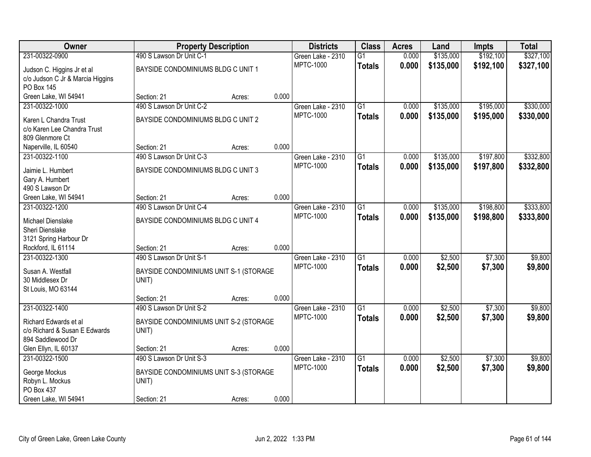| Owner                            | <b>Property Description</b>            |        |       | <b>Districts</b>  | <b>Class</b>    | <b>Acres</b> | Land      | <b>Impts</b> | <b>Total</b> |
|----------------------------------|----------------------------------------|--------|-------|-------------------|-----------------|--------------|-----------|--------------|--------------|
| 231-00322-0900                   | 490 S Lawson Dr Unit C-1               |        |       | Green Lake - 2310 | $\overline{G1}$ | 0.000        | \$135,000 | \$192,100    | \$327,100    |
| Judson C. Higgins Jr et al       | BAYSIDE CONDOMINIUMS BLDG C UNIT 1     |        |       | <b>MPTC-1000</b>  | <b>Totals</b>   | 0.000        | \$135,000 | \$192,100    | \$327,100    |
| c/o Judson C Jr & Marcia Higgins |                                        |        |       |                   |                 |              |           |              |              |
| <b>PO Box 145</b>                |                                        |        |       |                   |                 |              |           |              |              |
| Green Lake, WI 54941             | Section: 21                            | Acres: | 0.000 |                   |                 |              |           |              |              |
| 231-00322-1000                   | 490 S Lawson Dr Unit C-2               |        |       | Green Lake - 2310 | $\overline{G1}$ | 0.000        | \$135,000 | \$195,000    | \$330,000    |
| Karen L Chandra Trust            | BAYSIDE CONDOMINIUMS BLDG C UNIT 2     |        |       | <b>MPTC-1000</b>  | <b>Totals</b>   | 0.000        | \$135,000 | \$195,000    | \$330,000    |
| c/o Karen Lee Chandra Trust      |                                        |        |       |                   |                 |              |           |              |              |
| 809 Glenmore Ct                  |                                        |        |       |                   |                 |              |           |              |              |
| Naperville, IL 60540             | Section: 21                            | Acres: | 0.000 |                   |                 |              |           |              |              |
| 231-00322-1100                   | 490 S Lawson Dr Unit C-3               |        |       | Green Lake - 2310 | $\overline{G1}$ | 0.000        | \$135,000 | \$197,800    | \$332,800    |
| Jaimie L. Humbert                | BAYSIDE CONDOMINIUMS BLDG C UNIT 3     |        |       | <b>MPTC-1000</b>  | <b>Totals</b>   | 0.000        | \$135,000 | \$197,800    | \$332,800    |
| Gary A. Humbert                  |                                        |        |       |                   |                 |              |           |              |              |
| 490 S Lawson Dr                  |                                        |        |       |                   |                 |              |           |              |              |
| Green Lake, WI 54941             | Section: 21                            | Acres: | 0.000 |                   |                 |              |           |              |              |
| 231-00322-1200                   | 490 S Lawson Dr Unit C-4               |        |       | Green Lake - 2310 | G1              | 0.000        | \$135,000 | \$198,800    | \$333,800    |
| Michael Dienslake                | BAYSIDE CONDOMINIUMS BLDG C UNIT 4     |        |       | <b>MPTC-1000</b>  | <b>Totals</b>   | 0.000        | \$135,000 | \$198,800    | \$333,800    |
| Sheri Dienslake                  |                                        |        |       |                   |                 |              |           |              |              |
| 3121 Spring Harbour Dr           |                                        |        |       |                   |                 |              |           |              |              |
| Rockford, IL 61114               | Section: 21                            | Acres: | 0.000 |                   |                 |              |           |              |              |
| 231-00322-1300                   | 490 S Lawson Dr Unit S-1               |        |       | Green Lake - 2310 | $\overline{G1}$ | 0.000        | \$2,500   | \$7,300      | \$9,800      |
| Susan A. Westfall                | BAYSIDE CONDOMINIUMS UNIT S-1 (STORAGE |        |       | <b>MPTC-1000</b>  | <b>Totals</b>   | 0.000        | \$2,500   | \$7,300      | \$9,800      |
| 30 Middlesex Dr                  | UNIT)                                  |        |       |                   |                 |              |           |              |              |
| St Louis, MO 63144               |                                        |        |       |                   |                 |              |           |              |              |
|                                  | Section: 21                            | Acres: | 0.000 |                   |                 |              |           |              |              |
| 231-00322-1400                   | 490 S Lawson Dr Unit S-2               |        |       | Green Lake - 2310 | $\overline{G1}$ | 0.000        | \$2,500   | \$7,300      | \$9,800      |
| Richard Edwards et al            | BAYSIDE CONDOMINIUMS UNIT S-2 (STORAGE |        |       | <b>MPTC-1000</b>  | <b>Totals</b>   | 0.000        | \$2,500   | \$7,300      | \$9,800      |
| c/o Richard & Susan E Edwards    | UNIT)                                  |        |       |                   |                 |              |           |              |              |
| 894 Saddlewood Dr                |                                        |        |       |                   |                 |              |           |              |              |
| Glen Ellyn, IL 60137             | Section: 21                            | Acres: | 0.000 |                   |                 |              |           |              |              |
| 231-00322-1500                   | 490 S Lawson Dr Unit S-3               |        |       | Green Lake - 2310 | $\overline{G1}$ | 0.000        | \$2,500   | \$7,300      | \$9,800      |
| George Mockus                    | BAYSIDE CONDOMINIUMS UNIT S-3 (STORAGE |        |       | <b>MPTC-1000</b>  | <b>Totals</b>   | 0.000        | \$2,500   | \$7,300      | \$9,800      |
| Robyn L. Mockus                  | UNIT)                                  |        |       |                   |                 |              |           |              |              |
| PO Box 437                       |                                        |        |       |                   |                 |              |           |              |              |
| Green Lake, WI 54941             | Section: 21                            | Acres: | 0.000 |                   |                 |              |           |              |              |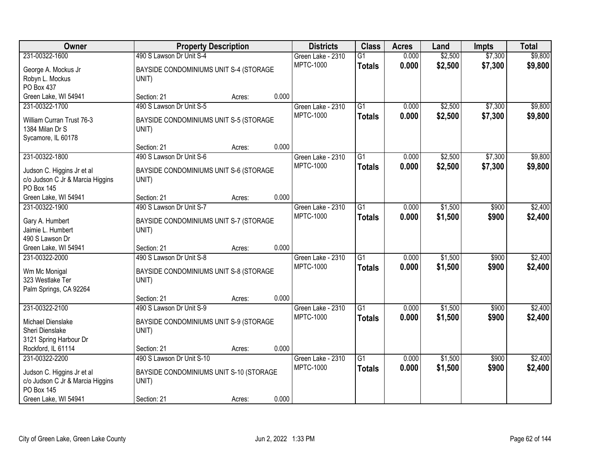| Owner                            | <b>Property Description</b>             |        |       | <b>Districts</b>  | <b>Class</b>    | <b>Acres</b> | Land    | <b>Impts</b> | <b>Total</b> |
|----------------------------------|-----------------------------------------|--------|-------|-------------------|-----------------|--------------|---------|--------------|--------------|
| 231-00322-1600                   | 490 S Lawson Dr Unit S-4                |        |       | Green Lake - 2310 | $\overline{G1}$ | 0.000        | \$2,500 | \$7,300      | \$9,800      |
| George A. Mockus Jr              | BAYSIDE CONDOMINIUMS UNIT S-4 (STORAGE  |        |       | <b>MPTC-1000</b>  | <b>Totals</b>   | 0.000        | \$2,500 | \$7,300      | \$9,800      |
| Robyn L. Mockus                  | UNIT)                                   |        |       |                   |                 |              |         |              |              |
| <b>PO Box 437</b>                |                                         |        |       |                   |                 |              |         |              |              |
| Green Lake, WI 54941             | Section: 21                             | Acres: | 0.000 |                   |                 |              |         |              |              |
| 231-00322-1700                   | 490 S Lawson Dr Unit S-5                |        |       | Green Lake - 2310 | $\overline{G1}$ | 0.000        | \$2,500 | \$7,300      | \$9,800      |
| William Curran Trust 76-3        | BAYSIDE CONDOMINIUMS UNIT S-5 (STORAGE  |        |       | <b>MPTC-1000</b>  | <b>Totals</b>   | 0.000        | \$2,500 | \$7,300      | \$9,800      |
| 1384 Milan Dr S                  | UNIT)                                   |        |       |                   |                 |              |         |              |              |
| Sycamore, IL 60178               |                                         |        |       |                   |                 |              |         |              |              |
|                                  | Section: 21                             | Acres: | 0.000 |                   |                 |              |         |              |              |
| 231-00322-1800                   | 490 S Lawson Dr Unit S-6                |        |       | Green Lake - 2310 | $\overline{G1}$ | 0.000        | \$2,500 | \$7,300      | \$9,800      |
| Judson C. Higgins Jr et al       | BAYSIDE CONDOMINIUMS UNIT S-6 (STORAGE  |        |       | <b>MPTC-1000</b>  | <b>Totals</b>   | 0.000        | \$2,500 | \$7,300      | \$9,800      |
| c/o Judson C Jr & Marcia Higgins | UNIT)                                   |        |       |                   |                 |              |         |              |              |
| <b>PO Box 145</b>                |                                         |        |       |                   |                 |              |         |              |              |
| Green Lake, WI 54941             | Section: 21                             | Acres: | 0.000 |                   |                 |              |         |              |              |
| 231-00322-1900                   | 490 S Lawson Dr Unit S-7                |        |       | Green Lake - 2310 | G1              | 0.000        | \$1,500 | \$900        | \$2,400      |
| Gary A. Humbert                  | BAYSIDE CONDOMINIUMS UNIT S-7 (STORAGE  |        |       | <b>MPTC-1000</b>  | <b>Totals</b>   | 0.000        | \$1,500 | \$900        | \$2,400      |
| Jaimie L. Humbert                | UNIT)                                   |        |       |                   |                 |              |         |              |              |
| 490 S Lawson Dr                  |                                         |        |       |                   |                 |              |         |              |              |
| Green Lake, WI 54941             | Section: 21                             | Acres: | 0.000 |                   |                 |              |         |              |              |
| 231-00322-2000                   | 490 S Lawson Dr Unit S-8                |        |       | Green Lake - 2310 | $\overline{G1}$ | 0.000        | \$1,500 | \$900        | \$2,400      |
| Wm Mc Monigal                    | BAYSIDE CONDOMINIUMS UNIT S-8 (STORAGE  |        |       | <b>MPTC-1000</b>  | <b>Totals</b>   | 0.000        | \$1,500 | \$900        | \$2,400      |
| 323 Westlake Ter                 | UNIT)                                   |        |       |                   |                 |              |         |              |              |
| Palm Springs, CA 92264           |                                         |        |       |                   |                 |              |         |              |              |
|                                  | Section: 21                             | Acres: | 0.000 |                   |                 |              |         |              |              |
| 231-00322-2100                   | 490 S Lawson Dr Unit S-9                |        |       | Green Lake - 2310 | $\overline{G1}$ | 0.000        | \$1,500 | \$900        | \$2,400      |
| Michael Dienslake                | BAYSIDE CONDOMINIUMS UNIT S-9 (STORAGE  |        |       | <b>MPTC-1000</b>  | <b>Totals</b>   | 0.000        | \$1,500 | \$900        | \$2,400      |
| Sheri Dienslake                  | UNIT)                                   |        |       |                   |                 |              |         |              |              |
| 3121 Spring Harbour Dr           |                                         |        |       |                   |                 |              |         |              |              |
| Rockford, IL 61114               | Section: 21                             | Acres: | 0.000 |                   |                 |              |         |              |              |
| 231-00322-2200                   | 490 S Lawson Dr Unit S-10               |        |       | Green Lake - 2310 | $\overline{G1}$ | 0.000        | \$1,500 | \$900        | \$2,400      |
| Judson C. Higgins Jr et al       | BAYSIDE CONDOMINIUMS UNIT S-10 (STORAGE |        |       | <b>MPTC-1000</b>  | <b>Totals</b>   | 0.000        | \$1,500 | \$900        | \$2,400      |
| c/o Judson C Jr & Marcia Higgins | UNIT)                                   |        |       |                   |                 |              |         |              |              |
| <b>PO Box 145</b>                |                                         |        |       |                   |                 |              |         |              |              |
| Green Lake, WI 54941             | Section: 21                             | Acres: | 0.000 |                   |                 |              |         |              |              |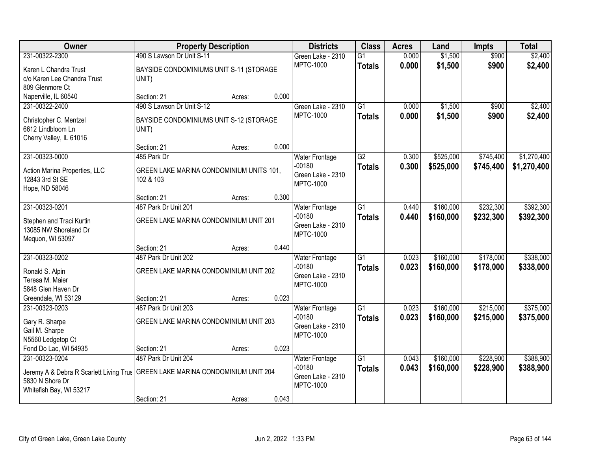| <b>Owner</b>                                                                                                                                   |                                                                               | <b>Property Description</b> |       | <b>Districts</b>                                                           | <b>Class</b>                     | <b>Acres</b>   | Land                   | Impts                  | <b>Total</b>               |
|------------------------------------------------------------------------------------------------------------------------------------------------|-------------------------------------------------------------------------------|-----------------------------|-------|----------------------------------------------------------------------------|----------------------------------|----------------|------------------------|------------------------|----------------------------|
| 231-00322-2300                                                                                                                                 | 490 S Lawson Dr Unit S-11                                                     |                             |       | Green Lake - 2310                                                          | $\overline{G1}$                  | 0.000          | \$1,500                | \$900                  | \$2,400                    |
| Karen L Chandra Trust<br>c/o Karen Lee Chandra Trust<br>809 Glenmore Ct                                                                        | BAYSIDE CONDOMINIUMS UNIT S-11 (STORAGE<br>UNIT)                              |                             |       | <b>MPTC-1000</b>                                                           | <b>Totals</b>                    | 0.000          | \$1,500                | \$900                  | \$2,400                    |
| Naperville, IL 60540                                                                                                                           | Section: 21                                                                   | Acres:                      | 0.000 |                                                                            |                                  |                |                        |                        |                            |
| 231-00322-2400<br>Christopher C. Mentzel<br>6612 Lindbloom Ln<br>Cherry Valley, IL 61016                                                       | 490 S Lawson Dr Unit S-12<br>BAYSIDE CONDOMINIUMS UNIT S-12 (STORAGE<br>UNIT) |                             |       | Green Lake - 2310<br><b>MPTC-1000</b>                                      | $\overline{G1}$<br><b>Totals</b> | 0.000<br>0.000 | \$1,500<br>\$1,500     | \$900<br>\$900         | \$2,400<br>\$2,400         |
|                                                                                                                                                | Section: 21                                                                   | Acres:                      | 0.000 |                                                                            |                                  |                |                        |                        |                            |
| 231-00323-0000<br>Action Marina Properties, LLC<br>12843 3rd St SE<br>Hope, ND 58046                                                           | 485 Park Dr<br>GREEN LAKE MARINA CONDOMINIUM UNITS 101,<br>102 & 103          |                             |       | <b>Water Frontage</b><br>$-00180$<br>Green Lake - 2310<br><b>MPTC-1000</b> | $\overline{G2}$<br><b>Totals</b> | 0.300<br>0.300 | \$525,000<br>\$525,000 | \$745,400<br>\$745,400 | \$1,270,400<br>\$1,270,400 |
|                                                                                                                                                | Section: 21                                                                   | Acres:                      | 0.300 |                                                                            |                                  |                |                        |                        |                            |
| 231-00323-0201<br>Stephen and Traci Kurtin<br>13085 NW Shoreland Dr<br>Mequon, WI 53097                                                        | 487 Park Dr Unit 201<br>GREEN LAKE MARINA CONDOMINIUM UNIT 201                |                             |       | <b>Water Frontage</b><br>$-00180$<br>Green Lake - 2310<br><b>MPTC-1000</b> | $\overline{G1}$<br><b>Totals</b> | 0.440<br>0.440 | \$160,000<br>\$160,000 | \$232,300<br>\$232,300 | \$392,300<br>\$392,300     |
|                                                                                                                                                | Section: 21                                                                   | Acres:                      | 0.440 |                                                                            |                                  |                |                        |                        |                            |
| 231-00323-0202<br>Ronald S. Alpin<br>Teresa M. Maier<br>5848 Glen Haven Dr                                                                     | 487 Park Dr Unit 202<br>GREEN LAKE MARINA CONDOMINIUM UNIT 202                |                             |       | Water Frontage<br>$-00180$<br>Green Lake - 2310<br><b>MPTC-1000</b>        | $\overline{G1}$<br><b>Totals</b> | 0.023<br>0.023 | \$160,000<br>\$160,000 | \$178,000<br>\$178,000 | \$338,000<br>\$338,000     |
| Greendale, WI 53129                                                                                                                            | Section: 21                                                                   | Acres:                      | 0.023 |                                                                            |                                  |                |                        |                        |                            |
| 231-00323-0203<br>Gary R. Sharpe<br>Gail M. Sharpe<br>N5560 Ledgetop Ct                                                                        | 487 Park Dr Unit 203<br>GREEN LAKE MARINA CONDOMINIUM UNIT 203                |                             |       | <b>Water Frontage</b><br>$-00180$<br>Green Lake - 2310<br><b>MPTC-1000</b> | $\overline{G1}$<br><b>Totals</b> | 0.023<br>0.023 | \$160,000<br>\$160,000 | \$215,000<br>\$215,000 | \$375,000<br>\$375,000     |
| Fond Do Lac, WI 54935                                                                                                                          | Section: 21                                                                   | Acres:                      | 0.023 |                                                                            |                                  |                |                        |                        |                            |
| 231-00323-0204<br>Jeremy A & Debra R Scarlett Living Trus GREEN LAKE MARINA CONDOMINIUM UNIT 204<br>5830 N Shore Dr<br>Whitefish Bay, WI 53217 | 487 Park Dr Unit 204<br>Section: 21                                           | Acres:                      | 0.043 | <b>Water Frontage</b><br>$-00180$<br>Green Lake - 2310<br><b>MPTC-1000</b> | $\overline{G1}$<br><b>Totals</b> | 0.043<br>0.043 | \$160,000<br>\$160,000 | \$228,900<br>\$228,900 | \$388,900<br>\$388,900     |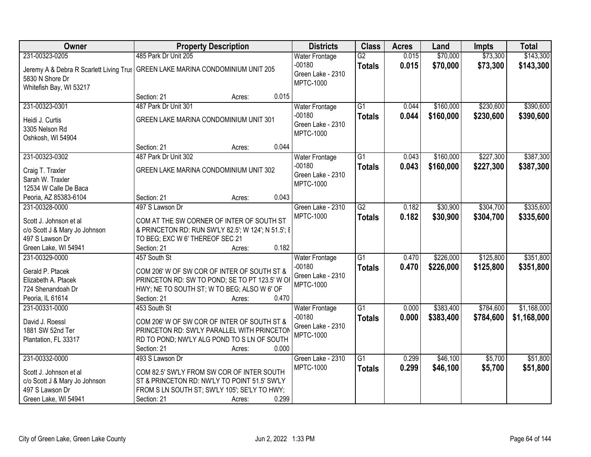| <b>Owner</b>                                                  | <b>Property Description</b>                                                      | <b>Districts</b>                                  | <b>Class</b>    | <b>Acres</b> | Land      | <b>Impts</b> | <b>Total</b> |
|---------------------------------------------------------------|----------------------------------------------------------------------------------|---------------------------------------------------|-----------------|--------------|-----------|--------------|--------------|
| 231-00323-0205                                                | 485 Park Dr Unit 205                                                             | <b>Water Frontage</b>                             | $\overline{G2}$ | 0.015        | \$70,000  | \$73,300     | \$143,300    |
| 5830 N Shore Dr<br>Whitefish Bay, WI 53217                    | Jeremy A & Debra R Scarlett Living Trus   GREEN LAKE MARINA CONDOMINIUM UNIT 205 | $-00180$<br>Green Lake - 2310<br><b>MPTC-1000</b> | <b>Totals</b>   | 0.015        | \$70,000  | \$73,300     | \$143,300    |
|                                                               | 0.015<br>Section: 21<br>Acres:                                                   |                                                   |                 |              |           |              |              |
| 231-00323-0301                                                | 487 Park Dr Unit 301                                                             | <b>Water Frontage</b>                             | $\overline{G1}$ | 0.044        | \$160,000 | \$230,600    | \$390,600    |
| Heidi J. Curtis<br>3305 Nelson Rd<br>Oshkosh, WI 54904        | GREEN LAKE MARINA CONDOMINIUM UNIT 301                                           | $-00180$<br>Green Lake - 2310<br><b>MPTC-1000</b> | <b>Totals</b>   | 0.044        | \$160,000 | \$230,600    | \$390,600    |
|                                                               | 0.044<br>Section: 21<br>Acres:                                                   |                                                   |                 |              |           |              |              |
| 231-00323-0302                                                | 487 Park Dr Unit 302                                                             | Water Frontage                                    | G1              | 0.043        | \$160,000 | \$227,300    | \$387,300    |
| Craig T. Traxler<br>Sarah W. Traxler<br>12534 W Calle De Baca | GREEN LAKE MARINA CONDOMINIUM UNIT 302                                           | $-00180$<br>Green Lake - 2310<br><b>MPTC-1000</b> | <b>Totals</b>   | 0.043        | \$160,000 | \$227,300    | \$387,300    |
| Peoria, AZ 85383-6104                                         | 0.043<br>Section: 21<br>Acres:                                                   |                                                   |                 |              |           |              |              |
| 231-00328-0000                                                | 497 S Lawson Dr                                                                  | Green Lake - 2310                                 | $\overline{G2}$ | 0.182        | \$30,900  | \$304,700    | \$335,600    |
| Scott J. Johnson et al                                        | COM AT THE SW CORNER OF INTER OF SOUTH ST                                        | <b>MPTC-1000</b>                                  | <b>Totals</b>   | 0.182        | \$30,900  | \$304,700    | \$335,600    |
| c/o Scott J & Mary Jo Johnson                                 | & PRINCETON RD: RUN SW'LY 82.5'; W 124'; N 51.5'; E                              |                                                   |                 |              |           |              |              |
| 497 S Lawson Dr                                               | TO BEG; EXC W 6' THEREOF SEC 21                                                  |                                                   |                 |              |           |              |              |
| Green Lake, WI 54941                                          | 0.182<br>Section: 21<br>Acres:                                                   |                                                   |                 |              |           |              |              |
| 231-00329-0000                                                | 457 South St                                                                     | Water Frontage                                    | $\overline{G1}$ | 0.470        | \$226,000 | \$125,800    | \$351,800    |
| Gerald P. Ptacek                                              | COM 206' W OF SW COR OF INTER OF SOUTH ST &                                      | $-00180$                                          | <b>Totals</b>   | 0.470        | \$226,000 | \$125,800    | \$351,800    |
| Elizabeth A. Ptacek                                           | PRINCETON RD: SW TO POND; SE TO PT 123.5' W OI                                   | Green Lake - 2310<br><b>MPTC-1000</b>             |                 |              |           |              |              |
| 724 Shenandoah Dr                                             | HWY; NE TO SOUTH ST; W TO BEG; ALSO W 6' OF                                      |                                                   |                 |              |           |              |              |
| Peoria, IL 61614                                              | Section: 21<br>0.470<br>Acres:                                                   |                                                   |                 |              |           |              |              |
| 231-00331-0000                                                | 453 South St                                                                     | <b>Water Frontage</b>                             | $\overline{G1}$ | 0.000        | \$383,400 | \$784,600    | \$1,168,000  |
| David J. Roessl                                               | COM 206' W OF SW COR OF INTER OF SOUTH ST &                                      | $-00180$                                          | <b>Totals</b>   | 0.000        | \$383,400 | \$784,600    | \$1,168,000  |
| 1881 SW 52nd Ter                                              | PRINCETON RD: SW'LY PARALLEL WITH PRINCETON                                      | Green Lake - 2310                                 |                 |              |           |              |              |
| Plantation, FL 33317                                          | RD TO POND; NW'LY ALG POND TO S LN OF SOUTH                                      | <b>MPTC-1000</b>                                  |                 |              |           |              |              |
|                                                               | Section: 21<br>0.000<br>Acres:                                                   |                                                   |                 |              |           |              |              |
| 231-00332-0000                                                | 493 S Lawson Dr                                                                  | Green Lake - 2310                                 | $\overline{G1}$ | 0.299        | \$46,100  | \$5,700      | \$51,800     |
| Scott J. Johnson et al                                        | COM 82.5' SW'LY FROM SW COR OF INTER SOUTH                                       | <b>MPTC-1000</b>                                  | <b>Totals</b>   | 0.299        | \$46,100  | \$5,700      | \$51,800     |
| c/o Scott J & Mary Jo Johnson                                 | ST & PRINCETON RD: NW'LY TO POINT 51.5' SW'LY                                    |                                                   |                 |              |           |              |              |
| 497 S Lawson Dr                                               | FROM S LN SOUTH ST; SW'LY 105'; SE'LY TO HWY;                                    |                                                   |                 |              |           |              |              |
| Green Lake, WI 54941                                          | 0.299<br>Section: 21<br>Acres:                                                   |                                                   |                 |              |           |              |              |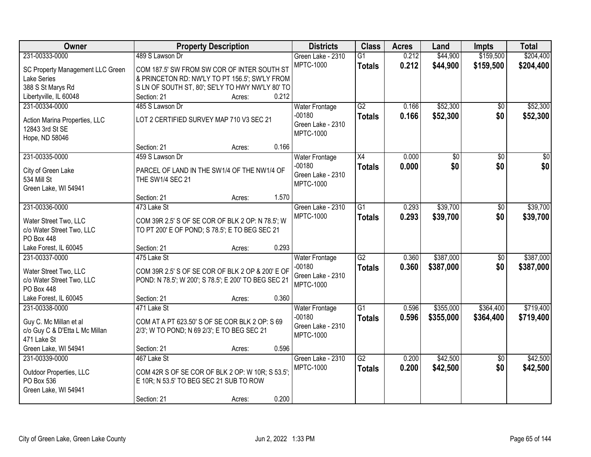| Owner                                          | <b>Property Description</b>                          | <b>Districts</b>                  | <b>Class</b>    | <b>Acres</b> | Land      | <b>Impts</b>    | <b>Total</b>    |
|------------------------------------------------|------------------------------------------------------|-----------------------------------|-----------------|--------------|-----------|-----------------|-----------------|
| 231-00333-0000                                 | 489 S Lawson Dr                                      | Green Lake - 2310                 | $\overline{G1}$ | 0.212        | \$44,900  | \$159,500       | \$204,400       |
| SC Property Management LLC Green               | COM 187.5' SW FROM SW COR OF INTER SOUTH ST          | <b>MPTC-1000</b>                  | <b>Totals</b>   | 0.212        | \$44,900  | \$159,500       | \$204,400       |
| <b>Lake Series</b>                             | & PRINCETON RD: NW'LY TO PT 156.5'; SW'LY FROM       |                                   |                 |              |           |                 |                 |
| 388 S St Marys Rd                              | SLN OF SOUTH ST, 80'; SE'LY TO HWY NW'LY 80' TO      |                                   |                 |              |           |                 |                 |
| Libertyville, IL 60048                         | 0.212<br>Section: 21<br>Acres:                       |                                   |                 |              |           |                 |                 |
| 231-00334-0000                                 | 485 S Lawson Dr                                      | <b>Water Frontage</b>             | G2              | 0.166        | \$52,300  | $\overline{30}$ | \$52,300        |
|                                                |                                                      | $-00180$                          | <b>Totals</b>   | 0.166        | \$52,300  | \$0             | \$52,300        |
| Action Marina Properties, LLC                  | LOT 2 CERTIFIED SURVEY MAP 710 V3 SEC 21             | Green Lake - 2310                 |                 |              |           |                 |                 |
| 12843 3rd St SE                                |                                                      | <b>MPTC-1000</b>                  |                 |              |           |                 |                 |
| Hope, ND 58046                                 | 0.166<br>Section: 21<br>Acres:                       |                                   |                 |              |           |                 |                 |
| 231-00335-0000                                 | 459 S Lawson Dr                                      |                                   | X4              | 0.000        | \$0       | \$0             | $\overline{30}$ |
|                                                |                                                      | <b>Water Frontage</b><br>$-00180$ |                 |              | \$0       | \$0             | \$0             |
| City of Green Lake                             | PARCEL OF LAND IN THE SW1/4 OF THE NW1/4 OF          | Green Lake - 2310                 | <b>Totals</b>   | 0.000        |           |                 |                 |
| 534 Mill St                                    | THE SW1/4 SEC 21                                     | <b>MPTC-1000</b>                  |                 |              |           |                 |                 |
| Green Lake, WI 54941                           |                                                      |                                   |                 |              |           |                 |                 |
|                                                | 1.570<br>Section: 21<br>Acres:                       |                                   |                 |              |           |                 |                 |
| 231-00336-0000                                 | 473 Lake St                                          | Green Lake - 2310                 | $\overline{G1}$ | 0.293        | \$39,700  | \$0             | \$39,700        |
| Water Street Two, LLC                          | COM 39R 2.5' S OF SE COR OF BLK 2 OP: N 78.5'; W     | <b>MPTC-1000</b>                  | <b>Totals</b>   | 0.293        | \$39,700  | \$0             | \$39,700        |
| c/o Water Street Two, LLC                      | TO PT 200' E OF POND; S 78.5'; E TO BEG SEC 21       |                                   |                 |              |           |                 |                 |
| <b>PO Box 448</b>                              |                                                      |                                   |                 |              |           |                 |                 |
| Lake Forest, IL 60045                          | 0.293<br>Section: 21<br>Acres:                       |                                   |                 |              |           |                 |                 |
| 231-00337-0000                                 | 475 Lake St                                          | Water Frontage                    | $\overline{G2}$ | 0.360        | \$387,000 | \$0             | \$387,000       |
|                                                |                                                      | $-00180$                          | <b>Totals</b>   | 0.360        | \$387,000 | \$0             | \$387,000       |
| Water Street Two, LLC                          | COM 39R 2.5' S OF SE COR OF BLK 2 OP & 200' E OF     | Green Lake - 2310                 |                 |              |           |                 |                 |
| c/o Water Street Two, LLC<br><b>PO Box 448</b> | POND: N 78.5'; W 200'; S 78.5'; E 200' TO BEG SEC 21 | <b>MPTC-1000</b>                  |                 |              |           |                 |                 |
| Lake Forest, IL 60045                          | 0.360<br>Section: 21<br>Acres:                       |                                   |                 |              |           |                 |                 |
| 231-00338-0000                                 | 471 Lake St                                          | <b>Water Frontage</b>             | $\overline{G1}$ | 0.596        | \$355,000 | \$364,400       | \$719,400       |
|                                                |                                                      | $-00180$                          |                 | 0.596        | \$355,000 | \$364,400       | \$719,400       |
| Guy C. Mc Millan et al                         | COM AT A PT 623.50' S OF SE COR BLK 2 OP: S 69       | Green Lake - 2310                 | <b>Totals</b>   |              |           |                 |                 |
| c/o Guy C & D'Etta L Mc Millan                 | 2/3'; W TO POND; N 69 2/3'; E TO BEG SEC 21          | <b>MPTC-1000</b>                  |                 |              |           |                 |                 |
| 471 Lake St                                    |                                                      |                                   |                 |              |           |                 |                 |
| Green Lake, WI 54941                           | 0.596<br>Section: 21<br>Acres:                       |                                   |                 |              |           |                 |                 |
| 231-00339-0000                                 | 467 Lake St                                          | Green Lake - 2310                 | $\overline{G2}$ | 0.200        | \$42,500  | $\overline{50}$ | \$42,500        |
| Outdoor Properties, LLC                        | COM 42R S OF SE COR OF BLK 2 OP: W 10R; S 53.5';     | <b>MPTC-1000</b>                  | <b>Totals</b>   | 0.200        | \$42,500  | \$0             | \$42,500        |
| PO Box 536                                     | E 10R; N 53.5' TO BEG SEC 21 SUB TO ROW              |                                   |                 |              |           |                 |                 |
| Green Lake, WI 54941                           |                                                      |                                   |                 |              |           |                 |                 |
|                                                | 0.200<br>Section: 21<br>Acres:                       |                                   |                 |              |           |                 |                 |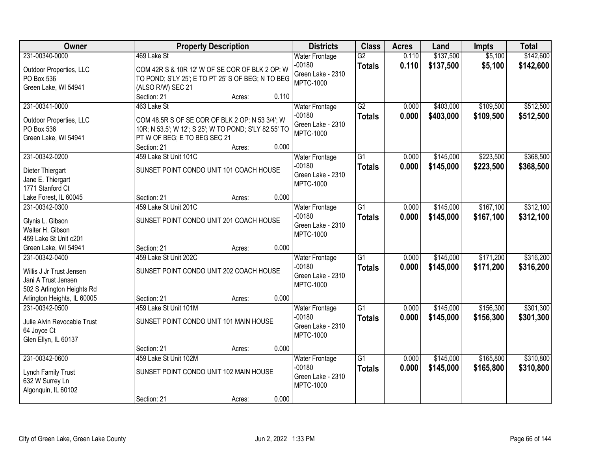| <b>Owner</b>                         | <b>Property Description</b>                           |       | <b>Districts</b>                      | <b>Class</b>    | <b>Acres</b> | Land      | <b>Impts</b> | <b>Total</b> |
|--------------------------------------|-------------------------------------------------------|-------|---------------------------------------|-----------------|--------------|-----------|--------------|--------------|
| 231-00340-0000                       | 469 Lake St                                           |       | <b>Water Frontage</b>                 | $\overline{G2}$ | 0.110        | \$137,500 | \$5,100      | \$142,600    |
| Outdoor Properties, LLC              | COM 42R S & 10R 12' W OF SE COR OF BLK 2 OP: W        |       | $-00180$<br>Green Lake - 2310         | <b>Totals</b>   | 0.110        | \$137,500 | \$5,100      | \$142,600    |
| PO Box 536                           | TO POND; S'LY 25'; E TO PT 25' S OF BEG; N TO BEG     |       | <b>MPTC-1000</b>                      |                 |              |           |              |              |
| Green Lake, WI 54941                 | (ALSO R/W) SEC 21                                     |       |                                       |                 |              |           |              |              |
|                                      | Section: 21<br>Acres:                                 | 0.110 |                                       |                 |              |           |              |              |
| 231-00341-0000                       | 463 Lake St                                           |       | <b>Water Frontage</b>                 | G2              | 0.000        | \$403,000 | \$109,500    | \$512,500    |
| Outdoor Properties, LLC              | COM 48.5R S OF SE COR OF BLK 2 OP: N 53 3/4'; W       |       | $-00180$                              | <b>Totals</b>   | 0.000        | \$403,000 | \$109,500    | \$512,500    |
| PO Box 536                           | 10R; N 53.5'; W 12'; S 25'; W TO POND; S'LY 82.55' TO |       | Green Lake - 2310<br><b>MPTC-1000</b> |                 |              |           |              |              |
| Green Lake, WI 54941                 | PT W OF BEG; E TO BEG SEC 21                          |       |                                       |                 |              |           |              |              |
|                                      | Section: 21<br>Acres:                                 | 0.000 |                                       |                 |              |           |              |              |
| 231-00342-0200                       | 459 Lake St Unit 101C                                 |       | <b>Water Frontage</b>                 | G1              | 0.000        | \$145,000 | \$223,500    | \$368,500    |
| Dieter Thiergart                     | SUNSET POINT CONDO UNIT 101 COACH HOUSE               |       | $-00180$                              | <b>Totals</b>   | 0.000        | \$145,000 | \$223,500    | \$368,500    |
| Jane E. Thiergart                    |                                                       |       | Green Lake - 2310                     |                 |              |           |              |              |
| 1771 Stanford Ct                     |                                                       |       | <b>MPTC-1000</b>                      |                 |              |           |              |              |
| Lake Forest, IL 60045                | Section: 21<br>Acres:                                 | 0.000 |                                       |                 |              |           |              |              |
| 231-00342-0300                       | 459 Lake St Unit 201C                                 |       | <b>Water Frontage</b>                 | $\overline{G1}$ | 0.000        | \$145,000 | \$167,100    | \$312,100    |
|                                      | SUNSET POINT CONDO UNIT 201 COACH HOUSE               |       | $-00180$                              | <b>Totals</b>   | 0.000        | \$145,000 | \$167,100    | \$312,100    |
| Glynis L. Gibson<br>Walter H. Gibson |                                                       |       | Green Lake - 2310                     |                 |              |           |              |              |
| 459 Lake St Unit c201                |                                                       |       | <b>MPTC-1000</b>                      |                 |              |           |              |              |
| Green Lake, WI 54941                 | Section: 21<br>Acres:                                 | 0.000 |                                       |                 |              |           |              |              |
| 231-00342-0400                       | 459 Lake St Unit 202C                                 |       | <b>Water Frontage</b>                 | $\overline{G1}$ | 0.000        | \$145,000 | \$171,200    | \$316,200    |
|                                      |                                                       |       | $-00180$                              | <b>Totals</b>   | 0.000        | \$145,000 | \$171,200    | \$316,200    |
| Willis J Jr Trust Jensen             | SUNSET POINT CONDO UNIT 202 COACH HOUSE               |       | Green Lake - 2310                     |                 |              |           |              |              |
| Jani A Trust Jensen                  |                                                       |       | <b>MPTC-1000</b>                      |                 |              |           |              |              |
| 502 S Arlington Heights Rd           |                                                       |       |                                       |                 |              |           |              |              |
| Arlington Heights, IL 60005          | Section: 21<br>Acres:                                 | 0.000 |                                       |                 |              |           |              |              |
| 231-00342-0500                       | 459 Lake St Unit 101M                                 |       | <b>Water Frontage</b>                 | $\overline{G1}$ | 0.000        | \$145,000 | \$156,300    | \$301,300    |
| Julie Alvin Revocable Trust          | SUNSET POINT CONDO UNIT 101 MAIN HOUSE                |       | $-00180$                              | <b>Totals</b>   | 0.000        | \$145,000 | \$156,300    | \$301,300    |
| 64 Joyce Ct                          |                                                       |       | Green Lake - 2310                     |                 |              |           |              |              |
| Glen Ellyn, IL 60137                 |                                                       |       | <b>MPTC-1000</b>                      |                 |              |           |              |              |
|                                      | Section: 21<br>Acres:                                 | 0.000 |                                       |                 |              |           |              |              |
| 231-00342-0600                       | 459 Lake St Unit 102M                                 |       | <b>Water Frontage</b>                 | $\overline{G1}$ | 0.000        | \$145,000 | \$165,800    | \$310,800    |
| Lynch Family Trust                   | SUNSET POINT CONDO UNIT 102 MAIN HOUSE                |       | $-00180$                              | <b>Totals</b>   | 0.000        | \$145,000 | \$165,800    | \$310,800    |
| 632 W Surrey Ln                      |                                                       |       | Green Lake - 2310                     |                 |              |           |              |              |
| Algonquin, IL 60102                  |                                                       |       | <b>MPTC-1000</b>                      |                 |              |           |              |              |
|                                      | Section: 21<br>Acres:                                 | 0.000 |                                       |                 |              |           |              |              |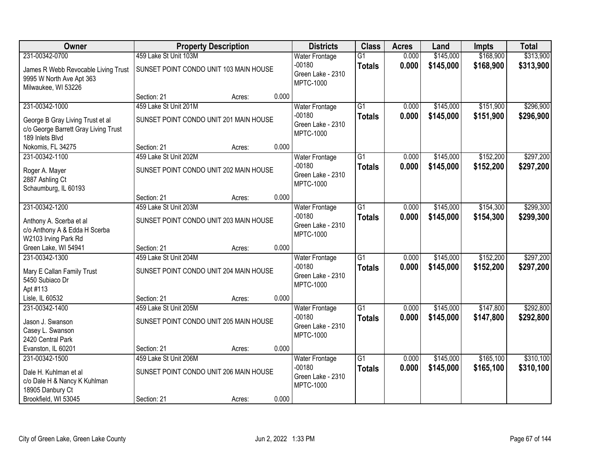| Owner                                |                                        | <b>Property Description</b> |       | <b>Districts</b>                      | <b>Class</b>    | <b>Acres</b> | Land      | <b>Impts</b> | <b>Total</b> |
|--------------------------------------|----------------------------------------|-----------------------------|-------|---------------------------------------|-----------------|--------------|-----------|--------------|--------------|
| 231-00342-0700                       | 459 Lake St Unit 103M                  |                             |       | <b>Water Frontage</b>                 | $\overline{G1}$ | 0.000        | \$145,000 | \$168,900    | \$313,900    |
| James R Webb Revocable Living Trust  | SUNSET POINT CONDO UNIT 103 MAIN HOUSE |                             |       | $-00180$                              | <b>Totals</b>   | 0.000        | \$145,000 | \$168,900    | \$313,900    |
| 9995 W North Ave Apt 363             |                                        |                             |       | Green Lake - 2310<br><b>MPTC-1000</b> |                 |              |           |              |              |
| Milwaukee, WI 53226                  |                                        |                             |       |                                       |                 |              |           |              |              |
|                                      | Section: 21                            | Acres:                      | 0.000 |                                       |                 |              |           |              |              |
| 231-00342-1000                       | 459 Lake St Unit 201M                  |                             |       | <b>Water Frontage</b>                 | $\overline{G1}$ | 0.000        | \$145,000 | \$151,900    | \$296,900    |
| George B Gray Living Trust et al     | SUNSET POINT CONDO UNIT 201 MAIN HOUSE |                             |       | $-00180$                              | <b>Totals</b>   | 0.000        | \$145,000 | \$151,900    | \$296,900    |
| c/o George Barrett Gray Living Trust |                                        |                             |       | Green Lake - 2310                     |                 |              |           |              |              |
| 189 Inlets Blvd                      |                                        |                             |       | <b>MPTC-1000</b>                      |                 |              |           |              |              |
| Nokomis, FL 34275                    | Section: 21                            | Acres:                      | 0.000 |                                       |                 |              |           |              |              |
| 231-00342-1100                       | 459 Lake St Unit 202M                  |                             |       | <b>Water Frontage</b>                 | G1              | 0.000        | \$145,000 | \$152,200    | \$297,200    |
| Roger A. Mayer                       | SUNSET POINT CONDO UNIT 202 MAIN HOUSE |                             |       | $-00180$                              | <b>Totals</b>   | 0.000        | \$145,000 | \$152,200    | \$297,200    |
| 2887 Ashling Ct                      |                                        |                             |       | Green Lake - 2310                     |                 |              |           |              |              |
| Schaumburg, IL 60193                 |                                        |                             |       | <b>MPTC-1000</b>                      |                 |              |           |              |              |
|                                      | Section: 21                            | Acres:                      | 0.000 |                                       |                 |              |           |              |              |
| 231-00342-1200                       | 459 Lake St Unit 203M                  |                             |       | <b>Water Frontage</b>                 | $\overline{G1}$ | 0.000        | \$145,000 | \$154,300    | \$299,300    |
| Anthony A. Scerba et al              | SUNSET POINT CONDO UNIT 203 MAIN HOUSE |                             |       | $-00180$                              | <b>Totals</b>   | 0.000        | \$145,000 | \$154,300    | \$299,300    |
| c/o Anthony A & Edda H Scerba        |                                        |                             |       | Green Lake - 2310                     |                 |              |           |              |              |
| W2103 Irving Park Rd                 |                                        |                             |       | <b>MPTC-1000</b>                      |                 |              |           |              |              |
| Green Lake, WI 54941                 | Section: 21                            | Acres:                      | 0.000 |                                       |                 |              |           |              |              |
| 231-00342-1300                       | 459 Lake St Unit 204M                  |                             |       | <b>Water Frontage</b>                 | $\overline{G1}$ | 0.000        | \$145,000 | \$152,200    | \$297,200    |
| Mary E Callan Family Trust           | SUNSET POINT CONDO UNIT 204 MAIN HOUSE |                             |       | $-00180$                              | <b>Totals</b>   | 0.000        | \$145,000 | \$152,200    | \$297,200    |
| 5450 Subiaco Dr                      |                                        |                             |       | Green Lake - 2310                     |                 |              |           |              |              |
| Apt #113                             |                                        |                             |       | <b>MPTC-1000</b>                      |                 |              |           |              |              |
| Lisle, IL 60532                      | Section: 21                            | Acres:                      | 0.000 |                                       |                 |              |           |              |              |
| 231-00342-1400                       | 459 Lake St Unit 205M                  |                             |       | <b>Water Frontage</b>                 | $\overline{G1}$ | 0.000        | \$145,000 | \$147,800    | \$292,800    |
| Jason J. Swanson                     | SUNSET POINT CONDO UNIT 205 MAIN HOUSE |                             |       | $-00180$                              | <b>Totals</b>   | 0.000        | \$145,000 | \$147,800    | \$292,800    |
| Casey L. Swanson                     |                                        |                             |       | Green Lake - 2310                     |                 |              |           |              |              |
| 2420 Central Park                    |                                        |                             |       | <b>MPTC-1000</b>                      |                 |              |           |              |              |
| Evanston, IL 60201                   | Section: 21                            | Acres:                      | 0.000 |                                       |                 |              |           |              |              |
| 231-00342-1500                       | 459 Lake St Unit 206M                  |                             |       | <b>Water Frontage</b>                 | $\overline{G1}$ | 0.000        | \$145,000 | \$165,100    | \$310,100    |
| Dale H. Kuhlman et al                | SUNSET POINT CONDO UNIT 206 MAIN HOUSE |                             |       | $-00180$                              | <b>Totals</b>   | 0.000        | \$145,000 | \$165,100    | \$310,100    |
| c/o Dale H & Nancy K Kuhlman         |                                        |                             |       | Green Lake - 2310                     |                 |              |           |              |              |
| 18905 Danbury Ct                     |                                        |                             |       | <b>MPTC-1000</b>                      |                 |              |           |              |              |
| Brookfield, WI 53045                 | Section: 21                            | Acres:                      | 0.000 |                                       |                 |              |           |              |              |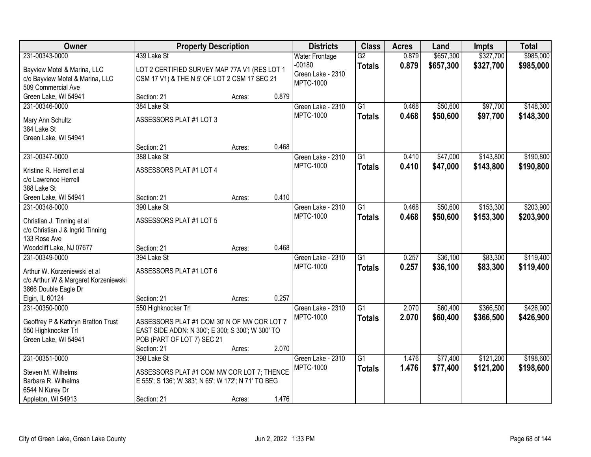| Owner                                            | <b>Property Description</b>                         |        |       | <b>Districts</b>      | <b>Class</b>    | <b>Acres</b> | Land      | <b>Impts</b> | <b>Total</b> |
|--------------------------------------------------|-----------------------------------------------------|--------|-------|-----------------------|-----------------|--------------|-----------|--------------|--------------|
| 231-00343-0000                                   | 439 Lake St                                         |        |       | <b>Water Frontage</b> | $\overline{G2}$ | 0.879        | \$657,300 | \$327,700    | \$985,000    |
| Bayview Motel & Marina, LLC                      | LOT 2 CERTIFIED SURVEY MAP 77A V1 (RES LOT 1        |        |       | $-00180$              | <b>Totals</b>   | 0.879        | \$657,300 | \$327,700    | \$985,000    |
| c/o Bayview Motel & Marina, LLC                  | CSM 17 V1) & THE N 5' OF LOT 2 CSM 17 SEC 21        |        |       | Green Lake - 2310     |                 |              |           |              |              |
| 509 Commercial Ave                               |                                                     |        |       | <b>MPTC-1000</b>      |                 |              |           |              |              |
| Green Lake, WI 54941                             | Section: 21                                         | Acres: | 0.879 |                       |                 |              |           |              |              |
| 231-00346-0000                                   | 384 Lake St                                         |        |       | Green Lake - 2310     | $\overline{G1}$ | 0.468        | \$50,600  | \$97,700     | \$148,300    |
| Mary Ann Schultz                                 | ASSESSORS PLAT #1 LOT 3                             |        |       | <b>MPTC-1000</b>      | <b>Totals</b>   | 0.468        | \$50,600  | \$97,700     | \$148,300    |
| 384 Lake St                                      |                                                     |        |       |                       |                 |              |           |              |              |
| Green Lake, WI 54941                             |                                                     |        |       |                       |                 |              |           |              |              |
|                                                  | Section: 21                                         | Acres: | 0.468 |                       |                 |              |           |              |              |
| 231-00347-0000                                   | 388 Lake St                                         |        |       | Green Lake - 2310     | $\overline{G1}$ | 0.410        | \$47,000  | \$143,800    | \$190,800    |
| Kristine R. Herrell et al                        | ASSESSORS PLAT #1 LOT 4                             |        |       | <b>MPTC-1000</b>      | <b>Totals</b>   | 0.410        | \$47,000  | \$143,800    | \$190,800    |
| c/o Lawrence Herrell                             |                                                     |        |       |                       |                 |              |           |              |              |
| 388 Lake St                                      |                                                     |        |       |                       |                 |              |           |              |              |
| Green Lake, WI 54941                             | Section: 21                                         | Acres: | 0.410 |                       |                 |              |           |              |              |
| 231-00348-0000                                   | 390 Lake St                                         |        |       | Green Lake - 2310     | $\overline{G1}$ | 0.468        | \$50,600  | \$153,300    | \$203,900    |
|                                                  |                                                     |        |       | <b>MPTC-1000</b>      | <b>Totals</b>   | 0.468        | \$50,600  | \$153,300    | \$203,900    |
| Christian J. Tinning et al                       | ASSESSORS PLAT #1 LOT 5                             |        |       |                       |                 |              |           |              |              |
| c/o Christian J & Ingrid Tinning<br>133 Rose Ave |                                                     |        |       |                       |                 |              |           |              |              |
| Woodcliff Lake, NJ 07677                         | Section: 21                                         | Acres: | 0.468 |                       |                 |              |           |              |              |
| 231-00349-0000                                   | 394 Lake St                                         |        |       | Green Lake - 2310     | $\overline{G1}$ | 0.257        | \$36,100  | \$83,300     | \$119,400    |
|                                                  |                                                     |        |       | <b>MPTC-1000</b>      | <b>Totals</b>   | 0.257        | \$36,100  | \$83,300     | \$119,400    |
| Arthur W. Korzeniewski et al.                    | ASSESSORS PLAT #1 LOT 6                             |        |       |                       |                 |              |           |              |              |
| c/o Arthur W & Margaret Korzeniewski             |                                                     |        |       |                       |                 |              |           |              |              |
| 3866 Double Eagle Dr<br>Elgin, IL 60124          | Section: 21                                         |        | 0.257 |                       |                 |              |           |              |              |
| 231-00350-0000                                   | 550 Highknocker Trl                                 | Acres: |       | Green Lake - 2310     | $\overline{G1}$ | 2.070        | \$60,400  | \$366,500    | \$426,900    |
|                                                  |                                                     |        |       | <b>MPTC-1000</b>      | <b>Totals</b>   | 2.070        | \$60,400  | \$366,500    | \$426,900    |
| Geoffrey P & Kathryn Bratton Trust               | ASSESSORS PLAT #1 COM 30' N OF NW COR LOT 7         |        |       |                       |                 |              |           |              |              |
| 550 Highknocker Trl                              | EAST SIDE ADDN: N 300'; E 300; S 300'; W 300' TO    |        |       |                       |                 |              |           |              |              |
| Green Lake, WI 54941                             | POB (PART OF LOT 7) SEC 21                          |        |       |                       |                 |              |           |              |              |
|                                                  | Section: 21                                         | Acres: | 2.070 |                       |                 |              |           |              |              |
| 231-00351-0000                                   | 398 Lake St                                         |        |       | Green Lake - 2310     | $\overline{G1}$ | 1.476        | \$77,400  | \$121,200    | \$198,600    |
| Steven M. Wilhelms                               | ASSESSORS PLAT #1 COM NW COR LOT 7; THENCE          |        |       | <b>MPTC-1000</b>      | <b>Totals</b>   | 1.476        | \$77,400  | \$121,200    | \$198,600    |
| Barbara R. Wilhelms                              | E 555'; S 136'; W 383'; N 65'; W 172'; N 71' TO BEG |        |       |                       |                 |              |           |              |              |
| 6544 N Kurey Dr                                  |                                                     |        |       |                       |                 |              |           |              |              |
| Appleton, WI 54913                               | Section: 21                                         | Acres: | 1.476 |                       |                 |              |           |              |              |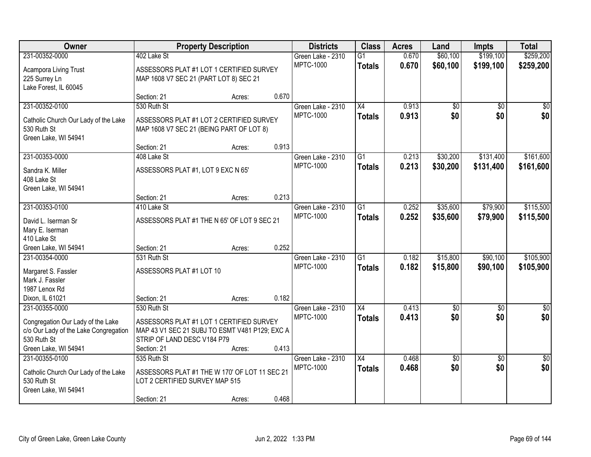| Owner                                  |                                                | <b>Property Description</b> |       | <b>Districts</b>  | <b>Class</b>    | <b>Acres</b> | Land            | <b>Impts</b>    | <b>Total</b>    |
|----------------------------------------|------------------------------------------------|-----------------------------|-------|-------------------|-----------------|--------------|-----------------|-----------------|-----------------|
| 231-00352-0000                         | 402 Lake St                                    |                             |       | Green Lake - 2310 | $\overline{G1}$ | 0.670        | \$60,100        | \$199,100       | \$259,200       |
| Acampora Living Trust                  | ASSESSORS PLAT #1 LOT 1 CERTIFIED SURVEY       |                             |       | <b>MPTC-1000</b>  | <b>Totals</b>   | 0.670        | \$60,100        | \$199,100       | \$259,200       |
| 225 Surrey Ln                          | MAP 1608 V7 SEC 21 (PART LOT 8) SEC 21         |                             |       |                   |                 |              |                 |                 |                 |
| Lake Forest, IL 60045                  |                                                |                             |       |                   |                 |              |                 |                 |                 |
|                                        | Section: 21                                    | Acres:                      | 0.670 |                   |                 |              |                 |                 |                 |
| 231-00352-0100                         | 530 Ruth St                                    |                             |       | Green Lake - 2310 | $\overline{X4}$ | 0.913        | $\overline{50}$ | $\overline{30}$ | $\sqrt{50}$     |
| Catholic Church Our Lady of the Lake   | ASSESSORS PLAT #1 LOT 2 CERTIFIED SURVEY       |                             |       | <b>MPTC-1000</b>  | <b>Totals</b>   | 0.913        | \$0             | \$0             | \$0             |
| 530 Ruth St                            | MAP 1608 V7 SEC 21 (BEING PART OF LOT 8)       |                             |       |                   |                 |              |                 |                 |                 |
| Green Lake, WI 54941                   |                                                |                             |       |                   |                 |              |                 |                 |                 |
|                                        | Section: 21                                    | Acres:                      | 0.913 |                   |                 |              |                 |                 |                 |
| 231-00353-0000                         | 408 Lake St                                    |                             |       | Green Lake - 2310 | G1              | 0.213        | \$30,200        | \$131,400       | \$161,600       |
| Sandra K. Miller                       | ASSESSORS PLAT #1, LOT 9 EXC N 65'             |                             |       | <b>MPTC-1000</b>  | <b>Totals</b>   | 0.213        | \$30,200        | \$131,400       | \$161,600       |
| 408 Lake St                            |                                                |                             |       |                   |                 |              |                 |                 |                 |
| Green Lake, WI 54941                   |                                                |                             |       |                   |                 |              |                 |                 |                 |
|                                        | Section: 21                                    | Acres:                      | 0.213 |                   |                 |              |                 |                 |                 |
| 231-00353-0100                         | 410 Lake St                                    |                             |       | Green Lake - 2310 | G1              | 0.252        | \$35,600        | \$79,900        | \$115,500       |
|                                        |                                                |                             |       | <b>MPTC-1000</b>  | <b>Totals</b>   | 0.252        | \$35,600        | \$79,900        | \$115,500       |
| David L. Iserman Sr<br>Mary E. Iserman | ASSESSORS PLAT #1 THE N 65' OF LOT 9 SEC 21    |                             |       |                   |                 |              |                 |                 |                 |
| 410 Lake St                            |                                                |                             |       |                   |                 |              |                 |                 |                 |
| Green Lake, WI 54941                   | Section: 21                                    | Acres:                      | 0.252 |                   |                 |              |                 |                 |                 |
| 231-00354-0000                         | 531 Ruth St                                    |                             |       | Green Lake - 2310 | $\overline{G1}$ | 0.182        | \$15,800        | \$90,100        | \$105,900       |
|                                        |                                                |                             |       | <b>MPTC-1000</b>  | <b>Totals</b>   | 0.182        | \$15,800        | \$90,100        | \$105,900       |
| Margaret S. Fassler                    | ASSESSORS PLAT #1 LOT 10                       |                             |       |                   |                 |              |                 |                 |                 |
| Mark J. Fassler                        |                                                |                             |       |                   |                 |              |                 |                 |                 |
| 1987 Lenox Rd<br>Dixon, IL 61021       | Section: 21                                    |                             | 0.182 |                   |                 |              |                 |                 |                 |
| 231-00355-0000                         | 530 Ruth St                                    | Acres:                      |       | Green Lake - 2310 | $\overline{X4}$ | 0.413        | $\overline{50}$ | $\overline{50}$ | $\overline{50}$ |
|                                        |                                                |                             |       | <b>MPTC-1000</b>  | <b>Totals</b>   | 0.413        | \$0             | \$0             | \$0             |
| Congregation Our Lady of the Lake      | ASSESSORS PLAT #1 LOT 1 CERTIFIED SURVEY       |                             |       |                   |                 |              |                 |                 |                 |
| c/o Our Lady of the Lake Congregation  | MAP 43 V1 SEC 21 SUBJ TO ESMT V481 P129; EXC A |                             |       |                   |                 |              |                 |                 |                 |
| 530 Ruth St                            | STRIP OF LAND DESC V184 P79                    |                             |       |                   |                 |              |                 |                 |                 |
| Green Lake, WI 54941                   | Section: 21                                    | Acres:                      | 0.413 |                   |                 |              |                 |                 |                 |
| 231-00355-0100                         | 535 Ruth St                                    |                             |       | Green Lake - 2310 | $\overline{X4}$ | 0.468        | $\sqrt{50}$     | $\overline{30}$ | $\overline{50}$ |
| Catholic Church Our Lady of the Lake   | ASSESSORS PLAT #1 THE W 170' OF LOT 11 SEC 21  |                             |       | <b>MPTC-1000</b>  | <b>Totals</b>   | 0.468        | \$0             | \$0             | \$0             |
| 530 Ruth St                            | LOT 2 CERTIFIED SURVEY MAP 515                 |                             |       |                   |                 |              |                 |                 |                 |
| Green Lake, WI 54941                   |                                                |                             |       |                   |                 |              |                 |                 |                 |
|                                        | Section: 21                                    | Acres:                      | 0.468 |                   |                 |              |                 |                 |                 |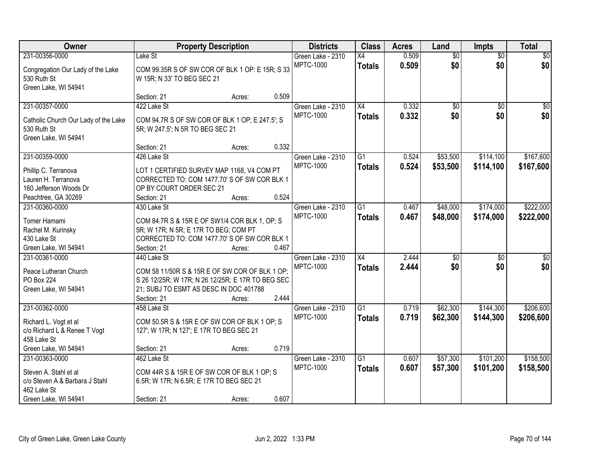| Owner                                                                                                            |                                                                                                                                                                             | <b>Property Description</b> |       | <b>Districts</b>                      | <b>Class</b>                     | <b>Acres</b>   | Land                   | <b>Impts</b>           | <b>Total</b>           |
|------------------------------------------------------------------------------------------------------------------|-----------------------------------------------------------------------------------------------------------------------------------------------------------------------------|-----------------------------|-------|---------------------------------------|----------------------------------|----------------|------------------------|------------------------|------------------------|
| 231-00356-0000<br>Congregation Our Lady of the Lake<br>530 Ruth St                                               | Lake St<br>COM 99.35R S OF SW COR OF BLK 1 OP: E 15R; S 33<br>W 15R; N 33' TO BEG SEC 21                                                                                    |                             |       | Green Lake - 2310<br><b>MPTC-1000</b> | X4<br><b>Totals</b>              | 0.509<br>0.509 | $\overline{50}$<br>\$0 | $\overline{50}$<br>\$0 | $\overline{30}$<br>\$0 |
| Green Lake, WI 54941                                                                                             | Section: 21                                                                                                                                                                 | Acres:                      | 0.509 |                                       |                                  |                |                        |                        |                        |
| 231-00357-0000<br>Catholic Church Our Lady of the Lake<br>530 Ruth St<br>Green Lake, WI 54941                    | 422 Lake St<br>COM 94.7R S OF SW COR OF BLK 1 OP; E 247.5'; S<br>5R; W 247.5'; N 5R TO BEG SEC 21                                                                           |                             |       | Green Lake - 2310<br><b>MPTC-1000</b> | $\overline{X4}$<br><b>Totals</b> | 0.332<br>0.332 | $\overline{50}$<br>\$0 | $\overline{50}$<br>\$0 | $\sqrt{50}$<br>\$0     |
| 231-00359-0000<br>Phillip C. Terranova<br>Lauren H. Terranova<br>160 Jefferson Woods Dr                          | Section: 21<br>426 Lake St<br>LOT 1 CERTIFIED SURVEY MAP 1168, V4 COM PT<br>CORRECTED TO: COM 1477.70' S OF SW COR BLK 1<br>OP BY COURT ORDER SEC 21                        | Acres:                      | 0.332 | Green Lake - 2310<br><b>MPTC-1000</b> | $\overline{G1}$<br><b>Totals</b> | 0.524<br>0.524 | \$53,500<br>\$53,500   | \$114,100<br>\$114,100 | \$167,600<br>\$167,600 |
| Peachtree, GA 30269<br>231-00360-0000                                                                            | Section: 21<br>430 Lake St                                                                                                                                                  | Acres:                      | 0.524 | Green Lake - 2310                     | $\overline{G1}$                  | 0.467          | \$48,000               | \$174,000              | \$222,000              |
| Tomer Hamami<br>Rachel M. Kurinsky<br>430 Lake St<br>Green Lake, WI 54941                                        | COM 84.7R S & 15R E OF SW1/4 COR BLK 1, OP; S<br>5R; W 17R; N 5R; E 17R TO BEG; COM PT<br>CORRECTED TO: COM 1477.70' S OF SW COR BLK 1<br>Section: 21                       | Acres:                      | 0.467 | <b>MPTC-1000</b>                      | <b>Totals</b>                    | 0.467          | \$48,000               | \$174,000              | \$222,000              |
| 231-00361-0000<br>Peace Lutheran Church<br><b>PO Box 224</b><br>Green Lake, WI 54941                             | 440 Lake St<br>COM 58 11/50R S & 15R E OF SW COR OF BLK 1 OP:<br>S 26 12/25R; W 17R; N 26 12/25R; E 17R TO BEG SEC<br>21; SUBJ TO ESMT AS DESC IN DOC 401788<br>Section: 21 | Acres:                      | 2.444 | Green Lake - 2310<br><b>MPTC-1000</b> | $\overline{X4}$<br><b>Totals</b> | 2.444<br>2.444 | $\overline{50}$<br>\$0 | $\overline{50}$<br>\$0 | $\overline{30}$<br>\$0 |
| 231-00362-0000<br>Richard L. Vogt et al<br>c/o Richard L & Renee T Vogt<br>458 Lake St<br>Green Lake, WI 54941   | 458 Lake St<br>COM 50.5R S & 15R E OF SW COR OF BLK 1 OP; S<br>127'; W 17R; N 127'; E 17R TO BEG SEC 21<br>Section: 21                                                      | Acres:                      | 0.719 | Green Lake - 2310<br><b>MPTC-1000</b> | $\overline{G1}$<br><b>Totals</b> | 0.719<br>0.719 | \$62,300<br>\$62,300   | \$144,300<br>\$144,300 | \$206,600<br>\$206,600 |
| 231-00363-0000<br>Steven A. Stahl et al<br>c/o Steven A & Barbara J Stahl<br>462 Lake St<br>Green Lake, WI 54941 | 462 Lake St<br>COM 44R S & 15R E OF SW COR OF BLK 1 OP; S<br>6.5R; W 17R; N 6.5R; E 17R TO BEG SEC 21<br>Section: 21                                                        | Acres:                      | 0.607 | Green Lake - 2310<br><b>MPTC-1000</b> | $\overline{G1}$<br><b>Totals</b> | 0.607<br>0.607 | \$57,300<br>\$57,300   | \$101,200<br>\$101,200 | \$158,500<br>\$158,500 |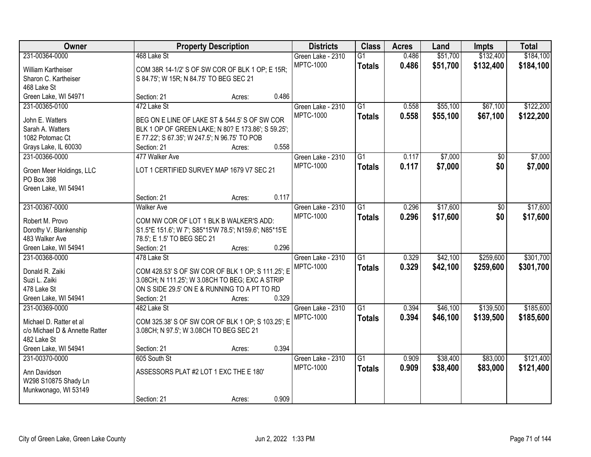| Owner                                  |                                                              | <b>Property Description</b> |       | <b>Districts</b>                      | <b>Class</b>    | <b>Acres</b> | Land     | <b>Impts</b> | <b>Total</b> |
|----------------------------------------|--------------------------------------------------------------|-----------------------------|-------|---------------------------------------|-----------------|--------------|----------|--------------|--------------|
| 231-00364-0000                         | 468 Lake St                                                  |                             |       | Green Lake - 2310                     | $\overline{G1}$ | 0.486        | \$51,700 | \$132,400    | \$184,100    |
| William Kartheiser                     | COM 38R 14-1/2' S OF SW COR OF BLK 1 OP; E 15R;              |                             |       | <b>MPTC-1000</b>                      | <b>Totals</b>   | 0.486        | \$51,700 | \$132,400    | \$184,100    |
| Sharon C. Kartheiser                   | S 84.75'; W 15R; N 84.75' TO BEG SEC 21                      |                             |       |                                       |                 |              |          |              |              |
| 468 Lake St                            |                                                              |                             |       |                                       |                 |              |          |              |              |
| Green Lake, WI 54971                   | Section: 21                                                  | Acres:                      | 0.486 |                                       |                 |              |          |              |              |
| 231-00365-0100                         | 472 Lake St                                                  |                             |       | Green Lake - 2310                     | $\overline{G1}$ | 0.558        | \$55,100 | \$67,100     | \$122,200    |
|                                        |                                                              |                             |       | <b>MPTC-1000</b>                      | <b>Totals</b>   | 0.558        | \$55,100 | \$67,100     | \$122,200    |
| John E. Watters                        | BEG ON E LINE OF LAKE ST & 544.5' S OF SW COR                |                             |       |                                       |                 |              |          |              |              |
| Sarah A. Watters<br>1082 Potomac Ct    | BLK 1 OP OF GREEN LAKE; N 80? E 173.86'; S 59.25';           |                             |       |                                       |                 |              |          |              |              |
|                                        | E 77.22'; S 67.35'; W 247.5'; N 96.75' TO POB<br>Section: 21 |                             | 0.558 |                                       |                 |              |          |              |              |
| Grays Lake, IL 60030<br>231-00366-0000 | 477 Walker Ave                                               | Acres:                      |       |                                       | G1              |              | \$7,000  |              | \$7,000      |
|                                        |                                                              |                             |       | Green Lake - 2310<br><b>MPTC-1000</b> |                 | 0.117        |          | \$0          |              |
| Groen Meer Holdings, LLC               | LOT 1 CERTIFIED SURVEY MAP 1679 V7 SEC 21                    |                             |       |                                       | <b>Totals</b>   | 0.117        | \$7,000  | \$0          | \$7,000      |
| PO Box 398                             |                                                              |                             |       |                                       |                 |              |          |              |              |
| Green Lake, WI 54941                   |                                                              |                             |       |                                       |                 |              |          |              |              |
|                                        | Section: 21                                                  | Acres:                      | 0.117 |                                       |                 |              |          |              |              |
| 231-00367-0000                         | <b>Walker Ave</b>                                            |                             |       | Green Lake - 2310                     | G1              | 0.296        | \$17,600 | \$0          | \$17,600     |
| Robert M. Provo                        | COM NW COR OF LOT 1 BLK B WALKER'S ADD:                      |                             |       | <b>MPTC-1000</b>                      | <b>Totals</b>   | 0.296        | \$17,600 | \$0          | \$17,600     |
| Dorothy V. Blankenship                 | S1.5*E 151.6'; W 7'; S85*15'W 78.5'; N159.6'; N85*15'E       |                             |       |                                       |                 |              |          |              |              |
| 483 Walker Ave                         | 78.5'; E 1.5' TO BEG SEC 21                                  |                             |       |                                       |                 |              |          |              |              |
| Green Lake, WI 54941                   | Section: 21                                                  | Acres:                      | 0.296 |                                       |                 |              |          |              |              |
| 231-00368-0000                         | 478 Lake St                                                  |                             |       | Green Lake - 2310                     | $\overline{G1}$ | 0.329        | \$42,100 | \$259,600    | \$301,700    |
|                                        |                                                              |                             |       | <b>MPTC-1000</b>                      | <b>Totals</b>   | 0.329        | \$42,100 | \$259,600    | \$301,700    |
| Donald R. Zaiki                        | COM 428.53' S OF SW COR OF BLK 1 OP; S 111.25'; E            |                             |       |                                       |                 |              |          |              |              |
| Suzi L. Zaiki                          | 3.08CH; N 111.25'; W 3.08CH TO BEG; EXC A STRIP              |                             |       |                                       |                 |              |          |              |              |
| 478 Lake St                            | ON S SIDE 29.5' ON E & RUNNING TO A PT TO RD                 |                             |       |                                       |                 |              |          |              |              |
| Green Lake, WI 54941                   | Section: 21                                                  | Acres:                      | 0.329 |                                       |                 |              |          |              |              |
| 231-00369-0000                         | 482 Lake St                                                  |                             |       | Green Lake - 2310                     | $\overline{G1}$ | 0.394        | \$46,100 | \$139,500    | \$185,600    |
| Michael D. Ratter et al                | COM 325.38' S OF SW COR OF BLK 1 OP; S 103.25'; E            |                             |       | <b>MPTC-1000</b>                      | <b>Totals</b>   | 0.394        | \$46,100 | \$139,500    | \$185,600    |
| c/o Michael D & Annette Ratter         | 3.08CH; N 97.5'; W 3.08CH TO BEG SEC 21                      |                             |       |                                       |                 |              |          |              |              |
| 482 Lake St                            |                                                              |                             |       |                                       |                 |              |          |              |              |
| Green Lake, WI 54941                   | Section: 21                                                  | Acres:                      | 0.394 |                                       |                 |              |          |              |              |
| 231-00370-0000                         | 605 South St                                                 |                             |       | Green Lake - 2310                     | $\overline{G1}$ | 0.909        | \$38,400 | \$83,000     | \$121,400    |
|                                        |                                                              |                             |       | <b>MPTC-1000</b>                      | <b>Totals</b>   | 0.909        | \$38,400 | \$83,000     | \$121,400    |
| Ann Davidson                           | ASSESSORS PLAT #2 LOT 1 EXC THE E 180'                       |                             |       |                                       |                 |              |          |              |              |
| W298 S10875 Shady Ln                   |                                                              |                             |       |                                       |                 |              |          |              |              |
| Munkwonago, WI 53149                   |                                                              |                             |       |                                       |                 |              |          |              |              |
|                                        | Section: 21                                                  | Acres:                      | 0.909 |                                       |                 |              |          |              |              |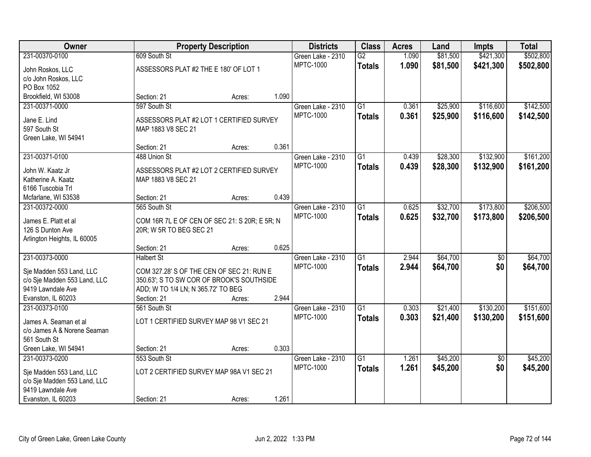| <b>Owner</b>                                             |                                                                                        | <b>Property Description</b> |       | <b>Districts</b>  | <b>Class</b>    | <b>Acres</b> | Land     | <b>Impts</b>    | <b>Total</b> |
|----------------------------------------------------------|----------------------------------------------------------------------------------------|-----------------------------|-------|-------------------|-----------------|--------------|----------|-----------------|--------------|
| 231-00370-0100                                           | 609 South St                                                                           |                             |       | Green Lake - 2310 | $\overline{G2}$ | 1.090        | \$81,500 | \$421,300       | \$502,800    |
| John Roskos, LLC                                         | ASSESSORS PLAT #2 THE E 180' OF LOT 1                                                  |                             |       | <b>MPTC-1000</b>  | <b>Totals</b>   | 1.090        | \$81,500 | \$421,300       | \$502,800    |
| c/o John Roskos, LLC                                     |                                                                                        |                             |       |                   |                 |              |          |                 |              |
| PO Box 1052                                              |                                                                                        |                             |       |                   |                 |              |          |                 |              |
| Brookfield, WI 53008                                     | Section: 21                                                                            | Acres:                      | 1.090 |                   |                 |              |          |                 |              |
| 231-00371-0000                                           | 597 South St                                                                           |                             |       | Green Lake - 2310 | $\overline{G1}$ | 0.361        | \$25,900 | \$116,600       | \$142,500    |
| Jane E. Lind                                             | ASSESSORS PLAT #2 LOT 1 CERTIFIED SURVEY                                               |                             |       | <b>MPTC-1000</b>  | <b>Totals</b>   | 0.361        | \$25,900 | \$116,600       | \$142,500    |
| 597 South St                                             | MAP 1883 V8 SEC 21                                                                     |                             |       |                   |                 |              |          |                 |              |
| Green Lake, WI 54941                                     |                                                                                        |                             |       |                   |                 |              |          |                 |              |
|                                                          | Section: 21                                                                            | Acres:                      | 0.361 |                   |                 |              |          |                 |              |
| 231-00371-0100                                           | 488 Union St                                                                           |                             |       | Green Lake - 2310 | G1              | 0.439        | \$28,300 | \$132,900       | \$161,200    |
| John W. Kaatz Jr                                         | ASSESSORS PLAT #2 LOT 2 CERTIFIED SURVEY                                               |                             |       | <b>MPTC-1000</b>  | <b>Totals</b>   | 0.439        | \$28,300 | \$132,900       | \$161,200    |
| Katherine A. Kaatz                                       | MAP 1883 V8 SEC 21                                                                     |                             |       |                   |                 |              |          |                 |              |
| 6166 Tuscobia Trl                                        |                                                                                        |                             |       |                   |                 |              |          |                 |              |
| Mcfarlane, WI 53538                                      | Section: 21                                                                            | Acres:                      | 0.439 |                   |                 |              |          |                 |              |
| 231-00372-0000                                           | 565 South St                                                                           |                             |       | Green Lake - 2310 | $\overline{G1}$ | 0.625        | \$32,700 | \$173,800       | \$206,500    |
| James E. Platt et al                                     |                                                                                        |                             |       | <b>MPTC-1000</b>  | <b>Totals</b>   | 0.625        | \$32,700 | \$173,800       | \$206,500    |
| 126 S Dunton Ave                                         | COM 16R 7L E OF CEN OF SEC 21: S 20R; E 5R; N<br>20R; W 5R TO BEG SEC 21               |                             |       |                   |                 |              |          |                 |              |
| Arlington Heights, IL 60005                              |                                                                                        |                             |       |                   |                 |              |          |                 |              |
|                                                          | Section: 21                                                                            | Acres:                      | 0.625 |                   |                 |              |          |                 |              |
| 231-00373-0000                                           | <b>Halbert St</b>                                                                      |                             |       | Green Lake - 2310 | $\overline{G1}$ | 2.944        | \$64,700 | $\overline{50}$ | \$64,700     |
|                                                          |                                                                                        |                             |       | <b>MPTC-1000</b>  | <b>Totals</b>   | 2.944        | \$64,700 | \$0             | \$64,700     |
| Sje Madden 553 Land, LLC<br>c/o Sje Madden 553 Land, LLC | COM 327.28' S OF THE CEN OF SEC 21: RUN E<br>350.63'; S TO SW COR OF BROOK'S SOUTHSIDE |                             |       |                   |                 |              |          |                 |              |
| 9419 Lawndale Ave                                        | ADD; W TO 1/4 LN; N 365.72' TO BEG                                                     |                             |       |                   |                 |              |          |                 |              |
| Evanston, IL 60203                                       | Section: 21                                                                            | Acres:                      | 2.944 |                   |                 |              |          |                 |              |
| 231-00373-0100                                           | 561 South St                                                                           |                             |       | Green Lake - 2310 | $\overline{G1}$ | 0.303        | \$21,400 | \$130,200       | \$151,600    |
|                                                          |                                                                                        |                             |       | <b>MPTC-1000</b>  | <b>Totals</b>   | 0.303        | \$21,400 | \$130,200       | \$151,600    |
| James A. Seaman et al                                    | LOT 1 CERTIFIED SURVEY MAP 98 V1 SEC 21                                                |                             |       |                   |                 |              |          |                 |              |
| c/o James A & Norene Seaman                              |                                                                                        |                             |       |                   |                 |              |          |                 |              |
| 561 South St<br>Green Lake, WI 54941                     | Section: 21                                                                            | Acres:                      | 0.303 |                   |                 |              |          |                 |              |
| 231-00373-0200                                           | 553 South St                                                                           |                             |       | Green Lake - 2310 | $\overline{G1}$ | 1.261        | \$45,200 | $\overline{50}$ | \$45,200     |
|                                                          |                                                                                        |                             |       | <b>MPTC-1000</b>  | <b>Totals</b>   | 1.261        | \$45,200 | \$0             | \$45,200     |
| Sje Madden 553 Land, LLC                                 | LOT 2 CERTIFIED SURVEY MAP 98A V1 SEC 21                                               |                             |       |                   |                 |              |          |                 |              |
| c/o Sje Madden 553 Land, LLC                             |                                                                                        |                             |       |                   |                 |              |          |                 |              |
| 9419 Lawndale Ave                                        |                                                                                        |                             |       |                   |                 |              |          |                 |              |
| Evanston, IL 60203                                       | Section: 21                                                                            | Acres:                      | 1.261 |                   |                 |              |          |                 |              |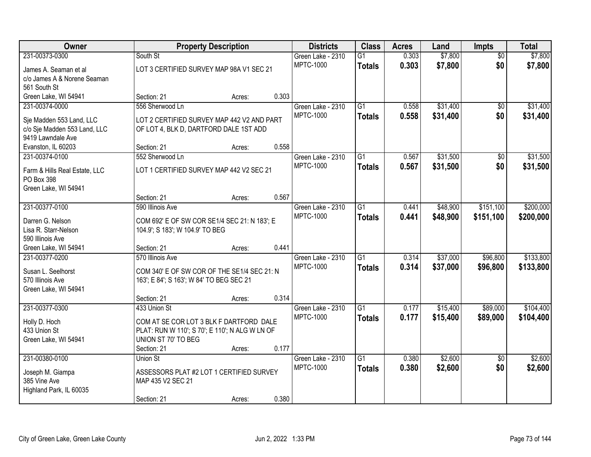| Owner                         |                                                | <b>Property Description</b> |       | <b>Districts</b>  | <b>Class</b>    | <b>Acres</b> | Land     | Impts           | <b>Total</b> |
|-------------------------------|------------------------------------------------|-----------------------------|-------|-------------------|-----------------|--------------|----------|-----------------|--------------|
| 231-00373-0300                | South St                                       |                             |       | Green Lake - 2310 | $\overline{G1}$ | 0.303        | \$7,800  | $\overline{50}$ | \$7,800      |
| James A. Seaman et al         | LOT 3 CERTIFIED SURVEY MAP 98A V1 SEC 21       |                             |       | <b>MPTC-1000</b>  | <b>Totals</b>   | 0.303        | \$7,800  | \$0             | \$7,800      |
| c/o James A & Norene Seaman   |                                                |                             |       |                   |                 |              |          |                 |              |
| 561 South St                  |                                                |                             |       |                   |                 |              |          |                 |              |
| Green Lake, WI 54941          | Section: 21                                    | Acres:                      | 0.303 |                   |                 |              |          |                 |              |
| 231-00374-0000                | 556 Sherwood Ln                                |                             |       | Green Lake - 2310 | $\overline{G1}$ | 0.558        | \$31,400 | \$0             | \$31,400     |
| Sje Madden 553 Land, LLC      | LOT 2 CERTIFIED SURVEY MAP 442 V2 AND PART     |                             |       | <b>MPTC-1000</b>  | <b>Totals</b>   | 0.558        | \$31,400 | \$0             | \$31,400     |
| c/o Sje Madden 553 Land, LLC  | OF LOT 4, BLK D, DARTFORD DALE 1ST ADD         |                             |       |                   |                 |              |          |                 |              |
| 9419 Lawndale Ave             |                                                |                             |       |                   |                 |              |          |                 |              |
| Evanston, IL 60203            | Section: 21                                    | Acres:                      | 0.558 |                   |                 |              |          |                 |              |
| 231-00374-0100                | 552 Sherwood Ln                                |                             |       | Green Lake - 2310 | $\overline{G1}$ | 0.567        | \$31,500 | \$0             | \$31,500     |
| Farm & Hills Real Estate, LLC | LOT 1 CERTIFIED SURVEY MAP 442 V2 SEC 21       |                             |       | <b>MPTC-1000</b>  | <b>Totals</b>   | 0.567        | \$31,500 | \$0             | \$31,500     |
| PO Box 398                    |                                                |                             |       |                   |                 |              |          |                 |              |
| Green Lake, WI 54941          |                                                |                             |       |                   |                 |              |          |                 |              |
|                               | Section: 21                                    | Acres:                      | 0.567 |                   |                 |              |          |                 |              |
| 231-00377-0100                | 590 Illinois Ave                               |                             |       | Green Lake - 2310 | $\overline{G1}$ | 0.441        | \$48,900 | \$151,100       | \$200,000    |
| Darren G. Nelson              | COM 692' E OF SW COR SE1/4 SEC 21: N 183'; E   |                             |       | <b>MPTC-1000</b>  | <b>Totals</b>   | 0.441        | \$48,900 | \$151,100       | \$200,000    |
| Lisa R. Starr-Nelson          | 104.9'; S 183'; W 104.9' TO BEG                |                             |       |                   |                 |              |          |                 |              |
| 590 Illinois Ave              |                                                |                             |       |                   |                 |              |          |                 |              |
| Green Lake, WI 54941          | Section: 21                                    | Acres:                      | 0.441 |                   |                 |              |          |                 |              |
| 231-00377-0200                | 570 Illinois Ave                               |                             |       | Green Lake - 2310 | $\overline{G1}$ | 0.314        | \$37,000 | \$96,800        | \$133,800    |
| Susan L. Seelhorst            | COM 340' E OF SW COR OF THE SE1/4 SEC 21: N    |                             |       | <b>MPTC-1000</b>  | <b>Totals</b>   | 0.314        | \$37,000 | \$96,800        | \$133,800    |
| 570 Illinois Ave              | 163'; E 84'; S 163'; W 84' TO BEG SEC 21       |                             |       |                   |                 |              |          |                 |              |
| Green Lake, WI 54941          |                                                |                             |       |                   |                 |              |          |                 |              |
|                               | Section: 21                                    | Acres:                      | 0.314 |                   |                 |              |          |                 |              |
| 231-00377-0300                | 433 Union St                                   |                             |       | Green Lake - 2310 | G1              | 0.177        | \$15,400 | \$89,000        | \$104,400    |
| Holly D. Hoch                 | COM AT SE COR LOT 3 BLK F DARTFORD DALE        |                             |       | <b>MPTC-1000</b>  | <b>Totals</b>   | 0.177        | \$15,400 | \$89,000        | \$104,400    |
| 433 Union St                  | PLAT: RUN W 110'; S 70'; E 110'; N ALG W LN OF |                             |       |                   |                 |              |          |                 |              |
| Green Lake, WI 54941          | UNION ST 70' TO BEG                            |                             |       |                   |                 |              |          |                 |              |
|                               | Section: 21                                    | Acres:                      | 0.177 |                   |                 |              |          |                 |              |
| 231-00380-0100                | <b>Union St</b>                                |                             |       | Green Lake - 2310 | $\overline{G1}$ | 0.380        | \$2,600  | $\overline{50}$ | \$2,600      |
| Joseph M. Giampa              | ASSESSORS PLAT #2 LOT 1 CERTIFIED SURVEY       |                             |       | <b>MPTC-1000</b>  | <b>Totals</b>   | 0.380        | \$2,600  | \$0             | \$2,600      |
| 385 Vine Ave                  | MAP 435 V2 SEC 21                              |                             |       |                   |                 |              |          |                 |              |
| Highland Park, IL 60035       |                                                |                             |       |                   |                 |              |          |                 |              |
|                               | Section: 21                                    | Acres:                      | 0.380 |                   |                 |              |          |                 |              |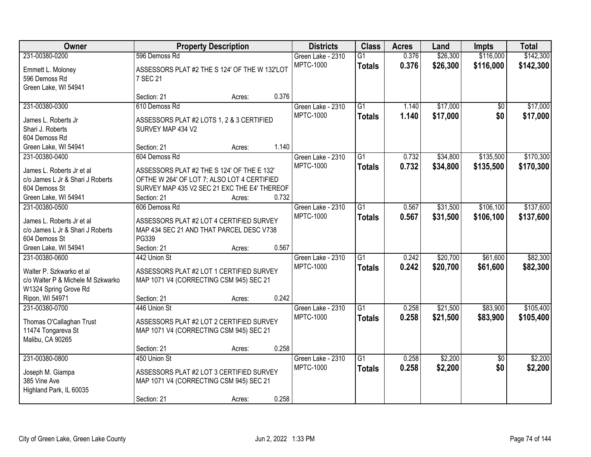| Owner                                  |                                               | <b>Property Description</b> |       | <b>Districts</b>  | <b>Class</b>    | <b>Acres</b> | Land     | <b>Impts</b>    | <b>Total</b> |
|----------------------------------------|-----------------------------------------------|-----------------------------|-------|-------------------|-----------------|--------------|----------|-----------------|--------------|
| 231-00380-0200                         | 596 Demoss Rd                                 |                             |       | Green Lake - 2310 | $\overline{G1}$ | 0.376        | \$26,300 | \$116,000       | \$142,300    |
| Emmett L. Moloney                      | ASSESSORS PLAT #2 THE S 124' OF THE W 132'LOT |                             |       | <b>MPTC-1000</b>  | <b>Totals</b>   | 0.376        | \$26,300 | \$116,000       | \$142,300    |
| 596 Demoss Rd                          | 7 SEC 21                                      |                             |       |                   |                 |              |          |                 |              |
| Green Lake, WI 54941                   |                                               |                             |       |                   |                 |              |          |                 |              |
|                                        | Section: 21                                   | Acres:                      | 0.376 |                   |                 |              |          |                 |              |
| 231-00380-0300                         | 610 Demoss Rd                                 |                             |       | Green Lake - 2310 | $\overline{G1}$ | 1.140        | \$17,000 | $\overline{50}$ | \$17,000     |
| James L. Roberts Jr                    | ASSESSORS PLAT #2 LOTS 1, 2 & 3 CERTIFIED     |                             |       | <b>MPTC-1000</b>  | <b>Totals</b>   | 1.140        | \$17,000 | \$0             | \$17,000     |
| Shari J. Roberts                       | SURVEY MAP 434 V2                             |                             |       |                   |                 |              |          |                 |              |
| 604 Demoss Rd                          |                                               |                             |       |                   |                 |              |          |                 |              |
| Green Lake, WI 54941                   | Section: 21                                   | Acres:                      | 1.140 |                   |                 |              |          |                 |              |
| 231-00380-0400                         | 604 Demoss Rd                                 |                             |       | Green Lake - 2310 | G1              | 0.732        | \$34,800 | \$135,500       | \$170,300    |
|                                        |                                               |                             |       | <b>MPTC-1000</b>  | <b>Totals</b>   | 0.732        | \$34,800 | \$135,500       | \$170,300    |
| James L. Roberts Jr et al              | ASSESSORS PLAT #2 THE S 124' OF THE E 132'    |                             |       |                   |                 |              |          |                 |              |
| c/o James L Jr & Shari J Roberts       | OFTHE W 264' OF LOT 7; ALSO LOT 4 CERTIFIED   |                             |       |                   |                 |              |          |                 |              |
| 604 Demoss St                          | SURVEY MAP 435 V2 SEC 21 EXC THE E4' THEREOF  |                             |       |                   |                 |              |          |                 |              |
| Green Lake, WI 54941                   | Section: 21<br>606 Demoss Rd                  | Acres:                      | 0.732 |                   |                 |              |          |                 |              |
| 231-00380-0500                         |                                               |                             |       | Green Lake - 2310 | $\overline{G1}$ | 0.567        | \$31,500 | \$106,100       | \$137,600    |
| James L. Roberts Jr et al              | ASSESSORS PLAT #2 LOT 4 CERTIFIED SURVEY      |                             |       | <b>MPTC-1000</b>  | <b>Totals</b>   | 0.567        | \$31,500 | \$106,100       | \$137,600    |
| c/o James L Jr & Shari J Roberts       | MAP 434 SEC 21 AND THAT PARCEL DESC V738      |                             |       |                   |                 |              |          |                 |              |
| 604 Demoss St                          | PG339                                         |                             |       |                   |                 |              |          |                 |              |
| Green Lake, WI 54941                   | Section: 21                                   | Acres:                      | 0.567 |                   |                 |              |          |                 |              |
| 231-00380-0600                         | 442 Union St                                  |                             |       | Green Lake - 2310 | $\overline{G1}$ | 0.242        | \$20,700 | \$61,600        | \$82,300     |
| Walter P. Szkwarko et al.              | ASSESSORS PLAT #2 LOT 1 CERTIFIED SURVEY      |                             |       | <b>MPTC-1000</b>  | <b>Totals</b>   | 0.242        | \$20,700 | \$61,600        | \$82,300     |
| c/o Walter P & Michele M Szkwarko      | MAP 1071 V4 (CORRECTING CSM 945) SEC 21       |                             |       |                   |                 |              |          |                 |              |
| W1324 Spring Grove Rd                  |                                               |                             |       |                   |                 |              |          |                 |              |
| Ripon, WI 54971                        | Section: 21                                   | Acres:                      | 0.242 |                   |                 |              |          |                 |              |
| 231-00380-0700                         | 446 Union St                                  |                             |       | Green Lake - 2310 | $\overline{G1}$ | 0.258        | \$21,500 | \$83,900        | \$105,400    |
|                                        |                                               |                             |       | <b>MPTC-1000</b>  | <b>Totals</b>   | 0.258        | \$21,500 | \$83,900        | \$105,400    |
| Thomas O'Callaghan Trust               | ASSESSORS PLAT #2 LOT 2 CERTIFIED SURVEY      |                             |       |                   |                 |              |          |                 |              |
| 11474 Tongareva St<br>Malibu, CA 90265 | MAP 1071 V4 (CORRECTING CSM 945) SEC 21       |                             |       |                   |                 |              |          |                 |              |
|                                        | Section: 21                                   | Acres:                      | 0.258 |                   |                 |              |          |                 |              |
| 231-00380-0800                         | 450 Union St                                  |                             |       | Green Lake - 2310 | $\overline{G1}$ | 0.258        | \$2,200  | $\overline{50}$ | \$2,200      |
|                                        |                                               |                             |       | <b>MPTC-1000</b>  | <b>Totals</b>   | 0.258        | \$2,200  | \$0             | \$2,200      |
| Joseph M. Giampa                       | ASSESSORS PLAT #2 LOT 3 CERTIFIED SURVEY      |                             |       |                   |                 |              |          |                 |              |
| 385 Vine Ave                           | MAP 1071 V4 (CORRECTING CSM 945) SEC 21       |                             |       |                   |                 |              |          |                 |              |
| Highland Park, IL 60035                |                                               |                             |       |                   |                 |              |          |                 |              |
|                                        | Section: 21                                   | Acres:                      | 0.258 |                   |                 |              |          |                 |              |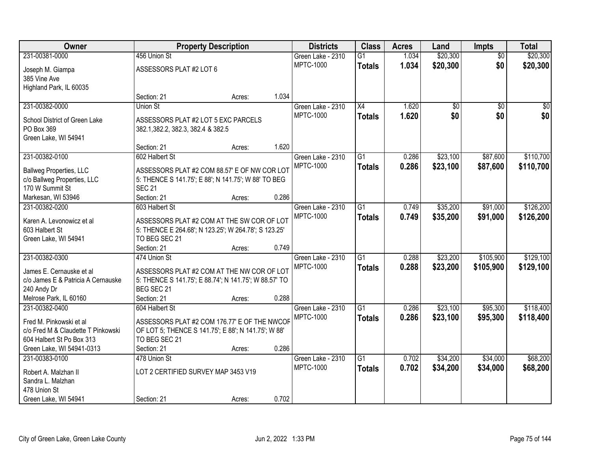| Owner                                             | <b>Property Description</b>                                         |        |       | <b>Districts</b>  | <b>Class</b>    | <b>Acres</b> | Land            | Impts           | <b>Total</b>    |
|---------------------------------------------------|---------------------------------------------------------------------|--------|-------|-------------------|-----------------|--------------|-----------------|-----------------|-----------------|
| 231-00381-0000                                    | 456 Union St                                                        |        |       | Green Lake - 2310 | G1              | 1.034        | \$20,300        | $\overline{50}$ | \$20,300        |
| Joseph M. Giampa                                  | ASSESSORS PLAT #2 LOT 6                                             |        |       | <b>MPTC-1000</b>  | <b>Totals</b>   | 1.034        | \$20,300        | \$0             | \$20,300        |
| 385 Vine Ave                                      |                                                                     |        |       |                   |                 |              |                 |                 |                 |
| Highland Park, IL 60035                           |                                                                     |        |       |                   |                 |              |                 |                 |                 |
|                                                   | Section: 21                                                         | Acres: | 1.034 |                   |                 |              |                 |                 |                 |
| 231-00382-0000                                    | Union St                                                            |        |       | Green Lake - 2310 | X4              | 1.620        | $\overline{60}$ | $\overline{50}$ | $\overline{30}$ |
|                                                   |                                                                     |        |       | <b>MPTC-1000</b>  | <b>Totals</b>   | 1.620        | \$0             | \$0             | \$0             |
| School District of Green Lake                     | ASSESSORS PLAT #2 LOT 5 EXC PARCELS                                 |        |       |                   |                 |              |                 |                 |                 |
| PO Box 369<br>Green Lake, WI 54941                | 382.1, 382.2, 382.3, 382.4 & 382.5                                  |        |       |                   |                 |              |                 |                 |                 |
|                                                   | Section: 21                                                         | Acres: | 1.620 |                   |                 |              |                 |                 |                 |
| 231-00382-0100                                    | 602 Halbert St                                                      |        |       | Green Lake - 2310 | G <sub>1</sub>  | 0.286        | \$23,100        | \$87,600        | \$110,700       |
|                                                   |                                                                     |        |       | <b>MPTC-1000</b>  | <b>Totals</b>   | 0.286        | \$23,100        | \$87,600        | \$110,700       |
| <b>Ballweg Properties, LLC</b>                    | ASSESSORS PLAT #2 COM 88.57' E OF NW COR LOT                        |        |       |                   |                 |              |                 |                 |                 |
| c/o Ballweg Properties, LLC                       | 5: THENCE S 141.75'; E 88'; N 141.75'; W 88' TO BEG                 |        |       |                   |                 |              |                 |                 |                 |
| 170 W Summit St                                   | <b>SEC 21</b>                                                       |        |       |                   |                 |              |                 |                 |                 |
| Markesan, WI 53946                                | Section: 21                                                         | Acres: | 0.286 |                   |                 |              |                 |                 |                 |
| 231-00382-0200                                    | 603 Halbert St                                                      |        |       | Green Lake - 2310 | G1              | 0.749        | \$35,200        | \$91,000        | \$126,200       |
| Karen A. Levonowicz et al                         | ASSESSORS PLAT #2 COM AT THE SW COR OF LOT                          |        |       | <b>MPTC-1000</b>  | <b>Totals</b>   | 0.749        | \$35,200        | \$91,000        | \$126,200       |
| 603 Halbert St                                    | 5: THENCE E 264.68'; N 123.25'; W 264.78'; S 123.25'                |        |       |                   |                 |              |                 |                 |                 |
| Green Lake, WI 54941                              | TO BEG SEC 21                                                       |        |       |                   |                 |              |                 |                 |                 |
|                                                   | Section: 21                                                         | Acres: | 0.749 |                   |                 |              |                 |                 |                 |
| 231-00382-0300                                    | 474 Union St                                                        |        |       | Green Lake - 2310 | $\overline{G1}$ | 0.288        | \$23,200        | \$105,900       | \$129,100       |
|                                                   |                                                                     |        |       | <b>MPTC-1000</b>  | <b>Totals</b>   | 0.288        | \$23,200        | \$105,900       | \$129,100       |
| James E. Cernauske et al                          | ASSESSORS PLAT #2 COM AT THE NW COR OF LOT                          |        |       |                   |                 |              |                 |                 |                 |
| c/o James E & Patricia A Cernauske<br>240 Andy Dr | 5: THENCE S 141.75'; E 88.74'; N 141.75'; W 88.57' TO<br>BEG SEC 21 |        |       |                   |                 |              |                 |                 |                 |
| Melrose Park, IL 60160                            | Section: 21                                                         |        | 0.288 |                   |                 |              |                 |                 |                 |
| 231-00382-0400                                    | 604 Halbert St                                                      | Acres: |       | Green Lake - 2310 | $\overline{G1}$ | 0.286        | \$23,100        | \$95,300        | \$118,400       |
|                                                   |                                                                     |        |       | <b>MPTC-1000</b>  |                 | 0.286        |                 |                 |                 |
| Fred M. Pinkowski et al                           | ASSESSORS PLAT #2 COM 176.77' E OF THE NWCOF                        |        |       |                   | <b>Totals</b>   |              | \$23,100        | \$95,300        | \$118,400       |
| c/o Fred M & Claudette T Pinkowski                | OF LOT 5; THENCE S 141.75'; E 88'; N 141.75'; W 88'                 |        |       |                   |                 |              |                 |                 |                 |
| 604 Halbert St Po Box 313                         | TO BEG SEC 21                                                       |        |       |                   |                 |              |                 |                 |                 |
| Green Lake, WI 54941-0313                         | Section: 21                                                         | Acres: | 0.286 |                   |                 |              |                 |                 |                 |
| 231-00383-0100                                    | 478 Union St                                                        |        |       | Green Lake - 2310 | $\overline{G1}$ | 0.702        | \$34,200        | \$34,000        | \$68,200        |
| Robert A. Malzhan II                              | LOT 2 CERTIFIED SURVEY MAP 3453 V19                                 |        |       | <b>MPTC-1000</b>  | <b>Totals</b>   | 0.702        | \$34,200        | \$34,000        | \$68,200        |
| Sandra L. Malzhan                                 |                                                                     |        |       |                   |                 |              |                 |                 |                 |
| 478 Union St                                      |                                                                     |        |       |                   |                 |              |                 |                 |                 |
| Green Lake, WI 54941                              | Section: 21                                                         | Acres: | 0.702 |                   |                 |              |                 |                 |                 |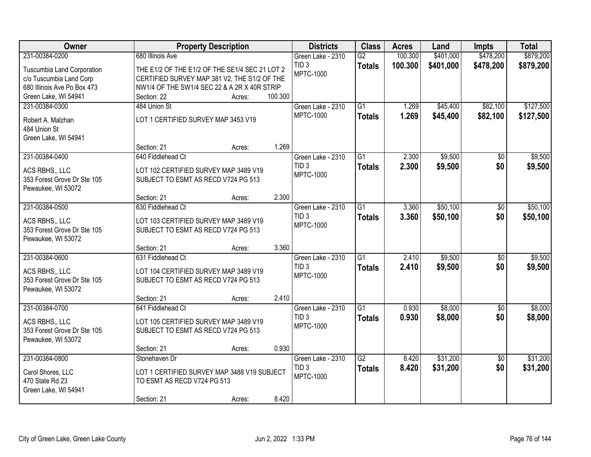| Owner                       | <b>Property Description</b>                    |        |         | <b>Districts</b>                      | <b>Class</b>    | <b>Acres</b> | Land      | <b>Impts</b>    | <b>Total</b> |
|-----------------------------|------------------------------------------------|--------|---------|---------------------------------------|-----------------|--------------|-----------|-----------------|--------------|
| 231-00384-0200              | 680 Illinois Ave                               |        |         | Green Lake - 2310                     | $\overline{G2}$ | 100.300      | \$401,000 | \$478,200       | \$879,200    |
| Tuscumbia Land Corporation  | THE E1/2 OF THE E1/2 OF THE SE1/4 SEC 21 LOT 2 |        |         | TID <sub>3</sub>                      | <b>Totals</b>   | 100.300      | \$401,000 | \$478,200       | \$879,200    |
| c/o Tuscumbia Land Corp     | CERTIFIED SURVEY MAP 381 V2, THE S1/2 OF THE   |        |         | <b>MPTC-1000</b>                      |                 |              |           |                 |              |
| 680 Illinois Ave Po Box 473 | NW1/4 OF THE SW1/4 SEC 22 & A 2R X 40R STRIP   |        |         |                                       |                 |              |           |                 |              |
| Green Lake, WI 54941        | Section: 22                                    | Acres: | 100.300 |                                       |                 |              |           |                 |              |
| 231-00384-0300              | 484 Union St                                   |        |         | Green Lake - 2310                     | $\overline{G1}$ | 1.269        | \$45,400  | \$82,100        | \$127,500    |
|                             |                                                |        |         | <b>MPTC-1000</b>                      | <b>Totals</b>   | 1.269        | \$45,400  | \$82,100        | \$127,500    |
| Robert A. Malzhan           | LOT 1 CERTIFIED SURVEY MAP 3453 V19            |        |         |                                       |                 |              |           |                 |              |
| 484 Union St                |                                                |        |         |                                       |                 |              |           |                 |              |
| Green Lake, WI 54941        | Section: 21                                    |        | 1.269   |                                       |                 |              |           |                 |              |
| 231-00384-0400              | 640 Fiddlehead Ct                              | Acres: |         |                                       | G1              | 2.300        | \$9,500   |                 | \$9,500      |
|                             |                                                |        |         | Green Lake - 2310<br>TID <sub>3</sub> |                 |              |           | \$0             |              |
| ACS RBHS,, LLC              | LOT 102 CERTIFIED SURVEY MAP 3489 V19          |        |         | <b>MPTC-1000</b>                      | <b>Totals</b>   | 2.300        | \$9,500   | \$0             | \$9,500      |
| 353 Forest Grove Dr Ste 105 | SUBJECT TO ESMT AS RECD V724 PG 513            |        |         |                                       |                 |              |           |                 |              |
| Pewaukee, WI 53072          |                                                |        |         |                                       |                 |              |           |                 |              |
|                             | Section: 21                                    | Acres: | 2.300   |                                       |                 |              |           |                 |              |
| 231-00384-0500              | 630 Fiddlehead Ct                              |        |         | Green Lake - 2310                     | $\overline{G1}$ | 3.360        | \$50,100  | \$0             | \$50,100     |
| ACS RBHS., LLC              | LOT 103 CERTIFIED SURVEY MAP 3489 V19          |        |         | TID <sub>3</sub>                      | <b>Totals</b>   | 3.360        | \$50,100  | \$0             | \$50,100     |
| 353 Forest Grove Dr Ste 105 | SUBJECT TO ESMT AS RECD V724 PG 513            |        |         | <b>MPTC-1000</b>                      |                 |              |           |                 |              |
| Pewaukee, WI 53072          |                                                |        |         |                                       |                 |              |           |                 |              |
|                             | Section: 21                                    | Acres: | 3.360   |                                       |                 |              |           |                 |              |
| 231-00384-0600              | 631 Fiddlehead Ct                              |        |         | Green Lake - 2310                     | $\overline{G1}$ | 2.410        | \$9,500   | $\overline{50}$ | \$9,500      |
|                             |                                                |        |         | TID <sub>3</sub>                      | <b>Totals</b>   | 2.410        | \$9,500   | \$0             | \$9,500      |
| ACS RBHS., LLC              | LOT 104 CERTIFIED SURVEY MAP 3489 V19          |        |         | <b>MPTC-1000</b>                      |                 |              |           |                 |              |
| 353 Forest Grove Dr Ste 105 | SUBJECT TO ESMT AS RECD V724 PG 513            |        |         |                                       |                 |              |           |                 |              |
| Pewaukee, WI 53072          |                                                |        | 2.410   |                                       |                 |              |           |                 |              |
|                             | Section: 21                                    | Acres: |         |                                       |                 |              |           |                 |              |
| 231-00384-0700              | 641 Fiddlehead Ct                              |        |         | Green Lake - 2310<br>TID <sub>3</sub> | $\overline{G1}$ | 0.930        | \$8,000   | $\sqrt{6}$      | \$8,000      |
| ACS RBHS., LLC              | LOT 105 CERTIFIED SURVEY MAP 3489 V19          |        |         | <b>MPTC-1000</b>                      | <b>Totals</b>   | 0.930        | \$8,000   | \$0             | \$8,000      |
| 353 Forest Grove Dr Ste 105 | SUBJECT TO ESMT AS RECD V724 PG 513            |        |         |                                       |                 |              |           |                 |              |
| Pewaukee, WI 53072          |                                                |        |         |                                       |                 |              |           |                 |              |
|                             | Section: 21                                    | Acres: | 0.930   |                                       |                 |              |           |                 |              |
| 231-00384-0800              | Stonehaven Dr                                  |        |         | Green Lake - 2310                     | $\overline{G2}$ | 8.420        | \$31,200  | $\overline{50}$ | \$31,200     |
| Carol Shores, LLC           | LOT 1 CERTIFIED SURVEY MAP 3488 V19 SUBJECT    |        |         | TID <sub>3</sub>                      | <b>Totals</b>   | 8.420        | \$31,200  | \$0             | \$31,200     |
| 470 State Rd 23             | TO ESMT AS RECD V724 PG 513                    |        |         | <b>MPTC-1000</b>                      |                 |              |           |                 |              |
| Green Lake, WI 54941        |                                                |        |         |                                       |                 |              |           |                 |              |
|                             | Section: 21                                    | Acres: | 8.420   |                                       |                 |              |           |                 |              |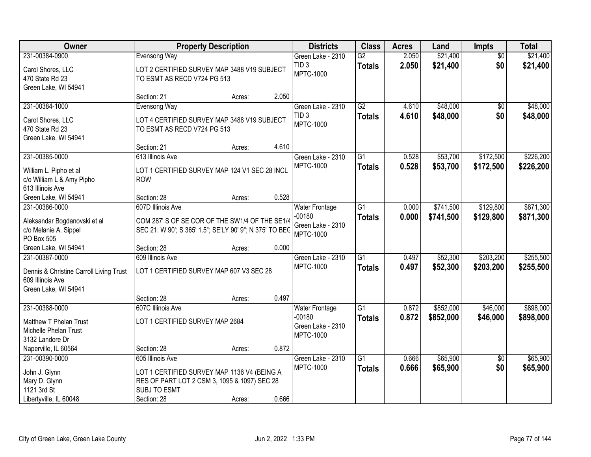| Owner                                                                   | <b>Property Description</b>                                                                               |        |       | <b>Districts</b>                                  | <b>Class</b>                     | <b>Acres</b>   | Land                 | <b>Impts</b>           | <b>Total</b>           |
|-------------------------------------------------------------------------|-----------------------------------------------------------------------------------------------------------|--------|-------|---------------------------------------------------|----------------------------------|----------------|----------------------|------------------------|------------------------|
| 231-00384-0900                                                          | Evensong Way                                                                                              |        |       | Green Lake - 2310                                 | $\overline{G2}$                  | 2.050          | \$21,400             | $\overline{50}$        | \$21,400               |
| Carol Shores, LLC<br>470 State Rd 23<br>Green Lake, WI 54941            | LOT 2 CERTIFIED SURVEY MAP 3488 V19 SUBJECT<br>TO ESMT AS RECD V724 PG 513                                |        |       | TID <sub>3</sub><br><b>MPTC-1000</b>              | <b>Totals</b>                    | 2.050          | \$21,400             | \$0                    | \$21,400               |
|                                                                         | Section: 21                                                                                               | Acres: | 2.050 |                                                   |                                  |                |                      |                        |                        |
| 231-00384-1000                                                          | <b>Evensong Way</b>                                                                                       |        |       | Green Lake - 2310                                 | $\overline{G2}$                  | 4.610          | \$48,000             | $\overline{50}$        | \$48,000               |
| Carol Shores, LLC<br>470 State Rd 23<br>Green Lake, WI 54941            | LOT 4 CERTIFIED SURVEY MAP 3488 V19 SUBJECT<br>TO ESMT AS RECD V724 PG 513                                |        |       | TID <sub>3</sub><br><b>MPTC-1000</b>              | <b>Totals</b>                    | 4.610          | \$48,000             | \$0                    | \$48,000               |
|                                                                         | Section: 21                                                                                               | Acres: | 4.610 |                                                   |                                  |                |                      |                        |                        |
| 231-00385-0000                                                          | 613 Illinois Ave                                                                                          |        |       | Green Lake - 2310                                 | G1                               | 0.528          | \$53,700             | \$172,500              | \$226,200              |
| William L. Pipho et al<br>c/o William L & Amy Pipho<br>613 Illinois Ave | LOT 1 CERTIFIED SURVEY MAP 124 V1 SEC 28 INCL<br><b>ROW</b>                                               |        |       | <b>MPTC-1000</b>                                  | <b>Totals</b>                    | 0.528          | \$53,700             | \$172,500              | \$226,200              |
| Green Lake, WI 54941                                                    | Section: 28                                                                                               | Acres: | 0.528 |                                                   |                                  |                |                      |                        |                        |
| 231-00386-0000                                                          | 607D Illinois Ave                                                                                         |        |       | <b>Water Frontage</b>                             | $\overline{G1}$                  | 0.000          | \$741,500            | \$129,800              | \$871,300              |
| Aleksandar Bogdanovski et al<br>c/o Melanie A. Sippel<br>PO Box 505     | COM 287' S OF SE COR OF THE SW1/4 OF THE SE1/4<br>SEC 21: W 90'; S 365' 1.5"; SE'LY 90' 9"; N 375' TO BEC |        |       | $-00180$<br>Green Lake - 2310<br><b>MPTC-1000</b> | <b>Totals</b>                    | 0.000          | \$741,500            | \$129,800              | \$871,300              |
| Green Lake, WI 54941                                                    | Section: 28                                                                                               | Acres: | 0.000 |                                                   |                                  |                |                      |                        |                        |
| 231-00387-0000<br>Dennis & Christine Carroll Living Trust               | 609 Illinois Ave<br>LOT 1 CERTIFIED SURVEY MAP 607 V3 SEC 28                                              |        |       | Green Lake - 2310<br><b>MPTC-1000</b>             | $\overline{G1}$<br><b>Totals</b> | 0.497<br>0.497 | \$52,300<br>\$52,300 | \$203,200<br>\$203,200 | \$255,500<br>\$255,500 |
| 609 Illinois Ave                                                        |                                                                                                           |        |       |                                                   |                                  |                |                      |                        |                        |
| Green Lake, WI 54941                                                    |                                                                                                           |        |       |                                                   |                                  |                |                      |                        |                        |
|                                                                         | Section: 28                                                                                               | Acres: | 0.497 |                                                   |                                  |                |                      |                        |                        |
| 231-00388-0000                                                          | 607C Illinois Ave                                                                                         |        |       | <b>Water Frontage</b><br>$-00180$                 | $\overline{G1}$                  | 0.872          | \$852,000            | \$46,000               | \$898,000              |
| Matthew T Phelan Trust                                                  | LOT 1 CERTIFIED SURVEY MAP 2684                                                                           |        |       | Green Lake - 2310                                 | <b>Totals</b>                    | 0.872          | \$852,000            | \$46,000               | \$898,000              |
| Michelle Phelan Trust                                                   |                                                                                                           |        |       | <b>MPTC-1000</b>                                  |                                  |                |                      |                        |                        |
| 3132 Landore Dr                                                         |                                                                                                           |        |       |                                                   |                                  |                |                      |                        |                        |
| Naperville, IL 60564                                                    | Section: 28                                                                                               | Acres: | 0.872 |                                                   |                                  |                |                      |                        |                        |
| 231-00390-0000                                                          | 605 Illinois Ave                                                                                          |        |       | Green Lake - 2310                                 | $\overline{G1}$                  | 0.666          | \$65,900             | $\overline{30}$        | \$65,900               |
| John J. Glynn                                                           | LOT 1 CERTIFIED SURVEY MAP 1136 V4 (BEING A                                                               |        |       | <b>MPTC-1000</b>                                  | <b>Totals</b>                    | 0.666          | \$65,900             | \$0                    | \$65,900               |
| Mary D. Glynn                                                           | RES OF PART LOT 2 CSM 3, 1095 & 1097) SEC 28                                                              |        |       |                                                   |                                  |                |                      |                        |                        |
| 1121 3rd St                                                             | SUBJ TO ESMT                                                                                              |        |       |                                                   |                                  |                |                      |                        |                        |
| Libertyville, IL 60048                                                  | Section: 28                                                                                               | Acres: | 0.666 |                                                   |                                  |                |                      |                        |                        |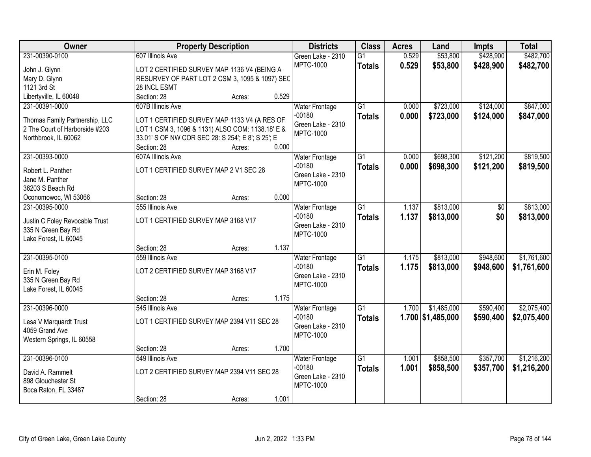| Owner                          |                                     | <b>Property Description</b>                       |       | <b>Districts</b>                  | <b>Class</b>    | <b>Acres</b> | Land                | <b>Impts</b> | <b>Total</b> |
|--------------------------------|-------------------------------------|---------------------------------------------------|-------|-----------------------------------|-----------------|--------------|---------------------|--------------|--------------|
| 231-00390-0100                 | 607 Illinois Ave                    |                                                   |       | Green Lake - 2310                 | $\overline{G1}$ | 0.529        | \$53,800            | \$428,900    | \$482,700    |
| John J. Glynn                  |                                     | LOT 2 CERTIFIED SURVEY MAP 1136 V4 (BEING A       |       | <b>MPTC-1000</b>                  | <b>Totals</b>   | 0.529        | \$53,800            | \$428,900    | \$482,700    |
| Mary D. Glynn                  |                                     | RESURVEY OF PART LOT 2 CSM 3, 1095 & 1097) SEC    |       |                                   |                 |              |                     |              |              |
| 1121 3rd St                    | 28 INCL ESMT                        |                                                   |       |                                   |                 |              |                     |              |              |
| Libertyville, IL 60048         | Section: 28                         | Acres:                                            | 0.529 |                                   |                 |              |                     |              |              |
| 231-00391-0000                 | 607B Illinois Ave                   |                                                   |       | <b>Water Frontage</b>             | $\overline{G1}$ | 0.000        | \$723,000           | \$124,000    | \$847,000    |
|                                |                                     |                                                   |       | $-00180$                          | <b>Totals</b>   | 0.000        | \$723,000           | \$124,000    | \$847,000    |
| Thomas Family Partnership, LLC |                                     | LOT 1 CERTIFIED SURVEY MAP 1133 V4 (A RES OF      |       | Green Lake - 2310                 |                 |              |                     |              |              |
| 2 The Court of Harborside #203 |                                     | LOT 1 CSM 3, 1096 & 1131) ALSO COM: 1138.18' E &  |       | <b>MPTC-1000</b>                  |                 |              |                     |              |              |
| Northbrook, IL 60062           | Section: 28                         | 33.01' S OF NW COR SEC 28: S 254'; E 8'; S 25'; E | 0.000 |                                   |                 |              |                     |              |              |
| 231-00393-0000                 | 607A Illinois Ave                   | Acres:                                            |       |                                   | $\overline{G1}$ | 0.000        | \$698,300           | \$121,200    | \$819,500    |
|                                |                                     |                                                   |       | Water Frontage<br>$-00180$        |                 |              |                     |              |              |
| Robert L. Panther              |                                     | LOT 1 CERTIFIED SURVEY MAP 2 V1 SEC 28            |       | Green Lake - 2310                 | <b>Totals</b>   | 0.000        | \$698,300           | \$121,200    | \$819,500    |
| Jane M. Panther                |                                     |                                                   |       | <b>MPTC-1000</b>                  |                 |              |                     |              |              |
| 36203 S Beach Rd               |                                     |                                                   |       |                                   |                 |              |                     |              |              |
| Oconomowoc, WI 53066           | Section: 28                         | Acres:                                            | 0.000 |                                   |                 |              |                     |              |              |
| 231-00395-0000                 | 555 Illinois Ave                    |                                                   |       | <b>Water Frontage</b>             | $\overline{G1}$ | 1.137        | \$813,000           | \$0          | \$813,000    |
| Justin C Foley Revocable Trust | LOT 1 CERTIFIED SURVEY MAP 3168 V17 |                                                   |       | $-00180$                          | <b>Totals</b>   | 1.137        | \$813,000           | \$0          | \$813,000    |
| 335 N Green Bay Rd             |                                     |                                                   |       | Green Lake - 2310                 |                 |              |                     |              |              |
| Lake Forest, IL 60045          |                                     |                                                   |       | <b>MPTC-1000</b>                  |                 |              |                     |              |              |
|                                | Section: 28                         | Acres:                                            | 1.137 |                                   |                 |              |                     |              |              |
| 231-00395-0100                 | 559 Illinois Ave                    |                                                   |       | <b>Water Frontage</b>             | $\overline{G1}$ | 1.175        | \$813,000           | \$948,600    | \$1,761,600  |
|                                |                                     |                                                   |       | $-00180$                          | <b>Totals</b>   | 1.175        | \$813,000           | \$948,600    | \$1,761,600  |
| Erin M. Foley                  | LOT 2 CERTIFIED SURVEY MAP 3168 V17 |                                                   |       | Green Lake - 2310                 |                 |              |                     |              |              |
| 335 N Green Bay Rd             |                                     |                                                   |       | <b>MPTC-1000</b>                  |                 |              |                     |              |              |
| Lake Forest, IL 60045          |                                     |                                                   | 1.175 |                                   |                 |              |                     |              |              |
| 231-00396-0000                 | Section: 28                         | Acres:                                            |       |                                   | $\overline{G1}$ |              |                     |              | \$2,075,400  |
|                                | 545 Illinois Ave                    |                                                   |       | <b>Water Frontage</b><br>$-00180$ |                 | 1.700        | \$1,485,000         | \$590,400    |              |
| Lesa V Marquardt Trust         |                                     | LOT 1 CERTIFIED SURVEY MAP 2394 V11 SEC 28        |       | Green Lake - 2310                 | <b>Totals</b>   |              | $1.700$ \$1,485,000 | \$590,400    | \$2,075,400  |
| 4059 Grand Ave                 |                                     |                                                   |       | <b>MPTC-1000</b>                  |                 |              |                     |              |              |
| Western Springs, IL 60558      |                                     |                                                   |       |                                   |                 |              |                     |              |              |
|                                | Section: 28                         | Acres:                                            | 1.700 |                                   |                 |              |                     |              |              |
| 231-00396-0100                 | 549 Illinois Ave                    |                                                   |       | <b>Water Frontage</b>             | $\overline{G1}$ | 1.001        | \$858,500           | \$357,700    | \$1,216,200  |
| David A. Rammelt               |                                     | LOT 2 CERTIFIED SURVEY MAP 2394 V11 SEC 28        |       | $-00180$                          | <b>Totals</b>   | 1.001        | \$858,500           | \$357,700    | \$1,216,200  |
| 898 Glouchester St             |                                     |                                                   |       | Green Lake - 2310                 |                 |              |                     |              |              |
| Boca Raton, FL 33487           |                                     |                                                   |       | <b>MPTC-1000</b>                  |                 |              |                     |              |              |
|                                | Section: 28                         | Acres:                                            | 1.001 |                                   |                 |              |                     |              |              |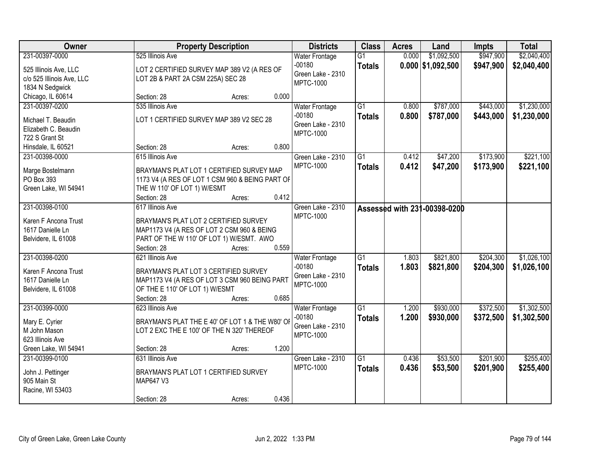| Owner                     | <b>Property Description</b>                                      | <b>Districts</b>                      | <b>Class</b>    | <b>Acres</b> | Land                         | <b>Impts</b> | <b>Total</b> |
|---------------------------|------------------------------------------------------------------|---------------------------------------|-----------------|--------------|------------------------------|--------------|--------------|
| 231-00397-0000            | 525 Illinois Ave                                                 | <b>Water Frontage</b>                 | $\overline{G1}$ | 0.000        | \$1,092,500                  | \$947,900    | \$2,040,400  |
| 525 Illinois Ave, LLC     | LOT 2 CERTIFIED SURVEY MAP 389 V2 (A RES OF                      | $-00180$                              | <b>Totals</b>   |              | $0.000$ \$1,092,500          | \$947,900    | \$2,040,400  |
| c/o 525 Illinois Ave, LLC | LOT 2B & PART 2A CSM 225A) SEC 28                                | Green Lake - 2310                     |                 |              |                              |              |              |
| 1834 N Sedgwick           |                                                                  | <b>MPTC-1000</b>                      |                 |              |                              |              |              |
| Chicago, IL 60614         | 0.000<br>Section: 28<br>Acres:                                   |                                       |                 |              |                              |              |              |
| 231-00397-0200            | 535 Illinois Ave                                                 | <b>Water Frontage</b>                 | $\overline{G1}$ | 0.800        | \$787,000                    | \$443,000    | \$1,230,000  |
|                           |                                                                  | $-00180$                              | <b>Totals</b>   | 0.800        | \$787,000                    | \$443,000    | \$1,230,000  |
| Michael T. Beaudin        | LOT 1 CERTIFIED SURVEY MAP 389 V2 SEC 28                         | Green Lake - 2310                     |                 |              |                              |              |              |
| Elizabeth C. Beaudin      |                                                                  | <b>MPTC-1000</b>                      |                 |              |                              |              |              |
| 722 S Grant St            | 0.800                                                            |                                       |                 |              |                              |              |              |
| Hinsdale, IL 60521        | Section: 28<br>Acres:                                            |                                       |                 |              |                              |              |              |
| 231-00398-0000            | 615 Illinois Ave                                                 | Green Lake - 2310                     | G1              | 0.412        | \$47,200                     | \$173,900    | \$221,100    |
| Marge Bostelmann          | BRAYMAN'S PLAT LOT 1 CERTIFIED SURVEY MAP                        | <b>MPTC-1000</b>                      | <b>Totals</b>   | 0.412        | \$47,200                     | \$173,900    | \$221,100    |
| PO Box 393                | 1173 V4 (A RES OF LOT 1 CSM 960 & BEING PART OF                  |                                       |                 |              |                              |              |              |
| Green Lake, WI 54941      | THE W 110' OF LOT 1) W/ESMT                                      |                                       |                 |              |                              |              |              |
|                           | 0.412<br>Section: 28<br>Acres:                                   |                                       |                 |              |                              |              |              |
| 231-00398-0100            | 617 Illinois Ave                                                 | Green Lake - 2310                     |                 |              | Assessed with 231-00398-0200 |              |              |
|                           |                                                                  | <b>MPTC-1000</b>                      |                 |              |                              |              |              |
| Karen F Ancona Trust      | BRAYMAN'S PLAT LOT 2 CERTIFIED SURVEY                            |                                       |                 |              |                              |              |              |
| 1617 Danielle Ln          | MAP1173 V4 (A RES OF LOT 2 CSM 960 & BEING                       |                                       |                 |              |                              |              |              |
| Belvidere, IL 61008       | PART OF THE W 110' OF LOT 1) W/ESMT. AWO<br>0.559<br>Section: 28 |                                       |                 |              |                              |              |              |
| 231-00398-0200            | Acres:<br>621 Illinois Ave                                       |                                       | $\overline{G1}$ | 1.803        | \$821,800                    | \$204,300    | \$1,026,100  |
|                           |                                                                  | Water Frontage                        |                 |              |                              |              |              |
| Karen F Ancona Trust      | BRAYMAN'S PLAT LOT 3 CERTIFIED SURVEY                            | $-00180$                              | <b>Totals</b>   | 1.803        | \$821,800                    | \$204,300    | \$1,026,100  |
| 1617 Danielle Ln          | MAP1173 V4 (A RES OF LOT 3 CSM 960 BEING PART                    | Green Lake - 2310<br><b>MPTC-1000</b> |                 |              |                              |              |              |
| Belvidere, IL 61008       | OF THE E 110' OF LOT 1) W/ESMT                                   |                                       |                 |              |                              |              |              |
|                           | Section: 28<br>0.685<br>Acres:                                   |                                       |                 |              |                              |              |              |
| 231-00399-0000            | 623 Illinois Ave                                                 | <b>Water Frontage</b>                 | $\overline{G1}$ | 1.200        | \$930,000                    | \$372,500    | \$1,302,500  |
| Mary E. Cyrier            | BRAYMAN'S PLAT THE E 40' OF LOT 1 & THE W80' OF                  | $-00180$                              | <b>Totals</b>   | 1.200        | \$930,000                    | \$372,500    | \$1,302,500  |
| M John Mason              | LOT 2 EXC THE E 100' OF THE N 320' THEREOF                       | Green Lake - 2310                     |                 |              |                              |              |              |
| 623 Illinois Ave          |                                                                  | <b>MPTC-1000</b>                      |                 |              |                              |              |              |
| Green Lake, WI 54941      | 1.200<br>Section: 28<br>Acres:                                   |                                       |                 |              |                              |              |              |
| 231-00399-0100            | 631 Illinois Ave                                                 | Green Lake - 2310                     | $\overline{G1}$ | 0.436        | \$53,500                     | \$201,900    | \$255,400    |
|                           |                                                                  | <b>MPTC-1000</b>                      |                 | 0.436        | \$53,500                     | \$201,900    | \$255,400    |
| John J. Pettinger         | BRAYMAN'S PLAT LOT 1 CERTIFIED SURVEY                            |                                       | <b>Totals</b>   |              |                              |              |              |
| 905 Main St               | MAP647 V3                                                        |                                       |                 |              |                              |              |              |
| Racine, WI 53403          |                                                                  |                                       |                 |              |                              |              |              |
|                           | 0.436<br>Section: 28<br>Acres:                                   |                                       |                 |              |                              |              |              |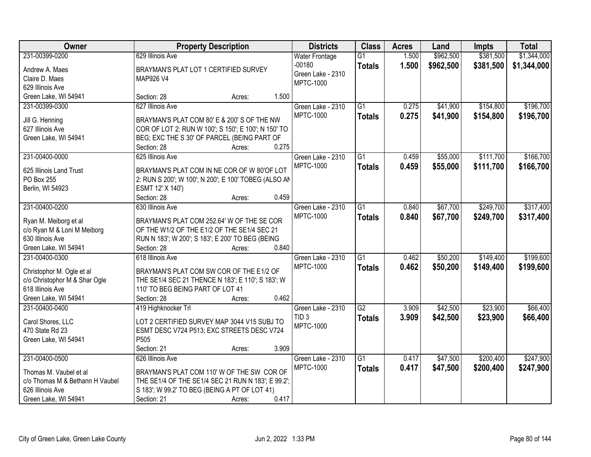| Owner                           |                                                      | <b>Property Description</b> |       | <b>Districts</b>      | <b>Class</b>    | <b>Acres</b> | Land      | <b>Impts</b> | <b>Total</b> |
|---------------------------------|------------------------------------------------------|-----------------------------|-------|-----------------------|-----------------|--------------|-----------|--------------|--------------|
| 231-00399-0200                  | 629 Illinois Ave                                     |                             |       | <b>Water Frontage</b> | $\overline{G1}$ | 1.500        | \$962,500 | \$381,500    | \$1,344,000  |
| Andrew A. Maes                  | BRAYMAN'S PLAT LOT 1 CERTIFIED SURVEY                |                             |       | $-00180$              | <b>Totals</b>   | 1.500        | \$962,500 | \$381,500    | \$1,344,000  |
| Claire D. Maes                  | <b>MAP926 V4</b>                                     |                             |       | Green Lake - 2310     |                 |              |           |              |              |
| 629 Illinois Ave                |                                                      |                             |       | <b>MPTC-1000</b>      |                 |              |           |              |              |
| Green Lake, WI 54941            | Section: 28                                          | Acres:                      | 1.500 |                       |                 |              |           |              |              |
| 231-00399-0300                  | 627 Illinois Ave                                     |                             |       | Green Lake - 2310     | $\overline{G1}$ | 0.275        | \$41,900  | \$154,800    | \$196,700    |
|                                 |                                                      |                             |       | <b>MPTC-1000</b>      | <b>Totals</b>   | 0.275        | \$41,900  | \$154,800    | \$196,700    |
| Jill G. Henning                 | BRAYMAN'S PLAT COM 80' E & 200' S OF THE NW          |                             |       |                       |                 |              |           |              |              |
| 627 Illinois Ave                | COR OF LOT 2: RUN W 100'; S 150'; E 100'; N 150' TO  |                             |       |                       |                 |              |           |              |              |
| Green Lake, WI 54941            | BEG; EXC THE S 30' OF PARCEL (BEING PART OF          |                             |       |                       |                 |              |           |              |              |
|                                 | Section: 28                                          | Acres:                      | 0.275 |                       |                 |              |           |              |              |
| 231-00400-0000                  | 625 Illinois Ave                                     |                             |       | Green Lake - 2310     | $\overline{G1}$ | 0.459        | \$55,000  | \$111,700    | \$166,700    |
| 625 Illinois Land Trust         | BRAYMAN'S PLAT COM IN NE COR OF W 80'OF LOT          |                             |       | <b>MPTC-1000</b>      | <b>Totals</b>   | 0.459        | \$55,000  | \$111,700    | \$166,700    |
| PO Box 255                      | 2: RUN S 200'; W 100'; N 200'; E 100' TOBEG (ALSO AN |                             |       |                       |                 |              |           |              |              |
| Berlin, WI 54923                | ESMT 12' X 140')                                     |                             |       |                       |                 |              |           |              |              |
|                                 | Section: 28                                          | Acres:                      | 0.459 |                       |                 |              |           |              |              |
| 231-00400-0200                  | 630 Illinois Ave                                     |                             |       | Green Lake - 2310     | G1              | 0.840        | \$67,700  | \$249,700    | \$317,400    |
|                                 |                                                      |                             |       | <b>MPTC-1000</b>      | <b>Totals</b>   | 0.840        | \$67,700  | \$249,700    | \$317,400    |
| Ryan M. Meiborg et al           | BRAYMAN'S PLAT COM 252.64' W OF THE SE COR           |                             |       |                       |                 |              |           |              |              |
| c/o Ryan M & Loni M Meiborg     | OF THE W1/2 OF THE E1/2 OF THE SE1/4 SEC 21          |                             |       |                       |                 |              |           |              |              |
| 630 Illinois Ave                | RUN N 183'; W 200'; S 183'; E 200' TO BEG (BEING     |                             |       |                       |                 |              |           |              |              |
| Green Lake, WI 54941            | Section: 28                                          | Acres:                      | 0.840 |                       |                 |              |           |              |              |
| 231-00400-0300                  | 618 Illinois Ave                                     |                             |       | Green Lake - 2310     | $\overline{G1}$ | 0.462        | \$50,200  | \$149,400    | \$199,600    |
| Christophor M. Ogle et al       | BRAYMAN'S PLAT COM SW COR OF THE E1/2 OF             |                             |       | <b>MPTC-1000</b>      | <b>Totals</b>   | 0.462        | \$50,200  | \$149,400    | \$199,600    |
| c/o Christophor M & Shar Ogle   | THE SE1/4 SEC 21 THENCE N 183'; E 110'; S 183'; W    |                             |       |                       |                 |              |           |              |              |
| 618 Illinois Ave                | 110' TO BEG BEING PART OF LOT 41                     |                             |       |                       |                 |              |           |              |              |
| Green Lake, WI 54941            | Section: 28                                          | Acres:                      | 0.462 |                       |                 |              |           |              |              |
| 231-00400-0400                  | 419 Highknocker Trl                                  |                             |       | Green Lake - 2310     | G2              | 3.909        | \$42,500  | \$23,900     | \$66,400     |
|                                 |                                                      |                             |       | TID <sub>3</sub>      | <b>Totals</b>   | 3.909        | \$42,500  | \$23,900     | \$66,400     |
| Carol Shores, LLC               | LOT 2 CERTIFIED SURVEY MAP 3044 V15 SUBJ TO          |                             |       | <b>MPTC-1000</b>      |                 |              |           |              |              |
| 470 State Rd 23                 | ESMT DESC V724 P513; EXC STREETS DESC V724           |                             |       |                       |                 |              |           |              |              |
| Green Lake, WI 54941            | P <sub>505</sub>                                     |                             |       |                       |                 |              |           |              |              |
|                                 | Section: 21                                          | Acres:                      | 3.909 |                       |                 |              |           |              |              |
| 231-00400-0500                  | 626 Illinois Ave                                     |                             |       | Green Lake - 2310     | $\overline{G1}$ | 0.417        | \$47,500  | \$200,400    | \$247,900    |
| Thomas M. Vaubel et al          | BRAYMAN'S PLAT COM 110' W OF THE SW COR OF           |                             |       | <b>MPTC-1000</b>      | <b>Totals</b>   | 0.417        | \$47,500  | \$200,400    | \$247,900    |
| c/o Thomas M & Bethann H Vaubel | THE SE1/4 OF THE SE1/4 SEC 21 RUN N 183'; E 99.2';   |                             |       |                       |                 |              |           |              |              |
| 626 Illinois Ave                | S 183'; W 99.2' TO BEG (BEING A PT OF LOT 41)        |                             |       |                       |                 |              |           |              |              |
| Green Lake, WI 54941            | Section: 21                                          | Acres:                      | 0.417 |                       |                 |              |           |              |              |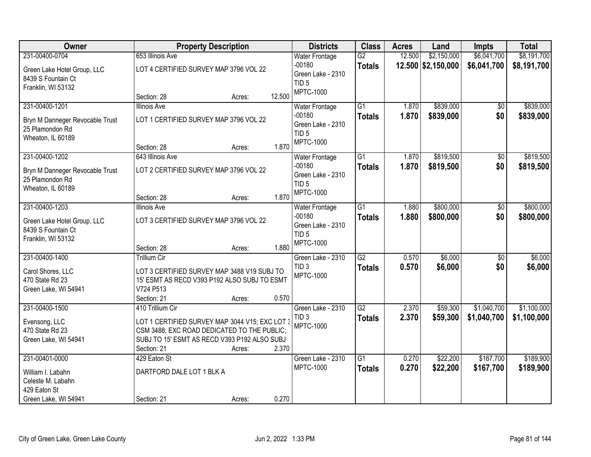| Owner                                                                   |                                                                                                                                                              | <b>Property Description</b> |        | <b>Districts</b>                                       | <b>Class</b>                     | <b>Acres</b>   | Land                   | <b>Impts</b>           | <b>Total</b>           |
|-------------------------------------------------------------------------|--------------------------------------------------------------------------------------------------------------------------------------------------------------|-----------------------------|--------|--------------------------------------------------------|----------------------------------|----------------|------------------------|------------------------|------------------------|
| 231-00400-0704                                                          | 653 Illinois Ave                                                                                                                                             |                             |        | <b>Water Frontage</b>                                  | $\overline{G2}$                  | 12.500         | \$2,150,000            | \$6,041,700            | \$8,191,700            |
| Green Lake Hotel Group, LLC<br>8439 S Fountain Ct<br>Franklin, WI 53132 | LOT 4 CERTIFIED SURVEY MAP 3796 VOL 22                                                                                                                       |                             |        | $-00180$<br>Green Lake - 2310<br>TID <sub>5</sub>      | <b>Totals</b>                    |                | 12.500 \$2,150,000     | \$6,041,700            | \$8,191,700            |
|                                                                         | Section: 28                                                                                                                                                  | Acres:                      | 12.500 | <b>MPTC-1000</b>                                       |                                  |                |                        |                        |                        |
| 231-00400-1201<br>Bryn M Danneger Revocable Trust                       | <b>Illinois Ave</b><br>LOT 1 CERTIFIED SURVEY MAP 3796 VOL 22                                                                                                |                             |        | <b>Water Frontage</b><br>$-00180$<br>Green Lake - 2310 | $\overline{G1}$<br><b>Totals</b> | 1.870<br>1.870 | \$839,000<br>\$839,000 | \$0<br>\$0             | \$839,000<br>\$839,000 |
| 25 Plamondon Rd<br>Wheaton, IL 60189                                    | Section: 28                                                                                                                                                  | Acres:                      | 1.870  | TID <sub>5</sub><br>MPTC-1000                          |                                  |                |                        |                        |                        |
| 231-00400-1202                                                          | 643 Illinois Ave                                                                                                                                             |                             |        | <b>Water Frontage</b>                                  | $\overline{G1}$                  | 1.870          | \$819,500              | \$0                    | \$819,500              |
| Bryn M Danneger Revocable Trust<br>25 Plamondon Rd<br>Wheaton, IL 60189 | LOT 2 CERTIFIED SURVEY MAP 3796 VOL 22                                                                                                                       |                             |        | $-00180$<br>Green Lake - 2310<br>TID <sub>5</sub>      | <b>Totals</b>                    | 1.870          | \$819,500              | \$0                    | \$819,500              |
|                                                                         | Section: 28                                                                                                                                                  | Acres:                      | 1.870  | <b>MPTC-1000</b>                                       |                                  |                |                        |                        |                        |
| 231-00400-1203                                                          | <b>Illinois Ave</b>                                                                                                                                          |                             |        | <b>Water Frontage</b>                                  | $\overline{G1}$                  | 1.880          | \$800,000              | \$0                    | \$800,000              |
| Green Lake Hotel Group, LLC<br>8439 S Fountain Ct<br>Franklin, WI 53132 | LOT 3 CERTIFIED SURVEY MAP 3796 VOL 22                                                                                                                       |                             |        | $-00180$<br>Green Lake - 2310<br>TID <sub>5</sub>      | <b>Totals</b>                    | 1.880          | \$800,000              | \$0                    | \$800,000              |
|                                                                         | Section: 28                                                                                                                                                  | Acres:                      | 1.880  | <b>MPTC-1000</b>                                       |                                  |                |                        |                        |                        |
| 231-00400-1400                                                          | <b>Trillium Cir</b>                                                                                                                                          |                             |        | Green Lake - 2310<br>TID <sub>3</sub>                  | $\overline{G2}$<br><b>Totals</b> | 0.570<br>0.570 | \$6,000<br>\$6,000     | $\overline{50}$<br>\$0 | \$6,000<br>\$6,000     |
| Carol Shores, LLC<br>470 State Rd 23<br>Green Lake, WI 54941            | LOT 3 CERTIFIED SURVEY MAP 3488 V19 SUBJ TO<br>15' ESMT AS RECD V393 P192 ALSO SUBJ TO ESMT<br>V724 P513                                                     |                             |        | <b>MPTC-1000</b>                                       |                                  |                |                        |                        |                        |
|                                                                         | Section: 21                                                                                                                                                  | Acres:                      | 0.570  |                                                        |                                  |                |                        |                        |                        |
| 231-00400-1500                                                          | 410 Trillium Cir                                                                                                                                             |                             |        | Green Lake - 2310                                      | $\overline{G2}$                  | 2.370          | \$59,300               | \$1,040,700            | \$1,100,000            |
| Evensong, LLC<br>470 State Rd 23<br>Green Lake, WI 54941                | LOT 1 CERTIFIED SURVEY MAP 3044 V15; EXC LOT 3<br>CSM 3488; EXC ROAD DEDICATED TO THE PUBLIC;<br>SUBJ TO 15' ESMT AS RECD V393 P192 ALSO SUBJ<br>Section: 21 | Acres:                      | 2.370  | TID <sub>3</sub><br><b>MPTC-1000</b>                   | <b>Totals</b>                    | 2.370          | \$59,300               | \$1,040,700            | \$1,100,000            |
| 231-00401-0000                                                          | 429 Eaton St                                                                                                                                                 |                             |        | Green Lake - 2310                                      | $\overline{G1}$                  | 0.270          | \$22,200               | \$167,700              | \$189,900              |
| William I. Labahn<br>Celeste M. Labahn<br>429 Eaton St                  | DARTFORD DALE LOT 1 BLK A                                                                                                                                    |                             |        | <b>MPTC-1000</b>                                       | <b>Totals</b>                    | 0.270          | \$22,200               | \$167,700              | \$189,900              |
| Green Lake, WI 54941                                                    | Section: 21                                                                                                                                                  | Acres:                      | 0.270  |                                                        |                                  |                |                        |                        |                        |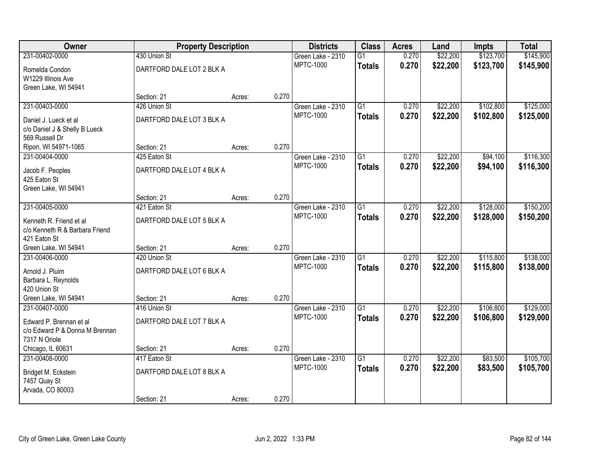| Owner                               | <b>Property Description</b> |        |       | <b>Districts</b>                      | <b>Class</b>    | <b>Acres</b>   | Land                 | <b>Impts</b>           | <b>Total</b> |
|-------------------------------------|-----------------------------|--------|-------|---------------------------------------|-----------------|----------------|----------------------|------------------------|--------------|
| 231-00402-0000                      | 430 Union St                |        |       | Green Lake - 2310                     | $\overline{G1}$ | 0.270          | \$22,200             | \$123,700              | \$145,900    |
| Romelda Condon                      | DARTFORD DALE LOT 2 BLK A   |        |       | <b>MPTC-1000</b>                      | <b>Totals</b>   | 0.270          | \$22,200             | \$123,700              | \$145,900    |
| W1229 Illinois Ave                  |                             |        |       |                                       |                 |                |                      |                        |              |
| Green Lake, WI 54941                |                             |        |       |                                       |                 |                |                      |                        |              |
|                                     | Section: 21                 | Acres: | 0.270 |                                       |                 |                |                      |                        |              |
| 231-00403-0000                      | 426 Union St                |        |       | Green Lake - 2310                     | $\overline{G1}$ | 0.270          | \$22,200             | \$102,800              | \$125,000    |
| Daniel J. Lueck et al               | DARTFORD DALE LOT 3 BLK A   |        |       | <b>MPTC-1000</b>                      | <b>Totals</b>   | 0.270          | \$22,200             | \$102,800              | \$125,000    |
| c/o Daniel J & Shelly B Lueck       |                             |        |       |                                       |                 |                |                      |                        |              |
| 569 Russell Dr                      |                             |        |       |                                       |                 |                |                      |                        |              |
| Ripon, WI 54971-1065                | Section: 21                 | Acres: | 0.270 |                                       |                 |                |                      |                        |              |
| 231-00404-0000                      | 425 Eaton St                |        |       | Green Lake - 2310                     | G1              | 0.270          | \$22,200             | \$94,100               | \$116,300    |
| Jacob F. Peoples                    | DARTFORD DALE LOT 4 BLK A   |        |       | <b>MPTC-1000</b>                      | <b>Totals</b>   | 0.270          | \$22,200             | \$94,100               | \$116,300    |
| 425 Eaton St                        |                             |        |       |                                       |                 |                |                      |                        |              |
| Green Lake, WI 54941                |                             |        |       |                                       |                 |                |                      |                        |              |
|                                     | Section: 21                 | Acres: | 0.270 |                                       |                 |                |                      |                        |              |
| 231-00405-0000                      | 421 Eaton St                |        |       | Green Lake - 2310<br><b>MPTC-1000</b> | $\overline{G1}$ | 0.270          | \$22,200             | \$128,000              | \$150,200    |
| Kenneth R. Friend et al             | DARTFORD DALE LOT 5 BLK A   |        |       |                                       | <b>Totals</b>   | 0.270          | \$22,200             | \$128,000              | \$150,200    |
| c/o Kenneth R & Barbara Friend      |                             |        |       |                                       |                 |                |                      |                        |              |
| 421 Eaton St                        |                             |        |       |                                       |                 |                |                      |                        |              |
| Green Lake, WI 54941                | Section: 21                 | Acres: | 0.270 |                                       |                 |                |                      |                        |              |
| 231-00406-0000                      | 420 Union St                |        |       | Green Lake - 2310<br><b>MPTC-1000</b> | $\overline{G1}$ | 0.270          | \$22,200             | \$115,800              | \$138,000    |
| Arnold J. Pluim                     | DARTFORD DALE LOT 6 BLK A   |        |       |                                       | <b>Totals</b>   | 0.270          | \$22,200             | \$115,800              | \$138,000    |
| Barbara L. Reynolds                 |                             |        |       |                                       |                 |                |                      |                        |              |
| 420 Union St                        |                             |        |       |                                       |                 |                |                      |                        |              |
| Green Lake, WI 54941                | Section: 21                 | Acres: | 0.270 |                                       |                 |                |                      |                        |              |
| 231-00407-0000                      | 416 Union St                |        |       | Green Lake - 2310<br><b>MPTC-1000</b> | $\overline{G1}$ | 0.270<br>0.270 | \$22,200<br>\$22,200 | \$106,800<br>\$106,800 | \$129,000    |
| Edward P. Brennan et al             | DARTFORD DALE LOT 7 BLK A   |        |       |                                       | <b>Totals</b>   |                |                      |                        | \$129,000    |
| c/o Edward P & Donna M Brennan      |                             |        |       |                                       |                 |                |                      |                        |              |
| 7317 N Oriole                       |                             |        |       |                                       |                 |                |                      |                        |              |
| Chicago, IL 60631<br>231-00408-0000 | Section: 21<br>417 Eaton St | Acres: | 0.270 |                                       | $\overline{G1}$ | 0.270          |                      | \$83,500               | \$105,700    |
|                                     |                             |        |       | Green Lake - 2310<br><b>MPTC-1000</b> |                 | 0.270          | \$22,200<br>\$22,200 | \$83,500               | \$105,700    |
| Bridget M. Eckstein                 | DARTFORD DALE LOT 8 BLK A   |        |       |                                       | <b>Totals</b>   |                |                      |                        |              |
| 7457 Quay St                        |                             |        |       |                                       |                 |                |                      |                        |              |
| Arvada, CO 80003                    |                             |        |       |                                       |                 |                |                      |                        |              |
|                                     | Section: 21                 | Acres: | 0.270 |                                       |                 |                |                      |                        |              |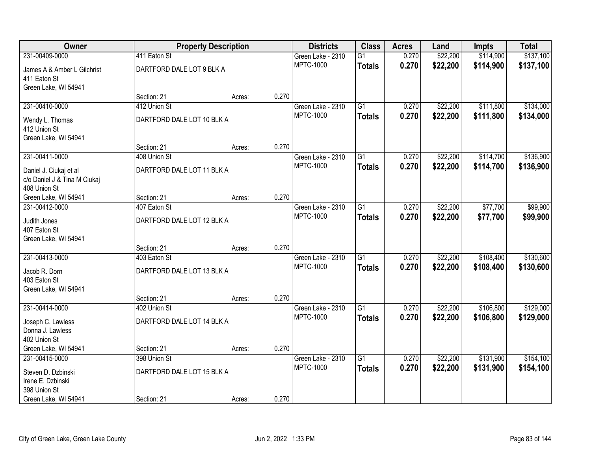| Owner                        | <b>Property Description</b> |        |       | <b>Districts</b>  | <b>Class</b>    | <b>Acres</b> | Land     | <b>Impts</b> | <b>Total</b> |
|------------------------------|-----------------------------|--------|-------|-------------------|-----------------|--------------|----------|--------------|--------------|
| 231-00409-0000               | 411 Eaton St                |        |       | Green Lake - 2310 | $\overline{G1}$ | 0.270        | \$22,200 | \$114,900    | \$137,100    |
| James A & Amber L Gilchrist  | DARTFORD DALE LOT 9 BLK A   |        |       | <b>MPTC-1000</b>  | <b>Totals</b>   | 0.270        | \$22,200 | \$114,900    | \$137,100    |
| 411 Eaton St                 |                             |        |       |                   |                 |              |          |              |              |
| Green Lake, WI 54941         |                             |        |       |                   |                 |              |          |              |              |
|                              | Section: 21                 | Acres: | 0.270 |                   |                 |              |          |              |              |
| 231-00410-0000               | 412 Union St                |        |       | Green Lake - 2310 | $\overline{G1}$ | 0.270        | \$22,200 | \$111,800    | \$134,000    |
| Wendy L. Thomas              | DARTFORD DALE LOT 10 BLK A  |        |       | <b>MPTC-1000</b>  | <b>Totals</b>   | 0.270        | \$22,200 | \$111,800    | \$134,000    |
| 412 Union St                 |                             |        |       |                   |                 |              |          |              |              |
| Green Lake, WI 54941         |                             |        |       |                   |                 |              |          |              |              |
|                              | Section: 21                 | Acres: | 0.270 |                   |                 |              |          |              |              |
| 231-00411-0000               | 408 Union St                |        |       | Green Lake - 2310 | $\overline{G1}$ | 0.270        | \$22,200 | \$114,700    | \$136,900    |
| Daniel J. Ciukaj et al       | DARTFORD DALE LOT 11 BLK A  |        |       | <b>MPTC-1000</b>  | <b>Totals</b>   | 0.270        | \$22,200 | \$114,700    | \$136,900    |
| c/o Daniel J & Tina M Ciukaj |                             |        |       |                   |                 |              |          |              |              |
| 408 Union St                 |                             |        |       |                   |                 |              |          |              |              |
| Green Lake, WI 54941         | Section: 21                 | Acres: | 0.270 |                   |                 |              |          |              |              |
| 231-00412-0000               | 407 Eaton St                |        |       | Green Lake - 2310 | $\overline{G1}$ | 0.270        | \$22,200 | \$77,700     | \$99,900     |
| Judith Jones                 | DARTFORD DALE LOT 12 BLK A  |        |       | <b>MPTC-1000</b>  | <b>Totals</b>   | 0.270        | \$22,200 | \$77,700     | \$99,900     |
| 407 Eaton St                 |                             |        |       |                   |                 |              |          |              |              |
| Green Lake, WI 54941         |                             |        |       |                   |                 |              |          |              |              |
|                              | Section: 21                 | Acres: | 0.270 |                   |                 |              |          |              |              |
| 231-00413-0000               | 403 Eaton St                |        |       | Green Lake - 2310 | $\overline{G1}$ | 0.270        | \$22,200 | \$108,400    | \$130,600    |
| Jacob R. Dorn                | DARTFORD DALE LOT 13 BLK A  |        |       | <b>MPTC-1000</b>  | <b>Totals</b>   | 0.270        | \$22,200 | \$108,400    | \$130,600    |
| 403 Eaton St                 |                             |        |       |                   |                 |              |          |              |              |
| Green Lake, WI 54941         |                             |        |       |                   |                 |              |          |              |              |
|                              | Section: 21                 | Acres: | 0.270 |                   |                 |              |          |              |              |
| 231-00414-0000               | 402 Union St                |        |       | Green Lake - 2310 | $\overline{G1}$ | 0.270        | \$22,200 | \$106,800    | \$129,000    |
| Joseph C. Lawless            | DARTFORD DALE LOT 14 BLK A  |        |       | <b>MPTC-1000</b>  | <b>Totals</b>   | 0.270        | \$22,200 | \$106,800    | \$129,000    |
| Donna J. Lawless             |                             |        |       |                   |                 |              |          |              |              |
| 402 Union St                 |                             |        |       |                   |                 |              |          |              |              |
| Green Lake, WI 54941         | Section: 21                 | Acres: | 0.270 |                   |                 |              |          |              |              |
| 231-00415-0000               | 398 Union St                |        |       | Green Lake - 2310 | $\overline{G1}$ | 0.270        | \$22,200 | \$131,900    | \$154,100    |
| Steven D. Dzbinski           | DARTFORD DALE LOT 15 BLK A  |        |       | <b>MPTC-1000</b>  | <b>Totals</b>   | 0.270        | \$22,200 | \$131,900    | \$154,100    |
| Irene E. Dzbinski            |                             |        |       |                   |                 |              |          |              |              |
| 398 Union St                 |                             |        |       |                   |                 |              |          |              |              |
| Green Lake, WI 54941         | Section: 21                 | Acres: | 0.270 |                   |                 |              |          |              |              |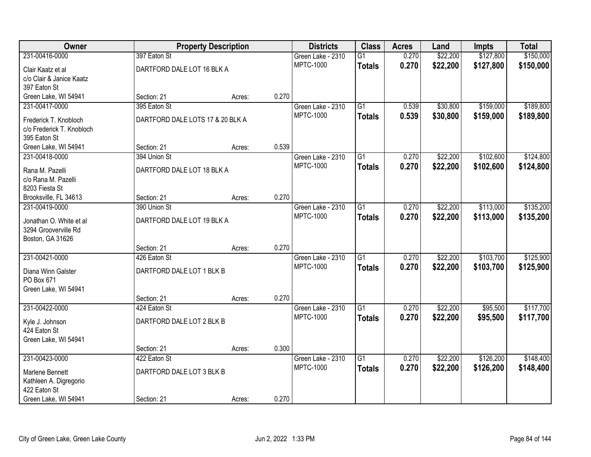| Owner                                           |                                  | <b>Property Description</b> |       | <b>Districts</b>                      | <b>Class</b>    | <b>Acres</b> | Land     | <b>Impts</b> | <b>Total</b> |
|-------------------------------------------------|----------------------------------|-----------------------------|-------|---------------------------------------|-----------------|--------------|----------|--------------|--------------|
| 231-00416-0000                                  | 397 Eaton St                     |                             |       | Green Lake - 2310                     | $\overline{G1}$ | 0.270        | \$22,200 | \$127,800    | \$150,000    |
| Clair Kaatz et al                               | DARTFORD DALE LOT 16 BLK A       |                             |       | <b>MPTC-1000</b>                      | <b>Totals</b>   | 0.270        | \$22,200 | \$127,800    | \$150,000    |
| c/o Clair & Janice Kaatz                        |                                  |                             |       |                                       |                 |              |          |              |              |
| 397 Eaton St                                    |                                  |                             |       |                                       |                 |              |          |              |              |
| Green Lake, WI 54941                            | Section: 21                      | Acres:                      | 0.270 |                                       |                 |              |          |              |              |
| 231-00417-0000                                  | 395 Eaton St                     |                             |       | Green Lake - 2310                     | $\overline{G1}$ | 0.539        | \$30,800 | \$159,000    | \$189,800    |
| Frederick T. Knobloch                           | DARTFORD DALE LOTS 17 & 20 BLK A |                             |       | <b>MPTC-1000</b>                      | <b>Totals</b>   | 0.539        | \$30,800 | \$159,000    | \$189,800    |
| c/o Frederick T. Knobloch                       |                                  |                             |       |                                       |                 |              |          |              |              |
| 395 Eaton St                                    |                                  |                             |       |                                       |                 |              |          |              |              |
| Green Lake, WI 54941                            | Section: 21                      | Acres:                      | 0.539 |                                       |                 |              |          |              |              |
| 231-00418-0000                                  | 394 Union St                     |                             |       | Green Lake - 2310                     | $\overline{G1}$ | 0.270        | \$22,200 | \$102,600    | \$124,800    |
| Rana M. Pazelli                                 | DARTFORD DALE LOT 18 BLK A       |                             |       | <b>MPTC-1000</b>                      | <b>Totals</b>   | 0.270        | \$22,200 | \$102,600    | \$124,800    |
| c/o Rana M. Pazelli                             |                                  |                             |       |                                       |                 |              |          |              |              |
| 8203 Fiesta St                                  |                                  |                             |       |                                       |                 |              |          |              |              |
| Brooksville, FL 34613                           | Section: 21                      | Acres:                      | 0.270 |                                       |                 |              |          |              |              |
| 231-00419-0000                                  | 390 Union St                     |                             |       | Green Lake - 2310                     | $\overline{G1}$ | 0.270        | \$22,200 | \$113,000    | \$135,200    |
|                                                 |                                  |                             |       | <b>MPTC-1000</b>                      | <b>Totals</b>   | 0.270        | \$22,200 | \$113,000    | \$135,200    |
| Jonathan O. White et al<br>3294 Grooverville Rd | DARTFORD DALE LOT 19 BLK A       |                             |       |                                       |                 |              |          |              |              |
| Boston, GA 31626                                |                                  |                             |       |                                       |                 |              |          |              |              |
|                                                 | Section: 21                      | Acres:                      | 0.270 |                                       |                 |              |          |              |              |
| 231-00421-0000                                  | 426 Eaton St                     |                             |       | Green Lake - 2310                     | $\overline{G1}$ | 0.270        | \$22,200 | \$103,700    | \$125,900    |
|                                                 |                                  |                             |       | <b>MPTC-1000</b>                      | <b>Totals</b>   | 0.270        | \$22,200 | \$103,700    | \$125,900    |
| Diana Winn Galster                              | DARTFORD DALE LOT 1 BLK B        |                             |       |                                       |                 |              |          |              |              |
| PO Box 671                                      |                                  |                             |       |                                       |                 |              |          |              |              |
| Green Lake, WI 54941                            | Section: 21                      |                             | 0.270 |                                       |                 |              |          |              |              |
| 231-00422-0000                                  | 424 Eaton St                     | Acres:                      |       | Green Lake - 2310                     | $\overline{G1}$ | 0.270        | \$22,200 | \$95,500     | \$117,700    |
|                                                 |                                  |                             |       | <b>MPTC-1000</b>                      | <b>Totals</b>   | 0.270        | \$22,200 | \$95,500     | \$117,700    |
| Kyle J. Johnson                                 | DARTFORD DALE LOT 2 BLK B        |                             |       |                                       |                 |              |          |              |              |
| 424 Eaton St                                    |                                  |                             |       |                                       |                 |              |          |              |              |
| Green Lake, WI 54941                            |                                  |                             |       |                                       |                 |              |          |              |              |
|                                                 | Section: 21                      | Acres:                      | 0.300 |                                       |                 |              |          |              |              |
| 231-00423-0000                                  | 422 Eaton St                     |                             |       | Green Lake - 2310<br><b>MPTC-1000</b> | $\overline{G1}$ | 0.270        | \$22,200 | \$126,200    | \$148,400    |
| Marlene Bennett                                 | DARTFORD DALE LOT 3 BLK B        |                             |       |                                       | <b>Totals</b>   | 0.270        | \$22,200 | \$126,200    | \$148,400    |
| Kathleen A. Digregorio                          |                                  |                             |       |                                       |                 |              |          |              |              |
| 422 Eaton St                                    |                                  |                             |       |                                       |                 |              |          |              |              |
| Green Lake, WI 54941                            | Section: 21                      | Acres:                      | 0.270 |                                       |                 |              |          |              |              |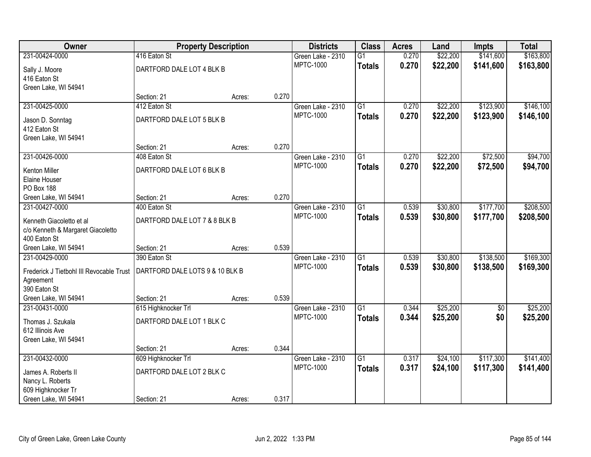| Owner                                    | <b>Property Description</b>     |        |       | <b>Districts</b>  | <b>Class</b>    | <b>Acres</b> | Land     | Impts      | <b>Total</b> |
|------------------------------------------|---------------------------------|--------|-------|-------------------|-----------------|--------------|----------|------------|--------------|
| 231-00424-0000                           | 416 Eaton St                    |        |       | Green Lake - 2310 | $\overline{G1}$ | 0.270        | \$22,200 | \$141,600  | \$163,800    |
| Sally J. Moore                           | DARTFORD DALE LOT 4 BLK B       |        |       | <b>MPTC-1000</b>  | <b>Totals</b>   | 0.270        | \$22,200 | \$141,600  | \$163,800    |
| 416 Eaton St                             |                                 |        |       |                   |                 |              |          |            |              |
| Green Lake, WI 54941                     |                                 |        |       |                   |                 |              |          |            |              |
|                                          | Section: 21                     | Acres: | 0.270 |                   |                 |              |          |            |              |
| 231-00425-0000                           | 412 Eaton St                    |        |       | Green Lake - 2310 | $\overline{G1}$ | 0.270        | \$22,200 | \$123,900  | \$146,100    |
| Jason D. Sonntag                         | DARTFORD DALE LOT 5 BLK B       |        |       | MPTC-1000         | <b>Totals</b>   | 0.270        | \$22,200 | \$123,900  | \$146,100    |
| 412 Eaton St                             |                                 |        |       |                   |                 |              |          |            |              |
| Green Lake, WI 54941                     |                                 |        |       |                   |                 |              |          |            |              |
|                                          | Section: 21                     | Acres: | 0.270 |                   |                 |              |          |            |              |
| 231-00426-0000                           | 408 Eaton St                    |        |       | Green Lake - 2310 | G1              | 0.270        | \$22,200 | \$72,500   | \$94,700     |
| Kenton Miller                            | DARTFORD DALE LOT 6 BLK B       |        |       | <b>MPTC-1000</b>  | <b>Totals</b>   | 0.270        | \$22,200 | \$72,500   | \$94,700     |
| Elaine Houser                            |                                 |        |       |                   |                 |              |          |            |              |
| PO Box 188                               |                                 |        |       |                   |                 |              |          |            |              |
| Green Lake, WI 54941                     | Section: 21                     | Acres: | 0.270 |                   |                 |              |          |            |              |
| 231-00427-0000                           | 400 Eaton St                    |        |       | Green Lake - 2310 | $\overline{G1}$ | 0.539        | \$30,800 | \$177,700  | \$208,500    |
| Kenneth Giacoletto et al                 | DARTFORD DALE LOT 7 & 8 BLK B   |        |       | <b>MPTC-1000</b>  | <b>Totals</b>   | 0.539        | \$30,800 | \$177,700  | \$208,500    |
| c/o Kenneth & Margaret Giacoletto        |                                 |        |       |                   |                 |              |          |            |              |
| 400 Eaton St                             |                                 |        |       |                   |                 |              |          |            |              |
| Green Lake, WI 54941                     | Section: 21                     | Acres: | 0.539 |                   |                 |              |          |            |              |
| 231-00429-0000                           | 390 Eaton St                    |        |       | Green Lake - 2310 | $\overline{G1}$ | 0.539        | \$30,800 | \$138,500  | \$169,300    |
| Frederick J Tietbohl III Revocable Trust | DARTFORD DALE LOTS 9 & 10 BLK B |        |       | <b>MPTC-1000</b>  | <b>Totals</b>   | 0.539        | \$30,800 | \$138,500  | \$169,300    |
| Agreement                                |                                 |        |       |                   |                 |              |          |            |              |
| 390 Eaton St                             |                                 |        |       |                   |                 |              |          |            |              |
| Green Lake, WI 54941                     | Section: 21                     | Acres: | 0.539 |                   |                 |              |          |            |              |
| 231-00431-0000                           | 615 Highknocker Trl             |        |       | Green Lake - 2310 | $\overline{G1}$ | 0.344        | \$25,200 | $\sqrt{6}$ | \$25,200     |
| Thomas J. Szukala                        | DARTFORD DALE LOT 1 BLK C       |        |       | MPTC-1000         | <b>Totals</b>   | 0.344        | \$25,200 | \$0        | \$25,200     |
| 612 Illinois Ave                         |                                 |        |       |                   |                 |              |          |            |              |
| Green Lake, WI 54941                     |                                 |        |       |                   |                 |              |          |            |              |
|                                          | Section: 21                     | Acres: | 0.344 |                   |                 |              |          |            |              |
| 231-00432-0000                           | 609 Highknocker Trl             |        |       | Green Lake - 2310 | $\overline{G1}$ | 0.317        | \$24,100 | \$117,300  | \$141,400    |
|                                          | DARTFORD DALE LOT 2 BLK C       |        |       | <b>MPTC-1000</b>  | <b>Totals</b>   | 0.317        | \$24,100 | \$117,300  | \$141,400    |
| James A. Roberts II<br>Nancy L. Roberts  |                                 |        |       |                   |                 |              |          |            |              |
| 609 Highknocker Tr                       |                                 |        |       |                   |                 |              |          |            |              |
| Green Lake, WI 54941                     | Section: 21                     | Acres: | 0.317 |                   |                 |              |          |            |              |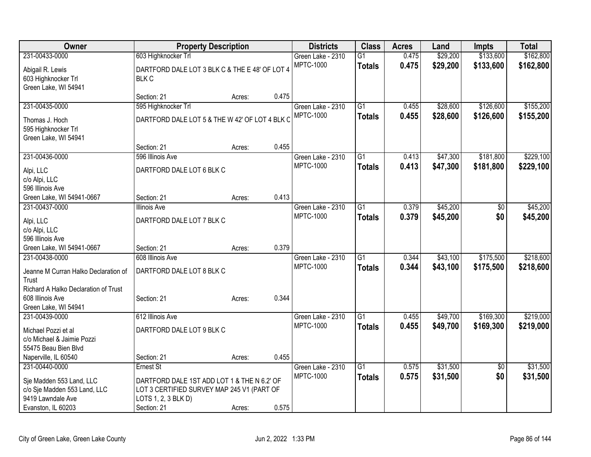| Owner                                             | <b>Property Description</b>                                       |        |       | <b>Districts</b>  | <b>Class</b>    | <b>Acres</b> | Land     | <b>Impts</b>    | <b>Total</b> |
|---------------------------------------------------|-------------------------------------------------------------------|--------|-------|-------------------|-----------------|--------------|----------|-----------------|--------------|
| 231-00433-0000                                    | 603 Highknocker Trl                                               |        |       | Green Lake - 2310 | $\overline{G1}$ | 0.475        | \$29,200 | \$133,600       | \$162,800    |
| Abigail R. Lewis                                  | DARTFORD DALE LOT 3 BLK C & THE E 48' OF LOT 4                    |        |       | <b>MPTC-1000</b>  | <b>Totals</b>   | 0.475        | \$29,200 | \$133,600       | \$162,800    |
| 603 Highknocker Trl                               | <b>BLK C</b>                                                      |        |       |                   |                 |              |          |                 |              |
| Green Lake, WI 54941                              |                                                                   |        |       |                   |                 |              |          |                 |              |
|                                                   | Section: 21                                                       | Acres: | 0.475 |                   |                 |              |          |                 |              |
| 231-00435-0000                                    | 595 Highknocker Trl                                               |        |       | Green Lake - 2310 | $\overline{G1}$ | 0.455        | \$28,600 | \$126,600       | \$155,200    |
| Thomas J. Hoch                                    | DARTFORD DALE LOT 5 & THE W 42' OF LOT 4 BLK C                    |        |       | <b>MPTC-1000</b>  | <b>Totals</b>   | 0.455        | \$28,600 | \$126,600       | \$155,200    |
| 595 Highknocker Trl                               |                                                                   |        |       |                   |                 |              |          |                 |              |
| Green Lake, WI 54941                              |                                                                   |        |       |                   |                 |              |          |                 |              |
|                                                   | Section: 21                                                       | Acres: | 0.455 |                   |                 |              |          |                 |              |
| 231-00436-0000                                    | 596 Illinois Ave                                                  |        |       | Green Lake - 2310 | $\overline{G1}$ | 0.413        | \$47,300 | \$181,800       | \$229,100    |
| Alpi, LLC                                         | DARTFORD DALE LOT 6 BLK C                                         |        |       | <b>MPTC-1000</b>  | <b>Totals</b>   | 0.413        | \$47,300 | \$181,800       | \$229,100    |
| c/o Alpi, LLC                                     |                                                                   |        |       |                   |                 |              |          |                 |              |
| 596 Illinois Ave                                  |                                                                   |        |       |                   |                 |              |          |                 |              |
| Green Lake, WI 54941-0667                         | Section: 21                                                       | Acres: | 0.413 |                   |                 |              |          |                 |              |
| 231-00437-0000                                    | <b>Illinois Ave</b>                                               |        |       | Green Lake - 2310 | $\overline{G1}$ | 0.379        | \$45,200 | \$0             | \$45,200     |
|                                                   | DARTFORD DALE LOT 7 BLK C                                         |        |       | <b>MPTC-1000</b>  | <b>Totals</b>   | 0.379        | \$45,200 | \$0             | \$45,200     |
| Alpi, LLC<br>c/o Alpi, LLC                        |                                                                   |        |       |                   |                 |              |          |                 |              |
| 596 Illinois Ave                                  |                                                                   |        |       |                   |                 |              |          |                 |              |
| Green Lake, WI 54941-0667                         | Section: 21                                                       | Acres: | 0.379 |                   |                 |              |          |                 |              |
| 231-00438-0000                                    | 608 Illinois Ave                                                  |        |       | Green Lake - 2310 | $\overline{G1}$ | 0.344        | \$43,100 | \$175,500       | \$218,600    |
|                                                   |                                                                   |        |       | <b>MPTC-1000</b>  | <b>Totals</b>   | 0.344        | \$43,100 | \$175,500       | \$218,600    |
| Jeanne M Curran Halko Declaration of              | DARTFORD DALE LOT 8 BLK C                                         |        |       |                   |                 |              |          |                 |              |
| Trust<br>Richard A Halko Declaration of Trust     |                                                                   |        |       |                   |                 |              |          |                 |              |
| 608 Illinois Ave                                  | Section: 21                                                       | Acres: | 0.344 |                   |                 |              |          |                 |              |
| Green Lake, WI 54941                              |                                                                   |        |       |                   |                 |              |          |                 |              |
| 231-00439-0000                                    | 612 Illinois Ave                                                  |        |       | Green Lake - 2310 | $\overline{G1}$ | 0.455        | \$49,700 | \$169,300       | \$219,000    |
|                                                   | DARTFORD DALE LOT 9 BLK C                                         |        |       | <b>MPTC-1000</b>  | <b>Totals</b>   | 0.455        | \$49,700 | \$169,300       | \$219,000    |
| Michael Pozzi et al<br>c/o Michael & Jaimie Pozzi |                                                                   |        |       |                   |                 |              |          |                 |              |
| 55475 Beau Bien Blvd                              |                                                                   |        |       |                   |                 |              |          |                 |              |
| Naperville, IL 60540                              | Section: 21                                                       | Acres: | 0.455 |                   |                 |              |          |                 |              |
| 231-00440-0000                                    | Ernest St                                                         |        |       | Green Lake - 2310 | $\overline{G1}$ | 0.575        | \$31,500 | $\overline{50}$ | \$31,500     |
|                                                   |                                                                   |        |       | <b>MPTC-1000</b>  | <b>Totals</b>   | 0.575        | \$31,500 | \$0             | \$31,500     |
| Sje Madden 553 Land, LLC                          | DARTFORD DALE 1ST ADD LOT 1 & THE N 6.2' OF                       |        |       |                   |                 |              |          |                 |              |
| c/o Sje Madden 553 Land, LLC<br>9419 Lawndale Ave | LOT 3 CERTIFIED SURVEY MAP 245 V1 (PART OF<br>LOTS 1, 2, 3 BLK D) |        |       |                   |                 |              |          |                 |              |
| Evanston, IL 60203                                | Section: 21                                                       | Acres: | 0.575 |                   |                 |              |          |                 |              |
|                                                   |                                                                   |        |       |                   |                 |              |          |                 |              |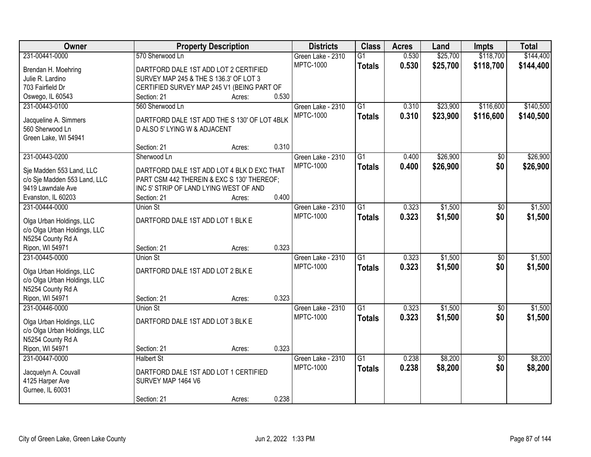| Owner                        | <b>Property Description</b>                  |        |       | <b>Districts</b>  | <b>Class</b>    | <b>Acres</b> | Land     | <b>Impts</b>    | <b>Total</b> |
|------------------------------|----------------------------------------------|--------|-------|-------------------|-----------------|--------------|----------|-----------------|--------------|
| 231-00441-0000               | 570 Sherwood Ln                              |        |       | Green Lake - 2310 | $\overline{G1}$ | 0.530        | \$25,700 | \$118,700       | \$144,400    |
| Brendan H. Moehring          | DARTFORD DALE 1ST ADD LOT 2 CERTIFIED        |        |       | <b>MPTC-1000</b>  | <b>Totals</b>   | 0.530        | \$25,700 | \$118,700       | \$144,400    |
| Julie R. Lardino             | SURVEY MAP 245 & THE S 136.3' OF LOT 3       |        |       |                   |                 |              |          |                 |              |
| 703 Fairfield Dr             | CERTIFIED SURVEY MAP 245 V1 (BEING PART OF   |        |       |                   |                 |              |          |                 |              |
| Oswego, IL 60543             | Section: 21                                  | Acres: | 0.530 |                   |                 |              |          |                 |              |
| 231-00443-0100               | 560 Sherwood Ln                              |        |       | Green Lake - 2310 | $\overline{G1}$ | 0.310        | \$23,900 | \$116,600       | \$140,500    |
|                              |                                              |        |       | <b>MPTC-1000</b>  | <b>Totals</b>   | 0.310        | \$23,900 | \$116,600       | \$140,500    |
| Jacqueline A. Simmers        | DARTFORD DALE 1ST ADD THE S 130' OF LOT 4BLK |        |       |                   |                 |              |          |                 |              |
| 560 Sherwood Ln              | D ALSO 5' LYING W & ADJACENT                 |        |       |                   |                 |              |          |                 |              |
| Green Lake, WI 54941         | Section: 21                                  | Acres: | 0.310 |                   |                 |              |          |                 |              |
| 231-00443-0200               | Sherwood Ln                                  |        |       | Green Lake - 2310 | $\overline{G1}$ | 0.400        | \$26,900 | \$0             | \$26,900     |
|                              |                                              |        |       | <b>MPTC-1000</b>  | <b>Totals</b>   | 0.400        | \$26,900 | \$0             | \$26,900     |
| Sje Madden 553 Land, LLC     | DARTFORD DALE 1ST ADD LOT 4 BLK D EXC THAT   |        |       |                   |                 |              |          |                 |              |
| c/o Sje Madden 553 Land, LLC | PART CSM 442 THEREIN & EXC S 130' THEREOF;   |        |       |                   |                 |              |          |                 |              |
| 9419 Lawndale Ave            | INC 5' STRIP OF LAND LYING WEST OF AND       |        |       |                   |                 |              |          |                 |              |
| Evanston, IL 60203           | Section: 21                                  | Acres: | 0.400 |                   |                 |              |          |                 |              |
| 231-00444-0000               | Union St                                     |        |       | Green Lake - 2310 | $\overline{G1}$ | 0.323        | \$1,500  | $\sqrt[6]{3}$   | \$1,500      |
| Olga Urban Holdings, LLC     | DARTFORD DALE 1ST ADD LOT 1 BLK E            |        |       | <b>MPTC-1000</b>  | <b>Totals</b>   | 0.323        | \$1,500  | \$0             | \$1,500      |
| c/o Olga Urban Holdings, LLC |                                              |        |       |                   |                 |              |          |                 |              |
| N5254 County Rd A            |                                              |        |       |                   |                 |              |          |                 |              |
| Ripon, WI 54971              | Section: 21                                  | Acres: | 0.323 |                   |                 |              |          |                 |              |
| 231-00445-0000               | <b>Union St</b>                              |        |       | Green Lake - 2310 | $\overline{G1}$ | 0.323        | \$1,500  | \$0             | \$1,500      |
| Olga Urban Holdings, LLC     | DARTFORD DALE 1ST ADD LOT 2 BLK E            |        |       | <b>MPTC-1000</b>  | <b>Totals</b>   | 0.323        | \$1,500  | \$0             | \$1,500      |
| c/o Olga Urban Holdings, LLC |                                              |        |       |                   |                 |              |          |                 |              |
| N5254 County Rd A            |                                              |        |       |                   |                 |              |          |                 |              |
| Ripon, WI 54971              | Section: 21                                  | Acres: | 0.323 |                   |                 |              |          |                 |              |
| 231-00446-0000               | Union St                                     |        |       | Green Lake - 2310 | $\overline{G1}$ | 0.323        | \$1,500  | \$0             | \$1,500      |
|                              |                                              |        |       | <b>MPTC-1000</b>  | <b>Totals</b>   | 0.323        | \$1,500  | \$0             | \$1,500      |
| Olga Urban Holdings, LLC     | DARTFORD DALE 1ST ADD LOT 3 BLK E            |        |       |                   |                 |              |          |                 |              |
| c/o Olga Urban Holdings, LLC |                                              |        |       |                   |                 |              |          |                 |              |
| N5254 County Rd A            |                                              |        |       |                   |                 |              |          |                 |              |
| Ripon, WI 54971              | Section: 21                                  | Acres: | 0.323 |                   |                 |              |          |                 |              |
| 231-00447-0000               | <b>Halbert St</b>                            |        |       | Green Lake - 2310 | $\overline{G1}$ | 0.238        | \$8,200  | $\overline{30}$ | \$8,200      |
| Jacquelyn A. Couvall         | DARTFORD DALE 1ST ADD LOT 1 CERTIFIED        |        |       | <b>MPTC-1000</b>  | <b>Totals</b>   | 0.238        | \$8,200  | \$0             | \$8,200      |
| 4125 Harper Ave              | SURVEY MAP 1464 V6                           |        |       |                   |                 |              |          |                 |              |
| Gurnee, IL 60031             |                                              |        |       |                   |                 |              |          |                 |              |
|                              | Section: 21                                  | Acres: | 0.238 |                   |                 |              |          |                 |              |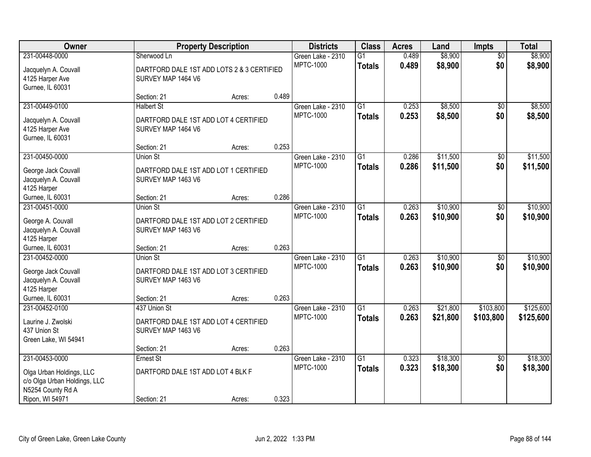| Owner                                     | <b>Property Description</b>                                 |        |       | <b>Districts</b>                      | <b>Class</b>    | <b>Acres</b> | Land     | <b>Impts</b>           | <b>Total</b> |
|-------------------------------------------|-------------------------------------------------------------|--------|-------|---------------------------------------|-----------------|--------------|----------|------------------------|--------------|
| 231-00448-0000                            | Sherwood Ln                                                 |        |       | Green Lake - 2310                     | $\overline{G1}$ | 0.489        | \$8,900  | $\overline{50}$        | \$8,900      |
| Jacquelyn A. Couvall                      | DARTFORD DALE 1ST ADD LOTS 2 & 3 CERTIFIED                  |        |       | <b>MPTC-1000</b>                      | <b>Totals</b>   | 0.489        | \$8,900  | \$0                    | \$8,900      |
| 4125 Harper Ave                           | SURVEY MAP 1464 V6                                          |        |       |                                       |                 |              |          |                        |              |
| Gurnee, IL 60031                          |                                                             |        |       |                                       |                 |              |          |                        |              |
|                                           | Section: 21                                                 | Acres: | 0.489 |                                       |                 |              |          |                        |              |
| 231-00449-0100                            | <b>Halbert St</b>                                           |        |       | Green Lake - 2310                     | $\overline{G1}$ | 0.253        | \$8,500  | \$0                    | \$8,500      |
| Jacquelyn A. Couvall                      | DARTFORD DALE 1ST ADD LOT 4 CERTIFIED                       |        |       | <b>MPTC-1000</b>                      | <b>Totals</b>   | 0.253        | \$8,500  | \$0                    | \$8,500      |
| 4125 Harper Ave                           | SURVEY MAP 1464 V6                                          |        |       |                                       |                 |              |          |                        |              |
| Gurnee, IL 60031                          |                                                             |        |       |                                       |                 |              |          |                        |              |
|                                           | Section: 21                                                 | Acres: | 0.253 |                                       |                 |              |          |                        |              |
| 231-00450-0000                            | <b>Union St</b>                                             |        |       | Green Lake - 2310                     | G1              | 0.286        | \$11,500 | \$0                    | \$11,500     |
| George Jack Couvall                       | DARTFORD DALE 1ST ADD LOT 1 CERTIFIED                       |        |       | <b>MPTC-1000</b>                      | <b>Totals</b>   | 0.286        | \$11,500 | \$0                    | \$11,500     |
| Jacquelyn A. Couvall                      | SURVEY MAP 1463 V6                                          |        |       |                                       |                 |              |          |                        |              |
| 4125 Harper                               |                                                             |        |       |                                       |                 |              |          |                        |              |
| Gurnee, IL 60031                          | Section: 21                                                 | Acres: | 0.286 |                                       |                 |              |          |                        |              |
| 231-00451-0000                            | <b>Union St</b>                                             |        |       | Green Lake - 2310                     | G1              | 0.263        | \$10,900 | $\sqrt[6]{}$           | \$10,900     |
|                                           |                                                             |        |       | <b>MPTC-1000</b>                      | <b>Totals</b>   | 0.263        | \$10,900 | \$0                    | \$10,900     |
| George A. Couvall<br>Jacquelyn A. Couvall | DARTFORD DALE 1ST ADD LOT 2 CERTIFIED<br>SURVEY MAP 1463 V6 |        |       |                                       |                 |              |          |                        |              |
| 4125 Harper                               |                                                             |        |       |                                       |                 |              |          |                        |              |
| Gurnee, IL 60031                          | Section: 21                                                 | Acres: | 0.263 |                                       |                 |              |          |                        |              |
| 231-00452-0000                            | Union St                                                    |        |       | Green Lake - 2310                     | $\overline{G1}$ | 0.263        | \$10,900 | $\overline{50}$        | \$10,900     |
|                                           |                                                             |        |       | <b>MPTC-1000</b>                      | <b>Totals</b>   | 0.263        | \$10,900 | \$0                    | \$10,900     |
| George Jack Couvall                       | DARTFORD DALE 1ST ADD LOT 3 CERTIFIED                       |        |       |                                       |                 |              |          |                        |              |
| Jacquelyn A. Couvall<br>4125 Harper       | SURVEY MAP 1463 V6                                          |        |       |                                       |                 |              |          |                        |              |
| Gurnee, IL 60031                          | Section: 21                                                 | Acres: | 0.263 |                                       |                 |              |          |                        |              |
| 231-00452-0100                            | 437 Union St                                                |        |       | Green Lake - 2310                     | $\overline{G1}$ | 0.263        | \$21,800 | \$103,800              | \$125,600    |
|                                           |                                                             |        |       | <b>MPTC-1000</b>                      | <b>Totals</b>   | 0.263        | \$21,800 | \$103,800              | \$125,600    |
| Laurine J. Zwolski                        | DARTFORD DALE 1ST ADD LOT 4 CERTIFIED                       |        |       |                                       |                 |              |          |                        |              |
| 437 Union St                              | SURVEY MAP 1463 V6                                          |        |       |                                       |                 |              |          |                        |              |
| Green Lake, WI 54941                      |                                                             |        |       |                                       |                 |              |          |                        |              |
| 231-00453-0000                            | Section: 21                                                 | Acres: | 0.263 |                                       | $\overline{G1}$ |              |          |                        | \$18,300     |
|                                           | Ernest St                                                   |        |       | Green Lake - 2310<br><b>MPTC-1000</b> |                 | 0.323        | \$18,300 | $\overline{50}$<br>\$0 |              |
| Olga Urban Holdings, LLC                  | DARTFORD DALE 1ST ADD LOT 4 BLK F                           |        |       |                                       | <b>Totals</b>   | 0.323        | \$18,300 |                        | \$18,300     |
| c/o Olga Urban Holdings, LLC              |                                                             |        |       |                                       |                 |              |          |                        |              |
| N5254 County Rd A                         |                                                             |        |       |                                       |                 |              |          |                        |              |
| Ripon, WI 54971                           | Section: 21                                                 | Acres: | 0.323 |                                       |                 |              |          |                        |              |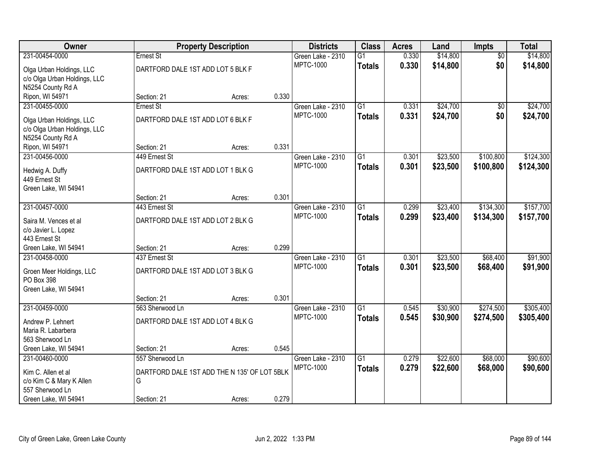| Owner                                        |                                              | <b>Property Description</b> |       | <b>Districts</b>                      | <b>Class</b>    | <b>Acres</b> | Land     | Impts           | <b>Total</b> |
|----------------------------------------------|----------------------------------------------|-----------------------------|-------|---------------------------------------|-----------------|--------------|----------|-----------------|--------------|
| 231-00454-0000                               | Ernest St                                    |                             |       | Green Lake - 2310                     | $\overline{G1}$ | 0.330        | \$14,800 | $\overline{50}$ | \$14,800     |
| Olga Urban Holdings, LLC                     | DARTFORD DALE 1ST ADD LOT 5 BLK F            |                             |       | <b>MPTC-1000</b>                      | <b>Totals</b>   | 0.330        | \$14,800 | \$0             | \$14,800     |
| c/o Olga Urban Holdings, LLC                 |                                              |                             |       |                                       |                 |              |          |                 |              |
| N5254 County Rd A                            |                                              |                             |       |                                       |                 |              |          |                 |              |
| Ripon, WI 54971                              | Section: 21                                  | Acres:                      | 0.330 |                                       |                 |              |          |                 |              |
| 231-00455-0000                               | Ernest St                                    |                             |       | Green Lake - 2310                     | $\overline{G1}$ | 0.331        | \$24,700 | $\overline{50}$ | \$24,700     |
| Olga Urban Holdings, LLC                     | DARTFORD DALE 1ST ADD LOT 6 BLK F            |                             |       | <b>MPTC-1000</b>                      | <b>Totals</b>   | 0.331        | \$24,700 | \$0             | \$24,700     |
| c/o Olga Urban Holdings, LLC                 |                                              |                             |       |                                       |                 |              |          |                 |              |
| N5254 County Rd A                            |                                              |                             |       |                                       |                 |              |          |                 |              |
| Ripon, WI 54971                              | Section: 21                                  | Acres:                      | 0.331 |                                       |                 |              |          |                 |              |
| 231-00456-0000                               | 449 Ernest St                                |                             |       | Green Lake - 2310                     | G1              | 0.301        | \$23,500 | \$100,800       | \$124,300    |
| Hedwig A. Duffy                              | DARTFORD DALE 1ST ADD LOT 1 BLK G            |                             |       | <b>MPTC-1000</b>                      | <b>Totals</b>   | 0.301        | \$23,500 | \$100,800       | \$124,300    |
| 449 Ernest St                                |                                              |                             |       |                                       |                 |              |          |                 |              |
| Green Lake, WI 54941                         |                                              |                             |       |                                       |                 |              |          |                 |              |
|                                              | Section: 21                                  | Acres:                      | 0.301 |                                       |                 |              |          |                 |              |
| 231-00457-0000                               | 443 Ernest St                                |                             |       | Green Lake - 2310                     | G1              | 0.299        | \$23,400 | \$134,300       | \$157,700    |
|                                              |                                              |                             |       | <b>MPTC-1000</b>                      | <b>Totals</b>   | 0.299        | \$23,400 | \$134,300       | \$157,700    |
| Saira M. Vences et al<br>c/o Javier L. Lopez | DARTFORD DALE 1ST ADD LOT 2 BLK G            |                             |       |                                       |                 |              |          |                 |              |
| 443 Ernest St                                |                                              |                             |       |                                       |                 |              |          |                 |              |
| Green Lake, WI 54941                         | Section: 21                                  | Acres:                      | 0.299 |                                       |                 |              |          |                 |              |
| 231-00458-0000                               | 437 Ernest St                                |                             |       | Green Lake - 2310                     | $\overline{G1}$ | 0.301        | \$23,500 | \$68,400        | \$91,900     |
|                                              |                                              |                             |       | <b>MPTC-1000</b>                      | <b>Totals</b>   | 0.301        | \$23,500 | \$68,400        | \$91,900     |
| Groen Meer Holdings, LLC                     | DARTFORD DALE 1ST ADD LOT 3 BLK G            |                             |       |                                       |                 |              |          |                 |              |
| PO Box 398<br>Green Lake, WI 54941           |                                              |                             |       |                                       |                 |              |          |                 |              |
|                                              | Section: 21                                  | Acres:                      | 0.301 |                                       |                 |              |          |                 |              |
| 231-00459-0000                               | 563 Sherwood Ln                              |                             |       | Green Lake - 2310                     | $\overline{G1}$ | 0.545        | \$30,900 | \$274,500       | \$305,400    |
|                                              |                                              |                             |       | <b>MPTC-1000</b>                      | <b>Totals</b>   | 0.545        | \$30,900 | \$274,500       | \$305,400    |
| Andrew P. Lehnert                            | DARTFORD DALE 1ST ADD LOT 4 BLK G            |                             |       |                                       |                 |              |          |                 |              |
| Maria R. Labarbera                           |                                              |                             |       |                                       |                 |              |          |                 |              |
| 563 Sherwood Ln                              |                                              |                             |       |                                       |                 |              |          |                 |              |
| Green Lake, WI 54941                         | Section: 21                                  | Acres:                      | 0.545 |                                       | $\overline{G1}$ | 0.279        |          |                 |              |
| 231-00460-0000                               | 557 Sherwood Ln                              |                             |       | Green Lake - 2310<br><b>MPTC-1000</b> |                 |              | \$22,600 | \$68,000        | \$90,600     |
| Kim C. Allen et al                           | DARTFORD DALE 1ST ADD THE N 135' OF LOT 5BLK |                             |       |                                       | <b>Totals</b>   | 0.279        | \$22,600 | \$68,000        | \$90,600     |
| c/o Kim C & Mary K Allen                     | G                                            |                             |       |                                       |                 |              |          |                 |              |
| 557 Sherwood Ln                              |                                              |                             |       |                                       |                 |              |          |                 |              |
| Green Lake, WI 54941                         | Section: 21                                  | Acres:                      | 0.279 |                                       |                 |              |          |                 |              |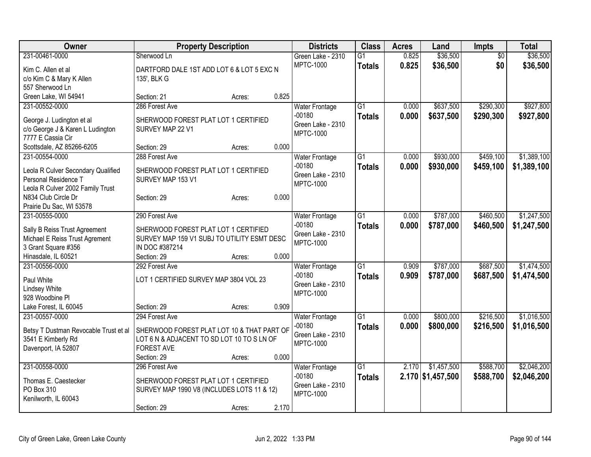| Owner                                                   | <b>Property Description</b>                 |        |       | <b>Districts</b>              | <b>Class</b>    | <b>Acres</b> | Land              | <b>Impts</b>    | <b>Total</b> |
|---------------------------------------------------------|---------------------------------------------|--------|-------|-------------------------------|-----------------|--------------|-------------------|-----------------|--------------|
| 231-00461-0000                                          | Sherwood Ln                                 |        |       | Green Lake - 2310             | $\overline{G1}$ | 0.825        | \$36,500          | $\overline{50}$ | \$36,500     |
| Kim C. Allen et al                                      | DARTFORD DALE 1ST ADD LOT 6 & LOT 5 EXC N   |        |       | <b>MPTC-1000</b>              | <b>Totals</b>   | 0.825        | \$36,500          | \$0             | \$36,500     |
| c/o Kim C & Mary K Allen                                | 135', BLK G                                 |        |       |                               |                 |              |                   |                 |              |
| 557 Sherwood Ln                                         |                                             |        |       |                               |                 |              |                   |                 |              |
| Green Lake, WI 54941                                    | Section: 21                                 | Acres: | 0.825 |                               |                 |              |                   |                 |              |
| 231-00552-0000                                          | 286 Forest Ave                              |        |       | <b>Water Frontage</b>         | $\overline{G1}$ | 0.000        | \$637,500         | \$290,300       | \$927,800    |
| George J. Ludington et al                               | SHERWOOD FOREST PLAT LOT 1 CERTIFIED        |        |       | $-00180$                      | <b>Totals</b>   | 0.000        | \$637,500         | \$290,300       | \$927,800    |
| c/o George J & Karen L Ludington                        | SURVEY MAP 22 V1                            |        |       | Green Lake - 2310             |                 |              |                   |                 |              |
| 7777 E Cassia Cir                                       |                                             |        |       | <b>MPTC-1000</b>              |                 |              |                   |                 |              |
| Scottsdale, AZ 85266-6205                               | Section: 29                                 | Acres: | 0.000 |                               |                 |              |                   |                 |              |
| 231-00554-0000                                          | 288 Forest Ave                              |        |       | <b>Water Frontage</b>         | $\overline{G1}$ | 0.000        | \$930,000         | \$459,100       | \$1,389,100  |
|                                                         |                                             |        |       | $-00180$                      | <b>Totals</b>   | 0.000        | \$930,000         | \$459,100       | \$1,389,100  |
| Leola R Culver Secondary Qualified                      | SHERWOOD FOREST PLAT LOT 1 CERTIFIED        |        |       | Green Lake - 2310             |                 |              |                   |                 |              |
| Personal Residence T                                    | SURVEY MAP 153 V1                           |        |       | <b>MPTC-1000</b>              |                 |              |                   |                 |              |
| Leola R Culver 2002 Family Trust<br>N834 Club Circle Dr | Section: 29                                 | Acres: | 0.000 |                               |                 |              |                   |                 |              |
| Prairie Du Sac, WI 53578                                |                                             |        |       |                               |                 |              |                   |                 |              |
| 231-00555-0000                                          | 290 Forest Ave                              |        |       | Water Frontage                | $\overline{G1}$ | 0.000        | \$787,000         | \$460,500       | \$1,247,500  |
|                                                         |                                             |        |       | $-00180$                      | <b>Totals</b>   | 0.000        | \$787,000         | \$460,500       | \$1,247,500  |
| Sally B Reiss Trust Agreement                           | SHERWOOD FOREST PLAT LOT 1 CERTIFIED        |        |       | Green Lake - 2310             |                 |              |                   |                 |              |
| Michael E Reiss Trust Agrement                          | SURVEY MAP 159 V1 SUBJ TO UTILITY ESMT DESC |        |       | MPTC-1000                     |                 |              |                   |                 |              |
| 3 Grant Square #356                                     | IN DOC #387214                              |        |       |                               |                 |              |                   |                 |              |
| Hinasdale, IL 60521                                     | Section: 29                                 | Acres: | 0.000 |                               |                 |              |                   |                 |              |
| 231-00556-0000                                          | 292 Forest Ave                              |        |       | <b>Water Frontage</b>         | $\overline{G1}$ | 0.909        | \$787,000         | \$687,500       | \$1,474,500  |
| Paul White                                              | LOT 1 CERTIFIED SURVEY MAP 3804 VOL 23      |        |       | $-00180$<br>Green Lake - 2310 | <b>Totals</b>   | 0.909        | \$787,000         | \$687,500       | \$1,474,500  |
| <b>Lindsey White</b>                                    |                                             |        |       | <b>MPTC-1000</b>              |                 |              |                   |                 |              |
| 928 Woodbine PI                                         |                                             |        |       |                               |                 |              |                   |                 |              |
| Lake Forest, IL 60045                                   | Section: 29                                 | Acres: | 0.909 |                               |                 |              |                   |                 |              |
| 231-00557-0000                                          | 294 Forest Ave                              |        |       | <b>Water Frontage</b>         | $\overline{G1}$ | 0.000        | \$800,000         | \$216,500       | \$1,016,500  |
| Betsy T Dustman Revocable Trust et al                   | SHERWOOD FOREST PLAT LOT 10 & THAT PART OF  |        |       | $-00180$                      | <b>Totals</b>   | 0.000        | \$800,000         | \$216,500       | \$1,016,500  |
| 3541 E Kimberly Rd                                      | LOT 6 N & ADJACENT TO SD LOT 10 TO S LN OF  |        |       | Green Lake - 2310             |                 |              |                   |                 |              |
| Davenport, IA 52807                                     | <b>FOREST AVE</b>                           |        |       | <b>MPTC-1000</b>              |                 |              |                   |                 |              |
|                                                         | Section: 29                                 | Acres: | 0.000 |                               |                 |              |                   |                 |              |
| 231-00558-0000                                          | 296 Forest Ave                              |        |       | <b>Water Frontage</b>         | $\overline{G1}$ | 2.170        | \$1,457,500       | \$588,700       | \$2,046,200  |
| Thomas E. Caestecker                                    | SHERWOOD FOREST PLAT LOT 1 CERTIFIED        |        |       | $-00180$                      | <b>Totals</b>   |              | 2.170 \$1,457,500 | \$588,700       | \$2,046,200  |
| PO Box 310                                              | SURVEY MAP 1990 V8 (INCLUDES LOTS 11 & 12)  |        |       | Green Lake - 2310             |                 |              |                   |                 |              |
| Kenilworth, IL 60043                                    |                                             |        |       | <b>MPTC-1000</b>              |                 |              |                   |                 |              |
|                                                         | Section: 29                                 | Acres: | 2.170 |                               |                 |              |                   |                 |              |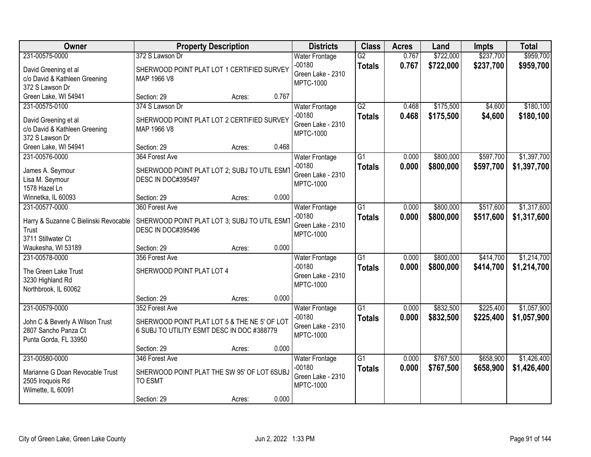| Owner                                                                                              | <b>Property Description</b>                                                                                  |                 | <b>Districts</b>                                                           | <b>Class</b>                     | <b>Acres</b>   | Land                   | <b>Impts</b>           | <b>Total</b>               |
|----------------------------------------------------------------------------------------------------|--------------------------------------------------------------------------------------------------------------|-----------------|----------------------------------------------------------------------------|----------------------------------|----------------|------------------------|------------------------|----------------------------|
| 231-00575-0000                                                                                     | 372 S Lawson Dr                                                                                              |                 | <b>Water Frontage</b>                                                      | $\overline{G2}$                  | 0.767          | \$722,000              | \$237,700              | \$959,700                  |
| David Greening et al<br>c/o David & Kathleen Greening<br>372 S Lawson Dr                           | SHERWOOD POINT PLAT LOT 1 CERTIFIED SURVEY<br>MAP 1966 V8                                                    |                 | $-00180$<br>Green Lake - 2310<br><b>MPTC-1000</b>                          | <b>Totals</b>                    | 0.767          | \$722,000              | \$237,700              | \$959,700                  |
| Green Lake, WI 54941                                                                               | Section: 29                                                                                                  | 0.767<br>Acres: |                                                                            |                                  |                |                        |                        |                            |
| 231-00575-0100<br>David Greening et al<br>c/o David & Kathleen Greening<br>372 S Lawson Dr         | 374 S Lawson Dr<br>SHERWOOD POINT PLAT LOT 2 CERTIFIED SURVEY<br>MAP 1966 V8                                 |                 | <b>Water Frontage</b><br>$-00180$<br>Green Lake - 2310<br><b>MPTC-1000</b> | G2<br><b>Totals</b>              | 0.468<br>0.468 | \$175,500<br>\$175,500 | \$4,600<br>\$4,600     | \$180,100<br>\$180,100     |
| Green Lake, WI 54941                                                                               | Section: 29                                                                                                  | 0.468<br>Acres: |                                                                            |                                  |                |                        |                        |                            |
| 231-00576-0000<br>James A. Seymour<br>Lisa M. Seymour<br>1578 Hazel Ln                             | 364 Forest Ave<br>SHERWOOD POINT PLAT LOT 2; SUBJ TO UTIL ESMT<br>DESC IN DOC#395497                         |                 | <b>Water Frontage</b><br>$-00180$<br>Green Lake - 2310<br><b>MPTC-1000</b> | $\overline{G1}$<br><b>Totals</b> | 0.000<br>0.000 | \$800,000<br>\$800,000 | \$597,700<br>\$597,700 | \$1,397,700<br>\$1,397,700 |
| Winnetka, IL 60093                                                                                 | Section: 29                                                                                                  | 0.000<br>Acres: |                                                                            |                                  |                |                        |                        |                            |
| 231-00577-0000<br>Harry & Suzanne C Bielinski Revocable<br>Trust<br>3711 Stillwater Ct             | 360 Forest Ave<br>SHERWOOD POINT PLAT LOT 3; SUBJ TO UTIL ESMT<br>DESC IN DOC#395496                         |                 | <b>Water Frontage</b><br>$-00180$<br>Green Lake - 2310<br><b>MPTC-1000</b> | $\overline{G1}$<br><b>Totals</b> | 0.000<br>0.000 | \$800,000<br>\$800,000 | \$517,600<br>\$517,600 | \$1,317,600<br>\$1,317,600 |
| Waukesha, WI 53189                                                                                 | Section: 29                                                                                                  | 0.000<br>Acres: |                                                                            |                                  |                |                        |                        |                            |
| 231-00578-0000<br>The Green Lake Trust<br>3230 Highland Rd<br>Northbrook, IL 60062                 | 356 Forest Ave<br>SHERWOOD POINT PLAT LOT 4                                                                  |                 | <b>Water Frontage</b><br>$-00180$<br>Green Lake - 2310<br><b>MPTC-1000</b> | $\overline{G1}$<br><b>Totals</b> | 0.000<br>0.000 | \$800,000<br>\$800,000 | \$414,700<br>\$414,700 | \$1,214,700<br>\$1,214,700 |
|                                                                                                    | Section: 29                                                                                                  | 0.000<br>Acres: |                                                                            |                                  |                |                        |                        |                            |
| 231-00579-0000<br>John C & Beverly A Wilson Trust<br>2807 Sancho Panza Ct<br>Punta Gorda, FL 33950 | 352 Forest Ave<br>SHERWOOD POINT PLAT LOT 5 & THE NE 5' OF LOT<br>6 SUBJ TO UTILITY ESMT DESC IN DOC #388779 |                 | <b>Water Frontage</b><br>$-00180$<br>Green Lake - 2310<br><b>MPTC-1000</b> | $\overline{G1}$<br><b>Totals</b> | 0.000<br>0.000 | \$832,500<br>\$832,500 | \$225,400<br>\$225,400 | \$1,057,900<br>\$1,057,900 |
|                                                                                                    | Section: 29                                                                                                  | 0.000<br>Acres: |                                                                            |                                  |                |                        |                        |                            |
| 231-00580-0000<br>Marianne G Doan Revocable Trust<br>2505 Iroquois Rd<br>Wilmette, IL 60091        | 346 Forest Ave<br>SHERWOOD POINT PLAT THE SW 95' OF LOT 6SUBJ<br><b>TO ESMT</b>                              |                 | <b>Water Frontage</b><br>$-00180$<br>Green Lake - 2310<br><b>MPTC-1000</b> | $\overline{G1}$<br><b>Totals</b> | 0.000<br>0.000 | \$767,500<br>\$767,500 | \$658,900<br>\$658,900 | \$1,426,400<br>\$1,426,400 |
|                                                                                                    | Section: 29                                                                                                  | 0.000<br>Acres: |                                                                            |                                  |                |                        |                        |                            |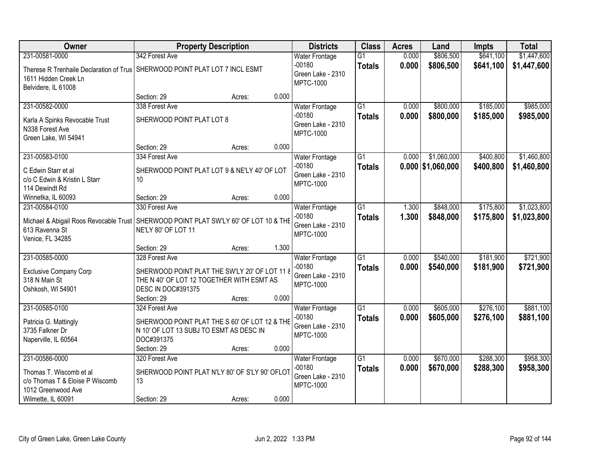| \$806,500<br>\$641,100<br>231-00581-0000<br>342 Forest Ave<br><b>Water Frontage</b><br>G1<br>0.000<br>$-00180$<br>0.000<br>\$806,500<br>\$641,100<br><b>Totals</b><br>Therese R Trenhaile Declaration of Trus SHERWOOD POINT PLAT LOT 7 INCL ESMT<br>Green Lake - 2310<br>1611 Hidden Creek Ln<br><b>MPTC-1000</b><br>Belvidere, IL 61008<br>0.000<br>Section: 29<br>Acres:<br>\$985,000<br>231-00582-0000<br>338 Forest Ave<br>$\overline{G1}$<br>\$800,000<br>\$185,000<br><b>Water Frontage</b><br>0.000<br>$-00180$<br>0.000<br>\$800,000<br>\$185,000<br>\$985,000<br><b>Totals</b><br>SHERWOOD POINT PLAT LOT 8<br>Karla A Spinks Revocable Trust<br>Green Lake - 2310<br>N338 Forest Ave<br><b>MPTC-1000</b><br>Green Lake, WI 54941<br>0.000<br>Section: 29<br>Acres:<br>G1<br>\$1,060,000<br>\$1,460,800<br>231-00583-0100<br>0.000<br>\$400,800<br>334 Forest Ave<br><b>Water Frontage</b><br>$-00180$<br>$0.000$ \$1,060,000<br>\$400,800<br>\$1,460,800<br><b>Totals</b><br>C Edwin Starr et al<br>SHERWOOD POINT PLAT LOT 9 & NE'LY 40' OF LOT<br>Green Lake - 2310 | Owner                         | <b>Property Description</b> | <b>Districts</b> | <b>Class</b> | <b>Acres</b> | Land | <b>Impts</b> | <b>Total</b> |
|----------------------------------------------------------------------------------------------------------------------------------------------------------------------------------------------------------------------------------------------------------------------------------------------------------------------------------------------------------------------------------------------------------------------------------------------------------------------------------------------------------------------------------------------------------------------------------------------------------------------------------------------------------------------------------------------------------------------------------------------------------------------------------------------------------------------------------------------------------------------------------------------------------------------------------------------------------------------------------------------------------------------------------------------------------------------------------|-------------------------------|-----------------------------|------------------|--------------|--------------|------|--------------|--------------|
|                                                                                                                                                                                                                                                                                                                                                                                                                                                                                                                                                                                                                                                                                                                                                                                                                                                                                                                                                                                                                                                                                  |                               |                             |                  |              |              |      |              | \$1,447,600  |
|                                                                                                                                                                                                                                                                                                                                                                                                                                                                                                                                                                                                                                                                                                                                                                                                                                                                                                                                                                                                                                                                                  |                               |                             |                  |              |              |      |              | \$1,447,600  |
|                                                                                                                                                                                                                                                                                                                                                                                                                                                                                                                                                                                                                                                                                                                                                                                                                                                                                                                                                                                                                                                                                  |                               |                             |                  |              |              |      |              |              |
|                                                                                                                                                                                                                                                                                                                                                                                                                                                                                                                                                                                                                                                                                                                                                                                                                                                                                                                                                                                                                                                                                  |                               |                             |                  |              |              |      |              |              |
|                                                                                                                                                                                                                                                                                                                                                                                                                                                                                                                                                                                                                                                                                                                                                                                                                                                                                                                                                                                                                                                                                  |                               |                             |                  |              |              |      |              |              |
|                                                                                                                                                                                                                                                                                                                                                                                                                                                                                                                                                                                                                                                                                                                                                                                                                                                                                                                                                                                                                                                                                  |                               |                             |                  |              |              |      |              |              |
|                                                                                                                                                                                                                                                                                                                                                                                                                                                                                                                                                                                                                                                                                                                                                                                                                                                                                                                                                                                                                                                                                  |                               |                             |                  |              |              |      |              |              |
|                                                                                                                                                                                                                                                                                                                                                                                                                                                                                                                                                                                                                                                                                                                                                                                                                                                                                                                                                                                                                                                                                  |                               |                             |                  |              |              |      |              |              |
|                                                                                                                                                                                                                                                                                                                                                                                                                                                                                                                                                                                                                                                                                                                                                                                                                                                                                                                                                                                                                                                                                  |                               |                             |                  |              |              |      |              |              |
|                                                                                                                                                                                                                                                                                                                                                                                                                                                                                                                                                                                                                                                                                                                                                                                                                                                                                                                                                                                                                                                                                  |                               |                             |                  |              |              |      |              |              |
|                                                                                                                                                                                                                                                                                                                                                                                                                                                                                                                                                                                                                                                                                                                                                                                                                                                                                                                                                                                                                                                                                  |                               |                             |                  |              |              |      |              |              |
|                                                                                                                                                                                                                                                                                                                                                                                                                                                                                                                                                                                                                                                                                                                                                                                                                                                                                                                                                                                                                                                                                  |                               |                             |                  |              |              |      |              |              |
| <b>MPTC-1000</b>                                                                                                                                                                                                                                                                                                                                                                                                                                                                                                                                                                                                                                                                                                                                                                                                                                                                                                                                                                                                                                                                 | c/o C Edwin & Kristin L Starr | 10 <sup>°</sup>             |                  |              |              |      |              |              |
| 114 Dewindt Rd                                                                                                                                                                                                                                                                                                                                                                                                                                                                                                                                                                                                                                                                                                                                                                                                                                                                                                                                                                                                                                                                   |                               |                             |                  |              |              |      |              |              |
| 0.000<br>Winnetka, IL 60093<br>Section: 29<br>Acres:                                                                                                                                                                                                                                                                                                                                                                                                                                                                                                                                                                                                                                                                                                                                                                                                                                                                                                                                                                                                                             |                               |                             |                  |              |              |      |              |              |
| $\overline{G1}$<br>\$848,000<br>\$175,800<br>231-00584-0100<br>330 Forest Ave<br>1.300<br><b>Water Frontage</b><br>$-00180$                                                                                                                                                                                                                                                                                                                                                                                                                                                                                                                                                                                                                                                                                                                                                                                                                                                                                                                                                      |                               |                             |                  |              |              |      |              | \$1,023,800  |
| 1.300<br>\$848,000<br>\$175,800<br><b>Totals</b><br>SHERWOOD POINT PLAT SW'LY 60' OF LOT 10 & THE<br>Michael & Abigail Roos Revocable Trust<br>Green Lake - 2310                                                                                                                                                                                                                                                                                                                                                                                                                                                                                                                                                                                                                                                                                                                                                                                                                                                                                                                 |                               |                             |                  |              |              |      |              | \$1,023,800  |
| NE'LY 80' OF LOT 11<br>613 Ravenna St<br><b>MPTC-1000</b>                                                                                                                                                                                                                                                                                                                                                                                                                                                                                                                                                                                                                                                                                                                                                                                                                                                                                                                                                                                                                        |                               |                             |                  |              |              |      |              |              |
| Venice, FL 34285                                                                                                                                                                                                                                                                                                                                                                                                                                                                                                                                                                                                                                                                                                                                                                                                                                                                                                                                                                                                                                                                 |                               |                             |                  |              |              |      |              |              |
| 1.300<br>Section: 29<br>Acres:<br>231-00585-0000<br>$\overline{G1}$<br>\$540,000<br>\$181,900<br>328 Forest Ave<br>0.000                                                                                                                                                                                                                                                                                                                                                                                                                                                                                                                                                                                                                                                                                                                                                                                                                                                                                                                                                         |                               |                             |                  |              |              |      |              | \$721,900    |
| <b>Water Frontage</b><br>$-00180$<br>0.000<br>\$540,000<br>\$181,900                                                                                                                                                                                                                                                                                                                                                                                                                                                                                                                                                                                                                                                                                                                                                                                                                                                                                                                                                                                                             |                               |                             |                  |              |              |      |              | \$721,900    |
| <b>Totals</b><br><b>Exclusive Company Corp</b><br>SHERWOOD POINT PLAT THE SW'LY 20' OF LOT 11 8<br>Green Lake - 2310                                                                                                                                                                                                                                                                                                                                                                                                                                                                                                                                                                                                                                                                                                                                                                                                                                                                                                                                                             |                               |                             |                  |              |              |      |              |              |
| 318 N Main St<br>THE N 40' OF LOT 12 TOGETHER WITH ESMT AS<br><b>MPTC-1000</b>                                                                                                                                                                                                                                                                                                                                                                                                                                                                                                                                                                                                                                                                                                                                                                                                                                                                                                                                                                                                   |                               |                             |                  |              |              |      |              |              |
| Oshkosh, WI 54901<br><b>DESC IN DOC#391375</b><br>0.000                                                                                                                                                                                                                                                                                                                                                                                                                                                                                                                                                                                                                                                                                                                                                                                                                                                                                                                                                                                                                          |                               |                             |                  |              |              |      |              |              |
| Section: 29<br>Acres:<br>231-00585-0100<br>G1<br>\$276,100<br><b>Water Frontage</b><br>0.000<br>\$605,000<br>324 Forest Ave                                                                                                                                                                                                                                                                                                                                                                                                                                                                                                                                                                                                                                                                                                                                                                                                                                                                                                                                                      |                               |                             |                  |              |              |      |              | \$881,100    |
| $-00180$<br>0.000<br>\$276,100<br>\$605,000<br><b>Totals</b>                                                                                                                                                                                                                                                                                                                                                                                                                                                                                                                                                                                                                                                                                                                                                                                                                                                                                                                                                                                                                     |                               |                             |                  |              |              |      |              | \$881,100    |
| Patricia G. Mattingly<br>SHERWOOD POINT PLAT THE S 60' OF LOT 12 & THE<br>Green Lake - 2310                                                                                                                                                                                                                                                                                                                                                                                                                                                                                                                                                                                                                                                                                                                                                                                                                                                                                                                                                                                      |                               |                             |                  |              |              |      |              |              |
| 3735 Falkner Dr<br>N 10' OF LOT 13 SUBJ TO ESMT AS DESC IN<br><b>MPTC-1000</b>                                                                                                                                                                                                                                                                                                                                                                                                                                                                                                                                                                                                                                                                                                                                                                                                                                                                                                                                                                                                   |                               |                             |                  |              |              |      |              |              |
| DOC#391375<br>Naperville, IL 60564<br>Section: 29<br>0.000                                                                                                                                                                                                                                                                                                                                                                                                                                                                                                                                                                                                                                                                                                                                                                                                                                                                                                                                                                                                                       |                               |                             |                  |              |              |      |              |              |
| Acres:<br>\$288,300<br>231-00586-0000<br>$\overline{G1}$<br>0.000<br>\$670,000<br>320 Forest Ave<br><b>Water Frontage</b>                                                                                                                                                                                                                                                                                                                                                                                                                                                                                                                                                                                                                                                                                                                                                                                                                                                                                                                                                        |                               |                             |                  |              |              |      |              | \$958,300    |
| $-00180$<br>0.000<br>\$670,000<br>\$288,300<br><b>Totals</b>                                                                                                                                                                                                                                                                                                                                                                                                                                                                                                                                                                                                                                                                                                                                                                                                                                                                                                                                                                                                                     |                               |                             |                  |              |              |      |              | \$958,300    |
| Thomas T. Wiscomb et al<br>SHERWOOD POINT PLAT N'LY 80' OF S'LY 90' OFLOT<br>Green Lake - 2310                                                                                                                                                                                                                                                                                                                                                                                                                                                                                                                                                                                                                                                                                                                                                                                                                                                                                                                                                                                   |                               |                             |                  |              |              |      |              |              |
| c/o Thomas T & Eloise P Wiscomb<br>13<br><b>MPTC-1000</b><br>1012 Greenwood Ave                                                                                                                                                                                                                                                                                                                                                                                                                                                                                                                                                                                                                                                                                                                                                                                                                                                                                                                                                                                                  |                               |                             |                  |              |              |      |              |              |
| 0.000<br>Wilmette, IL 60091<br>Section: 29<br>Acres:                                                                                                                                                                                                                                                                                                                                                                                                                                                                                                                                                                                                                                                                                                                                                                                                                                                                                                                                                                                                                             |                               |                             |                  |              |              |      |              |              |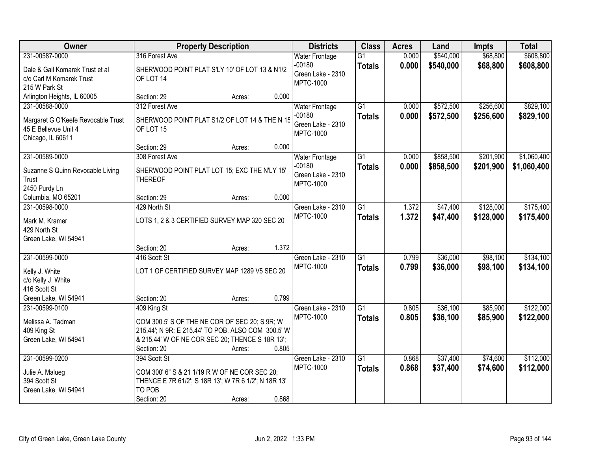| Owner                              |                                                      | <b>Property Description</b> |       | <b>Districts</b>                      | <b>Class</b>    | <b>Acres</b> | Land      | <b>Impts</b> | <b>Total</b> |
|------------------------------------|------------------------------------------------------|-----------------------------|-------|---------------------------------------|-----------------|--------------|-----------|--------------|--------------|
| 231-00587-0000                     | 316 Forest Ave                                       |                             |       | <b>Water Frontage</b>                 | $\overline{G1}$ | 0.000        | \$540,000 | \$68,800     | \$608,800    |
| Dale & Gail Komarek Trust et al    | SHERWOOD POINT PLAT S'LY 10' OF LOT 13 & N1/2        |                             |       | $-00180$                              | <b>Totals</b>   | 0.000        | \$540,000 | \$68,800     | \$608,800    |
| c/o Carl M Komarek Trust           | OF LOT 14                                            |                             |       | Green Lake - 2310                     |                 |              |           |              |              |
| 215 W Park St                      |                                                      |                             |       | <b>MPTC-1000</b>                      |                 |              |           |              |              |
| Arlington Heights, IL 60005        | Section: 29                                          | Acres:                      | 0.000 |                                       |                 |              |           |              |              |
| 231-00588-0000                     | 312 Forest Ave                                       |                             |       | <b>Water Frontage</b>                 | $\overline{G1}$ | 0.000        | \$572,500 | \$256,600    | \$829,100    |
| Margaret G O'Keefe Revocable Trust | SHERWOOD POINT PLAT S1/2 OF LOT 14 & THE N 15        |                             |       | $-00180$                              | <b>Totals</b>   | 0.000        | \$572,500 | \$256,600    | \$829,100    |
| 45 E Bellevue Unit 4               | OF LOT 15                                            |                             |       | Green Lake - 2310<br><b>MPTC-1000</b> |                 |              |           |              |              |
| Chicago, IL 60611                  |                                                      |                             |       |                                       |                 |              |           |              |              |
|                                    | Section: 29                                          | Acres:                      | 0.000 |                                       |                 |              |           |              |              |
| 231-00589-0000                     | 308 Forest Ave                                       |                             |       | <b>Water Frontage</b>                 | $\overline{G1}$ | 0.000        | \$858,500 | \$201,900    | \$1,060,400  |
| Suzanne S Quinn Revocable Living   | SHERWOOD POINT PLAT LOT 15; EXC THE N'LY 15'         |                             |       | $-00180$                              | <b>Totals</b>   | 0.000        | \$858,500 | \$201,900    | \$1,060,400  |
| Trust                              | <b>THEREOF</b>                                       |                             |       | Green Lake - 2310                     |                 |              |           |              |              |
| 2450 Purdy Ln                      |                                                      |                             |       | <b>MPTC-1000</b>                      |                 |              |           |              |              |
| Columbia, MO 65201                 | Section: 29                                          | Acres:                      | 0.000 |                                       |                 |              |           |              |              |
| 231-00598-0000                     | 429 North St                                         |                             |       | Green Lake - 2310                     | G1              | 1.372        | \$47,400  | \$128,000    | \$175,400    |
| Mark M. Kramer                     | LOTS 1, 2 & 3 CERTIFIED SURVEY MAP 320 SEC 20        |                             |       | <b>MPTC-1000</b>                      | <b>Totals</b>   | 1.372        | \$47,400  | \$128,000    | \$175,400    |
| 429 North St                       |                                                      |                             |       |                                       |                 |              |           |              |              |
| Green Lake, WI 54941               |                                                      |                             |       |                                       |                 |              |           |              |              |
|                                    | Section: 20                                          | Acres:                      | 1.372 |                                       |                 |              |           |              |              |
| 231-00599-0000                     | 416 Scott St                                         |                             |       | Green Lake - 2310                     | $\overline{G1}$ | 0.799        | \$36,000  | \$98,100     | \$134,100    |
| Kelly J. White                     | LOT 1 OF CERTIFIED SURVEY MAP 1289 V5 SEC 20         |                             |       | <b>MPTC-1000</b>                      | <b>Totals</b>   | 0.799        | \$36,000  | \$98,100     | \$134,100    |
| c/o Kelly J. White                 |                                                      |                             |       |                                       |                 |              |           |              |              |
| 416 Scott St                       |                                                      |                             |       |                                       |                 |              |           |              |              |
| Green Lake, WI 54941               | Section: 20                                          | Acres:                      | 0.799 |                                       |                 |              |           |              |              |
| 231-00599-0100                     | 409 King St                                          |                             |       | Green Lake - 2310                     | G1              | 0.805        | \$36,100  | \$85,900     | \$122,000    |
| Melissa A. Tadman                  | COM 300.5' S OF THE NE COR OF SEC 20; S 9R; W        |                             |       | <b>MPTC-1000</b>                      | <b>Totals</b>   | 0.805        | \$36,100  | \$85,900     | \$122,000    |
| 409 King St                        | 215.44'; N 9R; E 215.44' TO POB. ALSO COM 300.5' W   |                             |       |                                       |                 |              |           |              |              |
| Green Lake, WI 54941               | & 215.44' W OF NE COR SEC 20; THENCE S 18R 13';      |                             |       |                                       |                 |              |           |              |              |
|                                    | Section: 20                                          | Acres:                      | 0.805 |                                       |                 |              |           |              |              |
| 231-00599-0200                     | 394 Scott St                                         |                             |       | Green Lake - 2310                     | $\overline{G1}$ | 0.868        | \$37,400  | \$74,600     | \$112,000    |
| Julie A. Malueg                    | COM 300' 6" S & 21 1/19 R W OF NE COR SEC 20;        |                             |       | <b>MPTC-1000</b>                      | <b>Totals</b>   | 0.868        | \$37,400  | \$74,600     | \$112,000    |
| 394 Scott St                       | THENCE E 7R 61/2'; S 18R 13'; W 7R 6 1/2'; N 18R 13' |                             |       |                                       |                 |              |           |              |              |
| Green Lake, WI 54941               | TO POB                                               |                             |       |                                       |                 |              |           |              |              |
|                                    | Section: 20                                          | Acres:                      | 0.868 |                                       |                 |              |           |              |              |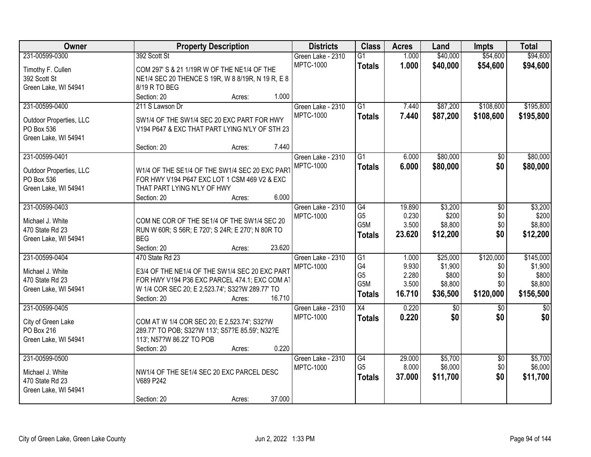| <b>Owner</b>                          | <b>Property Description</b>                                                                  | <b>Districts</b>  | <b>Class</b>    | <b>Acres</b> | Land     | <b>Impts</b>    | <b>Total</b>  |
|---------------------------------------|----------------------------------------------------------------------------------------------|-------------------|-----------------|--------------|----------|-----------------|---------------|
| 231-00599-0300                        | 392 Scott St                                                                                 | Green Lake - 2310 | $\overline{G1}$ | 1.000        | \$40,000 | \$54,600        | \$94,600      |
| Timothy F. Cullen                     | COM 297' S & 21 1/19R W OF THE NE1/4 OF THE                                                  | <b>MPTC-1000</b>  | <b>Totals</b>   | 1.000        | \$40,000 | \$54,600        | \$94,600      |
| 392 Scott St                          | NE1/4 SEC 20 THENCE S 19R, W 8 8/19R, N 19 R, E 8                                            |                   |                 |              |          |                 |               |
| Green Lake, WI 54941                  | 8/19 R TO BEG                                                                                |                   |                 |              |          |                 |               |
|                                       | 1.000<br>Section: 20<br>Acres:                                                               |                   |                 |              |          |                 |               |
| 231-00599-0400                        | 211 S Lawson Dr                                                                              | Green Lake - 2310 | $\overline{G1}$ | 7.440        | \$87,200 | \$108,600       | \$195,800     |
|                                       |                                                                                              | <b>MPTC-1000</b>  | <b>Totals</b>   | 7.440        | \$87,200 | \$108,600       | \$195,800     |
| Outdoor Properties, LLC<br>PO Box 536 | SW1/4 OF THE SW1/4 SEC 20 EXC PART FOR HWY<br>V194 P647 & EXC THAT PART LYING N'LY OF STH 23 |                   |                 |              |          |                 |               |
| Green Lake, WI 54941                  |                                                                                              |                   |                 |              |          |                 |               |
|                                       | 7.440<br>Section: 20<br>Acres:                                                               |                   |                 |              |          |                 |               |
| 231-00599-0401                        |                                                                                              | Green Lake - 2310 | $\overline{G1}$ | 6.000        | \$80,000 | \$0             | \$80,000      |
|                                       |                                                                                              | <b>MPTC-1000</b>  | <b>Totals</b>   | 6.000        | \$80,000 | \$0             | \$80,000      |
| Outdoor Properties, LLC               | W1/4 OF THE SE1/4 OF THE SW1/4 SEC 20 EXC PART                                               |                   |                 |              |          |                 |               |
| PO Box 536                            | FOR HWY V194 P647 EXC LOT 1 CSM 469 V2 & EXC                                                 |                   |                 |              |          |                 |               |
| Green Lake, WI 54941                  | THAT PART LYING N'LY OF HWY                                                                  |                   |                 |              |          |                 |               |
|                                       | 6.000<br>Section: 20<br>Acres:                                                               |                   |                 |              |          |                 |               |
| 231-00599-0403                        |                                                                                              | Green Lake - 2310 | G4              | 19.890       | \$3,200  | \$0             | \$3,200       |
| Michael J. White                      | COM NE COR OF THE SE1/4 OF THE SW1/4 SEC 20                                                  | <b>MPTC-1000</b>  | G <sub>5</sub>  | 0.230        | \$200    | \$0             | \$200         |
| 470 State Rd 23                       | RUN W 60R; S 56R; E 720'; S 24R; E 270'; N 80R TO                                            |                   | G5M             | 3.500        | \$8,800  | \$0             | \$8,800       |
| Green Lake, WI 54941                  | <b>BEG</b>                                                                                   |                   | <b>Totals</b>   | 23.620       | \$12,200 | \$0             | \$12,200      |
|                                       | 23.620<br>Section: 20<br>Acres:                                                              |                   |                 |              |          |                 |               |
| 231-00599-0404                        | 470 State Rd 23                                                                              | Green Lake - 2310 | $\overline{G1}$ | 1.000        | \$25,000 | \$120,000       | \$145,000     |
| Michael J. White                      | E3/4 OF THE NE1/4 OF THE SW1/4 SEC 20 EXC PART                                               | <b>MPTC-1000</b>  | G <sub>4</sub>  | 9.930        | \$1,900  | \$0             | \$1,900       |
| 470 State Rd 23                       | FOR HWY V194 P36 EXC PARCEL 474.1; EXC COM AT                                                |                   | G <sub>5</sub>  | 2.280        | \$800    | \$0             | \$800         |
| Green Lake, WI 54941                  | W 1/4 COR SEC 20; E 2,523.74'; S32?W 289.77' TO                                              |                   | G5M             | 3.500        | \$8,800  | \$0             | \$8,800       |
|                                       | 16.710<br>Section: 20<br>Acres:                                                              |                   | <b>Totals</b>   | 16.710       | \$36,500 | \$120,000       | \$156,500     |
| 231-00599-0405                        |                                                                                              | Green Lake - 2310 | $\overline{X4}$ | 0.220        | \$0      | \$0             | $\frac{1}{2}$ |
|                                       |                                                                                              | <b>MPTC-1000</b>  | <b>Totals</b>   | 0.220        | \$0      | \$0             | \$0           |
| City of Green Lake<br>PO Box 216      | COM AT W 1/4 COR SEC 20; E 2,523.74'; S32?W                                                  |                   |                 |              |          |                 |               |
| Green Lake, WI 54941                  | 289.77' TO POB; S32?W 113'; S57?E 85.59'; N32?E<br>113'; N57?W 86.22' TO POB                 |                   |                 |              |          |                 |               |
|                                       | 0.220<br>Section: 20                                                                         |                   |                 |              |          |                 |               |
| 231-00599-0500                        | Acres:                                                                                       | Green Lake - 2310 | G4              | 29.000       | \$5,700  | $\overline{30}$ | \$5,700       |
|                                       |                                                                                              | <b>MPTC-1000</b>  | G <sub>5</sub>  | 8.000        | \$6,000  | \$0             | \$6,000       |
| Michael J. White                      | NW1/4 OF THE SE1/4 SEC 20 EXC PARCEL DESC                                                    |                   | <b>Totals</b>   | 37,000       | \$11,700 | \$0             | \$11,700      |
| 470 State Rd 23                       | V689 P242                                                                                    |                   |                 |              |          |                 |               |
| Green Lake, WI 54941                  |                                                                                              |                   |                 |              |          |                 |               |
|                                       | 37.000<br>Section: 20<br>Acres:                                                              |                   |                 |              |          |                 |               |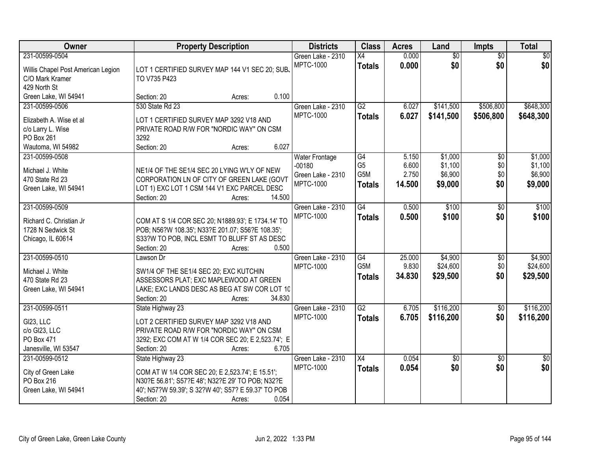| Owner                                                                                             | <b>Property Description</b>                                                                                                                                                                                      | <b>Districts</b>                                                           | <b>Class</b>                                              | <b>Acres</b>                      | Land                                     | Impts                                | <b>Total</b>                             |
|---------------------------------------------------------------------------------------------------|------------------------------------------------------------------------------------------------------------------------------------------------------------------------------------------------------------------|----------------------------------------------------------------------------|-----------------------------------------------------------|-----------------------------------|------------------------------------------|--------------------------------------|------------------------------------------|
| 231-00599-0504<br>Willis Chapel Post American Legion<br>C/O Mark Kramer<br>429 North St           | LOT 1 CERTIFIED SURVEY MAP 144 V1 SEC 20; SUB.<br>TO V735 P423                                                                                                                                                   | Green Lake - 2310<br><b>MPTC-1000</b>                                      | X4<br><b>Totals</b>                                       | 0.000<br>0.000                    | \$0<br>\$0                               | $\overline{50}$<br>\$0               | $\overline{50}$<br>\$0                   |
| Green Lake, WI 54941                                                                              | 0.100<br>Section: 20<br>Acres:                                                                                                                                                                                   |                                                                            |                                                           |                                   |                                          |                                      |                                          |
| 231-00599-0506<br>Elizabeth A. Wise et al<br>c/o Larry L. Wise<br>PO Box 261<br>Wautoma, WI 54982 | 530 State Rd 23<br>LOT 1 CERTIFIED SURVEY MAP 3292 V18 AND<br>PRIVATE ROAD R/W FOR "NORDIC WAY" ON CSM<br>3292<br>6.027<br>Section: 20<br>Acres:                                                                 | Green Lake - 2310<br><b>MPTC-1000</b>                                      | G2<br><b>Totals</b>                                       | 6.027<br>6.027                    | \$141,500<br>\$141,500                   | \$506,800<br>\$506,800               | \$648,300<br>\$648,300                   |
| 231-00599-0508<br>Michael J. White<br>470 State Rd 23<br>Green Lake, WI 54941                     | NE1/4 OF THE SE1/4 SEC 20 LYING W'LY OF NEW<br>CORPORATION LN OF CITY OF GREEN LAKE (GOVT<br>LOT 1) EXC LOT 1 CSM 144 V1 EXC PARCEL DESC<br>Section: 20<br>14.500<br>Acres:                                      | <b>Water Frontage</b><br>$-00180$<br>Green Lake - 2310<br><b>MPTC-1000</b> | $\overline{G4}$<br>G <sub>5</sub><br>G5M<br><b>Totals</b> | 5.150<br>6.600<br>2.750<br>14.500 | \$1,000<br>\$1,100<br>\$6,900<br>\$9,000 | $\overline{50}$<br>\$0<br>\$0<br>\$0 | \$1,000<br>\$1,100<br>\$6,900<br>\$9,000 |
| 231-00599-0509<br>Richard C. Christian Jr<br>1728 N Sedwick St<br>Chicago, IL 60614               | COM AT S 1/4 COR SEC 20; N1889.93'; E 1734.14' TO<br>POB; N56?W 108.35'; N33?E 201.07; S56?E 108.35';<br>S33?W TO POB, INCL ESMT TO BLUFF ST AS DESC<br>0.500<br>Section: 20<br>Acres:                           | Green Lake - 2310<br><b>MPTC-1000</b>                                      | $\overline{G4}$<br><b>Totals</b>                          | 0.500<br>0.500                    | \$100<br>\$100                           | $\overline{50}$<br>\$0               | \$100<br>\$100                           |
| 231-00599-0510<br>Michael J. White<br>470 State Rd 23<br>Green Lake, WI 54941                     | Lawson Dr<br>SW1/4 OF THE SE1/4 SEC 20; EXC KUTCHIN<br>ASSESSORS PLAT; EXC MAPLEWOOD AT GREEN<br>LAKE; EXC LANDS DESC AS BEG AT SW COR LOT 10<br>34.830<br>Section: 20<br>Acres:                                 | Green Lake - 2310<br><b>MPTC-1000</b>                                      | $\overline{G4}$<br>G <sub>5</sub> M<br><b>Totals</b>      | 25.000<br>9.830<br>34.830         | \$4,900<br>\$24,600<br>\$29,500          | \$0<br>\$0<br>\$0                    | \$4,900<br>\$24,600<br>\$29,500          |
| 231-00599-0511<br>GI23, LLC<br>c/o GI23, LLC<br>PO Box 471<br>Janesville, WI 53547                | State Highway 23<br>LOT 2 CERTIFIED SURVEY MAP 3292 V18 AND<br>PRIVATE ROAD R/W FOR "NORDIC WAY" ON CSM<br>3292; EXC COM AT W 1/4 COR SEC 20; E 2,523.74'; E<br>Section: 20<br>6.705<br>Acres:                   | Green Lake - 2310<br><b>MPTC-1000</b>                                      | $\overline{G2}$<br><b>Totals</b>                          | 6.705<br>6.705                    | \$116,200<br>\$116,200                   | $\overline{50}$<br>\$0               | \$116,200<br>\$116,200                   |
| 231-00599-0512<br>City of Green Lake<br>PO Box 216<br>Green Lake, WI 54941                        | State Highway 23<br>COM AT W 1/4 COR SEC 20; E 2,523.74'; E 15.51';<br>N30?E 56.81'; S57?E 48'; N32?E 29' TO POB; N32?E<br>40'; N57?W 59.39'; S 32?W 40'; S57? E 59.37' TO POB<br>0.054<br>Section: 20<br>Acres: | Green Lake - 2310<br><b>MPTC-1000</b>                                      | $\overline{X4}$<br><b>Totals</b>                          | 0.054<br>0.054                    | \$0<br>\$0                               | $\overline{50}$<br>\$0               | $\overline{50}$<br>\$0                   |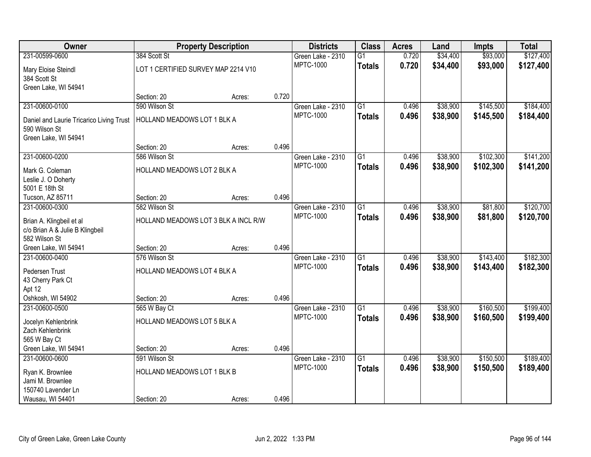| Owner                                    |                                      | <b>Property Description</b> |       | <b>Districts</b>  | <b>Class</b>    | <b>Acres</b> | Land     | <b>Impts</b> | <b>Total</b> |
|------------------------------------------|--------------------------------------|-----------------------------|-------|-------------------|-----------------|--------------|----------|--------------|--------------|
| 231-00599-0600                           | 384 Scott St                         |                             |       | Green Lake - 2310 | $\overline{G1}$ | 0.720        | \$34,400 | \$93,000     | \$127,400    |
| Mary Eloise Steindl                      | LOT 1 CERTIFIED SURVEY MAP 2214 V10  |                             |       | <b>MPTC-1000</b>  | <b>Totals</b>   | 0.720        | \$34,400 | \$93,000     | \$127,400    |
| 384 Scott St                             |                                      |                             |       |                   |                 |              |          |              |              |
| Green Lake, WI 54941                     |                                      |                             |       |                   |                 |              |          |              |              |
|                                          | Section: 20                          | Acres:                      | 0.720 |                   |                 |              |          |              |              |
| 231-00600-0100                           | 590 Wilson St                        |                             |       | Green Lake - 2310 | $\overline{G1}$ | 0.496        | \$38,900 | \$145,500    | \$184,400    |
| Daniel and Laurie Tricarico Living Trust | HOLLAND MEADOWS LOT 1 BLK A          |                             |       | <b>MPTC-1000</b>  | <b>Totals</b>   | 0.496        | \$38,900 | \$145,500    | \$184,400    |
| 590 Wilson St                            |                                      |                             |       |                   |                 |              |          |              |              |
| Green Lake, WI 54941                     |                                      |                             |       |                   |                 |              |          |              |              |
|                                          | Section: 20                          | Acres:                      | 0.496 |                   |                 |              |          |              |              |
| 231-00600-0200                           | 586 Wilson St                        |                             |       | Green Lake - 2310 | $\overline{G1}$ | 0.496        | \$38,900 | \$102,300    | \$141,200    |
| Mark G. Coleman                          | HOLLAND MEADOWS LOT 2 BLK A          |                             |       | <b>MPTC-1000</b>  | <b>Totals</b>   | 0.496        | \$38,900 | \$102,300    | \$141,200    |
| Leslie J. O Doherty                      |                                      |                             |       |                   |                 |              |          |              |              |
| 5001 E 18th St                           |                                      |                             |       |                   |                 |              |          |              |              |
| Tucson, AZ 85711                         | Section: 20                          | Acres:                      | 0.496 |                   |                 |              |          |              |              |
| 231-00600-0300                           | 582 Wilson St                        |                             |       | Green Lake - 2310 | $\overline{G1}$ | 0.496        | \$38,900 | \$81,800     | \$120,700    |
| Brian A. Klingbeil et al                 | HOLLAND MEADOWS LOT 3 BLK A INCL R/W |                             |       | <b>MPTC-1000</b>  | <b>Totals</b>   | 0.496        | \$38,900 | \$81,800     | \$120,700    |
| c/o Brian A & Julie B Klingbeil          |                                      |                             |       |                   |                 |              |          |              |              |
| 582 Wilson St                            |                                      |                             |       |                   |                 |              |          |              |              |
| Green Lake, WI 54941                     | Section: 20                          | Acres:                      | 0.496 |                   |                 |              |          |              |              |
| 231-00600-0400                           | 576 Wilson St                        |                             |       | Green Lake - 2310 | $\overline{G1}$ | 0.496        | \$38,900 | \$143,400    | \$182,300    |
| Pedersen Trust                           | HOLLAND MEADOWS LOT 4 BLK A          |                             |       | <b>MPTC-1000</b>  | <b>Totals</b>   | 0.496        | \$38,900 | \$143,400    | \$182,300    |
| 43 Cherry Park Ct                        |                                      |                             |       |                   |                 |              |          |              |              |
| Apt 12                                   |                                      |                             |       |                   |                 |              |          |              |              |
| Oshkosh, WI 54902                        | Section: 20                          | Acres:                      | 0.496 |                   |                 |              |          |              |              |
| 231-00600-0500                           | 565 W Bay Ct                         |                             |       | Green Lake - 2310 | $\overline{G1}$ | 0.496        | \$38,900 | \$160,500    | \$199,400    |
| Jocelyn Kehlenbrink                      | HOLLAND MEADOWS LOT 5 BLK A          |                             |       | <b>MPTC-1000</b>  | <b>Totals</b>   | 0.496        | \$38,900 | \$160,500    | \$199,400    |
| Zach Kehlenbrink                         |                                      |                             |       |                   |                 |              |          |              |              |
| 565 W Bay Ct                             |                                      |                             |       |                   |                 |              |          |              |              |
| Green Lake, WI 54941                     | Section: 20                          | Acres:                      | 0.496 |                   |                 |              |          |              |              |
| 231-00600-0600                           | 591 Wilson St                        |                             |       | Green Lake - 2310 | $\overline{G1}$ | 0.496        | \$38,900 | \$150,500    | \$189,400    |
| Ryan K. Brownlee                         | HOLLAND MEADOWS LOT 1 BLK B          |                             |       | <b>MPTC-1000</b>  | <b>Totals</b>   | 0.496        | \$38,900 | \$150,500    | \$189,400    |
| Jami M. Brownlee                         |                                      |                             |       |                   |                 |              |          |              |              |
| 150740 Lavender Ln                       |                                      |                             |       |                   |                 |              |          |              |              |
| Wausau, WI 54401                         | Section: 20                          | Acres:                      | 0.496 |                   |                 |              |          |              |              |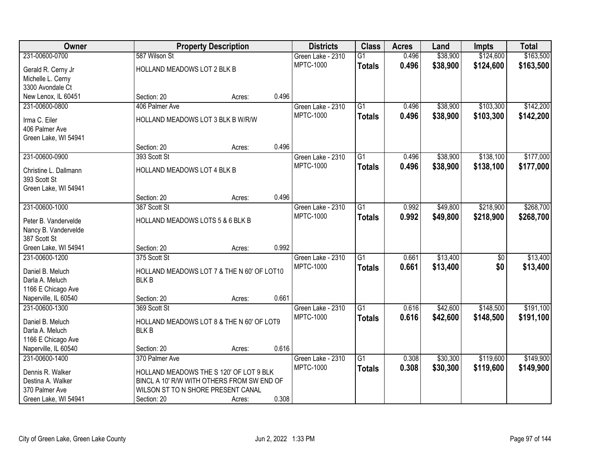| Owner                                 |                                    | <b>Property Description</b>                |       | <b>Districts</b>  | <b>Class</b>    | <b>Acres</b> | Land     | <b>Impts</b> | <b>Total</b> |
|---------------------------------------|------------------------------------|--------------------------------------------|-------|-------------------|-----------------|--------------|----------|--------------|--------------|
| 231-00600-0700                        | 587 Wilson St                      |                                            |       | Green Lake - 2310 | $\overline{G1}$ | 0.496        | \$38,900 | \$124,600    | \$163,500    |
| Gerald R. Cerny Jr                    | HOLLAND MEADOWS LOT 2 BLK B        |                                            |       | <b>MPTC-1000</b>  | <b>Totals</b>   | 0.496        | \$38,900 | \$124,600    | \$163,500    |
| Michelle L. Cerny                     |                                    |                                            |       |                   |                 |              |          |              |              |
| 3300 Avondale Ct                      |                                    |                                            |       |                   |                 |              |          |              |              |
| New Lenox, IL 60451                   | Section: 20                        | Acres:                                     | 0.496 |                   |                 |              |          |              |              |
| 231-00600-0800                        | 406 Palmer Ave                     |                                            |       | Green Lake - 2310 | $\overline{G1}$ | 0.496        | \$38,900 | \$103,300    | \$142,200    |
| Irma C. Eiler                         | HOLLAND MEADOWS LOT 3 BLK B W/R/W  |                                            |       | <b>MPTC-1000</b>  | <b>Totals</b>   | 0.496        | \$38,900 | \$103,300    | \$142,200    |
| 406 Palmer Ave                        |                                    |                                            |       |                   |                 |              |          |              |              |
| Green Lake, WI 54941                  |                                    |                                            |       |                   |                 |              |          |              |              |
|                                       | Section: 20                        | Acres:                                     | 0.496 |                   |                 |              |          |              |              |
| 231-00600-0900                        | 393 Scott St                       |                                            |       | Green Lake - 2310 | G1              | 0.496        | \$38,900 | \$138,100    | \$177,000    |
|                                       |                                    |                                            |       | <b>MPTC-1000</b>  | <b>Totals</b>   | 0.496        | \$38,900 | \$138,100    | \$177,000    |
| Christine L. Dallmann<br>393 Scott St | HOLLAND MEADOWS LOT 4 BLK B        |                                            |       |                   |                 |              |          |              |              |
| Green Lake, WI 54941                  |                                    |                                            |       |                   |                 |              |          |              |              |
|                                       | Section: 20                        | Acres:                                     | 0.496 |                   |                 |              |          |              |              |
| 231-00600-1000                        | 387 Scott St                       |                                            |       | Green Lake - 2310 | $\overline{G1}$ | 0.992        | \$49,800 | \$218,900    | \$268,700    |
|                                       |                                    |                                            |       | <b>MPTC-1000</b>  | <b>Totals</b>   | 0.992        | \$49,800 | \$218,900    | \$268,700    |
| Peter B. Vandervelde                  | HOLLAND MEADOWS LOTS 5 & 6 BLK B   |                                            |       |                   |                 |              |          |              |              |
| Nancy B. Vandervelde                  |                                    |                                            |       |                   |                 |              |          |              |              |
| 387 Scott St<br>Green Lake, WI 54941  | Section: 20                        | Acres:                                     | 0.992 |                   |                 |              |          |              |              |
| 231-00600-1200                        | 375 Scott St                       |                                            |       | Green Lake - 2310 | $\overline{G1}$ | 0.661        | \$13,400 | \$0          | \$13,400     |
|                                       |                                    |                                            |       | <b>MPTC-1000</b>  |                 | 0.661        | \$13,400 | \$0          | \$13,400     |
| Daniel B. Meluch                      |                                    | HOLLAND MEADOWS LOT 7 & THE N 60' OF LOT10 |       |                   | <b>Totals</b>   |              |          |              |              |
| Darla A. Meluch                       | <b>BLKB</b>                        |                                            |       |                   |                 |              |          |              |              |
| 1166 E Chicago Ave                    |                                    |                                            |       |                   |                 |              |          |              |              |
| Naperville, IL 60540                  | Section: 20                        | Acres:                                     | 0.661 |                   |                 |              |          |              |              |
| 231-00600-1300                        | 369 Scott St                       |                                            |       | Green Lake - 2310 | $\overline{G1}$ | 0.616        | \$42,600 | \$148,500    | \$191,100    |
| Daniel B. Meluch                      |                                    | HOLLAND MEADOWS LOT 8 & THE N 60' OF LOT9  |       | <b>MPTC-1000</b>  | <b>Totals</b>   | 0.616        | \$42,600 | \$148,500    | \$191,100    |
| Darla A. Meluch                       | <b>BLKB</b>                        |                                            |       |                   |                 |              |          |              |              |
| 1166 E Chicago Ave                    |                                    |                                            |       |                   |                 |              |          |              |              |
| Naperville, IL 60540                  | Section: 20                        | Acres:                                     | 0.616 |                   |                 |              |          |              |              |
| 231-00600-1400                        | 370 Palmer Ave                     |                                            |       | Green Lake - 2310 | $\overline{G1}$ | 0.308        | \$30,300 | \$119,600    | \$149,900    |
| Dennis R. Walker                      |                                    | HOLLAND MEADOWS THE S 120' OF LOT 9 BLK    |       | <b>MPTC-1000</b>  | <b>Totals</b>   | 0.308        | \$30,300 | \$119,600    | \$149,900    |
| Destina A. Walker                     |                                    | BINCL A 10' R/W WITH OTHERS FROM SW END OF |       |                   |                 |              |          |              |              |
| 370 Palmer Ave                        | WILSON ST TO N SHORE PRESENT CANAL |                                            |       |                   |                 |              |          |              |              |
| Green Lake, WI 54941                  | Section: 20                        | Acres:                                     | 0.308 |                   |                 |              |          |              |              |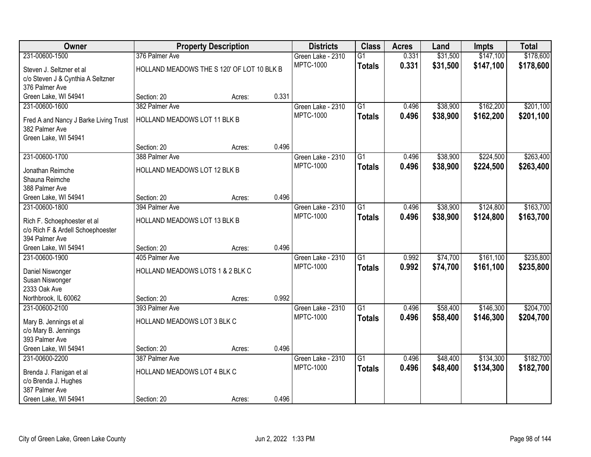| Owner                                            |                                            | <b>Property Description</b> |       | <b>Districts</b>  | <b>Class</b>    | <b>Acres</b> | Land     | <b>Impts</b> | <b>Total</b> |
|--------------------------------------------------|--------------------------------------------|-----------------------------|-------|-------------------|-----------------|--------------|----------|--------------|--------------|
| 231-00600-1500                                   | 376 Palmer Ave                             |                             |       | Green Lake - 2310 | $\overline{G1}$ | 0.331        | \$31,500 | \$147,100    | \$178,600    |
| Steven J. Seltzner et al                         | HOLLAND MEADOWS THE S 120' OF LOT 10 BLK B |                             |       | <b>MPTC-1000</b>  | <b>Totals</b>   | 0.331        | \$31,500 | \$147,100    | \$178,600    |
| c/o Steven J & Cynthia A Seltzner                |                                            |                             |       |                   |                 |              |          |              |              |
| 376 Palmer Ave                                   |                                            |                             |       |                   |                 |              |          |              |              |
| Green Lake, WI 54941                             | Section: 20                                | Acres:                      | 0.331 |                   |                 |              |          |              |              |
| 231-00600-1600                                   | 382 Palmer Ave                             |                             |       | Green Lake - 2310 | $\overline{G1}$ | 0.496        | \$38,900 | \$162,200    | \$201,100    |
| Fred A and Nancy J Barke Living Trust            | HOLLAND MEADOWS LOT 11 BLK B               |                             |       | <b>MPTC-1000</b>  | <b>Totals</b>   | 0.496        | \$38,900 | \$162,200    | \$201,100    |
| 382 Palmer Ave                                   |                                            |                             |       |                   |                 |              |          |              |              |
| Green Lake, WI 54941                             |                                            |                             |       |                   |                 |              |          |              |              |
|                                                  | Section: 20                                | Acres:                      | 0.496 |                   |                 |              |          |              |              |
| 231-00600-1700                                   | 388 Palmer Ave                             |                             |       | Green Lake - 2310 | $\overline{G1}$ | 0.496        | \$38,900 | \$224,500    | \$263,400    |
| Jonathan Reimche                                 | HOLLAND MEADOWS LOT 12 BLK B               |                             |       | <b>MPTC-1000</b>  | <b>Totals</b>   | 0.496        | \$38,900 | \$224,500    | \$263,400    |
| Shauna Reimche                                   |                                            |                             |       |                   |                 |              |          |              |              |
| 388 Palmer Ave                                   |                                            |                             |       |                   |                 |              |          |              |              |
| Green Lake, WI 54941                             | Section: 20                                | Acres:                      | 0.496 |                   |                 |              |          |              |              |
| 231-00600-1800                                   | 394 Palmer Ave                             |                             |       | Green Lake - 2310 | $\overline{G1}$ | 0.496        | \$38,900 | \$124,800    | \$163,700    |
| Rich F. Schoephoester et al                      | HOLLAND MEADOWS LOT 13 BLK B               |                             |       | <b>MPTC-1000</b>  | <b>Totals</b>   | 0.496        | \$38,900 | \$124,800    | \$163,700    |
| c/o Rich F & Ardell Schoephoester                |                                            |                             |       |                   |                 |              |          |              |              |
| 394 Palmer Ave                                   |                                            |                             |       |                   |                 |              |          |              |              |
| Green Lake, WI 54941                             | Section: 20                                | Acres:                      | 0.496 |                   |                 |              |          |              |              |
| 231-00600-1900                                   | 405 Palmer Ave                             |                             |       | Green Lake - 2310 | $\overline{G1}$ | 0.992        | \$74,700 | \$161,100    | \$235,800    |
| Daniel Niswonger                                 | HOLLAND MEADOWS LOTS 1 & 2 BLK C           |                             |       | <b>MPTC-1000</b>  | <b>Totals</b>   | 0.992        | \$74,700 | \$161,100    | \$235,800    |
| Susan Niswonger                                  |                                            |                             |       |                   |                 |              |          |              |              |
| 2333 Oak Ave                                     |                                            |                             |       |                   |                 |              |          |              |              |
| Northbrook, IL 60062                             | Section: 20                                | Acres:                      | 0.992 |                   |                 |              |          |              |              |
| 231-00600-2100                                   | 393 Palmer Ave                             |                             |       | Green Lake - 2310 | $\overline{G1}$ | 0.496        | \$58,400 | \$146,300    | \$204,700    |
|                                                  | HOLLAND MEADOWS LOT 3 BLK C                |                             |       | <b>MPTC-1000</b>  | <b>Totals</b>   | 0.496        | \$58,400 | \$146,300    | \$204,700    |
| Mary B. Jennings et al<br>c/o Mary B. Jennings   |                                            |                             |       |                   |                 |              |          |              |              |
| 393 Palmer Ave                                   |                                            |                             |       |                   |                 |              |          |              |              |
| Green Lake, WI 54941                             | Section: 20                                | Acres:                      | 0.496 |                   |                 |              |          |              |              |
| 231-00600-2200                                   | 387 Palmer Ave                             |                             |       | Green Lake - 2310 | $\overline{G1}$ | 0.496        | \$48,400 | \$134,300    | \$182,700    |
|                                                  |                                            |                             |       | <b>MPTC-1000</b>  | <b>Totals</b>   | 0.496        | \$48,400 | \$134,300    | \$182,700    |
| Brenda J. Flanigan et al<br>c/o Brenda J. Hughes | HOLLAND MEADOWS LOT 4 BLK C                |                             |       |                   |                 |              |          |              |              |
| 387 Palmer Ave                                   |                                            |                             |       |                   |                 |              |          |              |              |
| Green Lake, WI 54941                             | Section: 20                                | Acres:                      | 0.496 |                   |                 |              |          |              |              |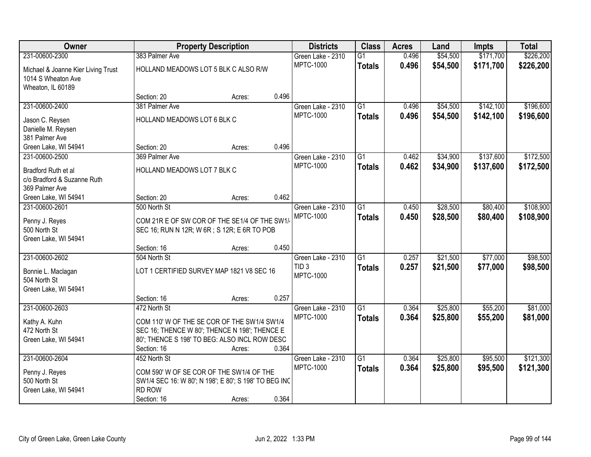| <b>Owner</b>                                                                           |                                               | <b>Property Description</b>                                                                                                                             |       | <b>Districts</b>                      | <b>Class</b>                     | <b>Acres</b>   | Land                 | <b>Impts</b>           | <b>Total</b>           |
|----------------------------------------------------------------------------------------|-----------------------------------------------|---------------------------------------------------------------------------------------------------------------------------------------------------------|-------|---------------------------------------|----------------------------------|----------------|----------------------|------------------------|------------------------|
| 231-00600-2300                                                                         | 383 Palmer Ave                                |                                                                                                                                                         |       | Green Lake - 2310                     | $\overline{G1}$                  | 0.496          | \$54,500             | \$171,700              | \$226,200              |
| Michael & Joanne Kier Living Trust<br>1014 S Wheaton Ave<br>Wheaton, IL 60189          |                                               | HOLLAND MEADOWS LOT 5 BLK C ALSO R/W                                                                                                                    |       | <b>MPTC-1000</b>                      | <b>Totals</b>                    | 0.496          | \$54,500             | \$171,700              | \$226,200              |
|                                                                                        | Section: 20                                   | Acres:                                                                                                                                                  | 0.496 |                                       |                                  |                |                      |                        |                        |
| 231-00600-2400                                                                         | 381 Palmer Ave                                |                                                                                                                                                         |       | Green Lake - 2310                     | G1                               | 0.496          | \$54,500             | \$142,100              | \$196,600              |
| Jason C. Reysen<br>Danielle M. Reysen<br>381 Palmer Ave                                | HOLLAND MEADOWS LOT 6 BLK C                   |                                                                                                                                                         |       | <b>MPTC-1000</b>                      | <b>Totals</b>                    | 0.496          | \$54,500             | \$142,100              | \$196,600              |
| Green Lake, WI 54941                                                                   | Section: 20                                   | Acres:                                                                                                                                                  | 0.496 |                                       |                                  |                |                      |                        |                        |
| 231-00600-2500<br>Bradford Ruth et al<br>c/o Bradford & Suzanne Ruth<br>369 Palmer Ave | 369 Palmer Ave<br>HOLLAND MEADOWS LOT 7 BLK C |                                                                                                                                                         |       | Green Lake - 2310<br><b>MPTC-1000</b> | G1<br><b>Totals</b>              | 0.462<br>0.462 | \$34,900<br>\$34,900 | \$137,600<br>\$137,600 | \$172,500<br>\$172,500 |
| Green Lake, WI 54941                                                                   | Section: 20                                   | Acres:                                                                                                                                                  | 0.462 |                                       |                                  |                |                      |                        |                        |
| 231-00600-2601                                                                         | 500 North St                                  | COM 21R E OF SW COR OF THE SE1/4 OF THE SW1/                                                                                                            |       | Green Lake - 2310<br><b>MPTC-1000</b> | $\overline{G1}$<br><b>Totals</b> | 0.450<br>0.450 | \$28,500<br>\$28,500 | \$80,400<br>\$80,400   | \$108,900<br>\$108,900 |
| Penny J. Reyes<br>500 North St<br>Green Lake, WI 54941                                 |                                               | SEC 16; RUN N 12R; W 6R; S 12R; E 6R TO POB                                                                                                             |       |                                       |                                  |                |                      |                        |                        |
|                                                                                        | Section: 16                                   | Acres:                                                                                                                                                  | 0.450 |                                       |                                  |                |                      |                        |                        |
| 231-00600-2602<br>Bonnie L. Maclagan                                                   | 504 North St                                  | LOT 1 CERTIFIED SURVEY MAP 1821 V8 SEC 16                                                                                                               |       | Green Lake - 2310<br>TID <sub>3</sub> | $\overline{G1}$<br><b>Totals</b> | 0.257<br>0.257 | \$21,500<br>\$21,500 | \$77,000<br>\$77,000   | \$98,500<br>\$98,500   |
| 504 North St<br>Green Lake, WI 54941                                                   |                                               |                                                                                                                                                         |       | <b>MPTC-1000</b>                      |                                  |                |                      |                        |                        |
|                                                                                        | Section: 16                                   | Acres:                                                                                                                                                  | 0.257 |                                       |                                  |                |                      |                        |                        |
| 231-00600-2603                                                                         | 472 North St                                  |                                                                                                                                                         |       | Green Lake - 2310                     | $\overline{G1}$                  | 0.364          | \$25,800             | \$55,200               | \$81,000               |
| Kathy A. Kuhn<br>472 North St<br>Green Lake, WI 54941                                  | Section: 16                                   | COM 110' W OF THE SE COR OF THE SW1/4 SW1/4<br>SEC 16; THENCE W 80'; THENCE N 198'; THENCE E<br>80'; THENCE S 198' TO BEG: ALSO INCL ROW DESC<br>Acres: | 0.364 | <b>MPTC-1000</b>                      | <b>Totals</b>                    | 0.364          | \$25,800             | \$55,200               | \$81,000               |
| 231-00600-2604                                                                         | 452 North St                                  |                                                                                                                                                         |       | Green Lake - 2310                     | $\overline{G1}$                  | 0.364          | \$25,800             | \$95,500               | \$121,300              |
| Penny J. Reyes<br>500 North St<br>Green Lake, WI 54941                                 | RD ROW                                        | COM 590' W OF SE COR OF THE SW1/4 OF THE<br>SW1/4 SEC 16: W 80'; N 198'; E 80'; S 198' TO BEG INC                                                       |       | <b>MPTC-1000</b>                      | <b>Totals</b>                    | 0.364          | \$25,800             | \$95,500               | \$121,300              |
|                                                                                        | Section: 16                                   | Acres:                                                                                                                                                  | 0.364 |                                       |                                  |                |                      |                        |                        |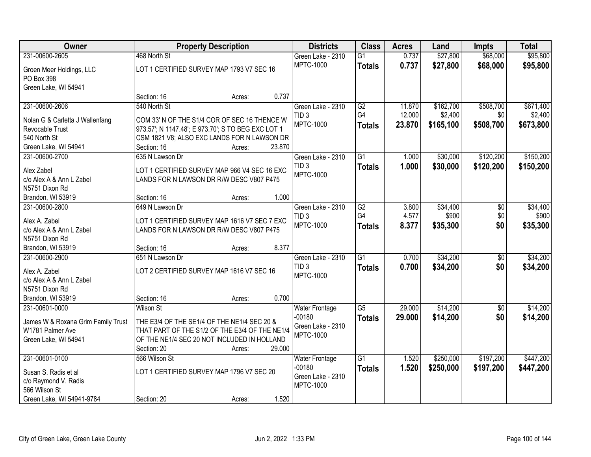| <b>Owner</b>                              | <b>Property Description</b>                                                              |                  | <b>Districts</b>           | <b>Class</b>    | <b>Acres</b> | Land      | <b>Impts</b>    | <b>Total</b> |
|-------------------------------------------|------------------------------------------------------------------------------------------|------------------|----------------------------|-----------------|--------------|-----------|-----------------|--------------|
| 231-00600-2605                            | 468 North St                                                                             |                  | Green Lake - 2310          | G1              | 0.737        | \$27,800  | \$68,000        | \$95,800     |
| Groen Meer Holdings, LLC                  | LOT 1 CERTIFIED SURVEY MAP 1793 V7 SEC 16                                                |                  | <b>MPTC-1000</b>           | <b>Totals</b>   | 0.737        | \$27,800  | \$68,000        | \$95,800     |
| PO Box 398                                |                                                                                          |                  |                            |                 |              |           |                 |              |
| Green Lake, WI 54941                      |                                                                                          |                  |                            |                 |              |           |                 |              |
|                                           | Section: 16                                                                              | 0.737<br>Acres:  |                            |                 |              |           |                 |              |
| 231-00600-2606                            | 540 North St                                                                             |                  | Green Lake - 2310          | G2              | 11.870       | \$162,700 | \$508,700       | \$671,400    |
| Nolan G & Carletta J Wallenfang           | COM 33' N OF THE S1/4 COR OF SEC 16 THENCE W                                             |                  | TID <sub>3</sub>           | G <sub>4</sub>  | 12.000       | \$2,400   | \$0             | \$2,400      |
| Revocable Trust                           | 973.57'; N 1147.48'; E 973.70'; S TO BEG EXC LOT 1                                       |                  | <b>MPTC-1000</b>           | <b>Totals</b>   | 23.870       | \$165,100 | \$508,700       | \$673,800    |
| 540 North St                              | CSM 1821 V8; ALSO EXC LANDS FOR N LAWSON DR                                              |                  |                            |                 |              |           |                 |              |
| Green Lake, WI 54941                      | Section: 16                                                                              | 23.870<br>Acres: |                            |                 |              |           |                 |              |
| 231-00600-2700                            | 635 N Lawson Dr                                                                          |                  | Green Lake - 2310          | G1              | 1.000        | \$30,000  | \$120,200       | \$150,200    |
| Alex Zabel                                | LOT 1 CERTIFIED SURVEY MAP 966 V4 SEC 16 EXC                                             |                  | TID <sub>3</sub>           | <b>Totals</b>   | 1.000        | \$30,000  | \$120,200       | \$150,200    |
| c/o Alex A & Ann L Zabel                  | LANDS FOR N LAWSON DR R/W DESC V807 P475                                                 |                  | MPTC-1000                  |                 |              |           |                 |              |
| N5751 Dixon Rd                            |                                                                                          |                  |                            |                 |              |           |                 |              |
| Brandon, WI 53919                         | Section: 16                                                                              | 1.000<br>Acres:  |                            |                 |              |           |                 |              |
| 231-00600-2800                            | 649 N Lawson Dr                                                                          |                  | Green Lake - 2310          | G2              | 3.800        | \$34,400  | \$0             | \$34,400     |
|                                           |                                                                                          |                  | TID <sub>3</sub>           | G4              | 4.577        | \$900     | \$0             | \$900        |
| Alex A. Zabel<br>c/o Alex A & Ann L Zabel | LOT 1 CERTIFIED SURVEY MAP 1616 V7 SEC 7 EXC<br>LANDS FOR N LAWSON DR R/W DESC V807 P475 |                  | <b>MPTC-1000</b>           | <b>Totals</b>   | 8.377        | \$35,300  | \$0             | \$35,300     |
| N5751 Dixon Rd                            |                                                                                          |                  |                            |                 |              |           |                 |              |
| Brandon, WI 53919                         | Section: 16                                                                              | 8.377<br>Acres:  |                            |                 |              |           |                 |              |
| 231-00600-2900                            | 651 N Lawson Dr                                                                          |                  | Green Lake - 2310          | $\overline{G1}$ | 0.700        | \$34,200  | $\overline{50}$ | \$34,200     |
|                                           |                                                                                          |                  | TID <sub>3</sub>           | <b>Totals</b>   | 0.700        | \$34,200  | \$0             | \$34,200     |
| Alex A. Zabel                             | LOT 2 CERTIFIED SURVEY MAP 1616 V7 SEC 16                                                |                  | <b>MPTC-1000</b>           |                 |              |           |                 |              |
| c/o Alex A & Ann L Zabel                  |                                                                                          |                  |                            |                 |              |           |                 |              |
| N5751 Dixon Rd<br>Brandon, WI 53919       | Section: 16                                                                              | 0.700<br>Acres:  |                            |                 |              |           |                 |              |
| 231-00601-0000                            | <b>Wilson St</b>                                                                         |                  | <b>Water Frontage</b>      | $\overline{G5}$ | 29.000       | \$14,200  | $\sqrt{6}$      | \$14,200     |
|                                           |                                                                                          |                  | $-00180$                   | <b>Totals</b>   | 29.000       | \$14,200  | \$0             | \$14,200     |
| James W & Roxana Grim Family Trust        | THE E3/4 OF THE SE1/4 OF THE NE1/4 SEC 20 &                                              |                  | Green Lake - 2310          |                 |              |           |                 |              |
| W1781 Palmer Ave                          | THAT PART OF THE S1/2 OF THE E3/4 OF THE NE1/4                                           |                  | <b>MPTC-1000</b>           |                 |              |           |                 |              |
| Green Lake, WI 54941                      | OF THE NE1/4 SEC 20 NOT INCLUDED IN HOLLAND                                              |                  |                            |                 |              |           |                 |              |
|                                           | Section: 20                                                                              | 29.000<br>Acres: |                            |                 |              |           |                 |              |
| 231-00601-0100                            | 566 Wilson St                                                                            |                  | Water Frontage<br>$-00180$ | $\overline{G1}$ | 1.520        | \$250,000 | \$197,200       | \$447,200    |
| Susan S. Radis et al                      | LOT 1 CERTIFIED SURVEY MAP 1796 V7 SEC 20                                                |                  | Green Lake - 2310          | <b>Totals</b>   | 1.520        | \$250,000 | \$197,200       | \$447,200    |
| c/o Raymond V. Radis                      |                                                                                          |                  | <b>MPTC-1000</b>           |                 |              |           |                 |              |
| 566 Wilson St                             |                                                                                          |                  |                            |                 |              |           |                 |              |
| Green Lake, WI 54941-9784                 | Section: 20                                                                              | 1.520<br>Acres:  |                            |                 |              |           |                 |              |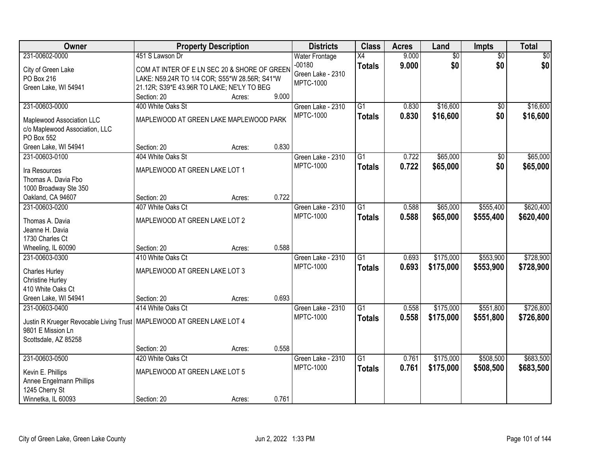| Owner                                   | <b>Property Description</b>                   |        |       | <b>Districts</b>      | <b>Class</b>    | <b>Acres</b> | Land            | Impts           | <b>Total</b> |
|-----------------------------------------|-----------------------------------------------|--------|-------|-----------------------|-----------------|--------------|-----------------|-----------------|--------------|
| 231-00602-0000                          | 451 S Lawson Dr                               |        |       | <b>Water Frontage</b> | X4              | 9.000        | $\overline{60}$ | $\overline{50}$ | \$0          |
| City of Green Lake                      | COM AT INTER OF E LN SEC 20 & SHORE OF GREEN  |        |       | $-00180$              | <b>Totals</b>   | 9.000        | \$0             | \$0             | \$0          |
| PO Box 216                              | LAKE: N59.24R TO 1/4 COR; S55*W 28.56R; S41*W |        |       | Green Lake - 2310     |                 |              |                 |                 |              |
| Green Lake, WI 54941                    | 21.12R; S39*E 43.96R TO LAKE; NE'LY TO BEG    |        |       | <b>MPTC-1000</b>      |                 |              |                 |                 |              |
|                                         | Section: 20                                   | Acres: | 9.000 |                       |                 |              |                 |                 |              |
| 231-00603-0000                          | 400 White Oaks St                             |        |       | Green Lake - 2310     | $\overline{G1}$ | 0.830        | \$16,600        | $\overline{50}$ | \$16,600     |
| Maplewood Association LLC               | MAPLEWOOD AT GREEN LAKE MAPLEWOOD PARK        |        |       | <b>MPTC-1000</b>      | <b>Totals</b>   | 0.830        | \$16,600        | \$0             | \$16,600     |
| c/o Maplewood Association, LLC          |                                               |        |       |                       |                 |              |                 |                 |              |
| PO Box 552                              |                                               |        |       |                       |                 |              |                 |                 |              |
| Green Lake, WI 54941                    | Section: 20                                   | Acres: | 0.830 |                       |                 |              |                 |                 |              |
| 231-00603-0100                          | 404 White Oaks St                             |        |       | Green Lake - 2310     | G <sub>1</sub>  | 0.722        | \$65,000        | \$0             | \$65,000     |
|                                         |                                               |        |       | <b>MPTC-1000</b>      | <b>Totals</b>   | 0.722        | \$65,000        | \$0             | \$65,000     |
| Ira Resources                           | MAPLEWOOD AT GREEN LAKE LOT 1                 |        |       |                       |                 |              |                 |                 |              |
| Thomas A. Davia Fbo                     |                                               |        |       |                       |                 |              |                 |                 |              |
| 1000 Broadway Ste 350                   |                                               |        |       |                       |                 |              |                 |                 |              |
| Oakland, CA 94607                       | Section: 20                                   | Acres: | 0.722 |                       |                 |              |                 |                 |              |
| 231-00603-0200                          | 407 White Oaks Ct                             |        |       | Green Lake - 2310     | $\overline{G1}$ | 0.588        | \$65,000        | \$555,400       | \$620,400    |
| Thomas A. Davia                         | MAPLEWOOD AT GREEN LAKE LOT 2                 |        |       | <b>MPTC-1000</b>      | <b>Totals</b>   | 0.588        | \$65,000        | \$555,400       | \$620,400    |
| Jeanne H. Davia                         |                                               |        |       |                       |                 |              |                 |                 |              |
| 1730 Charles Ct                         |                                               |        |       |                       |                 |              |                 |                 |              |
| Wheeling, IL 60090                      | Section: 20                                   | Acres: | 0.588 |                       |                 |              |                 |                 |              |
| 231-00603-0300                          | 410 White Oaks Ct                             |        |       | Green Lake - 2310     | $\overline{G1}$ | 0.693        | \$175,000       | \$553,900       | \$728,900    |
| <b>Charles Hurley</b>                   | MAPLEWOOD AT GREEN LAKE LOT 3                 |        |       | <b>MPTC-1000</b>      | <b>Totals</b>   | 0.693        | \$175,000       | \$553,900       | \$728,900    |
| <b>Christine Hurley</b>                 |                                               |        |       |                       |                 |              |                 |                 |              |
| 410 White Oaks Ct                       |                                               |        |       |                       |                 |              |                 |                 |              |
| Green Lake, WI 54941                    | Section: 20                                   | Acres: | 0.693 |                       |                 |              |                 |                 |              |
| 231-00603-0400                          | 414 White Oaks Ct                             |        |       | Green Lake - 2310     | $\overline{G1}$ | 0.558        | \$175,000       | \$551,800       | \$726,800    |
|                                         |                                               |        |       | <b>MPTC-1000</b>      | <b>Totals</b>   | 0.558        | \$175,000       | \$551,800       | \$726,800    |
| Justin R Krueger Revocable Living Trust | MAPLEWOOD AT GREEN LAKE LOT 4                 |        |       |                       |                 |              |                 |                 |              |
| 9801 E Mission Ln                       |                                               |        |       |                       |                 |              |                 |                 |              |
| Scottsdale, AZ 85258                    |                                               |        |       |                       |                 |              |                 |                 |              |
|                                         | Section: 20                                   | Acres: | 0.558 |                       |                 |              |                 |                 |              |
| 231-00603-0500                          | 420 White Oaks Ct                             |        |       | Green Lake - 2310     | $\overline{G1}$ | 0.761        | \$175,000       | \$508,500       | \$683,500    |
| Kevin E. Phillips                       | MAPLEWOOD AT GREEN LAKE LOT 5                 |        |       | <b>MPTC-1000</b>      | <b>Totals</b>   | 0.761        | \$175,000       | \$508,500       | \$683,500    |
| Annee Engelmann Phillips                |                                               |        |       |                       |                 |              |                 |                 |              |
| 1245 Cherry St                          |                                               |        |       |                       |                 |              |                 |                 |              |
| Winnetka, IL 60093                      | Section: 20                                   | Acres: | 0.761 |                       |                 |              |                 |                 |              |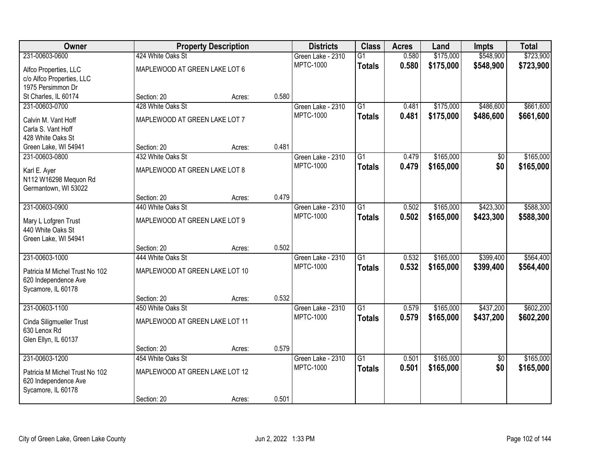| Owner                          |                                | <b>Property Description</b> |       | <b>Districts</b>                      | <b>Class</b>    | <b>Acres</b> | Land      | <b>Impts</b>    | <b>Total</b> |
|--------------------------------|--------------------------------|-----------------------------|-------|---------------------------------------|-----------------|--------------|-----------|-----------------|--------------|
| 231-00603-0600                 | 424 White Oaks St              |                             |       | Green Lake - 2310                     | $\overline{G1}$ | 0.580        | \$175,000 | \$548,900       | \$723,900    |
| Alfco Properties, LLC          | MAPLEWOOD AT GREEN LAKE LOT 6  |                             |       | <b>MPTC-1000</b>                      | <b>Totals</b>   | 0.580        | \$175,000 | \$548,900       | \$723,900    |
| c/o Alfco Properties, LLC      |                                |                             |       |                                       |                 |              |           |                 |              |
| 1975 Persimmon Dr              |                                |                             |       |                                       |                 |              |           |                 |              |
| St Charles, IL 60174           | Section: 20                    | Acres:                      | 0.580 |                                       |                 |              |           |                 |              |
| 231-00603-0700                 | 428 White Oaks St              |                             |       | Green Lake - 2310                     | G1              | 0.481        | \$175,000 | \$486,600       | \$661,600    |
| Calvin M. Vant Hoff            | MAPLEWOOD AT GREEN LAKE LOT 7  |                             |       | <b>MPTC-1000</b>                      | <b>Totals</b>   | 0.481        | \$175,000 | \$486,600       | \$661,600    |
| Carla S. Vant Hoff             |                                |                             |       |                                       |                 |              |           |                 |              |
| 428 White Oaks St              |                                |                             |       |                                       |                 |              |           |                 |              |
| Green Lake, WI 54941           | Section: 20                    | Acres:                      | 0.481 |                                       |                 |              |           |                 |              |
| 231-00603-0800                 | 432 White Oaks St              |                             |       | Green Lake - 2310                     | $\overline{G1}$ | 0.479        | \$165,000 | \$0             | \$165,000    |
| Karl E. Ayer                   | MAPLEWOOD AT GREEN LAKE LOT 8  |                             |       | <b>MPTC-1000</b>                      | <b>Totals</b>   | 0.479        | \$165,000 | \$0             | \$165,000    |
| N112 W16298 Mequon Rd          |                                |                             |       |                                       |                 |              |           |                 |              |
| Germantown, WI 53022           |                                |                             |       |                                       |                 |              |           |                 |              |
|                                | Section: 20                    | Acres:                      | 0.479 |                                       |                 |              |           |                 |              |
| 231-00603-0900                 | 440 White Oaks St              |                             |       | Green Lake - 2310                     | $\overline{G1}$ | 0.502        | \$165,000 | \$423,300       | \$588,300    |
| Mary L Lofgren Trust           | MAPLEWOOD AT GREEN LAKE LOT 9  |                             |       | <b>MPTC-1000</b>                      | <b>Totals</b>   | 0.502        | \$165,000 | \$423,300       | \$588,300    |
| 440 White Oaks St              |                                |                             |       |                                       |                 |              |           |                 |              |
| Green Lake, WI 54941           |                                |                             |       |                                       |                 |              |           |                 |              |
|                                | Section: 20                    | Acres:                      | 0.502 |                                       |                 |              |           |                 |              |
| 231-00603-1000                 | 444 White Oaks St              |                             |       | Green Lake - 2310                     | $\overline{G1}$ | 0.532        | \$165,000 | \$399,400       | \$564,400    |
| Patricia M Michel Trust No 102 | MAPLEWOOD AT GREEN LAKE LOT 10 |                             |       | <b>MPTC-1000</b>                      | <b>Totals</b>   | 0.532        | \$165,000 | \$399,400       | \$564,400    |
| 620 Independence Ave           |                                |                             |       |                                       |                 |              |           |                 |              |
| Sycamore, IL 60178             |                                |                             |       |                                       |                 |              |           |                 |              |
|                                | Section: 20                    | Acres:                      | 0.532 |                                       |                 |              |           |                 |              |
| 231-00603-1100                 | 450 White Oaks St              |                             |       | Green Lake - 2310                     | $\overline{G1}$ | 0.579        | \$165,000 | \$437,200       | \$602,200    |
| Cinda Siligmueller Trust       | MAPLEWOOD AT GREEN LAKE LOT 11 |                             |       | <b>MPTC-1000</b>                      | <b>Totals</b>   | 0.579        | \$165,000 | \$437,200       | \$602,200    |
| 630 Lenox Rd                   |                                |                             |       |                                       |                 |              |           |                 |              |
| Glen Ellyn, IL 60137           |                                |                             |       |                                       |                 |              |           |                 |              |
|                                | Section: 20                    | Acres:                      | 0.579 |                                       |                 |              |           |                 |              |
| 231-00603-1200                 | 454 White Oaks St              |                             |       | Green Lake - 2310<br><b>MPTC-1000</b> | $\overline{G1}$ | 0.501        | \$165,000 | $\overline{50}$ | \$165,000    |
| Patricia M Michel Trust No 102 | MAPLEWOOD AT GREEN LAKE LOT 12 |                             |       |                                       | <b>Totals</b>   | 0.501        | \$165,000 | \$0             | \$165,000    |
| 620 Independence Ave           |                                |                             |       |                                       |                 |              |           |                 |              |
| Sycamore, IL 60178             |                                |                             |       |                                       |                 |              |           |                 |              |
|                                | Section: 20                    | Acres:                      | 0.501 |                                       |                 |              |           |                 |              |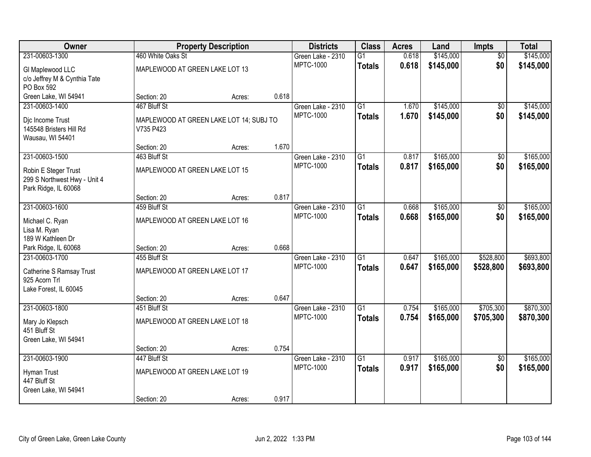| Owner                           |                                         | <b>Property Description</b> |       | <b>Districts</b>  | <b>Class</b>    | <b>Acres</b> | Land      | Impts           | <b>Total</b> |
|---------------------------------|-----------------------------------------|-----------------------------|-------|-------------------|-----------------|--------------|-----------|-----------------|--------------|
| 231-00603-1300                  | 460 White Oaks St                       |                             |       | Green Lake - 2310 | $\overline{G1}$ | 0.618        | \$145,000 | $\overline{50}$ | \$145,000    |
| GI Maplewood LLC                | MAPLEWOOD AT GREEN LAKE LOT 13          |                             |       | <b>MPTC-1000</b>  | <b>Totals</b>   | 0.618        | \$145,000 | \$0             | \$145,000    |
| c/o Jeffrey M & Cynthia Tate    |                                         |                             |       |                   |                 |              |           |                 |              |
| PO Box 592                      |                                         |                             |       |                   |                 |              |           |                 |              |
| Green Lake, WI 54941            | Section: 20                             | Acres:                      | 0.618 |                   |                 |              |           |                 |              |
| 231-00603-1400                  | 467 Bluff St                            |                             |       | Green Lake - 2310 | $\overline{G1}$ | 1.670        | \$145,000 | $\overline{50}$ | \$145,000    |
| Dic Income Trust                | MAPLEWOOD AT GREEN LAKE LOT 14; SUBJ TO |                             |       | <b>MPTC-1000</b>  | <b>Totals</b>   | 1.670        | \$145,000 | \$0             | \$145,000    |
| 145548 Bristers Hill Rd         | V735 P423                               |                             |       |                   |                 |              |           |                 |              |
| Wausau, WI 54401                |                                         |                             |       |                   |                 |              |           |                 |              |
|                                 | Section: 20                             | Acres:                      | 1.670 |                   |                 |              |           |                 |              |
| 231-00603-1500                  | 463 Bluff St                            |                             |       | Green Lake - 2310 | G1              | 0.817        | \$165,000 | \$0             | \$165,000    |
| Robin E Steger Trust            | MAPLEWOOD AT GREEN LAKE LOT 15          |                             |       | <b>MPTC-1000</b>  | <b>Totals</b>   | 0.817        | \$165,000 | \$0             | \$165,000    |
| 299 S Northwest Hwy - Unit 4    |                                         |                             |       |                   |                 |              |           |                 |              |
| Park Ridge, IL 60068            |                                         |                             |       |                   |                 |              |           |                 |              |
|                                 | Section: 20                             | Acres:                      | 0.817 |                   |                 |              |           |                 |              |
| 231-00603-1600                  | 459 Bluff St                            |                             |       | Green Lake - 2310 | G1              | 0.668        | \$165,000 | \$0             | \$165,000    |
| Michael C. Ryan                 | MAPLEWOOD AT GREEN LAKE LOT 16          |                             |       | <b>MPTC-1000</b>  | <b>Totals</b>   | 0.668        | \$165,000 | \$0             | \$165,000    |
| Lisa M. Ryan                    |                                         |                             |       |                   |                 |              |           |                 |              |
| 189 W Kathleen Dr               |                                         |                             |       |                   |                 |              |           |                 |              |
| Park Ridge, IL 60068            | Section: 20                             | Acres:                      | 0.668 |                   |                 |              |           |                 |              |
| 231-00603-1700                  | 455 Bluff St                            |                             |       | Green Lake - 2310 | $\overline{G1}$ | 0.647        | \$165,000 | \$528,800       | \$693,800    |
| <b>Catherine S Ramsay Trust</b> | MAPLEWOOD AT GREEN LAKE LOT 17          |                             |       | <b>MPTC-1000</b>  | <b>Totals</b>   | 0.647        | \$165,000 | \$528,800       | \$693,800    |
| 925 Acorn Trl                   |                                         |                             |       |                   |                 |              |           |                 |              |
| Lake Forest, IL 60045           |                                         |                             |       |                   |                 |              |           |                 |              |
|                                 | Section: 20                             | Acres:                      | 0.647 |                   |                 |              |           |                 |              |
| 231-00603-1800                  | 451 Bluff St                            |                             |       | Green Lake - 2310 | $\overline{G1}$ | 0.754        | \$165,000 | \$705,300       | \$870,300    |
| Mary Jo Klepsch                 | MAPLEWOOD AT GREEN LAKE LOT 18          |                             |       | <b>MPTC-1000</b>  | <b>Totals</b>   | 0.754        | \$165,000 | \$705,300       | \$870,300    |
| 451 Bluff St                    |                                         |                             |       |                   |                 |              |           |                 |              |
| Green Lake, WI 54941            |                                         |                             |       |                   |                 |              |           |                 |              |
|                                 | Section: 20                             | Acres:                      | 0.754 |                   |                 |              |           |                 |              |
| 231-00603-1900                  | 447 Bluff St                            |                             |       | Green Lake - 2310 | $\overline{G1}$ | 0.917        | \$165,000 | $\overline{50}$ | \$165,000    |
| Hyman Trust                     | MAPLEWOOD AT GREEN LAKE LOT 19          |                             |       | <b>MPTC-1000</b>  | <b>Totals</b>   | 0.917        | \$165,000 | \$0             | \$165,000    |
| 447 Bluff St                    |                                         |                             |       |                   |                 |              |           |                 |              |
| Green Lake, WI 54941            |                                         |                             |       |                   |                 |              |           |                 |              |
|                                 | Section: 20                             | Acres:                      | 0.917 |                   |                 |              |           |                 |              |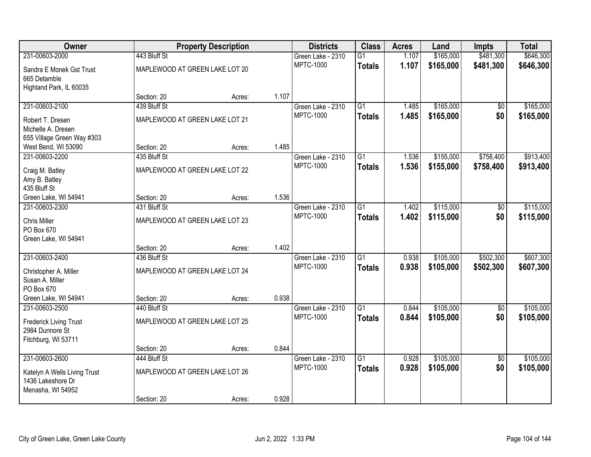| Owner                         |                                | <b>Property Description</b> |       | <b>Districts</b>  | <b>Class</b>    | <b>Acres</b> | Land      | <b>Impts</b>    | <b>Total</b> |
|-------------------------------|--------------------------------|-----------------------------|-------|-------------------|-----------------|--------------|-----------|-----------------|--------------|
| 231-00603-2000                | 443 Bluff St                   |                             |       | Green Lake - 2310 | $\overline{G1}$ | 1.107        | \$165,000 | \$481,300       | \$646,300    |
| Sandra E Monek Gst Trust      | MAPLEWOOD AT GREEN LAKE LOT 20 |                             |       | <b>MPTC-1000</b>  | <b>Totals</b>   | 1.107        | \$165,000 | \$481,300       | \$646,300    |
| 665 Detamble                  |                                |                             |       |                   |                 |              |           |                 |              |
| Highland Park, IL 60035       |                                |                             |       |                   |                 |              |           |                 |              |
|                               | Section: 20                    | Acres:                      | 1.107 |                   |                 |              |           |                 |              |
| 231-00603-2100                | 439 Bluff St                   |                             |       | Green Lake - 2310 | $\overline{G1}$ | 1.485        | \$165,000 | \$0             | \$165,000    |
| Robert T. Dresen              | MAPLEWOOD AT GREEN LAKE LOT 21 |                             |       | <b>MPTC-1000</b>  | <b>Totals</b>   | 1.485        | \$165,000 | \$0             | \$165,000    |
| Michelle A. Dresen            |                                |                             |       |                   |                 |              |           |                 |              |
| 655 Village Green Way #303    |                                |                             |       |                   |                 |              |           |                 |              |
| West Bend, WI 53090           | Section: 20                    | Acres:                      | 1.485 |                   |                 |              |           |                 |              |
| 231-00603-2200                | 435 Bluff St                   |                             |       | Green Lake - 2310 | G1              | 1.536        | \$155,000 | \$758,400       | \$913,400    |
| Craig M. Batley               | MAPLEWOOD AT GREEN LAKE LOT 22 |                             |       | <b>MPTC-1000</b>  | <b>Totals</b>   | 1.536        | \$155,000 | \$758,400       | \$913,400    |
| Amy B. Batley                 |                                |                             |       |                   |                 |              |           |                 |              |
| 435 Bluff St                  |                                |                             |       |                   |                 |              |           |                 |              |
| Green Lake, WI 54941          | Section: 20                    | Acres:                      | 1.536 |                   |                 |              |           |                 |              |
| 231-00603-2300                | 431 Bluff St                   |                             |       | Green Lake - 2310 | $\overline{G1}$ | 1.402        | \$115,000 | \$0             | \$115,000    |
| Chris Miller                  | MAPLEWOOD AT GREEN LAKE LOT 23 |                             |       | <b>MPTC-1000</b>  | <b>Totals</b>   | 1.402        | \$115,000 | \$0             | \$115,000    |
| PO Box 670                    |                                |                             |       |                   |                 |              |           |                 |              |
| Green Lake, WI 54941          |                                |                             |       |                   |                 |              |           |                 |              |
|                               | Section: 20                    | Acres:                      | 1.402 |                   |                 |              |           |                 |              |
| 231-00603-2400                | 436 Bluff St                   |                             |       | Green Lake - 2310 | $\overline{G1}$ | 0.938        | \$105,000 | \$502,300       | \$607,300    |
| Christopher A. Miller         | MAPLEWOOD AT GREEN LAKE LOT 24 |                             |       | <b>MPTC-1000</b>  | <b>Totals</b>   | 0.938        | \$105,000 | \$502,300       | \$607,300    |
| Susan A. Miller               |                                |                             |       |                   |                 |              |           |                 |              |
| PO Box 670                    |                                |                             |       |                   |                 |              |           |                 |              |
| Green Lake, WI 54941          | Section: 20                    | Acres:                      | 0.938 |                   |                 |              |           |                 |              |
| 231-00603-2500                | 440 Bluff St                   |                             |       | Green Lake - 2310 | $\overline{G1}$ | 0.844        | \$105,000 | $\overline{50}$ | \$105,000    |
| <b>Frederick Living Trust</b> | MAPLEWOOD AT GREEN LAKE LOT 25 |                             |       | <b>MPTC-1000</b>  | <b>Totals</b>   | 0.844        | \$105,000 | \$0             | \$105,000    |
| 2984 Dunnore St               |                                |                             |       |                   |                 |              |           |                 |              |
| Fitchburg, WI 53711           |                                |                             |       |                   |                 |              |           |                 |              |
|                               | Section: 20                    | Acres:                      | 0.844 |                   |                 |              |           |                 |              |
| 231-00603-2600                | 444 Bluff St                   |                             |       | Green Lake - 2310 | $\overline{G1}$ | 0.928        | \$105,000 | $\overline{50}$ | \$105,000    |
| Katelyn A Wells Living Trust  | MAPLEWOOD AT GREEN LAKE LOT 26 |                             |       | <b>MPTC-1000</b>  | <b>Totals</b>   | 0.928        | \$105,000 | \$0             | \$105,000    |
| 1436 Lakeshore Dr             |                                |                             |       |                   |                 |              |           |                 |              |
| Menasha, WI 54952             |                                |                             |       |                   |                 |              |           |                 |              |
|                               | Section: 20                    | Acres:                      | 0.928 |                   |                 |              |           |                 |              |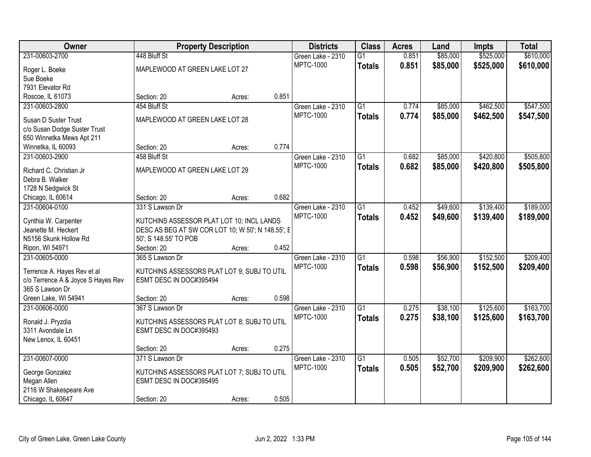| Owner                              |                                                   | <b>Property Description</b> |       | <b>Districts</b>  | <b>Class</b>    | <b>Acres</b> | Land     | <b>Impts</b> | <b>Total</b> |
|------------------------------------|---------------------------------------------------|-----------------------------|-------|-------------------|-----------------|--------------|----------|--------------|--------------|
| 231-00603-2700                     | 448 Bluff St                                      |                             |       | Green Lake - 2310 | $\overline{G1}$ | 0.851        | \$85,000 | \$525,000    | \$610,000    |
| Roger L. Boeke                     | MAPLEWOOD AT GREEN LAKE LOT 27                    |                             |       | <b>MPTC-1000</b>  | <b>Totals</b>   | 0.851        | \$85,000 | \$525,000    | \$610,000    |
| Sue Boeke                          |                                                   |                             |       |                   |                 |              |          |              |              |
| 7931 Elevator Rd                   |                                                   |                             |       |                   |                 |              |          |              |              |
| Roscoe, IL 61073                   | Section: 20                                       | Acres:                      | 0.851 |                   |                 |              |          |              |              |
| 231-00603-2800                     | 454 Bluff St                                      |                             |       | Green Lake - 2310 | $\overline{G1}$ | 0.774        | \$85,000 | \$462,500    | \$547,500    |
|                                    |                                                   |                             |       | <b>MPTC-1000</b>  | <b>Totals</b>   | 0.774        | \$85,000 | \$462,500    | \$547,500    |
| Susan D Suster Trust               | MAPLEWOOD AT GREEN LAKE LOT 28                    |                             |       |                   |                 |              |          |              |              |
| c/o Susan Dodge Suster Trust       |                                                   |                             |       |                   |                 |              |          |              |              |
| 650 Winnetka Mews Apt 211          |                                                   |                             |       |                   |                 |              |          |              |              |
| Winnetka, IL 60093                 | Section: 20                                       | Acres:                      | 0.774 |                   |                 |              |          |              |              |
| 231-00603-2900                     | 458 Bluff St                                      |                             |       | Green Lake - 2310 | $\overline{G1}$ | 0.682        | \$85,000 | \$420,800    | \$505,800    |
| Richard C. Christian Jr            | MAPLEWOOD AT GREEN LAKE LOT 29                    |                             |       | <b>MPTC-1000</b>  | <b>Totals</b>   | 0.682        | \$85,000 | \$420,800    | \$505,800    |
| Debra B. Walker                    |                                                   |                             |       |                   |                 |              |          |              |              |
| 1728 N Sedgwick St                 |                                                   |                             |       |                   |                 |              |          |              |              |
| Chicago, IL 60614                  | Section: 20                                       | Acres:                      | 0.682 |                   |                 |              |          |              |              |
| 231-00604-0100                     | 331 S Lawson Dr                                   |                             |       | Green Lake - 2310 | $\overline{G1}$ | 0.452        | \$49,600 | \$139,400    | \$189,000    |
|                                    |                                                   |                             |       | <b>MPTC-1000</b>  | <b>Totals</b>   | 0.452        | \$49,600 | \$139,400    | \$189,000    |
| Cynthia W. Carpenter               | KUTCHINS ASSESSOR PLAT LOT 10; INCL LANDS         |                             |       |                   |                 |              |          |              |              |
| Jeanette M. Heckert                | DESC AS BEG AT SW COR LOT 10; W 50'; N 148.55'; E |                             |       |                   |                 |              |          |              |              |
| N5156 Skunk Hollow Rd              | 50'; S 148.55' TO POB                             |                             |       |                   |                 |              |          |              |              |
| Ripon, WI 54971                    | Section: 20                                       | Acres:                      | 0.452 |                   |                 |              |          |              |              |
| 231-00605-0000                     | 365 S Lawson Dr                                   |                             |       | Green Lake - 2310 | $\overline{G1}$ | 0.598        | \$56,900 | \$152,500    | \$209,400    |
| Terrence A. Hayes Rev et al        | KUTCHINS ASSESSORS PLAT LOT 9; SUBJ TO UTIL       |                             |       | <b>MPTC-1000</b>  | <b>Totals</b>   | 0.598        | \$56,900 | \$152,500    | \$209,400    |
| c/o Terrence A & Joyce S Hayes Rev | ESMT DESC IN DOC#395494                           |                             |       |                   |                 |              |          |              |              |
| 365 S Lawson Dr                    |                                                   |                             |       |                   |                 |              |          |              |              |
| Green Lake, WI 54941               | Section: 20                                       | Acres:                      | 0.598 |                   |                 |              |          |              |              |
| 231-00606-0000                     | 367 S Lawson Dr                                   |                             |       | Green Lake - 2310 | $\overline{G1}$ | 0.275        | \$38,100 | \$125,600    | \$163,700    |
|                                    |                                                   |                             |       | <b>MPTC-1000</b>  | <b>Totals</b>   | 0.275        | \$38,100 | \$125,600    | \$163,700    |
| Ronald J. Pryzdia                  | KUTCHINS ASSESSORS PLAT LOT 8; SUBJ TO UTIL       |                             |       |                   |                 |              |          |              |              |
| 3311 Avondale Ln                   | ESMT DESC IN DOC#395493                           |                             |       |                   |                 |              |          |              |              |
| New Lenox, IL 60451                |                                                   |                             |       |                   |                 |              |          |              |              |
|                                    | Section: 20                                       | Acres:                      | 0.275 |                   |                 |              |          |              |              |
| 231-00607-0000                     | 371 S Lawson Dr                                   |                             |       | Green Lake - 2310 | $\overline{G1}$ | 0.505        | \$52,700 | \$209,900    | \$262,600    |
| George Gonzalez                    | KUTCHINS ASSESSORS PLAT LOT 7; SUBJ TO UTIL       |                             |       | <b>MPTC-1000</b>  | <b>Totals</b>   | 0.505        | \$52,700 | \$209,900    | \$262,600    |
| Megan Allen                        | ESMT DESC IN DOC#395495                           |                             |       |                   |                 |              |          |              |              |
| 2116 W Shakespeare Ave             |                                                   |                             |       |                   |                 |              |          |              |              |
| Chicago, IL 60647                  | Section: 20                                       | Acres:                      | 0.505 |                   |                 |              |          |              |              |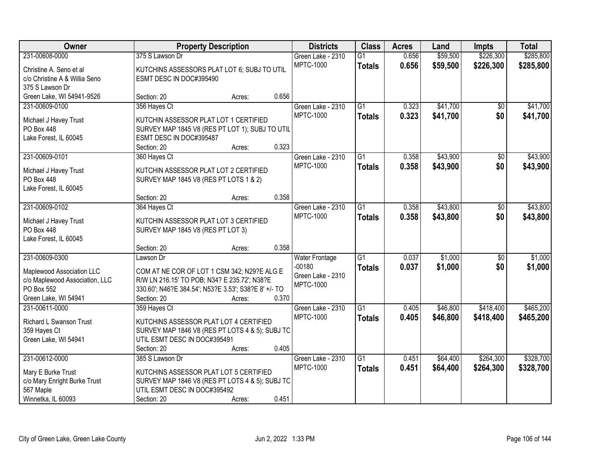| Owner                               |                                                      | <b>Property Description</b> |       | <b>Districts</b>           | <b>Class</b>    | <b>Acres</b> | Land     | Impts           | <b>Total</b> |
|-------------------------------------|------------------------------------------------------|-----------------------------|-------|----------------------------|-----------------|--------------|----------|-----------------|--------------|
| 231-00608-0000                      | 375 S Lawson Dr                                      |                             |       | Green Lake - 2310          | $\overline{G1}$ | 0.656        | \$59,500 | \$226,300       | \$285,800    |
| Christine A. Seno et al             | KUTCHINS ASSESSORS PLAT LOT 6; SUBJ TO UTIL          |                             |       | <b>MPTC-1000</b>           | <b>Totals</b>   | 0.656        | \$59,500 | \$226,300       | \$285,800    |
| c/o Christine A & Willia Seno       | ESMT DESC IN DOC#395490                              |                             |       |                            |                 |              |          |                 |              |
| 375 S Lawson Dr                     |                                                      |                             |       |                            |                 |              |          |                 |              |
| Green Lake, WI 54941-9526           | Section: 20                                          | Acres:                      | 0.656 |                            |                 |              |          |                 |              |
| 231-00609-0100                      | 356 Hayes Ct                                         |                             |       | Green Lake - 2310          | $\overline{G1}$ | 0.323        | \$41,700 | \$0             | \$41,700     |
|                                     |                                                      |                             |       | <b>MPTC-1000</b>           | <b>Totals</b>   | 0.323        | \$41,700 | \$0             | \$41,700     |
| Michael J Havey Trust               | KUTCHIN ASSESSOR PLAT LOT 1 CERTIFIED                |                             |       |                            |                 |              |          |                 |              |
| PO Box 448                          | SURVEY MAP 1845 V8 (RES PT LOT 1); SUBJ TO UTIL      |                             |       |                            |                 |              |          |                 |              |
| Lake Forest, IL 60045               | ESMT DESC IN DOC#395487                              |                             |       |                            |                 |              |          |                 |              |
|                                     | Section: 20                                          | Acres:                      | 0.323 |                            |                 |              |          |                 |              |
| 231-00609-0101                      | 360 Hayes Ct                                         |                             |       | Green Lake - 2310          | $\overline{G1}$ | 0.358        | \$43,900 | $\overline{50}$ | \$43,900     |
| Michael J Havey Trust               | KUTCHIN ASSESSOR PLAT LOT 2 CERTIFIED                |                             |       | <b>MPTC-1000</b>           | <b>Totals</b>   | 0.358        | \$43,900 | \$0             | \$43,900     |
| PO Box 448                          | SURVEY MAP 1845 V8 (RES PT LOTS 1 & 2)               |                             |       |                            |                 |              |          |                 |              |
| Lake Forest, IL 60045               |                                                      |                             |       |                            |                 |              |          |                 |              |
|                                     | Section: 20                                          | Acres:                      | 0.358 |                            |                 |              |          |                 |              |
| 231-00609-0102                      | 364 Hayes Ct                                         |                             |       | Green Lake - 2310          | $\overline{G1}$ | 0.358        | \$43,800 | \$0             | \$43,800     |
|                                     |                                                      |                             |       | <b>MPTC-1000</b>           | <b>Totals</b>   | 0.358        | \$43,800 | \$0             | \$43,800     |
| Michael J Havey Trust<br>PO Box 448 | KUTCHIN ASSESSOR PLAT LOT 3 CERTIFIED                |                             |       |                            |                 |              |          |                 |              |
| Lake Forest, IL 60045               | SURVEY MAP 1845 V8 (RES PT LOT 3)                    |                             |       |                            |                 |              |          |                 |              |
|                                     | Section: 20                                          |                             | 0.358 |                            |                 |              |          |                 |              |
| 231-00609-0300                      | Lawson Dr                                            | Acres:                      |       |                            | $\overline{G1}$ | 0.037        | \$1,000  | $\overline{50}$ | \$1,000      |
|                                     |                                                      |                             |       | Water Frontage<br>$-00180$ |                 |              |          |                 |              |
| Maplewood Association LLC           | COM AT NE COR OF LOT 1 CSM 342; N29?E ALG E          |                             |       | Green Lake - 2310          | <b>Totals</b>   | 0.037        | \$1,000  | \$0             | \$1,000      |
| c/o Maplewood Association, LLC      | R/W LN 216.15' TO POB; N34? E 235.72'; N38?E         |                             |       | <b>MPTC-1000</b>           |                 |              |          |                 |              |
| PO Box 552                          | 330.60'; N46?E 384.54'; N53?E 3.53'; S38?E 8' +/- TO |                             |       |                            |                 |              |          |                 |              |
| Green Lake, WI 54941                | Section: 20                                          | Acres:                      | 0.370 |                            |                 |              |          |                 |              |
| 231-00611-0000                      | 359 Hayes Ct                                         |                             |       | Green Lake - 2310          | $\overline{G1}$ | 0.405        | \$46,800 | \$418,400       | \$465,200    |
| Richard L Swanson Trust             | KUTCHINS ASSESSOR PLAT LOT 4 CERTIFIED               |                             |       | <b>MPTC-1000</b>           | <b>Totals</b>   | 0.405        | \$46,800 | \$418,400       | \$465,200    |
| 359 Hayes Ct                        | SURVEY MAP 1846 V8 (RES PT LOTS 4 & 5); SUBJ TC      |                             |       |                            |                 |              |          |                 |              |
| Green Lake, WI 54941                | UTIL ESMT DESC IN DOC#395491                         |                             |       |                            |                 |              |          |                 |              |
|                                     | Section: 20                                          | Acres:                      | 0.405 |                            |                 |              |          |                 |              |
| 231-00612-0000                      | 385 S Lawson Dr                                      |                             |       | Green Lake - 2310          | $\overline{G1}$ | 0.451        | \$64,400 | \$264,300       | \$328,700    |
|                                     |                                                      |                             |       | <b>MPTC-1000</b>           | <b>Totals</b>   | 0.451        | \$64,400 | \$264,300       | \$328,700    |
| Mary E Burke Trust                  | KUTCHINS ASSESSOR PLAT LOT 5 CERTIFIED               |                             |       |                            |                 |              |          |                 |              |
| c/o Mary Enright Burke Trust        | SURVEY MAP 1846 V8 (RES PT LOTS 4 & 5); SUBJ TC      |                             |       |                            |                 |              |          |                 |              |
| 567 Maple                           | UTIL ESMT DESC IN DOC#395492                         |                             |       |                            |                 |              |          |                 |              |
| Winnetka, IL 60093                  | Section: 20                                          | Acres:                      | 0.451 |                            |                 |              |          |                 |              |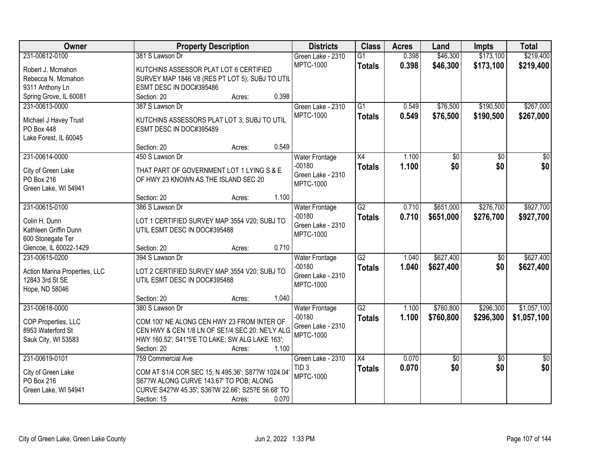| \$173,100<br>\$219,400<br>231-00612-0100<br>381 S Lawson Dr<br>0.398<br>\$46,300<br>Green Lake - 2310<br>$\overline{G1}$<br><b>MPTC-1000</b><br>0.398<br>\$46,300<br>\$173,100<br>\$219,400<br><b>Totals</b><br>KUTCHINS ASSESSOR PLAT LOT 6 CERTIFIED<br>Robert J. Mcmahon<br>SURVEY MAP 1846 V8 (RES PT LOT 5); SUBJ TO UTIL<br>Rebecca N. Mcmahon<br>9311 Anthony Ln<br>ESMT DESC IN DOC#395486<br>0.398<br>Spring Grove, IL 60081<br>Section: 20<br>Acres:<br>\$190,500<br>\$267,000<br>231-00613-0000<br>387 S Lawson Dr<br>$\overline{G1}$<br>\$76,500<br>Green Lake - 2310<br>0.549<br><b>MPTC-1000</b><br>0.549<br>\$190,500<br>\$76,500<br>\$267,000<br><b>Totals</b><br>Michael J Havey Trust<br>KUTCHINS ASSESSORS PLAT LOT 3; SUBJ TO UTIL<br>PO Box 448<br>ESMT DESC IN DOC#395489<br>Lake Forest, IL 60045<br>0.549<br>Section: 20<br>Acres:<br>231-00614-0000<br>450 S Lawson Dr<br>$\overline{X4}$<br>1.100<br>$\overline{50}$<br>$\overline{50}$<br>$\overline{50}$<br><b>Water Frontage</b><br>\$0<br>\$0<br>$-00180$<br>\$0<br>1.100<br><b>Totals</b><br>THAT PART OF GOVERNMENT LOT 1 LYING S & E<br>City of Green Lake<br>Green Lake - 2310<br>PO Box 216<br>OF HWY 23 KNOWN AS THE ISLAND SEC 20<br><b>MPTC-1000</b><br>Green Lake, WI 54941<br>1.100<br>Section: 20<br>Acres:<br>231-00615-0100<br>386 S Lawson Dr<br>$\overline{G2}$<br>\$651,000<br>\$276,700<br><b>Water Frontage</b><br>0.710<br>$-00180$<br>0.710<br>\$651,000<br>\$276,700<br><b>Totals</b><br>Colin H. Dunn<br>LOT 1 CERTIFIED SURVEY MAP 3554 V20; SUBJ TO<br>Green Lake - 2310<br>Kathleen Griffin Dunn<br>UTIL ESMT DESC IN DOC#395488<br><b>MPTC-1000</b><br>600 Stonegate Ter<br>0.710<br>Glencoe, IL 60022-1429<br>Section: 20<br>Acres:<br>$\overline{G2}$<br>\$627,400<br>231-00615-0200<br>394 S Lawson Dr<br>1.040<br>$\overline{50}$<br><b>Water Frontage</b><br>$-00180$<br>1.040<br>\$627,400<br>\$0<br><b>Totals</b><br>Action Marina Properties, LLC<br>LOT 2 CERTIFIED SURVEY MAP 3554 V20; SUBJ TO<br>Green Lake - 2310<br>UTIL ESMT DESC IN DOC#395488<br>12843 3rd St SE<br><b>MPTC-1000</b><br>Hope, ND 58046<br>1.040<br>Section: 20<br>Acres:<br>$\overline{G2}$<br>\$760,800<br>\$296,300<br>231-00618-0000<br>380 S Lawson Dr<br>1.100<br>Water Frontage<br>$-00180$<br>1.100<br>\$760,800<br>\$296,300<br><b>Totals</b><br>COP Properties, LLC<br>COM 100' NE ALONG CEN HWY 23 FROM INTER OF<br>Green Lake - 2310<br>CEN HWY & CEN 1/8 LN OF SE1/4 SEC 20: NE'LY ALG<br>8953 Waterford St<br><b>MPTC-1000</b><br>Sauk City, WI 53583<br>HWY 160.52'; S41*5'E TO LAKE; SW ALG LAKE 163';<br>1.100<br>Section: 20<br>Acres:<br>231-00619-0101<br>0.070<br>759 Commercial Ave<br>Green Lake - 2310<br>X4<br>\$0<br>$\overline{50}$<br>0.070<br>\$0<br>\$0<br>TID <sub>3</sub><br><b>Totals</b><br>City of Green Lake<br>COM AT S1/4 COR SEC 15; N 495.36'; S87?W 1024.04'<br>MPTC-1000<br>PO Box 216<br>S67?W ALONG CURVE 143.67' TO POB; ALONG<br>CURVE S42?W 45.35'; S36?W 22.66'; S25?E 56.68' TO<br>Green Lake, WI 54941 | Owner | <b>Property Description</b>    | <b>Districts</b> | <b>Class</b> | <b>Acres</b> | Land | Impts | <b>Total</b> |
|--------------------------------------------------------------------------------------------------------------------------------------------------------------------------------------------------------------------------------------------------------------------------------------------------------------------------------------------------------------------------------------------------------------------------------------------------------------------------------------------------------------------------------------------------------------------------------------------------------------------------------------------------------------------------------------------------------------------------------------------------------------------------------------------------------------------------------------------------------------------------------------------------------------------------------------------------------------------------------------------------------------------------------------------------------------------------------------------------------------------------------------------------------------------------------------------------------------------------------------------------------------------------------------------------------------------------------------------------------------------------------------------------------------------------------------------------------------------------------------------------------------------------------------------------------------------------------------------------------------------------------------------------------------------------------------------------------------------------------------------------------------------------------------------------------------------------------------------------------------------------------------------------------------------------------------------------------------------------------------------------------------------------------------------------------------------------------------------------------------------------------------------------------------------------------------------------------------------------------------------------------------------------------------------------------------------------------------------------------------------------------------------------------------------------------------------------------------------------------------------------------------------------------------------------------------------------------------------------------------------------------------------------------------------------------------------------------------------------------------------------------------------------------------------------------------------------------------------------------------------------------------------------------------------------------------------------------------------------------------------------------------------------------------------------|-------|--------------------------------|------------------|--------------|--------------|------|-------|--------------|
|                                                                                                                                                                                                                                                                                                                                                                                                                                                                                                                                                                                                                                                                                                                                                                                                                                                                                                                                                                                                                                                                                                                                                                                                                                                                                                                                                                                                                                                                                                                                                                                                                                                                                                                                                                                                                                                                                                                                                                                                                                                                                                                                                                                                                                                                                                                                                                                                                                                                                                                                                                                                                                                                                                                                                                                                                                                                                                                                                                                                                                                  |       |                                |                  |              |              |      |       |              |
|                                                                                                                                                                                                                                                                                                                                                                                                                                                                                                                                                                                                                                                                                                                                                                                                                                                                                                                                                                                                                                                                                                                                                                                                                                                                                                                                                                                                                                                                                                                                                                                                                                                                                                                                                                                                                                                                                                                                                                                                                                                                                                                                                                                                                                                                                                                                                                                                                                                                                                                                                                                                                                                                                                                                                                                                                                                                                                                                                                                                                                                  |       |                                |                  |              |              |      |       |              |
|                                                                                                                                                                                                                                                                                                                                                                                                                                                                                                                                                                                                                                                                                                                                                                                                                                                                                                                                                                                                                                                                                                                                                                                                                                                                                                                                                                                                                                                                                                                                                                                                                                                                                                                                                                                                                                                                                                                                                                                                                                                                                                                                                                                                                                                                                                                                                                                                                                                                                                                                                                                                                                                                                                                                                                                                                                                                                                                                                                                                                                                  |       |                                |                  |              |              |      |       |              |
|                                                                                                                                                                                                                                                                                                                                                                                                                                                                                                                                                                                                                                                                                                                                                                                                                                                                                                                                                                                                                                                                                                                                                                                                                                                                                                                                                                                                                                                                                                                                                                                                                                                                                                                                                                                                                                                                                                                                                                                                                                                                                                                                                                                                                                                                                                                                                                                                                                                                                                                                                                                                                                                                                                                                                                                                                                                                                                                                                                                                                                                  |       |                                |                  |              |              |      |       |              |
|                                                                                                                                                                                                                                                                                                                                                                                                                                                                                                                                                                                                                                                                                                                                                                                                                                                                                                                                                                                                                                                                                                                                                                                                                                                                                                                                                                                                                                                                                                                                                                                                                                                                                                                                                                                                                                                                                                                                                                                                                                                                                                                                                                                                                                                                                                                                                                                                                                                                                                                                                                                                                                                                                                                                                                                                                                                                                                                                                                                                                                                  |       |                                |                  |              |              |      |       |              |
|                                                                                                                                                                                                                                                                                                                                                                                                                                                                                                                                                                                                                                                                                                                                                                                                                                                                                                                                                                                                                                                                                                                                                                                                                                                                                                                                                                                                                                                                                                                                                                                                                                                                                                                                                                                                                                                                                                                                                                                                                                                                                                                                                                                                                                                                                                                                                                                                                                                                                                                                                                                                                                                                                                                                                                                                                                                                                                                                                                                                                                                  |       |                                |                  |              |              |      |       |              |
|                                                                                                                                                                                                                                                                                                                                                                                                                                                                                                                                                                                                                                                                                                                                                                                                                                                                                                                                                                                                                                                                                                                                                                                                                                                                                                                                                                                                                                                                                                                                                                                                                                                                                                                                                                                                                                                                                                                                                                                                                                                                                                                                                                                                                                                                                                                                                                                                                                                                                                                                                                                                                                                                                                                                                                                                                                                                                                                                                                                                                                                  |       |                                |                  |              |              |      |       |              |
|                                                                                                                                                                                                                                                                                                                                                                                                                                                                                                                                                                                                                                                                                                                                                                                                                                                                                                                                                                                                                                                                                                                                                                                                                                                                                                                                                                                                                                                                                                                                                                                                                                                                                                                                                                                                                                                                                                                                                                                                                                                                                                                                                                                                                                                                                                                                                                                                                                                                                                                                                                                                                                                                                                                                                                                                                                                                                                                                                                                                                                                  |       |                                |                  |              |              |      |       |              |
|                                                                                                                                                                                                                                                                                                                                                                                                                                                                                                                                                                                                                                                                                                                                                                                                                                                                                                                                                                                                                                                                                                                                                                                                                                                                                                                                                                                                                                                                                                                                                                                                                                                                                                                                                                                                                                                                                                                                                                                                                                                                                                                                                                                                                                                                                                                                                                                                                                                                                                                                                                                                                                                                                                                                                                                                                                                                                                                                                                                                                                                  |       |                                |                  |              |              |      |       |              |
|                                                                                                                                                                                                                                                                                                                                                                                                                                                                                                                                                                                                                                                                                                                                                                                                                                                                                                                                                                                                                                                                                                                                                                                                                                                                                                                                                                                                                                                                                                                                                                                                                                                                                                                                                                                                                                                                                                                                                                                                                                                                                                                                                                                                                                                                                                                                                                                                                                                                                                                                                                                                                                                                                                                                                                                                                                                                                                                                                                                                                                                  |       |                                |                  |              |              |      |       |              |
|                                                                                                                                                                                                                                                                                                                                                                                                                                                                                                                                                                                                                                                                                                                                                                                                                                                                                                                                                                                                                                                                                                                                                                                                                                                                                                                                                                                                                                                                                                                                                                                                                                                                                                                                                                                                                                                                                                                                                                                                                                                                                                                                                                                                                                                                                                                                                                                                                                                                                                                                                                                                                                                                                                                                                                                                                                                                                                                                                                                                                                                  |       |                                |                  |              |              |      |       |              |
|                                                                                                                                                                                                                                                                                                                                                                                                                                                                                                                                                                                                                                                                                                                                                                                                                                                                                                                                                                                                                                                                                                                                                                                                                                                                                                                                                                                                                                                                                                                                                                                                                                                                                                                                                                                                                                                                                                                                                                                                                                                                                                                                                                                                                                                                                                                                                                                                                                                                                                                                                                                                                                                                                                                                                                                                                                                                                                                                                                                                                                                  |       |                                |                  |              |              |      |       |              |
| \$927,700<br>\$927,700<br>\$627,400<br>\$627,400<br>\$1,057,100<br>\$1,057,100<br>$\overline{50}$<br>\$0                                                                                                                                                                                                                                                                                                                                                                                                                                                                                                                                                                                                                                                                                                                                                                                                                                                                                                                                                                                                                                                                                                                                                                                                                                                                                                                                                                                                                                                                                                                                                                                                                                                                                                                                                                                                                                                                                                                                                                                                                                                                                                                                                                                                                                                                                                                                                                                                                                                                                                                                                                                                                                                                                                                                                                                                                                                                                                                                         |       |                                |                  |              |              |      |       |              |
|                                                                                                                                                                                                                                                                                                                                                                                                                                                                                                                                                                                                                                                                                                                                                                                                                                                                                                                                                                                                                                                                                                                                                                                                                                                                                                                                                                                                                                                                                                                                                                                                                                                                                                                                                                                                                                                                                                                                                                                                                                                                                                                                                                                                                                                                                                                                                                                                                                                                                                                                                                                                                                                                                                                                                                                                                                                                                                                                                                                                                                                  |       |                                |                  |              |              |      |       |              |
|                                                                                                                                                                                                                                                                                                                                                                                                                                                                                                                                                                                                                                                                                                                                                                                                                                                                                                                                                                                                                                                                                                                                                                                                                                                                                                                                                                                                                                                                                                                                                                                                                                                                                                                                                                                                                                                                                                                                                                                                                                                                                                                                                                                                                                                                                                                                                                                                                                                                                                                                                                                                                                                                                                                                                                                                                                                                                                                                                                                                                                                  |       |                                |                  |              |              |      |       |              |
|                                                                                                                                                                                                                                                                                                                                                                                                                                                                                                                                                                                                                                                                                                                                                                                                                                                                                                                                                                                                                                                                                                                                                                                                                                                                                                                                                                                                                                                                                                                                                                                                                                                                                                                                                                                                                                                                                                                                                                                                                                                                                                                                                                                                                                                                                                                                                                                                                                                                                                                                                                                                                                                                                                                                                                                                                                                                                                                                                                                                                                                  |       |                                |                  |              |              |      |       |              |
|                                                                                                                                                                                                                                                                                                                                                                                                                                                                                                                                                                                                                                                                                                                                                                                                                                                                                                                                                                                                                                                                                                                                                                                                                                                                                                                                                                                                                                                                                                                                                                                                                                                                                                                                                                                                                                                                                                                                                                                                                                                                                                                                                                                                                                                                                                                                                                                                                                                                                                                                                                                                                                                                                                                                                                                                                                                                                                                                                                                                                                                  |       |                                |                  |              |              |      |       |              |
|                                                                                                                                                                                                                                                                                                                                                                                                                                                                                                                                                                                                                                                                                                                                                                                                                                                                                                                                                                                                                                                                                                                                                                                                                                                                                                                                                                                                                                                                                                                                                                                                                                                                                                                                                                                                                                                                                                                                                                                                                                                                                                                                                                                                                                                                                                                                                                                                                                                                                                                                                                                                                                                                                                                                                                                                                                                                                                                                                                                                                                                  |       |                                |                  |              |              |      |       |              |
|                                                                                                                                                                                                                                                                                                                                                                                                                                                                                                                                                                                                                                                                                                                                                                                                                                                                                                                                                                                                                                                                                                                                                                                                                                                                                                                                                                                                                                                                                                                                                                                                                                                                                                                                                                                                                                                                                                                                                                                                                                                                                                                                                                                                                                                                                                                                                                                                                                                                                                                                                                                                                                                                                                                                                                                                                                                                                                                                                                                                                                                  |       |                                |                  |              |              |      |       |              |
|                                                                                                                                                                                                                                                                                                                                                                                                                                                                                                                                                                                                                                                                                                                                                                                                                                                                                                                                                                                                                                                                                                                                                                                                                                                                                                                                                                                                                                                                                                                                                                                                                                                                                                                                                                                                                                                                                                                                                                                                                                                                                                                                                                                                                                                                                                                                                                                                                                                                                                                                                                                                                                                                                                                                                                                                                                                                                                                                                                                                                                                  |       |                                |                  |              |              |      |       |              |
|                                                                                                                                                                                                                                                                                                                                                                                                                                                                                                                                                                                                                                                                                                                                                                                                                                                                                                                                                                                                                                                                                                                                                                                                                                                                                                                                                                                                                                                                                                                                                                                                                                                                                                                                                                                                                                                                                                                                                                                                                                                                                                                                                                                                                                                                                                                                                                                                                                                                                                                                                                                                                                                                                                                                                                                                                                                                                                                                                                                                                                                  |       |                                |                  |              |              |      |       |              |
|                                                                                                                                                                                                                                                                                                                                                                                                                                                                                                                                                                                                                                                                                                                                                                                                                                                                                                                                                                                                                                                                                                                                                                                                                                                                                                                                                                                                                                                                                                                                                                                                                                                                                                                                                                                                                                                                                                                                                                                                                                                                                                                                                                                                                                                                                                                                                                                                                                                                                                                                                                                                                                                                                                                                                                                                                                                                                                                                                                                                                                                  |       |                                |                  |              |              |      |       |              |
|                                                                                                                                                                                                                                                                                                                                                                                                                                                                                                                                                                                                                                                                                                                                                                                                                                                                                                                                                                                                                                                                                                                                                                                                                                                                                                                                                                                                                                                                                                                                                                                                                                                                                                                                                                                                                                                                                                                                                                                                                                                                                                                                                                                                                                                                                                                                                                                                                                                                                                                                                                                                                                                                                                                                                                                                                                                                                                                                                                                                                                                  |       |                                |                  |              |              |      |       |              |
|                                                                                                                                                                                                                                                                                                                                                                                                                                                                                                                                                                                                                                                                                                                                                                                                                                                                                                                                                                                                                                                                                                                                                                                                                                                                                                                                                                                                                                                                                                                                                                                                                                                                                                                                                                                                                                                                                                                                                                                                                                                                                                                                                                                                                                                                                                                                                                                                                                                                                                                                                                                                                                                                                                                                                                                                                                                                                                                                                                                                                                                  |       |                                |                  |              |              |      |       |              |
|                                                                                                                                                                                                                                                                                                                                                                                                                                                                                                                                                                                                                                                                                                                                                                                                                                                                                                                                                                                                                                                                                                                                                                                                                                                                                                                                                                                                                                                                                                                                                                                                                                                                                                                                                                                                                                                                                                                                                                                                                                                                                                                                                                                                                                                                                                                                                                                                                                                                                                                                                                                                                                                                                                                                                                                                                                                                                                                                                                                                                                                  |       |                                |                  |              |              |      |       |              |
|                                                                                                                                                                                                                                                                                                                                                                                                                                                                                                                                                                                                                                                                                                                                                                                                                                                                                                                                                                                                                                                                                                                                                                                                                                                                                                                                                                                                                                                                                                                                                                                                                                                                                                                                                                                                                                                                                                                                                                                                                                                                                                                                                                                                                                                                                                                                                                                                                                                                                                                                                                                                                                                                                                                                                                                                                                                                                                                                                                                                                                                  |       |                                |                  |              |              |      |       |              |
|                                                                                                                                                                                                                                                                                                                                                                                                                                                                                                                                                                                                                                                                                                                                                                                                                                                                                                                                                                                                                                                                                                                                                                                                                                                                                                                                                                                                                                                                                                                                                                                                                                                                                                                                                                                                                                                                                                                                                                                                                                                                                                                                                                                                                                                                                                                                                                                                                                                                                                                                                                                                                                                                                                                                                                                                                                                                                                                                                                                                                                                  |       |                                |                  |              |              |      |       |              |
|                                                                                                                                                                                                                                                                                                                                                                                                                                                                                                                                                                                                                                                                                                                                                                                                                                                                                                                                                                                                                                                                                                                                                                                                                                                                                                                                                                                                                                                                                                                                                                                                                                                                                                                                                                                                                                                                                                                                                                                                                                                                                                                                                                                                                                                                                                                                                                                                                                                                                                                                                                                                                                                                                                                                                                                                                                                                                                                                                                                                                                                  |       |                                |                  |              |              |      |       |              |
|                                                                                                                                                                                                                                                                                                                                                                                                                                                                                                                                                                                                                                                                                                                                                                                                                                                                                                                                                                                                                                                                                                                                                                                                                                                                                                                                                                                                                                                                                                                                                                                                                                                                                                                                                                                                                                                                                                                                                                                                                                                                                                                                                                                                                                                                                                                                                                                                                                                                                                                                                                                                                                                                                                                                                                                                                                                                                                                                                                                                                                                  |       |                                |                  |              |              |      |       |              |
|                                                                                                                                                                                                                                                                                                                                                                                                                                                                                                                                                                                                                                                                                                                                                                                                                                                                                                                                                                                                                                                                                                                                                                                                                                                                                                                                                                                                                                                                                                                                                                                                                                                                                                                                                                                                                                                                                                                                                                                                                                                                                                                                                                                                                                                                                                                                                                                                                                                                                                                                                                                                                                                                                                                                                                                                                                                                                                                                                                                                                                                  |       |                                |                  |              |              |      |       |              |
|                                                                                                                                                                                                                                                                                                                                                                                                                                                                                                                                                                                                                                                                                                                                                                                                                                                                                                                                                                                                                                                                                                                                                                                                                                                                                                                                                                                                                                                                                                                                                                                                                                                                                                                                                                                                                                                                                                                                                                                                                                                                                                                                                                                                                                                                                                                                                                                                                                                                                                                                                                                                                                                                                                                                                                                                                                                                                                                                                                                                                                                  |       |                                |                  |              |              |      |       |              |
|                                                                                                                                                                                                                                                                                                                                                                                                                                                                                                                                                                                                                                                                                                                                                                                                                                                                                                                                                                                                                                                                                                                                                                                                                                                                                                                                                                                                                                                                                                                                                                                                                                                                                                                                                                                                                                                                                                                                                                                                                                                                                                                                                                                                                                                                                                                                                                                                                                                                                                                                                                                                                                                                                                                                                                                                                                                                                                                                                                                                                                                  |       |                                |                  |              |              |      |       |              |
|                                                                                                                                                                                                                                                                                                                                                                                                                                                                                                                                                                                                                                                                                                                                                                                                                                                                                                                                                                                                                                                                                                                                                                                                                                                                                                                                                                                                                                                                                                                                                                                                                                                                                                                                                                                                                                                                                                                                                                                                                                                                                                                                                                                                                                                                                                                                                                                                                                                                                                                                                                                                                                                                                                                                                                                                                                                                                                                                                                                                                                                  |       |                                |                  |              |              |      |       |              |
|                                                                                                                                                                                                                                                                                                                                                                                                                                                                                                                                                                                                                                                                                                                                                                                                                                                                                                                                                                                                                                                                                                                                                                                                                                                                                                                                                                                                                                                                                                                                                                                                                                                                                                                                                                                                                                                                                                                                                                                                                                                                                                                                                                                                                                                                                                                                                                                                                                                                                                                                                                                                                                                                                                                                                                                                                                                                                                                                                                                                                                                  |       |                                |                  |              |              |      |       |              |
|                                                                                                                                                                                                                                                                                                                                                                                                                                                                                                                                                                                                                                                                                                                                                                                                                                                                                                                                                                                                                                                                                                                                                                                                                                                                                                                                                                                                                                                                                                                                                                                                                                                                                                                                                                                                                                                                                                                                                                                                                                                                                                                                                                                                                                                                                                                                                                                                                                                                                                                                                                                                                                                                                                                                                                                                                                                                                                                                                                                                                                                  |       |                                |                  |              |              |      |       |              |
|                                                                                                                                                                                                                                                                                                                                                                                                                                                                                                                                                                                                                                                                                                                                                                                                                                                                                                                                                                                                                                                                                                                                                                                                                                                                                                                                                                                                                                                                                                                                                                                                                                                                                                                                                                                                                                                                                                                                                                                                                                                                                                                                                                                                                                                                                                                                                                                                                                                                                                                                                                                                                                                                                                                                                                                                                                                                                                                                                                                                                                                  |       | 0.070<br>Section: 15<br>Acres: |                  |              |              |      |       |              |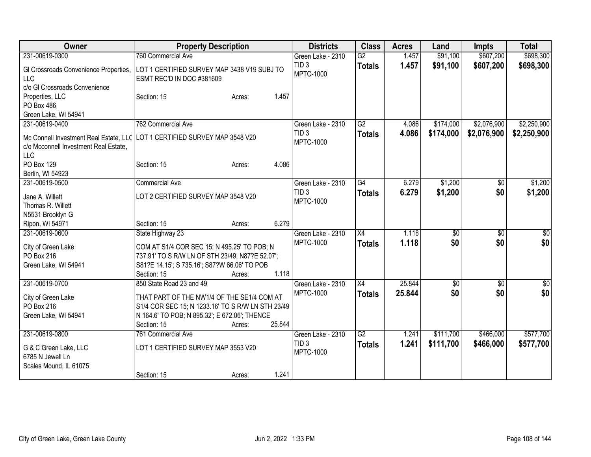| Owner                                                               | <b>Property Description</b>                                                  |        | <b>Districts</b>                     | <b>Class</b>    | <b>Acres</b> | Land            | <b>Impts</b>    | <b>Total</b>    |
|---------------------------------------------------------------------|------------------------------------------------------------------------------|--------|--------------------------------------|-----------------|--------------|-----------------|-----------------|-----------------|
| 231-00619-0300                                                      | 760 Commercial Ave                                                           |        | Green Lake - 2310                    | $\overline{G2}$ | 1.457        | \$91,100        | \$607,200       | \$698,300       |
| GI Crossroads Convenience Properties,<br><b>LLC</b>                 | LOT 1 CERTIFIED SURVEY MAP 3438 V19 SUBJ TO<br>ESMT REC'D IN DOC #381609     |        | TID <sub>3</sub><br><b>MPTC-1000</b> | <b>Totals</b>   | 1.457        | \$91,100        | \$607,200       | \$698,300       |
| c/o GI Crossroads Convenience<br>Properties, LLC<br>PO Box 486      | Section: 15<br>Acres:                                                        | 1.457  |                                      |                 |              |                 |                 |                 |
| Green Lake, WI 54941                                                |                                                                              |        |                                      |                 |              |                 |                 |                 |
| 231-00619-0400                                                      | 762 Commercial Ave                                                           |        | Green Lake - 2310                    | G2              | 4.086        | \$174,000       | \$2,076,900     | \$2,250,900     |
| c/o Mcconnell Investment Real Estate,<br><b>LLC</b>                 | Mc Connell Investment Real Estate, LLC   LOT 1 CERTIFIED SURVEY MAP 3548 V20 |        | TID <sub>3</sub><br><b>MPTC-1000</b> | <b>Totals</b>   | 4.086        | \$174,000       | \$2,076,900     | \$2,250,900     |
| <b>PO Box 129</b>                                                   | Section: 15<br>Acres:                                                        | 4.086  |                                      |                 |              |                 |                 |                 |
| Berlin, WI 54923                                                    |                                                                              |        |                                      |                 |              |                 |                 |                 |
| 231-00619-0500                                                      | <b>Commercial Ave</b>                                                        |        | Green Lake - 2310                    | G4              | 6.279        | \$1,200         | $\overline{50}$ | \$1,200         |
| Jane A. Willett<br>Thomas R. Willett                                | LOT 2 CERTIFIED SURVEY MAP 3548 V20                                          |        | TID <sub>3</sub><br><b>MPTC-1000</b> | <b>Totals</b>   | 6.279        | \$1,200         | \$0             | \$1,200         |
| N5531 Brooklyn G                                                    |                                                                              |        |                                      |                 |              |                 |                 |                 |
| Ripon, WI 54971                                                     | Section: 15<br>Acres:                                                        | 6.279  |                                      |                 |              |                 |                 |                 |
| 231-00619-0600                                                      | State Highway 23                                                             |        | Green Lake - 2310                    | X4              | 1.118        | $\overline{50}$ | \$0             | \$0             |
|                                                                     |                                                                              |        | <b>MPTC-1000</b>                     | <b>Totals</b>   | 1.118        | \$0             | \$0             | \$0             |
| City of Green Lake                                                  | COM AT S1/4 COR SEC 15; N 495.25' TO POB; N                                  |        |                                      |                 |              |                 |                 |                 |
| PO Box 216                                                          | 737.91' TO S R/W LN OF STH 23/49; N87?E 52.07';                              |        |                                      |                 |              |                 |                 |                 |
| Green Lake, WI 54941                                                | S81?E 14.15'; S 735.16'; S87?W 66.06' TO POB                                 |        |                                      |                 |              |                 |                 |                 |
|                                                                     | Section: 15<br>Acres:                                                        | 1.118  |                                      |                 |              |                 |                 |                 |
| 231-00619-0700                                                      | 850 State Road 23 and 49                                                     |        | Green Lake - 2310                    | $\overline{X4}$ | 25.844       | $\overline{50}$ | \$0             | $\overline{30}$ |
| City of Green Lake                                                  | THAT PART OF THE NW1/4 OF THE SE1/4 COM AT                                   |        | <b>MPTC-1000</b>                     | <b>Totals</b>   | 25.844       | \$0             | \$0             | \$0             |
| PO Box 216                                                          | S1/4 COR SEC 15; N 1233.16' TO S R/W LN STH 23/49                            |        |                                      |                 |              |                 |                 |                 |
| Green Lake, WI 54941                                                | N 164.6' TO POB; N 895.32'; E 672.06'; THENCE                                |        |                                      |                 |              |                 |                 |                 |
|                                                                     | Section: 15<br>Acres:                                                        | 25.844 |                                      |                 |              |                 |                 |                 |
| 231-00619-0800                                                      | 761 Commercial Ave                                                           |        | Green Lake - 2310                    | $\overline{G2}$ | 1.241        | \$111,700       | \$466,000       | \$577,700       |
| G & C Green Lake, LLC<br>6785 N Jewell Ln<br>Scales Mound, IL 61075 | LOT 1 CERTIFIED SURVEY MAP 3553 V20                                          |        | TID <sub>3</sub><br><b>MPTC-1000</b> | <b>Totals</b>   | 1.241        | \$111,700       | \$466,000       | \$577,700       |
|                                                                     | Section: 15<br>Acres:                                                        | 1.241  |                                      |                 |              |                 |                 |                 |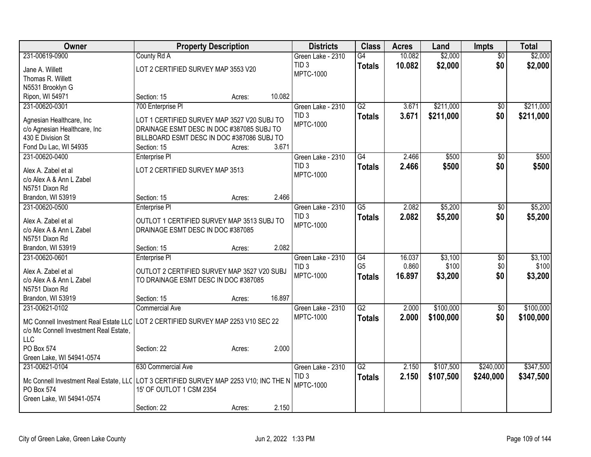| <b>Owner</b>                                                                                        | <b>Property Description</b>                 |        |        | <b>Districts</b>  | <b>Class</b>    | <b>Acres</b> | Land      | <b>Impts</b>    | <b>Total</b> |
|-----------------------------------------------------------------------------------------------------|---------------------------------------------|--------|--------|-------------------|-----------------|--------------|-----------|-----------------|--------------|
| 231-00619-0900                                                                                      | County Rd A                                 |        |        | Green Lake - 2310 | G4              | 10.082       | \$2,000   | $\overline{50}$ | \$2,000      |
| Jane A. Willett                                                                                     | LOT 2 CERTIFIED SURVEY MAP 3553 V20         |        |        | TID <sub>3</sub>  | <b>Totals</b>   | 10.082       | \$2,000   | \$0             | \$2,000      |
| Thomas R. Willett                                                                                   |                                             |        |        | <b>MPTC-1000</b>  |                 |              |           |                 |              |
| N5531 Brooklyn G                                                                                    |                                             |        |        |                   |                 |              |           |                 |              |
| Ripon, WI 54971                                                                                     | Section: 15                                 | Acres: | 10.082 |                   |                 |              |           |                 |              |
| 231-00620-0301                                                                                      | 700 Enterprise Pl                           |        |        | Green Lake - 2310 | G2              | 3.671        | \$211,000 | $\sqrt{50}$     | \$211,000    |
| Agnesian Healthcare, Inc                                                                            | LOT 1 CERTIFIED SURVEY MAP 3527 V20 SUBJ TO |        |        | TID <sub>3</sub>  | <b>Totals</b>   | 3.671        | \$211,000 | \$0             | \$211,000    |
| c/o Agnesian Healthcare, Inc                                                                        | DRAINAGE ESMT DESC IN DOC #387085 SUBJ TO   |        |        | <b>MPTC-1000</b>  |                 |              |           |                 |              |
| 430 E Division St                                                                                   | BILLBOARD ESMT DESC IN DOC #387086 SUBJ TO  |        |        |                   |                 |              |           |                 |              |
| Fond Du Lac, WI 54935                                                                               | Section: 15                                 | Acres: | 3.671  |                   |                 |              |           |                 |              |
| 231-00620-0400                                                                                      | Enterprise PI                               |        |        | Green Lake - 2310 | $\overline{G4}$ | 2.466        | \$500     | $\overline{50}$ | \$500        |
|                                                                                                     |                                             |        |        | TID <sub>3</sub>  | <b>Totals</b>   | 2.466        | \$500     | \$0             | \$500        |
| Alex A. Zabel et al                                                                                 | LOT 2 CERTIFIED SURVEY MAP 3513             |        |        | <b>MPTC-1000</b>  |                 |              |           |                 |              |
| c/o Alex A & Ann L Zabel                                                                            |                                             |        |        |                   |                 |              |           |                 |              |
| N5751 Dixon Rd                                                                                      |                                             |        | 2.466  |                   |                 |              |           |                 |              |
| Brandon, WI 53919<br>231-00620-0500                                                                 | Section: 15                                 | Acres: |        | Green Lake - 2310 | $\overline{G5}$ | 2.082        | \$5,200   |                 | \$5,200      |
|                                                                                                     | <b>Enterprise PI</b>                        |        |        | TID <sub>3</sub>  |                 |              |           | \$0             |              |
| Alex A. Zabel et al                                                                                 | OUTLOT 1 CERTIFIED SURVEY MAP 3513 SUBJ TO  |        |        | <b>MPTC-1000</b>  | <b>Totals</b>   | 2.082        | \$5,200   | \$0             | \$5,200      |
| c/o Alex A & Ann L Zabel                                                                            | DRAINAGE ESMT DESC IN DOC #387085           |        |        |                   |                 |              |           |                 |              |
| N5751 Dixon Rd                                                                                      |                                             |        |        |                   |                 |              |           |                 |              |
| Brandon, WI 53919                                                                                   | Section: 15                                 | Acres: | 2.082  |                   |                 |              |           |                 |              |
| 231-00620-0601                                                                                      | Enterprise PI                               |        |        | Green Lake - 2310 | G4              | 16.037       | \$3,100   | $\overline{50}$ | \$3,100      |
| Alex A. Zabel et al                                                                                 | OUTLOT 2 CERTIFIED SURVEY MAP 3527 V20 SUBJ |        |        | TID <sub>3</sub>  | G <sub>5</sub>  | 0.860        | \$100     | \$0             | \$100        |
| c/o Alex A & Ann L Zabel                                                                            | TO DRAINAGE ESMT DESC IN DOC #387085        |        |        | <b>MPTC-1000</b>  | <b>Totals</b>   | 16.897       | \$3,200   | \$0             | \$3,200      |
| N5751 Dixon Rd                                                                                      |                                             |        |        |                   |                 |              |           |                 |              |
| Brandon, WI 53919                                                                                   | Section: 15                                 | Acres: | 16.897 |                   |                 |              |           |                 |              |
| 231-00621-0102                                                                                      | <b>Commercial Ave</b>                       |        |        | Green Lake - 2310 | $\overline{G2}$ | 2.000        | \$100,000 | $\sqrt{$0}$     | \$100,000    |
| MC Connell Investment Real Estate LLC LOT 2 CERTIFIED SURVEY MAP 2253 V10 SEC 22                    |                                             |        |        | MPTC-1000         | <b>Totals</b>   | 2.000        | \$100,000 | \$0             | \$100,000    |
| c/o Mc Connell Investment Real Estate.                                                              |                                             |        |        |                   |                 |              |           |                 |              |
| LLC                                                                                                 |                                             |        |        |                   |                 |              |           |                 |              |
| PO Box 574                                                                                          | Section: 22                                 | Acres: | 2.000  |                   |                 |              |           |                 |              |
| Green Lake, WI 54941-0574                                                                           |                                             |        |        |                   |                 |              |           |                 |              |
| 231-00621-0104                                                                                      | 630 Commercial Ave                          |        |        | Green Lake - 2310 | $\overline{G2}$ | 2.150        | \$107,500 | \$240,000       | \$347,500    |
|                                                                                                     |                                             |        |        | TID <sub>3</sub>  | <b>Totals</b>   | 2.150        | \$107,500 | \$240,000       | \$347,500    |
| Mc Connell Investment Real Estate, LLC LOT 3 CERTIFIED SURVEY MAP 2253 V10; INC THE N<br>PO Box 574 | 15' OF OUTLOT 1 CSM 2354                    |        |        | <b>MPTC-1000</b>  |                 |              |           |                 |              |
| Green Lake, WI 54941-0574                                                                           |                                             |        |        |                   |                 |              |           |                 |              |
|                                                                                                     | Section: 22                                 | Acres: | 2.150  |                   |                 |              |           |                 |              |
|                                                                                                     |                                             |        |        |                   |                 |              |           |                 |              |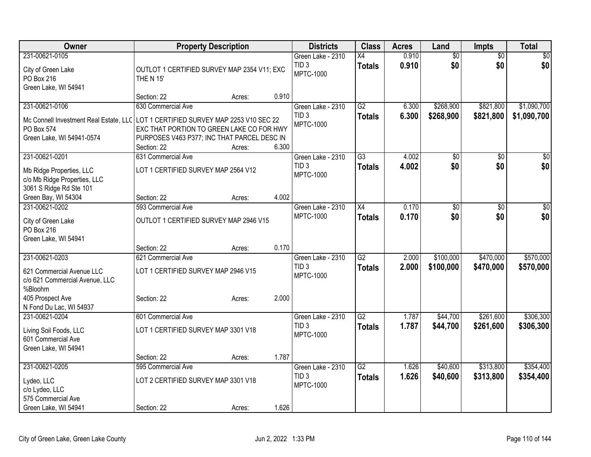| Owner                                                                               | <b>Property Description</b>                 |                 | <b>Districts</b>  | <b>Class</b>    | <b>Acres</b> | Land            | <b>Impts</b>    | <b>Total</b> |
|-------------------------------------------------------------------------------------|---------------------------------------------|-----------------|-------------------|-----------------|--------------|-----------------|-----------------|--------------|
| 231-00621-0105                                                                      |                                             |                 | Green Lake - 2310 | X4              | 0.910        | $\overline{50}$ | $\overline{50}$ | $\sqrt{30}$  |
| City of Green Lake                                                                  | OUTLOT 1 CERTIFIED SURVEY MAP 2354 V11; EXC |                 | TID <sub>3</sub>  | <b>Totals</b>   | 0.910        | \$0             | \$0             | \$0          |
| PO Box 216                                                                          | <b>THE N 15'</b>                            |                 | <b>MPTC-1000</b>  |                 |              |                 |                 |              |
| Green Lake, WI 54941                                                                |                                             |                 |                   |                 |              |                 |                 |              |
|                                                                                     | Section: 22                                 | 0.910<br>Acres: |                   |                 |              |                 |                 |              |
| 231-00621-0106                                                                      | 630 Commercial Ave                          |                 | Green Lake - 2310 | G2              | 6.300        | \$268,900       | \$821,800       | \$1,090,700  |
| Mc Connell Investment Real Estate, LLC   LOT 1 CERTIFIED SURVEY MAP 2253 V10 SEC 22 |                                             |                 | TID <sub>3</sub>  | <b>Totals</b>   | 6.300        | \$268,900       | \$821,800       | \$1,090,700  |
| PO Box 574                                                                          | EXC THAT PORTION TO GREEN LAKE CO FOR HWY   |                 | <b>MPTC-1000</b>  |                 |              |                 |                 |              |
| Green Lake, WI 54941-0574                                                           | PURPOSES V463 P377; INC THAT PARCEL DESC IN |                 |                   |                 |              |                 |                 |              |
|                                                                                     | Section: 22                                 | 6.300<br>Acres: |                   |                 |              |                 |                 |              |
| 231-00621-0201                                                                      | 631 Commercial Ave                          |                 | Green Lake - 2310 | $\overline{G3}$ | 4.002        | \$0             | \$0             | \$0          |
| Mb Ridge Properties, LLC                                                            | LOT 1 CERTIFIED SURVEY MAP 2564 V12         |                 | TID <sub>3</sub>  | <b>Totals</b>   | 4.002        | \$0             | \$0             | \$0          |
| c/o Mb Ridge Properties, LLC                                                        |                                             |                 | MPTC-1000         |                 |              |                 |                 |              |
| 3061 S Ridge Rd Ste 101                                                             |                                             |                 |                   |                 |              |                 |                 |              |
| Green Bay, WI 54304                                                                 | Section: 22                                 | 4.002<br>Acres: |                   |                 |              |                 |                 |              |
| 231-00621-0202                                                                      | 593 Commercial Ave                          |                 | Green Lake - 2310 | $\overline{X4}$ | 0.170        | $\overline{50}$ | \$0             | \$0          |
|                                                                                     | OUTLOT 1 CERTIFIED SURVEY MAP 2946 V15      |                 | <b>MPTC-1000</b>  | <b>Totals</b>   | 0.170        | \$0             | \$0             | \$0          |
| City of Green Lake<br>PO Box 216                                                    |                                             |                 |                   |                 |              |                 |                 |              |
| Green Lake, WI 54941                                                                |                                             |                 |                   |                 |              |                 |                 |              |
|                                                                                     | Section: 22                                 | 0.170<br>Acres: |                   |                 |              |                 |                 |              |
| 231-00621-0203                                                                      | 621 Commercial Ave                          |                 | Green Lake - 2310 | $\overline{G2}$ | 2.000        | \$100,000       | \$470,000       | \$570,000    |
|                                                                                     |                                             |                 | TID <sub>3</sub>  | <b>Totals</b>   | 2.000        | \$100,000       | \$470,000       | \$570,000    |
| 621 Commercial Avenue LLC                                                           | LOT 1 CERTIFIED SURVEY MAP 2946 V15         |                 | <b>MPTC-1000</b>  |                 |              |                 |                 |              |
| c/o 621 Commercial Avenue, LLC<br>%Bloohm                                           |                                             |                 |                   |                 |              |                 |                 |              |
| 405 Prospect Ave                                                                    | Section: 22                                 | 2.000<br>Acres: |                   |                 |              |                 |                 |              |
| N Fond Du Lac, WI 54937                                                             |                                             |                 |                   |                 |              |                 |                 |              |
| 231-00621-0204                                                                      | 601 Commercial Ave                          |                 | Green Lake - 2310 | $\overline{G2}$ | 1.787        | \$44,700        | \$261,600       | \$306,300    |
|                                                                                     |                                             |                 | TID <sub>3</sub>  | <b>Totals</b>   | 1.787        | \$44,700        | \$261,600       | \$306,300    |
| Living Soil Foods, LLC                                                              | LOT 1 CERTIFIED SURVEY MAP 3301 V18         |                 | <b>MPTC-1000</b>  |                 |              |                 |                 |              |
| 601 Commercial Ave                                                                  |                                             |                 |                   |                 |              |                 |                 |              |
| Green Lake, WI 54941                                                                | Section: 22                                 | 1.787<br>Acres: |                   |                 |              |                 |                 |              |
| 231-00621-0205                                                                      | 595 Commercial Ave                          |                 | Green Lake - 2310 | $\overline{G2}$ | 1.626        | \$40,600        | \$313,800       | \$354,400    |
|                                                                                     |                                             |                 | TID <sub>3</sub>  | <b>Totals</b>   | 1.626        | \$40,600        | \$313,800       | \$354,400    |
| Lydeo, LLC                                                                          | LOT 2 CERTIFIED SURVEY MAP 3301 V18         |                 | <b>MPTC-1000</b>  |                 |              |                 |                 |              |
| c/o Lydeo, LLC                                                                      |                                             |                 |                   |                 |              |                 |                 |              |
| 575 Commercial Ave                                                                  |                                             | 1.626           |                   |                 |              |                 |                 |              |
| Green Lake, WI 54941                                                                | Section: 22                                 | Acres:          |                   |                 |              |                 |                 |              |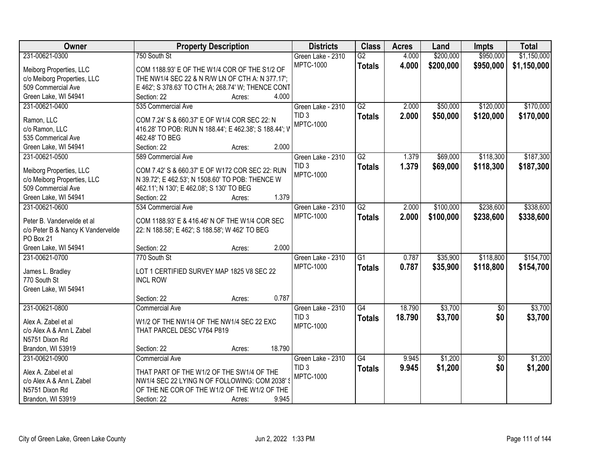| Owner                                           | <b>Property Description</b>                                                               | <b>Districts</b>                     | <b>Class</b>    | <b>Acres</b> | Land      | <b>Impts</b>    | <b>Total</b> |
|-------------------------------------------------|-------------------------------------------------------------------------------------------|--------------------------------------|-----------------|--------------|-----------|-----------------|--------------|
| 231-00621-0300                                  | 750 South St                                                                              | Green Lake - 2310                    | $\overline{G2}$ | 4.000        | \$200,000 | \$950,000       | \$1,150,000  |
| Meiborg Properties, LLC                         | COM 1188.93' E OF THE W1/4 COR OF THE S1/2 OF                                             | <b>MPTC-1000</b>                     | <b>Totals</b>   | 4.000        | \$200,000 | \$950,000       | \$1,150,000  |
| c/o Meiborg Properties, LLC                     | THE NW1/4 SEC 22 & N R/W LN OF CTH A: N 377.17';                                          |                                      |                 |              |           |                 |              |
| 509 Commercial Ave                              | E 462'; S 378.63' TO CTH A; 268.74' W; THENCE CONT                                        |                                      |                 |              |           |                 |              |
| Green Lake, WI 54941                            | 4.000<br>Section: 22<br>Acres:                                                            |                                      |                 |              |           |                 |              |
| 231-00621-0400                                  | 535 Commercial Ave                                                                        | Green Lake - 2310                    | G2              | 2.000        | \$50,000  | \$120,000       | \$170,000    |
|                                                 |                                                                                           | TID <sub>3</sub>                     | <b>Totals</b>   | 2.000        | \$50,000  | \$120,000       | \$170,000    |
| Ramon, LLC                                      | COM 7.24' S & 660.37' E OF W1/4 COR SEC 22: N                                             | <b>MPTC-1000</b>                     |                 |              |           |                 |              |
| c/o Ramon, LLC<br>535 Commerical Ave            | 416.28' TO POB: RUN N 188.44'; E 462.38'; S 188.44'; V                                    |                                      |                 |              |           |                 |              |
|                                                 | 462.48' TO BEG<br>2.000<br>Section: 22                                                    |                                      |                 |              |           |                 |              |
| Green Lake, WI 54941                            | Acres:                                                                                    |                                      | $\overline{G2}$ |              | \$69,000  | \$118,300       | \$187,300    |
| 231-00621-0500                                  | 589 Commercial Ave                                                                        | Green Lake - 2310                    |                 | 1.379        |           |                 |              |
| Meiborg Properties, LLC                         | COM 7.42' S & 660.37' E OF W172 COR SEC 22: RUN                                           | TID <sub>3</sub><br><b>MPTC-1000</b> | <b>Totals</b>   | 1.379        | \$69,000  | \$118,300       | \$187,300    |
| c/o Meiborg Properties, LLC                     | N 39.72'; E 462.53'; N 1508.60' TO POB: THENCE W                                          |                                      |                 |              |           |                 |              |
| 509 Commercial Ave                              | 462.11'; N 130'; E 462.08'; S 130' TO BEG                                                 |                                      |                 |              |           |                 |              |
| Green Lake, WI 54941                            | 1.379<br>Section: 22<br>Acres:                                                            |                                      |                 |              |           |                 |              |
| 231-00621-0600                                  | 534 Commercial Ave                                                                        | Green Lake - 2310                    | $\overline{G2}$ | 2.000        | \$100,000 | \$238,600       | \$338,600    |
| Peter B. Vandervelde et al                      | COM 1188.93' E & 416.46' N OF THE W1/4 COR SEC                                            | <b>MPTC-1000</b>                     | <b>Totals</b>   | 2.000        | \$100,000 | \$238,600       | \$338,600    |
| c/o Peter B & Nancy K Vandervelde               | 22: N 188.58'; E 462'; S 188.58'; W 462' TO BEG                                           |                                      |                 |              |           |                 |              |
| PO Box 21                                       |                                                                                           |                                      |                 |              |           |                 |              |
| Green Lake, WI 54941                            | 2.000<br>Section: 22<br>Acres:                                                            |                                      |                 |              |           |                 |              |
| 231-00621-0700                                  | 770 South St                                                                              | Green Lake - 2310                    | $\overline{G1}$ | 0.787        | \$35,900  | \$118,800       | \$154,700    |
|                                                 |                                                                                           | <b>MPTC-1000</b>                     | <b>Totals</b>   | 0.787        | \$35,900  | \$118,800       | \$154,700    |
| James L. Bradley                                | LOT 1 CERTIFIED SURVEY MAP 1825 V8 SEC 22                                                 |                                      |                 |              |           |                 |              |
| 770 South St                                    | <b>INCL ROW</b>                                                                           |                                      |                 |              |           |                 |              |
| Green Lake, WI 54941                            |                                                                                           |                                      |                 |              |           |                 |              |
|                                                 | 0.787<br>Section: 22<br>Acres:                                                            |                                      |                 |              |           |                 |              |
| 231-00621-0800                                  | <b>Commercial Ave</b>                                                                     | Green Lake - 2310                    | $\overline{G4}$ | 18.790       | \$3,700   | $\overline{50}$ | \$3,700      |
| Alex A. Zabel et al                             | W1/2 OF THE NW1/4 OF THE NW1/4 SEC 22 EXC                                                 | TID <sub>3</sub>                     | <b>Totals</b>   | 18.790       | \$3,700   | \$0             | \$3,700      |
| c/o Alex A & Ann L Zabel                        | THAT PARCEL DESC V764 P819                                                                | <b>MPTC-1000</b>                     |                 |              |           |                 |              |
| N5751 Dixon Rd                                  |                                                                                           |                                      |                 |              |           |                 |              |
| Brandon, WI 53919                               | 18.790<br>Section: 22<br>Acres:                                                           |                                      |                 |              |           |                 |              |
| 231-00621-0900                                  | <b>Commercial Ave</b>                                                                     | Green Lake - 2310                    | G4              | 9.945        | \$1,200   | $\sqrt{6}$      | \$1,200      |
|                                                 |                                                                                           | TID <sub>3</sub>                     | <b>Totals</b>   | 9.945        | \$1,200   | \$0             | \$1,200      |
| Alex A. Zabel et al<br>c/o Alex A & Ann L Zabel | THAT PART OF THE W1/2 OF THE SW1/4 OF THE<br>NW1/4 SEC 22 LYING N OF FOLLOWING: COM 2038' | <b>MPTC-1000</b>                     |                 |              |           |                 |              |
| N5751 Dixon Rd                                  | OF THE NE COR OF THE W1/2 OF THE W1/2 OF THE                                              |                                      |                 |              |           |                 |              |
|                                                 |                                                                                           |                                      |                 |              |           |                 |              |
| Brandon, WI 53919                               | 9.945<br>Section: 22<br>Acres:                                                            |                                      |                 |              |           |                 |              |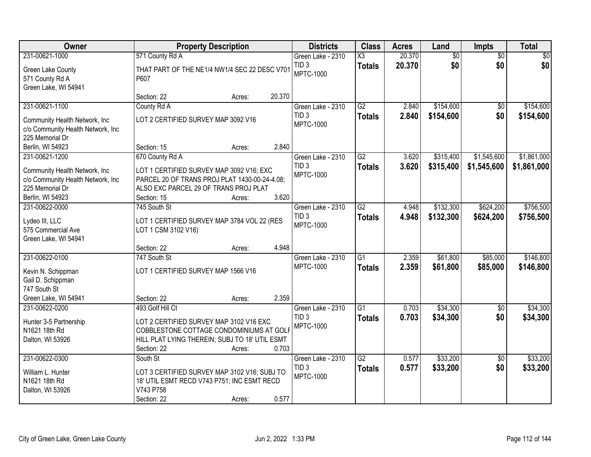| Owner                             |                                                | <b>Property Description</b> |        | <b>Districts</b>                     | <b>Class</b>           | <b>Acres</b> | Land            | <b>Impts</b>    | <b>Total</b>    |
|-----------------------------------|------------------------------------------------|-----------------------------|--------|--------------------------------------|------------------------|--------------|-----------------|-----------------|-----------------|
| 231-00621-1000                    | 571 County Rd A                                |                             |        | Green Lake - 2310                    | $\overline{\text{X3}}$ | 20.370       | $\overline{60}$ | $\overline{50}$ | $\overline{50}$ |
| Green Lake County                 | THAT PART OF THE NE1/4 NW1/4 SEC 22 DESC V701  |                             |        | TID <sub>3</sub><br><b>MPTC-1000</b> | <b>Totals</b>          | 20.370       | \$0             | \$0             | \$0             |
| 571 County Rd A                   | P607                                           |                             |        |                                      |                        |              |                 |                 |                 |
| Green Lake, WI 54941              |                                                |                             |        |                                      |                        |              |                 |                 |                 |
|                                   | Section: 22                                    | Acres:                      | 20.370 |                                      |                        |              |                 |                 |                 |
| 231-00621-1100                    | County Rd A                                    |                             |        | Green Lake - 2310                    | $\overline{G2}$        | 2.840        | \$154,600       | \$0             | \$154,600       |
| Community Health Network, Inc     | LOT 2 CERTIFIED SURVEY MAP 3092 V16            |                             |        | TID <sub>3</sub>                     | <b>Totals</b>          | 2.840        | \$154,600       | \$0             | \$154,600       |
| c/o Community Health Network, Inc |                                                |                             |        | <b>MPTC-1000</b>                     |                        |              |                 |                 |                 |
| 225 Memorial Dr                   |                                                |                             |        |                                      |                        |              |                 |                 |                 |
| Berlin, WI 54923                  | Section: 15                                    | Acres:                      | 2.840  |                                      |                        |              |                 |                 |                 |
| 231-00621-1200                    | 670 County Rd A                                |                             |        | Green Lake - 2310                    | $\overline{G2}$        | 3.620        | \$315,400       | \$1,545,600     | \$1,861,000     |
| Community Health Network, Inc     | LOT 1 CERTIFIED SURVEY MAP 3092 V16; EXC       |                             |        | TID <sub>3</sub>                     | <b>Totals</b>          | 3.620        | \$315,400       | \$1,545,600     | \$1,861,000     |
| c/o Community Health Network, Inc | PARCEL 20 OF TRANS PROJ PLAT 1430-00-24-4.08;  |                             |        | <b>MPTC-1000</b>                     |                        |              |                 |                 |                 |
| 225 Memorial Dr                   | ALSO EXC PARCEL 29 OF TRANS PROJ PLAT          |                             |        |                                      |                        |              |                 |                 |                 |
| Berlin, WI 54923                  | Section: 15                                    | Acres:                      | 3.620  |                                      |                        |              |                 |                 |                 |
| 231-00622-0000                    | 745 South St                                   |                             |        | Green Lake - 2310                    | $\overline{G2}$        | 4.948        | \$132,300       | \$624,200       | \$756,500       |
|                                   |                                                |                             |        | TID <sub>3</sub>                     | <b>Totals</b>          | 4.948        | \$132,300       | \$624,200       | \$756,500       |
| Lydeo III, LLC                    | LOT 1 CERTIFIED SURVEY MAP 3784 VOL 22 (RES    |                             |        | MPTC-1000                            |                        |              |                 |                 |                 |
| 575 Commercial Ave                | LOT 1 CSM 3102 V16)                            |                             |        |                                      |                        |              |                 |                 |                 |
| Green Lake, WI 54941              |                                                |                             | 4.948  |                                      |                        |              |                 |                 |                 |
| 231-00622-0100                    | Section: 22<br>747 South St                    | Acres:                      |        | Green Lake - 2310                    | $\overline{G1}$        | 2.359        | \$61,800        | \$85,000        | \$146,800       |
|                                   |                                                |                             |        | <b>MPTC-1000</b>                     |                        | 2.359        | \$61,800        | \$85,000        | \$146,800       |
| Kevin N. Schippman                | LOT 1 CERTIFIED SURVEY MAP 1566 V16            |                             |        |                                      | <b>Totals</b>          |              |                 |                 |                 |
| Gail D. Schippman                 |                                                |                             |        |                                      |                        |              |                 |                 |                 |
| 747 South St                      |                                                |                             |        |                                      |                        |              |                 |                 |                 |
| Green Lake, WI 54941              | Section: 22                                    | Acres:                      | 2.359  |                                      |                        |              |                 |                 |                 |
| 231-00622-0200                    | 493 Golf Hill Ct                               |                             |        | Green Lake - 2310                    | $\overline{G1}$        | 0.703        | \$34,300        | $\overline{50}$ | \$34,300        |
| Hunter 3-5 Partnership            | LOT 2 CERTIFIED SURVEY MAP 3102 V16 EXC        |                             |        | TID <sub>3</sub>                     | <b>Totals</b>          | 0.703        | \$34,300        | \$0             | \$34,300        |
| N1621 18th Rd                     | COBBLESTONE COTTAGE CONDOMINIUMS AT GOLF       |                             |        | MPTC-1000                            |                        |              |                 |                 |                 |
| Dalton, WI 53926                  | HILL PLAT LYING THEREIN; SUBJ TO 18' UTIL ESMT |                             |        |                                      |                        |              |                 |                 |                 |
|                                   | Section: 22                                    | Acres:                      | 0.703  |                                      |                        |              |                 |                 |                 |
| 231-00622-0300                    | South St                                       |                             |        | Green Lake - 2310                    | $\overline{G2}$        | 0.577        | \$33,200        | $\overline{50}$ | \$33,200        |
| William L. Hunter                 | LOT 3 CERTIFIED SURVEY MAP 3102 V16; SUBJ TO   |                             |        | TID <sub>3</sub>                     | <b>Totals</b>          | 0.577        | \$33,200        | \$0             | \$33,200        |
| N1621 18th Rd                     | 18' UTIL ESMT RECD V743 P751; INC ESMT RECD    |                             |        | MPTC-1000                            |                        |              |                 |                 |                 |
| Dalton, WI 53926                  | V743 P758                                      |                             |        |                                      |                        |              |                 |                 |                 |
|                                   | Section: 22                                    | Acres:                      | 0.577  |                                      |                        |              |                 |                 |                 |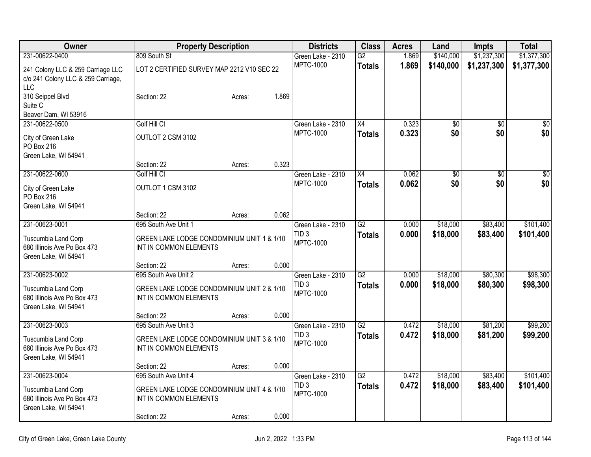| Owner                                               | <b>Property Description</b>                                          |        | <b>Districts</b>                      | <b>Class</b>    | <b>Acres</b>   | Land                 | Impts                | <b>Total</b>         |
|-----------------------------------------------------|----------------------------------------------------------------------|--------|---------------------------------------|-----------------|----------------|----------------------|----------------------|----------------------|
| 231-00622-0400                                      | 809 South St                                                         |        | Green Lake - 2310                     | $\overline{G2}$ | 1.869          | \$140,000            | \$1,237,300          | \$1,377,300          |
| 241 Colony LLC & 259 Carriage LLC                   | LOT 2 CERTIFIED SURVEY MAP 2212 V10 SEC 22                           |        | <b>MPTC-1000</b>                      | <b>Totals</b>   | 1.869          | \$140,000            | \$1,237,300          | \$1,377,300          |
| c/o 241 Colony LLC & 259 Carriage,                  |                                                                      |        |                                       |                 |                |                      |                      |                      |
| <b>LLC</b>                                          |                                                                      |        |                                       |                 |                |                      |                      |                      |
| 310 Seippel Blvd<br>Suite C                         | Section: 22                                                          | Acres: | 1.869                                 |                 |                |                      |                      |                      |
| Beaver Dam, WI 53916                                |                                                                      |        |                                       |                 |                |                      |                      |                      |
| 231-00622-0500                                      | <b>Golf Hill Ct</b>                                                  |        | Green Lake - 2310                     | X4              | 0.323          | $\overline{50}$      | $\overline{30}$      | \$0                  |
| City of Green Lake                                  | OUTLOT 2 CSM 3102                                                    |        | <b>MPTC-1000</b>                      | <b>Totals</b>   | 0.323          | \$0                  | \$0                  | \$0                  |
| PO Box 216                                          |                                                                      |        |                                       |                 |                |                      |                      |                      |
| Green Lake, WI 54941                                |                                                                      |        |                                       |                 |                |                      |                      |                      |
|                                                     | Section: 22                                                          | Acres: | 0.323                                 |                 |                |                      |                      |                      |
| 231-00622-0600                                      | <b>Golf Hill Ct</b>                                                  |        | Green Lake - 2310                     | X4              | 0.062          | \$0                  | \$0                  | \$0                  |
| City of Green Lake                                  | OUTLOT 1 CSM 3102                                                    |        | <b>MPTC-1000</b>                      | <b>Totals</b>   | 0.062          | \$0                  | \$0                  | \$0                  |
| PO Box 216                                          |                                                                      |        |                                       |                 |                |                      |                      |                      |
| Green Lake, WI 54941                                | Section: 22                                                          |        | 0.062                                 |                 |                |                      |                      |                      |
| 231-00623-0001                                      | 695 South Ave Unit 1                                                 | Acres: | Green Lake - 2310                     | $\overline{G2}$ | 0.000          | \$18,000             | \$83,400             | \$101,400            |
|                                                     |                                                                      |        | TID <sub>3</sub>                      | <b>Totals</b>   | 0.000          | \$18,000             | \$83,400             | \$101,400            |
| Tuscumbia Land Corp<br>680 Illinois Ave Po Box 473  | GREEN LAKE LODGE CONDOMINIUM UNIT 1 & 1/10<br>INT IN COMMON ELEMENTS |        | <b>MPTC-1000</b>                      |                 |                |                      |                      |                      |
| Green Lake, WI 54941                                |                                                                      |        |                                       |                 |                |                      |                      |                      |
|                                                     | Section: 22                                                          | Acres: | 0.000                                 |                 |                |                      |                      |                      |
| 231-00623-0002                                      | 695 South Ave Unit 2                                                 |        | Green Lake - 2310                     | $\overline{G2}$ | 0.000          | \$18,000             | \$80,300             | \$98,300             |
| Tuscumbia Land Corp                                 | GREEN LAKE LODGE CONDOMINIUM UNIT 2 & 1/10                           |        | TID <sub>3</sub>                      | <b>Totals</b>   | 0.000          | \$18,000             | \$80,300             | \$98,300             |
| 680 Illinois Ave Po Box 473                         | INT IN COMMON ELEMENTS                                               |        | MPTC-1000                             |                 |                |                      |                      |                      |
| Green Lake, WI 54941                                |                                                                      |        |                                       |                 |                |                      |                      |                      |
|                                                     | Section: 22                                                          | Acres: | 0.000                                 | $\overline{G2}$ |                |                      |                      |                      |
| 231-00623-0003                                      | 695 South Ave Unit 3                                                 |        | Green Lake - 2310<br>TID <sub>3</sub> | <b>Totals</b>   | 0.472<br>0.472 | \$18,000<br>\$18,000 | \$81,200<br>\$81,200 | \$99,200<br>\$99,200 |
| Tuscumbia Land Corp                                 | GREEN LAKE LODGE CONDOMINIUM UNIT 3 & 1/10                           |        | <b>MPTC-1000</b>                      |                 |                |                      |                      |                      |
| 680 Illinois Ave Po Box 473<br>Green Lake, WI 54941 | INT IN COMMON ELEMENTS                                               |        |                                       |                 |                |                      |                      |                      |
|                                                     | Section: 22                                                          | Acres: | 0.000                                 |                 |                |                      |                      |                      |
| 231-00623-0004                                      | 695 South Ave Unit 4                                                 |        | Green Lake - 2310                     | G2              | 0.472          | \$18,000             | \$83,400             | \$101,400            |
| Tuscumbia Land Corp                                 | GREEN LAKE LODGE CONDOMINIUM UNIT 4 & 1/10                           |        | TID <sub>3</sub>                      | <b>Totals</b>   | 0.472          | \$18,000             | \$83,400             | \$101,400            |
| 680 Illinois Ave Po Box 473                         | INT IN COMMON ELEMENTS                                               |        | <b>MPTC-1000</b>                      |                 |                |                      |                      |                      |
| Green Lake, WI 54941                                |                                                                      |        |                                       |                 |                |                      |                      |                      |
|                                                     | Section: 22                                                          | Acres: | 0.000                                 |                 |                |                      |                      |                      |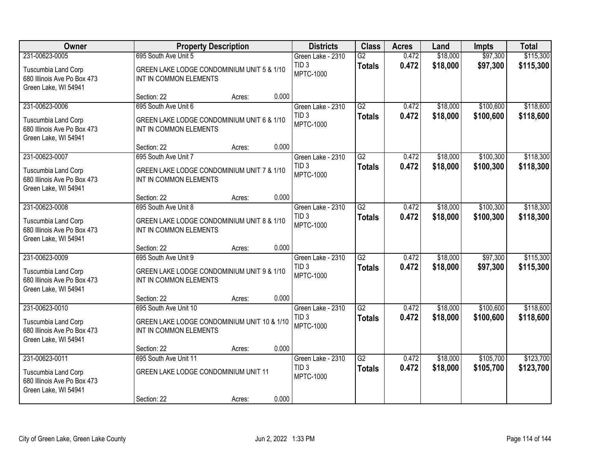| Owner                                                                      |                                                                       | <b>Property Description</b> |       | <b>Districts</b>                     | <b>Class</b>    | <b>Acres</b> | Land     | <b>Impts</b> | <b>Total</b> |
|----------------------------------------------------------------------------|-----------------------------------------------------------------------|-----------------------------|-------|--------------------------------------|-----------------|--------------|----------|--------------|--------------|
| 231-00623-0005                                                             | 695 South Ave Unit 5                                                  |                             |       | Green Lake - 2310                    | G2              | 0.472        | \$18,000 | \$97,300     | \$115,300    |
| Tuscumbia Land Corp<br>680 Illinois Ave Po Box 473<br>Green Lake, WI 54941 | GREEN LAKE LODGE CONDOMINIUM UNIT 5 & 1/10<br>INT IN COMMON ELEMENTS  |                             |       | TID <sub>3</sub><br><b>MPTC-1000</b> | <b>Totals</b>   | 0.472        | \$18,000 | \$97,300     | \$115,300    |
|                                                                            | Section: 22                                                           | Acres:                      | 0.000 |                                      |                 |              |          |              |              |
| 231-00623-0006                                                             | 695 South Ave Unit 6                                                  |                             |       | Green Lake - 2310                    | G2              | 0.472        | \$18,000 | \$100,600    | \$118,600    |
| Tuscumbia Land Corp<br>680 Illinois Ave Po Box 473<br>Green Lake, WI 54941 | GREEN LAKE LODGE CONDOMINIUM UNIT 6 & 1/10<br>INT IN COMMON ELEMENTS  |                             |       | TID <sub>3</sub><br><b>MPTC-1000</b> | <b>Totals</b>   | 0.472        | \$18,000 | \$100,600    | \$118,600    |
|                                                                            | Section: 22                                                           | Acres:                      | 0.000 |                                      |                 |              |          |              |              |
| 231-00623-0007                                                             | 695 South Ave Unit 7                                                  |                             |       | Green Lake - 2310                    | G2              | 0.472        | \$18,000 | \$100,300    | \$118,300    |
| Tuscumbia Land Corp<br>680 Illinois Ave Po Box 473<br>Green Lake, WI 54941 | GREEN LAKE LODGE CONDOMINIUM UNIT 7 & 1/10<br>INT IN COMMON ELEMENTS  |                             |       | TID <sub>3</sub><br><b>MPTC-1000</b> | <b>Totals</b>   | 0.472        | \$18,000 | \$100,300    | \$118,300    |
|                                                                            | Section: 22                                                           | Acres:                      | 0.000 |                                      |                 |              |          |              |              |
| 231-00623-0008                                                             | 695 South Ave Unit 8                                                  |                             |       | Green Lake - 2310                    | G2              | 0.472        | \$18,000 | \$100,300    | \$118,300    |
| Tuscumbia Land Corp<br>680 Illinois Ave Po Box 473<br>Green Lake, WI 54941 | GREEN LAKE LODGE CONDOMINIUM UNIT 8 & 1/10<br>INT IN COMMON ELEMENTS  |                             |       | TID <sub>3</sub><br><b>MPTC-1000</b> | <b>Totals</b>   | 0.472        | \$18,000 | \$100,300    | \$118,300    |
|                                                                            | Section: 22                                                           | Acres:                      | 0.000 |                                      |                 |              |          |              |              |
| 231-00623-0009                                                             | 695 South Ave Unit 9                                                  |                             |       | Green Lake - 2310                    | $\overline{G2}$ | 0.472        | \$18,000 | \$97,300     | \$115,300    |
| Tuscumbia Land Corp<br>680 Illinois Ave Po Box 473<br>Green Lake, WI 54941 | GREEN LAKE LODGE CONDOMINIUM UNIT 9 & 1/10<br>INT IN COMMON ELEMENTS  |                             |       | TID <sub>3</sub><br><b>MPTC-1000</b> | <b>Totals</b>   | 0.472        | \$18,000 | \$97,300     | \$115,300    |
|                                                                            | Section: 22                                                           | Acres:                      | 0.000 |                                      |                 |              |          |              |              |
| 231-00623-0010                                                             | 695 South Ave Unit 10                                                 |                             |       | Green Lake - 2310                    | G2              | 0.472        | \$18,000 | \$100,600    | \$118,600    |
| Tuscumbia Land Corp<br>680 Illinois Ave Po Box 473<br>Green Lake, WI 54941 | GREEN LAKE LODGE CONDOMINIUM UNIT 10 & 1/10<br>INT IN COMMON ELEMENTS |                             |       | TID <sub>3</sub><br><b>MPTC-1000</b> | <b>Totals</b>   | 0.472        | \$18,000 | \$100,600    | \$118,600    |
|                                                                            | Section: 22                                                           | Acres:                      | 0.000 |                                      |                 |              |          |              |              |
| 231-00623-0011                                                             | 695 South Ave Unit 11                                                 |                             |       | Green Lake - 2310                    | $\overline{G2}$ | 0.472        | \$18,000 | \$105,700    | \$123,700    |
| Tuscumbia Land Corp<br>680 Illinois Ave Po Box 473<br>Green Lake, WI 54941 | GREEN LAKE LODGE CONDOMINIUM UNIT 11                                  |                             |       | TID <sub>3</sub><br><b>MPTC-1000</b> | <b>Totals</b>   | 0.472        | \$18,000 | \$105,700    | \$123,700    |
|                                                                            | Section: 22                                                           | Acres:                      | 0.000 |                                      |                 |              |          |              |              |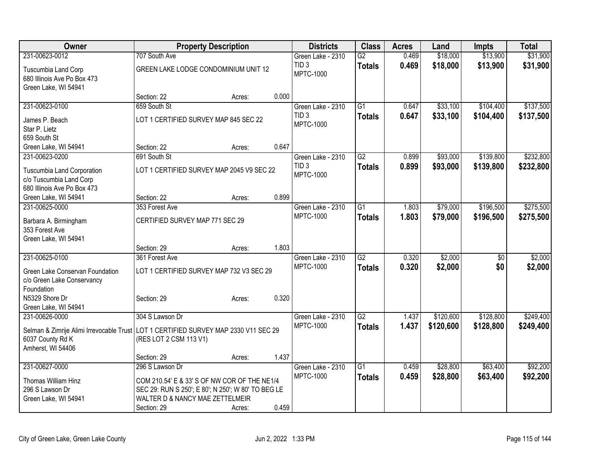| Owner                                                                                 | <b>Property Description</b>                        |        | <b>Districts</b>                      | <b>Class</b>    | <b>Acres</b> | Land      | <b>Impts</b> | <b>Total</b> |
|---------------------------------------------------------------------------------------|----------------------------------------------------|--------|---------------------------------------|-----------------|--------------|-----------|--------------|--------------|
| 231-00623-0012                                                                        | 707 South Ave                                      |        | Green Lake - 2310                     | $\overline{G2}$ | 0.469        | \$18,000  | \$13,900     | \$31,900     |
| Tuscumbia Land Corp                                                                   | GREEN LAKE LODGE CONDOMINIUM UNIT 12               |        | TID <sub>3</sub>                      | <b>Totals</b>   | 0.469        | \$18,000  | \$13,900     | \$31,900     |
| 680 Illinois Ave Po Box 473                                                           |                                                    |        | <b>MPTC-1000</b>                      |                 |              |           |              |              |
| Green Lake, WI 54941                                                                  |                                                    |        |                                       |                 |              |           |              |              |
|                                                                                       | Section: 22                                        | Acres: | 0.000                                 |                 |              |           |              |              |
| 231-00623-0100                                                                        | 659 South St                                       |        | Green Lake - 2310                     | $\overline{G1}$ | 0.647        | \$33,100  | \$104,400    | \$137,500    |
| James P. Beach                                                                        | LOT 1 CERTIFIED SURVEY MAP 845 SEC 22              |        | TID <sub>3</sub>                      | <b>Totals</b>   | 0.647        | \$33,100  | \$104,400    | \$137,500    |
| Star P. Lietz                                                                         |                                                    |        | <b>MPTC-1000</b>                      |                 |              |           |              |              |
| 659 South St                                                                          |                                                    |        |                                       |                 |              |           |              |              |
| Green Lake, WI 54941                                                                  | Section: 22                                        | Acres: | 0.647                                 |                 |              |           |              |              |
| 231-00623-0200                                                                        | 691 South St                                       |        | Green Lake - 2310                     | $\overline{G2}$ | 0.899        | \$93,000  | \$139,800    | \$232,800    |
| Tuscumbia Land Corporation                                                            | LOT 1 CERTIFIED SURVEY MAP 2045 V9 SEC 22          |        | TID <sub>3</sub>                      | <b>Totals</b>   | 0.899        | \$93,000  | \$139,800    | \$232,800    |
| c/o Tuscumbia Land Corp                                                               |                                                    |        | <b>MPTC-1000</b>                      |                 |              |           |              |              |
| 680 Illinois Ave Po Box 473                                                           |                                                    |        |                                       |                 |              |           |              |              |
| Green Lake, WI 54941                                                                  | Section: 22                                        | Acres: | 0.899                                 |                 |              |           |              |              |
| 231-00625-0000                                                                        | 353 Forest Ave                                     |        | Green Lake - 2310                     | $\overline{G1}$ | 1.803        | \$79,000  | \$196,500    | \$275,500    |
| Barbara A. Birmingham                                                                 | CERTIFIED SURVEY MAP 771 SEC 29                    |        | <b>MPTC-1000</b>                      | <b>Totals</b>   | 1.803        | \$79,000  | \$196,500    | \$275,500    |
| 353 Forest Ave                                                                        |                                                    |        |                                       |                 |              |           |              |              |
| Green Lake, WI 54941                                                                  |                                                    |        |                                       |                 |              |           |              |              |
|                                                                                       | Section: 29                                        | Acres: | 1.803                                 |                 |              |           |              |              |
| 231-00625-0100                                                                        | 361 Forest Ave                                     |        | Green Lake - 2310                     | $\overline{G2}$ | 0.320        | \$2,000   | \$0          | \$2,000      |
| Green Lake Conservan Foundation                                                       | LOT 1 CERTIFIED SURVEY MAP 732 V3 SEC 29           |        | <b>MPTC-1000</b>                      | <b>Totals</b>   | 0.320        | \$2,000   | \$0          | \$2,000      |
| c/o Green Lake Conservancy                                                            |                                                    |        |                                       |                 |              |           |              |              |
| Foundation                                                                            |                                                    |        |                                       |                 |              |           |              |              |
| N5329 Shore Dr                                                                        | Section: 29                                        | Acres: | 0.320                                 |                 |              |           |              |              |
| Green Lake, WI 54941                                                                  |                                                    |        |                                       |                 |              |           |              |              |
| 231-00626-0000                                                                        | 304 S Lawson Dr                                    |        | Green Lake - 2310<br><b>MPTC-1000</b> | $\overline{G2}$ | 1.437        | \$120,600 | \$128,800    | \$249,400    |
| Selman & Zimrije Alimi Irrevocable Trust   LOT 1 CERTIFIED SURVEY MAP 2330 V11 SEC 29 |                                                    |        |                                       | <b>Totals</b>   | 1.437        | \$120,600 | \$128,800    | \$249,400    |
| 6037 County Rd K                                                                      | (RES LOT 2 CSM 113 V1)                             |        |                                       |                 |              |           |              |              |
| Amherst, WI 54406                                                                     |                                                    |        |                                       |                 |              |           |              |              |
| 231-00627-0000                                                                        | Section: 29<br>296 S Lawson Dr                     | Acres: | 1.437                                 | $\overline{G1}$ | 0.459        | \$28,800  | \$63,400     | \$92,200     |
|                                                                                       |                                                    |        | Green Lake - 2310<br><b>MPTC-1000</b> |                 | 0.459        | \$28,800  | \$63,400     |              |
| Thomas William Hinz                                                                   | COM 210.54' E & 33' S OF NW COR OF THE NE1/4       |        |                                       | <b>Totals</b>   |              |           |              | \$92,200     |
| 296 S Lawson Dr                                                                       | SEC 29: RUN S 250'; E 80'; N 250'; W 80' TO BEG LE |        |                                       |                 |              |           |              |              |
| Green Lake, WI 54941                                                                  | WALTER D & NANCY MAE ZETTELMEIR                    |        |                                       |                 |              |           |              |              |
|                                                                                       | Section: 29                                        | Acres: | 0.459                                 |                 |              |           |              |              |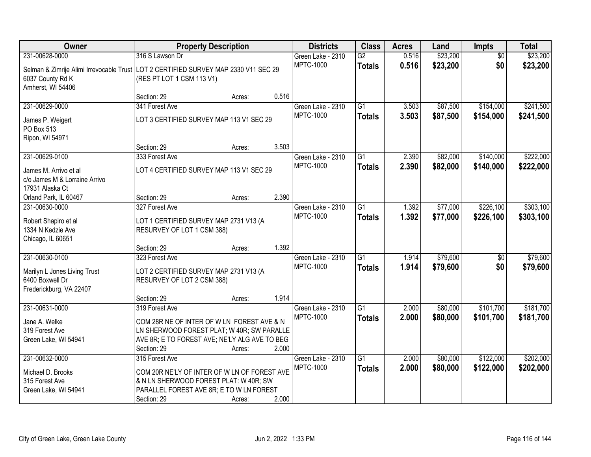| <b>Owner</b>                                                                          | <b>Property Description</b>                   |        |       | <b>Districts</b>  | <b>Class</b>    | <b>Acres</b> | Land     | Impts           | <b>Total</b> |
|---------------------------------------------------------------------------------------|-----------------------------------------------|--------|-------|-------------------|-----------------|--------------|----------|-----------------|--------------|
| 231-00628-0000                                                                        | 316 S Lawson Dr                               |        |       | Green Lake - 2310 | $\overline{G2}$ | 0.516        | \$23,200 | $\overline{50}$ | \$23,200     |
| Selman & Zimrije Alimi Irrevocable Trust   LOT 2 CERTIFIED SURVEY MAP 2330 V11 SEC 29 |                                               |        |       | <b>MPTC-1000</b>  | <b>Totals</b>   | 0.516        | \$23,200 | \$0             | \$23,200     |
| 6037 County Rd K                                                                      | (RES PT LOT 1 CSM 113 V1)                     |        |       |                   |                 |              |          |                 |              |
| Amherst, WI 54406                                                                     |                                               |        |       |                   |                 |              |          |                 |              |
|                                                                                       | Section: 29                                   | Acres: | 0.516 |                   |                 |              |          |                 |              |
| 231-00629-0000                                                                        | 341 Forest Ave                                |        |       | Green Lake - 2310 | $\overline{G1}$ | 3.503        | \$87,500 | \$154,000       | \$241,500    |
| James P. Weigert                                                                      | LOT 3 CERTIFIED SURVEY MAP 113 V1 SEC 29      |        |       | <b>MPTC-1000</b>  | <b>Totals</b>   | 3.503        | \$87,500 | \$154,000       | \$241,500    |
| PO Box 513                                                                            |                                               |        |       |                   |                 |              |          |                 |              |
| Ripon, WI 54971                                                                       |                                               |        |       |                   |                 |              |          |                 |              |
|                                                                                       | Section: 29                                   | Acres: | 3.503 |                   |                 |              |          |                 |              |
| 231-00629-0100                                                                        | 333 Forest Ave                                |        |       | Green Lake - 2310 | G1              | 2.390        | \$82,000 | \$140,000       | \$222,000    |
| James M. Arrivo et al                                                                 | LOT 4 CERTIFIED SURVEY MAP 113 V1 SEC 29      |        |       | <b>MPTC-1000</b>  | <b>Totals</b>   | 2.390        | \$82,000 | \$140,000       | \$222,000    |
| c/o James M & Lorraine Arrivo                                                         |                                               |        |       |                   |                 |              |          |                 |              |
| 17931 Alaska Ct                                                                       |                                               |        |       |                   |                 |              |          |                 |              |
| Orland Park, IL 60467                                                                 | Section: 29                                   | Acres: | 2.390 |                   |                 |              |          |                 |              |
| 231-00630-0000                                                                        | 327 Forest Ave                                |        |       | Green Lake - 2310 | G1              | 1.392        | \$77,000 | \$226,100       | \$303,100    |
|                                                                                       |                                               |        |       | <b>MPTC-1000</b>  | <b>Totals</b>   | 1.392        | \$77,000 | \$226,100       | \$303,100    |
| Robert Shapiro et al                                                                  | LOT 1 CERTIFIED SURVEY MAP 2731 V13 (A        |        |       |                   |                 |              |          |                 |              |
| 1334 N Kedzie Ave<br>Chicago, IL 60651                                                | RESURVEY OF LOT 1 CSM 388)                    |        |       |                   |                 |              |          |                 |              |
|                                                                                       | Section: 29                                   | Acres: | 1.392 |                   |                 |              |          |                 |              |
| 231-00630-0100                                                                        | 323 Forest Ave                                |        |       | Green Lake - 2310 | $\overline{G1}$ | 1.914        | \$79,600 | $\overline{50}$ | \$79,600     |
|                                                                                       |                                               |        |       | <b>MPTC-1000</b>  | <b>Totals</b>   | 1.914        | \$79,600 | \$0             | \$79,600     |
| Marilyn L Jones Living Trust                                                          | LOT 2 CERTIFIED SURVEY MAP 2731 V13 (A        |        |       |                   |                 |              |          |                 |              |
| 6400 Boxwell Dr                                                                       | RESURVEY OF LOT 2 CSM 388)                    |        |       |                   |                 |              |          |                 |              |
| Frederickburg, VA 22407                                                               |                                               |        | 1.914 |                   |                 |              |          |                 |              |
| 231-00631-0000                                                                        | Section: 29<br>319 Forest Ave                 | Acres: |       | Green Lake - 2310 | $\overline{G1}$ | 2.000        | \$80,000 | \$101,700       | \$181,700    |
|                                                                                       |                                               |        |       | <b>MPTC-1000</b>  |                 | 2.000        | \$80,000 | \$101,700       |              |
| Jane A. Welke                                                                         | COM 28R NE OF INTER OF W LN FOREST AVE & N    |        |       |                   | <b>Totals</b>   |              |          |                 | \$181,700    |
| 319 Forest Ave                                                                        | LN SHERWOOD FOREST PLAT; W 40R; SW PARALLE    |        |       |                   |                 |              |          |                 |              |
| Green Lake, WI 54941                                                                  | AVE 8R; E TO FOREST AVE; NE'LY ALG AVE TO BEG |        |       |                   |                 |              |          |                 |              |
|                                                                                       | Section: 29                                   | Acres: | 2.000 |                   |                 |              |          |                 |              |
| 231-00632-0000                                                                        | 315 Forest Ave                                |        |       | Green Lake - 2310 | $\overline{G1}$ | 2.000        | \$80,000 | \$122,000       | \$202,000    |
| Michael D. Brooks                                                                     | COM 20R NE'LY OF INTER OF W LN OF FOREST AVE  |        |       | <b>MPTC-1000</b>  | <b>Totals</b>   | 2.000        | \$80,000 | \$122,000       | \$202,000    |
| 315 Forest Ave                                                                        | & N LN SHERWOOD FOREST PLAT: W 40R; SW        |        |       |                   |                 |              |          |                 |              |
| Green Lake, WI 54941                                                                  | PARALLEL FOREST AVE 8R; E TO W LN FOREST      |        |       |                   |                 |              |          |                 |              |
|                                                                                       | Section: 29                                   | Acres: | 2.000 |                   |                 |              |          |                 |              |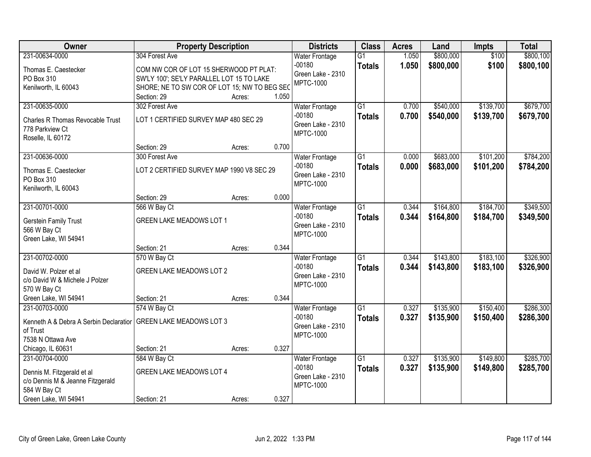| Owner                                                                                            | <b>Property Description</b>                                                                                                         |        |       | <b>Districts</b>                                                           | <b>Class</b>                     | <b>Acres</b>   | Land                   | <b>Impts</b>           | <b>Total</b>           |
|--------------------------------------------------------------------------------------------------|-------------------------------------------------------------------------------------------------------------------------------------|--------|-------|----------------------------------------------------------------------------|----------------------------------|----------------|------------------------|------------------------|------------------------|
| 231-00634-0000                                                                                   | 304 Forest Ave                                                                                                                      |        |       | <b>Water Frontage</b>                                                      | $\overline{G1}$                  | 1.050          | \$800,000              | \$100                  | \$800,100              |
| Thomas E. Caestecker<br>PO Box 310<br>Kenilworth, IL 60043                                       | COM NW COR OF LOT 15 SHERWOOD PT PLAT:<br>SW'LY 100'; SE'LY PARALLEL LOT 15 TO LAKE<br>SHORE; NE TO SW COR OF LOT 15; NW TO BEG SEC |        |       | $-00180$<br>Green Lake - 2310<br><b>MPTC-1000</b>                          | <b>Totals</b>                    | 1.050          | \$800,000              | \$100                  | \$800,100              |
|                                                                                                  | Section: 29                                                                                                                         | Acres: | 1.050 |                                                                            |                                  |                |                        |                        |                        |
| 231-00635-0000<br><b>Charles R Thomas Revocable Trust</b><br>778 Parkview Ct                     | 302 Forest Ave<br>LOT 1 CERTIFIED SURVEY MAP 480 SEC 29                                                                             |        |       | <b>Water Frontage</b><br>$-00180$<br>Green Lake - 2310<br><b>MPTC-1000</b> | $\overline{G1}$<br><b>Totals</b> | 0.700<br>0.700 | \$540,000<br>\$540,000 | \$139,700<br>\$139,700 | \$679,700<br>\$679,700 |
| Roselle, IL 60172                                                                                | Section: 29                                                                                                                         | Acres: | 0.700 |                                                                            |                                  |                |                        |                        |                        |
| 231-00636-0000                                                                                   | 300 Forest Ave                                                                                                                      |        |       | <b>Water Frontage</b>                                                      | $\overline{G1}$                  | 0.000          | \$683,000              | \$101,200              | \$784,200              |
| Thomas E. Caestecker<br>PO Box 310<br>Kenilworth, IL 60043                                       | LOT 2 CERTIFIED SURVEY MAP 1990 V8 SEC 29                                                                                           |        |       | $-00180$<br>Green Lake - 2310<br><b>MPTC-1000</b>                          | <b>Totals</b>                    | 0.000          | \$683,000              | \$101,200              | \$784,200              |
|                                                                                                  | Section: 29                                                                                                                         | Acres: | 0.000 |                                                                            |                                  |                |                        |                        |                        |
| 231-00701-0000                                                                                   | 566 W Bay Ct                                                                                                                        |        |       | <b>Water Frontage</b>                                                      | $\overline{G1}$                  | 0.344          | \$164,800              | \$184,700              | \$349,500              |
| Gerstein Family Trust<br>566 W Bay Ct<br>Green Lake, WI 54941                                    | GREEN LAKE MEADOWS LOT 1                                                                                                            |        |       | $-00180$<br>Green Lake - 2310<br><b>MPTC-1000</b>                          | <b>Totals</b>                    | 0.344          | \$164,800              | \$184,700              | \$349,500              |
|                                                                                                  | Section: 21                                                                                                                         | Acres: | 0.344 |                                                                            |                                  |                |                        |                        |                        |
| 231-00702-0000<br>David W. Polzer et al<br>c/o David W & Michele J Polzer<br>570 W Bay Ct        | 570 W Bay Ct<br><b>GREEN LAKE MEADOWS LOT 2</b>                                                                                     |        |       | <b>Water Frontage</b><br>$-00180$<br>Green Lake - 2310<br><b>MPTC-1000</b> | $\overline{G1}$<br><b>Totals</b> | 0.344<br>0.344 | \$143,800<br>\$143,800 | \$183,100<br>\$183,100 | \$326,900<br>\$326,900 |
| Green Lake, WI 54941                                                                             | Section: 21                                                                                                                         | Acres: | 0.344 |                                                                            |                                  |                |                        |                        |                        |
| 231-00703-0000<br>Kenneth A & Debra A Serbin Declaration<br>of Trust<br>7538 N Ottawa Ave        | 574 W Bay Ct<br><b>GREEN LAKE MEADOWS LOT 3</b>                                                                                     |        |       | <b>Water Frontage</b><br>$-00180$<br>Green Lake - 2310<br><b>MPTC-1000</b> | G <sub>1</sub><br><b>Totals</b>  | 0.327<br>0.327 | \$135,900<br>\$135,900 | \$150,400<br>\$150,400 | \$286,300<br>\$286,300 |
| Chicago, IL 60631                                                                                | Section: 21                                                                                                                         | Acres: | 0.327 |                                                                            |                                  |                |                        |                        |                        |
| 231-00704-0000<br>Dennis M. Fitzgerald et al<br>c/o Dennis M & Jeanne Fitzgerald<br>584 W Bay Ct | 584 W Bay Ct<br><b>GREEN LAKE MEADOWS LOT 4</b>                                                                                     |        |       | <b>Water Frontage</b><br>$-00180$<br>Green Lake - 2310<br><b>MPTC-1000</b> | $\overline{G1}$<br><b>Totals</b> | 0.327<br>0.327 | \$135,900<br>\$135,900 | \$149,800<br>\$149,800 | \$285,700<br>\$285,700 |
| Green Lake, WI 54941                                                                             | Section: 21                                                                                                                         | Acres: | 0.327 |                                                                            |                                  |                |                        |                        |                        |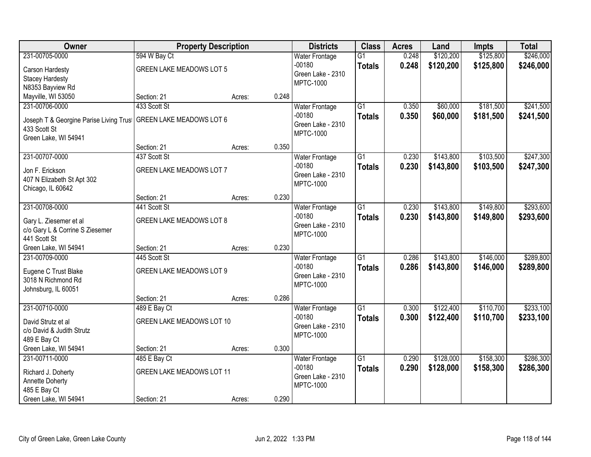| Owner                                                     | <b>Property Description</b>      |                 | <b>Districts</b>                  | <b>Class</b>    | <b>Acres</b> | Land      | <b>Impts</b> | <b>Total</b> |
|-----------------------------------------------------------|----------------------------------|-----------------|-----------------------------------|-----------------|--------------|-----------|--------------|--------------|
| 231-00705-0000                                            | 594 W Bay Ct                     |                 | <b>Water Frontage</b>             | $\overline{G1}$ | 0.248        | \$120,200 | \$125,800    | \$246,000    |
| Carson Hardesty                                           | <b>GREEN LAKE MEADOWS LOT 5</b>  |                 | $-00180$<br>Green Lake - 2310     | <b>Totals</b>   | 0.248        | \$120,200 | \$125,800    | \$246,000    |
| <b>Stacey Hardesty</b>                                    |                                  |                 | <b>MPTC-1000</b>                  |                 |              |           |              |              |
| N8353 Bayview Rd                                          |                                  |                 |                                   |                 |              |           |              |              |
| Mayville, WI 53050                                        | Section: 21                      | 0.248<br>Acres: |                                   |                 |              |           |              |              |
| 231-00706-0000                                            | 433 Scott St                     |                 | <b>Water Frontage</b>             | $\overline{G1}$ | 0.350        | \$60,000  | \$181,500    | \$241,500    |
| Joseph T & Georgine Parise Living Trus                    | <b>GREEN LAKE MEADOWS LOT 6</b>  |                 | $-00180$                          | <b>Totals</b>   | 0.350        | \$60,000  | \$181,500    | \$241,500    |
| 433 Scott St                                              |                                  |                 | Green Lake - 2310                 |                 |              |           |              |              |
| Green Lake, WI 54941                                      |                                  |                 | <b>MPTC-1000</b>                  |                 |              |           |              |              |
|                                                           | Section: 21                      | 0.350<br>Acres: |                                   |                 |              |           |              |              |
| 231-00707-0000                                            | 437 Scott St                     |                 | <b>Water Frontage</b>             | G1              | 0.230        | \$143,800 | \$103,500    | \$247,300    |
| Jon F. Erickson                                           | <b>GREEN LAKE MEADOWS LOT 7</b>  |                 | $-00180$                          | <b>Totals</b>   | 0.230        | \$143,800 | \$103,500    | \$247,300    |
| 407 N Elizabeth St Apt 302                                |                                  |                 | Green Lake - 2310                 |                 |              |           |              |              |
| Chicago, IL 60642                                         |                                  |                 | <b>MPTC-1000</b>                  |                 |              |           |              |              |
|                                                           | Section: 21                      | 0.230<br>Acres: |                                   |                 |              |           |              |              |
| 231-00708-0000                                            | 441 Scott St                     |                 | <b>Water Frontage</b>             | $\overline{G1}$ | 0.230        | \$143,800 | \$149,800    | \$293,600    |
|                                                           | <b>GREEN LAKE MEADOWS LOT 8</b>  |                 | $-00180$                          | <b>Totals</b>   | 0.230        | \$143,800 | \$149,800    | \$293,600    |
| Gary L. Ziesemer et al<br>c/o Gary L & Corrine S Ziesemer |                                  |                 | Green Lake - 2310                 |                 |              |           |              |              |
| 441 Scott St                                              |                                  |                 | <b>MPTC-1000</b>                  |                 |              |           |              |              |
| Green Lake, WI 54941                                      | Section: 21                      | 0.230<br>Acres: |                                   |                 |              |           |              |              |
| 231-00709-0000                                            | 445 Scott St                     |                 | Water Frontage                    | $\overline{G1}$ | 0.286        | \$143,800 | \$146,000    | \$289,800    |
|                                                           |                                  |                 | $-00180$                          | <b>Totals</b>   | 0.286        | \$143,800 | \$146,000    | \$289,800    |
| Eugene C Trust Blake                                      | <b>GREEN LAKE MEADOWS LOT 9</b>  |                 | Green Lake - 2310                 |                 |              |           |              |              |
| 3018 N Richmond Rd                                        |                                  |                 | <b>MPTC-1000</b>                  |                 |              |           |              |              |
| Johnsburg, IL 60051                                       |                                  |                 |                                   |                 |              |           |              |              |
| 231-00710-0000                                            | Section: 21                      | 0.286<br>Acres: |                                   | $\overline{G1}$ | 0.300        | \$122,400 | \$110,700    | \$233,100    |
|                                                           | 489 E Bay Ct                     |                 | <b>Water Frontage</b><br>$-00180$ |                 | 0.300        | \$122,400 | \$110,700    |              |
| David Strutz et al                                        | <b>GREEN LAKE MEADOWS LOT 10</b> |                 | Green Lake - 2310                 | <b>Totals</b>   |              |           |              | \$233,100    |
| c/o David & Judith Strutz                                 |                                  |                 | <b>MPTC-1000</b>                  |                 |              |           |              |              |
| 489 E Bay Ct                                              |                                  |                 |                                   |                 |              |           |              |              |
| Green Lake, WI 54941                                      | Section: 21                      | 0.300<br>Acres: |                                   |                 |              |           |              |              |
| 231-00711-0000                                            | 485 E Bay Ct                     |                 | <b>Water Frontage</b>             | $\overline{G1}$ | 0.290        | \$128,000 | \$158,300    | \$286,300    |
| Richard J. Doherty                                        | <b>GREEN LAKE MEADOWS LOT 11</b> |                 | $-00180$                          | <b>Totals</b>   | 0.290        | \$128,000 | \$158,300    | \$286,300    |
| Annette Doherty                                           |                                  |                 | Green Lake - 2310                 |                 |              |           |              |              |
| 485 E Bay Ct                                              |                                  |                 | <b>MPTC-1000</b>                  |                 |              |           |              |              |
| Green Lake, WI 54941                                      | Section: 21                      | 0.290<br>Acres: |                                   |                 |              |           |              |              |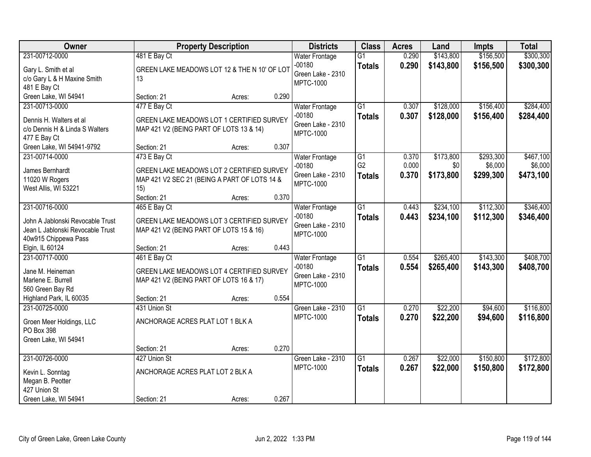| Owner                            |                                  | <b>Property Description</b>                  |       | <b>Districts</b>      | <b>Class</b>    | <b>Acres</b> | Land      | <b>Impts</b> | <b>Total</b> |
|----------------------------------|----------------------------------|----------------------------------------------|-------|-----------------------|-----------------|--------------|-----------|--------------|--------------|
| 231-00712-0000                   | 481 E Bay Ct                     |                                              |       | <b>Water Frontage</b> | $\overline{G1}$ | 0.290        | \$143,800 | \$156,500    | \$300,300    |
| Gary L. Smith et al              |                                  | GREEN LAKE MEADOWS LOT 12 & THE N 10' OF LOT |       | $-00180$              | <b>Totals</b>   | 0.290        | \$143,800 | \$156,500    | \$300,300    |
| c/o Gary L & H Maxine Smith      | 13                               |                                              |       | Green Lake - 2310     |                 |              |           |              |              |
| 481 E Bay Ct                     |                                  |                                              |       | <b>MPTC-1000</b>      |                 |              |           |              |              |
| Green Lake, WI 54941             | Section: 21                      | Acres:                                       | 0.290 |                       |                 |              |           |              |              |
| 231-00713-0000                   | 477 E Bay Ct                     |                                              |       | <b>Water Frontage</b> | $\overline{G1}$ | 0.307        | \$128,000 | \$156,400    | \$284,400    |
| Dennis H. Walters et al          |                                  | GREEN LAKE MEADOWS LOT 1 CERTIFIED SURVEY    |       | $-00180$              | <b>Totals</b>   | 0.307        | \$128,000 | \$156,400    | \$284,400    |
| c/o Dennis H & Linda S Walters   |                                  | MAP 421 V2 (BEING PART OF LOTS 13 & 14)      |       | Green Lake - 2310     |                 |              |           |              |              |
| 477 E Bay Ct                     |                                  |                                              |       | <b>MPTC-1000</b>      |                 |              |           |              |              |
| Green Lake, WI 54941-9792        | Section: 21                      | Acres:                                       | 0.307 |                       |                 |              |           |              |              |
| 231-00714-0000                   | 473 E Bay Ct                     |                                              |       | <b>Water Frontage</b> | G1              | 0.370        | \$173,800 | \$293,300    | \$467,100    |
| James Bernhardt                  |                                  | GREEN LAKE MEADOWS LOT 2 CERTIFIED SURVEY    |       | $-00180$              | G <sub>2</sub>  | 0.000        | \$0       | \$6,000      | \$6,000      |
| 11020 W Rogers                   |                                  | MAP 421 V2 SEC 21 (BEING A PART OF LOTS 14 & |       | Green Lake - 2310     | <b>Totals</b>   | 0.370        | \$173,800 | \$299,300    | \$473,100    |
| West Allis, WI 53221             | 15)                              |                                              |       | <b>MPTC-1000</b>      |                 |              |           |              |              |
|                                  | Section: 21                      | Acres:                                       | 0.370 |                       |                 |              |           |              |              |
| 231-00716-0000                   | 465 E Bay Ct                     |                                              |       | <b>Water Frontage</b> | $\overline{G1}$ | 0.443        | \$234,100 | \$112,300    | \$346,400    |
| John A Jablonski Revocable Trust |                                  | GREEN LAKE MEADOWS LOT 3 CERTIFIED SURVEY    |       | $-00180$              | <b>Totals</b>   | 0.443        | \$234,100 | \$112,300    | \$346,400    |
| Jean L Jablonski Revocable Trust |                                  | MAP 421 V2 (BEING PART OF LOTS 15 & 16)      |       | Green Lake - 2310     |                 |              |           |              |              |
| 40w915 Chippewa Pass             |                                  |                                              |       | <b>MPTC-1000</b>      |                 |              |           |              |              |
| Elgin, IL 60124                  | Section: 21                      | Acres:                                       | 0.443 |                       |                 |              |           |              |              |
| 231-00717-0000                   | 461 E Bay Ct                     |                                              |       | <b>Water Frontage</b> | $\overline{G1}$ | 0.554        | \$265,400 | \$143,300    | \$408,700    |
| Jane M. Heineman                 |                                  | GREEN LAKE MEADOWS LOT 4 CERTIFIED SURVEY    |       | $-00180$              | <b>Totals</b>   | 0.554        | \$265,400 | \$143,300    | \$408,700    |
| Marlene E. Burrell               |                                  | MAP 421 V2 (BEING PART OF LOTS 16 & 17)      |       | Green Lake - 2310     |                 |              |           |              |              |
| 560 Green Bay Rd                 |                                  |                                              |       | <b>MPTC-1000</b>      |                 |              |           |              |              |
| Highland Park, IL 60035          | Section: 21                      | Acres:                                       | 0.554 |                       |                 |              |           |              |              |
| 231-00725-0000                   | 431 Union St                     |                                              |       | Green Lake - 2310     | $\overline{G1}$ | 0.270        | \$22,200  | \$94,600     | \$116,800    |
| Groen Meer Holdings, LLC         | ANCHORAGE ACRES PLAT LOT 1 BLK A |                                              |       | <b>MPTC-1000</b>      | <b>Totals</b>   | 0.270        | \$22,200  | \$94,600     | \$116,800    |
| PO Box 398                       |                                  |                                              |       |                       |                 |              |           |              |              |
| Green Lake, WI 54941             |                                  |                                              |       |                       |                 |              |           |              |              |
|                                  | Section: 21                      | Acres:                                       | 0.270 |                       |                 |              |           |              |              |
| 231-00726-0000                   | 427 Union St                     |                                              |       | Green Lake - 2310     | $\overline{G1}$ | 0.267        | \$22,000  | \$150,800    | \$172,800    |
| Kevin L. Sonntag                 | ANCHORAGE ACRES PLAT LOT 2 BLK A |                                              |       | <b>MPTC-1000</b>      | <b>Totals</b>   | 0.267        | \$22,000  | \$150,800    | \$172,800    |
| Megan B. Peotter                 |                                  |                                              |       |                       |                 |              |           |              |              |
| 427 Union St                     |                                  |                                              |       |                       |                 |              |           |              |              |
| Green Lake, WI 54941             | Section: 21                      | Acres:                                       | 0.267 |                       |                 |              |           |              |              |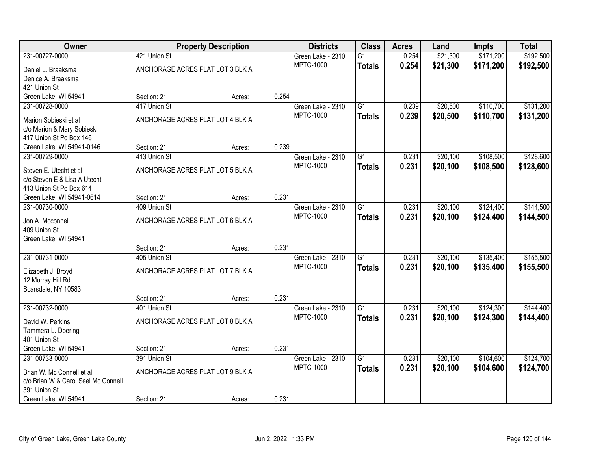| Owner                               |                                  | <b>Property Description</b> |       | <b>Districts</b>  | <b>Class</b>    | <b>Acres</b> | Land     | <b>Impts</b> | <b>Total</b> |
|-------------------------------------|----------------------------------|-----------------------------|-------|-------------------|-----------------|--------------|----------|--------------|--------------|
| 231-00727-0000                      | 421 Union St                     |                             |       | Green Lake - 2310 | $\overline{G1}$ | 0.254        | \$21,300 | \$171,200    | \$192,500    |
| Daniel L. Braaksma                  | ANCHORAGE ACRES PLAT LOT 3 BLK A |                             |       | <b>MPTC-1000</b>  | <b>Totals</b>   | 0.254        | \$21,300 | \$171,200    | \$192,500    |
| Denice A. Braaksma                  |                                  |                             |       |                   |                 |              |          |              |              |
| 421 Union St                        |                                  |                             |       |                   |                 |              |          |              |              |
| Green Lake, WI 54941                | Section: 21                      | Acres:                      | 0.254 |                   |                 |              |          |              |              |
| 231-00728-0000                      | 417 Union St                     |                             |       | Green Lake - 2310 | $\overline{G1}$ | 0.239        | \$20,500 | \$110,700    | \$131,200    |
| Marion Sobieski et al               | ANCHORAGE ACRES PLAT LOT 4 BLK A |                             |       | <b>MPTC-1000</b>  | <b>Totals</b>   | 0.239        | \$20,500 | \$110,700    | \$131,200    |
| c/o Marion & Mary Sobieski          |                                  |                             |       |                   |                 |              |          |              |              |
| 417 Union St Po Box 146             |                                  |                             |       |                   |                 |              |          |              |              |
| Green Lake, WI 54941-0146           | Section: 21                      | Acres:                      | 0.239 |                   |                 |              |          |              |              |
| 231-00729-0000                      | 413 Union St                     |                             |       | Green Lake - 2310 | $\overline{G1}$ | 0.231        | \$20,100 | \$108,500    | \$128,600    |
| Steven E. Utecht et al              | ANCHORAGE ACRES PLAT LOT 5 BLK A |                             |       | <b>MPTC-1000</b>  | <b>Totals</b>   | 0.231        | \$20,100 | \$108,500    | \$128,600    |
| c/o Steven E & Lisa A Utecht        |                                  |                             |       |                   |                 |              |          |              |              |
| 413 Union St Po Box 614             |                                  |                             |       |                   |                 |              |          |              |              |
| Green Lake, WI 54941-0614           | Section: 21                      | Acres:                      | 0.231 |                   |                 |              |          |              |              |
| 231-00730-0000                      | 409 Union St                     |                             |       | Green Lake - 2310 | $\overline{G1}$ | 0.231        | \$20,100 | \$124,400    | \$144,500    |
| Jon A. Mcconnell                    | ANCHORAGE ACRES PLAT LOT 6 BLK A |                             |       | <b>MPTC-1000</b>  | <b>Totals</b>   | 0.231        | \$20,100 | \$124,400    | \$144,500    |
| 409 Union St                        |                                  |                             |       |                   |                 |              |          |              |              |
| Green Lake, WI 54941                |                                  |                             |       |                   |                 |              |          |              |              |
|                                     | Section: 21                      | Acres:                      | 0.231 |                   |                 |              |          |              |              |
| 231-00731-0000                      | 405 Union St                     |                             |       | Green Lake - 2310 | $\overline{G1}$ | 0.231        | \$20,100 | \$135,400    | \$155,500    |
| Elizabeth J. Broyd                  | ANCHORAGE ACRES PLAT LOT 7 BLK A |                             |       | <b>MPTC-1000</b>  | <b>Totals</b>   | 0.231        | \$20,100 | \$135,400    | \$155,500    |
| 12 Murray Hill Rd                   |                                  |                             |       |                   |                 |              |          |              |              |
| Scarsdale, NY 10583                 |                                  |                             |       |                   |                 |              |          |              |              |
|                                     | Section: 21                      | Acres:                      | 0.231 |                   |                 |              |          |              |              |
| 231-00732-0000                      | 401 Union St                     |                             |       | Green Lake - 2310 | $\overline{G1}$ | 0.231        | \$20,100 | \$124,300    | \$144,400    |
| David W. Perkins                    | ANCHORAGE ACRES PLAT LOT 8 BLK A |                             |       | <b>MPTC-1000</b>  | <b>Totals</b>   | 0.231        | \$20,100 | \$124,300    | \$144,400    |
| Tammera L. Doering                  |                                  |                             |       |                   |                 |              |          |              |              |
| 401 Union St                        |                                  |                             |       |                   |                 |              |          |              |              |
| Green Lake, WI 54941                | Section: 21                      | Acres:                      | 0.231 |                   |                 |              |          |              |              |
| 231-00733-0000                      | 391 Union St                     |                             |       | Green Lake - 2310 | $\overline{G1}$ | 0.231        | \$20,100 | \$104,600    | \$124,700    |
| Brian W. Mc Connell et al           | ANCHORAGE ACRES PLAT LOT 9 BLK A |                             |       | <b>MPTC-1000</b>  | <b>Totals</b>   | 0.231        | \$20,100 | \$104,600    | \$124,700    |
| c/o Brian W & Carol Seel Mc Connell |                                  |                             |       |                   |                 |              |          |              |              |
| 391 Union St                        |                                  |                             |       |                   |                 |              |          |              |              |
| Green Lake, WI 54941                | Section: 21                      | Acres:                      | 0.231 |                   |                 |              |          |              |              |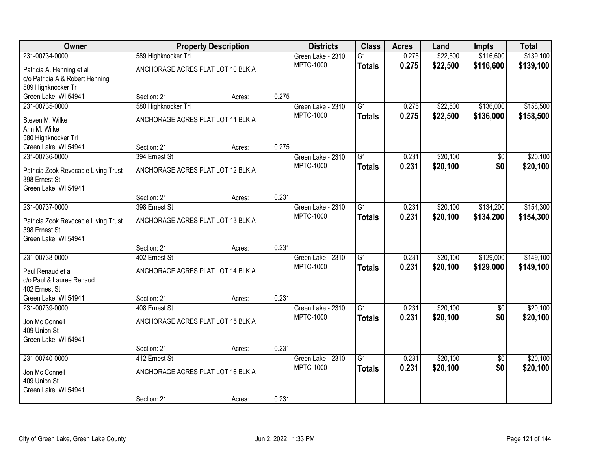| Owner                                 |                                   | <b>Property Description</b> |       | <b>Districts</b>                      | <b>Class</b>    | <b>Acres</b> | Land     | Impts           | <b>Total</b> |
|---------------------------------------|-----------------------------------|-----------------------------|-------|---------------------------------------|-----------------|--------------|----------|-----------------|--------------|
| 231-00734-0000                        | 589 Highknocker Trl               |                             |       | Green Lake - 2310                     | $\overline{G1}$ | 0.275        | \$22,500 | \$116,600       | \$139,100    |
| Patricia A. Henning et al             | ANCHORAGE ACRES PLAT LOT 10 BLK A |                             |       | <b>MPTC-1000</b>                      | <b>Totals</b>   | 0.275        | \$22,500 | \$116,600       | \$139,100    |
| c/o Patricia A & Robert Henning       |                                   |                             |       |                                       |                 |              |          |                 |              |
| 589 Highknocker Tr                    |                                   |                             |       |                                       |                 |              |          |                 |              |
| Green Lake, WI 54941                  | Section: 21                       | Acres:                      | 0.275 |                                       |                 |              |          |                 |              |
| 231-00735-0000                        | 580 Highknocker Trl               |                             |       | Green Lake - 2310                     | $\overline{G1}$ | 0.275        | \$22,500 | \$136,000       | \$158,500    |
| Steven M. Wilke                       | ANCHORAGE ACRES PLAT LOT 11 BLK A |                             |       | <b>MPTC-1000</b>                      | <b>Totals</b>   | 0.275        | \$22,500 | \$136,000       | \$158,500    |
| Ann M. Wilke                          |                                   |                             |       |                                       |                 |              |          |                 |              |
| 580 Highknocker Trl                   |                                   |                             |       |                                       |                 |              |          |                 |              |
| Green Lake, WI 54941                  | Section: 21                       | Acres:                      | 0.275 |                                       |                 |              |          |                 |              |
| 231-00736-0000                        | 394 Ernest St                     |                             |       | Green Lake - 2310<br><b>MPTC-1000</b> | G1              | 0.231        | \$20,100 | $\overline{50}$ | \$20,100     |
| Patricia Zook Revocable Living Trust  | ANCHORAGE ACRES PLAT LOT 12 BLK A |                             |       |                                       | <b>Totals</b>   | 0.231        | \$20,100 | \$0             | \$20,100     |
| 398 Ernest St                         |                                   |                             |       |                                       |                 |              |          |                 |              |
| Green Lake, WI 54941                  |                                   |                             |       |                                       |                 |              |          |                 |              |
| 231-00737-0000                        | Section: 21<br>398 Ernest St      | Acres:                      | 0.231 | Green Lake - 2310                     | $\overline{G1}$ | 0.231        | \$20,100 | \$134,200       | \$154,300    |
|                                       |                                   |                             |       | <b>MPTC-1000</b>                      | <b>Totals</b>   | 0.231        | \$20,100 | \$134,200       | \$154,300    |
| Patricia Zook Revocable Living Trust  | ANCHORAGE ACRES PLAT LOT 13 BLK A |                             |       |                                       |                 |              |          |                 |              |
| 398 Ernest St                         |                                   |                             |       |                                       |                 |              |          |                 |              |
| Green Lake, WI 54941                  | Section: 21                       |                             | 0.231 |                                       |                 |              |          |                 |              |
| 231-00738-0000                        | 402 Ernest St                     | Acres:                      |       | Green Lake - 2310                     | $\overline{G1}$ | 0.231        | \$20,100 | \$129,000       | \$149,100    |
|                                       |                                   |                             |       | <b>MPTC-1000</b>                      | <b>Totals</b>   | 0.231        | \$20,100 | \$129,000       | \$149,100    |
| Paul Renaud et al                     | ANCHORAGE ACRES PLAT LOT 14 BLK A |                             |       |                                       |                 |              |          |                 |              |
| c/o Paul & Lauree Renaud              |                                   |                             |       |                                       |                 |              |          |                 |              |
| 402 Ernest St<br>Green Lake, WI 54941 | Section: 21                       | Acres:                      | 0.231 |                                       |                 |              |          |                 |              |
| 231-00739-0000                        | 408 Ernest St                     |                             |       | Green Lake - 2310                     | $\overline{G1}$ | 0.231        | \$20,100 | $\sqrt{6}$      | \$20,100     |
|                                       |                                   |                             |       | MPTC-1000                             | <b>Totals</b>   | 0.231        | \$20,100 | \$0             | \$20,100     |
| Jon Mc Connell                        | ANCHORAGE ACRES PLAT LOT 15 BLK A |                             |       |                                       |                 |              |          |                 |              |
| 409 Union St<br>Green Lake, WI 54941  |                                   |                             |       |                                       |                 |              |          |                 |              |
|                                       | Section: 21                       | Acres:                      | 0.231 |                                       |                 |              |          |                 |              |
| 231-00740-0000                        | 412 Ernest St                     |                             |       | Green Lake - 2310                     | $\overline{G1}$ | 0.231        | \$20,100 | $\overline{50}$ | \$20,100     |
|                                       |                                   |                             |       | <b>MPTC-1000</b>                      | <b>Totals</b>   | 0.231        | \$20,100 | \$0             | \$20,100     |
| Jon Mc Connell<br>409 Union St        | ANCHORAGE ACRES PLAT LOT 16 BLK A |                             |       |                                       |                 |              |          |                 |              |
| Green Lake, WI 54941                  |                                   |                             |       |                                       |                 |              |          |                 |              |
|                                       | Section: 21                       | Acres:                      | 0.231 |                                       |                 |              |          |                 |              |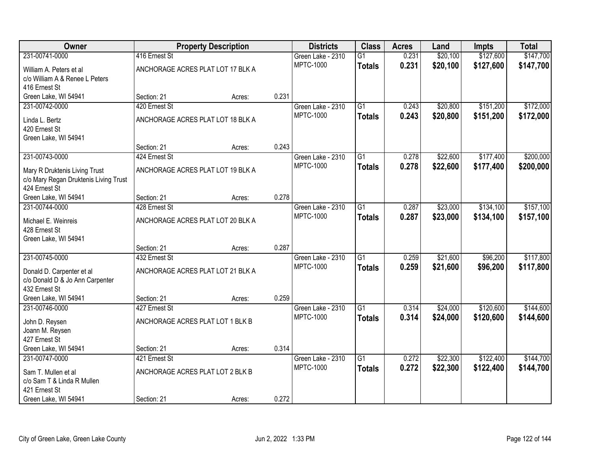| Owner                                 |                                   | <b>Property Description</b> |       | <b>Districts</b>  | <b>Class</b>    | <b>Acres</b> | Land     | <b>Impts</b> | <b>Total</b> |
|---------------------------------------|-----------------------------------|-----------------------------|-------|-------------------|-----------------|--------------|----------|--------------|--------------|
| 231-00741-0000                        | 416 Ernest St                     |                             |       | Green Lake - 2310 | $\overline{G1}$ | 0.231        | \$20,100 | \$127,600    | \$147,700    |
| William A. Peters et al               | ANCHORAGE ACRES PLAT LOT 17 BLK A |                             |       | <b>MPTC-1000</b>  | <b>Totals</b>   | 0.231        | \$20,100 | \$127,600    | \$147,700    |
| c/o William A & Renee L Peters        |                                   |                             |       |                   |                 |              |          |              |              |
| 416 Ernest St                         |                                   |                             |       |                   |                 |              |          |              |              |
| Green Lake, WI 54941                  | Section: 21                       | Acres:                      | 0.231 |                   |                 |              |          |              |              |
| 231-00742-0000                        | 420 Ernest St                     |                             |       | Green Lake - 2310 | $\overline{G1}$ | 0.243        | \$20,800 | \$151,200    | \$172,000    |
| Linda L. Bertz                        | ANCHORAGE ACRES PLAT LOT 18 BLK A |                             |       | <b>MPTC-1000</b>  | <b>Totals</b>   | 0.243        | \$20,800 | \$151,200    | \$172,000    |
| 420 Ernest St                         |                                   |                             |       |                   |                 |              |          |              |              |
| Green Lake, WI 54941                  |                                   |                             |       |                   |                 |              |          |              |              |
|                                       | Section: 21                       | Acres:                      | 0.243 |                   |                 |              |          |              |              |
| 231-00743-0000                        | 424 Ernest St                     |                             |       | Green Lake - 2310 | $\overline{G1}$ | 0.278        | \$22,600 | \$177,400    | \$200,000    |
| Mary R Druktenis Living Trust         | ANCHORAGE ACRES PLAT LOT 19 BLK A |                             |       | <b>MPTC-1000</b>  | <b>Totals</b>   | 0.278        | \$22,600 | \$177,400    | \$200,000    |
| c/o Mary Regan Druktenis Living Trust |                                   |                             |       |                   |                 |              |          |              |              |
| 424 Ernest St                         |                                   |                             |       |                   |                 |              |          |              |              |
| Green Lake, WI 54941                  | Section: 21                       | Acres:                      | 0.278 |                   |                 |              |          |              |              |
| 231-00744-0000                        | 428 Ernest St                     |                             |       | Green Lake - 2310 | $\overline{G1}$ | 0.287        | \$23,000 | \$134,100    | \$157,100    |
| Michael E. Weinreis                   | ANCHORAGE ACRES PLAT LOT 20 BLK A |                             |       | <b>MPTC-1000</b>  | <b>Totals</b>   | 0.287        | \$23,000 | \$134,100    | \$157,100    |
| 428 Ernest St                         |                                   |                             |       |                   |                 |              |          |              |              |
| Green Lake, WI 54941                  |                                   |                             |       |                   |                 |              |          |              |              |
|                                       | Section: 21                       | Acres:                      | 0.287 |                   |                 |              |          |              |              |
| 231-00745-0000                        | 432 Ernest St                     |                             |       | Green Lake - 2310 | $\overline{G1}$ | 0.259        | \$21,600 | \$96,200     | \$117,800    |
| Donald D. Carpenter et al             | ANCHORAGE ACRES PLAT LOT 21 BLK A |                             |       | <b>MPTC-1000</b>  | <b>Totals</b>   | 0.259        | \$21,600 | \$96,200     | \$117,800    |
| c/o Donald D & Jo Ann Carpenter       |                                   |                             |       |                   |                 |              |          |              |              |
| 432 Ernest St                         |                                   |                             |       |                   |                 |              |          |              |              |
| Green Lake, WI 54941                  | Section: 21                       | Acres:                      | 0.259 |                   |                 |              |          |              |              |
| 231-00746-0000                        | 427 Ernest St                     |                             |       | Green Lake - 2310 | $\overline{G1}$ | 0.314        | \$24,000 | \$120,600    | \$144,600    |
| John D. Reysen                        | ANCHORAGE ACRES PLAT LOT 1 BLK B  |                             |       | <b>MPTC-1000</b>  | <b>Totals</b>   | 0.314        | \$24,000 | \$120,600    | \$144,600    |
| Joann M. Reysen                       |                                   |                             |       |                   |                 |              |          |              |              |
| 427 Ernest St                         |                                   |                             |       |                   |                 |              |          |              |              |
| Green Lake, WI 54941                  | Section: 21                       | Acres:                      | 0.314 |                   |                 |              |          |              |              |
| 231-00747-0000                        | 421 Ernest St                     |                             |       | Green Lake - 2310 | $\overline{G1}$ | 0.272        | \$22,300 | \$122,400    | \$144,700    |
| Sam T. Mullen et al                   | ANCHORAGE ACRES PLAT LOT 2 BLK B  |                             |       | <b>MPTC-1000</b>  | <b>Totals</b>   | 0.272        | \$22,300 | \$122,400    | \$144,700    |
| c/o Sam T & Linda R Mullen            |                                   |                             |       |                   |                 |              |          |              |              |
| 421 Ernest St                         |                                   |                             |       |                   |                 |              |          |              |              |
| Green Lake, WI 54941                  | Section: 21                       | Acres:                      | 0.272 |                   |                 |              |          |              |              |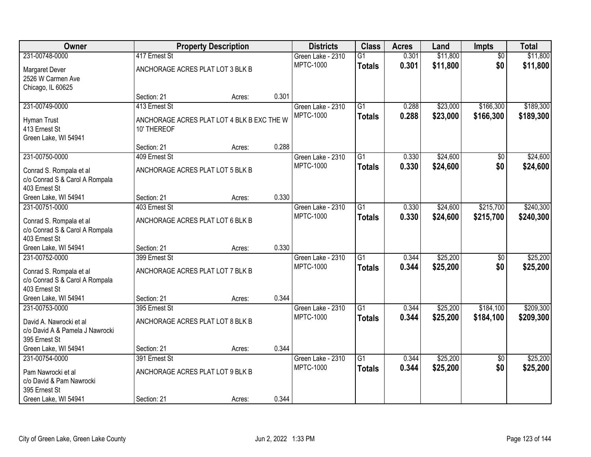| <b>Owner</b>                                              |                                            | <b>Property Description</b> |       | <b>Districts</b>                      | <b>Class</b>    | <b>Acres</b> | Land     | <b>Impts</b>           | <b>Total</b> |
|-----------------------------------------------------------|--------------------------------------------|-----------------------------|-------|---------------------------------------|-----------------|--------------|----------|------------------------|--------------|
| 231-00748-0000                                            | 417 Ernest St                              |                             |       | Green Lake - 2310                     | $\overline{G1}$ | 0.301        | \$11,800 | $\overline{30}$        | \$11,800     |
| Margaret Dever                                            | ANCHORAGE ACRES PLAT LOT 3 BLK B           |                             |       | <b>MPTC-1000</b>                      | <b>Totals</b>   | 0.301        | \$11,800 | \$0                    | \$11,800     |
| 2526 W Carmen Ave                                         |                                            |                             |       |                                       |                 |              |          |                        |              |
| Chicago, IL 60625                                         |                                            |                             |       |                                       |                 |              |          |                        |              |
|                                                           | Section: 21                                | Acres:                      | 0.301 |                                       |                 |              |          |                        |              |
| 231-00749-0000                                            | 413 Ernest St                              |                             |       | Green Lake - 2310                     | $\overline{G1}$ | 0.288        | \$23,000 | \$166,300              | \$189,300    |
| Hyman Trust                                               | ANCHORAGE ACRES PLAT LOT 4 BLK B EXC THE W |                             |       | <b>MPTC-1000</b>                      | <b>Totals</b>   | 0.288        | \$23,000 | \$166,300              | \$189,300    |
| 413 Ernest St                                             | 10' THEREOF                                |                             |       |                                       |                 |              |          |                        |              |
| Green Lake, WI 54941                                      |                                            |                             |       |                                       |                 |              |          |                        |              |
|                                                           | Section: 21                                | Acres:                      | 0.288 |                                       |                 |              |          |                        |              |
| 231-00750-0000                                            | 409 Ernest St                              |                             |       | Green Lake - 2310                     | G1              | 0.330        | \$24,600 | \$0                    | \$24,600     |
| Conrad S. Rompala et al                                   | ANCHORAGE ACRES PLAT LOT 5 BLK B           |                             |       | <b>MPTC-1000</b>                      | <b>Totals</b>   | 0.330        | \$24,600 | \$0                    | \$24,600     |
| c/o Conrad S & Carol A Rompala                            |                                            |                             |       |                                       |                 |              |          |                        |              |
| 403 Ernest St                                             |                                            |                             |       |                                       |                 |              |          |                        |              |
| Green Lake, WI 54941                                      | Section: 21                                | Acres:                      | 0.330 |                                       |                 |              |          |                        |              |
| 231-00751-0000                                            | 403 Ernest St                              |                             |       | Green Lake - 2310                     | $\overline{G1}$ | 0.330        | \$24,600 | \$215,700              | \$240,300    |
|                                                           |                                            |                             |       | <b>MPTC-1000</b>                      | <b>Totals</b>   | 0.330        | \$24,600 | \$215,700              | \$240,300    |
| Conrad S. Rompala et al<br>c/o Conrad S & Carol A Rompala | ANCHORAGE ACRES PLAT LOT 6 BLK B           |                             |       |                                       |                 |              |          |                        |              |
| 403 Ernest St                                             |                                            |                             |       |                                       |                 |              |          |                        |              |
| Green Lake, WI 54941                                      | Section: 21                                | Acres:                      | 0.330 |                                       |                 |              |          |                        |              |
| 231-00752-0000                                            | 399 Ernest St                              |                             |       | Green Lake - 2310                     | $\overline{G1}$ | 0.344        | \$25,200 | $\overline{30}$        | \$25,200     |
|                                                           |                                            |                             |       | <b>MPTC-1000</b>                      | <b>Totals</b>   | 0.344        | \$25,200 | \$0                    | \$25,200     |
| Conrad S. Rompala et al                                   | ANCHORAGE ACRES PLAT LOT 7 BLK B           |                             |       |                                       |                 |              |          |                        |              |
| c/o Conrad S & Carol A Rompala<br>403 Ernest St           |                                            |                             |       |                                       |                 |              |          |                        |              |
| Green Lake, WI 54941                                      | Section: 21                                | Acres:                      | 0.344 |                                       |                 |              |          |                        |              |
| 231-00753-0000                                            | 395 Ernest St                              |                             |       | Green Lake - 2310                     | $\overline{G1}$ | 0.344        | \$25,200 | \$184,100              | \$209,300    |
|                                                           |                                            |                             |       | <b>MPTC-1000</b>                      | <b>Totals</b>   | 0.344        | \$25,200 | \$184,100              | \$209,300    |
| David A. Nawrocki et al                                   | ANCHORAGE ACRES PLAT LOT 8 BLK B           |                             |       |                                       |                 |              |          |                        |              |
| c/o David A & Pamela J Nawrocki                           |                                            |                             |       |                                       |                 |              |          |                        |              |
| 395 Ernest St                                             |                                            |                             | 0.344 |                                       |                 |              |          |                        |              |
| Green Lake, WI 54941<br>231-00754-0000                    | Section: 21<br>391 Ernest St               | Acres:                      |       |                                       | $\overline{G1}$ | 0.344        | \$25,200 |                        | \$25,200     |
|                                                           |                                            |                             |       | Green Lake - 2310<br><b>MPTC-1000</b> |                 | 0.344        |          | $\overline{50}$<br>\$0 |              |
| Pam Nawrocki et al                                        | ANCHORAGE ACRES PLAT LOT 9 BLK B           |                             |       |                                       | <b>Totals</b>   |              | \$25,200 |                        | \$25,200     |
| c/o David & Pam Nawrocki                                  |                                            |                             |       |                                       |                 |              |          |                        |              |
| 395 Ernest St                                             |                                            |                             |       |                                       |                 |              |          |                        |              |
| Green Lake, WI 54941                                      | Section: 21                                | Acres:                      | 0.344 |                                       |                 |              |          |                        |              |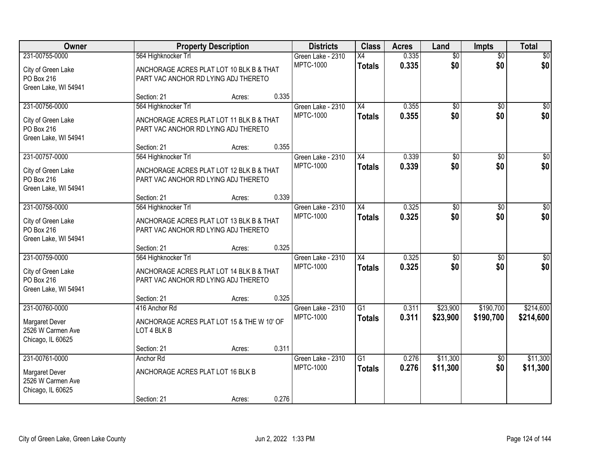| Owner                 |                                            | <b>Property Description</b> |       | <b>Districts</b>  | <b>Class</b>    | <b>Acres</b> | Land            | <b>Impts</b>    | <b>Total</b>    |
|-----------------------|--------------------------------------------|-----------------------------|-------|-------------------|-----------------|--------------|-----------------|-----------------|-----------------|
| 231-00755-0000        | 564 Highknocker Trl                        |                             |       | Green Lake - 2310 | X4              | 0.335        | $\overline{50}$ | $\overline{50}$ | \$0             |
| City of Green Lake    | ANCHORAGE ACRES PLAT LOT 10 BLK B & THAT   |                             |       | <b>MPTC-1000</b>  | <b>Totals</b>   | 0.335        | \$0             | \$0             | \$0             |
| PO Box 216            | PART VAC ANCHOR RD LYING ADJ THERETO       |                             |       |                   |                 |              |                 |                 |                 |
| Green Lake, WI 54941  |                                            |                             |       |                   |                 |              |                 |                 |                 |
|                       | Section: 21                                | Acres:                      | 0.335 |                   |                 |              |                 |                 |                 |
| 231-00756-0000        | 564 Highknocker Trl                        |                             |       | Green Lake - 2310 | $\overline{X4}$ | 0.355        | $\overline{50}$ | \$0             | \$0             |
| City of Green Lake    | ANCHORAGE ACRES PLAT LOT 11 BLK B & THAT   |                             |       | <b>MPTC-1000</b>  | <b>Totals</b>   | 0.355        | \$0             | \$0             | \$0             |
| PO Box 216            | PART VAC ANCHOR RD LYING ADJ THERETO       |                             |       |                   |                 |              |                 |                 |                 |
| Green Lake, WI 54941  |                                            |                             |       |                   |                 |              |                 |                 |                 |
|                       | Section: 21                                | Acres:                      | 0.355 |                   |                 |              |                 |                 |                 |
| 231-00757-0000        | 564 Highknocker Trl                        |                             |       | Green Lake - 2310 | X4              | 0.339        | $\overline{50}$ | \$0             | $\overline{50}$ |
| City of Green Lake    | ANCHORAGE ACRES PLAT LOT 12 BLK B & THAT   |                             |       | <b>MPTC-1000</b>  | <b>Totals</b>   | 0.339        | \$0             | \$0             | \$0             |
| PO Box 216            | PART VAC ANCHOR RD LYING ADJ THERETO       |                             |       |                   |                 |              |                 |                 |                 |
| Green Lake, WI 54941  |                                            |                             |       |                   |                 |              |                 |                 |                 |
|                       | Section: 21                                | Acres:                      | 0.339 |                   |                 |              |                 |                 |                 |
| 231-00758-0000        | 564 Highknocker Trl                        |                             |       | Green Lake - 2310 | $\overline{X4}$ | 0.325        | $\overline{50}$ | \$0             | $\sqrt{50}$     |
| City of Green Lake    | ANCHORAGE ACRES PLAT LOT 13 BLK B & THAT   |                             |       | <b>MPTC-1000</b>  | <b>Totals</b>   | 0.325        | \$0             | \$0             | \$0             |
| PO Box 216            | PART VAC ANCHOR RD LYING ADJ THERETO       |                             |       |                   |                 |              |                 |                 |                 |
| Green Lake, WI 54941  |                                            |                             |       |                   |                 |              |                 |                 |                 |
|                       | Section: 21                                | Acres:                      | 0.325 |                   |                 |              |                 |                 |                 |
| 231-00759-0000        | 564 Highknocker Trl                        |                             |       | Green Lake - 2310 | $\overline{X4}$ | 0.325        | \$0             | \$0             | \$0             |
| City of Green Lake    | ANCHORAGE ACRES PLAT LOT 14 BLK B & THAT   |                             |       | <b>MPTC-1000</b>  | <b>Totals</b>   | 0.325        | \$0             | \$0             | \$0             |
| PO Box 216            | PART VAC ANCHOR RD LYING ADJ THERETO       |                             |       |                   |                 |              |                 |                 |                 |
| Green Lake, WI 54941  |                                            |                             |       |                   |                 |              |                 |                 |                 |
|                       | Section: 21                                | Acres:                      | 0.325 |                   |                 |              |                 |                 |                 |
| 231-00760-0000        | 416 Anchor Rd                              |                             |       | Green Lake - 2310 | $\overline{G1}$ | 0.311        | \$23,900        | \$190,700       | \$214,600       |
| <b>Margaret Dever</b> | ANCHORAGE ACRES PLAT LOT 15 & THE W 10' OF |                             |       | <b>MPTC-1000</b>  | <b>Totals</b>   | 0.311        | \$23,900        | \$190,700       | \$214,600       |
| 2526 W Carmen Ave     | LOT 4 BLK B                                |                             |       |                   |                 |              |                 |                 |                 |
| Chicago, IL 60625     |                                            |                             |       |                   |                 |              |                 |                 |                 |
|                       | Section: 21                                | Acres:                      | 0.311 |                   |                 |              |                 |                 |                 |
| 231-00761-0000        | Anchor Rd                                  |                             |       | Green Lake - 2310 | $\overline{G1}$ | 0.276        | \$11,300        | $\overline{60}$ | \$11,300        |
| Margaret Dever        | ANCHORAGE ACRES PLAT LOT 16 BLK B          |                             |       | <b>MPTC-1000</b>  | <b>Totals</b>   | 0.276        | \$11,300        | \$0             | \$11,300        |
| 2526 W Carmen Ave     |                                            |                             |       |                   |                 |              |                 |                 |                 |
| Chicago, IL 60625     |                                            |                             |       |                   |                 |              |                 |                 |                 |
|                       | Section: 21                                | Acres:                      | 0.276 |                   |                 |              |                 |                 |                 |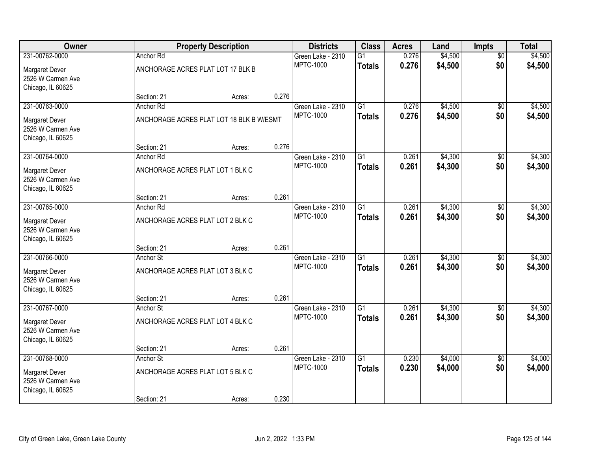| Owner                                  |                                   | <b>Property Description</b>              |       | <b>Districts</b>                      | <b>Class</b>    | <b>Acres</b> | Land    | <b>Impts</b>    | <b>Total</b> |
|----------------------------------------|-----------------------------------|------------------------------------------|-------|---------------------------------------|-----------------|--------------|---------|-----------------|--------------|
| 231-00762-0000                         | Anchor Rd                         |                                          |       | Green Lake - 2310                     | $\overline{G1}$ | 0.276        | \$4,500 | $\overline{50}$ | \$4,500      |
| Margaret Dever                         | ANCHORAGE ACRES PLAT LOT 17 BLK B |                                          |       | <b>MPTC-1000</b>                      | <b>Totals</b>   | 0.276        | \$4,500 | \$0             | \$4,500      |
| 2526 W Carmen Ave                      |                                   |                                          |       |                                       |                 |              |         |                 |              |
| Chicago, IL 60625                      |                                   |                                          |       |                                       |                 |              |         |                 |              |
|                                        | Section: 21                       | Acres:                                   | 0.276 |                                       |                 |              |         |                 |              |
| 231-00763-0000                         | Anchor Rd                         |                                          |       | Green Lake - 2310                     | $\overline{G1}$ | 0.276        | \$4,500 | $\overline{50}$ | \$4,500      |
| Margaret Dever                         |                                   | ANCHORAGE ACRES PLAT LOT 18 BLK B W/ESMT |       | <b>MPTC-1000</b>                      | <b>Totals</b>   | 0.276        | \$4,500 | \$0             | \$4,500      |
| 2526 W Carmen Ave                      |                                   |                                          |       |                                       |                 |              |         |                 |              |
| Chicago, IL 60625                      |                                   |                                          |       |                                       |                 |              |         |                 |              |
|                                        | Section: 21                       | Acres:                                   | 0.276 |                                       |                 |              |         |                 |              |
| 231-00764-0000                         | Anchor Rd                         |                                          |       | Green Lake - 2310<br><b>MPTC-1000</b> | $\overline{G1}$ | 0.261        | \$4,300 | \$0             | \$4,300      |
| Margaret Dever                         | ANCHORAGE ACRES PLAT LOT 1 BLK C  |                                          |       |                                       | <b>Totals</b>   | 0.261        | \$4,300 | \$0             | \$4,300      |
| 2526 W Carmen Ave                      |                                   |                                          |       |                                       |                 |              |         |                 |              |
| Chicago, IL 60625                      | Section: 21                       |                                          | 0.261 |                                       |                 |              |         |                 |              |
| 231-00765-0000                         | Anchor Rd                         | Acres:                                   |       | Green Lake - 2310                     | $\overline{G1}$ | 0.261        | \$4,300 | \$0             | \$4,300      |
|                                        |                                   |                                          |       | <b>MPTC-1000</b>                      | <b>Totals</b>   | 0.261        | \$4,300 | \$0             | \$4,300      |
| Margaret Dever                         | ANCHORAGE ACRES PLAT LOT 2 BLK C  |                                          |       |                                       |                 |              |         |                 |              |
| 2526 W Carmen Ave<br>Chicago, IL 60625 |                                   |                                          |       |                                       |                 |              |         |                 |              |
|                                        | Section: 21                       | Acres:                                   | 0.261 |                                       |                 |              |         |                 |              |
| 231-00766-0000                         | Anchor St                         |                                          |       | Green Lake - 2310                     | $\overline{G1}$ | 0.261        | \$4,300 | \$0             | \$4,300      |
|                                        |                                   |                                          |       | <b>MPTC-1000</b>                      | <b>Totals</b>   | 0.261        | \$4,300 | \$0             | \$4,300      |
| Margaret Dever<br>2526 W Carmen Ave    | ANCHORAGE ACRES PLAT LOT 3 BLK C  |                                          |       |                                       |                 |              |         |                 |              |
| Chicago, IL 60625                      |                                   |                                          |       |                                       |                 |              |         |                 |              |
|                                        | Section: 21                       | Acres:                                   | 0.261 |                                       |                 |              |         |                 |              |
| 231-00767-0000                         | Anchor St                         |                                          |       | Green Lake - 2310                     | $\overline{G1}$ | 0.261        | \$4,300 | \$0             | \$4,300      |
| Margaret Dever                         | ANCHORAGE ACRES PLAT LOT 4 BLK C  |                                          |       | <b>MPTC-1000</b>                      | <b>Totals</b>   | 0.261        | \$4,300 | \$0             | \$4,300      |
| 2526 W Carmen Ave                      |                                   |                                          |       |                                       |                 |              |         |                 |              |
| Chicago, IL 60625                      |                                   |                                          |       |                                       |                 |              |         |                 |              |
|                                        | Section: 21                       | Acres:                                   | 0.261 |                                       |                 |              |         |                 |              |
| 231-00768-0000                         | Anchor St                         |                                          |       | Green Lake - 2310                     | $\overline{G1}$ | 0.230        | \$4,000 | $\overline{50}$ | \$4,000      |
| Margaret Dever                         | ANCHORAGE ACRES PLAT LOT 5 BLK C  |                                          |       | <b>MPTC-1000</b>                      | <b>Totals</b>   | 0.230        | \$4,000 | \$0             | \$4,000      |
| 2526 W Carmen Ave                      |                                   |                                          |       |                                       |                 |              |         |                 |              |
| Chicago, IL 60625                      |                                   |                                          |       |                                       |                 |              |         |                 |              |
|                                        | Section: 21                       | Acres:                                   | 0.230 |                                       |                 |              |         |                 |              |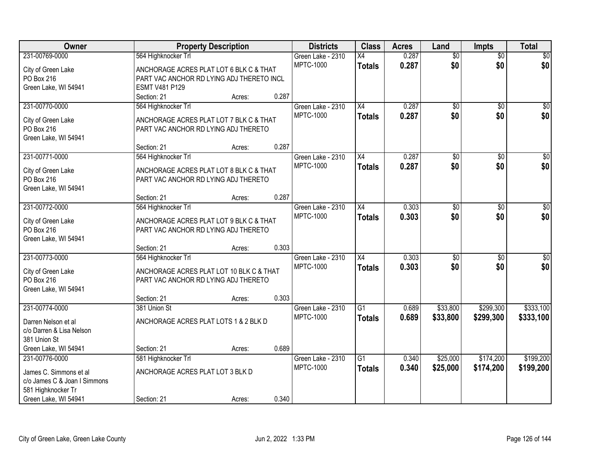| Owner                            |                                           | <b>Property Description</b> |       | <b>Districts</b>                      | <b>Class</b>    | <b>Acres</b> | Land            | <b>Impts</b>    | <b>Total</b>    |
|----------------------------------|-------------------------------------------|-----------------------------|-------|---------------------------------------|-----------------|--------------|-----------------|-----------------|-----------------|
| 231-00769-0000                   | 564 Highknocker Trl                       |                             |       | Green Lake - 2310                     | X4              | 0.287        | $\overline{50}$ | $\overline{50}$ | \$0             |
| City of Green Lake               | ANCHORAGE ACRES PLAT LOT 6 BLK C & THAT   |                             |       | <b>MPTC-1000</b>                      | <b>Totals</b>   | 0.287        | \$0             | \$0             | \$0             |
| PO Box 216                       | PART VAC ANCHOR RD LYING ADJ THERETO INCL |                             |       |                                       |                 |              |                 |                 |                 |
| Green Lake, WI 54941             | <b>ESMT V481 P129</b>                     |                             |       |                                       |                 |              |                 |                 |                 |
|                                  | Section: 21                               | Acres:                      | 0.287 |                                       |                 |              |                 |                 |                 |
| 231-00770-0000                   | 564 Highknocker Trl                       |                             |       | Green Lake - 2310                     | $\overline{X4}$ | 0.287        | $\overline{50}$ | $\overline{50}$ | \$0             |
| City of Green Lake               | ANCHORAGE ACRES PLAT LOT 7 BLK C & THAT   |                             |       | <b>MPTC-1000</b>                      | <b>Totals</b>   | 0.287        | \$0             | \$0             | \$0             |
| PO Box 216                       | PART VAC ANCHOR RD LYING ADJ THERETO      |                             |       |                                       |                 |              |                 |                 |                 |
| Green Lake, WI 54941             |                                           |                             |       |                                       |                 |              |                 |                 |                 |
|                                  | Section: 21                               | Acres:                      | 0.287 |                                       |                 |              |                 |                 |                 |
| 231-00771-0000                   | 564 Highknocker Trl                       |                             |       | Green Lake - 2310                     | X4              | 0.287        | \$0             | \$0             | $\overline{50}$ |
| City of Green Lake               | ANCHORAGE ACRES PLAT LOT 8 BLK C & THAT   |                             |       | <b>MPTC-1000</b>                      | <b>Totals</b>   | 0.287        | \$0             | \$0             | \$0             |
| PO Box 216                       | PART VAC ANCHOR RD LYING ADJ THERETO      |                             |       |                                       |                 |              |                 |                 |                 |
| Green Lake, WI 54941             |                                           |                             |       |                                       |                 |              |                 |                 |                 |
|                                  | Section: 21                               | Acres:                      | 0.287 |                                       |                 |              |                 |                 |                 |
| 231-00772-0000                   | 564 Highknocker Trl                       |                             |       | Green Lake - 2310                     | X4              | 0.303        | \$0             | $\sqrt{6}$      | $\sqrt{50}$     |
|                                  | ANCHORAGE ACRES PLAT LOT 9 BLK C & THAT   |                             |       | <b>MPTC-1000</b>                      | <b>Totals</b>   | 0.303        | \$0             | \$0             | \$0             |
| City of Green Lake<br>PO Box 216 | PART VAC ANCHOR RD LYING ADJ THERETO      |                             |       |                                       |                 |              |                 |                 |                 |
| Green Lake, WI 54941             |                                           |                             |       |                                       |                 |              |                 |                 |                 |
|                                  | Section: 21                               | Acres:                      | 0.303 |                                       |                 |              |                 |                 |                 |
| 231-00773-0000                   | 564 Highknocker Trl                       |                             |       | Green Lake - 2310                     | $\overline{X4}$ | 0.303        | $\overline{50}$ | $\overline{50}$ | $\overline{50}$ |
|                                  |                                           |                             |       | <b>MPTC-1000</b>                      | <b>Totals</b>   | 0.303        | \$0             | \$0             | \$0             |
| City of Green Lake               | ANCHORAGE ACRES PLAT LOT 10 BLK C & THAT  |                             |       |                                       |                 |              |                 |                 |                 |
| PO Box 216                       | PART VAC ANCHOR RD LYING ADJ THERETO      |                             |       |                                       |                 |              |                 |                 |                 |
| Green Lake, WI 54941             |                                           |                             |       |                                       |                 |              |                 |                 |                 |
|                                  | Section: 21                               | Acres:                      | 0.303 |                                       |                 |              |                 |                 |                 |
| 231-00774-0000                   | 381 Union St                              |                             |       | Green Lake - 2310<br><b>MPTC-1000</b> | $\overline{G1}$ | 0.689        | \$33,800        | \$299,300       | \$333,100       |
| Darren Nelson et al              | ANCHORAGE ACRES PLAT LOTS 1 & 2 BLK D     |                             |       |                                       | <b>Totals</b>   | 0.689        | \$33,800        | \$299,300       | \$333,100       |
| c/o Darren & Lisa Nelson         |                                           |                             |       |                                       |                 |              |                 |                 |                 |
| 381 Union St                     |                                           |                             |       |                                       |                 |              |                 |                 |                 |
| Green Lake, WI 54941             | Section: 21                               | Acres:                      | 0.689 |                                       |                 |              |                 |                 |                 |
| 231-00776-0000                   | 581 Highknocker Trl                       |                             |       | Green Lake - 2310                     | $\overline{G1}$ | 0.340        | \$25,000        | \$174,200       | \$199,200       |
| James C. Simmons et al           | ANCHORAGE ACRES PLAT LOT 3 BLK D          |                             |       | <b>MPTC-1000</b>                      | <b>Totals</b>   | 0.340        | \$25,000        | \$174,200       | \$199,200       |
| c/o James C & Joan I Simmons     |                                           |                             |       |                                       |                 |              |                 |                 |                 |
| 581 Highknocker Tr               |                                           |                             |       |                                       |                 |              |                 |                 |                 |
| Green Lake, WI 54941             | Section: 21                               | Acres:                      | 0.340 |                                       |                 |              |                 |                 |                 |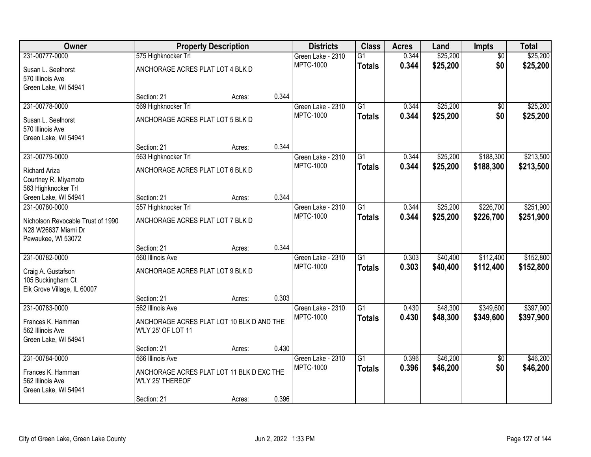| Owner                                 | <b>Property Description</b>                                   |        |       | <b>Districts</b>  | <b>Class</b>    | <b>Acres</b> | Land     | <b>Impts</b>    | <b>Total</b> |
|---------------------------------------|---------------------------------------------------------------|--------|-------|-------------------|-----------------|--------------|----------|-----------------|--------------|
| 231-00777-0000                        | 575 Highknocker Trl                                           |        |       | Green Lake - 2310 | $\overline{G1}$ | 0.344        | \$25,200 | $\overline{30}$ | \$25,200     |
| Susan L. Seelhorst                    | ANCHORAGE ACRES PLAT LOT 4 BLK D                              |        |       | <b>MPTC-1000</b>  | <b>Totals</b>   | 0.344        | \$25,200 | \$0             | \$25,200     |
| 570 Illinois Ave                      |                                                               |        |       |                   |                 |              |          |                 |              |
| Green Lake, WI 54941                  |                                                               |        |       |                   |                 |              |          |                 |              |
|                                       | Section: 21                                                   | Acres: | 0.344 |                   |                 |              |          |                 |              |
| 231-00778-0000                        | 569 Highknocker Trl                                           |        |       | Green Lake - 2310 | $\overline{G1}$ | 0.344        | \$25,200 | $\overline{50}$ | \$25,200     |
| Susan L. Seelhorst                    | ANCHORAGE ACRES PLAT LOT 5 BLK D                              |        |       | <b>MPTC-1000</b>  | <b>Totals</b>   | 0.344        | \$25,200 | \$0             | \$25,200     |
| 570 Illinois Ave                      |                                                               |        |       |                   |                 |              |          |                 |              |
| Green Lake, WI 54941                  |                                                               |        |       |                   |                 |              |          |                 |              |
|                                       | Section: 21                                                   | Acres: | 0.344 |                   |                 |              |          |                 |              |
| 231-00779-0000                        | 563 Highknocker Trl                                           |        |       | Green Lake - 2310 | G1              | 0.344        | \$25,200 | \$188,300       | \$213,500    |
| <b>Richard Ariza</b>                  | ANCHORAGE ACRES PLAT LOT 6 BLK D                              |        |       | <b>MPTC-1000</b>  | <b>Totals</b>   | 0.344        | \$25,200 | \$188,300       | \$213,500    |
| Courtney R. Miyamoto                  |                                                               |        |       |                   |                 |              |          |                 |              |
| 563 Highknocker Trl                   |                                                               |        |       |                   |                 |              |          |                 |              |
| Green Lake, WI 54941                  | Section: 21                                                   | Acres: | 0.344 |                   |                 |              |          |                 |              |
| 231-00780-0000                        | 557 Highknocker Trl                                           |        |       | Green Lake - 2310 | $\overline{G1}$ | 0.344        | \$25,200 | \$226,700       | \$251,900    |
| Nicholson Revocable Trust of 1990     | ANCHORAGE ACRES PLAT LOT 7 BLK D                              |        |       | <b>MPTC-1000</b>  | <b>Totals</b>   | 0.344        | \$25,200 | \$226,700       | \$251,900    |
| N28 W26637 Miami Dr                   |                                                               |        |       |                   |                 |              |          |                 |              |
| Pewaukee, WI 53072                    |                                                               |        |       |                   |                 |              |          |                 |              |
|                                       | Section: 21                                                   | Acres: | 0.344 |                   |                 |              |          |                 |              |
| 231-00782-0000                        | 560 Illinois Ave                                              |        |       | Green Lake - 2310 | $\overline{G1}$ | 0.303        | \$40,400 | \$112,400       | \$152,800    |
| Craig A. Gustafson                    | ANCHORAGE ACRES PLAT LOT 9 BLK D                              |        |       | <b>MPTC-1000</b>  | <b>Totals</b>   | 0.303        | \$40,400 | \$112,400       | \$152,800    |
| 105 Buckingham Ct                     |                                                               |        |       |                   |                 |              |          |                 |              |
| Elk Grove Village, IL 60007           |                                                               |        |       |                   |                 |              |          |                 |              |
|                                       | Section: 21                                                   | Acres: | 0.303 |                   |                 |              |          |                 |              |
| 231-00783-0000                        | 562 Illinois Ave                                              |        |       | Green Lake - 2310 | $\overline{G1}$ | 0.430        | \$48,300 | \$349,600       | \$397,900    |
|                                       | ANCHORAGE ACRES PLAT LOT 10 BLK D AND THE                     |        |       | <b>MPTC-1000</b>  | <b>Totals</b>   | 0.430        | \$48,300 | \$349,600       | \$397,900    |
| Frances K. Hamman<br>562 Illinois Ave | W'LY 25' OF LOT 11                                            |        |       |                   |                 |              |          |                 |              |
| Green Lake, WI 54941                  |                                                               |        |       |                   |                 |              |          |                 |              |
|                                       | Section: 21                                                   | Acres: | 0.430 |                   |                 |              |          |                 |              |
| 231-00784-0000                        | 566 Illinois Ave                                              |        |       | Green Lake - 2310 | $\overline{G1}$ | 0.396        | \$46,200 | $\overline{50}$ | \$46,200     |
|                                       |                                                               |        |       | <b>MPTC-1000</b>  | <b>Totals</b>   | 0.396        | \$46,200 | \$0             | \$46,200     |
| Frances K. Hamman<br>562 Illinois Ave | ANCHORAGE ACRES PLAT LOT 11 BLK D EXC THE<br>W'LY 25' THEREOF |        |       |                   |                 |              |          |                 |              |
| Green Lake, WI 54941                  |                                                               |        |       |                   |                 |              |          |                 |              |
|                                       | Section: 21                                                   | Acres: | 0.396 |                   |                 |              |          |                 |              |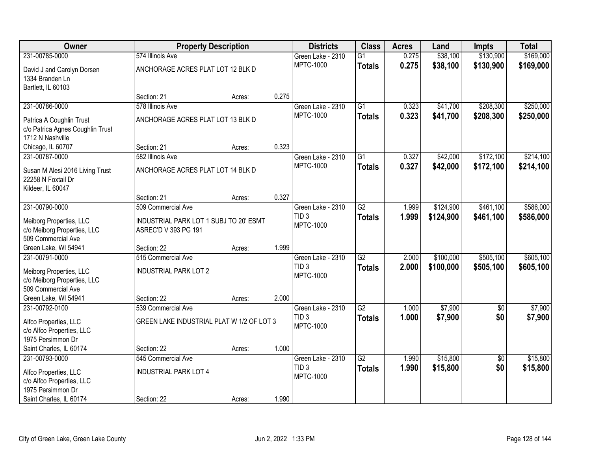| Owner                            | <b>Property Description</b>               |        |       | <b>Districts</b>  | <b>Class</b>    | <b>Acres</b> | Land      | <b>Impts</b>    | <b>Total</b> |
|----------------------------------|-------------------------------------------|--------|-------|-------------------|-----------------|--------------|-----------|-----------------|--------------|
| 231-00785-0000                   | 574 Illinois Ave                          |        |       | Green Lake - 2310 | $\overline{G1}$ | 0.275        | \$38,100  | \$130,900       | \$169,000    |
| David J and Carolyn Dorsen       | ANCHORAGE ACRES PLAT LOT 12 BLK D         |        |       | <b>MPTC-1000</b>  | <b>Totals</b>   | 0.275        | \$38,100  | \$130,900       | \$169,000    |
| 1334 Branden Ln                  |                                           |        |       |                   |                 |              |           |                 |              |
| Bartlett, IL 60103               |                                           |        |       |                   |                 |              |           |                 |              |
|                                  | Section: 21                               | Acres: | 0.275 |                   |                 |              |           |                 |              |
| 231-00786-0000                   | 578 Illinois Ave                          |        |       | Green Lake - 2310 | $\overline{G1}$ | 0.323        | \$41,700  | \$208,300       | \$250,000    |
| Patrica A Coughlin Trust         | ANCHORAGE ACRES PLAT LOT 13 BLK D         |        |       | <b>MPTC-1000</b>  | <b>Totals</b>   | 0.323        | \$41,700  | \$208,300       | \$250,000    |
| c/o Patrica Agnes Coughlin Trust |                                           |        |       |                   |                 |              |           |                 |              |
| 1712 N Nashville                 |                                           |        |       |                   |                 |              |           |                 |              |
| Chicago, IL 60707                | Section: 21                               | Acres: | 0.323 |                   |                 |              |           |                 |              |
| 231-00787-0000                   | 582 Illinois Ave                          |        |       | Green Lake - 2310 | G1              | 0.327        | \$42,000  | \$172,100       | \$214,100    |
| Susan M Alesi 2016 Living Trust  | ANCHORAGE ACRES PLAT LOT 14 BLK D         |        |       | <b>MPTC-1000</b>  | <b>Totals</b>   | 0.327        | \$42,000  | \$172,100       | \$214,100    |
| 22258 N Foxtail Dr               |                                           |        |       |                   |                 |              |           |                 |              |
| Kildeer, IL 60047                |                                           |        |       |                   |                 |              |           |                 |              |
|                                  | Section: 21                               | Acres: | 0.327 |                   |                 |              |           |                 |              |
| 231-00790-0000                   | 509 Commercial Ave                        |        |       | Green Lake - 2310 | $\overline{G2}$ | 1.999        | \$124,900 | \$461,100       | \$586,000    |
| Meiborg Properties, LLC          | INDUSTRIAL PARK LOT 1 SUBJ TO 20' ESMT    |        |       | TID <sub>3</sub>  | <b>Totals</b>   | 1.999        | \$124,900 | \$461,100       | \$586,000    |
| c/o Meiborg Properties, LLC      | ASREC'D V 393 PG 191                      |        |       | MPTC-1000         |                 |              |           |                 |              |
| 509 Commercial Ave               |                                           |        |       |                   |                 |              |           |                 |              |
| Green Lake, WI 54941             | Section: 22                               | Acres: | 1.999 |                   |                 |              |           |                 |              |
| 231-00791-0000                   | 515 Commercial Ave                        |        |       | Green Lake - 2310 | $\overline{G2}$ | 2.000        | \$100,000 | \$505,100       | \$605,100    |
| Meiborg Properties, LLC          | <b>INDUSTRIAL PARK LOT 2</b>              |        |       | TID <sub>3</sub>  | <b>Totals</b>   | 2.000        | \$100,000 | \$505,100       | \$605,100    |
| c/o Meiborg Properties, LLC      |                                           |        |       | <b>MPTC-1000</b>  |                 |              |           |                 |              |
| 509 Commercial Ave               |                                           |        |       |                   |                 |              |           |                 |              |
| Green Lake, WI 54941             | Section: 22                               | Acres: | 2.000 |                   |                 |              |           |                 |              |
| 231-00792-0100                   | 539 Commercial Ave                        |        |       | Green Lake - 2310 | $\overline{G2}$ | 1.000        | \$7,900   | $\overline{50}$ | \$7,900      |
| Alfco Properties, LLC            | GREEN LAKE INDUSTRIAL PLAT W 1/2 OF LOT 3 |        |       | TID <sub>3</sub>  | <b>Totals</b>   | 1.000        | \$7,900   | \$0             | \$7,900      |
| c/o Alfco Properties, LLC        |                                           |        |       | <b>MPTC-1000</b>  |                 |              |           |                 |              |
| 1975 Persimmon Dr                |                                           |        |       |                   |                 |              |           |                 |              |
| Saint Charles, IL 60174          | Section: 22                               | Acres: | 1.000 |                   |                 |              |           |                 |              |
| 231-00793-0000                   | 545 Commercial Ave                        |        |       | Green Lake - 2310 | $\overline{G2}$ | 1.990        | \$15,800  | $\overline{50}$ | \$15,800     |
| Alfco Properties, LLC            | <b>INDUSTRIAL PARK LOT 4</b>              |        |       | TID <sub>3</sub>  | <b>Totals</b>   | 1.990        | \$15,800  | \$0             | \$15,800     |
| c/o Alfco Properties, LLC        |                                           |        |       | <b>MPTC-1000</b>  |                 |              |           |                 |              |
| 1975 Persimmon Dr                |                                           |        |       |                   |                 |              |           |                 |              |
| Saint Charles, IL 60174          | Section: 22                               | Acres: | 1.990 |                   |                 |              |           |                 |              |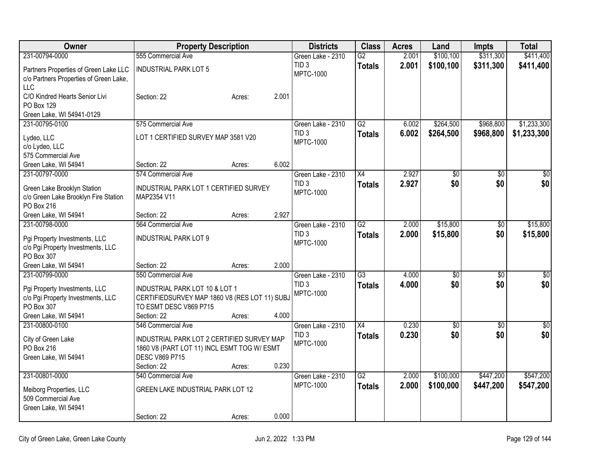| Owner                                  | <b>Property Description</b>                   |                 | <b>Districts</b>                      | <b>Class</b>    | <b>Acres</b>   | Land                   | <b>Impts</b>           | <b>Total</b>         |
|----------------------------------------|-----------------------------------------------|-----------------|---------------------------------------|-----------------|----------------|------------------------|------------------------|----------------------|
| 231-00794-0000                         | 555 Commercial Ave                            |                 | Green Lake - 2310                     | $\overline{G2}$ | 2.001          | \$100,100              | \$311,300              | \$411,400            |
| Partners Properties of Green Lake LLC  | <b>INDUSTRIAL PARK LOT 5</b>                  |                 | TID <sub>3</sub>                      | <b>Totals</b>   | 2.001          | \$100,100              | \$311,300              | \$411,400            |
| c/o Partners Properties of Green Lake, |                                               |                 | <b>MPTC-1000</b>                      |                 |                |                        |                        |                      |
| LLC                                    |                                               |                 |                                       |                 |                |                        |                        |                      |
| C/O Kindred Hearts Senior Livi         | Section: 22                                   | 2.001<br>Acres: |                                       |                 |                |                        |                        |                      |
| PO Box 129                             |                                               |                 |                                       |                 |                |                        |                        |                      |
| Green Lake, WI 54941-0129              |                                               |                 |                                       |                 |                |                        |                        |                      |
| 231-00795-0100                         | 575 Commercial Ave                            |                 | Green Lake - 2310<br>TID <sub>3</sub> | $\overline{G2}$ | 6.002<br>6.002 | \$264,500<br>\$264,500 | \$968,800              | \$1,233,300          |
| Lydeo, LLC                             | LOT 1 CERTIFIED SURVEY MAP 3581 V20           |                 | <b>MPTC-1000</b>                      | <b>Totals</b>   |                |                        | \$968,800              | \$1,233,300          |
| c/o Lydeo, LLC                         |                                               |                 |                                       |                 |                |                        |                        |                      |
| 575 Commercial Ave                     |                                               |                 |                                       |                 |                |                        |                        |                      |
| Green Lake, WI 54941                   | Section: 22<br>574 Commercial Ave             | 6.002<br>Acres: |                                       |                 | 2.927          |                        |                        |                      |
| 231-00797-0000                         |                                               |                 | Green Lake - 2310<br>TID <sub>3</sub> | X4              | 2.927          | \$0<br>\$0             | $\overline{50}$<br>\$0 | \$0<br>\$0           |
| Green Lake Brooklyn Station            | INDUSTRIAL PARK LOT 1 CERTIFIED SURVEY        |                 | <b>MPTC-1000</b>                      | <b>Totals</b>   |                |                        |                        |                      |
| c/o Green Lake Brooklyn Fire Station   | MAP2354 V11                                   |                 |                                       |                 |                |                        |                        |                      |
| PO Box 216                             |                                               |                 |                                       |                 |                |                        |                        |                      |
| Green Lake, WI 54941                   | Section: 22<br>564 Commercial Ave             | 2.927<br>Acres: |                                       |                 |                |                        |                        |                      |
| 231-00798-0000                         |                                               |                 | Green Lake - 2310<br>TID <sub>3</sub> | G2              | 2.000<br>2.000 | \$15,800<br>\$15,800   | \$0<br>\$0             | \$15,800<br>\$15,800 |
| Pgi Property Investments, LLC          | <b>INDUSTRIAL PARK LOT 9</b>                  |                 | <b>MPTC-1000</b>                      | <b>Totals</b>   |                |                        |                        |                      |
| c/o Pgi Property Investments, LLC      |                                               |                 |                                       |                 |                |                        |                        |                      |
| PO Box 307                             |                                               | 2.000           |                                       |                 |                |                        |                        |                      |
| Green Lake, WI 54941<br>231-00799-0000 | Section: 22<br>550 Commercial Ave             | Acres:          | Green Lake - 2310                     | $\overline{G3}$ | 4.000          | $\overline{50}$        | \$0                    | $\overline{50}$      |
|                                        |                                               |                 | TID <sub>3</sub>                      | <b>Totals</b>   | 4.000          | \$0                    | \$0                    | \$0                  |
| Pgi Property Investments, LLC          | INDUSTRIAL PARK LOT 10 & LOT 1                |                 | <b>MPTC-1000</b>                      |                 |                |                        |                        |                      |
| c/o Pgi Property Investments, LLC      | CERTIFIEDSURVEY MAP 1860 V8 (RES LOT 11) SUBJ |                 |                                       |                 |                |                        |                        |                      |
| PO Box 307                             | TO ESMT DESC V869 P715                        |                 |                                       |                 |                |                        |                        |                      |
| Green Lake, WI 54941<br>231-00800-0100 | Section: 22<br>546 Commercial Ave             | 4.000<br>Acres: | Green Lake - 2310                     | X4              | 0.230          | $\overline{60}$        | $\overline{50}$        | $\sqrt{50}$          |
|                                        |                                               |                 | TID <sub>3</sub>                      | <b>Totals</b>   | 0.230          | \$0                    | \$0                    | \$0                  |
| City of Green Lake                     | INDUSTRIAL PARK LOT 2 CERTIFIED SURVEY MAP    |                 | <b>MPTC-1000</b>                      |                 |                |                        |                        |                      |
| PO Box 216                             | 1860 V8 (PART LOT 11) INCL ESMT TOG W/ ESMT   |                 |                                       |                 |                |                        |                        |                      |
| Green Lake, WI 54941                   | <b>DESC V869 P715</b>                         |                 |                                       |                 |                |                        |                        |                      |
| 231-00801-0000                         | Section: 22<br>540 Commercial Ave             | 0.230<br>Acres: | Green Lake - 2310                     | $\overline{G2}$ | 2.000          | \$100,000              | \$447,200              | \$547,200            |
|                                        |                                               |                 | <b>MPTC-1000</b>                      | <b>Totals</b>   | 2.000          | \$100,000              | \$447,200              | \$547,200            |
| Meiborg Properties, LLC                | GREEN LAKE INDUSTRIAL PARK LOT 12             |                 |                                       |                 |                |                        |                        |                      |
| 509 Commercial Ave                     |                                               |                 |                                       |                 |                |                        |                        |                      |
| Green Lake, WI 54941                   |                                               |                 |                                       |                 |                |                        |                        |                      |
|                                        | Section: 22                                   | 0.000<br>Acres: |                                       |                 |                |                        |                        |                      |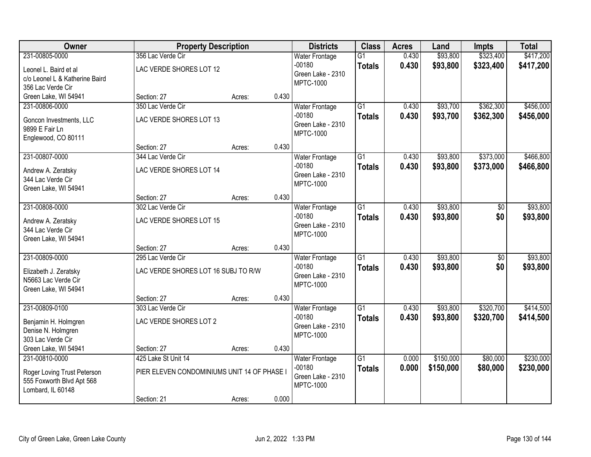| Owner                                                                                           | <b>Property Description</b>                                                       |        |       | <b>Districts</b>                                                           | <b>Class</b>                     | <b>Acres</b>   | Land                   | <b>Impts</b>           | <b>Total</b>           |
|-------------------------------------------------------------------------------------------------|-----------------------------------------------------------------------------------|--------|-------|----------------------------------------------------------------------------|----------------------------------|----------------|------------------------|------------------------|------------------------|
| 231-00805-0000<br>Leonel L. Baird et al<br>c/o Leonel L & Katherine Baird<br>356 Lac Verde Cir  | 356 Lac Verde Cir<br>LAC VERDE SHORES LOT 12                                      |        |       | <b>Water Frontage</b><br>$-00180$<br>Green Lake - 2310<br><b>MPTC-1000</b> | $\overline{G1}$<br><b>Totals</b> | 0.430<br>0.430 | \$93,800<br>\$93,800   | \$323,400<br>\$323,400 | \$417,200<br>\$417,200 |
| Green Lake, WI 54941                                                                            | Section: 27                                                                       | Acres: | 0.430 |                                                                            |                                  |                |                        |                        |                        |
| 231-00806-0000<br>Goncon Investments, LLC<br>9899 E Fair Ln<br>Englewood, CO 80111              | 350 Lac Verde Cir<br>LAC VERDE SHORES LOT 13                                      |        |       | <b>Water Frontage</b><br>$-00180$<br>Green Lake - 2310<br><b>MPTC-1000</b> | $\overline{G1}$<br><b>Totals</b> | 0.430<br>0.430 | \$93,700<br>\$93,700   | \$362,300<br>\$362,300 | \$456,000<br>\$456,000 |
|                                                                                                 | Section: 27                                                                       | Acres: | 0.430 |                                                                            |                                  |                |                        |                        |                        |
| 231-00807-0000<br>Andrew A. Zeratsky<br>344 Lac Verde Cir<br>Green Lake, WI 54941               | 344 Lac Verde Cir<br>LAC VERDE SHORES LOT 14                                      |        |       | <b>Water Frontage</b><br>$-00180$<br>Green Lake - 2310<br><b>MPTC-1000</b> | $\overline{G1}$<br><b>Totals</b> | 0.430<br>0.430 | \$93,800<br>\$93,800   | \$373,000<br>\$373,000 | \$466,800<br>\$466,800 |
|                                                                                                 | Section: 27                                                                       | Acres: | 0.430 |                                                                            |                                  |                |                        |                        |                        |
| 231-00808-0000<br>Andrew A. Zeratsky<br>344 Lac Verde Cir<br>Green Lake, WI 54941               | 302 Lac Verde Cir<br>LAC VERDE SHORES LOT 15                                      |        |       | <b>Water Frontage</b><br>$-00180$<br>Green Lake - 2310<br><b>MPTC-1000</b> | $\overline{G1}$<br><b>Totals</b> | 0.430<br>0.430 | \$93,800<br>\$93,800   | \$0<br>\$0             | \$93,800<br>\$93,800   |
|                                                                                                 | Section: 27                                                                       | Acres: | 0.430 |                                                                            |                                  |                |                        |                        |                        |
| 231-00809-0000<br>Elizabeth J. Zeratsky<br>N5663 Lac Verde Cir<br>Green Lake, WI 54941          | 295 Lac Verde Cir<br>LAC VERDE SHORES LOT 16 SUBJ TO R/W                          |        |       | Water Frontage<br>$-00180$<br>Green Lake - 2310<br><b>MPTC-1000</b>        | $\overline{G1}$<br><b>Totals</b> | 0.430<br>0.430 | \$93,800<br>\$93,800   | \$0<br>\$0             | \$93,800<br>\$93,800   |
|                                                                                                 | Section: 27                                                                       | Acres: | 0.430 |                                                                            |                                  |                |                        |                        |                        |
| 231-00809-0100<br>Benjamin H. Holmgren<br>Denise N. Holmgren<br>303 Lac Verde Cir               | 303 Lac Verde Cir<br>LAC VERDE SHORES LOT 2                                       |        |       | <b>Water Frontage</b><br>$-00180$<br>Green Lake - 2310<br><b>MPTC-1000</b> | $\overline{G1}$<br><b>Totals</b> | 0.430<br>0.430 | \$93,800<br>\$93,800   | \$320,700<br>\$320,700 | \$414,500<br>\$414,500 |
| Green Lake, WI 54941                                                                            | Section: 27                                                                       | Acres: | 0.430 |                                                                            |                                  |                |                        |                        |                        |
| 231-00810-0000<br>Roger Loving Trust Peterson<br>555 Foxworth Blvd Apt 568<br>Lombard, IL 60148 | 425 Lake St Unit 14<br>PIER ELEVEN CONDOMINIUMS UNIT 14 OF PHASE I<br>Section: 21 | Acres: | 0.000 | <b>Water Frontage</b><br>$-00180$<br>Green Lake - 2310<br><b>MPTC-1000</b> | $\overline{G1}$<br><b>Totals</b> | 0.000<br>0.000 | \$150,000<br>\$150,000 | \$80,000<br>\$80,000   | \$230,000<br>\$230,000 |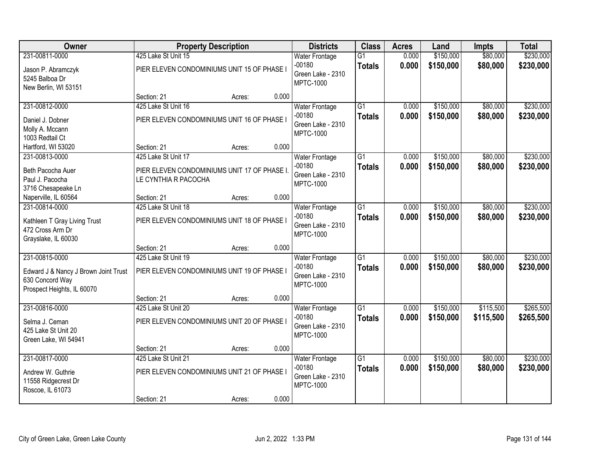| Owner                                  | <b>Property Description</b>                  |        |       | <b>Districts</b>                  | <b>Class</b>    | <b>Acres</b>   | Land                   | <b>Impts</b> | <b>Total</b> |
|----------------------------------------|----------------------------------------------|--------|-------|-----------------------------------|-----------------|----------------|------------------------|--------------|--------------|
| 231-00811-0000                         | 425 Lake St Unit 15                          |        |       | <b>Water Frontage</b>             | $\overline{G1}$ | 0.000          | \$150,000              | \$80,000     | \$230,000    |
| Jason P. Abramczyk                     | PIER ELEVEN CONDOMINIUMS UNIT 15 OF PHASE I  |        |       | $-00180$<br>Green Lake - 2310     | <b>Totals</b>   | 0.000          | \$150,000              | \$80,000     | \$230,000    |
| 5245 Balboa Dr                         |                                              |        |       | <b>MPTC-1000</b>                  |                 |                |                        |              |              |
| New Berlin, WI 53151                   |                                              |        |       |                                   |                 |                |                        |              |              |
|                                        | Section: 21                                  | Acres: | 0.000 |                                   |                 |                |                        |              |              |
| 231-00812-0000                         | 425 Lake St Unit 16                          |        |       | <b>Water Frontage</b><br>$-00180$ | $\overline{G1}$ | 0.000          | \$150,000              | \$80,000     | \$230,000    |
| Daniel J. Dobner                       | PIER ELEVEN CONDOMINIUMS UNIT 16 OF PHASE I  |        |       | Green Lake - 2310                 | <b>Totals</b>   | 0.000          | \$150,000              | \$80,000     | \$230,000    |
| Molly A. Mccann                        |                                              |        |       | <b>MPTC-1000</b>                  |                 |                |                        |              |              |
| 1003 Redtail Ct                        |                                              |        |       |                                   |                 |                |                        |              |              |
| Hartford, WI 53020                     | Section: 21                                  | Acres: | 0.000 |                                   |                 |                |                        |              |              |
| 231-00813-0000                         | 425 Lake St Unit 17                          |        |       | <b>Water Frontage</b><br>$-00180$ | $\overline{G1}$ | 0.000<br>0.000 | \$150,000<br>\$150,000 | \$80,000     | \$230,000    |
| Beth Pacocha Auer                      | PIER ELEVEN CONDOMINIUMS UNIT 17 OF PHASE I. |        |       | Green Lake - 2310                 | <b>Totals</b>   |                |                        | \$80,000     | \$230,000    |
| Paul J. Pacocha                        | LE CYNTHIA R PACOCHA                         |        |       | <b>MPTC-1000</b>                  |                 |                |                        |              |              |
| 3716 Chesapeake Ln                     |                                              |        |       |                                   |                 |                |                        |              |              |
| Naperville, IL 60564<br>231-00814-0000 | Section: 21<br>425 Lake St Unit 18           | Acres: | 0.000 | <b>Water Frontage</b>             | $\overline{G1}$ | 0.000          | \$150,000              | \$80,000     | \$230,000    |
|                                        |                                              |        |       | $-00180$                          | <b>Totals</b>   | 0.000          | \$150,000              | \$80,000     | \$230,000    |
| Kathleen T Gray Living Trust           | PIER ELEVEN CONDOMINIUMS UNIT 18 OF PHASE I  |        |       | Green Lake - 2310                 |                 |                |                        |              |              |
| 472 Cross Arm Dr                       |                                              |        |       | <b>MPTC-1000</b>                  |                 |                |                        |              |              |
| Grayslake, IL 60030                    | Section: 21                                  |        | 0.000 |                                   |                 |                |                        |              |              |
| 231-00815-0000                         | 425 Lake St Unit 19                          | Acres: |       | <b>Water Frontage</b>             | $\overline{G1}$ | 0.000          | \$150,000              | \$80,000     | \$230,000    |
|                                        |                                              |        |       | $-00180$                          | <b>Totals</b>   | 0.000          | \$150,000              | \$80,000     | \$230,000    |
| Edward J & Nancy J Brown Joint Trust   | PIER ELEVEN CONDOMINIUMS UNIT 19 OF PHASE I  |        |       | Green Lake - 2310                 |                 |                |                        |              |              |
| 630 Concord Way                        |                                              |        |       | <b>MPTC-1000</b>                  |                 |                |                        |              |              |
| Prospect Heights, IL 60070             | Section: 21                                  | Acres: | 0.000 |                                   |                 |                |                        |              |              |
| 231-00816-0000                         | 425 Lake St Unit 20                          |        |       | <b>Water Frontage</b>             | $\overline{G1}$ | 0.000          | \$150,000              | \$115,500    | \$265,500    |
|                                        |                                              |        |       | $-00180$                          | <b>Totals</b>   | 0.000          | \$150,000              | \$115,500    | \$265,500    |
| Selma J. Ceman<br>425 Lake St Unit 20  | PIER ELEVEN CONDOMINIUMS UNIT 20 OF PHASE I  |        |       | Green Lake - 2310                 |                 |                |                        |              |              |
| Green Lake, WI 54941                   |                                              |        |       | <b>MPTC-1000</b>                  |                 |                |                        |              |              |
|                                        | Section: 21                                  | Acres: | 0.000 |                                   |                 |                |                        |              |              |
| 231-00817-0000                         | 425 Lake St Unit 21                          |        |       | <b>Water Frontage</b>             | $\overline{G1}$ | 0.000          | \$150,000              | \$80,000     | \$230,000    |
| Andrew W. Guthrie                      | PIER ELEVEN CONDOMINIUMS UNIT 21 OF PHASE I  |        |       | $-00180$                          | <b>Totals</b>   | 0.000          | \$150,000              | \$80,000     | \$230,000    |
| 11558 Ridgecrest Dr                    |                                              |        |       | Green Lake - 2310                 |                 |                |                        |              |              |
| Roscoe, IL 61073                       |                                              |        |       | <b>MPTC-1000</b>                  |                 |                |                        |              |              |
|                                        | Section: 21                                  | Acres: | 0.000 |                                   |                 |                |                        |              |              |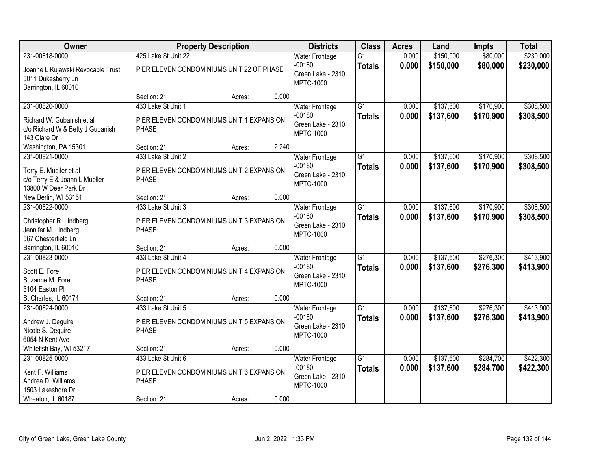| Owner                                                                                              | <b>Property Description</b>                                                                    |        |       | <b>Districts</b>                                                           | <b>Class</b>                     | <b>Acres</b>   | Land                   | <b>Impts</b>           | <b>Total</b>           |
|----------------------------------------------------------------------------------------------------|------------------------------------------------------------------------------------------------|--------|-------|----------------------------------------------------------------------------|----------------------------------|----------------|------------------------|------------------------|------------------------|
| 231-00818-0000                                                                                     | 425 Lake St Unit 22                                                                            |        |       | <b>Water Frontage</b>                                                      | $\overline{G1}$                  | 0.000          | \$150,000              | \$80,000               | \$230,000              |
| Joanne L Kujawski Revocable Trust<br>5011 Dukesberry Ln<br>Barrington, IL 60010                    | PIER ELEVEN CONDOMINIUMS UNIT 22 OF PHASE I                                                    |        |       | $-00180$<br>Green Lake - 2310<br><b>MPTC-1000</b>                          | <b>Totals</b>                    | 0.000          | \$150,000              | \$80,000               | \$230,000              |
|                                                                                                    | Section: 21                                                                                    | Acres: | 0.000 |                                                                            |                                  |                |                        |                        |                        |
| 231-00820-0000<br>Richard W. Gubanish et al.<br>c/o Richard W & Betty J Gubanish<br>143 Clare Dr   | 433 Lake St Unit 1<br>PIER ELEVEN CONDOMINIUMS UNIT 1 EXPANSION<br><b>PHASE</b>                |        |       | <b>Water Frontage</b><br>$-00180$<br>Green Lake - 2310<br><b>MPTC-1000</b> | $\overline{G1}$<br><b>Totals</b> | 0.000<br>0.000 | \$137,600<br>\$137,600 | \$170,900<br>\$170,900 | \$308,500<br>\$308,500 |
| Washington, PA 15301                                                                               | Section: 21                                                                                    | Acres: | 2.240 |                                                                            |                                  |                |                        |                        |                        |
| 231-00821-0000<br>Terry E. Mueller et al<br>c/o Terry E & Joann L Mueller<br>13800 W Deer Park Dr  | 433 Lake St Unit 2<br>PIER ELEVEN CONDOMINIUMS UNIT 2 EXPANSION<br><b>PHASE</b>                |        |       | <b>Water Frontage</b><br>$-00180$<br>Green Lake - 2310<br><b>MPTC-1000</b> | $\overline{G1}$<br><b>Totals</b> | 0.000<br>0.000 | \$137,600<br>\$137,600 | \$170,900<br>\$170,900 | \$308,500<br>\$308,500 |
| New Berlin, WI 53151                                                                               | Section: 21                                                                                    | Acres: | 0.000 |                                                                            |                                  |                |                        |                        |                        |
| 231-00822-0000<br>Christopher R. Lindberg<br>Jennifer M. Lindberg<br>567 Chesterfield Ln           | 433 Lake St Unit 3<br>PIER ELEVEN CONDOMINIUMS UNIT 3 EXPANSION<br><b>PHASE</b>                |        |       | <b>Water Frontage</b><br>$-00180$<br>Green Lake - 2310<br><b>MPTC-1000</b> | $\overline{G1}$<br><b>Totals</b> | 0.000<br>0.000 | \$137,600<br>\$137,600 | \$170,900<br>\$170,900 | \$308,500<br>\$308,500 |
| Barrington, IL 60010                                                                               | Section: 21                                                                                    | Acres: | 0.000 |                                                                            |                                  |                |                        |                        |                        |
| 231-00823-0000<br>Scott E. Fore<br>Suzanne M. Fore<br>3104 Easton Pl                               | 433 Lake St Unit 4<br>PIER ELEVEN CONDOMINIUMS UNIT 4 EXPANSION<br><b>PHASE</b>                |        |       | <b>Water Frontage</b><br>$-00180$<br>Green Lake - 2310<br><b>MPTC-1000</b> | $\overline{G1}$<br><b>Totals</b> | 0.000<br>0.000 | \$137,600<br>\$137,600 | \$276,300<br>\$276,300 | \$413,900<br>\$413,900 |
| St Charles, IL 60174                                                                               | Section: 21                                                                                    | Acres: | 0.000 |                                                                            |                                  |                |                        |                        |                        |
| 231-00824-0000<br>Andrew J. Deguire<br>Nicole S. Deguire<br>6054 N Kent Ave                        | 433 Lake St Unit 5<br>PIER ELEVEN CONDOMINIUMS UNIT 5 EXPANSION<br><b>PHASE</b>                |        |       | <b>Water Frontage</b><br>$-00180$<br>Green Lake - 2310<br><b>MPTC-1000</b> | $\overline{G1}$<br><b>Totals</b> | 0.000<br>0.000 | \$137,600<br>\$137,600 | \$276,300<br>\$276,300 | \$413,900<br>\$413,900 |
| Whitefish Bay, WI 53217                                                                            | Section: 21                                                                                    | Acres: | 0.000 |                                                                            |                                  |                |                        |                        |                        |
| 231-00825-0000<br>Kent F. Williams<br>Andrea D. Williams<br>1503 Lakeshore Dr<br>Wheaton, IL 60187 | 433 Lake St Unit 6<br>PIER ELEVEN CONDOMINIUMS UNIT 6 EXPANSION<br><b>PHASE</b><br>Section: 21 | Acres: | 0.000 | <b>Water Frontage</b><br>$-00180$<br>Green Lake - 2310<br><b>MPTC-1000</b> | $\overline{G1}$<br><b>Totals</b> | 0.000<br>0.000 | \$137,600<br>\$137,600 | \$284,700<br>\$284,700 | \$422,300<br>\$422,300 |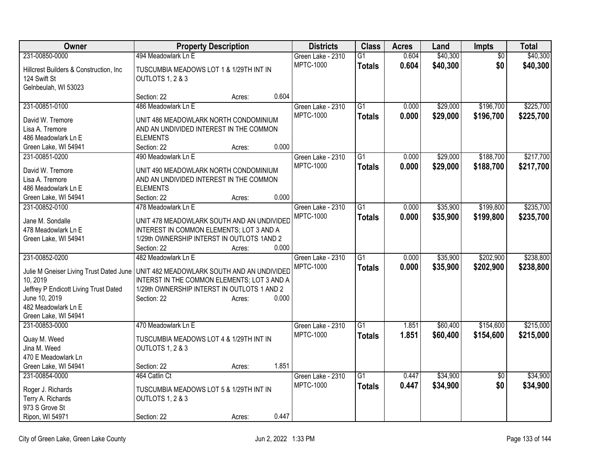| Owner                                   | <b>Property Description</b>                                |        |       | <b>Districts</b>  | <b>Class</b>    | <b>Acres</b> | Land     | <b>Impts</b>    | <b>Total</b> |
|-----------------------------------------|------------------------------------------------------------|--------|-------|-------------------|-----------------|--------------|----------|-----------------|--------------|
| 231-00850-0000                          | 494 Meadowlark Ln E                                        |        |       | Green Lake - 2310 | $\overline{G1}$ | 0.604        | \$40,300 | $\overline{50}$ | \$40,300     |
| Hillcrest Builders & Construction, Inc. | TUSCUMBIA MEADOWS LOT 1 & 1/29TH INT IN                    |        |       | <b>MPTC-1000</b>  | <b>Totals</b>   | 0.604        | \$40,300 | \$0             | \$40,300     |
| 124 Swift St                            | OUTLOTS 1, 2 & 3                                           |        |       |                   |                 |              |          |                 |              |
| Gelnbeulah, WI 53023                    |                                                            |        |       |                   |                 |              |          |                 |              |
|                                         | Section: 22                                                | Acres: | 0.604 |                   |                 |              |          |                 |              |
| 231-00851-0100                          | 486 Meadowlark Ln E                                        |        |       | Green Lake - 2310 | $\overline{G1}$ | 0.000        | \$29,000 | \$196,700       | \$225,700    |
| David W. Tremore                        | UNIT 486 MEADOWLARK NORTH CONDOMINIUM                      |        |       | <b>MPTC-1000</b>  | <b>Totals</b>   | 0.000        | \$29,000 | \$196,700       | \$225,700    |
| Lisa A. Tremore                         | AND AN UNDIVIDED INTEREST IN THE COMMON                    |        |       |                   |                 |              |          |                 |              |
| 486 Meadowlark Ln E                     | <b>ELEMENTS</b>                                            |        |       |                   |                 |              |          |                 |              |
| Green Lake, WI 54941                    | Section: 22                                                | Acres: | 0.000 |                   |                 |              |          |                 |              |
| 231-00851-0200                          | 490 Meadowlark Ln E                                        |        |       | Green Lake - 2310 | $\overline{G1}$ | 0.000        | \$29,000 | \$188,700       | \$217,700    |
|                                         |                                                            |        |       | <b>MPTC-1000</b>  | <b>Totals</b>   | 0.000        | \$29,000 | \$188,700       | \$217,700    |
| David W. Tremore                        | UNIT 490 MEADOWLARK NORTH CONDOMINIUM                      |        |       |                   |                 |              |          |                 |              |
| Lisa A. Tremore<br>486 Meadowlark Ln E  | AND AN UNDIVIDED INTEREST IN THE COMMON<br><b>ELEMENTS</b> |        |       |                   |                 |              |          |                 |              |
| Green Lake, WI 54941                    | Section: 22                                                |        | 0.000 |                   |                 |              |          |                 |              |
| 231-00852-0100                          | 478 Meadowlark Ln E                                        | Acres: |       | Green Lake - 2310 | $\overline{G1}$ | 0.000        | \$35,900 | \$199,800       | \$235,700    |
|                                         |                                                            |        |       | <b>MPTC-1000</b>  |                 |              |          |                 |              |
| Jane M. Sondalle                        | UNIT 478 MEADOWLARK SOUTH AND AN UNDIVIDED                 |        |       |                   | <b>Totals</b>   | 0.000        | \$35,900 | \$199,800       | \$235,700    |
| 478 Meadowlark Ln E                     | INTEREST IN COMMON ELEMENTS; LOT 3 AND A                   |        |       |                   |                 |              |          |                 |              |
| Green Lake, WI 54941                    | 1/29th OWNERSHIP INTERST IN OUTLOTS 1AND 2                 |        |       |                   |                 |              |          |                 |              |
|                                         | Section: 22                                                | Acres: | 0.000 |                   |                 |              |          |                 |              |
| 231-00852-0200                          | 482 Meadowlark Ln E                                        |        |       | Green Lake - 2310 | $\overline{G1}$ | 0.000        | \$35,900 | \$202,900       | \$238,800    |
| Julie M Gneiser Living Trust Dated June | UNIT 482 MEADOWLARK SOUTH AND AN UNDIVIDED                 |        |       | <b>MPTC-1000</b>  | <b>Totals</b>   | 0.000        | \$35,900 | \$202,900       | \$238,800    |
| 10, 2019                                | INTERST IN THE COMMON ELEMENTS; LOT 3 AND A                |        |       |                   |                 |              |          |                 |              |
| Jeffrey P Endicott Living Trust Dated   | 1/29th OWNERSHIP INTERST IN OUTLOTS 1 AND 2                |        |       |                   |                 |              |          |                 |              |
| June 10, 2019                           | Section: 22                                                | Acres: | 0.000 |                   |                 |              |          |                 |              |
| 482 Meadowlark Ln E                     |                                                            |        |       |                   |                 |              |          |                 |              |
| Green Lake, WI 54941                    |                                                            |        |       |                   |                 |              |          |                 |              |
| 231-00853-0000                          | 470 Meadowlark Ln E                                        |        |       | Green Lake - 2310 | $\overline{G1}$ | 1.851        | \$60,400 | \$154,600       | \$215,000    |
| Quay M. Weed                            | TUSCUMBIA MEADOWS LOT 4 & 1/29TH INT IN                    |        |       | <b>MPTC-1000</b>  | <b>Totals</b>   | 1.851        | \$60,400 | \$154,600       | \$215,000    |
| Jina M. Weed                            | OUTLOTS 1, 2 & 3                                           |        |       |                   |                 |              |          |                 |              |
| 470 E Meadowlark Ln                     |                                                            |        |       |                   |                 |              |          |                 |              |
| Green Lake, WI 54941                    | Section: 22                                                | Acres: | 1.851 |                   |                 |              |          |                 |              |
| 231-00854-0000                          | 464 Catlin Ct                                              |        |       | Green Lake - 2310 | $\overline{G1}$ | 0.447        | \$34,900 | $\overline{50}$ | \$34,900     |
|                                         |                                                            |        |       | <b>MPTC-1000</b>  | <b>Totals</b>   | 0.447        | \$34,900 | \$0             | \$34,900     |
| Roger J. Richards                       | TUSCUMBIA MEADOWS LOT 5 & 1/29TH INT IN                    |        |       |                   |                 |              |          |                 |              |
| Terry A. Richards                       | OUTLOTS 1, 2 & 3                                           |        |       |                   |                 |              |          |                 |              |
| 973 S Grove St                          |                                                            |        |       |                   |                 |              |          |                 |              |
| Ripon, WI 54971                         | Section: 22                                                | Acres: | 0.447 |                   |                 |              |          |                 |              |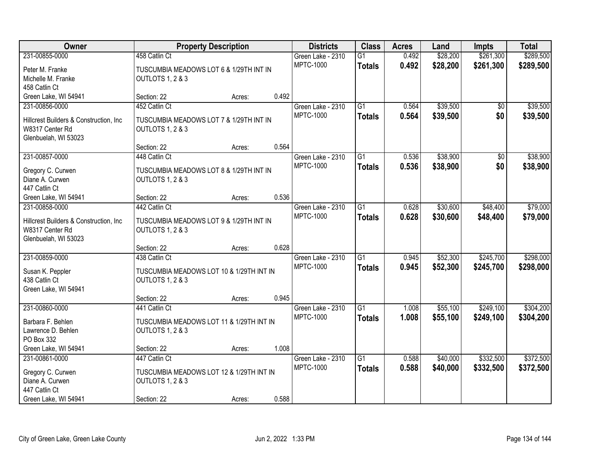| <b>Owner</b>                                               | <b>Property Description</b>                                 |        |       | <b>Districts</b>  | <b>Class</b>    | <b>Acres</b> | Land     | Impts           | <b>Total</b> |
|------------------------------------------------------------|-------------------------------------------------------------|--------|-------|-------------------|-----------------|--------------|----------|-----------------|--------------|
| 231-00855-0000                                             | 458 Catlin Ct                                               |        |       | Green Lake - 2310 | $\overline{G1}$ | 0.492        | \$28,200 | \$261,300       | \$289,500    |
| Peter M. Franke                                            | TUSCUMBIA MEADOWS LOT 6 & 1/29TH INT IN                     |        |       | <b>MPTC-1000</b>  | <b>Totals</b>   | 0.492        | \$28,200 | \$261,300       | \$289,500    |
| Michelle M. Franke                                         | OUTLOTS 1, 2 & 3                                            |        |       |                   |                 |              |          |                 |              |
| 458 Catlin Ct                                              |                                                             |        |       |                   |                 |              |          |                 |              |
| Green Lake, WI 54941                                       | Section: 22                                                 | Acres: | 0.492 |                   |                 |              |          |                 |              |
| 231-00856-0000                                             | 452 Catlin Ct                                               |        |       | Green Lake - 2310 | $\overline{G1}$ | 0.564        | \$39,500 | $\overline{50}$ | \$39,500     |
|                                                            |                                                             |        |       | <b>MPTC-1000</b>  | <b>Totals</b>   | 0.564        | \$39,500 | \$0             | \$39,500     |
| Hillcrest Builders & Construction, Inc.<br>W8317 Center Rd | TUSCUMBIA MEADOWS LOT 7 & 1/29TH INT IN<br>OUTLOTS 1, 2 & 3 |        |       |                   |                 |              |          |                 |              |
| Glenbuelah, WI 53023                                       |                                                             |        |       |                   |                 |              |          |                 |              |
|                                                            | Section: 22                                                 | Acres: | 0.564 |                   |                 |              |          |                 |              |
| 231-00857-0000                                             | 448 Catlin Ct                                               |        |       | Green Lake - 2310 | G1              | 0.536        | \$38,900 | $\overline{50}$ | \$38,900     |
|                                                            |                                                             |        |       | <b>MPTC-1000</b>  | <b>Totals</b>   | 0.536        | \$38,900 | \$0             | \$38,900     |
| Gregory C. Curwen                                          | TUSCUMBIA MEADOWS LOT 8 & 1/29TH INT IN                     |        |       |                   |                 |              |          |                 |              |
| Diane A. Curwen                                            | OUTLOTS 1, 2 & 3                                            |        |       |                   |                 |              |          |                 |              |
| 447 Catlin Ct                                              |                                                             |        |       |                   |                 |              |          |                 |              |
| Green Lake, WI 54941                                       | Section: 22                                                 | Acres: | 0.536 |                   |                 |              |          |                 |              |
| 231-00858-0000                                             | 442 Catlin Ct                                               |        |       | Green Lake - 2310 | $\overline{G1}$ | 0.628        | \$30,600 | \$48,400        | \$79,000     |
| Hillcrest Builders & Construction, Inc.                    | TUSCUMBIA MEADOWS LOT 9 & 1/29TH INT IN                     |        |       | <b>MPTC-1000</b>  | <b>Totals</b>   | 0.628        | \$30,600 | \$48,400        | \$79,000     |
| W8317 Center Rd                                            | OUTLOTS 1, 2 & 3                                            |        |       |                   |                 |              |          |                 |              |
| Glenbuelah, WI 53023                                       |                                                             |        |       |                   |                 |              |          |                 |              |
|                                                            | Section: 22                                                 | Acres: | 0.628 |                   |                 |              |          |                 |              |
| 231-00859-0000                                             | 438 Catlin Ct                                               |        |       | Green Lake - 2310 | $\overline{G1}$ | 0.945        | \$52,300 | \$245,700       | \$298,000    |
|                                                            |                                                             |        |       | <b>MPTC-1000</b>  | <b>Totals</b>   | 0.945        | \$52,300 | \$245,700       | \$298,000    |
| Susan K. Peppler                                           | TUSCUMBIA MEADOWS LOT 10 & 1/29TH INT IN                    |        |       |                   |                 |              |          |                 |              |
| 438 Catlin Ct                                              | OUTLOTS 1, 2 & 3                                            |        |       |                   |                 |              |          |                 |              |
| Green Lake, WI 54941                                       | Section: 22                                                 |        | 0.945 |                   |                 |              |          |                 |              |
| 231-00860-0000                                             | 441 Catlin Ct                                               | Acres: |       | Green Lake - 2310 | $\overline{G1}$ | 1.008        | \$55,100 | \$249,100       | \$304,200    |
|                                                            |                                                             |        |       | <b>MPTC-1000</b>  |                 |              |          |                 |              |
| Barbara F. Behlen                                          | TUSCUMBIA MEADOWS LOT 11 & 1/29TH INT IN                    |        |       |                   | <b>Totals</b>   | 1.008        | \$55,100 | \$249,100       | \$304,200    |
| Lawrence D. Behlen                                         | OUTLOTS 1, 2 & 3                                            |        |       |                   |                 |              |          |                 |              |
| PO Box 332                                                 |                                                             |        |       |                   |                 |              |          |                 |              |
| Green Lake, WI 54941                                       | Section: 22                                                 | Acres: | 1.008 |                   |                 |              |          |                 |              |
| 231-00861-0000                                             | 447 Catlin Ct                                               |        |       | Green Lake - 2310 | $\overline{G1}$ | 0.588        | \$40,000 | \$332,500       | \$372,500    |
| Gregory C. Curwen                                          | TUSCUMBIA MEADOWS LOT 12 & 1/29TH INT IN                    |        |       | <b>MPTC-1000</b>  | <b>Totals</b>   | 0.588        | \$40,000 | \$332,500       | \$372,500    |
| Diane A. Curwen                                            | OUTLOTS 1, 2 & 3                                            |        |       |                   |                 |              |          |                 |              |
| 447 Catlin Ct                                              |                                                             |        |       |                   |                 |              |          |                 |              |
| Green Lake, WI 54941                                       | Section: 22                                                 | Acres: | 0.588 |                   |                 |              |          |                 |              |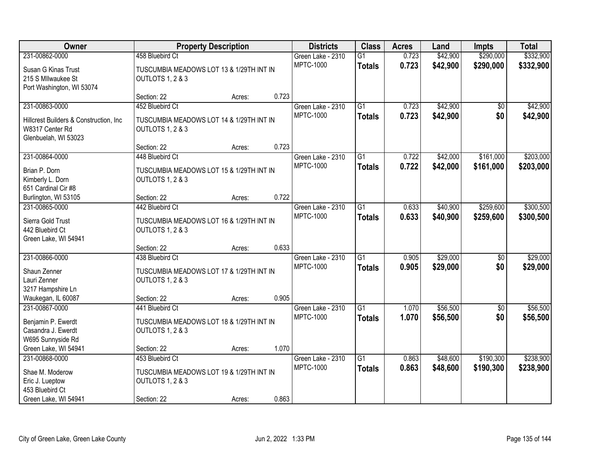| Owner                                   |                                          | <b>Property Description</b> |       | <b>Districts</b>  | <b>Class</b>    | <b>Acres</b> | Land     | <b>Impts</b>    | <b>Total</b> |
|-----------------------------------------|------------------------------------------|-----------------------------|-------|-------------------|-----------------|--------------|----------|-----------------|--------------|
| 231-00862-0000                          | 458 Bluebird Ct                          |                             |       | Green Lake - 2310 | $\overline{G1}$ | 0.723        | \$42,900 | \$290,000       | \$332,900    |
| Susan G Kinas Trust                     | TUSCUMBIA MEADOWS LOT 13 & 1/29TH INT IN |                             |       | MPTC-1000         | <b>Totals</b>   | 0.723        | \$42,900 | \$290,000       | \$332,900    |
| 215 S MIlwaukee St                      | OUTLOTS 1, 2 & 3                         |                             |       |                   |                 |              |          |                 |              |
| Port Washington, WI 53074               |                                          |                             |       |                   |                 |              |          |                 |              |
|                                         | Section: 22                              | Acres:                      | 0.723 |                   |                 |              |          |                 |              |
| 231-00863-0000                          | 452 Bluebird Ct                          |                             |       | Green Lake - 2310 | $\overline{G1}$ | 0.723        | \$42,900 | $\overline{50}$ | \$42,900     |
| Hillcrest Builders & Construction, Inc. | TUSCUMBIA MEADOWS LOT 14 & 1/29TH INT IN |                             |       | <b>MPTC-1000</b>  | <b>Totals</b>   | 0.723        | \$42,900 | \$0             | \$42,900     |
| W8317 Center Rd                         | OUTLOTS 1, 2 & 3                         |                             |       |                   |                 |              |          |                 |              |
| Glenbuelah, WI 53023                    |                                          |                             |       |                   |                 |              |          |                 |              |
|                                         | Section: 22                              | Acres:                      | 0.723 |                   |                 |              |          |                 |              |
| 231-00864-0000                          | 448 Bluebird Ct                          |                             |       | Green Lake - 2310 | $\overline{G1}$ | 0.722        | \$42,000 | \$161,000       | \$203,000    |
| Brian P. Dorn                           | TUSCUMBIA MEADOWS LOT 15 & 1/29TH INT IN |                             |       | <b>MPTC-1000</b>  | Totals          | 0.722        | \$42,000 | \$161,000       | \$203,000    |
| Kimberly L. Dorn                        | OUTLOTS 1, 2 & 3                         |                             |       |                   |                 |              |          |                 |              |
| 651 Cardinal Cir #8                     |                                          |                             |       |                   |                 |              |          |                 |              |
| Burlington, WI 53105                    | Section: 22                              | Acres:                      | 0.722 |                   |                 |              |          |                 |              |
| 231-00865-0000                          | 442 Bluebird Ct                          |                             |       | Green Lake - 2310 | $\overline{G1}$ | 0.633        | \$40,900 | \$259,600       | \$300,500    |
| Sierra Gold Trust                       | TUSCUMBIA MEADOWS LOT 16 & 1/29TH INT IN |                             |       | <b>MPTC-1000</b>  | <b>Totals</b>   | 0.633        | \$40,900 | \$259,600       | \$300,500    |
| 442 Bluebird Ct                         | OUTLOTS 1, 2 & 3                         |                             |       |                   |                 |              |          |                 |              |
| Green Lake, WI 54941                    |                                          |                             |       |                   |                 |              |          |                 |              |
|                                         | Section: 22                              | Acres:                      | 0.633 |                   |                 |              |          |                 |              |
| 231-00866-0000                          | 438 Bluebird Ct                          |                             |       | Green Lake - 2310 | $\overline{G1}$ | 0.905        | \$29,000 | $\overline{50}$ | \$29,000     |
| Shaun Zenner                            | TUSCUMBIA MEADOWS LOT 17 & 1/29TH INT IN |                             |       | <b>MPTC-1000</b>  | <b>Totals</b>   | 0.905        | \$29,000 | \$0             | \$29,000     |
| Lauri Zenner                            | OUTLOTS 1, 2 & 3                         |                             |       |                   |                 |              |          |                 |              |
| 3217 Hampshire Ln                       |                                          |                             |       |                   |                 |              |          |                 |              |
| Waukegan, IL 60087                      | Section: 22                              | Acres:                      | 0.905 |                   |                 |              |          |                 |              |
| 231-00867-0000                          | 441 Bluebird Ct                          |                             |       | Green Lake - 2310 | $\overline{G1}$ | 1.070        | \$56,500 | $\sqrt{$0}$     | \$56,500     |
| Benjamin P. Ewerdt                      | TUSCUMBIA MEADOWS LOT 18 & 1/29TH INT IN |                             |       | <b>MPTC-1000</b>  | <b>Totals</b>   | 1.070        | \$56,500 | \$0             | \$56,500     |
| Casandra J. Ewerdt                      | OUTLOTS 1, 2 & 3                         |                             |       |                   |                 |              |          |                 |              |
| W695 Sunnyside Rd                       |                                          |                             |       |                   |                 |              |          |                 |              |
| Green Lake, WI 54941                    | Section: 22                              | Acres:                      | 1.070 |                   |                 |              |          |                 |              |
| 231-00868-0000                          | 453 Bluebird Ct                          |                             |       | Green Lake - 2310 | $\overline{G1}$ | 0.863        | \$48,600 | \$190,300       | \$238,900    |
| Shae M. Moderow                         | TUSCUMBIA MEADOWS LOT 19 & 1/29TH INT IN |                             |       | <b>MPTC-1000</b>  | <b>Totals</b>   | 0.863        | \$48,600 | \$190,300       | \$238,900    |
| Eric J. Lueptow                         | OUTLOTS 1, 2 & 3                         |                             |       |                   |                 |              |          |                 |              |
| 453 Bluebird Ct                         |                                          |                             |       |                   |                 |              |          |                 |              |
| Green Lake, WI 54941                    | Section: 22                              | Acres:                      | 0.863 |                   |                 |              |          |                 |              |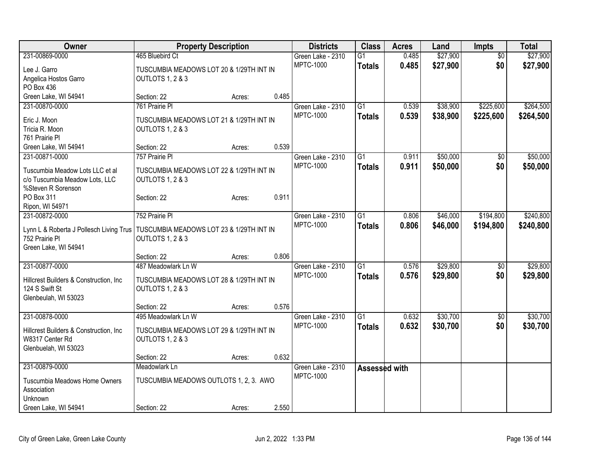| Owner                                                     | <b>Property Description</b>              |        |       | <b>Districts</b>  | <b>Class</b>    | <b>Acres</b> | Land     | <b>Impts</b>    | <b>Total</b> |
|-----------------------------------------------------------|------------------------------------------|--------|-------|-------------------|-----------------|--------------|----------|-----------------|--------------|
| 231-00869-0000                                            | 465 Bluebird Ct                          |        |       | Green Lake - 2310 | $\overline{G1}$ | 0.485        | \$27,900 | $\overline{50}$ | \$27,900     |
| Lee J. Garro                                              | TUSCUMBIA MEADOWS LOT 20 & 1/29TH INT IN |        |       | <b>MPTC-1000</b>  | <b>Totals</b>   | 0.485        | \$27,900 | \$0             | \$27,900     |
| Angelica Hostos Garro                                     | OUTLOTS 1, 2 & 3                         |        |       |                   |                 |              |          |                 |              |
| PO Box 436                                                |                                          |        |       |                   |                 |              |          |                 |              |
| Green Lake, WI 54941                                      | Section: 22                              | Acres: | 0.485 |                   |                 |              |          |                 |              |
| 231-00870-0000                                            | 761 Prairie PI                           |        |       | Green Lake - 2310 | $\overline{G1}$ | 0.539        | \$38,900 | \$225,600       | \$264,500    |
| Eric J. Moon                                              | TUSCUMBIA MEADOWS LOT 21 & 1/29TH INT IN |        |       | <b>MPTC-1000</b>  | <b>Totals</b>   | 0.539        | \$38,900 | \$225,600       | \$264,500    |
| Tricia R. Moon                                            | OUTLOTS 1, 2 & 3                         |        |       |                   |                 |              |          |                 |              |
| 761 Prairie Pl                                            |                                          |        |       |                   |                 |              |          |                 |              |
| Green Lake, WI 54941                                      | Section: 22                              | Acres: | 0.539 |                   |                 |              |          |                 |              |
| 231-00871-0000                                            | 757 Prairie Pl                           |        |       | Green Lake - 2310 | G1              | 0.911        | \$50,000 | $\sqrt{6}$      | \$50,000     |
|                                                           |                                          |        |       | <b>MPTC-1000</b>  | <b>Totals</b>   | 0.911        | \$50,000 | \$0             | \$50,000     |
| Tuscumbia Meadow Lots LLC et al                           | TUSCUMBIA MEADOWS LOT 22 & 1/29TH INT IN |        |       |                   |                 |              |          |                 |              |
| c/o Tuscumbia Meadow Lots, LLC                            | OUTLOTS 1, 2 & 3                         |        |       |                   |                 |              |          |                 |              |
| %Steven R Sorenson                                        |                                          |        |       |                   |                 |              |          |                 |              |
| PO Box 311                                                | Section: 22                              | Acres: | 0.911 |                   |                 |              |          |                 |              |
| Ripon, WI 54971                                           |                                          |        |       |                   |                 |              |          |                 |              |
| 231-00872-0000                                            | 752 Prairie Pl                           |        |       | Green Lake - 2310 | G1              | 0.806        | \$46,000 | \$194,800       | \$240,800    |
| Lynn L & Roberta J Pollesch Living Trus                   | TUSCUMBIA MEADOWS LOT 23 & 1/29TH INT IN |        |       | <b>MPTC-1000</b>  | <b>Totals</b>   | 0.806        | \$46,000 | \$194,800       | \$240,800    |
| 752 Prairie Pl                                            | OUTLOTS 1, 2 & 3                         |        |       |                   |                 |              |          |                 |              |
| Green Lake, WI 54941                                      |                                          |        |       |                   |                 |              |          |                 |              |
|                                                           | Section: 22                              | Acres: | 0.806 |                   |                 |              |          |                 |              |
| 231-00877-0000                                            | 487 Meadowlark Ln W                      |        |       | Green Lake - 2310 | G1              | 0.576        | \$29,800 | $\sqrt[6]{}$    | \$29,800     |
|                                                           | TUSCUMBIA MEADOWS LOT 28 & 1/29TH INT IN |        |       | <b>MPTC-1000</b>  | <b>Totals</b>   | 0.576        | \$29,800 | \$0             | \$29,800     |
| Hillcrest Builders & Construction, Inc.<br>124 S Swift St | OUTLOTS 1, 2 & 3                         |        |       |                   |                 |              |          |                 |              |
| Glenbeulah, WI 53023                                      |                                          |        |       |                   |                 |              |          |                 |              |
|                                                           | Section: 22                              | Acres: | 0.576 |                   |                 |              |          |                 |              |
| 231-00878-0000                                            | 495 Meadowlark Ln W                      |        |       | Green Lake - 2310 | $\overline{G1}$ | 0.632        | \$30,700 | $\overline{50}$ | \$30,700     |
|                                                           |                                          |        |       | <b>MPTC-1000</b>  | <b>Totals</b>   | 0.632        | \$30,700 | \$0             | \$30,700     |
| Hillcrest Builders & Construction, Inc.                   | TUSCUMBIA MEADOWS LOT 29 & 1/29TH INT IN |        |       |                   |                 |              |          |                 |              |
| W8317 Center Rd                                           | OUTLOTS 1, 2 & 3                         |        |       |                   |                 |              |          |                 |              |
| Glenbuelah, WI 53023                                      |                                          |        |       |                   |                 |              |          |                 |              |
|                                                           | Section: 22                              | Acres: | 0.632 |                   |                 |              |          |                 |              |
| 231-00879-0000                                            | Meadowlark Ln                            |        |       | Green Lake - 2310 | Assessed with   |              |          |                 |              |
| Tuscumbia Meadows Home Owners                             | TUSCUMBIA MEADOWS OUTLOTS 1, 2, 3. AWO   |        |       | <b>MPTC-1000</b>  |                 |              |          |                 |              |
| Association                                               |                                          |        |       |                   |                 |              |          |                 |              |
| Unknown                                                   |                                          |        |       |                   |                 |              |          |                 |              |
| Green Lake, WI 54941                                      | Section: 22                              | Acres: | 2.550 |                   |                 |              |          |                 |              |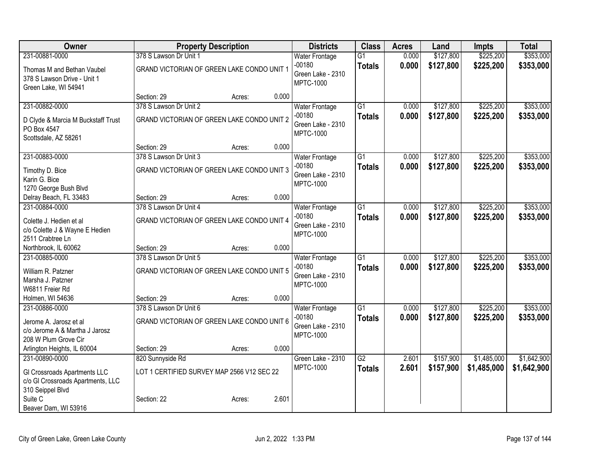| Owner                                    |                                            | <b>Property Description</b> |       | <b>Districts</b>                  | <b>Class</b>    | <b>Acres</b> | Land      | <b>Impts</b> | <b>Total</b> |
|------------------------------------------|--------------------------------------------|-----------------------------|-------|-----------------------------------|-----------------|--------------|-----------|--------------|--------------|
| 231-00881-0000                           | 378 S Lawson Dr Unit 1                     |                             |       | Water Frontage                    | $\overline{G1}$ | 0.000        | \$127,800 | \$225,200    | \$353,000    |
| Thomas M and Bethan Vaubel               | GRAND VICTORIAN OF GREEN LAKE CONDO UNIT 1 |                             |       | $-00180$                          | <b>Totals</b>   | 0.000        | \$127,800 | \$225,200    | \$353,000    |
| 378 S Lawson Drive - Unit 1              |                                            |                             |       | Green Lake - 2310<br>MPTC-1000    |                 |              |           |              |              |
| Green Lake, WI 54941                     |                                            |                             |       |                                   |                 |              |           |              |              |
|                                          | Section: 29                                | Acres:                      | 0.000 |                                   |                 |              |           |              |              |
| 231-00882-0000                           | 378 S Lawson Dr Unit 2                     |                             |       | <b>Water Frontage</b>             | $\overline{G1}$ | 0.000        | \$127,800 | \$225,200    | \$353,000    |
| D Clyde & Marcia M Buckstaff Trust       | GRAND VICTORIAN OF GREEN LAKE CONDO UNIT 2 |                             |       | $-00180$<br>Green Lake - 2310     | <b>Totals</b>   | 0.000        | \$127,800 | \$225,200    | \$353,000    |
| PO Box 4547                              |                                            |                             |       | <b>MPTC-1000</b>                  |                 |              |           |              |              |
| Scottsdale, AZ 58261                     |                                            |                             |       |                                   |                 |              |           |              |              |
|                                          | Section: 29                                | Acres:                      | 0.000 |                                   |                 |              |           |              |              |
| 231-00883-0000                           | 378 S Lawson Dr Unit 3                     |                             |       | <b>Water Frontage</b><br>$-00180$ | $\overline{G1}$ | 0.000        | \$127,800 | \$225,200    | \$353,000    |
| Timothy D. Bice                          | GRAND VICTORIAN OF GREEN LAKE CONDO UNIT 3 |                             |       | Green Lake - 2310                 | <b>Totals</b>   | 0.000        | \$127,800 | \$225,200    | \$353,000    |
| Karin G. Bice                            |                                            |                             |       | <b>MPTC-1000</b>                  |                 |              |           |              |              |
| 1270 George Bush Blvd                    | Section: 29                                |                             | 0.000 |                                   |                 |              |           |              |              |
| Delray Beach, FL 33483<br>231-00884-0000 | 378 S Lawson Dr Unit 4                     | Acres:                      |       | <b>Water Frontage</b>             | $\overline{G1}$ | 0.000        | \$127,800 | \$225,200    | \$353,000    |
|                                          |                                            |                             |       | $-00180$                          | <b>Totals</b>   | 0.000        | \$127,800 | \$225,200    | \$353,000    |
| Colette J. Hedien et al                  | GRAND VICTORIAN OF GREEN LAKE CONDO UNIT 4 |                             |       | Green Lake - 2310                 |                 |              |           |              |              |
| c/o Colette J & Wayne E Hedien           |                                            |                             |       | <b>MPTC-1000</b>                  |                 |              |           |              |              |
| 2511 Crabtree Ln<br>Northbrook, IL 60062 | Section: 29                                | Acres:                      | 0.000 |                                   |                 |              |           |              |              |
| 231-00885-0000                           | 378 S Lawson Dr Unit 5                     |                             |       | <b>Water Frontage</b>             | $\overline{G1}$ | 0.000        | \$127,800 | \$225,200    | \$353,000    |
|                                          |                                            |                             |       | $-00180$                          | <b>Totals</b>   | 0.000        | \$127,800 | \$225,200    | \$353,000    |
| William R. Patzner                       | GRAND VICTORIAN OF GREEN LAKE CONDO UNIT 5 |                             |       | Green Lake - 2310                 |                 |              |           |              |              |
| Marsha J. Patzner<br>W6811 Freier Rd     |                                            |                             |       | <b>MPTC-1000</b>                  |                 |              |           |              |              |
| Holmen, WI 54636                         | Section: 29                                | Acres:                      | 0.000 |                                   |                 |              |           |              |              |
| 231-00886-0000                           | 378 S Lawson Dr Unit 6                     |                             |       | <b>Water Frontage</b>             | $\overline{G1}$ | 0.000        | \$127,800 | \$225,200    | \$353,000    |
| Jerome A. Jarosz et al                   | GRAND VICTORIAN OF GREEN LAKE CONDO UNIT 6 |                             |       | $-00180$                          | <b>Totals</b>   | 0.000        | \$127,800 | \$225,200    | \$353,000    |
| c/o Jerome A & Martha J Jarosz           |                                            |                             |       | Green Lake - 2310                 |                 |              |           |              |              |
| 208 W Plum Grove Cir                     |                                            |                             |       | <b>MPTC-1000</b>                  |                 |              |           |              |              |
| Arlington Heights, IL 60004              | Section: 29                                | Acres:                      | 0.000 |                                   |                 |              |           |              |              |
| 231-00890-0000                           | 820 Sunnyside Rd                           |                             |       | Green Lake - 2310                 | $\overline{G2}$ | 2.601        | \$157,900 | \$1,485,000  | \$1,642,900  |
| GI Crossroads Apartments LLC             | LOT 1 CERTIFIED SURVEY MAP 2566 V12 SEC 22 |                             |       | <b>MPTC-1000</b>                  | <b>Totals</b>   | 2.601        | \$157,900 | \$1,485,000  | \$1,642,900  |
| c/o GI Crossroads Apartments, LLC        |                                            |                             |       |                                   |                 |              |           |              |              |
| 310 Seippel Blvd                         |                                            |                             |       |                                   |                 |              |           |              |              |
| Suite C                                  | Section: 22                                | Acres:                      | 2.601 |                                   |                 |              |           |              |              |
| Beaver Dam, WI 53916                     |                                            |                             |       |                                   |                 |              |           |              |              |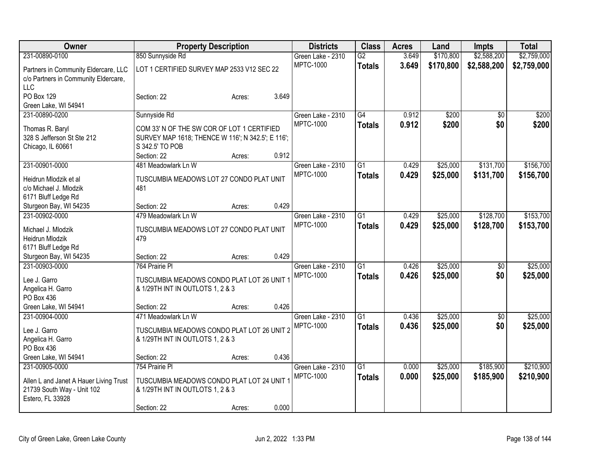| Owner                                  | <b>Property Description</b>                       |        | <b>Districts</b> | <b>Class</b>      | <b>Acres</b>    | Land  | Impts     | <b>Total</b>    |             |
|----------------------------------------|---------------------------------------------------|--------|------------------|-------------------|-----------------|-------|-----------|-----------------|-------------|
| 231-00890-0100                         | 850 Sunnyside Rd                                  |        |                  | Green Lake - 2310 | $\overline{G2}$ | 3.649 | \$170,800 | \$2,588,200     | \$2,759,000 |
| Partners in Community Eldercare, LLC   | LOT 1 CERTIFIED SURVEY MAP 2533 V12 SEC 22        |        |                  | <b>MPTC-1000</b>  | <b>Totals</b>   | 3.649 | \$170,800 | \$2,588,200     | \$2,759,000 |
| c/o Partners in Community Eldercare,   |                                                   |        |                  |                   |                 |       |           |                 |             |
| <b>LLC</b>                             |                                                   |        |                  |                   |                 |       |           |                 |             |
| PO Box 129                             | Section: 22                                       | Acres: | 3.649            |                   |                 |       |           |                 |             |
| Green Lake, WI 54941                   |                                                   |        |                  |                   |                 |       |           |                 |             |
| 231-00890-0200                         | Sunnyside Rd                                      |        |                  | Green Lake - 2310 | G4              | 0.912 | \$200     | \$0             | \$200       |
| Thomas R. Baryl                        | COM 33' N OF THE SW COR OF LOT 1 CERTIFIED        |        |                  | <b>MPTC-1000</b>  | <b>Totals</b>   | 0.912 | \$200     | \$0             | \$200       |
| 328 S Jefferson St Ste 212             | SURVEY MAP 1618; THENCE W 116'; N 342.5'; E 116'; |        |                  |                   |                 |       |           |                 |             |
| Chicago, IL 60661                      | S 342.5' TO POB                                   |        |                  |                   |                 |       |           |                 |             |
|                                        | Section: 22                                       | Acres: | 0.912            |                   |                 |       |           |                 |             |
| 231-00901-0000                         | 481 Meadowlark Ln W                               |        |                  | Green Lake - 2310 | $\overline{G1}$ | 0.429 | \$25,000  | \$131,700       | \$156,700   |
| Heidrun Mlodzik et al                  | TUSCUMBIA MEADOWS LOT 27 CONDO PLAT UNIT          |        |                  | <b>MPTC-1000</b>  | <b>Totals</b>   | 0.429 | \$25,000  | \$131,700       | \$156,700   |
| c/o Michael J. Mlodzik                 | 481                                               |        |                  |                   |                 |       |           |                 |             |
| 6171 Bluff Ledge Rd                    |                                                   |        |                  |                   |                 |       |           |                 |             |
| Sturgeon Bay, WI 54235                 | Section: 22                                       | Acres: | 0.429            |                   |                 |       |           |                 |             |
| 231-00902-0000                         | 479 Meadowlark Ln W                               |        |                  | Green Lake - 2310 | $\overline{G1}$ | 0.429 | \$25,000  | \$128,700       | \$153,700   |
| Michael J. Mlodzik                     | TUSCUMBIA MEADOWS LOT 27 CONDO PLAT UNIT          |        |                  | <b>MPTC-1000</b>  | <b>Totals</b>   | 0.429 | \$25,000  | \$128,700       | \$153,700   |
| Heidrun Mlodzik                        | 479                                               |        |                  |                   |                 |       |           |                 |             |
| 6171 Bluff Ledge Rd                    |                                                   |        |                  |                   |                 |       |           |                 |             |
| Sturgeon Bay, WI 54235                 | Section: 22                                       | Acres: | 0.429            |                   |                 |       |           |                 |             |
| 231-00903-0000                         | 764 Prairie Pl                                    |        |                  | Green Lake - 2310 | $\overline{G1}$ | 0.426 | \$25,000  | $\overline{50}$ | \$25,000    |
| Lee J. Garro                           | TUSCUMBIA MEADOWS CONDO PLAT LOT 26 UNIT 1        |        |                  | <b>MPTC-1000</b>  | <b>Totals</b>   | 0.426 | \$25,000  | \$0             | \$25,000    |
| Angelica H. Garro                      | & 1/29TH INT IN OUTLOTS 1, 2 & 3                  |        |                  |                   |                 |       |           |                 |             |
| PO Box 436                             |                                                   |        |                  |                   |                 |       |           |                 |             |
| Green Lake, WI 54941                   | Section: 22                                       | Acres: | 0.426            |                   |                 |       |           |                 |             |
| 231-00904-0000                         | 471 Meadowlark Ln W                               |        |                  | Green Lake - 2310 | $\overline{G1}$ | 0.436 | \$25,000  | $\overline{50}$ | \$25,000    |
| Lee J. Garro                           | TUSCUMBIA MEADOWS CONDO PLAT LOT 26 UNIT 2        |        |                  | MPTC-1000         | <b>Totals</b>   | 0.436 | \$25,000  | \$0             | \$25,000    |
| Angelica H. Garro                      | & 1/29TH INT IN OUTLOTS 1, 2 & 3                  |        |                  |                   |                 |       |           |                 |             |
| PO Box 436                             |                                                   |        |                  |                   |                 |       |           |                 |             |
| Green Lake, WI 54941                   | Section: 22                                       | Acres: | 0.436            |                   |                 |       |           |                 |             |
| 231-00905-0000                         | 754 Prairie Pl                                    |        |                  | Green Lake - 2310 | $\overline{G1}$ | 0.000 | \$25,000  | \$185,900       | \$210,900   |
| Allen L and Janet A Hauer Living Trust | TUSCUMBIA MEADOWS CONDO PLAT LOT 24 UNIT          |        |                  | <b>MPTC-1000</b>  | <b>Totals</b>   | 0.000 | \$25,000  | \$185,900       | \$210,900   |
| 21739 South Way - Unit 102             | & 1/29TH INT IN OUTLOTS 1, 2 & 3                  |        |                  |                   |                 |       |           |                 |             |
| Estero, FL 33928                       |                                                   |        |                  |                   |                 |       |           |                 |             |
|                                        | Section: 22                                       | Acres: | 0.000            |                   |                 |       |           |                 |             |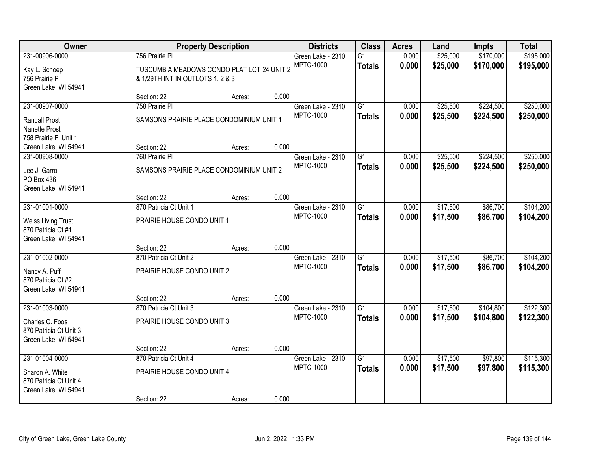| Owner                                                                   |                                                                                | <b>Property Description</b> |       | <b>Districts</b>  | <b>Class</b>    | <b>Acres</b> | Land     | Impts     | <b>Total</b> |
|-------------------------------------------------------------------------|--------------------------------------------------------------------------------|-----------------------------|-------|-------------------|-----------------|--------------|----------|-----------|--------------|
| 231-00906-0000                                                          | 756 Prairie Pl                                                                 |                             |       | Green Lake - 2310 | $\overline{G1}$ | 0.000        | \$25,000 | \$170,000 | \$195,000    |
| Kay L. Schoep<br>756 Prairie Pl<br>Green Lake, WI 54941                 | TUSCUMBIA MEADOWS CONDO PLAT LOT 24 UNIT 2<br>& 1/29TH INT IN OUTLOTS 1, 2 & 3 |                             |       | <b>MPTC-1000</b>  | <b>Totals</b>   | 0.000        | \$25,000 | \$170,000 | \$195,000    |
|                                                                         | Section: 22                                                                    | Acres:                      | 0.000 |                   |                 |              |          |           |              |
| 231-00907-0000                                                          | 758 Prairie Pl                                                                 |                             |       | Green Lake - 2310 | $\overline{G1}$ | 0.000        | \$25,500 | \$224,500 | \$250,000    |
| <b>Randall Prost</b><br>Nanette Prost<br>758 Prairie PI Unit 1          | SAMSONS PRAIRIE PLACE CONDOMINIUM UNIT 1                                       |                             |       | <b>MPTC-1000</b>  | <b>Totals</b>   | 0.000        | \$25,500 | \$224,500 | \$250,000    |
| Green Lake, WI 54941                                                    | Section: 22                                                                    | Acres:                      | 0.000 |                   |                 |              |          |           |              |
| 231-00908-0000                                                          | 760 Prairie Pl                                                                 |                             |       | Green Lake - 2310 | $\overline{G1}$ | 0.000        | \$25,500 | \$224,500 | \$250,000    |
| Lee J. Garro<br>PO Box 436<br>Green Lake, WI 54941                      | SAMSONS PRAIRIE PLACE CONDOMINIUM UNIT 2                                       |                             |       | <b>MPTC-1000</b>  | <b>Totals</b>   | 0.000        | \$25,500 | \$224,500 | \$250,000    |
|                                                                         | Section: 22                                                                    | Acres:                      | 0.000 |                   |                 |              |          |           |              |
| 231-01001-0000                                                          | 870 Patricia Ct Unit 1                                                         |                             |       | Green Lake - 2310 | $\overline{G1}$ | 0.000        | \$17,500 | \$86,700  | \$104,200    |
| <b>Weiss Living Trust</b><br>870 Patricia Ct #1<br>Green Lake, WI 54941 | PRAIRIE HOUSE CONDO UNIT 1                                                     |                             |       | <b>MPTC-1000</b>  | <b>Totals</b>   | 0.000        | \$17,500 | \$86,700  | \$104,200    |
|                                                                         | Section: 22                                                                    | Acres:                      | 0.000 |                   |                 |              |          |           |              |
| 231-01002-0000                                                          | 870 Patricia Ct Unit 2                                                         |                             |       | Green Lake - 2310 | $\overline{G1}$ | 0.000        | \$17,500 | \$86,700  | \$104,200    |
| Nancy A. Puff<br>870 Patricia Ct #2<br>Green Lake, WI 54941             | PRAIRIE HOUSE CONDO UNIT 2                                                     |                             |       | <b>MPTC-1000</b>  | <b>Totals</b>   | 0.000        | \$17,500 | \$86,700  | \$104,200    |
|                                                                         | Section: 22                                                                    | Acres:                      | 0.000 |                   |                 |              |          |           |              |
| 231-01003-0000                                                          | 870 Patricia Ct Unit 3                                                         |                             |       | Green Lake - 2310 | $\overline{G1}$ | 0.000        | \$17,500 | \$104,800 | \$122,300    |
| Charles C. Foos<br>870 Patricia Ct Unit 3<br>Green Lake, WI 54941       | PRAIRIE HOUSE CONDO UNIT 3                                                     |                             |       | <b>MPTC-1000</b>  | <b>Totals</b>   | 0.000        | \$17,500 | \$104,800 | \$122,300    |
|                                                                         | Section: 22                                                                    | Acres:                      | 0.000 |                   |                 |              |          |           |              |
| 231-01004-0000                                                          | 870 Patricia Ct Unit 4                                                         |                             |       | Green Lake - 2310 | $\overline{G1}$ | 0.000        | \$17,500 | \$97,800  | \$115,300    |
| Sharon A. White<br>870 Patricia Ct Unit 4<br>Green Lake, WI 54941       | PRAIRIE HOUSE CONDO UNIT 4                                                     |                             |       | <b>MPTC-1000</b>  | <b>Totals</b>   | 0.000        | \$17,500 | \$97,800  | \$115,300    |
|                                                                         | Section: 22                                                                    | Acres:                      | 0.000 |                   |                 |              |          |           |              |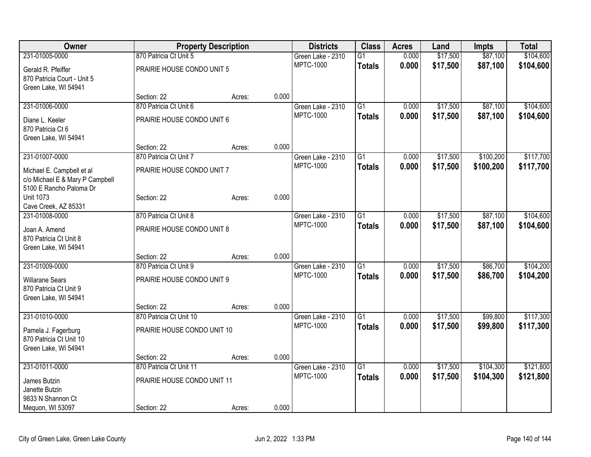| Owner                           |                             | <b>Property Description</b> |       | <b>Districts</b>               | <b>Class</b>    | <b>Acres</b> | Land     | <b>Impts</b> | <b>Total</b> |
|---------------------------------|-----------------------------|-----------------------------|-------|--------------------------------|-----------------|--------------|----------|--------------|--------------|
| 231-01005-0000                  | 870 Patricia Ct Unit 5      |                             |       | Green Lake - 2310              | $\overline{G1}$ | 0.000        | \$17,500 | \$87,100     | \$104,600    |
| Gerald R. Pfeiffer              | PRAIRIE HOUSE CONDO UNIT 5  |                             |       | <b>MPTC-1000</b>               | <b>Totals</b>   | 0.000        | \$17,500 | \$87,100     | \$104,600    |
| 870 Patricia Court - Unit 5     |                             |                             |       |                                |                 |              |          |              |              |
| Green Lake, WI 54941            |                             |                             |       |                                |                 |              |          |              |              |
|                                 | Section: 22                 | Acres:                      | 0.000 |                                |                 |              |          |              |              |
| 231-01006-0000                  | 870 Patricia Ct Unit 6      |                             |       | Green Lake - 2310              | $\overline{G1}$ | 0.000        | \$17,500 | \$87,100     | \$104,600    |
| Diane L. Keeler                 | PRAIRIE HOUSE CONDO UNIT 6  |                             |       | <b>MPTC-1000</b>               | <b>Totals</b>   | 0.000        | \$17,500 | \$87,100     | \$104,600    |
| 870 Patricia Ct 6               |                             |                             |       |                                |                 |              |          |              |              |
| Green Lake, WI 54941            |                             |                             |       |                                |                 |              |          |              |              |
|                                 | Section: 22                 | Acres:                      | 0.000 |                                |                 |              |          |              |              |
| 231-01007-0000                  | 870 Patricia Ct Unit 7      |                             |       | Green Lake - 2310              | G1              | 0.000        | \$17,500 | \$100,200    | \$117,700    |
|                                 |                             |                             |       | <b>MPTC-1000</b>               | <b>Totals</b>   | 0.000        | \$17,500 | \$100,200    | \$117,700    |
| Michael E. Campbell et al       | PRAIRIE HOUSE CONDO UNIT 7  |                             |       |                                |                 |              |          |              |              |
| c/o Michael E & Mary P Campbell |                             |                             |       |                                |                 |              |          |              |              |
| 5100 E Rancho Paloma Dr         |                             |                             |       |                                |                 |              |          |              |              |
| <b>Unit 1073</b>                | Section: 22                 | Acres:                      | 0.000 |                                |                 |              |          |              |              |
| Cave Creek, AZ 85331            |                             |                             |       |                                |                 |              |          |              |              |
| 231-01008-0000                  | 870 Patricia Ct Unit 8      |                             |       | Green Lake - 2310<br>MPTC-1000 | G1              | 0.000        | \$17,500 | \$87,100     | \$104,600    |
| Joan A. Amend                   | PRAIRIE HOUSE CONDO UNIT 8  |                             |       |                                | <b>Totals</b>   | 0.000        | \$17,500 | \$87,100     | \$104,600    |
| 870 Patricia Ct Unit 8          |                             |                             |       |                                |                 |              |          |              |              |
| Green Lake, WI 54941            |                             |                             |       |                                |                 |              |          |              |              |
|                                 | Section: 22                 | Acres:                      | 0.000 |                                |                 |              |          |              |              |
| 231-01009-0000                  | 870 Patricia Ct Unit 9      |                             |       | Green Lake - 2310              | $\overline{G1}$ | 0.000        | \$17,500 | \$86,700     | \$104,200    |
| <b>Willarane Sears</b>          | PRAIRIE HOUSE CONDO UNIT 9  |                             |       | <b>MPTC-1000</b>               | <b>Totals</b>   | 0.000        | \$17,500 | \$86,700     | \$104,200    |
| 870 Patricia Ct Unit 9          |                             |                             |       |                                |                 |              |          |              |              |
| Green Lake, WI 54941            |                             |                             |       |                                |                 |              |          |              |              |
|                                 | Section: 22                 | Acres:                      | 0.000 |                                |                 |              |          |              |              |
| 231-01010-0000                  | 870 Patricia Ct Unit 10     |                             |       | Green Lake - 2310              | $\overline{G1}$ | 0.000        | \$17,500 | \$99,800     | \$117,300    |
|                                 |                             |                             |       | <b>MPTC-1000</b>               | <b>Totals</b>   | 0.000        | \$17,500 | \$99,800     | \$117,300    |
| Pamela J. Fagerburg             | PRAIRIE HOUSE CONDO UNIT 10 |                             |       |                                |                 |              |          |              |              |
| 870 Patricia Ct Unit 10         |                             |                             |       |                                |                 |              |          |              |              |
| Green Lake, WI 54941            | Section: 22                 | Acres:                      | 0.000 |                                |                 |              |          |              |              |
| 231-01011-0000                  | 870 Patricia Ct Unit 11     |                             |       | Green Lake - 2310              | $\overline{G1}$ | 0.000        | \$17,500 | \$104,300    | \$121,800    |
|                                 |                             |                             |       | <b>MPTC-1000</b>               |                 | 0.000        |          | \$104,300    |              |
| James Butzin                    | PRAIRIE HOUSE CONDO UNIT 11 |                             |       |                                | <b>Totals</b>   |              | \$17,500 |              | \$121,800    |
| Janette Butzin                  |                             |                             |       |                                |                 |              |          |              |              |
| 9833 N Shannon Ct               |                             |                             |       |                                |                 |              |          |              |              |
| Mequon, WI 53097                | Section: 22                 | Acres:                      | 0.000 |                                |                 |              |          |              |              |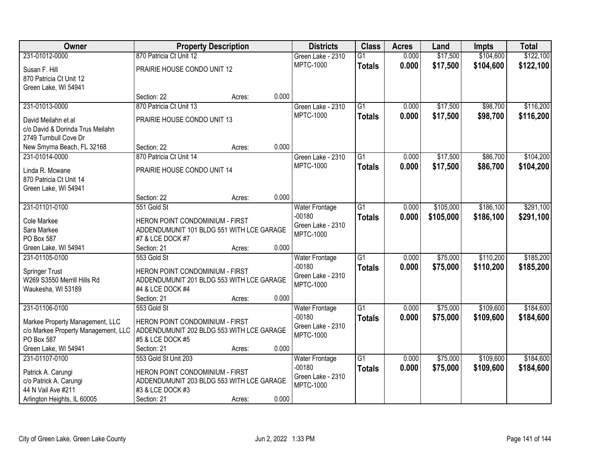| Owner                               | <b>Property Description</b>               |        |       | <b>Districts</b>      | <b>Class</b>    | <b>Acres</b> | Land      | <b>Impts</b> | <b>Total</b> |
|-------------------------------------|-------------------------------------------|--------|-------|-----------------------|-----------------|--------------|-----------|--------------|--------------|
| 231-01012-0000                      | 870 Patricia Ct Unit 12                   |        |       | Green Lake - 2310     | $\overline{G1}$ | 0.000        | \$17,500  | \$104,600    | \$122,100    |
| Susan F. Hill                       | PRAIRIE HOUSE CONDO UNIT 12               |        |       | <b>MPTC-1000</b>      | <b>Totals</b>   | 0.000        | \$17,500  | \$104,600    | \$122,100    |
| 870 Patricia Ct Unit 12             |                                           |        |       |                       |                 |              |           |              |              |
| Green Lake, WI 54941                |                                           |        |       |                       |                 |              |           |              |              |
|                                     | Section: 22                               | Acres: | 0.000 |                       |                 |              |           |              |              |
| 231-01013-0000                      | 870 Patricia Ct Unit 13                   |        |       | Green Lake - 2310     | $\overline{G1}$ | 0.000        | \$17,500  | \$98,700     | \$116,200    |
| David Meilahn et al                 | PRAIRIE HOUSE CONDO UNIT 13               |        |       | <b>MPTC-1000</b>      | <b>Totals</b>   | 0.000        | \$17,500  | \$98,700     | \$116,200    |
| c/o David & Dorinda Trus Meilahn    |                                           |        |       |                       |                 |              |           |              |              |
| 2749 Turnbull Cove Dr               |                                           |        |       |                       |                 |              |           |              |              |
| New Smyrna Beach, FL 32168          | Section: 22                               | Acres: | 0.000 |                       |                 |              |           |              |              |
| 231-01014-0000                      | 870 Patricia Ct Unit 14                   |        |       | Green Lake - 2310     | G1              | 0.000        | \$17,500  | \$86,700     | \$104,200    |
| Linda R. Mcwane                     | PRAIRIE HOUSE CONDO UNIT 14               |        |       | <b>MPTC-1000</b>      | <b>Totals</b>   | 0.000        | \$17,500  | \$86,700     | \$104,200    |
| 870 Patricia Ct Unit 14             |                                           |        |       |                       |                 |              |           |              |              |
| Green Lake, WI 54941                |                                           |        |       |                       |                 |              |           |              |              |
|                                     | Section: 22                               | Acres: | 0.000 |                       |                 |              |           |              |              |
| 231-01101-0100                      | 551 Gold St                               |        |       | <b>Water Frontage</b> | $\overline{G1}$ | 0.000        | \$105,000 | \$186,100    | \$291,100    |
| Cole Markee                         | HERON POINT CONDOMINIUM - FIRST           |        |       | $-00180$              | <b>Totals</b>   | 0.000        | \$105,000 | \$186,100    | \$291,100    |
| Sara Markee                         | ADDENDUMUNIT 101 BLDG 551 WITH LCE GARAGE |        |       | Green Lake - 2310     |                 |              |           |              |              |
| PO Box 587                          | #7 & LCE DOCK #7                          |        |       | <b>MPTC-1000</b>      |                 |              |           |              |              |
| Green Lake, WI 54941                | Section: 21                               | Acres: | 0.000 |                       |                 |              |           |              |              |
| 231-01105-0100                      | 553 Gold St                               |        |       | Water Frontage        | $\overline{G1}$ | 0.000        | \$75,000  | \$110,200    | \$185,200    |
| <b>Springer Trust</b>               | HERON POINT CONDOMINIUM - FIRST           |        |       | $-00180$              | <b>Totals</b>   | 0.000        | \$75,000  | \$110,200    | \$185,200    |
| W269 S3550 Merrill Hills Rd         | ADDENDUMUNIT 201 BLDG 553 WITH LCE GARAGE |        |       | Green Lake - 2310     |                 |              |           |              |              |
| Waukesha, WI 53189                  | #4 & LCE DOCK #4                          |        |       | <b>MPTC-1000</b>      |                 |              |           |              |              |
|                                     | Section: 21                               | Acres: | 0.000 |                       |                 |              |           |              |              |
| 231-01106-0100                      | 553 Gold St                               |        |       | Water Frontage        | $\overline{G1}$ | 0.000        | \$75,000  | \$109,600    | \$184,600    |
| Markee Property Management, LLC     | HERON POINT CONDOMINIUM - FIRST           |        |       | $-00180$              | <b>Totals</b>   | 0.000        | \$75,000  | \$109,600    | \$184,600    |
| c/o Markee Property Management, LLC | ADDENDUMUNIT 202 BLDG 553 WITH LCE GARAGE |        |       | Green Lake - 2310     |                 |              |           |              |              |
| PO Box 587                          | #5 & LCE DOCK #5                          |        |       | <b>MPTC-1000</b>      |                 |              |           |              |              |
| Green Lake, WI 54941                | Section: 21                               | Acres: | 0.000 |                       |                 |              |           |              |              |
| 231-01107-0100                      | 553 Gold St Unit 203                      |        |       | <b>Water Frontage</b> | $\overline{G1}$ | 0.000        | \$75,000  | \$109,600    | \$184,600    |
| Patrick A. Carungi                  | HERON POINT CONDOMINIUM - FIRST           |        |       | $-00180$              | <b>Totals</b>   | 0.000        | \$75,000  | \$109,600    | \$184,600    |
| c/o Patrick A. Carungi              | ADDENDUMUNIT 203 BLDG 553 WITH LCE GARAGE |        |       | Green Lake - 2310     |                 |              |           |              |              |
| 44 N Vail Ave #211                  | #3 & LCE DOCK #3                          |        |       | <b>MPTC-1000</b>      |                 |              |           |              |              |
| Arlington Heights, IL 60005         | Section: 21                               | Acres: | 0.000 |                       |                 |              |           |              |              |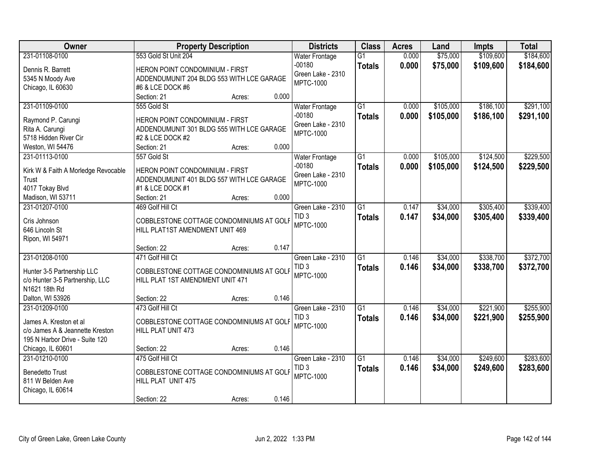| Owner                               | <b>Property Description</b>               | <b>Districts</b>                      | <b>Class</b>    | <b>Acres</b> | Land      | <b>Impts</b> | <b>Total</b> |
|-------------------------------------|-------------------------------------------|---------------------------------------|-----------------|--------------|-----------|--------------|--------------|
| 231-01108-0100                      | 553 Gold St Unit 204                      | <b>Water Frontage</b>                 | $\overline{G1}$ | 0.000        | \$75,000  | \$109,600    | \$184,600    |
| Dennis R. Barrett                   | HERON POINT CONDOMINIUM - FIRST           | $-00180$                              | <b>Totals</b>   | 0.000        | \$75,000  | \$109,600    | \$184,600    |
| 5345 N Moody Ave                    | ADDENDUMUNIT 204 BLDG 553 WITH LCE GARAGE | Green Lake - 2310                     |                 |              |           |              |              |
| Chicago, IL 60630                   | #6 & LCE DOCK #6                          | <b>MPTC-1000</b>                      |                 |              |           |              |              |
|                                     | 0.000<br>Section: 21<br>Acres:            |                                       |                 |              |           |              |              |
| 231-01109-0100                      | 555 Gold St                               | <b>Water Frontage</b>                 | G1              | 0.000        | \$105,000 | \$186,100    | \$291,100    |
|                                     |                                           | $-00180$                              | <b>Totals</b>   | 0.000        | \$105,000 | \$186,100    | \$291,100    |
| Raymond P. Carungi                  | HERON POINT CONDOMINIUM - FIRST           | Green Lake - 2310                     |                 |              |           |              |              |
| Rita A. Carungi                     | ADDENDUMUNIT 301 BLDG 555 WITH LCE GARAGE | <b>MPTC-1000</b>                      |                 |              |           |              |              |
| 5718 Hidden River Cir               | #2 & LCE DOCK #2                          |                                       |                 |              |           |              |              |
| Weston, WI 54476                    | 0.000<br>Section: 21<br>Acres:            |                                       |                 |              |           |              |              |
| 231-01113-0100                      | 557 Gold St                               | <b>Water Frontage</b>                 | G1              | 0.000        | \$105,000 | \$124,500    | \$229,500    |
| Kirk W & Faith A Morledge Revocable | HERON POINT CONDOMINIUM - FIRST           | $-00180$                              | <b>Totals</b>   | 0.000        | \$105,000 | \$124,500    | \$229,500    |
| Trust                               | ADDENDUMUNIT 401 BLDG 557 WITH LCE GARAGE | Green Lake - 2310                     |                 |              |           |              |              |
| 4017 Tokay Blvd                     | #1 & LCE DOCK #1                          | <b>MPTC-1000</b>                      |                 |              |           |              |              |
| Madison, WI 53711                   | 0.000<br>Section: 21<br>Acres:            |                                       |                 |              |           |              |              |
| 231-01207-0100                      | 469 Golf Hill Ct                          | Green Lake - 2310                     | $\overline{G1}$ | 0.147        | \$34,000  | \$305,400    | \$339,400    |
|                                     |                                           | TID <sub>3</sub>                      | <b>Totals</b>   | 0.147        | \$34,000  | \$305,400    | \$339,400    |
| Cris Johnson                        | COBBLESTONE COTTAGE CONDOMINIUMS AT GOLF  | MPTC-1000                             |                 |              |           |              |              |
| 646 Lincoln St                      | HILL PLAT1ST AMENDMENT UNIT 469           |                                       |                 |              |           |              |              |
| Ripon, WI 54971                     | 0.147                                     |                                       |                 |              |           |              |              |
|                                     | Section: 22<br>Acres:                     |                                       |                 |              |           |              |              |
| 231-01208-0100                      | 471 Golf Hill Ct                          | Green Lake - 2310                     | $\overline{G1}$ | 0.146        | \$34,000  | \$338,700    | \$372,700    |
| Hunter 3-5 Partnership LLC          | COBBLESTONE COTTAGE CONDOMINIUMS AT GOLF  | TID <sub>3</sub>                      | <b>Totals</b>   | 0.146        | \$34,000  | \$338,700    | \$372,700    |
| c/o Hunter 3-5 Partnership, LLC     | HILL PLAT 1ST AMENDMENT UNIT 471          | <b>MPTC-1000</b>                      |                 |              |           |              |              |
| N1621 18th Rd                       |                                           |                                       |                 |              |           |              |              |
| Dalton, WI 53926                    | 0.146<br>Section: 22<br>Acres:            |                                       |                 |              |           |              |              |
| 231-01209-0100                      | 473 Golf Hill Ct                          | Green Lake - 2310                     | $\overline{G1}$ | 0.146        | \$34,000  | \$221,900    | \$255,900    |
| James A. Kreston et al              | COBBLESTONE COTTAGE CONDOMINIUMS AT GOLF  | TID <sub>3</sub>                      | <b>Totals</b>   | 0.146        | \$34,000  | \$221,900    | \$255,900    |
| c/o James A & Jeannette Kreston     |                                           | <b>MPTC-1000</b>                      |                 |              |           |              |              |
| 195 N Harbor Drive - Suite 120      | HILL PLAT UNIT 473                        |                                       |                 |              |           |              |              |
|                                     | 0.146<br>Section: 22                      |                                       |                 |              |           |              |              |
| Chicago, IL 60601<br>231-01210-0100 | Acres:                                    |                                       | $\overline{G1}$ | 0.146        | \$34,000  | \$249,600    | \$283,600    |
|                                     | 475 Golf Hill Ct                          | Green Lake - 2310<br>TID <sub>3</sub> |                 |              |           |              |              |
| <b>Benedetto Trust</b>              | COBBLESTONE COTTAGE CONDOMINIUMS AT GOLF  |                                       | <b>Totals</b>   | 0.146        | \$34,000  | \$249,600    | \$283,600    |
| 811 W Belden Ave                    | HILL PLAT UNIT 475                        | <b>MPTC-1000</b>                      |                 |              |           |              |              |
| Chicago, IL 60614                   |                                           |                                       |                 |              |           |              |              |
|                                     | 0.146<br>Section: 22<br>Acres:            |                                       |                 |              |           |              |              |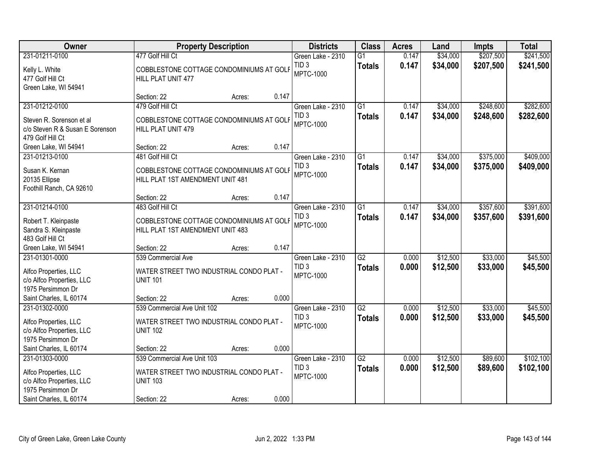| <b>Owner</b>                                                                                                         | <b>Property Description</b>                                                                                                  | <b>Districts</b>                                          | <b>Class</b>                     | <b>Acres</b>   | Land                 | <b>Impts</b>           | <b>Total</b>           |
|----------------------------------------------------------------------------------------------------------------------|------------------------------------------------------------------------------------------------------------------------------|-----------------------------------------------------------|----------------------------------|----------------|----------------------|------------------------|------------------------|
| 231-01211-0100                                                                                                       | 477 Golf Hill Ct                                                                                                             | Green Lake - 2310                                         | $\overline{G1}$                  | 0.147          | \$34,000             | \$207,500              | \$241,500              |
| Kelly L. White<br>477 Golf Hill Ct<br>Green Lake, WI 54941                                                           | COBBLESTONE COTTAGE CONDOMINIUMS AT GOLF<br>HILL PLAT UNIT 477                                                               | TID <sub>3</sub><br><b>MPTC-1000</b>                      | <b>Totals</b>                    | 0.147          | \$34,000             | \$207,500              | \$241,500              |
|                                                                                                                      | 0.147<br>Section: 22<br>Acres:                                                                                               |                                                           |                                  |                |                      |                        |                        |
| 231-01212-0100<br>Steven R. Sorenson et al<br>c/o Steven R & Susan E Sorenson<br>479 Golf Hill Ct                    | 479 Golf Hill Ct<br>COBBLESTONE COTTAGE CONDOMINIUMS AT GOLF<br>HILL PLAT UNIT 479                                           | Green Lake - 2310<br>TID <sub>3</sub><br><b>MPTC-1000</b> | $\overline{G1}$<br><b>Totals</b> | 0.147<br>0.147 | \$34,000<br>\$34,000 | \$248,600<br>\$248,600 | \$282,600<br>\$282,600 |
| Green Lake, WI 54941                                                                                                 | 0.147<br>Section: 22<br>Acres:                                                                                               |                                                           |                                  |                |                      |                        |                        |
| 231-01213-0100<br>Susan K. Kernan<br>20135 Ellipse<br>Foothill Ranch, CA 92610                                       | 481 Golf Hill Ct<br>COBBLESTONE COTTAGE CONDOMINIUMS AT GOLF<br>HILL PLAT 1ST AMENDMENT UNIT 481                             | Green Lake - 2310<br>TID <sub>3</sub><br><b>MPTC-1000</b> | $\overline{G1}$<br><b>Totals</b> | 0.147<br>0.147 | \$34,000<br>\$34,000 | \$375,000<br>\$375,000 | \$409,000<br>\$409,000 |
|                                                                                                                      | 0.147<br>Section: 22<br>Acres:                                                                                               |                                                           |                                  |                |                      |                        |                        |
| 231-01214-0100<br>Robert T. Kleinpaste<br>Sandra S. Kleinpaste                                                       | 483 Golf Hill Ct<br>COBBLESTONE COTTAGE CONDOMINIUMS AT GOLF<br>HILL PLAT 1ST AMENDMENT UNIT 483                             | Green Lake - 2310<br>TID <sub>3</sub><br><b>MPTC-1000</b> | G1<br><b>Totals</b>              | 0.147<br>0.147 | \$34,000<br>\$34,000 | \$357,600<br>\$357,600 | \$391,600<br>\$391,600 |
| 483 Golf Hill Ct<br>Green Lake, WI 54941                                                                             | 0.147<br>Section: 22<br>Acres:                                                                                               |                                                           |                                  |                |                      |                        |                        |
| 231-01301-0000<br>Alfco Properties, LLC<br>c/o Alfco Properties, LLC<br>1975 Persimmon Dr                            | 539 Commercial Ave<br>WATER STREET TWO INDUSTRIAL CONDO PLAT -<br><b>UNIT 101</b>                                            | Green Lake - 2310<br>TID <sub>3</sub><br><b>MPTC-1000</b> | $\overline{G2}$<br><b>Totals</b> | 0.000<br>0.000 | \$12,500<br>\$12,500 | \$33,000<br>\$33,000   | \$45,500<br>\$45,500   |
| Saint Charles, IL 60174                                                                                              | 0.000<br>Section: 22<br>Acres:                                                                                               |                                                           |                                  |                |                      |                        |                        |
| 231-01302-0000<br>Alfco Properties, LLC<br>c/o Alfco Properties, LLC<br>1975 Persimmon Dr                            | 539 Commercial Ave Unit 102<br>WATER STREET TWO INDUSTRIAL CONDO PLAT -<br><b>UNIT 102</b>                                   | Green Lake - 2310<br>TID <sub>3</sub><br><b>MPTC-1000</b> | G2<br><b>Totals</b>              | 0.000<br>0.000 | \$12,500<br>\$12,500 | \$33,000<br>\$33,000   | \$45,500<br>\$45,500   |
| Saint Charles, IL 60174                                                                                              | 0.000<br>Section: 22<br>Acres:                                                                                               |                                                           |                                  |                |                      |                        |                        |
| 231-01303-0000<br>Alfco Properties, LLC<br>c/o Alfco Properties, LLC<br>1975 Persimmon Dr<br>Saint Charles, IL 60174 | 539 Commercial Ave Unit 103<br>WATER STREET TWO INDUSTRIAL CONDO PLAT -<br><b>UNIT 103</b><br>0.000<br>Section: 22<br>Acres: | Green Lake - 2310<br>TID <sub>3</sub><br><b>MPTC-1000</b> | $\overline{G2}$<br><b>Totals</b> | 0.000<br>0.000 | \$12,500<br>\$12,500 | \$89,600<br>\$89,600   | \$102,100<br>\$102,100 |